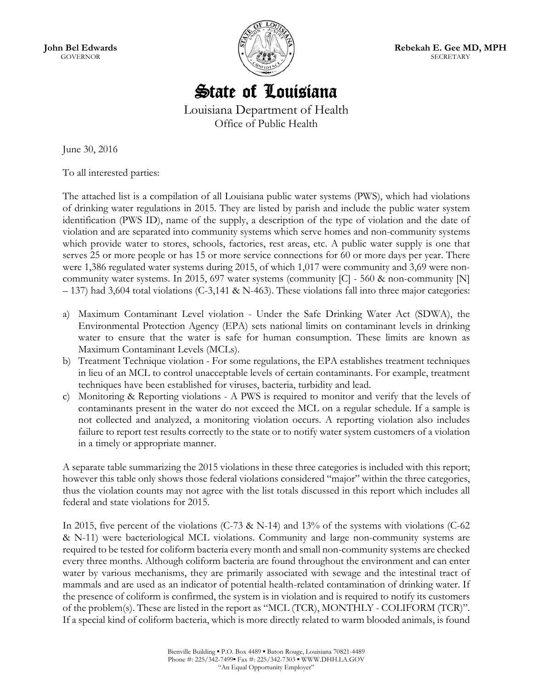

State of Louisiana

Louisiana Department of Health Office of Public Health

June 30, 2016

To all interested parties:

The attached list is a compilation of all Louisiana public water systems (PWS), which had violations of drinking water regulations in 2015. They are listed by parish and include the public water system identification (PWS ID), name of the supply, a description of the type of violation and the date of violation and are separated into community systems which serve homes and non-community systems which provide water to stores, schools, factories, rest areas, etc. A public water supply is one that serves 25 or more people or has 15 or more service connections for 60 or more days per year. There were 1,386 regulated water systems during 2015, of which 1,017 were community and 3,69 were noncommunity water systems. In 2015, 697 water systems (community [C] - 560 & non-community [N] – 137) had 3,604 total violations (C-3,141 & N-463). These violations fall into three major categories:

- a) Maximum Contaminant Level violation Under the Safe Drinking Water Act (SDWA), the Environmental Protection Agency (EPA) sets national limits on contaminant levels in drinking water to ensure that the water is safe for human consumption. These limits are known as Maximum Contaminant Levels (MCLs).
- b) Treatment Technique violation For some regulations, the EPA establishes treatment techniques in lieu of an MCL to control unacceptable levels of certain contaminants. For example, treatment techniques have been established for viruses, bacteria, turbidity and lead.
- c) Monitoring & Reporting violations A PWS is required to monitor and verify that the levels of contaminants present in the water do not exceed the MCL on a regular schedule. If a sample is not collected and analyzed, a monitoring violation occurs. A reporting violation also includes failure to report test results correctly to the state or to notify water system customers of a violation in a timely or appropriate manner.

A separate table summarizing the 2015 violations in these three categories is included with this report; however this table only shows those federal violations considered "major" within the three categories, thus the violation counts may not agree with the list totals discussed in this report which includes all federal and state violations for 2015.

In 2015, five percent of the violations (C-73 & N-14) and 13% of the systems with violations (C-62 & N-11) were bacteriological MCL violations. Community and large non-community systems are required to be tested for coliform bacteria every month and small non-community systems are checked every three months. Although coliform bacteria are found throughout the environment and can enter water by various mechanisms, they are primarily associated with sewage and the intestinal tract of mammals and are used as an indicator of potential health-related contamination of drinking water. If the presence of coliform is confirmed, the system is in violation and is required to notify its customers of the problem(s). These are listed in the report as "MCL (TCR), MONTHLY - COLIFORM (TCR)". If a special kind of coliform bacteria, which is more directly related to warm blooded animals, is found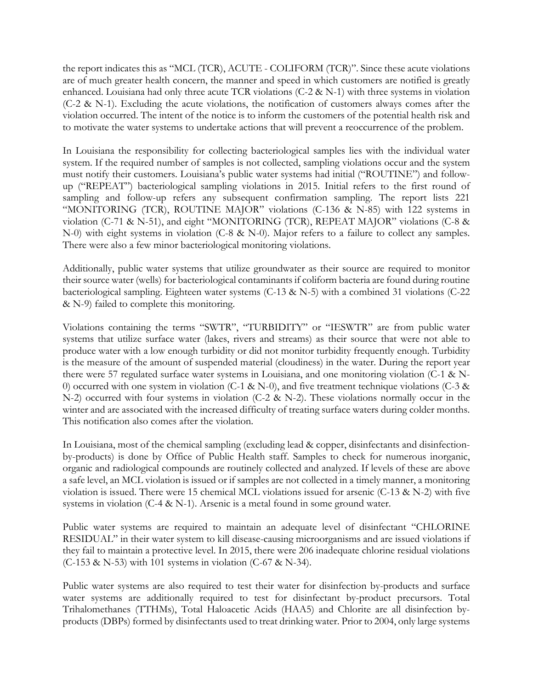the report indicates this as "MCL (TCR), ACUTE - COLIFORM (TCR)". Since these acute violations are of much greater health concern, the manner and speed in which customers are notified is greatly enhanced. Louisiana had only three acute TCR violations (C-2 & N-1) with three systems in violation (C-2 & N-1). Excluding the acute violations, the notification of customers always comes after the violation occurred. The intent of the notice is to inform the customers of the potential health risk and to motivate the water systems to undertake actions that will prevent a reoccurrence of the problem.

In Louisiana the responsibility for collecting bacteriological samples lies with the individual water system. If the required number of samples is not collected, sampling violations occur and the system must notify their customers. Louisiana's public water systems had initial ("ROUTINE") and followup ("REPEAT") bacteriological sampling violations in 2015. Initial refers to the first round of sampling and follow-up refers any subsequent confirmation sampling. The report lists 221 "MONITORING (TCR), ROUTINE MAJOR" violations (C-136 & N-85) with 122 systems in violation (C-71 & N-51), and eight "MONITORING (TCR), REPEAT MAJOR" violations (C-8 & N-0) with eight systems in violation (C-8 & N-0). Major refers to a failure to collect any samples. There were also a few minor bacteriological monitoring violations.

Additionally, public water systems that utilize groundwater as their source are required to monitor their source water (wells) for bacteriological contaminants if coliform bacteria are found during routine bacteriological sampling. Eighteen water systems (C-13 & N-5) with a combined 31 violations (C-22 & N-9) failed to complete this monitoring.

Violations containing the terms "SWTR", "TURBIDITY" or "IESWTR" are from public water systems that utilize surface water (lakes, rivers and streams) as their source that were not able to produce water with a low enough turbidity or did not monitor turbidity frequently enough. Turbidity is the measure of the amount of suspended material (cloudiness) in the water. During the report year there were 57 regulated surface water systems in Louisiana, and one monitoring violation (C-1 & N-0) occurred with one system in violation (C-1 & N-0), and five treatment technique violations (C-3 & N-2) occurred with four systems in violation (C-2 & N-2). These violations normally occur in the winter and are associated with the increased difficulty of treating surface waters during colder months. This notification also comes after the violation.

In Louisiana, most of the chemical sampling (excluding lead & copper, disinfectants and disinfectionby-products) is done by Office of Public Health staff. Samples to check for numerous inorganic, organic and radiological compounds are routinely collected and analyzed. If levels of these are above a safe level, an MCL violation is issued or if samples are not collected in a timely manner, a monitoring violation is issued. There were 15 chemical MCL violations issued for arsenic (C-13 & N-2) with five systems in violation (C-4 & N-1). Arsenic is a metal found in some ground water.

Public water systems are required to maintain an adequate level of disinfectant "CHLORINE RESIDUAL" in their water system to kill disease-causing microorganisms and are issued violations if they fail to maintain a protective level. In 2015, there were 206 inadequate chlorine residual violations (C-153 & N-53) with 101 systems in violation (C-67 & N-34).

Public water systems are also required to test their water for disinfection by-products and surface water systems are additionally required to test for disinfectant by-product precursors. Total Trihalomethanes (TTHMs), Total Haloacetic Acids (HAA5) and Chlorite are all disinfection byproducts (DBPs) formed by disinfectants used to treat drinking water. Prior to 2004, only large systems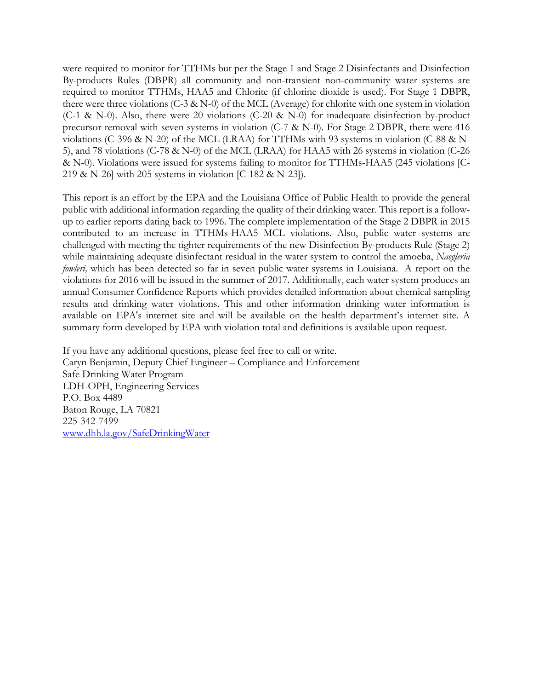were required to monitor for TTHMs but per the Stage 1 and Stage 2 Disinfectants and Disinfection By-products Rules (DBPR) all community and non-transient non-community water systems are required to monitor TTHMs, HAA5 and Chlorite (if chlorine dioxide is used). For Stage 1 DBPR, there were three violations (C-3 & N-0) of the MCL (Average) for chlorite with one system in violation (C-1 & N-0). Also, there were 20 violations (C-20 & N-0) for inadequate disinfection by-product precursor removal with seven systems in violation (C-7 & N-0). For Stage 2 DBPR, there were 416 violations (C-396 & N-20) of the MCL (LRAA) for TTHMs with 93 systems in violation (C-88 & N-5), and 78 violations (C-78 & N-0) of the MCL (LRAA) for HAA5 with 26 systems in violation (C-26 & N-0). Violations were issued for systems failing to monitor for TTHMs-HAA5 (245 violations [C-219 & N-26] with 205 systems in violation [C-182 & N-23]).

This report is an effort by the EPA and the Louisiana Office of Public Health to provide the general public with additional information regarding the quality of their drinking water. This report is a followup to earlier reports dating back to 1996. The complete implementation of the Stage 2 DBPR in 2015 contributed to an increase in TTHMs-HAA5 MCL violations. Also, public water systems are challenged with meeting the tighter requirements of the new Disinfection By-products Rule (Stage 2) while maintaining adequate disinfectant residual in the water system to control the amoeba, *Naegleria fowleri,* which has been detected so far in seven public water systems in Louisiana. A report on the violations for 2016 will be issued in the summer of 2017. Additionally, each water system produces an annual Consumer Confidence Reports which provides detailed information about chemical sampling results and drinking water violations. This and other information drinking water information is available on EPA's internet site and will be available on the health department's internet site. A summary form developed by EPA with violation total and definitions is available upon request.

If you have any additional questions, please feel free to call or write. Caryn Benjamin, Deputy Chief Engineer – Compliance and Enforcement Safe Drinking Water Program LDH-OPH, Engineering Services P.O. Box 4489 Baton Rouge, LA 70821 225-342-7499 www.dhh.la.gov/SafeDrinkingWater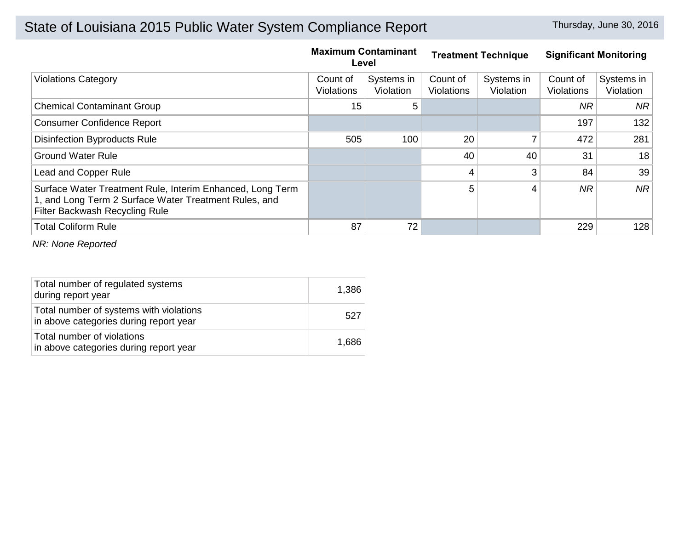# State of Louisiana 2015 Public Water System Compliance Report Thursday, June 30, 2016

|                                                                                                                                                      |                               | <b>Maximum Contaminant</b><br>Level |                               | <b>Treatment Technique</b> |                               | <b>Significant Monitoring</b> |
|------------------------------------------------------------------------------------------------------------------------------------------------------|-------------------------------|-------------------------------------|-------------------------------|----------------------------|-------------------------------|-------------------------------|
| <b>Violations Category</b>                                                                                                                           | Count of<br><b>Violations</b> | Systems in<br>Violation             | Count of<br><b>Violations</b> | Systems in<br>Violation    | Count of<br><b>Violations</b> | Systems in<br>Violation       |
| <b>Chemical Contaminant Group</b>                                                                                                                    | 15                            | 5                                   |                               |                            | <b>NR</b>                     | NR.                           |
| <b>Consumer Confidence Report</b>                                                                                                                    |                               |                                     |                               |                            | 197                           | 132                           |
| <b>Disinfection Byproducts Rule</b>                                                                                                                  | 505                           | 100                                 | 20                            | 7                          | 472                           | 281                           |
| <b>Ground Water Rule</b>                                                                                                                             |                               |                                     | 40                            | 40                         | 31                            | 18                            |
| Lead and Copper Rule                                                                                                                                 |                               |                                     | 4                             | 3                          | 84                            | 39                            |
| Surface Water Treatment Rule, Interim Enhanced, Long Term<br>1, and Long Term 2 Surface Water Treatment Rules, and<br>Filter Backwash Recycling Rule |                               |                                     | 5                             | 4                          | <b>NR</b>                     | N <sub>R</sub>                |
| <b>Total Coliform Rule</b>                                                                                                                           | 87                            | 72                                  |                               |                            | 229                           | 128                           |
|                                                                                                                                                      |                               |                                     |                               |                            |                               |                               |

*NR: None Reported*

| Total number of regulated systems<br>during report year                           | 1,386 |
|-----------------------------------------------------------------------------------|-------|
| Total number of systems with violations<br>in above categories during report year | 527   |
| Total number of violations<br>in above categories during report year              | 1,686 |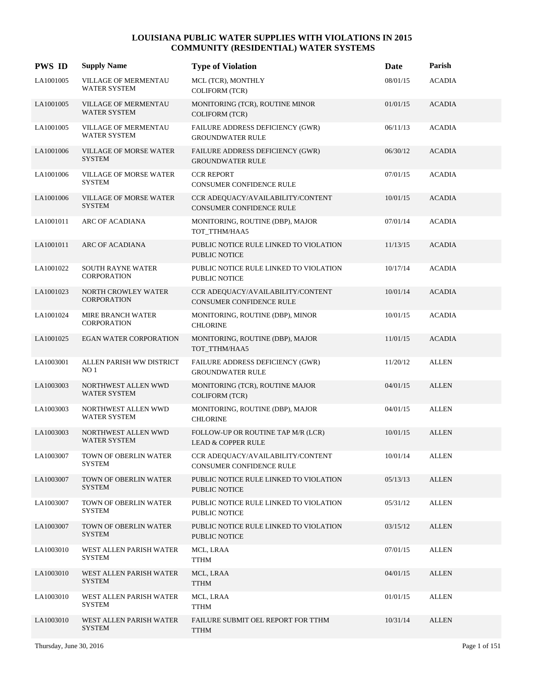| <b>PWS ID</b> | <b>Supply Name</b>                             | <b>Type of Violation</b>                                            | Date     | Parish        |
|---------------|------------------------------------------------|---------------------------------------------------------------------|----------|---------------|
| LA1001005     | VILLAGE OF MERMENTAU<br><b>WATER SYSTEM</b>    | MCL (TCR), MONTHLY<br><b>COLIFORM (TCR)</b>                         | 08/01/15 | <b>ACADIA</b> |
| LA1001005     | VILLAGE OF MERMENTAU<br><b>WATER SYSTEM</b>    | MONITORING (TCR), ROUTINE MINOR<br><b>COLIFORM (TCR)</b>            | 01/01/15 | <b>ACADIA</b> |
| LA1001005     | VILLAGE OF MERMENTAU<br><b>WATER SYSTEM</b>    | FAILURE ADDRESS DEFICIENCY (GWR)<br><b>GROUNDWATER RULE</b>         | 06/11/13 | <b>ACADIA</b> |
| LA1001006     | VILLAGE OF MORSE WATER<br><b>SYSTEM</b>        | FAILURE ADDRESS DEFICIENCY (GWR)<br><b>GROUNDWATER RULE</b>         | 06/30/12 | <b>ACADIA</b> |
| LA1001006     | <b>VILLAGE OF MORSE WATER</b><br><b>SYSTEM</b> | <b>CCR REPORT</b><br>CONSUMER CONFIDENCE RULE                       | 07/01/15 | <b>ACADIA</b> |
| LA1001006     | <b>VILLAGE OF MORSE WATER</b><br><b>SYSTEM</b> | CCR ADEQUACY/AVAILABILITY/CONTENT<br>CONSUMER CONFIDENCE RULE       | 10/01/15 | <b>ACADIA</b> |
| LA1001011     | ARC OF ACADIANA                                | MONITORING, ROUTINE (DBP), MAJOR<br>TOT TTHM/HAA5                   | 07/01/14 | <b>ACADIA</b> |
| LA1001011     | <b>ARC OF ACADIANA</b>                         | PUBLIC NOTICE RULE LINKED TO VIOLATION<br><b>PUBLIC NOTICE</b>      | 11/13/15 | <b>ACADIA</b> |
| LA1001022     | <b>SOUTH RAYNE WATER</b><br>CORPORATION        | PUBLIC NOTICE RULE LINKED TO VIOLATION<br>PUBLIC NOTICE             | 10/17/14 | <b>ACADIA</b> |
| LA1001023     | NORTH CROWLEY WATER<br><b>CORPORATION</b>      | CCR ADEQUACY/AVAILABILITY/CONTENT<br>CONSUMER CONFIDENCE RULE       | 10/01/14 | <b>ACADIA</b> |
| LA1001024     | MIRE BRANCH WATER<br><b>CORPORATION</b>        | MONITORING, ROUTINE (DBP), MINOR<br><b>CHLORINE</b>                 | 10/01/15 | <b>ACADIA</b> |
| LA1001025     | <b>EGAN WATER CORPORATION</b>                  | MONITORING, ROUTINE (DBP), MAJOR<br>TOT_TTHM/HAA5                   | 11/01/15 | <b>ACADIA</b> |
| LA1003001     | ALLEN PARISH WW DISTRICT<br>NO 1               | FAILURE ADDRESS DEFICIENCY (GWR)<br>GROUNDWATER RULE                | 11/20/12 | <b>ALLEN</b>  |
| LA1003003     | NORTHWEST ALLEN WWD<br><b>WATER SYSTEM</b>     | MONITORING (TCR), ROUTINE MAJOR<br><b>COLIFORM (TCR)</b>            | 04/01/15 | <b>ALLEN</b>  |
| LA1003003     | NORTHWEST ALLEN WWD<br><b>WATER SYSTEM</b>     | MONITORING, ROUTINE (DBP), MAJOR<br><b>CHLORINE</b>                 | 04/01/15 | <b>ALLEN</b>  |
| LA1003003     | NORTHWEST ALLEN WWD<br>WATER SYSTEM            | FOLLOW-UP OR ROUTINE TAP M/R (LCR)<br><b>LEAD &amp; COPPER RULE</b> | 10/01/15 | <b>ALLEN</b>  |
| LA1003007     | TOWN OF OBERLIN WATER<br><b>SYSTEM</b>         | CCR ADEQUACY/AVAILABILITY/CONTENT<br>CONSUMER CONFIDENCE RULE       | 10/01/14 | <b>ALLEN</b>  |
| LA1003007     | TOWN OF OBERLIN WATER<br><b>SYSTEM</b>         | PUBLIC NOTICE RULE LINKED TO VIOLATION<br>PUBLIC NOTICE             | 05/13/13 | <b>ALLEN</b>  |
| LA1003007     | TOWN OF OBERLIN WATER<br><b>SYSTEM</b>         | PUBLIC NOTICE RULE LINKED TO VIOLATION<br>PUBLIC NOTICE             | 05/31/12 | <b>ALLEN</b>  |
| LA1003007     | TOWN OF OBERLIN WATER<br><b>SYSTEM</b>         | PUBLIC NOTICE RULE LINKED TO VIOLATION<br>PUBLIC NOTICE             | 03/15/12 | ALLEN         |
| LA1003010     | WEST ALLEN PARISH WATER<br><b>SYSTEM</b>       | MCL, LRAA<br><b>TTHM</b>                                            | 07/01/15 | <b>ALLEN</b>  |
| LA1003010     | WEST ALLEN PARISH WATER<br><b>SYSTEM</b>       | MCL, LRAA<br><b>TTHM</b>                                            | 04/01/15 | <b>ALLEN</b>  |
| LA1003010     | WEST ALLEN PARISH WATER<br><b>SYSTEM</b>       | MCL, LRAA<br><b>TTHM</b>                                            | 01/01/15 | <b>ALLEN</b>  |
| LA1003010     | WEST ALLEN PARISH WATER<br><b>SYSTEM</b>       | FAILURE SUBMIT OEL REPORT FOR TTHM<br><b>TTHM</b>                   | 10/31/14 | ALLEN         |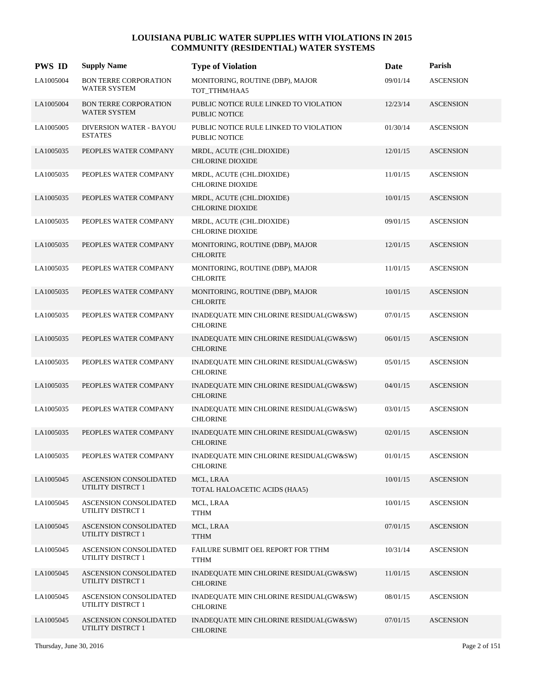| <b>PWS ID</b> | <b>Supply Name</b>                           | <b>Type of Violation</b>                                   | Date     | Parish           |
|---------------|----------------------------------------------|------------------------------------------------------------|----------|------------------|
| LA1005004     | BON TERRE CORPORATION<br><b>WATER SYSTEM</b> | MONITORING, ROUTINE (DBP), MAJOR<br>TOT_TTHM/HAA5          | 09/01/14 | <b>ASCENSION</b> |
| LA1005004     | BON TERRE CORPORATION<br>WATER SYSTEM        | PUBLIC NOTICE RULE LINKED TO VIOLATION<br>PUBLIC NOTICE    | 12/23/14 | <b>ASCENSION</b> |
| LA1005005     | DIVERSION WATER - BAYOU<br><b>ESTATES</b>    | PUBLIC NOTICE RULE LINKED TO VIOLATION<br>PUBLIC NOTICE    | 01/30/14 | <b>ASCENSION</b> |
| LA1005035     | PEOPLES WATER COMPANY                        | MRDL, ACUTE (CHL.DIOXIDE)<br><b>CHLORINE DIOXIDE</b>       | 12/01/15 | <b>ASCENSION</b> |
| LA1005035     | PEOPLES WATER COMPANY                        | MRDL, ACUTE (CHL.DIOXIDE)<br><b>CHLORINE DIOXIDE</b>       | 11/01/15 | <b>ASCENSION</b> |
| LA1005035     | PEOPLES WATER COMPANY                        | MRDL, ACUTE (CHL.DIOXIDE)<br><b>CHLORINE DIOXIDE</b>       | 10/01/15 | <b>ASCENSION</b> |
| LA1005035     | PEOPLES WATER COMPANY                        | MRDL, ACUTE (CHL.DIOXIDE)<br><b>CHLORINE DIOXIDE</b>       | 09/01/15 | <b>ASCENSION</b> |
| LA1005035     | PEOPLES WATER COMPANY                        | MONITORING, ROUTINE (DBP), MAJOR<br><b>CHLORITE</b>        | 12/01/15 | <b>ASCENSION</b> |
| LA1005035     | PEOPLES WATER COMPANY                        | MONITORING, ROUTINE (DBP), MAJOR<br><b>CHLORITE</b>        | 11/01/15 | <b>ASCENSION</b> |
| LA1005035     | PEOPLES WATER COMPANY                        | MONITORING, ROUTINE (DBP), MAJOR<br><b>CHLORITE</b>        | 10/01/15 | <b>ASCENSION</b> |
| LA1005035     | PEOPLES WATER COMPANY                        | INADEQUATE MIN CHLORINE RESIDUAL(GW&SW)<br><b>CHLORINE</b> | 07/01/15 | <b>ASCENSION</b> |
| LA1005035     | PEOPLES WATER COMPANY                        | INADEQUATE MIN CHLORINE RESIDUAL(GW&SW)<br><b>CHLORINE</b> | 06/01/15 | <b>ASCENSION</b> |
| LA1005035     | PEOPLES WATER COMPANY                        | INADEQUATE MIN CHLORINE RESIDUAL(GW&SW)<br><b>CHLORINE</b> | 05/01/15 | <b>ASCENSION</b> |
| LA1005035     | PEOPLES WATER COMPANY                        | INADEQUATE MIN CHLORINE RESIDUAL(GW&SW)<br><b>CHLORINE</b> | 04/01/15 | <b>ASCENSION</b> |
| LA1005035     | PEOPLES WATER COMPANY                        | INADEQUATE MIN CHLORINE RESIDUAL(GW&SW)<br><b>CHLORINE</b> | 03/01/15 | <b>ASCENSION</b> |
| LA1005035     | PEOPLES WATER COMPANY                        | INADEQUATE MIN CHLORINE RESIDUAL(GW&SW)<br><b>CHLORINE</b> | 02/01/15 | <b>ASCENSION</b> |
| LA1005035     | PEOPLES WATER COMPANY                        | INADEQUATE MIN CHLORINE RESIDUAL(GW&SW)<br><b>CHLORINE</b> | 01/01/15 | <b>ASCENSION</b> |
| LA1005045     | ASCENSION CONSOLIDATED<br>UTILITY DISTRCT 1  | MCL, LRAA<br>TOTAL HALOACETIC ACIDS (HAA5)                 | 10/01/15 | <b>ASCENSION</b> |
| LA1005045     | ASCENSION CONSOLIDATED<br>UTILITY DISTRCT 1  | MCL, LRAA<br><b>TTHM</b>                                   | 10/01/15 | <b>ASCENSION</b> |
| LA1005045     | ASCENSION CONSOLIDATED<br>UTILITY DISTRCT 1  | MCL, LRAA<br><b>TTHM</b>                                   | 07/01/15 | <b>ASCENSION</b> |
| LA1005045     | ASCENSION CONSOLIDATED<br>UTILITY DISTRCT 1  | FAILURE SUBMIT OEL REPORT FOR TTHM<br><b>TTHM</b>          | 10/31/14 | <b>ASCENSION</b> |
| LA1005045     | ASCENSION CONSOLIDATED<br>UTILITY DISTRCT 1  | INADEQUATE MIN CHLORINE RESIDUAL(GW&SW)<br><b>CHLORINE</b> | 11/01/15 | <b>ASCENSION</b> |
| LA1005045     | ASCENSION CONSOLIDATED<br>UTILITY DISTRCT 1  | INADEQUATE MIN CHLORINE RESIDUAL(GW&SW)<br><b>CHLORINE</b> | 08/01/15 | <b>ASCENSION</b> |
| LA1005045     | ASCENSION CONSOLIDATED<br>UTILITY DISTRCT 1  | INADEQUATE MIN CHLORINE RESIDUAL(GW&SW)<br><b>CHLORINE</b> | 07/01/15 | <b>ASCENSION</b> |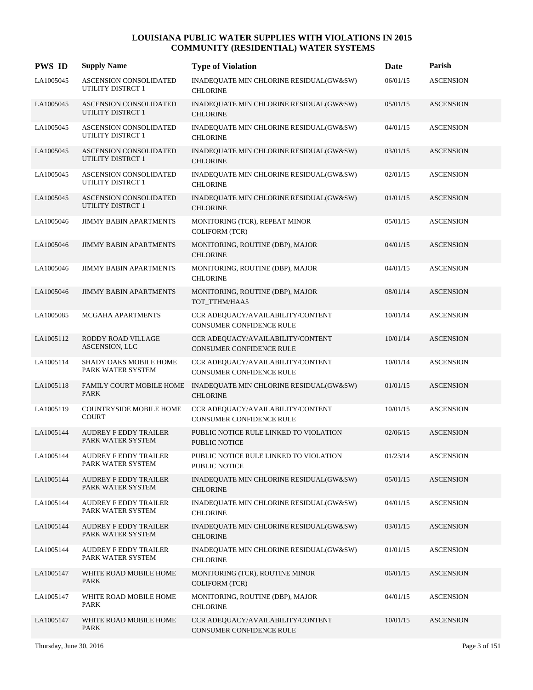| <b>PWS ID</b> | <b>Supply Name</b>                                | <b>Type of Violation</b>                                             | Date     | Parish           |
|---------------|---------------------------------------------------|----------------------------------------------------------------------|----------|------------------|
| LA1005045     | ASCENSION CONSOLIDATED<br>UTILITY DISTRCT 1       | INADEQUATE MIN CHLORINE RESIDUAL(GW&SW)<br><b>CHLORINE</b>           | 06/01/15 | <b>ASCENSION</b> |
| LA1005045     | ASCENSION CONSOLIDATED<br>UTILITY DISTRCT 1       | INADEQUATE MIN CHLORINE RESIDUAL(GW&SW)<br><b>CHLORINE</b>           | 05/01/15 | <b>ASCENSION</b> |
| LA1005045     | ASCENSION CONSOLIDATED<br>UTILITY DISTRCT 1       | INADEQUATE MIN CHLORINE RESIDUAL(GW&SW)<br><b>CHLORINE</b>           | 04/01/15 | <b>ASCENSION</b> |
| LA1005045     | ASCENSION CONSOLIDATED<br>UTILITY DISTRCT 1       | INADEQUATE MIN CHLORINE RESIDUAL(GW&SW)<br><b>CHLORINE</b>           | 03/01/15 | <b>ASCENSION</b> |
| LA1005045     | ASCENSION CONSOLIDATED<br>UTILITY DISTRCT 1       | INADEQUATE MIN CHLORINE RESIDUAL(GW&SW)<br><b>CHLORINE</b>           | 02/01/15 | <b>ASCENSION</b> |
| LA1005045     | ASCENSION CONSOLIDATED<br>UTILITY DISTRCT 1       | INADEQUATE MIN CHLORINE RESIDUAL(GW&SW)<br><b>CHLORINE</b>           | 01/01/15 | <b>ASCENSION</b> |
| LA1005046     | <b>JIMMY BABIN APARTMENTS</b>                     | MONITORING (TCR), REPEAT MINOR<br><b>COLIFORM (TCR)</b>              | 05/01/15 | <b>ASCENSION</b> |
| LA1005046     | <b>JIMMY BABIN APARTMENTS</b>                     | MONITORING, ROUTINE (DBP), MAJOR<br><b>CHLORINE</b>                  | 04/01/15 | <b>ASCENSION</b> |
| LA1005046     | <b>JIMMY BABIN APARTMENTS</b>                     | MONITORING, ROUTINE (DBP), MAJOR<br><b>CHLORINE</b>                  | 04/01/15 | <b>ASCENSION</b> |
| LA1005046     | <b>JIMMY BABIN APARTMENTS</b>                     | MONITORING, ROUTINE (DBP), MAJOR<br>TOT_TTHM/HAA5                    | 08/01/14 | <b>ASCENSION</b> |
| LA1005085     | MCGAHA APARTMENTS                                 | CCR ADEQUACY/AVAILABILITY/CONTENT<br><b>CONSUMER CONFIDENCE RULE</b> | 10/01/14 | <b>ASCENSION</b> |
| LA1005112     | RODDY ROAD VILLAGE<br>ASCENSION, LLC              | CCR ADEQUACY/AVAILABILITY/CONTENT<br><b>CONSUMER CONFIDENCE RULE</b> | 10/01/14 | <b>ASCENSION</b> |
| LA1005114     | SHADY OAKS MOBILE HOME<br>PARK WATER SYSTEM       | CCR ADEQUACY/AVAILABILITY/CONTENT<br><b>CONSUMER CONFIDENCE RULE</b> | 10/01/14 | <b>ASCENSION</b> |
| LA1005118     | FAMILY COURT MOBILE HOME<br><b>PARK</b>           | INADEQUATE MIN CHLORINE RESIDUAL(GW&SW)<br><b>CHLORINE</b>           | 01/01/15 | <b>ASCENSION</b> |
| LA1005119     | <b>COUNTRYSIDE MOBILE HOME</b><br><b>COURT</b>    | CCR ADEQUACY/AVAILABILITY/CONTENT<br><b>CONSUMER CONFIDENCE RULE</b> | 10/01/15 | <b>ASCENSION</b> |
| LA1005144     | <b>AUDREY F EDDY TRAILER</b><br>PARK WATER SYSTEM | PUBLIC NOTICE RULE LINKED TO VIOLATION<br>PUBLIC NOTICE              | 02/06/15 | <b>ASCENSION</b> |
| LA1005144     | <b>AUDREY F EDDY TRAILER</b><br>PARK WATER SYSTEM | PUBLIC NOTICE RULE LINKED TO VIOLATION<br><b>PUBLIC NOTICE</b>       | 01/23/14 | <b>ASCENSION</b> |
| LA1005144     | <b>AUDREY F EDDY TRAILER</b><br>PARK WATER SYSTEM | INADEQUATE MIN CHLORINE RESIDUAL(GW&SW)<br><b>CHLORINE</b>           | 05/01/15 | <b>ASCENSION</b> |
| LA1005144     | <b>AUDREY F EDDY TRAILER</b><br>PARK WATER SYSTEM | INADEQUATE MIN CHLORINE RESIDUAL(GW&SW)<br><b>CHLORINE</b>           | 04/01/15 | <b>ASCENSION</b> |
| LA1005144     | <b>AUDREY F EDDY TRAILER</b><br>PARK WATER SYSTEM | INADEQUATE MIN CHLORINE RESIDUAL(GW&SW)<br><b>CHLORINE</b>           | 03/01/15 | <b>ASCENSION</b> |
| LA1005144     | <b>AUDREY F EDDY TRAILER</b><br>PARK WATER SYSTEM | INADEQUATE MIN CHLORINE RESIDUAL(GW&SW)<br><b>CHLORINE</b>           | 01/01/15 | <b>ASCENSION</b> |
| LA1005147     | WHITE ROAD MOBILE HOME<br>PARK                    | MONITORING (TCR), ROUTINE MINOR<br><b>COLIFORM (TCR)</b>             | 06/01/15 | <b>ASCENSION</b> |
| LA1005147     | WHITE ROAD MOBILE HOME<br>PARK                    | MONITORING, ROUTINE (DBP), MAJOR<br><b>CHLORINE</b>                  | 04/01/15 | <b>ASCENSION</b> |
| LA1005147     | WHITE ROAD MOBILE HOME<br>PARK                    | CCR ADEQUACY/AVAILABILITY/CONTENT<br>CONSUMER CONFIDENCE RULE        | 10/01/15 | <b>ASCENSION</b> |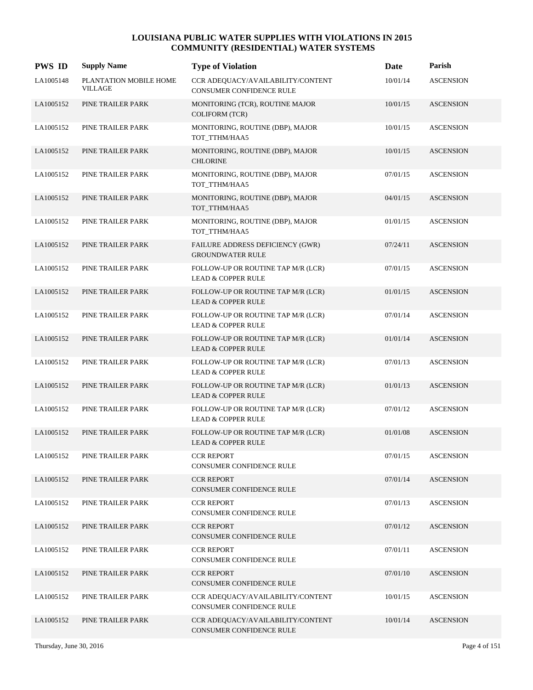| <b>PWS ID</b> | <b>Supply Name</b>                       | <b>Type of Violation</b>                                             | Date     | Parish           |
|---------------|------------------------------------------|----------------------------------------------------------------------|----------|------------------|
| LA1005148     | PLANTATION MOBILE HOME<br><b>VILLAGE</b> | CCR ADEQUACY/AVAILABILITY/CONTENT<br><b>CONSUMER CONFIDENCE RULE</b> | 10/01/14 | <b>ASCENSION</b> |
| LA1005152     | PINE TRAILER PARK                        | MONITORING (TCR), ROUTINE MAJOR<br>COLIFORM (TCR)                    | 10/01/15 | <b>ASCENSION</b> |
| LA1005152     | PINE TRAILER PARK                        | MONITORING, ROUTINE (DBP), MAJOR<br>TOT_TTHM/HAA5                    | 10/01/15 | <b>ASCENSION</b> |
| LA1005152     | PINE TRAILER PARK                        | MONITORING, ROUTINE (DBP), MAJOR<br><b>CHLORINE</b>                  | 10/01/15 | <b>ASCENSION</b> |
| LA1005152     | PINE TRAILER PARK                        | MONITORING, ROUTINE (DBP), MAJOR<br>TOT_TTHM/HAA5                    | 07/01/15 | <b>ASCENSION</b> |
| LA1005152     | PINE TRAILER PARK                        | MONITORING, ROUTINE (DBP), MAJOR<br>TOT_TTHM/HAA5                    | 04/01/15 | <b>ASCENSION</b> |
| LA1005152     | PINE TRAILER PARK                        | MONITORING, ROUTINE (DBP), MAJOR<br>TOT_TTHM/HAA5                    | 01/01/15 | <b>ASCENSION</b> |
| LA1005152     | PINE TRAILER PARK                        | FAILURE ADDRESS DEFICIENCY (GWR)<br><b>GROUNDWATER RULE</b>          | 07/24/11 | <b>ASCENSION</b> |
| LA1005152     | PINE TRAILER PARK                        | FOLLOW-UP OR ROUTINE TAP M/R (LCR)<br><b>LEAD &amp; COPPER RULE</b>  | 07/01/15 | <b>ASCENSION</b> |
| LA1005152     | PINE TRAILER PARK                        | FOLLOW-UP OR ROUTINE TAP M/R (LCR)<br><b>LEAD &amp; COPPER RULE</b>  | 01/01/15 | <b>ASCENSION</b> |
| LA1005152     | PINE TRAILER PARK                        | FOLLOW-UP OR ROUTINE TAP M/R (LCR)<br><b>LEAD &amp; COPPER RULE</b>  | 07/01/14 | <b>ASCENSION</b> |
| LA1005152     | PINE TRAILER PARK                        | FOLLOW-UP OR ROUTINE TAP M/R (LCR)<br><b>LEAD &amp; COPPER RULE</b>  | 01/01/14 | <b>ASCENSION</b> |
| LA1005152     | PINE TRAILER PARK                        | FOLLOW-UP OR ROUTINE TAP M/R (LCR)<br><b>LEAD &amp; COPPER RULE</b>  | 07/01/13 | <b>ASCENSION</b> |
| LA1005152     | PINE TRAILER PARK                        | FOLLOW-UP OR ROUTINE TAP M/R (LCR)<br>LEAD & COPPER RULE             | 01/01/13 | <b>ASCENSION</b> |
| LA1005152     | PINE TRAILER PARK                        | FOLLOW-UP OR ROUTINE TAP M/R (LCR)<br><b>LEAD &amp; COPPER RULE</b>  | 07/01/12 | <b>ASCENSION</b> |
| LA1005152     | PINE TRAILER PARK                        | FOLLOW-UP OR ROUTINE TAP M/R (LCR)<br><b>LEAD &amp; COPPER RULE</b>  | 01/01/08 | <b>ASCENSION</b> |
| LA1005152     | PINE TRAILER PARK                        | <b>CCR REPORT</b><br>CONSUMER CONFIDENCE RULE                        | 07/01/15 | <b>ASCENSION</b> |
| LA1005152     | PINE TRAILER PARK                        | <b>CCR REPORT</b><br>CONSUMER CONFIDENCE RULE                        | 07/01/14 | <b>ASCENSION</b> |
| LA1005152     | PINE TRAILER PARK                        | <b>CCR REPORT</b><br>CONSUMER CONFIDENCE RULE                        | 07/01/13 | <b>ASCENSION</b> |
| LA1005152     | PINE TRAILER PARK                        | <b>CCR REPORT</b><br>CONSUMER CONFIDENCE RULE                        | 07/01/12 | <b>ASCENSION</b> |
| LA1005152     | PINE TRAILER PARK                        | <b>CCR REPORT</b><br>CONSUMER CONFIDENCE RULE                        | 07/01/11 | <b>ASCENSION</b> |
| LA1005152     | PINE TRAILER PARK                        | <b>CCR REPORT</b><br>CONSUMER CONFIDENCE RULE                        | 07/01/10 | <b>ASCENSION</b> |
| LA1005152     | PINE TRAILER PARK                        | CCR ADEQUACY/AVAILABILITY/CONTENT<br>CONSUMER CONFIDENCE RULE        | 10/01/15 | <b>ASCENSION</b> |
| LA1005152     | PINE TRAILER PARK                        | CCR ADEQUACY/AVAILABILITY/CONTENT<br>CONSUMER CONFIDENCE RULE        | 10/01/14 | <b>ASCENSION</b> |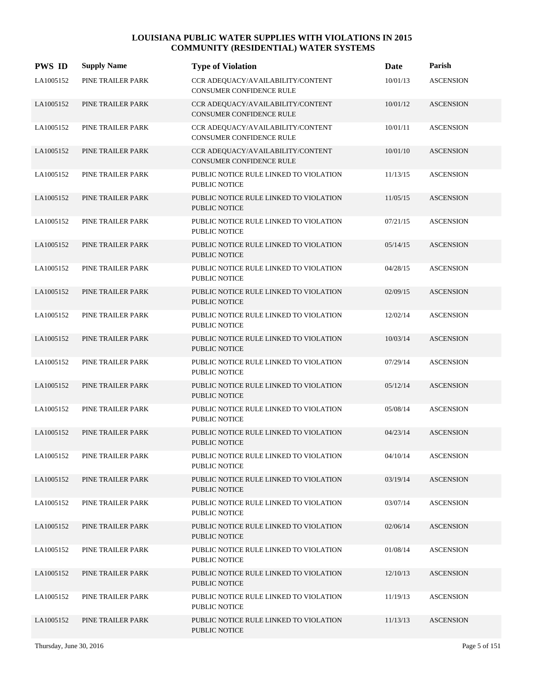| <b>PWS ID</b> | <b>Supply Name</b> | <b>Type of Violation</b>                                       | Date     | Parish           |
|---------------|--------------------|----------------------------------------------------------------|----------|------------------|
| LA1005152     | PINE TRAILER PARK  | CCR ADEQUACY/AVAILABILITY/CONTENT<br>CONSUMER CONFIDENCE RULE  | 10/01/13 | <b>ASCENSION</b> |
| LA1005152     | PINE TRAILER PARK  | CCR ADEQUACY/AVAILABILITY/CONTENT<br>CONSUMER CONFIDENCE RULE  | 10/01/12 | <b>ASCENSION</b> |
| LA1005152     | PINE TRAILER PARK  | CCR ADEQUACY/AVAILABILITY/CONTENT<br>CONSUMER CONFIDENCE RULE  | 10/01/11 | <b>ASCENSION</b> |
| LA1005152     | PINE TRAILER PARK  | CCR ADEQUACY/AVAILABILITY/CONTENT<br>CONSUMER CONFIDENCE RULE  | 10/01/10 | <b>ASCENSION</b> |
| LA1005152     | PINE TRAILER PARK  | PUBLIC NOTICE RULE LINKED TO VIOLATION<br>PUBLIC NOTICE        | 11/13/15 | <b>ASCENSION</b> |
| LA1005152     | PINE TRAILER PARK  | PUBLIC NOTICE RULE LINKED TO VIOLATION<br>PUBLIC NOTICE        | 11/05/15 | <b>ASCENSION</b> |
| LA1005152     | PINE TRAILER PARK  | PUBLIC NOTICE RULE LINKED TO VIOLATION<br>PUBLIC NOTICE        | 07/21/15 | <b>ASCENSION</b> |
| LA1005152     | PINE TRAILER PARK  | PUBLIC NOTICE RULE LINKED TO VIOLATION<br>PUBLIC NOTICE        | 05/14/15 | <b>ASCENSION</b> |
| LA1005152     | PINE TRAILER PARK  | PUBLIC NOTICE RULE LINKED TO VIOLATION<br>PUBLIC NOTICE        | 04/28/15 | <b>ASCENSION</b> |
| LA1005152     | PINE TRAILER PARK  | PUBLIC NOTICE RULE LINKED TO VIOLATION<br><b>PUBLIC NOTICE</b> | 02/09/15 | <b>ASCENSION</b> |
| LA1005152     | PINE TRAILER PARK  | PUBLIC NOTICE RULE LINKED TO VIOLATION<br><b>PUBLIC NOTICE</b> | 12/02/14 | <b>ASCENSION</b> |
| LA1005152     | PINE TRAILER PARK  | PUBLIC NOTICE RULE LINKED TO VIOLATION<br>PUBLIC NOTICE        | 10/03/14 | <b>ASCENSION</b> |
| LA1005152     | PINE TRAILER PARK  | PUBLIC NOTICE RULE LINKED TO VIOLATION<br>PUBLIC NOTICE        | 07/29/14 | <b>ASCENSION</b> |
| LA1005152     | PINE TRAILER PARK  | PUBLIC NOTICE RULE LINKED TO VIOLATION<br><b>PUBLIC NOTICE</b> | 05/12/14 | <b>ASCENSION</b> |
| LA1005152     | PINE TRAILER PARK  | PUBLIC NOTICE RULE LINKED TO VIOLATION<br><b>PUBLIC NOTICE</b> | 05/08/14 | <b>ASCENSION</b> |
| LA1005152     | PINE TRAILER PARK  | PUBLIC NOTICE RULE LINKED TO VIOLATION<br>PUBLIC NOTICE        | 04/23/14 | <b>ASCENSION</b> |
| LA1005152     | PINE TRAILER PARK  | PUBLIC NOTICE RULE LINKED TO VIOLATION<br>PUBLIC NOTICE        | 04/10/14 | <b>ASCENSION</b> |
| LA1005152     | PINE TRAILER PARK  | PUBLIC NOTICE RULE LINKED TO VIOLATION<br>PUBLIC NOTICE        | 03/19/14 | <b>ASCENSION</b> |
| LA1005152     | PINE TRAILER PARK  | PUBLIC NOTICE RULE LINKED TO VIOLATION<br>PUBLIC NOTICE        | 03/07/14 | <b>ASCENSION</b> |
| LA1005152     | PINE TRAILER PARK  | PUBLIC NOTICE RULE LINKED TO VIOLATION<br>PUBLIC NOTICE        | 02/06/14 | <b>ASCENSION</b> |
| LA1005152     | PINE TRAILER PARK  | PUBLIC NOTICE RULE LINKED TO VIOLATION<br>PUBLIC NOTICE        | 01/08/14 | <b>ASCENSION</b> |
| LA1005152     | PINE TRAILER PARK  | PUBLIC NOTICE RULE LINKED TO VIOLATION<br>PUBLIC NOTICE        | 12/10/13 | <b>ASCENSION</b> |
| LA1005152     | PINE TRAILER PARK  | PUBLIC NOTICE RULE LINKED TO VIOLATION<br>PUBLIC NOTICE        | 11/19/13 | <b>ASCENSION</b> |
| LA1005152     | PINE TRAILER PARK  | PUBLIC NOTICE RULE LINKED TO VIOLATION<br>PUBLIC NOTICE        | 11/13/13 | <b>ASCENSION</b> |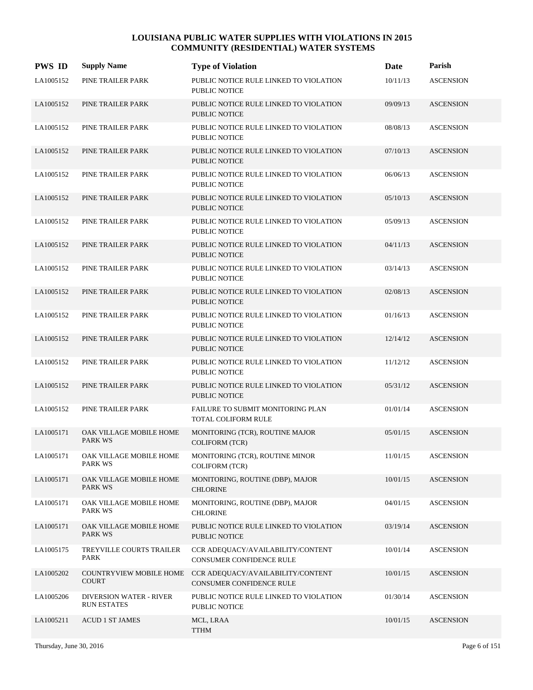| <b>PWS ID</b> | <b>Supply Name</b>                                   | <b>Type of Violation</b>                                        | Date     | Parish           |
|---------------|------------------------------------------------------|-----------------------------------------------------------------|----------|------------------|
| LA1005152     | PINE TRAILER PARK                                    | PUBLIC NOTICE RULE LINKED TO VIOLATION<br><b>PUBLIC NOTICE</b>  | 10/11/13 | <b>ASCENSION</b> |
| LA1005152     | PINE TRAILER PARK                                    | PUBLIC NOTICE RULE LINKED TO VIOLATION<br><b>PUBLIC NOTICE</b>  | 09/09/13 | <b>ASCENSION</b> |
| LA1005152     | PINE TRAILER PARK                                    | PUBLIC NOTICE RULE LINKED TO VIOLATION<br><b>PUBLIC NOTICE</b>  | 08/08/13 | <b>ASCENSION</b> |
| LA1005152     | PINE TRAILER PARK                                    | PUBLIC NOTICE RULE LINKED TO VIOLATION<br><b>PUBLIC NOTICE</b>  | 07/10/13 | <b>ASCENSION</b> |
| LA1005152     | PINE TRAILER PARK                                    | PUBLIC NOTICE RULE LINKED TO VIOLATION<br><b>PUBLIC NOTICE</b>  | 06/06/13 | <b>ASCENSION</b> |
| LA1005152     | PINE TRAILER PARK                                    | PUBLIC NOTICE RULE LINKED TO VIOLATION<br><b>PUBLIC NOTICE</b>  | 05/10/13 | <b>ASCENSION</b> |
| LA1005152     | PINE TRAILER PARK                                    | PUBLIC NOTICE RULE LINKED TO VIOLATION<br><b>PUBLIC NOTICE</b>  | 05/09/13 | <b>ASCENSION</b> |
| LA1005152     | PINE TRAILER PARK                                    | PUBLIC NOTICE RULE LINKED TO VIOLATION<br><b>PUBLIC NOTICE</b>  | 04/11/13 | <b>ASCENSION</b> |
| LA1005152     | PINE TRAILER PARK                                    | PUBLIC NOTICE RULE LINKED TO VIOLATION<br><b>PUBLIC NOTICE</b>  | 03/14/13 | <b>ASCENSION</b> |
| LA1005152     | PINE TRAILER PARK                                    | PUBLIC NOTICE RULE LINKED TO VIOLATION<br><b>PUBLIC NOTICE</b>  | 02/08/13 | <b>ASCENSION</b> |
| LA1005152     | PINE TRAILER PARK                                    | PUBLIC NOTICE RULE LINKED TO VIOLATION<br><b>PUBLIC NOTICE</b>  | 01/16/13 | <b>ASCENSION</b> |
| LA1005152     | PINE TRAILER PARK                                    | PUBLIC NOTICE RULE LINKED TO VIOLATION<br><b>PUBLIC NOTICE</b>  | 12/14/12 | <b>ASCENSION</b> |
| LA1005152     | PINE TRAILER PARK                                    | PUBLIC NOTICE RULE LINKED TO VIOLATION<br><b>PUBLIC NOTICE</b>  | 11/12/12 | <b>ASCENSION</b> |
| LA1005152     | PINE TRAILER PARK                                    | PUBLIC NOTICE RULE LINKED TO VIOLATION<br><b>PUBLIC NOTICE</b>  | 05/31/12 | <b>ASCENSION</b> |
| LA1005152     | PINE TRAILER PARK                                    | <b>FAILURE TO SUBMIT MONITORING PLAN</b><br>TOTAL COLIFORM RULE | 01/01/14 | <b>ASCENSION</b> |
| LA1005171     | OAK VILLAGE MOBILE HOME<br><b>PARK WS</b>            | MONITORING (TCR), ROUTINE MAJOR<br><b>COLIFORM (TCR)</b>        | 05/01/15 | <b>ASCENSION</b> |
| LA1005171     | OAK VILLAGE MOBILE HOME<br><b>PARK WS</b>            | MONITORING (TCR), ROUTINE MINOR<br>COLIFORM (TCR)               | 11/01/15 | <b>ASCENSION</b> |
| LA1005171     | OAK VILLAGE MOBILE HOME<br><b>PARK WS</b>            | MONITORING, ROUTINE (DBP), MAJOR<br><b>CHLORINE</b>             | 10/01/15 | <b>ASCENSION</b> |
| LA1005171     | OAK VILLAGE MOBILE HOME<br><b>PARK WS</b>            | MONITORING, ROUTINE (DBP), MAJOR<br><b>CHLORINE</b>             | 04/01/15 | <b>ASCENSION</b> |
| LA1005171     | OAK VILLAGE MOBILE HOME<br>PARK WS                   | PUBLIC NOTICE RULE LINKED TO VIOLATION<br>PUBLIC NOTICE         | 03/19/14 | <b>ASCENSION</b> |
| LA1005175     | TREYVILLE COURTS TRAILER<br>PARK                     | CCR ADEQUACY/AVAILABILITY/CONTENT<br>CONSUMER CONFIDENCE RULE   | 10/01/14 | <b>ASCENSION</b> |
| LA1005202     | COUNTRYVIEW MOBILE HOME<br><b>COURT</b>              | CCR ADEQUACY/AVAILABILITY/CONTENT<br>CONSUMER CONFIDENCE RULE   | 10/01/15 | <b>ASCENSION</b> |
| LA1005206     | <b>DIVERSION WATER - RIVER</b><br><b>RUN ESTATES</b> | PUBLIC NOTICE RULE LINKED TO VIOLATION<br>PUBLIC NOTICE         | 01/30/14 | <b>ASCENSION</b> |
| LA1005211     | <b>ACUD 1 ST JAMES</b>                               | MCL, LRAA<br><b>TTHM</b>                                        | 10/01/15 | <b>ASCENSION</b> |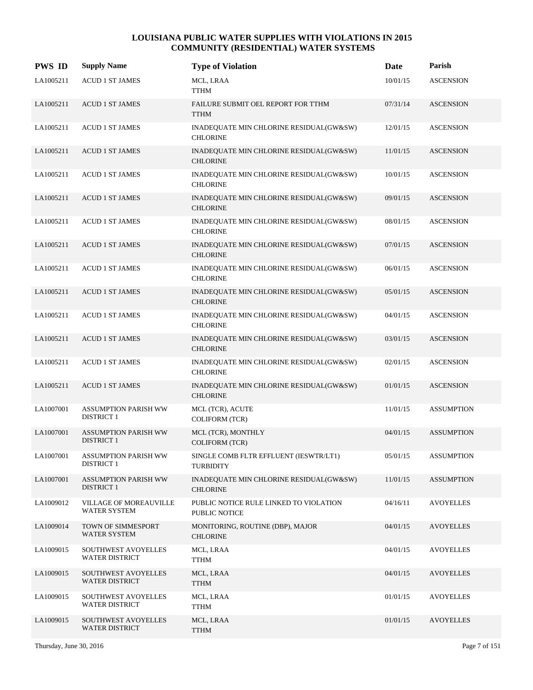| <b>PWS ID</b> | <b>Supply Name</b>                               | <b>Type of Violation</b>                                   | Date     | Parish            |
|---------------|--------------------------------------------------|------------------------------------------------------------|----------|-------------------|
| LA1005211     | <b>ACUD 1 ST JAMES</b>                           | MCL, LRAA<br><b>TTHM</b>                                   | 10/01/15 | <b>ASCENSION</b>  |
| LA1005211     | <b>ACUD 1 ST JAMES</b>                           | FAILURE SUBMIT OEL REPORT FOR TTHM<br><b>TTHM</b>          | 07/31/14 | <b>ASCENSION</b>  |
| LA1005211     | <b>ACUD 1 ST JAMES</b>                           | INADEQUATE MIN CHLORINE RESIDUAL(GW&SW)<br><b>CHLORINE</b> | 12/01/15 | <b>ASCENSION</b>  |
| LA1005211     | <b>ACUD 1 ST JAMES</b>                           | INADEQUATE MIN CHLORINE RESIDUAL(GW&SW)<br><b>CHLORINE</b> | 11/01/15 | <b>ASCENSION</b>  |
| LA1005211     | <b>ACUD 1 ST JAMES</b>                           | INADEQUATE MIN CHLORINE RESIDUAL(GW&SW)<br><b>CHLORINE</b> | 10/01/15 | <b>ASCENSION</b>  |
| LA1005211     | <b>ACUD 1 ST JAMES</b>                           | INADEQUATE MIN CHLORINE RESIDUAL(GW&SW)<br><b>CHLORINE</b> | 09/01/15 | <b>ASCENSION</b>  |
| LA1005211     | <b>ACUD 1 ST JAMES</b>                           | INADEQUATE MIN CHLORINE RESIDUAL(GW&SW)<br><b>CHLORINE</b> | 08/01/15 | <b>ASCENSION</b>  |
| LA1005211     | <b>ACUD 1 ST JAMES</b>                           | INADEQUATE MIN CHLORINE RESIDUAL(GW&SW)<br><b>CHLORINE</b> | 07/01/15 | <b>ASCENSION</b>  |
| LA1005211     | <b>ACUD 1 ST JAMES</b>                           | INADEQUATE MIN CHLORINE RESIDUAL(GW&SW)<br><b>CHLORINE</b> | 06/01/15 | <b>ASCENSION</b>  |
| LA1005211     | <b>ACUD 1 ST JAMES</b>                           | INADEQUATE MIN CHLORINE RESIDUAL(GW&SW)<br><b>CHLORINE</b> | 05/01/15 | <b>ASCENSION</b>  |
| LA1005211     | <b>ACUD 1 ST JAMES</b>                           | INADEQUATE MIN CHLORINE RESIDUAL(GW&SW)<br><b>CHLORINE</b> | 04/01/15 | <b>ASCENSION</b>  |
| LA1005211     | <b>ACUD 1 ST JAMES</b>                           | INADEQUATE MIN CHLORINE RESIDUAL(GW&SW)<br><b>CHLORINE</b> | 03/01/15 | <b>ASCENSION</b>  |
| LA1005211     | <b>ACUD 1 ST JAMES</b>                           | INADEQUATE MIN CHLORINE RESIDUAL(GW&SW)<br><b>CHLORINE</b> | 02/01/15 | <b>ASCENSION</b>  |
| LA1005211     | <b>ACUD 1 ST JAMES</b>                           | INADEQUATE MIN CHLORINE RESIDUAL(GW&SW)<br><b>CHLORINE</b> | 01/01/15 | <b>ASCENSION</b>  |
| LA1007001     | <b>ASSUMPTION PARISH WW</b><br><b>DISTRICT 1</b> | MCL (TCR), ACUTE<br><b>COLIFORM (TCR)</b>                  | 11/01/15 | <b>ASSUMPTION</b> |
| LA1007001     | <b>ASSUMPTION PARISH WW</b><br><b>DISTRICT 1</b> | MCL (TCR), MONTHLY<br>COLIFORM (TCR)                       | 04/01/15 | <b>ASSUMPTION</b> |
| LA1007001     | <b>ASSUMPTION PARISH WW</b><br><b>DISTRICT 1</b> | SINGLE COMB FLTR EFFLUENT (IESWTR/LT1)<br><b>TURBIDITY</b> | 05/01/15 | <b>ASSUMPTION</b> |
| LA1007001     | <b>ASSUMPTION PARISH WW</b><br><b>DISTRICT 1</b> | INADEQUATE MIN CHLORINE RESIDUAL(GW&SW)<br><b>CHLORINE</b> | 11/01/15 | <b>ASSUMPTION</b> |
| LA1009012     | VILLAGE OF MOREAUVILLE<br><b>WATER SYSTEM</b>    | PUBLIC NOTICE RULE LINKED TO VIOLATION<br>PUBLIC NOTICE    | 04/16/11 | <b>AVOYELLES</b>  |
| LA1009014     | TOWN OF SIMMESPORT<br><b>WATER SYSTEM</b>        | MONITORING, ROUTINE (DBP), MAJOR<br><b>CHLORINE</b>        | 04/01/15 | <b>AVOYELLES</b>  |
| LA1009015     | SOUTHWEST AVOYELLES<br><b>WATER DISTRICT</b>     | MCL, LRAA<br><b>TTHM</b>                                   | 04/01/15 | <b>AVOYELLES</b>  |
| LA1009015     | SOUTHWEST AVOYELLES<br>WATER DISTRICT            | MCL, LRAA<br><b>TTHM</b>                                   | 04/01/15 | <b>AVOYELLES</b>  |
| LA1009015     | SOUTHWEST AVOYELLES<br>WATER DISTRICT            | MCL, LRAA<br><b>TTHM</b>                                   | 01/01/15 | <b>AVOYELLES</b>  |
| LA1009015     | SOUTHWEST AVOYELLES<br><b>WATER DISTRICT</b>     | MCL, LRAA<br><b>TTHM</b>                                   | 01/01/15 | <b>AVOYELLES</b>  |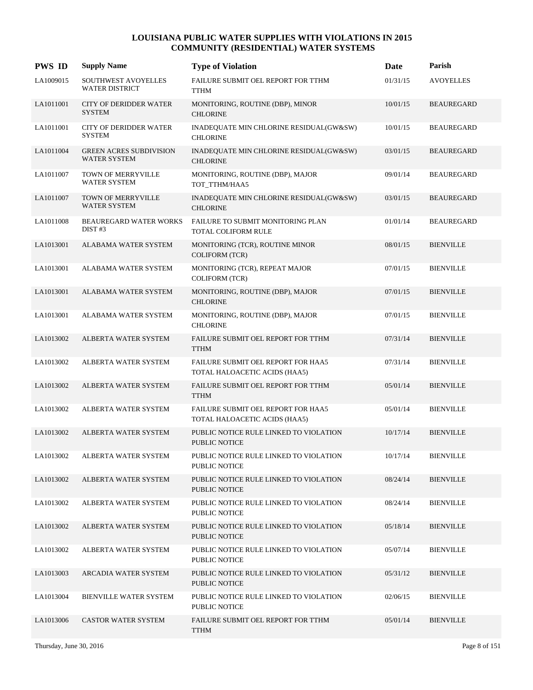| <b>PWS ID</b> | <b>Supply Name</b>                                    | <b>Type of Violation</b>                                            | Date     | Parish            |
|---------------|-------------------------------------------------------|---------------------------------------------------------------------|----------|-------------------|
| LA1009015     | SOUTHWEST AVOYELLES<br><b>WATER DISTRICT</b>          | FAILURE SUBMIT OEL REPORT FOR TTHM<br><b>TTHM</b>                   | 01/31/15 | <b>AVOYELLES</b>  |
| LA1011001     | <b>CITY OF DERIDDER WATER</b><br><b>SYSTEM</b>        | MONITORING, ROUTINE (DBP), MINOR<br><b>CHLORINE</b>                 | 10/01/15 | <b>BEAUREGARD</b> |
| LA1011001     | <b>CITY OF DERIDDER WATER</b><br><b>SYSTEM</b>        | INADEQUATE MIN CHLORINE RESIDUAL(GW&SW)<br><b>CHLORINE</b>          | 10/01/15 | <b>BEAUREGARD</b> |
| LA1011004     | <b>GREEN ACRES SUBDIVISION</b><br><b>WATER SYSTEM</b> | INADEQUATE MIN CHLORINE RESIDUAL(GW&SW)<br><b>CHLORINE</b>          | 03/01/15 | <b>BEAUREGARD</b> |
| LA1011007     | TOWN OF MERRYVILLE<br><b>WATER SYSTEM</b>             | MONITORING, ROUTINE (DBP), MAJOR<br>TOT_TTHM/HAA5                   | 09/01/14 | <b>BEAUREGARD</b> |
| LA1011007     | TOWN OF MERRYVILLE<br><b>WATER SYSTEM</b>             | INADEQUATE MIN CHLORINE RESIDUAL(GW&SW)<br><b>CHLORINE</b>          | 03/01/15 | <b>BEAUREGARD</b> |
| LA1011008     | <b>BEAUREGARD WATER WORKS</b><br>DIST#3               | FAILURE TO SUBMIT MONITORING PLAN<br>TOTAL COLIFORM RULE            | 01/01/14 | <b>BEAUREGARD</b> |
| LA1013001     | <b>ALABAMA WATER SYSTEM</b>                           | MONITORING (TCR), ROUTINE MINOR<br><b>COLIFORM (TCR)</b>            | 08/01/15 | <b>BIENVILLE</b>  |
| LA1013001     | ALABAMA WATER SYSTEM                                  | MONITORING (TCR), REPEAT MAJOR<br><b>COLIFORM (TCR)</b>             | 07/01/15 | <b>BIENVILLE</b>  |
| LA1013001     | ALABAMA WATER SYSTEM                                  | MONITORING, ROUTINE (DBP), MAJOR<br><b>CHLORINE</b>                 | 07/01/15 | <b>BIENVILLE</b>  |
| LA1013001     | ALABAMA WATER SYSTEM                                  | MONITORING, ROUTINE (DBP), MAJOR<br><b>CHLORINE</b>                 | 07/01/15 | <b>BIENVILLE</b>  |
| LA1013002     | ALBERTA WATER SYSTEM                                  | FAILURE SUBMIT OEL REPORT FOR TTHM<br><b>TTHM</b>                   | 07/31/14 | <b>BIENVILLE</b>  |
| LA1013002     | ALBERTA WATER SYSTEM                                  | FAILURE SUBMIT OEL REPORT FOR HAA5<br>TOTAL HALOACETIC ACIDS (HAA5) | 07/31/14 | <b>BIENVILLE</b>  |
| LA1013002     | ALBERTA WATER SYSTEM                                  | FAILURE SUBMIT OEL REPORT FOR TTHM<br><b>TTHM</b>                   | 05/01/14 | <b>BIENVILLE</b>  |
| LA1013002     | ALBERTA WATER SYSTEM                                  | FAILURE SUBMIT OEL REPORT FOR HAA5<br>TOTAL HALOACETIC ACIDS (HAA5) | 05/01/14 | <b>BIENVILLE</b>  |
| LA1013002     | ALBERTA WATER SYSTEM                                  | PUBLIC NOTICE RULE LINKED TO VIOLATION<br>PUBLIC NOTICE             | 10/17/14 | <b>BIENVILLE</b>  |
| LA1013002     | ALBERTA WATER SYSTEM                                  | PUBLIC NOTICE RULE LINKED TO VIOLATION<br>PUBLIC NOTICE             | 10/17/14 | <b>BIENVILLE</b>  |
| LA1013002     | ALBERTA WATER SYSTEM                                  | PUBLIC NOTICE RULE LINKED TO VIOLATION<br>PUBLIC NOTICE             | 08/24/14 | <b>BIENVILLE</b>  |
| LA1013002     | ALBERTA WATER SYSTEM                                  | PUBLIC NOTICE RULE LINKED TO VIOLATION<br>PUBLIC NOTICE             | 08/24/14 | <b>BIENVILLE</b>  |
| LA1013002     | ALBERTA WATER SYSTEM                                  | PUBLIC NOTICE RULE LINKED TO VIOLATION<br>PUBLIC NOTICE             | 05/18/14 | <b>BIENVILLE</b>  |
| LA1013002     | ALBERTA WATER SYSTEM                                  | PUBLIC NOTICE RULE LINKED TO VIOLATION<br>PUBLIC NOTICE             | 05/07/14 | <b>BIENVILLE</b>  |
| LA1013003     | ARCADIA WATER SYSTEM                                  | PUBLIC NOTICE RULE LINKED TO VIOLATION<br>PUBLIC NOTICE             | 05/31/12 | <b>BIENVILLE</b>  |
| LA1013004     | BIENVILLE WATER SYSTEM                                | PUBLIC NOTICE RULE LINKED TO VIOLATION<br>PUBLIC NOTICE             | 02/06/15 | <b>BIENVILLE</b>  |
| LA1013006     | <b>CASTOR WATER SYSTEM</b>                            | FAILURE SUBMIT OEL REPORT FOR TTHM<br><b>TTHM</b>                   | 05/01/14 | <b>BIENVILLE</b>  |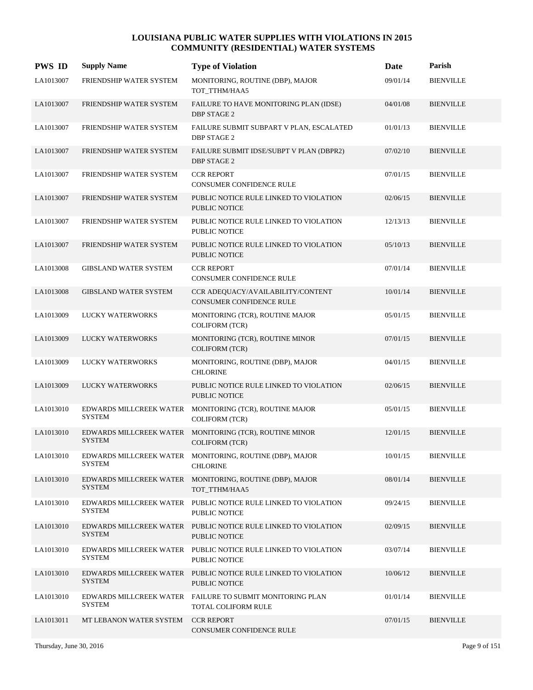| <b>PWS ID</b> | <b>Supply Name</b>                       | <b>Type of Violation</b>                                                        | <b>Date</b> | Parish                     |
|---------------|------------------------------------------|---------------------------------------------------------------------------------|-------------|----------------------------|
| LA1013007     | FRIENDSHIP WATER SYSTEM                  | MONITORING, ROUTINE (DBP), MAJOR<br>TOT_TTHM/HAA5                               | 09/01/14    | <b>BIENVILLE</b>           |
| LA1013007     | FRIENDSHIP WATER SYSTEM                  | FAILURE TO HAVE MONITORING PLAN (IDSE)<br><b>DBP STAGE 2</b>                    | 04/01/08    | <b>BIENVILLE</b>           |
| LA1013007     | FRIENDSHIP WATER SYSTEM                  | FAILURE SUBMIT SUBPART V PLAN, ESCALATED<br><b>DBP STAGE 2</b>                  | 01/01/13    | <b>BIENVILLE</b>           |
| LA1013007     | FRIENDSHIP WATER SYSTEM                  | FAILURE SUBMIT IDSE/SUBPT V PLAN (DBPR2)<br><b>DBP STAGE 2</b>                  | 07/02/10    | <b>BIENVILLE</b>           |
| LA1013007     | FRIENDSHIP WATER SYSTEM                  | <b>CCR REPORT</b><br>CONSUMER CONFIDENCE RULE                                   | 07/01/15    | <b>BIENVILLE</b>           |
| LA1013007     | FRIENDSHIP WATER SYSTEM                  | PUBLIC NOTICE RULE LINKED TO VIOLATION<br><b>PUBLIC NOTICE</b>                  | 02/06/15    | <b>BIENVILLE</b>           |
| LA1013007     | FRIENDSHIP WATER SYSTEM                  | PUBLIC NOTICE RULE LINKED TO VIOLATION<br><b>PUBLIC NOTICE</b>                  | 12/13/13    | $\operatorname{BIFNVILLE}$ |
| LA1013007     | FRIENDSHIP WATER SYSTEM                  | PUBLIC NOTICE RULE LINKED TO VIOLATION<br><b>PUBLIC NOTICE</b>                  | 05/10/13    | <b>BIENVILLE</b>           |
| LA1013008     | <b>GIBSLAND WATER SYSTEM</b>             | <b>CCR REPORT</b><br>CONSUMER CONFIDENCE RULE                                   | 07/01/14    | <b>BIENVILLE</b>           |
| LA1013008     | <b>GIBSLAND WATER SYSTEM</b>             | CCR ADEQUACY/AVAILABILITY/CONTENT<br>CONSUMER CONFIDENCE RULE                   | 10/01/14    | <b>BIENVILLE</b>           |
| LA1013009     | <b>LUCKY WATERWORKS</b>                  | MONITORING (TCR), ROUTINE MAJOR<br><b>COLIFORM (TCR)</b>                        | 05/01/15    | <b>BIENVILLE</b>           |
| LA1013009     | LUCKY WATERWORKS                         | MONITORING (TCR), ROUTINE MINOR<br><b>COLIFORM (TCR)</b>                        | 07/01/15    | <b>BIENVILLE</b>           |
| LA1013009     | <b>LUCKY WATERWORKS</b>                  | MONITORING, ROUTINE (DBP), MAJOR<br><b>CHLORINE</b>                             | 04/01/15    | <b>BIENVILLE</b>           |
| LA1013009     | <b>LUCKY WATERWORKS</b>                  | PUBLIC NOTICE RULE LINKED TO VIOLATION<br><b>PUBLIC NOTICE</b>                  | 02/06/15    | <b>BIENVILLE</b>           |
| LA1013010     | EDWARDS MILLCREEK WATER<br><b>SYSTEM</b> | MONITORING (TCR), ROUTINE MAJOR<br><b>COLIFORM (TCR)</b>                        | 05/01/15    | <b>BIENVILLE</b>           |
| LA1013010     | EDWARDS MILLCREEK WATER<br><b>SYSTEM</b> | MONITORING (TCR), ROUTINE MINOR<br><b>COLIFORM (TCR)</b>                        | 12/01/15    | <b>BIENVILLE</b>           |
| LA1013010     | <b>SYSTEM</b>                            | EDWARDS MILLCREEK WATER MONITORING, ROUTINE (DBP), MAJOR<br><b>CHLORINE</b>     | 10/01/15    | <b>BIENVILLE</b>           |
| LA1013010     | EDWARDS MILLCREEK WATER<br><b>SYSTEM</b> | MONITORING, ROUTINE (DBP), MAJOR<br>TOT_TTHM/HAA5                               | 08/01/14    | <b>BIENVILLE</b>           |
| LA1013010     | EDWARDS MILLCREEK WATER<br><b>SYSTEM</b> | PUBLIC NOTICE RULE LINKED TO VIOLATION<br><b>PUBLIC NOTICE</b>                  | 09/24/15    | <b>BIENVILLE</b>           |
| LA1013010     | <b>SYSTEM</b>                            | EDWARDS MILLCREEK WATER PUBLIC NOTICE RULE LINKED TO VIOLATION<br>PUBLIC NOTICE | 02/09/15    | <b>BIENVILLE</b>           |
| LA1013010     | EDWARDS MILLCREEK WATER<br>SYSTEM        | PUBLIC NOTICE RULE LINKED TO VIOLATION<br>PUBLIC NOTICE                         | 03/07/14    | <b>BIENVILLE</b>           |
| LA1013010     | EDWARDS MILLCREEK WATER<br><b>SYSTEM</b> | PUBLIC NOTICE RULE LINKED TO VIOLATION<br>PUBLIC NOTICE                         | 10/06/12    | <b>BIENVILLE</b>           |
| LA1013010     | EDWARDS MILLCREEK WATER<br><b>SYSTEM</b> | FAILURE TO SUBMIT MONITORING PLAN<br>TOTAL COLIFORM RULE                        | 01/01/14    | <b>BIENVILLE</b>           |
| LA1013011     | MT LEBANON WATER SYSTEM                  | <b>CCR REPORT</b><br>CONSUMER CONFIDENCE RULE                                   | 07/01/15    | <b>BIENVILLE</b>           |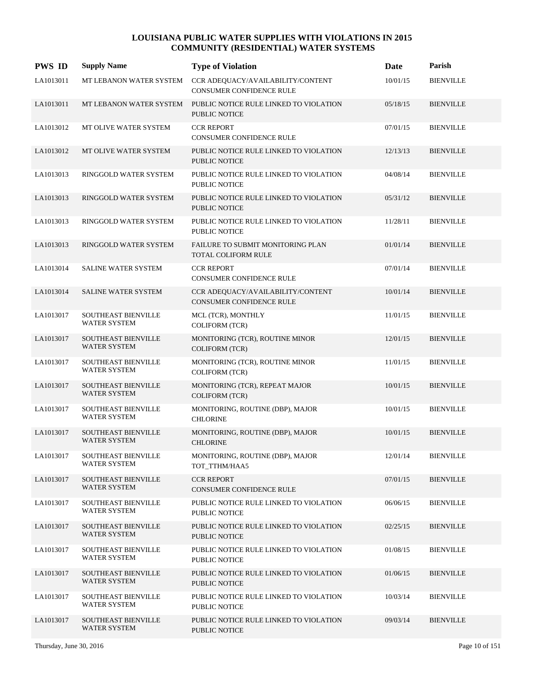| <b>PWS ID</b> | <b>Supply Name</b>                                | <b>Type of Violation</b>                                       | Date     | Parish           |
|---------------|---------------------------------------------------|----------------------------------------------------------------|----------|------------------|
| LA1013011     | MT LEBANON WATER SYSTEM                           | CCR ADEQUACY/AVAILABILITY/CONTENT<br>CONSUMER CONFIDENCE RULE  | 10/01/15 | <b>BIENVILLE</b> |
| LA1013011     | MT LEBANON WATER SYSTEM                           | PUBLIC NOTICE RULE LINKED TO VIOLATION<br><b>PUBLIC NOTICE</b> | 05/18/15 | <b>BIENVILLE</b> |
| LA1013012     | MT OLIVE WATER SYSTEM                             | <b>CCR REPORT</b><br>CONSUMER CONFIDENCE RULE                  | 07/01/15 | <b>BIENVILLE</b> |
| LA1013012     | MT OLIVE WATER SYSTEM                             | PUBLIC NOTICE RULE LINKED TO VIOLATION<br><b>PUBLIC NOTICE</b> | 12/13/13 | <b>BIENVILLE</b> |
| LA1013013     | RINGGOLD WATER SYSTEM                             | PUBLIC NOTICE RULE LINKED TO VIOLATION<br><b>PUBLIC NOTICE</b> | 04/08/14 | <b>BIENVILLE</b> |
| LA1013013     | RINGGOLD WATER SYSTEM                             | PUBLIC NOTICE RULE LINKED TO VIOLATION<br><b>PUBLIC NOTICE</b> | 05/31/12 | <b>BIENVILLE</b> |
| LA1013013     | RINGGOLD WATER SYSTEM                             | PUBLIC NOTICE RULE LINKED TO VIOLATION<br><b>PUBLIC NOTICE</b> | 11/28/11 | <b>BIENVILLE</b> |
| LA1013013     | RINGGOLD WATER SYSTEM                             | FAILURE TO SUBMIT MONITORING PLAN<br>TOTAL COLIFORM RULE       | 01/01/14 | <b>BIENVILLE</b> |
| LA1013014     | SALINE WATER SYSTEM                               | <b>CCR REPORT</b><br>CONSUMER CONFIDENCE RULE                  | 07/01/14 | <b>BIENVILLE</b> |
| LA1013014     | SALINE WATER SYSTEM                               | CCR ADEOUACY/AVAILABILITY/CONTENT<br>CONSUMER CONFIDENCE RULE  | 10/01/14 | <b>BIENVILLE</b> |
| LA1013017     | SOUTHEAST BIENVILLE<br><b>WATER SYSTEM</b>        | MCL (TCR), MONTHLY<br><b>COLIFORM (TCR)</b>                    | 11/01/15 | <b>BIENVILLE</b> |
| LA1013017     | SOUTHEAST BIENVILLE<br><b>WATER SYSTEM</b>        | MONITORING (TCR), ROUTINE MINOR<br>COLIFORM (TCR)              | 12/01/15 | <b>BIENVILLE</b> |
| LA1013017     | SOUTHEAST BIENVILLE<br><b>WATER SYSTEM</b>        | MONITORING (TCR), ROUTINE MINOR<br><b>COLIFORM (TCR)</b>       | 11/01/15 | <b>BIENVILLE</b> |
| LA1013017     | <b>SOUTHEAST BIENVILLE</b><br><b>WATER SYSTEM</b> | MONITORING (TCR), REPEAT MAJOR<br><b>COLIFORM (TCR)</b>        | 10/01/15 | <b>BIENVILLE</b> |
| LA1013017     | SOUTHEAST BIENVILLE<br><b>WATER SYSTEM</b>        | MONITORING, ROUTINE (DBP), MAJOR<br><b>CHLORINE</b>            | 10/01/15 | <b>BIENVILLE</b> |
| LA1013017     | SOUTHEAST BIENVILLE<br><b>WATER SYSTEM</b>        | MONITORING, ROUTINE (DBP), MAJOR<br><b>CHLORINE</b>            | 10/01/15 | <b>BIENVILLE</b> |
| LA1013017     | SOUTHEAST BIENVILLE<br><b>WATER SYSTEM</b>        | MONITORING, ROUTINE (DBP), MAJOR<br>TOT_TTHM/HAA5              | 12/01/14 | <b>BIENVILLE</b> |
| LA1013017     | SOUTHEAST BIENVILLE<br><b>WATER SYSTEM</b>        | <b>CCR REPORT</b><br>CONSUMER CONFIDENCE RULE                  | 07/01/15 | <b>BIENVILLE</b> |
| LA1013017     | SOUTHEAST BIENVILLE<br><b>WATER SYSTEM</b>        | PUBLIC NOTICE RULE LINKED TO VIOLATION<br>PUBLIC NOTICE        | 06/06/15 | <b>BIENVILLE</b> |
| LA1013017     | SOUTHEAST BIENVILLE<br><b>WATER SYSTEM</b>        | PUBLIC NOTICE RULE LINKED TO VIOLATION<br>PUBLIC NOTICE        | 02/25/15 | <b>BIENVILLE</b> |
| LA1013017     | SOUTHEAST BIENVILLE<br><b>WATER SYSTEM</b>        | PUBLIC NOTICE RULE LINKED TO VIOLATION<br>PUBLIC NOTICE        | 01/08/15 | <b>BIENVILLE</b> |
| LA1013017     | <b>SOUTHEAST BIENVILLE</b><br><b>WATER SYSTEM</b> | PUBLIC NOTICE RULE LINKED TO VIOLATION<br>PUBLIC NOTICE        | 01/06/15 | <b>BIENVILLE</b> |
| LA1013017     | <b>SOUTHEAST BIENVILLE</b><br><b>WATER SYSTEM</b> | PUBLIC NOTICE RULE LINKED TO VIOLATION<br>PUBLIC NOTICE        | 10/03/14 | <b>BIENVILLE</b> |
| LA1013017     | SOUTHEAST BIENVILLE<br><b>WATER SYSTEM</b>        | PUBLIC NOTICE RULE LINKED TO VIOLATION<br>PUBLIC NOTICE        | 09/03/14 | <b>BIENVILLE</b> |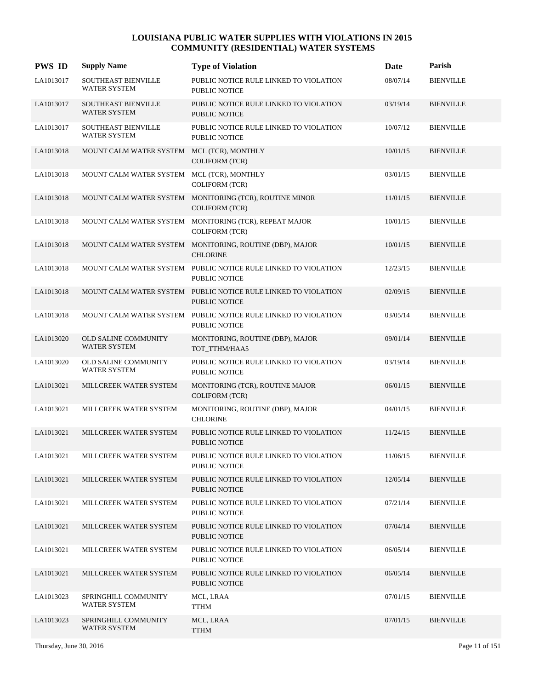| <b>PWS ID</b> | <b>Supply Name</b>                                 | <b>Type of Violation</b>                                                               | <b>Date</b> | Parish           |
|---------------|----------------------------------------------------|----------------------------------------------------------------------------------------|-------------|------------------|
| LA1013017     | <b>SOUTHEAST BIENVILLE</b><br><b>WATER SYSTEM</b>  | PUBLIC NOTICE RULE LINKED TO VIOLATION<br><b>PUBLIC NOTICE</b>                         | 08/07/14    | <b>BIENVILLE</b> |
| LA1013017     | SOUTHEAST BIENVILLE<br><b>WATER SYSTEM</b>         | PUBLIC NOTICE RULE LINKED TO VIOLATION<br><b>PUBLIC NOTICE</b>                         | 03/19/14    | <b>BIENVILLE</b> |
| LA1013017     | SOUTHEAST BIENVILLE<br><b>WATER SYSTEM</b>         | PUBLIC NOTICE RULE LINKED TO VIOLATION<br>PUBLIC NOTICE                                | 10/07/12    | <b>BIENVILLE</b> |
| LA1013018     | MOUNT CALM WATER SYSTEM MCL (TCR), MONTHLY         | <b>COLIFORM (TCR)</b>                                                                  | 10/01/15    | <b>BIENVILLE</b> |
| LA1013018     | MOUNT CALM WATER SYSTEM MCL (TCR), MONTHLY         | <b>COLIFORM (TCR)</b>                                                                  | 03/01/15    | <b>BIENVILLE</b> |
| LA1013018     |                                                    | MOUNT CALM WATER SYSTEM MONITORING (TCR), ROUTINE MINOR<br><b>COLIFORM (TCR)</b>       | 11/01/15    | <b>BIENVILLE</b> |
| LA1013018     |                                                    | MOUNT CALM WATER SYSTEM MONITORING (TCR), REPEAT MAJOR<br><b>COLIFORM (TCR)</b>        | 10/01/15    | <b>BIENVILLE</b> |
| LA1013018     |                                                    | MOUNT CALM WATER SYSTEM MONITORING, ROUTINE (DBP), MAJOR<br><b>CHLORINE</b>            | 10/01/15    | <b>BIENVILLE</b> |
| LA1013018     |                                                    | MOUNT CALM WATER SYSTEM PUBLIC NOTICE RULE LINKED TO VIOLATION<br><b>PUBLIC NOTICE</b> | 12/23/15    | <b>BIENVILLE</b> |
| LA1013018     |                                                    | MOUNT CALM WATER SYSTEM PUBLIC NOTICE RULE LINKED TO VIOLATION<br><b>PUBLIC NOTICE</b> | 02/09/15    | <b>BIENVILLE</b> |
| LA1013018     |                                                    | MOUNT CALM WATER SYSTEM PUBLIC NOTICE RULE LINKED TO VIOLATION<br><b>PUBLIC NOTICE</b> | 03/05/14    | <b>BIENVILLE</b> |
| LA1013020     | <b>OLD SALINE COMMUNITY</b><br><b>WATER SYSTEM</b> | MONITORING, ROUTINE (DBP), MAJOR<br>TOT_TTHM/HAA5                                      | 09/01/14    | <b>BIENVILLE</b> |
| LA1013020     | <b>OLD SALINE COMMUNITY</b><br><b>WATER SYSTEM</b> | PUBLIC NOTICE RULE LINKED TO VIOLATION<br><b>PUBLIC NOTICE</b>                         | 03/19/14    | <b>BIENVILLE</b> |
| LA1013021     | MILLCREEK WATER SYSTEM                             | MONITORING (TCR), ROUTINE MAJOR<br><b>COLIFORM (TCR)</b>                               | 06/01/15    | <b>BIENVILLE</b> |
| LA1013021     | MILLCREEK WATER SYSTEM                             | MONITORING, ROUTINE (DBP), MAJOR<br><b>CHLORINE</b>                                    | 04/01/15    | <b>BIENVILLE</b> |
| LA1013021     | MILLCREEK WATER SYSTEM                             | PUBLIC NOTICE RULE LINKED TO VIOLATION<br><b>PUBLIC NOTICE</b>                         | 11/24/15    | <b>BIENVILLE</b> |
| LA1013021     | MILLCREEK WATER SYSTEM                             | PUBLIC NOTICE RULE LINKED TO VIOLATION<br>PUBLIC NOTICE                                | 11/06/15    | <b>BIENVILLE</b> |
| LA1013021     | MILLCREEK WATER SYSTEM                             | PUBLIC NOTICE RULE LINKED TO VIOLATION<br>PUBLIC NOTICE                                | 12/05/14    | <b>BIENVILLE</b> |
| LA1013021     | MILLCREEK WATER SYSTEM                             | PUBLIC NOTICE RULE LINKED TO VIOLATION<br>PUBLIC NOTICE                                | 07/21/14    | <b>BIENVILLE</b> |
| LA1013021     | MILLCREEK WATER SYSTEM                             | PUBLIC NOTICE RULE LINKED TO VIOLATION<br>PUBLIC NOTICE                                | 07/04/14    | <b>BIENVILLE</b> |
| LA1013021     | MILLCREEK WATER SYSTEM                             | PUBLIC NOTICE RULE LINKED TO VIOLATION<br>PUBLIC NOTICE                                | 06/05/14    | <b>BIENVILLE</b> |
| LA1013021     | MILLCREEK WATER SYSTEM                             | PUBLIC NOTICE RULE LINKED TO VIOLATION<br>PUBLIC NOTICE                                | 06/05/14    | <b>BIENVILLE</b> |
| LA1013023     | SPRINGHILL COMMUNITY<br><b>WATER SYSTEM</b>        | MCL, LRAA<br>TTHM                                                                      | 07/01/15    | <b>BIENVILLE</b> |
| LA1013023     | SPRINGHILL COMMUNITY<br><b>WATER SYSTEM</b>        | MCL, LRAA<br><b>TTHM</b>                                                               | 07/01/15    | <b>BIENVILLE</b> |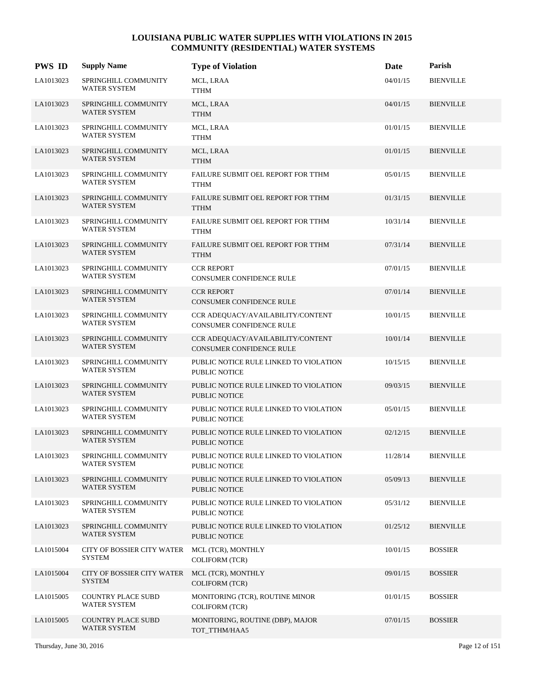| <b>PWS ID</b> | <b>Supply Name</b>                          | <b>Type of Violation</b>                                       | Date     | Parish           |
|---------------|---------------------------------------------|----------------------------------------------------------------|----------|------------------|
| LA1013023     | SPRINGHILL COMMUNITY<br><b>WATER SYSTEM</b> | MCL, LRAA<br>TTHM                                              | 04/01/15 | <b>BIENVILLE</b> |
| LA1013023     | SPRINGHILL COMMUNITY<br>WATER SYSTEM        | MCL, LRAA<br><b>TTHM</b>                                       | 04/01/15 | <b>BIENVILLE</b> |
| LA1013023     | SPRINGHILL COMMUNITY<br><b>WATER SYSTEM</b> | MCL, LRAA<br><b>TTHM</b>                                       | 01/01/15 | <b>BIENVILLE</b> |
| LA1013023     | SPRINGHILL COMMUNITY<br>WATER SYSTEM        | MCL, LRAA<br><b>TTHM</b>                                       | 01/01/15 | <b>BIENVILLE</b> |
| LA1013023     | SPRINGHILL COMMUNITY<br><b>WATER SYSTEM</b> | FAILURE SUBMIT OEL REPORT FOR TTHM<br><b>TTHM</b>              | 05/01/15 | <b>BIENVILLE</b> |
| LA1013023     | SPRINGHILL COMMUNITY<br>WATER SYSTEM        | FAILURE SUBMIT OEL REPORT FOR TTHM<br><b>TTHM</b>              | 01/31/15 | <b>BIENVILLE</b> |
| LA1013023     | SPRINGHILL COMMUNITY<br>WATER SYSTEM        | FAILURE SUBMIT OEL REPORT FOR TTHM<br><b>TTHM</b>              | 10/31/14 | <b>BIENVILLE</b> |
| LA1013023     | SPRINGHILL COMMUNITY<br>WATER SYSTEM        | FAILURE SUBMIT OEL REPORT FOR TTHM<br><b>TTHM</b>              | 07/31/14 | <b>BIENVILLE</b> |
| LA1013023     | SPRINGHILL COMMUNITY<br><b>WATER SYSTEM</b> | <b>CCR REPORT</b><br>CONSUMER CONFIDENCE RULE                  | 07/01/15 | <b>BIENVILLE</b> |
| LA1013023     | SPRINGHILL COMMUNITY<br><b>WATER SYSTEM</b> | <b>CCR REPORT</b><br>CONSUMER CONFIDENCE RULE                  | 07/01/14 | <b>BIENVILLE</b> |
| LA1013023     | SPRINGHILL COMMUNITY<br>WATER SYSTEM        | CCR ADEQUACY/AVAILABILITY/CONTENT<br>CONSUMER CONFIDENCE RULE  | 10/01/15 | <b>BIENVILLE</b> |
| LA1013023     | SPRINGHILL COMMUNITY<br><b>WATER SYSTEM</b> | CCR ADEQUACY/AVAILABILITY/CONTENT<br>CONSUMER CONFIDENCE RULE  | 10/01/14 | <b>BIENVILLE</b> |
| LA1013023     | SPRINGHILL COMMUNITY<br>WATER SYSTEM        | PUBLIC NOTICE RULE LINKED TO VIOLATION<br>PUBLIC NOTICE        | 10/15/15 | <b>BIENVILLE</b> |
| LA1013023     | SPRINGHILL COMMUNITY<br><b>WATER SYSTEM</b> | PUBLIC NOTICE RULE LINKED TO VIOLATION<br><b>PUBLIC NOTICE</b> | 09/03/15 | <b>BIENVILLE</b> |
| LA1013023     | SPRINGHILL COMMUNITY<br>WATER SYSTEM        | PUBLIC NOTICE RULE LINKED TO VIOLATION<br><b>PUBLIC NOTICE</b> | 05/01/15 | <b>BIENVILLE</b> |
| LA1013023     | SPRINGHILL COMMUNITY<br><b>WATER SYSTEM</b> | PUBLIC NOTICE RULE LINKED TO VIOLATION<br><b>PUBLIC NOTICE</b> | 02/12/15 | <b>BIENVILLE</b> |
| LA1013023     | SPRINGHILL COMMUNITY<br>WATER SYSTEM        | PUBLIC NOTICE RULE LINKED TO VIOLATION<br>PUBLIC NOTICE        | 11/28/14 | <b>BIENVILLE</b> |
| LA1013023     | SPRINGHILL COMMUNITY<br>WATER SYSTEM        | PUBLIC NOTICE RULE LINKED TO VIOLATION<br><b>PUBLIC NOTICE</b> | 05/09/13 | <b>BIENVILLE</b> |
| LA1013023     | SPRINGHILL COMMUNITY<br>WATER SYSTEM        | PUBLIC NOTICE RULE LINKED TO VIOLATION<br>PUBLIC NOTICE        | 05/31/12 | <b>BIENVILLE</b> |
| LA1013023     | SPRINGHILL COMMUNITY<br>WATER SYSTEM        | PUBLIC NOTICE RULE LINKED TO VIOLATION<br><b>PUBLIC NOTICE</b> | 01/25/12 | <b>BIENVILLE</b> |
| LA1015004     | CITY OF BOSSIER CITY WATER<br><b>SYSTEM</b> | MCL (TCR), MONTHLY<br>COLIFORM (TCR)                           | 10/01/15 | <b>BOSSIER</b>   |
| LA1015004     | CITY OF BOSSIER CITY WATER<br><b>SYSTEM</b> | MCL (TCR), MONTHLY<br><b>COLIFORM (TCR)</b>                    | 09/01/15 | <b>BOSSIER</b>   |
| LA1015005     | <b>COUNTRY PLACE SUBD</b><br>WATER SYSTEM   | MONITORING (TCR), ROUTINE MINOR<br><b>COLIFORM (TCR)</b>       | 01/01/15 | <b>BOSSIER</b>   |
| LA1015005     | <b>COUNTRY PLACE SUBD</b><br>WATER SYSTEM   | MONITORING, ROUTINE (DBP), MAJOR<br>TOT_TTHM/HAA5              | 07/01/15 | <b>BOSSIER</b>   |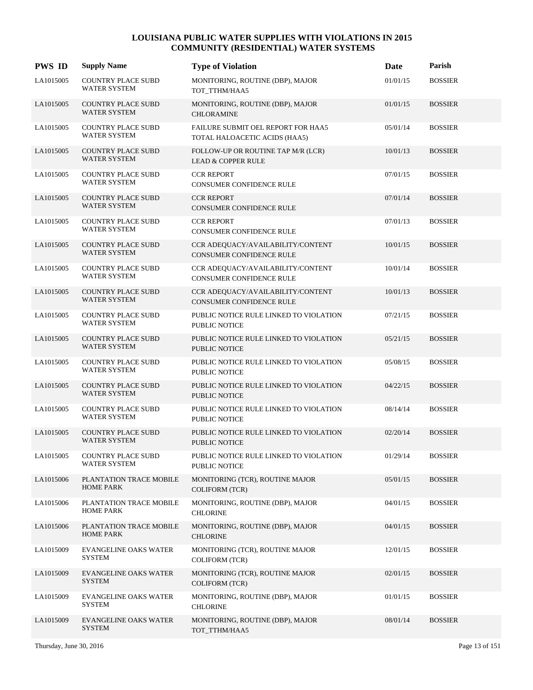| <b>PWS ID</b> | <b>Supply Name</b>                               | <b>Type of Violation</b>                                             | Date     | Parish         |
|---------------|--------------------------------------------------|----------------------------------------------------------------------|----------|----------------|
| LA1015005     | <b>COUNTRY PLACE SUBD</b><br><b>WATER SYSTEM</b> | MONITORING, ROUTINE (DBP), MAJOR<br>TOT_TTHM/HAA5                    | 01/01/15 | <b>BOSSIER</b> |
| LA1015005     | <b>COUNTRY PLACE SUBD</b><br><b>WATER SYSTEM</b> | MONITORING, ROUTINE (DBP), MAJOR<br><b>CHLORAMINE</b>                | 01/01/15 | <b>BOSSIER</b> |
| LA1015005     | <b>COUNTRY PLACE SUBD</b><br><b>WATER SYSTEM</b> | FAILURE SUBMIT OEL REPORT FOR HAA5<br>TOTAL HALOACETIC ACIDS (HAA5)  | 05/01/14 | <b>BOSSIER</b> |
| LA1015005     | <b>COUNTRY PLACE SUBD</b><br><b>WATER SYSTEM</b> | FOLLOW-UP OR ROUTINE TAP M/R (LCR)<br><b>LEAD &amp; COPPER RULE</b>  | 10/01/13 | <b>BOSSIER</b> |
| LA1015005     | <b>COUNTRY PLACE SUBD</b><br><b>WATER SYSTEM</b> | <b>CCR REPORT</b><br>CONSUMER CONFIDENCE RULE                        | 07/01/15 | <b>BOSSIER</b> |
| LA1015005     | <b>COUNTRY PLACE SUBD</b><br><b>WATER SYSTEM</b> | <b>CCR REPORT</b><br>CONSUMER CONFIDENCE RULE                        | 07/01/14 | <b>BOSSIER</b> |
| LA1015005     | <b>COUNTRY PLACE SUBD</b><br><b>WATER SYSTEM</b> | <b>CCR REPORT</b><br>CONSUMER CONFIDENCE RULE                        | 07/01/13 | <b>BOSSIER</b> |
| LA1015005     | <b>COUNTRY PLACE SUBD</b><br>WATER SYSTEM        | CCR ADEQUACY/AVAILABILITY/CONTENT<br>CONSUMER CONFIDENCE RULE        | 10/01/15 | <b>BOSSIER</b> |
| LA1015005     | <b>COUNTRY PLACE SUBD</b><br><b>WATER SYSTEM</b> | CCR ADEQUACY/AVAILABILITY/CONTENT<br>CONSUMER CONFIDENCE RULE        | 10/01/14 | <b>BOSSIER</b> |
| LA1015005     | <b>COUNTRY PLACE SUBD</b><br><b>WATER SYSTEM</b> | CCR ADEQUACY/AVAILABILITY/CONTENT<br><b>CONSUMER CONFIDENCE RULE</b> | 10/01/13 | <b>BOSSIER</b> |
| LA1015005     | <b>COUNTRY PLACE SUBD</b><br><b>WATER SYSTEM</b> | PUBLIC NOTICE RULE LINKED TO VIOLATION<br>PUBLIC NOTICE              | 07/21/15 | <b>BOSSIER</b> |
| LA1015005     | <b>COUNTRY PLACE SUBD</b><br><b>WATER SYSTEM</b> | PUBLIC NOTICE RULE LINKED TO VIOLATION<br>PUBLIC NOTICE              | 05/21/15 | <b>BOSSIER</b> |
| LA1015005     | <b>COUNTRY PLACE SUBD</b><br><b>WATER SYSTEM</b> | PUBLIC NOTICE RULE LINKED TO VIOLATION<br>PUBLIC NOTICE              | 05/08/15 | <b>BOSSIER</b> |
| LA1015005     | <b>COUNTRY PLACE SUBD</b><br><b>WATER SYSTEM</b> | PUBLIC NOTICE RULE LINKED TO VIOLATION<br><b>PUBLIC NOTICE</b>       | 04/22/15 | <b>BOSSIER</b> |
| LA1015005     | <b>COUNTRY PLACE SUBD</b><br><b>WATER SYSTEM</b> | PUBLIC NOTICE RULE LINKED TO VIOLATION<br>PUBLIC NOTICE              | 08/14/14 | <b>BOSSIER</b> |
| LA1015005     | <b>COUNTRY PLACE SUBD</b><br><b>WATER SYSTEM</b> | PUBLIC NOTICE RULE LINKED TO VIOLATION<br><b>PUBLIC NOTICE</b>       | 02/20/14 | <b>BOSSIER</b> |
| LA1015005     | <b>COUNTRY PLACE SUBD</b><br>WATER SYSTEM        | PUBLIC NOTICE RULE LINKED TO VIOLATION<br>PUBLIC NOTICE              | 01/29/14 | <b>BOSSIER</b> |
| LA1015006     | PLANTATION TRACE MOBILE<br><b>HOME PARK</b>      | MONITORING (TCR), ROUTINE MAJOR<br><b>COLIFORM (TCR)</b>             | 05/01/15 | <b>BOSSIER</b> |
| LA1015006     | PLANTATION TRACE MOBILE<br><b>HOME PARK</b>      | MONITORING, ROUTINE (DBP), MAJOR<br><b>CHLORINE</b>                  | 04/01/15 | <b>BOSSIER</b> |
| LA1015006     | PLANTATION TRACE MOBILE<br><b>HOME PARK</b>      | MONITORING, ROUTINE (DBP), MAJOR<br><b>CHLORINE</b>                  | 04/01/15 | <b>BOSSIER</b> |
| LA1015009     | <b>EVANGELINE OAKS WATER</b><br><b>SYSTEM</b>    | MONITORING (TCR), ROUTINE MAJOR<br>COLIFORM (TCR)                    | 12/01/15 | <b>BOSSIER</b> |
| LA1015009     | <b>EVANGELINE OAKS WATER</b><br><b>SYSTEM</b>    | MONITORING (TCR), ROUTINE MAJOR<br><b>COLIFORM (TCR)</b>             | 02/01/15 | <b>BOSSIER</b> |
| LA1015009     | <b>EVANGELINE OAKS WATER</b><br><b>SYSTEM</b>    | MONITORING, ROUTINE (DBP), MAJOR<br><b>CHLORINE</b>                  | 01/01/15 | <b>BOSSIER</b> |
| LA1015009     | <b>EVANGELINE OAKS WATER</b><br><b>SYSTEM</b>    | MONITORING, ROUTINE (DBP), MAJOR<br>TOT_TTHM/HAA5                    | 08/01/14 | <b>BOSSIER</b> |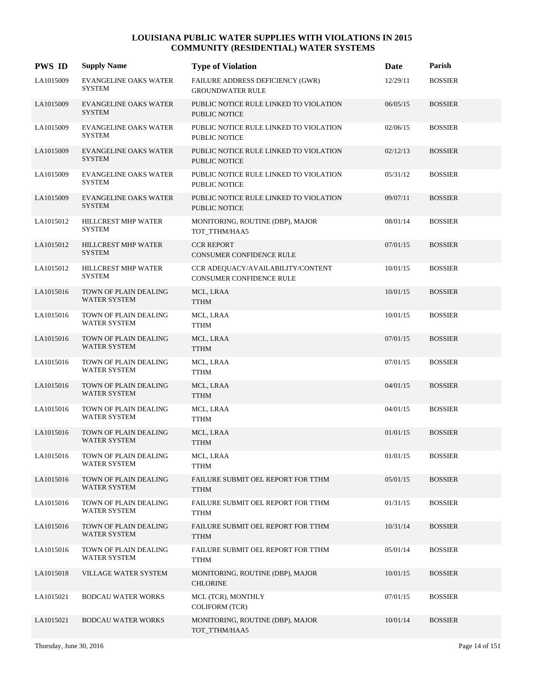| <b>PWS ID</b> | <b>Supply Name</b>                            | <b>Type of Violation</b>                                             | Date     | Parish         |
|---------------|-----------------------------------------------|----------------------------------------------------------------------|----------|----------------|
| LA1015009     | <b>EVANGELINE OAKS WATER</b><br><b>SYSTEM</b> | FAILURE ADDRESS DEFICIENCY (GWR)<br><b>GROUNDWATER RULE</b>          | 12/29/11 | <b>BOSSIER</b> |
| LA1015009     | <b>EVANGELINE OAKS WATER</b><br><b>SYSTEM</b> | PUBLIC NOTICE RULE LINKED TO VIOLATION<br><b>PUBLIC NOTICE</b>       | 06/05/15 | <b>BOSSIER</b> |
| LA1015009     | <b>EVANGELINE OAKS WATER</b><br><b>SYSTEM</b> | PUBLIC NOTICE RULE LINKED TO VIOLATION<br>PUBLIC NOTICE              | 02/06/15 | <b>BOSSIER</b> |
| LA1015009     | <b>EVANGELINE OAKS WATER</b><br><b>SYSTEM</b> | PUBLIC NOTICE RULE LINKED TO VIOLATION<br><b>PUBLIC NOTICE</b>       | 02/12/13 | <b>BOSSIER</b> |
| LA1015009     | <b>EVANGELINE OAKS WATER</b><br>SYSTEM        | PUBLIC NOTICE RULE LINKED TO VIOLATION<br><b>PUBLIC NOTICE</b>       | 05/31/12 | <b>BOSSIER</b> |
| LA1015009     | <b>EVANGELINE OAKS WATER</b><br><b>SYSTEM</b> | PUBLIC NOTICE RULE LINKED TO VIOLATION<br>PUBLIC NOTICE              | 09/07/11 | <b>BOSSIER</b> |
| LA1015012     | HILLCREST MHP WATER<br><b>SYSTEM</b>          | MONITORING, ROUTINE (DBP), MAJOR<br>TOT_TTHM/HAA5                    | 08/01/14 | <b>BOSSIER</b> |
| LA1015012     | HILLCREST MHP WATER<br><b>SYSTEM</b>          | <b>CCR REPORT</b><br><b>CONSUMER CONFIDENCE RULE</b>                 | 07/01/15 | <b>BOSSIER</b> |
| LA1015012     | HILLCREST MHP WATER<br>SYSTEM                 | CCR ADEQUACY/AVAILABILITY/CONTENT<br><b>CONSUMER CONFIDENCE RULE</b> | 10/01/15 | <b>BOSSIER</b> |
| LA1015016     | TOWN OF PLAIN DEALING<br><b>WATER SYSTEM</b>  | MCL, LRAA<br><b>TTHM</b>                                             | 10/01/15 | <b>BOSSIER</b> |
| LA1015016     | TOWN OF PLAIN DEALING<br><b>WATER SYSTEM</b>  | MCL, LRAA<br>TTHM                                                    | 10/01/15 | <b>BOSSIER</b> |
| LA1015016     | TOWN OF PLAIN DEALING<br>WATER SYSTEM         | MCL, LRAA<br><b>TTHM</b>                                             | 07/01/15 | <b>BOSSIER</b> |
| LA1015016     | TOWN OF PLAIN DEALING<br>WATER SYSTEM         | MCL, LRAA<br>TTHM                                                    | 07/01/15 | <b>BOSSIER</b> |
| LA1015016     | TOWN OF PLAIN DEALING<br>WATER SYSTEM         | MCL, LRAA<br><b>TTHM</b>                                             | 04/01/15 | <b>BOSSIER</b> |
| LA1015016     | TOWN OF PLAIN DEALING<br><b>WATER SYSTEM</b>  | MCL, LRAA<br>TTHM                                                    | 04/01/15 | <b>BOSSIER</b> |
| LA1015016     | TOWN OF PLAIN DEALING<br><b>WATER SYSTEM</b>  | MCL, LRAA<br><b>TTHM</b>                                             | 01/01/15 | <b>BOSSIER</b> |
| LA1015016     | TOWN OF PLAIN DEALING<br>WATER SYSTEM         | MCL, LRAA<br><b>TTHM</b>                                             | 01/01/15 | <b>BOSSIER</b> |
| LA1015016     | TOWN OF PLAIN DEALING<br><b>WATER SYSTEM</b>  | FAILURE SUBMIT OEL REPORT FOR TTHM<br><b>TTHM</b>                    | 05/01/15 | <b>BOSSIER</b> |
| LA1015016     | TOWN OF PLAIN DEALING<br><b>WATER SYSTEM</b>  | FAILURE SUBMIT OEL REPORT FOR TTHM<br>TTHM                           | 01/31/15 | <b>BOSSIER</b> |
| LA1015016     | TOWN OF PLAIN DEALING<br>WATER SYSTEM         | FAILURE SUBMIT OEL REPORT FOR TTHM<br><b>TTHM</b>                    | 10/31/14 | <b>BOSSIER</b> |
| LA1015016     | TOWN OF PLAIN DEALING<br>WATER SYSTEM         | FAILURE SUBMIT OEL REPORT FOR TTHM<br><b>TTHM</b>                    | 05/01/14 | <b>BOSSIER</b> |
| LA1015018     | VILLAGE WATER SYSTEM                          | MONITORING, ROUTINE (DBP), MAJOR<br><b>CHLORINE</b>                  | 10/01/15 | <b>BOSSIER</b> |
| LA1015021     | <b>BODCAU WATER WORKS</b>                     | MCL (TCR), MONTHLY<br>COLIFORM (TCR)                                 | 07/01/15 | <b>BOSSIER</b> |
| LA1015021     | <b>BODCAU WATER WORKS</b>                     | MONITORING, ROUTINE (DBP), MAJOR<br>TOT_TTHM/HAA5                    | 10/01/14 | <b>BOSSIER</b> |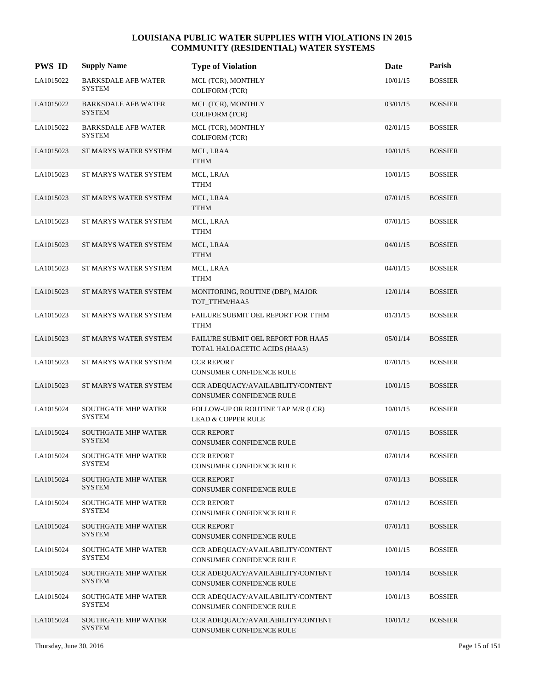| <b>PWS ID</b> | <b>Supply Name</b>                          | <b>Type of Violation</b>                                             | Date     | Parish         |
|---------------|---------------------------------------------|----------------------------------------------------------------------|----------|----------------|
| LA1015022     | <b>BARKSDALE AFB WATER</b><br><b>SYSTEM</b> | MCL (TCR), MONTHLY<br>COLIFORM (TCR)                                 | 10/01/15 | <b>BOSSIER</b> |
| LA1015022     | <b>BARKSDALE AFB WATER</b><br><b>SYSTEM</b> | MCL (TCR), MONTHLY<br>COLIFORM (TCR)                                 | 03/01/15 | <b>BOSSIER</b> |
| LA1015022     | <b>BARKSDALE AFB WATER</b><br><b>SYSTEM</b> | MCL (TCR), MONTHLY<br><b>COLIFORM (TCR)</b>                          | 02/01/15 | <b>BOSSIER</b> |
| LA1015023     | ST MARYS WATER SYSTEM                       | MCL, LRAA<br><b>TTHM</b>                                             | 10/01/15 | <b>BOSSIER</b> |
| LA1015023     | ST MARYS WATER SYSTEM                       | MCL, LRAA<br>TTHM                                                    | 10/01/15 | <b>BOSSIER</b> |
| LA1015023     | ST MARYS WATER SYSTEM                       | MCL, LRAA<br><b>TTHM</b>                                             | 07/01/15 | <b>BOSSIER</b> |
| LA1015023     | ST MARYS WATER SYSTEM                       | MCL, LRAA<br><b>TTHM</b>                                             | 07/01/15 | <b>BOSSIER</b> |
| LA1015023     | ST MARYS WATER SYSTEM                       | MCL, LRAA<br><b>TTHM</b>                                             | 04/01/15 | <b>BOSSIER</b> |
| LA1015023     | ST MARYS WATER SYSTEM                       | MCL, LRAA<br><b>TTHM</b>                                             | 04/01/15 | <b>BOSSIER</b> |
| LA1015023     | ST MARYS WATER SYSTEM                       | MONITORING, ROUTINE (DBP), MAJOR<br>TOT_TTHM/HAA5                    | 12/01/14 | <b>BOSSIER</b> |
| LA1015023     | ST MARYS WATER SYSTEM                       | FAILURE SUBMIT OEL REPORT FOR TTHM<br><b>TTHM</b>                    | 01/31/15 | <b>BOSSIER</b> |
| LA1015023     | ST MARYS WATER SYSTEM                       | FAILURE SUBMIT OEL REPORT FOR HAA5<br>TOTAL HALOACETIC ACIDS (HAA5)  | 05/01/14 | <b>BOSSIER</b> |
| LA1015023     | ST MARYS WATER SYSTEM                       | <b>CCR REPORT</b><br>CONSUMER CONFIDENCE RULE                        | 07/01/15 | <b>BOSSIER</b> |
| LA1015023     | ST MARYS WATER SYSTEM                       | CCR ADEQUACY/AVAILABILITY/CONTENT<br>CONSUMER CONFIDENCE RULE        | 10/01/15 | <b>BOSSIER</b> |
| LA1015024     | <b>SOUTHGATE MHP WATER</b><br><b>SYSTEM</b> | FOLLOW-UP OR ROUTINE TAP M/R (LCR)<br><b>LEAD &amp; COPPER RULE</b>  | 10/01/15 | <b>BOSSIER</b> |
| LA1015024     | <b>SOUTHGATE MHP WATER</b><br><b>SYSTEM</b> | <b>CCR REPORT</b><br><b>CONSUMER CONFIDENCE RULE</b>                 | 07/01/15 | <b>BOSSIER</b> |
| LA1015024     | SOUTHGATE MHP WATER<br><b>SYSTEM</b>        | <b>CCR REPORT</b><br>CONSUMER CONFIDENCE RULE                        | 07/01/14 | <b>BOSSIER</b> |
| LA1015024     | <b>SOUTHGATE MHP WATER</b><br><b>SYSTEM</b> | <b>CCR REPORT</b><br>CONSUMER CONFIDENCE RULE                        | 07/01/13 | <b>BOSSIER</b> |
| LA1015024     | <b>SOUTHGATE MHP WATER</b><br><b>SYSTEM</b> | <b>CCR REPORT</b><br>CONSUMER CONFIDENCE RULE                        | 07/01/12 | <b>BOSSIER</b> |
| LA1015024     | <b>SOUTHGATE MHP WATER</b><br><b>SYSTEM</b> | <b>CCR REPORT</b><br>CONSUMER CONFIDENCE RULE                        | 07/01/11 | <b>BOSSIER</b> |
| LA1015024     | SOUTHGATE MHP WATER<br><b>SYSTEM</b>        | CCR ADEQUACY/AVAILABILITY/CONTENT<br><b>CONSUMER CONFIDENCE RULE</b> | 10/01/15 | <b>BOSSIER</b> |
| LA1015024     | <b>SOUTHGATE MHP WATER</b><br><b>SYSTEM</b> | CCR ADEQUACY/AVAILABILITY/CONTENT<br>CONSUMER CONFIDENCE RULE        | 10/01/14 | <b>BOSSIER</b> |
| LA1015024     | <b>SOUTHGATE MHP WATER</b><br><b>SYSTEM</b> | CCR ADEQUACY/AVAILABILITY/CONTENT<br>CONSUMER CONFIDENCE RULE        | 10/01/13 | <b>BOSSIER</b> |
| LA1015024     | <b>SOUTHGATE MHP WATER</b><br><b>SYSTEM</b> | CCR ADEQUACY/AVAILABILITY/CONTENT<br>CONSUMER CONFIDENCE RULE        | 10/01/12 | <b>BOSSIER</b> |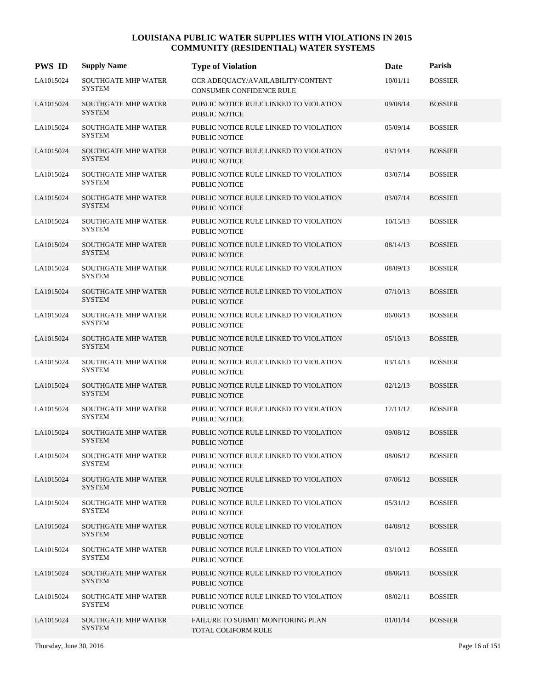| <b>PWS ID</b> | <b>Supply Name</b>                          | <b>Type of Violation</b>                                       | Date     | Parish         |
|---------------|---------------------------------------------|----------------------------------------------------------------|----------|----------------|
| LA1015024     | <b>SOUTHGATE MHP WATER</b><br><b>SYSTEM</b> | CCR ADEQUACY/AVAILABILITY/CONTENT<br>CONSUMER CONFIDENCE RULE  | 10/01/11 | <b>BOSSIER</b> |
| LA1015024     | <b>SOUTHGATE MHP WATER</b><br><b>SYSTEM</b> | PUBLIC NOTICE RULE LINKED TO VIOLATION<br><b>PUBLIC NOTICE</b> | 09/08/14 | <b>BOSSIER</b> |
| LA1015024     | <b>SOUTHGATE MHP WATER</b><br><b>SYSTEM</b> | PUBLIC NOTICE RULE LINKED TO VIOLATION<br><b>PUBLIC NOTICE</b> | 05/09/14 | <b>BOSSIER</b> |
| LA1015024     | <b>SOUTHGATE MHP WATER</b><br><b>SYSTEM</b> | PUBLIC NOTICE RULE LINKED TO VIOLATION<br><b>PUBLIC NOTICE</b> | 03/19/14 | <b>BOSSIER</b> |
| LA1015024     | <b>SOUTHGATE MHP WATER</b><br><b>SYSTEM</b> | PUBLIC NOTICE RULE LINKED TO VIOLATION<br><b>PUBLIC NOTICE</b> | 03/07/14 | <b>BOSSIER</b> |
| LA1015024     | <b>SOUTHGATE MHP WATER</b><br><b>SYSTEM</b> | PUBLIC NOTICE RULE LINKED TO VIOLATION<br><b>PUBLIC NOTICE</b> | 03/07/14 | <b>BOSSIER</b> |
| LA1015024     | <b>SOUTHGATE MHP WATER</b><br><b>SYSTEM</b> | PUBLIC NOTICE RULE LINKED TO VIOLATION<br><b>PUBLIC NOTICE</b> | 10/15/13 | <b>BOSSIER</b> |
| LA1015024     | <b>SOUTHGATE MHP WATER</b><br><b>SYSTEM</b> | PUBLIC NOTICE RULE LINKED TO VIOLATION<br><b>PUBLIC NOTICE</b> | 08/14/13 | <b>BOSSIER</b> |
| LA1015024     | <b>SOUTHGATE MHP WATER</b><br><b>SYSTEM</b> | PUBLIC NOTICE RULE LINKED TO VIOLATION<br><b>PUBLIC NOTICE</b> | 08/09/13 | <b>BOSSIER</b> |
| LA1015024     | <b>SOUTHGATE MHP WATER</b><br><b>SYSTEM</b> | PUBLIC NOTICE RULE LINKED TO VIOLATION<br><b>PUBLIC NOTICE</b> | 07/10/13 | <b>BOSSIER</b> |
| LA1015024     | <b>SOUTHGATE MHP WATER</b><br><b>SYSTEM</b> | PUBLIC NOTICE RULE LINKED TO VIOLATION<br>PUBLIC NOTICE        | 06/06/13 | <b>BOSSIER</b> |
| LA1015024     | <b>SOUTHGATE MHP WATER</b><br><b>SYSTEM</b> | PUBLIC NOTICE RULE LINKED TO VIOLATION<br><b>PUBLIC NOTICE</b> | 05/10/13 | <b>BOSSIER</b> |
| LA1015024     | <b>SOUTHGATE MHP WATER</b><br><b>SYSTEM</b> | PUBLIC NOTICE RULE LINKED TO VIOLATION<br><b>PUBLIC NOTICE</b> | 03/14/13 | <b>BOSSIER</b> |
| LA1015024     | <b>SOUTHGATE MHP WATER</b><br><b>SYSTEM</b> | PUBLIC NOTICE RULE LINKED TO VIOLATION<br><b>PUBLIC NOTICE</b> | 02/12/13 | <b>BOSSIER</b> |
| LA1015024     | <b>SOUTHGATE MHP WATER</b><br><b>SYSTEM</b> | PUBLIC NOTICE RULE LINKED TO VIOLATION<br>PUBLIC NOTICE        | 12/11/12 | <b>BOSSIER</b> |
| LA1015024     | <b>SOUTHGATE MHP WATER</b><br><b>SYSTEM</b> | PUBLIC NOTICE RULE LINKED TO VIOLATION<br><b>PUBLIC NOTICE</b> | 09/08/12 | <b>BOSSIER</b> |
| LA1015024     | SOUTHGATE MHP WATER<br><b>SYSTEM</b>        | PUBLIC NOTICE RULE LINKED TO VIOLATION<br>PUBLIC NOTICE        | 08/06/12 | <b>BOSSIER</b> |
| LA1015024     | SOUTHGATE MHP WATER<br><b>SYSTEM</b>        | PUBLIC NOTICE RULE LINKED TO VIOLATION<br><b>PUBLIC NOTICE</b> | 07/06/12 | <b>BOSSIER</b> |
| LA1015024     | <b>SOUTHGATE MHP WATER</b><br><b>SYSTEM</b> | PUBLIC NOTICE RULE LINKED TO VIOLATION<br>PUBLIC NOTICE        | 05/31/12 | <b>BOSSIER</b> |
| LA1015024     | <b>SOUTHGATE MHP WATER</b><br><b>SYSTEM</b> | PUBLIC NOTICE RULE LINKED TO VIOLATION<br>PUBLIC NOTICE        | 04/08/12 | <b>BOSSIER</b> |
| LA1015024     | SOUTHGATE MHP WATER<br><b>SYSTEM</b>        | PUBLIC NOTICE RULE LINKED TO VIOLATION<br>PUBLIC NOTICE        | 03/10/12 | <b>BOSSIER</b> |
| LA1015024     | <b>SOUTHGATE MHP WATER</b><br><b>SYSTEM</b> | PUBLIC NOTICE RULE LINKED TO VIOLATION<br><b>PUBLIC NOTICE</b> | 08/06/11 | <b>BOSSIER</b> |
| LA1015024     | <b>SOUTHGATE MHP WATER</b><br>SYSTEM        | PUBLIC NOTICE RULE LINKED TO VIOLATION<br>PUBLIC NOTICE        | 08/02/11 | <b>BOSSIER</b> |
| LA1015024     | <b>SOUTHGATE MHP WATER</b><br><b>SYSTEM</b> | FAILURE TO SUBMIT MONITORING PLAN<br>TOTAL COLIFORM RULE       | 01/01/14 | <b>BOSSIER</b> |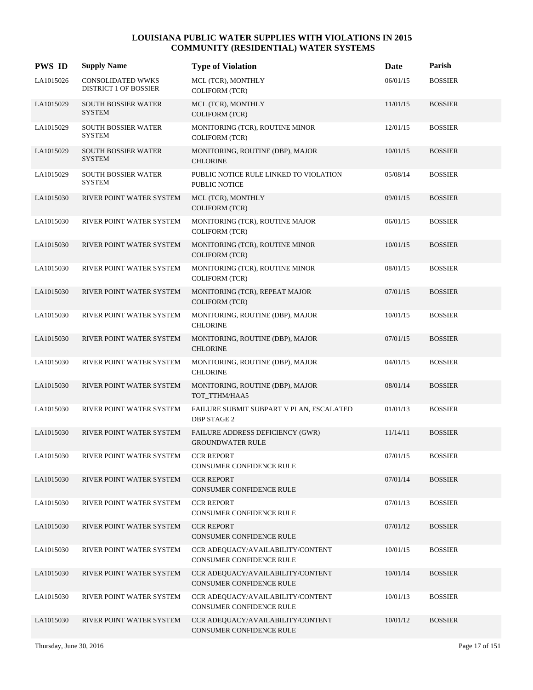| <b>PWS ID</b> | <b>Supply Name</b>                                | <b>Type of Violation</b>                                       | Date     | Parish         |
|---------------|---------------------------------------------------|----------------------------------------------------------------|----------|----------------|
| LA1015026     | CONSOLIDATED WWKS<br><b>DISTRICT 1 OF BOSSIER</b> | MCL (TCR), MONTHLY<br><b>COLIFORM (TCR)</b>                    | 06/01/15 | <b>BOSSIER</b> |
| LA1015029     | SOUTH BOSSIER WATER<br><b>SYSTEM</b>              | MCL (TCR), MONTHLY<br><b>COLIFORM (TCR)</b>                    | 11/01/15 | <b>BOSSIER</b> |
| LA1015029     | <b>SOUTH BOSSIER WATER</b><br><b>SYSTEM</b>       | MONITORING (TCR), ROUTINE MINOR<br><b>COLIFORM (TCR)</b>       | 12/01/15 | <b>BOSSIER</b> |
| LA1015029     | <b>SOUTH BOSSIER WATER</b><br><b>SYSTEM</b>       | MONITORING, ROUTINE (DBP), MAJOR<br><b>CHLORINE</b>            | 10/01/15 | <b>BOSSIER</b> |
| LA1015029     | <b>SOUTH BOSSIER WATER</b><br><b>SYSTEM</b>       | PUBLIC NOTICE RULE LINKED TO VIOLATION<br>PUBLIC NOTICE        | 05/08/14 | <b>BOSSIER</b> |
| LA1015030     | RIVER POINT WATER SYSTEM                          | MCL (TCR), MONTHLY<br><b>COLIFORM (TCR)</b>                    | 09/01/15 | <b>BOSSIER</b> |
| LA1015030     | RIVER POINT WATER SYSTEM                          | MONITORING (TCR), ROUTINE MAJOR<br><b>COLIFORM (TCR)</b>       | 06/01/15 | <b>BOSSIER</b> |
| LA1015030     | RIVER POINT WATER SYSTEM                          | MONITORING (TCR), ROUTINE MINOR<br><b>COLIFORM (TCR)</b>       | 10/01/15 | <b>BOSSIER</b> |
| LA1015030     | RIVER POINT WATER SYSTEM                          | MONITORING (TCR), ROUTINE MINOR<br><b>COLIFORM (TCR)</b>       | 08/01/15 | <b>BOSSIER</b> |
| LA1015030     | RIVER POINT WATER SYSTEM                          | MONITORING (TCR), REPEAT MAJOR<br><b>COLIFORM (TCR)</b>        | 07/01/15 | <b>BOSSIER</b> |
| LA1015030     | RIVER POINT WATER SYSTEM                          | MONITORING, ROUTINE (DBP), MAJOR<br><b>CHLORINE</b>            | 10/01/15 | <b>BOSSIER</b> |
| LA1015030     | RIVER POINT WATER SYSTEM                          | MONITORING, ROUTINE (DBP), MAJOR<br><b>CHLORINE</b>            | 07/01/15 | <b>BOSSIER</b> |
| LA1015030     | RIVER POINT WATER SYSTEM                          | MONITORING, ROUTINE (DBP), MAJOR<br><b>CHLORINE</b>            | 04/01/15 | <b>BOSSIER</b> |
| LA1015030     | RIVER POINT WATER SYSTEM                          | MONITORING, ROUTINE (DBP), MAJOR<br>TOT_TTHM/HAA5              | 08/01/14 | <b>BOSSIER</b> |
| LA1015030     | RIVER POINT WATER SYSTEM                          | FAILURE SUBMIT SUBPART V PLAN, ESCALATED<br><b>DBP STAGE 2</b> | 01/01/13 | <b>BOSSIER</b> |
| LA1015030     | RIVER POINT WATER SYSTEM                          | FAILURE ADDRESS DEFICIENCY (GWR)<br><b>GROUNDWATER RULE</b>    | 11/14/11 | <b>BOSSIER</b> |
| LA1015030     | RIVER POINT WATER SYSTEM                          | <b>CCR REPORT</b><br>CONSUMER CONFIDENCE RULE                  | 07/01/15 | <b>BOSSIER</b> |
| LA1015030     | RIVER POINT WATER SYSTEM                          | <b>CCR REPORT</b><br>CONSUMER CONFIDENCE RULE                  | 07/01/14 | <b>BOSSIER</b> |
| LA1015030     | RIVER POINT WATER SYSTEM                          | <b>CCR REPORT</b><br>CONSUMER CONFIDENCE RULE                  | 07/01/13 | <b>BOSSIER</b> |
| LA1015030     | RIVER POINT WATER SYSTEM                          | <b>CCR REPORT</b><br>CONSUMER CONFIDENCE RULE                  | 07/01/12 | <b>BOSSIER</b> |
| LA1015030     | RIVER POINT WATER SYSTEM                          | CCR ADEQUACY/AVAILABILITY/CONTENT<br>CONSUMER CONFIDENCE RULE  | 10/01/15 | <b>BOSSIER</b> |
| LA1015030     | RIVER POINT WATER SYSTEM                          | CCR ADEQUACY/AVAILABILITY/CONTENT<br>CONSUMER CONFIDENCE RULE  | 10/01/14 | <b>BOSSIER</b> |
| LA1015030     | RIVER POINT WATER SYSTEM                          | CCR ADEQUACY/AVAILABILITY/CONTENT<br>CONSUMER CONFIDENCE RULE  | 10/01/13 | <b>BOSSIER</b> |
| LA1015030     | RIVER POINT WATER SYSTEM                          | CCR ADEQUACY/AVAILABILITY/CONTENT<br>CONSUMER CONFIDENCE RULE  | 10/01/12 | <b>BOSSIER</b> |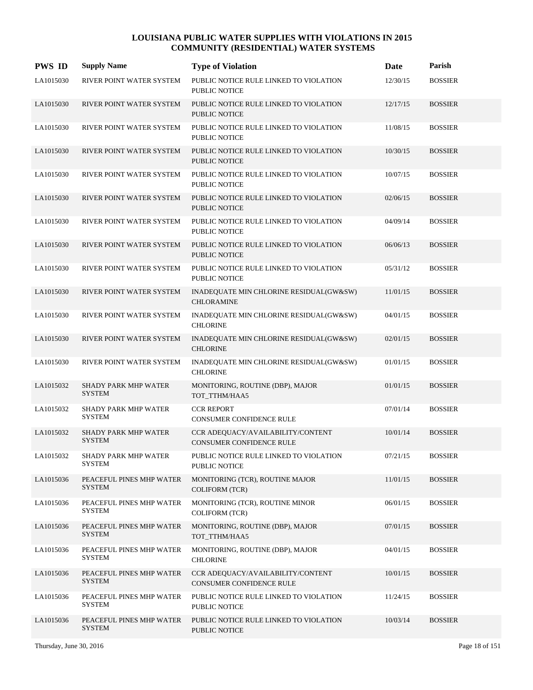| <b>PWS ID</b> | <b>Supply Name</b>                           | <b>Type of Violation</b>                                       | Date     | Parish         |
|---------------|----------------------------------------------|----------------------------------------------------------------|----------|----------------|
| LA1015030     | RIVER POINT WATER SYSTEM                     | PUBLIC NOTICE RULE LINKED TO VIOLATION<br>PUBLIC NOTICE        | 12/30/15 | <b>BOSSIER</b> |
| LA1015030     | RIVER POINT WATER SYSTEM                     | PUBLIC NOTICE RULE LINKED TO VIOLATION<br><b>PUBLIC NOTICE</b> | 12/17/15 | <b>BOSSIER</b> |
| LA1015030     | RIVER POINT WATER SYSTEM                     | PUBLIC NOTICE RULE LINKED TO VIOLATION<br>PUBLIC NOTICE        | 11/08/15 | <b>BOSSIER</b> |
| LA1015030     | RIVER POINT WATER SYSTEM                     | PUBLIC NOTICE RULE LINKED TO VIOLATION<br><b>PUBLIC NOTICE</b> | 10/30/15 | <b>BOSSIER</b> |
| LA1015030     | RIVER POINT WATER SYSTEM                     | PUBLIC NOTICE RULE LINKED TO VIOLATION<br><b>PUBLIC NOTICE</b> | 10/07/15 | <b>BOSSIER</b> |
| LA1015030     | RIVER POINT WATER SYSTEM                     | PUBLIC NOTICE RULE LINKED TO VIOLATION<br>PUBLIC NOTICE        | 02/06/15 | <b>BOSSIER</b> |
| LA1015030     | RIVER POINT WATER SYSTEM                     | PUBLIC NOTICE RULE LINKED TO VIOLATION<br>PUBLIC NOTICE        | 04/09/14 | <b>BOSSIER</b> |
| LA1015030     | RIVER POINT WATER SYSTEM                     | PUBLIC NOTICE RULE LINKED TO VIOLATION<br><b>PUBLIC NOTICE</b> | 06/06/13 | <b>BOSSIER</b> |
| LA1015030     | RIVER POINT WATER SYSTEM                     | PUBLIC NOTICE RULE LINKED TO VIOLATION<br><b>PUBLIC NOTICE</b> | 05/31/12 | <b>BOSSIER</b> |
| LA1015030     | RIVER POINT WATER SYSTEM                     | INADEQUATE MIN CHLORINE RESIDUAL(GW&SW)<br><b>CHLORAMINE</b>   | 11/01/15 | <b>BOSSIER</b> |
| LA1015030     | RIVER POINT WATER SYSTEM                     | INADEQUATE MIN CHLORINE RESIDUAL(GW&SW)<br><b>CHLORINE</b>     | 04/01/15 | <b>BOSSIER</b> |
| LA1015030     | RIVER POINT WATER SYSTEM                     | INADEQUATE MIN CHLORINE RESIDUAL(GW&SW)<br><b>CHLORINE</b>     | 02/01/15 | <b>BOSSIER</b> |
| LA1015030     | RIVER POINT WATER SYSTEM                     | INADEQUATE MIN CHLORINE RESIDUAL(GW&SW)<br><b>CHLORINE</b>     | 01/01/15 | <b>BOSSIER</b> |
| LA1015032     | SHADY PARK MHP WATER<br><b>SYSTEM</b>        | MONITORING, ROUTINE (DBP), MAJOR<br>TOT_TTHM/HAA5              | 01/01/15 | <b>BOSSIER</b> |
| LA1015032     | <b>SHADY PARK MHP WATER</b><br><b>SYSTEM</b> | <b>CCR REPORT</b><br>CONSUMER CONFIDENCE RULE                  | 07/01/14 | <b>BOSSIER</b> |
| LA1015032     | <b>SHADY PARK MHP WATER</b><br><b>SYSTEM</b> | CCR ADEQUACY/AVAILABILITY/CONTENT<br>CONSUMER CONFIDENCE RULE  | 10/01/14 | <b>BOSSIER</b> |
| LA1015032     | <b>SHADY PARK MHP WATER</b><br><b>SYSTEM</b> | PUBLIC NOTICE RULE LINKED TO VIOLATION<br>PUBLIC NOTICE        | 07/21/15 | <b>BOSSIER</b> |
| LA1015036     | PEACEFUL PINES MHP WATER<br><b>SYSTEM</b>    | MONITORING (TCR), ROUTINE MAJOR<br><b>COLIFORM (TCR)</b>       | 11/01/15 | <b>BOSSIER</b> |
| LA1015036     | PEACEFUL PINES MHP WATER<br><b>SYSTEM</b>    | MONITORING (TCR), ROUTINE MINOR<br><b>COLIFORM (TCR)</b>       | 06/01/15 | <b>BOSSIER</b> |
| LA1015036     | PEACEFUL PINES MHP WATER<br><b>SYSTEM</b>    | MONITORING, ROUTINE (DBP), MAJOR<br>TOT_TTHM/HAA5              | 07/01/15 | <b>BOSSIER</b> |
| LA1015036     | PEACEFUL PINES MHP WATER<br><b>SYSTEM</b>    | MONITORING, ROUTINE (DBP), MAJOR<br><b>CHLORINE</b>            | 04/01/15 | <b>BOSSIER</b> |
| LA1015036     | PEACEFUL PINES MHP WATER<br><b>SYSTEM</b>    | CCR ADEQUACY/AVAILABILITY/CONTENT<br>CONSUMER CONFIDENCE RULE  | 10/01/15 | <b>BOSSIER</b> |
| LA1015036     | PEACEFUL PINES MHP WATER<br><b>SYSTEM</b>    | PUBLIC NOTICE RULE LINKED TO VIOLATION<br>PUBLIC NOTICE        | 11/24/15 | <b>BOSSIER</b> |
| LA1015036     | PEACEFUL PINES MHP WATER<br><b>SYSTEM</b>    | PUBLIC NOTICE RULE LINKED TO VIOLATION<br>PUBLIC NOTICE        | 10/03/14 | <b>BOSSIER</b> |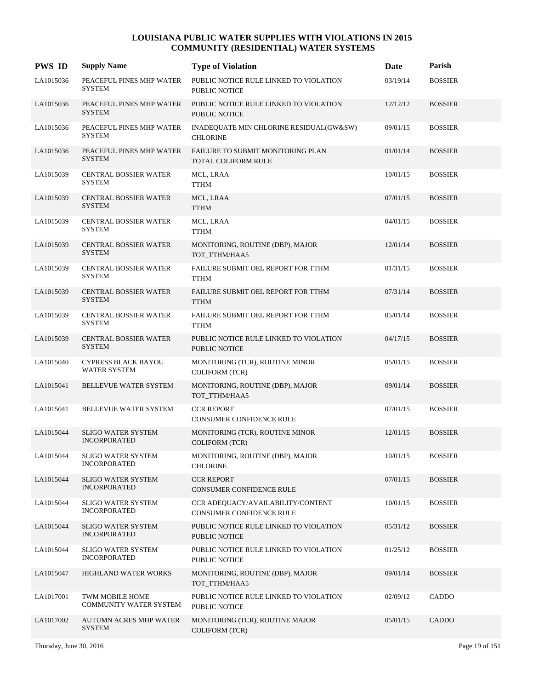| <b>PWS ID</b> | <b>Supply Name</b>                                | <b>Type of Violation</b>                                       | Date     | Parish         |
|---------------|---------------------------------------------------|----------------------------------------------------------------|----------|----------------|
| LA1015036     | PEACEFUL PINES MHP WATER<br><b>SYSTEM</b>         | PUBLIC NOTICE RULE LINKED TO VIOLATION<br><b>PUBLIC NOTICE</b> | 03/19/14 | <b>BOSSIER</b> |
| LA1015036     | PEACEFUL PINES MHP WATER<br><b>SYSTEM</b>         | PUBLIC NOTICE RULE LINKED TO VIOLATION<br><b>PUBLIC NOTICE</b> | 12/12/12 | <b>BOSSIER</b> |
| LA1015036     | PEACEFUL PINES MHP WATER<br><b>SYSTEM</b>         | INADEQUATE MIN CHLORINE RESIDUAL(GW&SW)<br><b>CHLORINE</b>     | 09/01/15 | <b>BOSSIER</b> |
| LA1015036     | PEACEFUL PINES MHP WATER<br><b>SYSTEM</b>         | FAILURE TO SUBMIT MONITORING PLAN<br>TOTAL COLIFORM RULE       | 01/01/14 | <b>BOSSIER</b> |
| LA1015039     | <b>CENTRAL BOSSIER WATER</b><br><b>SYSTEM</b>     | MCL, LRAA<br><b>TTHM</b>                                       | 10/01/15 | <b>BOSSIER</b> |
| LA1015039     | CENTRAL BOSSIER WATER<br><b>SYSTEM</b>            | MCL, LRAA<br><b>TTHM</b>                                       | 07/01/15 | <b>BOSSIER</b> |
| LA1015039     | CENTRAL BOSSIER WATER<br><b>SYSTEM</b>            | MCL, LRAA<br><b>TTHM</b>                                       | 04/01/15 | <b>BOSSIER</b> |
| LA1015039     | CENTRAL BOSSIER WATER<br><b>SYSTEM</b>            | MONITORING, ROUTINE (DBP), MAJOR<br>TOT TTHM/HAA5              | 12/01/14 | <b>BOSSIER</b> |
| LA1015039     | CENTRAL BOSSIER WATER<br><b>SYSTEM</b>            | FAILURE SUBMIT OEL REPORT FOR TTHM<br><b>TTHM</b>              | 01/31/15 | <b>BOSSIER</b> |
| LA1015039     | CENTRAL BOSSIER WATER<br><b>SYSTEM</b>            | FAILURE SUBMIT OEL REPORT FOR TTHM<br><b>TTHM</b>              | 07/31/14 | <b>BOSSIER</b> |
| LA1015039     | CENTRAL BOSSIER WATER<br><b>SYSTEM</b>            | FAILURE SUBMIT OEL REPORT FOR TTHM<br><b>TTHM</b>              | 05/01/14 | <b>BOSSIER</b> |
| LA1015039     | <b>CENTRAL BOSSIER WATER</b><br><b>SYSTEM</b>     | PUBLIC NOTICE RULE LINKED TO VIOLATION<br><b>PUBLIC NOTICE</b> | 04/17/15 | <b>BOSSIER</b> |
| LA1015040     | <b>CYPRESS BLACK BAYOU</b><br><b>WATER SYSTEM</b> | MONITORING (TCR), ROUTINE MINOR<br><b>COLIFORM (TCR)</b>       | 05/01/15 | <b>BOSSIER</b> |
| LA1015041     | BELLEVUE WATER SYSTEM                             | MONITORING, ROUTINE (DBP), MAJOR<br>TOT TTHM/HAA5              | 09/01/14 | <b>BOSSIER</b> |
| LA1015041     | BELLEVUE WATER SYSTEM                             | <b>CCR REPORT</b><br>CONSUMER CONFIDENCE RULE                  | 07/01/15 | <b>BOSSIER</b> |
| LA1015044     | <b>SLIGO WATER SYSTEM</b><br><b>INCORPORATED</b>  | MONITORING (TCR), ROUTINE MINOR<br><b>COLIFORM (TCR)</b>       | 12/01/15 | <b>BOSSIER</b> |
| LA1015044     | <b>SLIGO WATER SYSTEM</b><br><b>INCORPORATED</b>  | MONITORING, ROUTINE (DBP), MAJOR<br><b>CHLORINE</b>            | 10/01/15 | <b>BOSSIER</b> |
| LA1015044     | <b>SLIGO WATER SYSTEM</b><br><b>INCORPORATED</b>  | <b>CCR REPORT</b><br>CONSUMER CONFIDENCE RULE                  | 07/01/15 | <b>BOSSIER</b> |
| LA1015044     | <b>SLIGO WATER SYSTEM</b><br><b>INCORPORATED</b>  | CCR ADEQUACY/AVAILABILITY/CONTENT<br>CONSUMER CONFIDENCE RULE  | 10/01/15 | <b>BOSSIER</b> |
| LA1015044     | <b>SLIGO WATER SYSTEM</b><br><b>INCORPORATED</b>  | PUBLIC NOTICE RULE LINKED TO VIOLATION<br>PUBLIC NOTICE        | 05/31/12 | <b>BOSSIER</b> |
| LA1015044     | <b>SLIGO WATER SYSTEM</b><br><b>INCORPORATED</b>  | PUBLIC NOTICE RULE LINKED TO VIOLATION<br>PUBLIC NOTICE        | 01/25/12 | <b>BOSSIER</b> |
| LA1015047     | HIGHLAND WATER WORKS                              | MONITORING, ROUTINE (DBP), MAJOR<br>TOT_TTHM/HAA5              | 09/01/14 | <b>BOSSIER</b> |
| LA1017001     | TWM MOBILE HOME<br><b>COMMUNITY WATER SYSTEM</b>  | PUBLIC NOTICE RULE LINKED TO VIOLATION<br>PUBLIC NOTICE        | 02/09/12 | CADDO          |
| LA1017002     | AUTUMN ACRES MHP WATER<br><b>SYSTEM</b>           | MONITORING (TCR), ROUTINE MAJOR<br><b>COLIFORM (TCR)</b>       | 05/01/15 | CADDO          |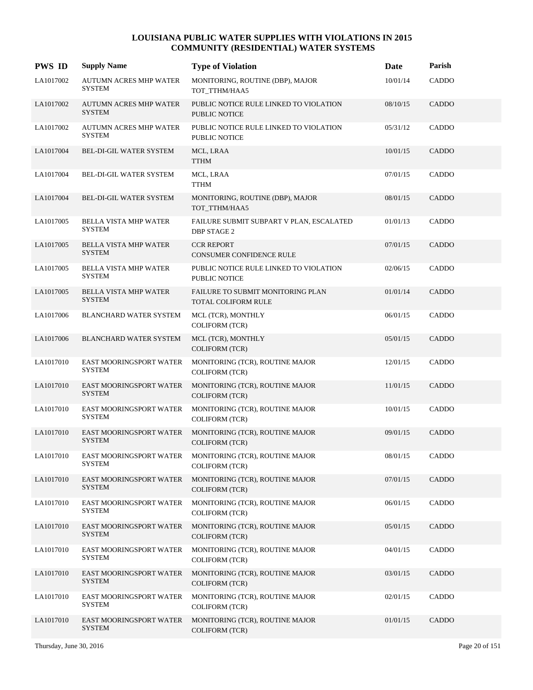| <b>PWS ID</b> | <b>Supply Name</b>                             | <b>Type of Violation</b>                                       | Date     | Parish       |
|---------------|------------------------------------------------|----------------------------------------------------------------|----------|--------------|
| LA1017002     | <b>AUTUMN ACRES MHP WATER</b><br><b>SYSTEM</b> | MONITORING, ROUTINE (DBP), MAJOR<br>TOT_TTHM/HAA5              | 10/01/14 | CADDO        |
| LA1017002     | <b>AUTUMN ACRES MHP WATER</b><br><b>SYSTEM</b> | PUBLIC NOTICE RULE LINKED TO VIOLATION<br><b>PUBLIC NOTICE</b> | 08/10/15 | CADDO        |
| LA1017002     | <b>AUTUMN ACRES MHP WATER</b><br><b>SYSTEM</b> | PUBLIC NOTICE RULE LINKED TO VIOLATION<br>PUBLIC NOTICE        | 05/31/12 | CADDO        |
| LA1017004     | <b>BEL-DI-GIL WATER SYSTEM</b>                 | MCL, LRAA<br><b>TTHM</b>                                       | 10/01/15 | <b>CADDO</b> |
| LA1017004     | BEL-DI-GIL WATER SYSTEM                        | MCL, LRAA<br><b>TTHM</b>                                       | 07/01/15 | CADDO        |
| LA1017004     | <b>BEL-DI-GIL WATER SYSTEM</b>                 | MONITORING, ROUTINE (DBP), MAJOR<br>TOT_TTHM/HAA5              | 08/01/15 | <b>CADDO</b> |
| LA1017005     | BELLA VISTA MHP WATER<br><b>SYSTEM</b>         | FAILURE SUBMIT SUBPART V PLAN, ESCALATED<br>DBP STAGE 2        | 01/01/13 | CADDO        |
| LA1017005     | <b>BELLA VISTA MHP WATER</b><br><b>SYSTEM</b>  | <b>CCR REPORT</b><br><b>CONSUMER CONFIDENCE RULE</b>           | 07/01/15 | CADDO        |
| LA1017005     | <b>BELLA VISTA MHP WATER</b><br><b>SYSTEM</b>  | PUBLIC NOTICE RULE LINKED TO VIOLATION<br>PUBLIC NOTICE        | 02/06/15 | CADDO        |
| LA1017005     | BELLA VISTA MHP WATER<br><b>SYSTEM</b>         | FAILURE TO SUBMIT MONITORING PLAN<br>TOTAL COLIFORM RULE       | 01/01/14 | CADDO        |
| LA1017006     | <b>BLANCHARD WATER SYSTEM</b>                  | MCL (TCR), MONTHLY<br><b>COLIFORM (TCR)</b>                    | 06/01/15 | CADDO        |
| LA1017006     | <b>BLANCHARD WATER SYSTEM</b>                  | MCL (TCR), MONTHLY<br><b>COLIFORM (TCR)</b>                    | 05/01/15 | CADDO        |
| LA1017010     | EAST MOORINGSPORT WATER<br><b>SYSTEM</b>       | MONITORING (TCR), ROUTINE MAJOR<br><b>COLIFORM (TCR)</b>       | 12/01/15 | CADDO        |
| LA1017010     | EAST MOORINGSPORT WATER<br><b>SYSTEM</b>       | MONITORING (TCR), ROUTINE MAJOR<br><b>COLIFORM (TCR)</b>       | 11/01/15 | CADDO        |
| LA1017010     | EAST MOORINGSPORT WATER<br><b>SYSTEM</b>       | MONITORING (TCR), ROUTINE MAJOR<br><b>COLIFORM (TCR)</b>       | 10/01/15 | CADDO        |
| LA1017010     | EAST MOORINGSPORT WATER<br><b>SYSTEM</b>       | MONITORING (TCR), ROUTINE MAJOR<br><b>COLIFORM (TCR)</b>       | 09/01/15 | CADDO        |
| LA1017010     | EAST MOORINGSPORT WATER<br><b>SYSTEM</b>       | MONITORING (TCR), ROUTINE MAJOR<br><b>COLIFORM (TCR)</b>       | 08/01/15 | CADDO        |
| LA1017010     | EAST MOORINGSPORT WATER<br><b>SYSTEM</b>       | MONITORING (TCR), ROUTINE MAJOR<br><b>COLIFORM (TCR)</b>       | 07/01/15 | CADDO        |
| LA1017010     | EAST MOORINGSPORT WATER<br>SYSTEM              | MONITORING (TCR), ROUTINE MAJOR<br>COLIFORM (TCR)              | 06/01/15 | CADDO        |
| LA1017010     | EAST MOORINGSPORT WATER<br><b>SYSTEM</b>       | MONITORING (TCR), ROUTINE MAJOR<br><b>COLIFORM (TCR)</b>       | 05/01/15 | CADDO        |
| LA1017010     | EAST MOORINGSPORT WATER<br><b>SYSTEM</b>       | MONITORING (TCR), ROUTINE MAJOR<br>COLIFORM (TCR)              | 04/01/15 | CADDO        |
| LA1017010     | EAST MOORINGSPORT WATER<br><b>SYSTEM</b>       | MONITORING (TCR), ROUTINE MAJOR<br><b>COLIFORM (TCR)</b>       | 03/01/15 | CADDO        |
| LA1017010     | EAST MOORINGSPORT WATER<br><b>SYSTEM</b>       | MONITORING (TCR), ROUTINE MAJOR<br>COLIFORM (TCR)              | 02/01/15 | CADDO        |
| LA1017010     | EAST MOORINGSPORT WATER<br><b>SYSTEM</b>       | MONITORING (TCR), ROUTINE MAJOR<br><b>COLIFORM (TCR)</b>       | 01/01/15 | CADDO        |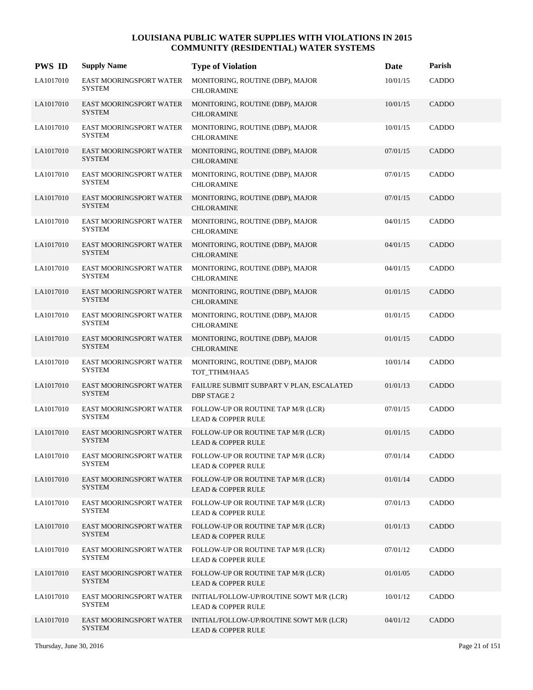| <b>PWS ID</b> | <b>Supply Name</b>                              | <b>Type of Violation</b>                                                  | Date     | Parish       |
|---------------|-------------------------------------------------|---------------------------------------------------------------------------|----------|--------------|
| LA1017010     | <b>EAST MOORINGSPORT WATER</b><br><b>SYSTEM</b> | MONITORING, ROUTINE (DBP), MAJOR<br><b>CHLORAMINE</b>                     | 10/01/15 | CADDO        |
| LA1017010     | EAST MOORINGSPORT WATER<br><b>SYSTEM</b>        | MONITORING, ROUTINE (DBP), MAJOR<br><b>CHLORAMINE</b>                     | 10/01/15 | CADDO        |
| LA1017010     | EAST MOORINGSPORT WATER<br><b>SYSTEM</b>        | MONITORING, ROUTINE (DBP), MAJOR<br><b>CHLORAMINE</b>                     | 10/01/15 | CADDO        |
| LA1017010     | EAST MOORINGSPORT WATER<br><b>SYSTEM</b>        | MONITORING, ROUTINE (DBP), MAJOR<br><b>CHLORAMINE</b>                     | 07/01/15 | CADDO        |
| LA1017010     | EAST MOORINGSPORT WATER<br><b>SYSTEM</b>        | MONITORING, ROUTINE (DBP), MAJOR<br><b>CHLORAMINE</b>                     | 07/01/15 | CADDO        |
| LA1017010     | EAST MOORINGSPORT WATER<br><b>SYSTEM</b>        | MONITORING, ROUTINE (DBP), MAJOR<br>CHLORAMINE                            | 07/01/15 | CADDO        |
| LA1017010     | EAST MOORINGSPORT WATER<br><b>SYSTEM</b>        | MONITORING, ROUTINE (DBP), MAJOR<br><b>CHLORAMINE</b>                     | 04/01/15 | CADDO        |
| LA1017010     | EAST MOORINGSPORT WATER<br><b>SYSTEM</b>        | MONITORING, ROUTINE (DBP), MAJOR<br><b>CHLORAMINE</b>                     | 04/01/15 | <b>CADDO</b> |
| LA1017010     | EAST MOORINGSPORT WATER<br><b>SYSTEM</b>        | MONITORING, ROUTINE (DBP), MAJOR<br><b>CHLORAMINE</b>                     | 04/01/15 | CADDO        |
| LA1017010     | EAST MOORINGSPORT WATER<br><b>SYSTEM</b>        | MONITORING, ROUTINE (DBP), MAJOR<br><b>CHLORAMINE</b>                     | 01/01/15 | CADDO        |
| LA1017010     | EAST MOORINGSPORT WATER<br><b>SYSTEM</b>        | MONITORING, ROUTINE (DBP), MAJOR<br><b>CHLORAMINE</b>                     | 01/01/15 | CADDO        |
| LA1017010     | EAST MOORINGSPORT WATER<br><b>SYSTEM</b>        | MONITORING, ROUTINE (DBP), MAJOR<br><b>CHLORAMINE</b>                     | 01/01/15 | <b>CADDO</b> |
| LA1017010     | EAST MOORINGSPORT WATER<br><b>SYSTEM</b>        | MONITORING, ROUTINE (DBP), MAJOR<br>TOT_TTHM/HAA5                         | 10/01/14 | CADDO        |
| LA1017010     | EAST MOORINGSPORT WATER<br><b>SYSTEM</b>        | FAILURE SUBMIT SUBPART V PLAN, ESCALATED<br><b>DBP STAGE 2</b>            | 01/01/13 | CADDO        |
| LA1017010     | EAST MOORINGSPORT WATER<br><b>SYSTEM</b>        | FOLLOW-UP OR ROUTINE TAP M/R (LCR)<br><b>LEAD &amp; COPPER RULE</b>       | 07/01/15 | CADDO        |
| LA1017010     | <b>EAST MOORINGSPORT WATER</b><br><b>SYSTEM</b> | FOLLOW-UP OR ROUTINE TAP M/R (LCR)<br><b>LEAD &amp; COPPER RULE</b>       | 01/01/15 | <b>CADDO</b> |
| LA1017010     | EAST MOORINGSPORT WATER<br><b>SYSTEM</b>        | FOLLOW-UP OR ROUTINE TAP M/R (LCR)<br>LEAD & COPPER RULE                  | 07/01/14 | CADDO        |
| LA1017010     | EAST MOORINGSPORT WATER<br><b>SYSTEM</b>        | FOLLOW-UP OR ROUTINE TAP M/R (LCR)<br>LEAD & COPPER RULE                  | 01/01/14 | CADDO        |
| LA1017010     | EAST MOORINGSPORT WATER<br><b>SYSTEM</b>        | FOLLOW-UP OR ROUTINE TAP M/R (LCR)<br>LEAD & COPPER RULE                  | 07/01/13 | CADDO        |
| LA1017010     | EAST MOORINGSPORT WATER<br><b>SYSTEM</b>        | FOLLOW-UP OR ROUTINE TAP M/R (LCR)<br><b>LEAD &amp; COPPER RULE</b>       | 01/01/13 | CADDO        |
| LA1017010     | EAST MOORINGSPORT WATER<br><b>SYSTEM</b>        | FOLLOW-UP OR ROUTINE TAP M/R (LCR)<br><b>LEAD &amp; COPPER RULE</b>       | 07/01/12 | CADDO        |
| LA1017010     | EAST MOORINGSPORT WATER<br><b>SYSTEM</b>        | FOLLOW-UP OR ROUTINE TAP M/R (LCR)<br><b>LEAD &amp; COPPER RULE</b>       | 01/01/05 | CADDO        |
| LA1017010     | EAST MOORINGSPORT WATER<br><b>SYSTEM</b>        | INITIAL/FOLLOW-UP/ROUTINE SOWT M/R (LCR)<br><b>LEAD &amp; COPPER RULE</b> | 10/01/12 | CADDO        |
| LA1017010     | EAST MOORINGSPORT WATER<br><b>SYSTEM</b>        | INITIAL/FOLLOW-UP/ROUTINE SOWT M/R (LCR)<br><b>LEAD &amp; COPPER RULE</b> | 04/01/12 | CADDO        |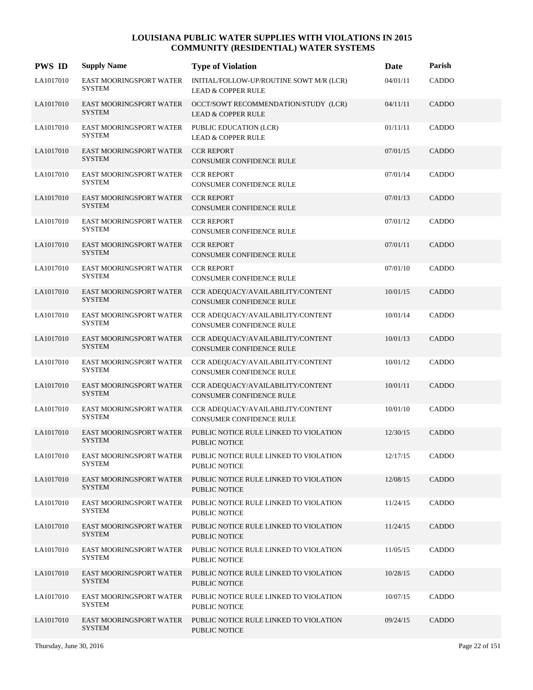| <b>PWS ID</b> | <b>Supply Name</b>                              | <b>Type of Violation</b>                                                  | Date     | Parish       |
|---------------|-------------------------------------------------|---------------------------------------------------------------------------|----------|--------------|
| LA1017010     | EAST MOORINGSPORT WATER<br><b>SYSTEM</b>        | INITIAL/FOLLOW-UP/ROUTINE SOWT M/R (LCR)<br><b>LEAD &amp; COPPER RULE</b> | 04/01/11 | CADDO        |
| LA1017010     | EAST MOORINGSPORT WATER<br><b>SYSTEM</b>        | OCCT/SOWT RECOMMENDATION/STUDY (LCR)<br><b>LEAD &amp; COPPER RULE</b>     | 04/11/11 | CADDO        |
| LA1017010     | EAST MOORINGSPORT WATER<br><b>SYSTEM</b>        | PUBLIC EDUCATION (LCR)<br><b>LEAD &amp; COPPER RULE</b>                   | 01/11/11 | CADDO        |
| LA1017010     | <b>EAST MOORINGSPORT WATER</b><br><b>SYSTEM</b> | <b>CCR REPORT</b><br>CONSUMER CONFIDENCE RULE                             | 07/01/15 | CADDO        |
| LA1017010     | EAST MOORINGSPORT WATER<br><b>SYSTEM</b>        | <b>CCR REPORT</b><br>CONSUMER CONFIDENCE RULE                             | 07/01/14 | CADDO        |
| LA1017010     | EAST MOORINGSPORT WATER<br><b>SYSTEM</b>        | <b>CCR REPORT</b><br>CONSUMER CONFIDENCE RULE                             | 07/01/13 | CADDO        |
| LA1017010     | EAST MOORINGSPORT WATER<br><b>SYSTEM</b>        | <b>CCR REPORT</b><br>CONSUMER CONFIDENCE RULE                             | 07/01/12 | CADDO        |
| LA1017010     | <b>EAST MOORINGSPORT WATER</b><br><b>SYSTEM</b> | <b>CCR REPORT</b><br><b>CONSUMER CONFIDENCE RULE</b>                      | 07/01/11 | CADDO        |
| LA1017010     | EAST MOORINGSPORT WATER<br><b>SYSTEM</b>        | <b>CCR REPORT</b><br>CONSUMER CONFIDENCE RULE                             | 07/01/10 | CADDO        |
| LA1017010     | EAST MOORINGSPORT WATER<br><b>SYSTEM</b>        | CCR ADEQUACY/AVAILABILITY/CONTENT<br>CONSUMER CONFIDENCE RULE             | 10/01/15 | CADDO        |
| LA1017010     | EAST MOORINGSPORT WATER<br><b>SYSTEM</b>        | CCR ADEQUACY/AVAILABILITY/CONTENT<br>CONSUMER CONFIDENCE RULE             | 10/01/14 | CADDO        |
| LA1017010     | EAST MOORINGSPORT WATER<br><b>SYSTEM</b>        | CCR ADEQUACY/AVAILABILITY/CONTENT<br>CONSUMER CONFIDENCE RULE             | 10/01/13 | <b>CADDO</b> |
| LA1017010     | EAST MOORINGSPORT WATER<br><b>SYSTEM</b>        | CCR ADEQUACY/AVAILABILITY/CONTENT<br>CONSUMER CONFIDENCE RULE             | 10/01/12 | CADDO        |
| LA1017010     | EAST MOORINGSPORT WATER<br><b>SYSTEM</b>        | CCR ADEQUACY/AVAILABILITY/CONTENT<br>CONSUMER CONFIDENCE RULE             | 10/01/11 | CADDO        |
| LA1017010     | EAST MOORINGSPORT WATER<br><b>SYSTEM</b>        | CCR ADEQUACY/AVAILABILITY/CONTENT<br>CONSUMER CONFIDENCE RULE             | 10/01/10 | CADDO        |
| LA1017010     | <b>EAST MOORINGSPORT WATER</b><br><b>SYSTEM</b> | PUBLIC NOTICE RULE LINKED TO VIOLATION<br>PUBLIC NOTICE                   | 12/30/15 | CADDO        |
| LA1017010     | EAST MOORINGSPORT WATER<br><b>SYSTEM</b>        | PUBLIC NOTICE RULE LINKED TO VIOLATION<br>PUBLIC NOTICE                   | 12/17/15 | CADDO        |
| LA1017010     | EAST MOORINGSPORT WATER<br><b>SYSTEM</b>        | PUBLIC NOTICE RULE LINKED TO VIOLATION<br>PUBLIC NOTICE                   | 12/08/15 | CADDO        |
| LA1017010     | EAST MOORINGSPORT WATER<br><b>SYSTEM</b>        | PUBLIC NOTICE RULE LINKED TO VIOLATION<br>PUBLIC NOTICE                   | 11/24/15 | CADDO        |
| LA1017010     | EAST MOORINGSPORT WATER<br><b>SYSTEM</b>        | PUBLIC NOTICE RULE LINKED TO VIOLATION<br>PUBLIC NOTICE                   | 11/24/15 | CADDO        |
| LA1017010     | EAST MOORINGSPORT WATER<br><b>SYSTEM</b>        | PUBLIC NOTICE RULE LINKED TO VIOLATION<br>PUBLIC NOTICE                   | 11/05/15 | CADDO        |
| LA1017010     | EAST MOORINGSPORT WATER<br><b>SYSTEM</b>        | PUBLIC NOTICE RULE LINKED TO VIOLATION<br>PUBLIC NOTICE                   | 10/28/15 | CADDO        |
| LA1017010     | <b>EAST MOORINGSPORT WATER</b><br><b>SYSTEM</b> | PUBLIC NOTICE RULE LINKED TO VIOLATION<br>PUBLIC NOTICE                   | 10/07/15 | CADDO        |
| LA1017010     | EAST MOORINGSPORT WATER<br><b>SYSTEM</b>        | PUBLIC NOTICE RULE LINKED TO VIOLATION<br>PUBLIC NOTICE                   | 09/24/15 | CADDO        |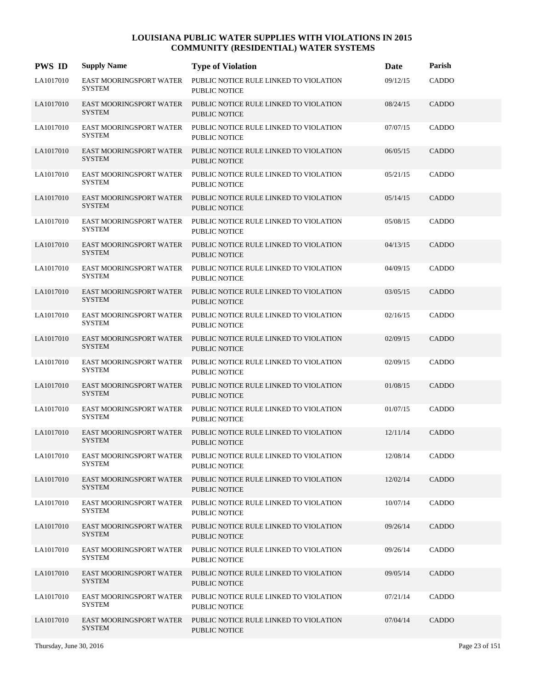| <b>PWS ID</b> | <b>Supply Name</b>                              | <b>Type of Violation</b>                                       | Date     | Parish       |
|---------------|-------------------------------------------------|----------------------------------------------------------------|----------|--------------|
| LA1017010     | <b>EAST MOORINGSPORT WATER</b><br><b>SYSTEM</b> | PUBLIC NOTICE RULE LINKED TO VIOLATION<br><b>PUBLIC NOTICE</b> | 09/12/15 | CADDO        |
| LA1017010     | EAST MOORINGSPORT WATER<br><b>SYSTEM</b>        | PUBLIC NOTICE RULE LINKED TO VIOLATION<br><b>PUBLIC NOTICE</b> | 08/24/15 | CADDO        |
| LA1017010     | EAST MOORINGSPORT WATER<br><b>SYSTEM</b>        | PUBLIC NOTICE RULE LINKED TO VIOLATION<br><b>PUBLIC NOTICE</b> | 07/07/15 | CADDO        |
| LA1017010     | <b>EAST MOORINGSPORT WATER</b><br><b>SYSTEM</b> | PUBLIC NOTICE RULE LINKED TO VIOLATION<br><b>PUBLIC NOTICE</b> | 06/05/15 | CADDO        |
| LA1017010     | EAST MOORINGSPORT WATER<br><b>SYSTEM</b>        | PUBLIC NOTICE RULE LINKED TO VIOLATION<br><b>PUBLIC NOTICE</b> | 05/21/15 | CADDO        |
| LA1017010     | EAST MOORINGSPORT WATER<br><b>SYSTEM</b>        | PUBLIC NOTICE RULE LINKED TO VIOLATION<br><b>PUBLIC NOTICE</b> | 05/14/15 | <b>CADDO</b> |
| LA1017010     | EAST MOORINGSPORT WATER<br><b>SYSTEM</b>        | PUBLIC NOTICE RULE LINKED TO VIOLATION<br><b>PUBLIC NOTICE</b> | 05/08/15 | CADDO        |
| LA1017010     | <b>EAST MOORINGSPORT WATER</b><br><b>SYSTEM</b> | PUBLIC NOTICE RULE LINKED TO VIOLATION<br><b>PUBLIC NOTICE</b> | 04/13/15 | CADDO        |
| LA1017010     | EAST MOORINGSPORT WATER<br><b>SYSTEM</b>        | PUBLIC NOTICE RULE LINKED TO VIOLATION<br>PUBLIC NOTICE        | 04/09/15 | CADDO        |
| LA1017010     | EAST MOORINGSPORT WATER<br><b>SYSTEM</b>        | PUBLIC NOTICE RULE LINKED TO VIOLATION<br><b>PUBLIC NOTICE</b> | 03/05/15 | <b>CADDO</b> |
| LA1017010     | EAST MOORINGSPORT WATER<br><b>SYSTEM</b>        | PUBLIC NOTICE RULE LINKED TO VIOLATION<br>PUBLIC NOTICE        | 02/16/15 | CADDO        |
| LA1017010     | EAST MOORINGSPORT WATER<br><b>SYSTEM</b>        | PUBLIC NOTICE RULE LINKED TO VIOLATION<br><b>PUBLIC NOTICE</b> | 02/09/15 | CADDO        |
| LA1017010     | EAST MOORINGSPORT WATER<br><b>SYSTEM</b>        | PUBLIC NOTICE RULE LINKED TO VIOLATION<br><b>PUBLIC NOTICE</b> | 02/09/15 | CADDO        |
| LA1017010     | EAST MOORINGSPORT WATER<br><b>SYSTEM</b>        | PUBLIC NOTICE RULE LINKED TO VIOLATION<br><b>PUBLIC NOTICE</b> | 01/08/15 | CADDO        |
| LA1017010     | EAST MOORINGSPORT WATER<br><b>SYSTEM</b>        | PUBLIC NOTICE RULE LINKED TO VIOLATION<br>PUBLIC NOTICE        | 01/07/15 | <b>CADDO</b> |
| LA1017010     | <b>EAST MOORINGSPORT WATER</b><br><b>SYSTEM</b> | PUBLIC NOTICE RULE LINKED TO VIOLATION<br><b>PUBLIC NOTICE</b> | 12/11/14 | <b>CADDO</b> |
| LA1017010     | EAST MOORINGSPORT WATER<br><b>SYSTEM</b>        | PUBLIC NOTICE RULE LINKED TO VIOLATION<br>PUBLIC NOTICE        | 12/08/14 | CADDO        |
| LA1017010     | <b>EAST MOORINGSPORT WATER</b><br><b>SYSTEM</b> | PUBLIC NOTICE RULE LINKED TO VIOLATION<br>PUBLIC NOTICE        | 12/02/14 | <b>CADDO</b> |
| LA1017010     | EAST MOORINGSPORT WATER<br><b>SYSTEM</b>        | PUBLIC NOTICE RULE LINKED TO VIOLATION<br>PUBLIC NOTICE        | 10/07/14 | CADDO        |
| LA1017010     | <b>EAST MOORINGSPORT WATER</b><br><b>SYSTEM</b> | PUBLIC NOTICE RULE LINKED TO VIOLATION<br>PUBLIC NOTICE        | 09/26/14 | CADDO        |
| LA1017010     | EAST MOORINGSPORT WATER<br><b>SYSTEM</b>        | PUBLIC NOTICE RULE LINKED TO VIOLATION<br>PUBLIC NOTICE        | 09/26/14 | CADDO        |
| LA1017010     | EAST MOORINGSPORT WATER<br><b>SYSTEM</b>        | PUBLIC NOTICE RULE LINKED TO VIOLATION<br>PUBLIC NOTICE        | 09/05/14 | CADDO        |
| LA1017010     | EAST MOORINGSPORT WATER<br><b>SYSTEM</b>        | PUBLIC NOTICE RULE LINKED TO VIOLATION<br>PUBLIC NOTICE        | 07/21/14 | CADDO        |
| LA1017010     | <b>EAST MOORINGSPORT WATER</b><br><b>SYSTEM</b> | PUBLIC NOTICE RULE LINKED TO VIOLATION<br><b>PUBLIC NOTICE</b> | 07/04/14 | CADDO        |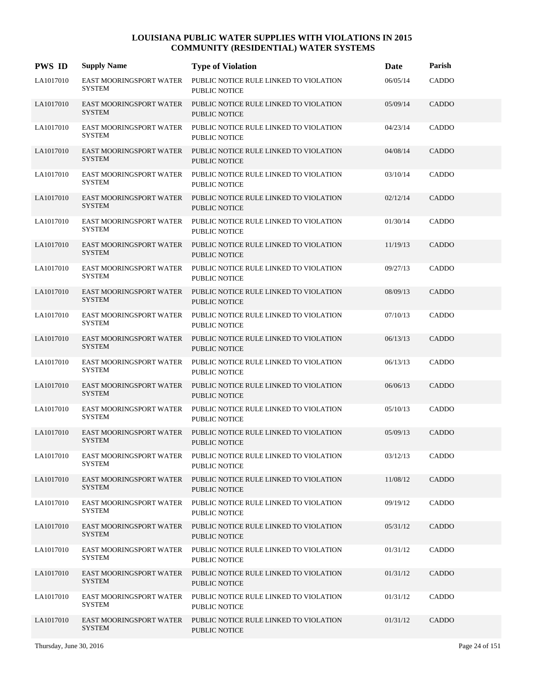| <b>PWS ID</b> | <b>Supply Name</b>                              | <b>Type of Violation</b>                                       | Date     | Parish       |
|---------------|-------------------------------------------------|----------------------------------------------------------------|----------|--------------|
| LA1017010     | EAST MOORINGSPORT WATER<br><b>SYSTEM</b>        | PUBLIC NOTICE RULE LINKED TO VIOLATION<br><b>PUBLIC NOTICE</b> | 06/05/14 | CADDO        |
| LA1017010     | EAST MOORINGSPORT WATER<br><b>SYSTEM</b>        | PUBLIC NOTICE RULE LINKED TO VIOLATION<br><b>PUBLIC NOTICE</b> | 05/09/14 | CADDO        |
| LA1017010     | EAST MOORINGSPORT WATER<br><b>SYSTEM</b>        | PUBLIC NOTICE RULE LINKED TO VIOLATION<br><b>PUBLIC NOTICE</b> | 04/23/14 | CADDO        |
| LA1017010     | <b>EAST MOORINGSPORT WATER</b><br><b>SYSTEM</b> | PUBLIC NOTICE RULE LINKED TO VIOLATION<br><b>PUBLIC NOTICE</b> | 04/08/14 | <b>CADDO</b> |
| LA1017010     | EAST MOORINGSPORT WATER<br><b>SYSTEM</b>        | PUBLIC NOTICE RULE LINKED TO VIOLATION<br><b>PUBLIC NOTICE</b> | 03/10/14 | CADDO        |
| LA1017010     | EAST MOORINGSPORT WATER<br><b>SYSTEM</b>        | PUBLIC NOTICE RULE LINKED TO VIOLATION<br><b>PUBLIC NOTICE</b> | 02/12/14 | <b>CADDO</b> |
| LA1017010     | EAST MOORINGSPORT WATER<br><b>SYSTEM</b>        | PUBLIC NOTICE RULE LINKED TO VIOLATION<br><b>PUBLIC NOTICE</b> | 01/30/14 | CADDO        |
| LA1017010     | <b>EAST MOORINGSPORT WATER</b><br><b>SYSTEM</b> | PUBLIC NOTICE RULE LINKED TO VIOLATION<br><b>PUBLIC NOTICE</b> | 11/19/13 | CADDO        |
| LA1017010     | EAST MOORINGSPORT WATER<br><b>SYSTEM</b>        | PUBLIC NOTICE RULE LINKED TO VIOLATION<br><b>PUBLIC NOTICE</b> | 09/27/13 | CADDO        |
| LA1017010     | EAST MOORINGSPORT WATER<br><b>SYSTEM</b>        | PUBLIC NOTICE RULE LINKED TO VIOLATION<br><b>PUBLIC NOTICE</b> | 08/09/13 | <b>CADDO</b> |
| LA1017010     | EAST MOORINGSPORT WATER<br><b>SYSTEM</b>        | PUBLIC NOTICE RULE LINKED TO VIOLATION<br><b>PUBLIC NOTICE</b> | 07/10/13 | CADDO        |
| LA1017010     | <b>EAST MOORINGSPORT WATER</b><br><b>SYSTEM</b> | PUBLIC NOTICE RULE LINKED TO VIOLATION<br><b>PUBLIC NOTICE</b> | 06/13/13 | CADDO        |
| LA1017010     | EAST MOORINGSPORT WATER<br><b>SYSTEM</b>        | PUBLIC NOTICE RULE LINKED TO VIOLATION<br><b>PUBLIC NOTICE</b> | 06/13/13 | CADDO        |
| LA1017010     | EAST MOORINGSPORT WATER<br><b>SYSTEM</b>        | PUBLIC NOTICE RULE LINKED TO VIOLATION<br><b>PUBLIC NOTICE</b> | 06/06/13 | CADDO        |
| LA1017010     | EAST MOORINGSPORT WATER<br><b>SYSTEM</b>        | PUBLIC NOTICE RULE LINKED TO VIOLATION<br><b>PUBLIC NOTICE</b> | 05/10/13 | CADDO        |
| LA1017010     | EAST MOORINGSPORT WATER<br><b>SYSTEM</b>        | PUBLIC NOTICE RULE LINKED TO VIOLATION<br><b>PUBLIC NOTICE</b> | 05/09/13 | <b>CADDO</b> |
| LA1017010     | EAST MOORINGSPORT WATER<br><b>SYSTEM</b>        | PUBLIC NOTICE RULE LINKED TO VIOLATION<br><b>PUBLIC NOTICE</b> | 03/12/13 | CADDO        |
| LA1017010     | EAST MOORINGSPORT WATER<br><b>SYSTEM</b>        | PUBLIC NOTICE RULE LINKED TO VIOLATION<br>PUBLIC NOTICE        | 11/08/12 | CADDO        |
| LA1017010     | EAST MOORINGSPORT WATER<br><b>SYSTEM</b>        | PUBLIC NOTICE RULE LINKED TO VIOLATION<br>PUBLIC NOTICE        | 09/19/12 | CADDO        |
| LA1017010     | EAST MOORINGSPORT WATER<br><b>SYSTEM</b>        | PUBLIC NOTICE RULE LINKED TO VIOLATION<br>PUBLIC NOTICE        | 05/31/12 | CADDO        |
| LA1017010     | EAST MOORINGSPORT WATER<br><b>SYSTEM</b>        | PUBLIC NOTICE RULE LINKED TO VIOLATION<br>PUBLIC NOTICE        | 01/31/12 | CADDO        |
| LA1017010     | EAST MOORINGSPORT WATER<br><b>SYSTEM</b>        | PUBLIC NOTICE RULE LINKED TO VIOLATION<br>PUBLIC NOTICE        | 01/31/12 | CADDO        |
| LA1017010     | EAST MOORINGSPORT WATER<br><b>SYSTEM</b>        | PUBLIC NOTICE RULE LINKED TO VIOLATION<br>PUBLIC NOTICE        | 01/31/12 | CADDO        |
| LA1017010     | EAST MOORINGSPORT WATER<br><b>SYSTEM</b>        | PUBLIC NOTICE RULE LINKED TO VIOLATION<br>PUBLIC NOTICE        | 01/31/12 | CADDO        |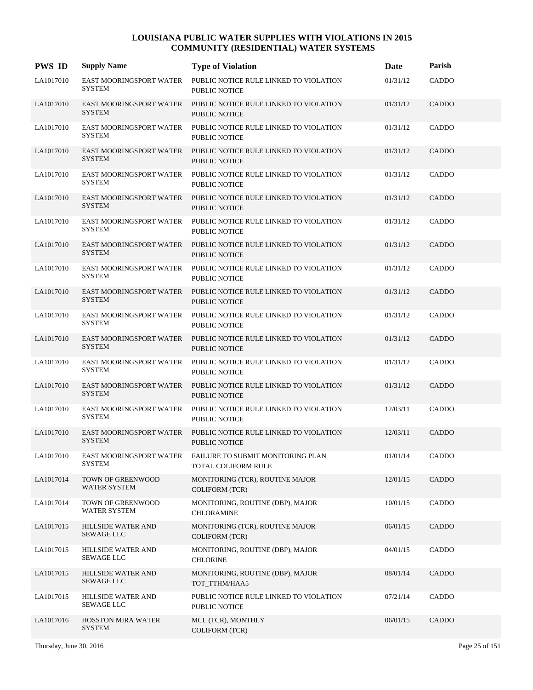| <b>PWS ID</b> | <b>Supply Name</b>                              | <b>Type of Violation</b>                                       | Date     | Parish       |
|---------------|-------------------------------------------------|----------------------------------------------------------------|----------|--------------|
| LA1017010     | EAST MOORINGSPORT WATER<br><b>SYSTEM</b>        | PUBLIC NOTICE RULE LINKED TO VIOLATION<br><b>PUBLIC NOTICE</b> | 01/31/12 | CADDO        |
| LA1017010     | EAST MOORINGSPORT WATER<br><b>SYSTEM</b>        | PUBLIC NOTICE RULE LINKED TO VIOLATION<br><b>PUBLIC NOTICE</b> | 01/31/12 | CADDO        |
| LA1017010     | EAST MOORINGSPORT WATER<br><b>SYSTEM</b>        | PUBLIC NOTICE RULE LINKED TO VIOLATION<br><b>PUBLIC NOTICE</b> | 01/31/12 | CADDO        |
| LA1017010     | <b>EAST MOORINGSPORT WATER</b><br><b>SYSTEM</b> | PUBLIC NOTICE RULE LINKED TO VIOLATION<br><b>PUBLIC NOTICE</b> | 01/31/12 | <b>CADDO</b> |
| LA1017010     | EAST MOORINGSPORT WATER<br><b>SYSTEM</b>        | PUBLIC NOTICE RULE LINKED TO VIOLATION<br><b>PUBLIC NOTICE</b> | 01/31/12 | CADDO        |
| LA1017010     | EAST MOORINGSPORT WATER<br><b>SYSTEM</b>        | PUBLIC NOTICE RULE LINKED TO VIOLATION<br><b>PUBLIC NOTICE</b> | 01/31/12 | <b>CADDO</b> |
| LA1017010     | EAST MOORINGSPORT WATER<br><b>SYSTEM</b>        | PUBLIC NOTICE RULE LINKED TO VIOLATION<br><b>PUBLIC NOTICE</b> | 01/31/12 | CADDO        |
| LA1017010     | <b>EAST MOORINGSPORT WATER</b><br><b>SYSTEM</b> | PUBLIC NOTICE RULE LINKED TO VIOLATION<br><b>PUBLIC NOTICE</b> | 01/31/12 | <b>CADDO</b> |
| LA1017010     | EAST MOORINGSPORT WATER<br><b>SYSTEM</b>        | PUBLIC NOTICE RULE LINKED TO VIOLATION<br><b>PUBLIC NOTICE</b> | 01/31/12 | CADDO        |
| LA1017010     | EAST MOORINGSPORT WATER<br><b>SYSTEM</b>        | PUBLIC NOTICE RULE LINKED TO VIOLATION<br><b>PUBLIC NOTICE</b> | 01/31/12 | <b>CADDO</b> |
| LA1017010     | EAST MOORINGSPORT WATER<br><b>SYSTEM</b>        | PUBLIC NOTICE RULE LINKED TO VIOLATION<br><b>PUBLIC NOTICE</b> | 01/31/12 | CADDO        |
| LA1017010     | <b>EAST MOORINGSPORT WATER</b><br><b>SYSTEM</b> | PUBLIC NOTICE RULE LINKED TO VIOLATION<br><b>PUBLIC NOTICE</b> | 01/31/12 | CADDO        |
| LA1017010     | EAST MOORINGSPORT WATER<br><b>SYSTEM</b>        | PUBLIC NOTICE RULE LINKED TO VIOLATION<br><b>PUBLIC NOTICE</b> | 01/31/12 | CADDO        |
| LA1017010     | EAST MOORINGSPORT WATER<br><b>SYSTEM</b>        | PUBLIC NOTICE RULE LINKED TO VIOLATION<br><b>PUBLIC NOTICE</b> | 01/31/12 | CADDO        |
| LA1017010     | EAST MOORINGSPORT WATER<br><b>SYSTEM</b>        | PUBLIC NOTICE RULE LINKED TO VIOLATION<br>PUBLIC NOTICE        | 12/03/11 | CADDO        |
| LA1017010     | EAST MOORINGSPORT WATER<br><b>SYSTEM</b>        | PUBLIC NOTICE RULE LINKED TO VIOLATION<br><b>PUBLIC NOTICE</b> | 12/03/11 | CADDO        |
| LA1017010     | EAST MOORINGSPORT WATER<br><b>SYSTEM</b>        | FAILURE TO SUBMIT MONITORING PLAN<br>TOTAL COLIFORM RULE       | 01/01/14 | CADDO        |
| LA1017014     | TOWN OF GREENWOOD<br>WATER SYSTEM               | MONITORING (TCR), ROUTINE MAJOR<br><b>COLIFORM (TCR)</b>       | 12/01/15 | <b>CADDO</b> |
| LA1017014     | TOWN OF GREENWOOD<br><b>WATER SYSTEM</b>        | MONITORING, ROUTINE (DBP), MAJOR<br><b>CHLORAMINE</b>          | 10/01/15 | CADDO        |
| LA1017015     | HILLSIDE WATER AND<br>SEWAGE LLC                | MONITORING (TCR), ROUTINE MAJOR<br><b>COLIFORM (TCR)</b>       | 06/01/15 | CADDO        |
| LA1017015     | HILLSIDE WATER AND<br><b>SEWAGE LLC</b>         | MONITORING, ROUTINE (DBP), MAJOR<br><b>CHLORINE</b>            | 04/01/15 | CADDO        |
| LA1017015     | HILLSIDE WATER AND<br>SEWAGE LLC                | MONITORING, ROUTINE (DBP), MAJOR<br>TOT_TTHM/HAA5              | 08/01/14 | CADDO        |
| LA1017015     | HILLSIDE WATER AND<br>SEWAGE LLC                | PUBLIC NOTICE RULE LINKED TO VIOLATION<br>PUBLIC NOTICE        | 07/21/14 | CADDO        |
| LA1017016     | <b>HOSSTON MIRA WATER</b><br><b>SYSTEM</b>      | MCL (TCR), MONTHLY<br><b>COLIFORM (TCR)</b>                    | 06/01/15 | CADDO        |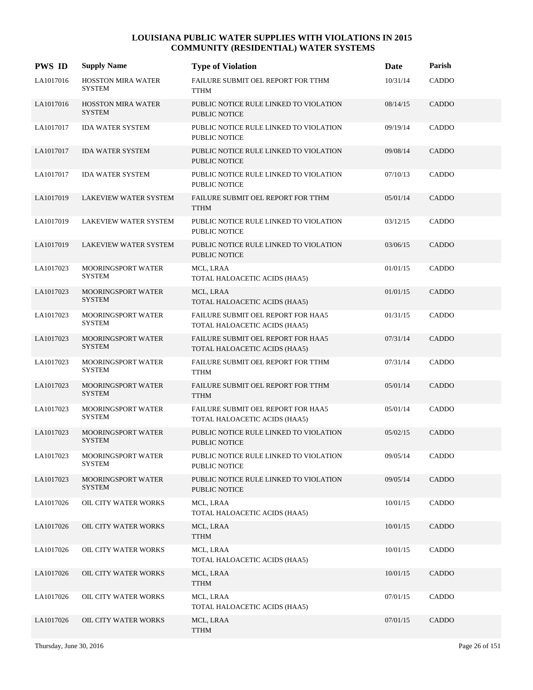| <b>PWS ID</b> | <b>Supply Name</b>                         | <b>Type of Violation</b>                                                   | Date     | Parish       |
|---------------|--------------------------------------------|----------------------------------------------------------------------------|----------|--------------|
| LA1017016     | <b>HOSSTON MIRA WATER</b><br><b>SYSTEM</b> | FAILURE SUBMIT OEL REPORT FOR TTHM<br><b>TTHM</b>                          | 10/31/14 | CADDO        |
| LA1017016     | <b>HOSSTON MIRA WATER</b><br><b>SYSTEM</b> | PUBLIC NOTICE RULE LINKED TO VIOLATION<br><b>PUBLIC NOTICE</b>             | 08/14/15 | CADDO        |
| LA1017017     | <b>IDA WATER SYSTEM</b>                    | PUBLIC NOTICE RULE LINKED TO VIOLATION<br><b>PUBLIC NOTICE</b>             | 09/19/14 | CADDO        |
| LA1017017     | <b>IDA WATER SYSTEM</b>                    | PUBLIC NOTICE RULE LINKED TO VIOLATION<br><b>PUBLIC NOTICE</b>             | 09/08/14 | CADDO        |
| LA1017017     | <b>IDA WATER SYSTEM</b>                    | PUBLIC NOTICE RULE LINKED TO VIOLATION<br><b>PUBLIC NOTICE</b>             | 07/10/13 | CADDO        |
| LA1017019     | <b>LAKEVIEW WATER SYSTEM</b>               | FAILURE SUBMIT OEL REPORT FOR TTHM<br><b>TTHM</b>                          | 05/01/14 | CADDO        |
| LA1017019     | LAKEVIEW WATER SYSTEM                      | PUBLIC NOTICE RULE LINKED TO VIOLATION<br><b>PUBLIC NOTICE</b>             | 03/12/15 | CADDO        |
| LA1017019     | <b>LAKEVIEW WATER SYSTEM</b>               | PUBLIC NOTICE RULE LINKED TO VIOLATION<br><b>PUBLIC NOTICE</b>             | 03/06/15 | CADDO        |
| LA1017023     | MOORINGSPORT WATER<br><b>SYSTEM</b>        | MCL, LRAA<br>TOTAL HALOACETIC ACIDS (HAA5)                                 | 01/01/15 | CADDO        |
| LA1017023     | MOORINGSPORT WATER<br><b>SYSTEM</b>        | MCL, LRAA<br>TOTAL HALOACETIC ACIDS (HAA5)                                 | 01/01/15 | <b>CADDO</b> |
| LA1017023     | MOORINGSPORT WATER<br><b>SYSTEM</b>        | FAILURE SUBMIT OEL REPORT FOR HAA5<br>TOTAL HALOACETIC ACIDS (HAA5)        | 01/31/15 | CADDO        |
| LA1017023     | MOORINGSPORT WATER<br><b>SYSTEM</b>        | FAILURE SUBMIT OEL REPORT FOR HAA5<br>TOTAL HALOACETIC ACIDS (HAA5)        | 07/31/14 | CADDO        |
| LA1017023     | MOORINGSPORT WATER<br><b>SYSTEM</b>        | FAILURE SUBMIT OEL REPORT FOR TTHM<br><b>TTHM</b>                          | 07/31/14 | CADDO        |
| LA1017023     | MOORINGSPORT WATER<br><b>SYSTEM</b>        | FAILURE SUBMIT OEL REPORT FOR TTHM<br><b>TTHM</b>                          | 05/01/14 | CADDO        |
| LA1017023     | MOORINGSPORT WATER<br><b>SYSTEM</b>        | <b>FAILURE SUBMIT OEL REPORT FOR HAA5</b><br>TOTAL HALOACETIC ACIDS (HAA5) | 05/01/14 | CADDO        |
| LA1017023     | <b>MOORINGSPORT WATER</b><br><b>SYSTEM</b> | PUBLIC NOTICE RULE LINKED TO VIOLATION<br><b>PUBLIC NOTICE</b>             | 05/02/15 | <b>CADDO</b> |
| LA1017023     | MOORINGSPORT WATER<br><b>SYSTEM</b>        | PUBLIC NOTICE RULE LINKED TO VIOLATION<br>PUBLIC NOTICE                    | 09/05/14 | CADDO        |
| LA1017023     | MOORINGSPORT WATER<br><b>SYSTEM</b>        | PUBLIC NOTICE RULE LINKED TO VIOLATION<br>PUBLIC NOTICE                    | 09/05/14 | <b>CADDO</b> |
| LA1017026     | OIL CITY WATER WORKS                       | MCL, LRAA<br>TOTAL HALOACETIC ACIDS (HAA5)                                 | 10/01/15 | CADDO        |
| LA1017026     | OIL CITY WATER WORKS                       | MCL, LRAA<br><b>TTHM</b>                                                   | 10/01/15 | <b>CADDO</b> |
| LA1017026     | OIL CITY WATER WORKS                       | MCL, LRAA<br>TOTAL HALOACETIC ACIDS (HAA5)                                 | 10/01/15 | CADDO        |
| LA1017026     | OIL CITY WATER WORKS                       | MCL, LRAA<br><b>TTHM</b>                                                   | 10/01/15 | CADDO        |
| LA1017026     | OIL CITY WATER WORKS                       | MCL, LRAA<br>TOTAL HALOACETIC ACIDS (HAA5)                                 | 07/01/15 | CADDO        |
| LA1017026     | OIL CITY WATER WORKS                       | MCL, LRAA<br><b>TTHM</b>                                                   | 07/01/15 | CADDO        |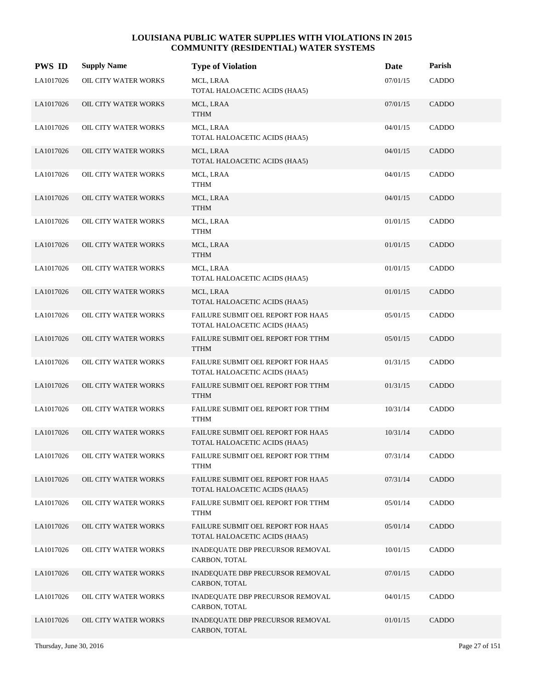| <b>PWS ID</b> | <b>Supply Name</b>          | <b>Type of Violation</b>                                            | Date     | Parish       |
|---------------|-----------------------------|---------------------------------------------------------------------|----------|--------------|
| LA1017026     | OIL CITY WATER WORKS        | MCL, LRAA<br>TOTAL HALOACETIC ACIDS (HAA5)                          | 07/01/15 | CADDO        |
| LA1017026     | OIL CITY WATER WORKS        | MCL, LRAA<br><b>TTHM</b>                                            | 07/01/15 | <b>CADDO</b> |
| LA1017026     | OIL CITY WATER WORKS        | MCL, LRAA<br>TOTAL HALOACETIC ACIDS (HAA5)                          | 04/01/15 | CADDO        |
| LA1017026     | OIL CITY WATER WORKS        | MCL, LRAA<br>TOTAL HALOACETIC ACIDS (HAA5)                          | 04/01/15 | <b>CADDO</b> |
| LA1017026     | OIL CITY WATER WORKS        | MCL, LRAA<br><b>TTHM</b>                                            | 04/01/15 | CADDO        |
| LA1017026     | OIL CITY WATER WORKS        | MCL, LRAA<br><b>TTHM</b>                                            | 04/01/15 | CADDO        |
| LA1017026     | OIL CITY WATER WORKS        | MCL, LRAA<br><b>TTHM</b>                                            | 01/01/15 | CADDO        |
| LA1017026     | <b>OIL CITY WATER WORKS</b> | MCL, LRAA<br><b>TTHM</b>                                            | 01/01/15 | <b>CADDO</b> |
| LA1017026     | OIL CITY WATER WORKS        | MCL, LRAA<br>TOTAL HALOACETIC ACIDS (HAA5)                          | 01/01/15 | CADDO        |
| LA1017026     | OIL CITY WATER WORKS        | MCL, LRAA<br>TOTAL HALOACETIC ACIDS (HAA5)                          | 01/01/15 | CADDO        |
| LA1017026     | OIL CITY WATER WORKS        | FAILURE SUBMIT OEL REPORT FOR HAA5<br>TOTAL HALOACETIC ACIDS (HAA5) | 05/01/15 | CADDO        |
| LA1017026     | <b>OIL CITY WATER WORKS</b> | FAILURE SUBMIT OEL REPORT FOR TTHM<br><b>TTHM</b>                   | 05/01/15 | <b>CADDO</b> |
| LA1017026     | OIL CITY WATER WORKS        | FAILURE SUBMIT OEL REPORT FOR HAA5<br>TOTAL HALOACETIC ACIDS (HAA5) | 01/31/15 | CADDO        |
| LA1017026     | OIL CITY WATER WORKS        | FAILURE SUBMIT OEL REPORT FOR TTHM<br><b>TTHM</b>                   | 01/31/15 | CADDO        |
| LA1017026     | OIL CITY WATER WORKS        | FAILURE SUBMIT OEL REPORT FOR TTHM<br><b>TTHM</b>                   | 10/31/14 | CADDO        |
| LA1017026     | <b>OIL CITY WATER WORKS</b> | FAILURE SUBMIT OEL REPORT FOR HAA5<br>TOTAL HALOACETIC ACIDS (HAA5) | 10/31/14 | <b>CADDO</b> |
| LA1017026     | OIL CITY WATER WORKS        | FAILURE SUBMIT OEL REPORT FOR TTHM<br><b>TTHM</b>                   | 07/31/14 | CADDO        |
| LA1017026     | OIL CITY WATER WORKS        | FAILURE SUBMIT OEL REPORT FOR HAA5<br>TOTAL HALOACETIC ACIDS (HAA5) | 07/31/14 | CADDO        |
| LA1017026     | OIL CITY WATER WORKS        | FAILURE SUBMIT OEL REPORT FOR TTHM<br><b>TTHM</b>                   | 05/01/14 | CADDO        |
| LA1017026     | OIL CITY WATER WORKS        | FAILURE SUBMIT OEL REPORT FOR HAA5<br>TOTAL HALOACETIC ACIDS (HAA5) | 05/01/14 | <b>CADDO</b> |
| LA1017026     | OIL CITY WATER WORKS        | INADEQUATE DBP PRECURSOR REMOVAL<br>CARBON, TOTAL                   | 10/01/15 | CADDO        |
| LA1017026     | OIL CITY WATER WORKS        | INADEQUATE DBP PRECURSOR REMOVAL<br>CARBON, TOTAL                   | 07/01/15 | CADDO        |
| LA1017026     | OIL CITY WATER WORKS        | <b>INADEQUATE DBP PRECURSOR REMOVAL</b><br>CARBON, TOTAL            | 04/01/15 | CADDO        |
| LA1017026     | OIL CITY WATER WORKS        | INADEQUATE DBP PRECURSOR REMOVAL<br>CARBON, TOTAL                   | 01/01/15 | CADDO        |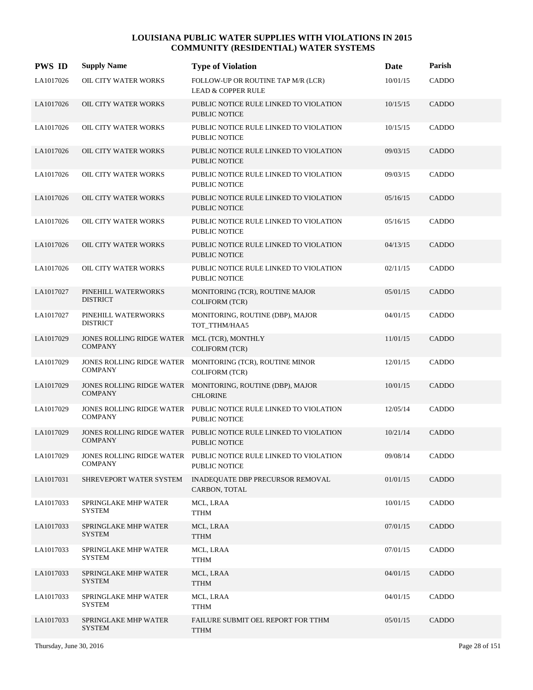| <b>PWS ID</b> | <b>Supply Name</b>                                 | <b>Type of Violation</b>                                                          | Date     | Parish       |
|---------------|----------------------------------------------------|-----------------------------------------------------------------------------------|----------|--------------|
| LA1017026     | OIL CITY WATER WORKS                               | FOLLOW-UP OR ROUTINE TAP M/R (LCR)<br><b>LEAD &amp; COPPER RULE</b>               | 10/01/15 | CADDO        |
| LA1017026     | OIL CITY WATER WORKS                               | PUBLIC NOTICE RULE LINKED TO VIOLATION<br><b>PUBLIC NOTICE</b>                    | 10/15/15 | <b>CADDO</b> |
| LA1017026     | OIL CITY WATER WORKS                               | PUBLIC NOTICE RULE LINKED TO VIOLATION<br><b>PUBLIC NOTICE</b>                    | 10/15/15 | CADDO        |
| LA1017026     | <b>OIL CITY WATER WORKS</b>                        | PUBLIC NOTICE RULE LINKED TO VIOLATION<br><b>PUBLIC NOTICE</b>                    | 09/03/15 | CADDO        |
| LA1017026     | OIL CITY WATER WORKS                               | PUBLIC NOTICE RULE LINKED TO VIOLATION<br><b>PUBLIC NOTICE</b>                    | 09/03/15 | CADDO        |
| LA1017026     | OIL CITY WATER WORKS                               | PUBLIC NOTICE RULE LINKED TO VIOLATION<br><b>PUBLIC NOTICE</b>                    | 05/16/15 | CADDO        |
| LA1017026     | OIL CITY WATER WORKS                               | PUBLIC NOTICE RULE LINKED TO VIOLATION<br><b>PUBLIC NOTICE</b>                    | 05/16/15 | CADDO        |
| LA1017026     | <b>OIL CITY WATER WORKS</b>                        | PUBLIC NOTICE RULE LINKED TO VIOLATION<br><b>PUBLIC NOTICE</b>                    | 04/13/15 | CADDO        |
| LA1017026     | OIL CITY WATER WORKS                               | PUBLIC NOTICE RULE LINKED TO VIOLATION<br><b>PUBLIC NOTICE</b>                    | 02/11/15 | CADDO        |
| LA1017027     | PINEHILL WATERWORKS<br><b>DISTRICT</b>             | MONITORING (TCR), ROUTINE MAJOR<br><b>COLIFORM</b> (TCR)                          | 05/01/15 | <b>CADDO</b> |
| LA1017027     | PINEHILL WATERWORKS<br><b>DISTRICT</b>             | MONITORING, ROUTINE (DBP), MAJOR<br>TOT_TTHM/HAA5                                 | 04/01/15 | CADDO        |
| LA1017029     | <b>JONES ROLLING RIDGE WATER</b><br><b>COMPANY</b> | MCL (TCR), MONTHLY<br><b>COLIFORM (TCR)</b>                                       | 11/01/15 | CADDO        |
| LA1017029     | JONES ROLLING RIDGE WATER<br><b>COMPANY</b>        | MONITORING (TCR), ROUTINE MINOR<br><b>COLIFORM (TCR)</b>                          | 12/01/15 | CADDO        |
| LA1017029     | JONES ROLLING RIDGE WATER<br><b>COMPANY</b>        | MONITORING, ROUTINE (DBP), MAJOR<br><b>CHLORINE</b>                               | 10/01/15 | CADDO        |
| LA1017029     | JONES ROLLING RIDGE WATER<br><b>COMPANY</b>        | PUBLIC NOTICE RULE LINKED TO VIOLATION<br><b>PUBLIC NOTICE</b>                    | 12/05/14 | CADDO        |
| LA1017029     | <b>JONES ROLLING RIDGE WATER</b><br><b>COMPANY</b> | PUBLIC NOTICE RULE LINKED TO VIOLATION<br><b>PUBLIC NOTICE</b>                    | 10/21/14 | CADDO        |
| LA1017029     | <b>COMPANY</b>                                     | JONES ROLLING RIDGE WATER PUBLIC NOTICE RULE LINKED TO VIOLATION<br>PUBLIC NOTICE | 09/08/14 | <b>CADDO</b> |
| LA1017031     | SHREVEPORT WATER SYSTEM                            | INADEQUATE DBP PRECURSOR REMOVAL<br>CARBON, TOTAL                                 | 01/01/15 | CADDO        |
| LA1017033     | SPRINGLAKE MHP WATER<br><b>SYSTEM</b>              | MCL, LRAA<br><b>TTHM</b>                                                          | 10/01/15 | CADDO        |
| LA1017033     | SPRINGLAKE MHP WATER<br><b>SYSTEM</b>              | MCL, LRAA<br><b>TTHM</b>                                                          | 07/01/15 | <b>CADDO</b> |
| LA1017033     | SPRINGLAKE MHP WATER<br><b>SYSTEM</b>              | MCL, LRAA<br><b>TTHM</b>                                                          | 07/01/15 | CADDO        |
| LA1017033     | SPRINGLAKE MHP WATER<br><b>SYSTEM</b>              | MCL, LRAA<br><b>TTHM</b>                                                          | 04/01/15 | CADDO        |
| LA1017033     | SPRINGLAKE MHP WATER<br><b>SYSTEM</b>              | MCL, LRAA<br><b>TTHM</b>                                                          | 04/01/15 | CADDO        |
| LA1017033     | SPRINGLAKE MHP WATER<br><b>SYSTEM</b>              | FAILURE SUBMIT OEL REPORT FOR TTHM<br><b>TTHM</b>                                 | 05/01/15 | CADDO        |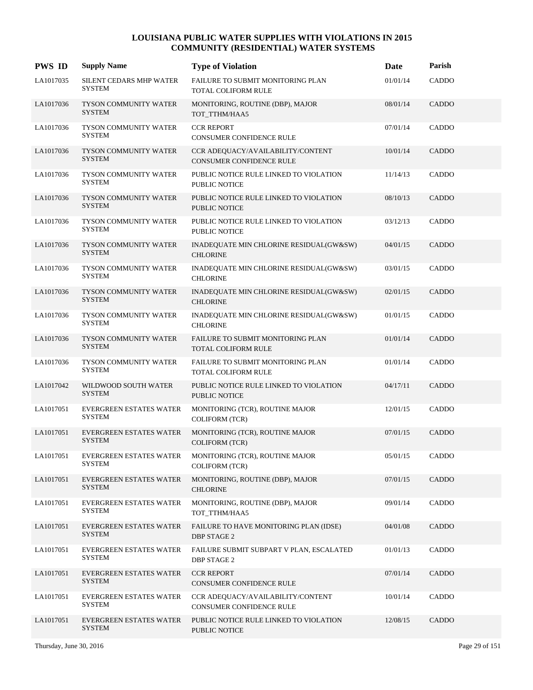| <b>PWS ID</b> | <b>Supply Name</b>                              | <b>Type of Violation</b>                                        | Date     | Parish       |
|---------------|-------------------------------------------------|-----------------------------------------------------------------|----------|--------------|
| LA1017035     | <b>SILENT CEDARS MHP WATER</b><br><b>SYSTEM</b> | FAILURE TO SUBMIT MONITORING PLAN<br><b>TOTAL COLIFORM RULE</b> | 01/01/14 | CADDO        |
| LA1017036     | TYSON COMMUNITY WATER<br><b>SYSTEM</b>          | MONITORING, ROUTINE (DBP), MAJOR<br>TOT TTHM/HAA5               | 08/01/14 | CADDO        |
| LA1017036     | TYSON COMMUNITY WATER<br><b>SYSTEM</b>          | <b>CCR REPORT</b><br>CONSUMER CONFIDENCE RULE                   | 07/01/14 | CADDO        |
| LA1017036     | TYSON COMMUNITY WATER<br><b>SYSTEM</b>          | CCR ADEQUACY/AVAILABILITY/CONTENT<br>CONSUMER CONFIDENCE RULE   | 10/01/14 | CADDO        |
| LA1017036     | TYSON COMMUNITY WATER<br><b>SYSTEM</b>          | PUBLIC NOTICE RULE LINKED TO VIOLATION<br>PUBLIC NOTICE         | 11/14/13 | CADDO        |
| LA1017036     | TYSON COMMUNITY WATER<br><b>SYSTEM</b>          | PUBLIC NOTICE RULE LINKED TO VIOLATION<br>PUBLIC NOTICE         | 08/10/13 | CADDO        |
| LA1017036     | TYSON COMMUNITY WATER<br><b>SYSTEM</b>          | PUBLIC NOTICE RULE LINKED TO VIOLATION<br>PUBLIC NOTICE         | 03/12/13 | CADDO        |
| LA1017036     | TYSON COMMUNITY WATER<br><b>SYSTEM</b>          | INADEQUATE MIN CHLORINE RESIDUAL(GW&SW)<br><b>CHLORINE</b>      | 04/01/15 | <b>CADDO</b> |
| LA1017036     | TYSON COMMUNITY WATER<br>SYSTEM                 | INADEQUATE MIN CHLORINE RESIDUAL(GW&SW)<br><b>CHLORINE</b>      | 03/01/15 | CADDO        |
| LA1017036     | TYSON COMMUNITY WATER<br><b>SYSTEM</b>          | INADEQUATE MIN CHLORINE RESIDUAL(GW&SW)<br><b>CHLORINE</b>      | 02/01/15 | CADDO        |
| LA1017036     | TYSON COMMUNITY WATER<br><b>SYSTEM</b>          | INADEQUATE MIN CHLORINE RESIDUAL(GW&SW)<br><b>CHLORINE</b>      | 01/01/15 | CADDO        |
| LA1017036     | TYSON COMMUNITY WATER<br><b>SYSTEM</b>          | FAILURE TO SUBMIT MONITORING PLAN<br>TOTAL COLIFORM RULE        | 01/01/14 | <b>CADDO</b> |
| LA1017036     | TYSON COMMUNITY WATER<br><b>SYSTEM</b>          | FAILURE TO SUBMIT MONITORING PLAN<br>TOTAL COLIFORM RULE        | 01/01/14 | CADDO        |
| LA1017042     | WILDWOOD SOUTH WATER<br><b>SYSTEM</b>           | PUBLIC NOTICE RULE LINKED TO VIOLATION<br><b>PUBLIC NOTICE</b>  | 04/17/11 | CADDO        |
| LA1017051     | EVERGREEN ESTATES WATER<br><b>SYSTEM</b>        | MONITORING (TCR), ROUTINE MAJOR<br>COLIFORM (TCR)               | 12/01/15 | CADDO        |
| LA1017051     | <b>EVERGREEN ESTATES WATER</b><br><b>SYSTEM</b> | MONITORING (TCR), ROUTINE MAJOR<br><b>COLIFORM (TCR)</b>        | 07/01/15 | <b>CADDO</b> |
| LA1017051     | <b>EVERGREEN ESTATES WATER</b><br>SYSTEM        | MONITORING (TCR), ROUTINE MAJOR<br><b>COLIFORM (TCR)</b>        | 05/01/15 | CADDO        |
| LA1017051     | <b>EVERGREEN ESTATES WATER</b><br><b>SYSTEM</b> | MONITORING, ROUTINE (DBP), MAJOR<br><b>CHLORINE</b>             | 07/01/15 | CADDO        |
| LA1017051     | <b>EVERGREEN ESTATES WATER</b><br><b>SYSTEM</b> | MONITORING, ROUTINE (DBP), MAJOR<br>TOT_TTHM/HAA5               | 09/01/14 | CADDO        |
| LA1017051     | <b>EVERGREEN ESTATES WATER</b><br><b>SYSTEM</b> | FAILURE TO HAVE MONITORING PLAN (IDSE)<br><b>DBP STAGE 2</b>    | 04/01/08 | CADDO        |
| LA1017051     | <b>EVERGREEN ESTATES WATER</b><br><b>SYSTEM</b> | FAILURE SUBMIT SUBPART V PLAN, ESCALATED<br><b>DBP STAGE 2</b>  | 01/01/13 | CADDO        |
| LA1017051     | <b>EVERGREEN ESTATES WATER</b><br><b>SYSTEM</b> | <b>CCR REPORT</b><br>CONSUMER CONFIDENCE RULE                   | 07/01/14 | CADDO        |
| LA1017051     | EVERGREEN ESTATES WATER<br>SYSTEM               | CCR ADEQUACY/AVAILABILITY/CONTENT<br>CONSUMER CONFIDENCE RULE   | 10/01/14 | CADDO        |
| LA1017051     | <b>EVERGREEN ESTATES WATER</b><br><b>SYSTEM</b> | PUBLIC NOTICE RULE LINKED TO VIOLATION<br><b>PUBLIC NOTICE</b>  | 12/08/15 | CADDO        |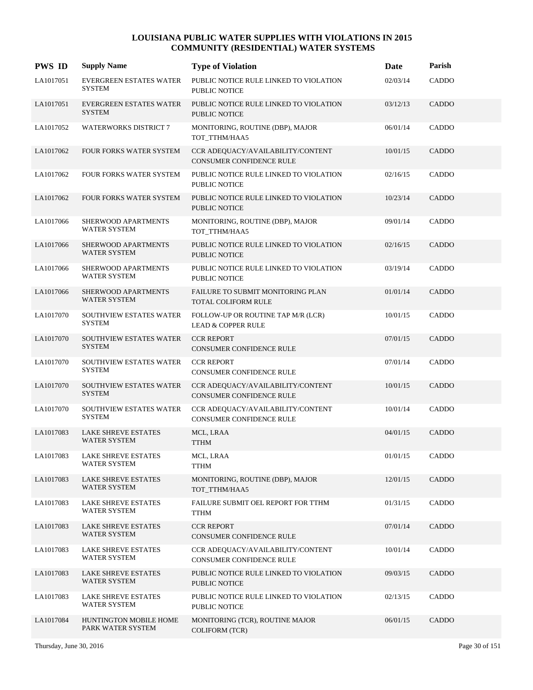| <b>PWS ID</b> | <b>Supply Name</b>                                | <b>Type of Violation</b>                                             | Date     | Parish       |
|---------------|---------------------------------------------------|----------------------------------------------------------------------|----------|--------------|
| LA1017051     | EVERGREEN ESTATES WATER<br><b>SYSTEM</b>          | PUBLIC NOTICE RULE LINKED TO VIOLATION<br><b>PUBLIC NOTICE</b>       | 02/03/14 | CADDO        |
| LA1017051     | <b>EVERGREEN ESTATES WATER</b><br><b>SYSTEM</b>   | PUBLIC NOTICE RULE LINKED TO VIOLATION<br><b>PUBLIC NOTICE</b>       | 03/12/13 | <b>CADDO</b> |
| LA1017052     | <b>WATERWORKS DISTRICT 7</b>                      | MONITORING, ROUTINE (DBP), MAJOR<br>TOT_TTHM/HAA5                    | 06/01/14 | CADDO        |
| LA1017062     | FOUR FORKS WATER SYSTEM                           | CCR ADEQUACY/AVAILABILITY/CONTENT<br>CONSUMER CONFIDENCE RULE        | 10/01/15 | CADDO        |
| LA1017062     | FOUR FORKS WATER SYSTEM                           | PUBLIC NOTICE RULE LINKED TO VIOLATION<br>PUBLIC NOTICE              | 02/16/15 | CADDO        |
| LA1017062     | FOUR FORKS WATER SYSTEM                           | PUBLIC NOTICE RULE LINKED TO VIOLATION<br>PUBLIC NOTICE              | 10/23/14 | CADDO        |
| LA1017066     | SHERWOOD APARTMENTS<br><b>WATER SYSTEM</b>        | MONITORING, ROUTINE (DBP), MAJOR<br>TOT_TTHM/HAA5                    | 09/01/14 | CADDO        |
| LA1017066     | SHERWOOD APARTMENTS<br><b>WATER SYSTEM</b>        | PUBLIC NOTICE RULE LINKED TO VIOLATION<br><b>PUBLIC NOTICE</b>       | 02/16/15 | CADDO        |
| LA1017066     | SHERWOOD APARTMENTS<br><b>WATER SYSTEM</b>        | PUBLIC NOTICE RULE LINKED TO VIOLATION<br>PUBLIC NOTICE              | 03/19/14 | CADDO        |
| LA1017066     | SHERWOOD APARTMENTS<br><b>WATER SYSTEM</b>        | FAILURE TO SUBMIT MONITORING PLAN<br>TOTAL COLIFORM RULE             | 01/01/14 | <b>CADDO</b> |
| LA1017070     | SOUTHVIEW ESTATES WATER<br><b>SYSTEM</b>          | FOLLOW-UP OR ROUTINE TAP M/R (LCR)<br><b>LEAD &amp; COPPER RULE</b>  | 10/01/15 | CADDO        |
| LA1017070     | SOUTHVIEW ESTATES WATER<br><b>SYSTEM</b>          | <b>CCR REPORT</b><br>CONSUMER CONFIDENCE RULE                        | 07/01/15 | CADDO        |
| LA1017070     | SOUTHVIEW ESTATES WATER<br><b>SYSTEM</b>          | <b>CCR REPORT</b><br>CONSUMER CONFIDENCE RULE                        | 07/01/14 | CADDO        |
| LA1017070     | SOUTHVIEW ESTATES WATER<br><b>SYSTEM</b>          | CCR ADEQUACY/AVAILABILITY/CONTENT<br><b>CONSUMER CONFIDENCE RULE</b> | 10/01/15 | CADDO        |
| LA1017070     | SOUTHVIEW ESTATES WATER<br><b>SYSTEM</b>          | CCR ADEQUACY/AVAILABILITY/CONTENT<br>CONSUMER CONFIDENCE RULE        | 10/01/14 | CADDO        |
| LA1017083     | <b>LAKE SHREVE ESTATES</b><br><b>WATER SYSTEM</b> | MCL, LRAA<br><b>TTHM</b>                                             | 04/01/15 | CADDO        |
| LA1017083     | <b>LAKE SHREVE ESTATES</b><br><b>WATER SYSTEM</b> | MCL, LRAA<br><b>TTHM</b>                                             | 01/01/15 | CADDO        |
| LA1017083     | <b>LAKE SHREVE ESTATES</b><br><b>WATER SYSTEM</b> | MONITORING, ROUTINE (DBP), MAJOR<br>TOT_TTHM/HAA5                    | 12/01/15 | CADDO        |
| LA1017083     | <b>LAKE SHREVE ESTATES</b><br><b>WATER SYSTEM</b> | FAILURE SUBMIT OEL REPORT FOR TTHM<br>TTHM                           | 01/31/15 | CADDO        |
| LA1017083     | <b>LAKE SHREVE ESTATES</b><br><b>WATER SYSTEM</b> | <b>CCR REPORT</b><br>CONSUMER CONFIDENCE RULE                        | 07/01/14 | CADDO        |
| LA1017083     | <b>LAKE SHREVE ESTATES</b><br><b>WATER SYSTEM</b> | CCR ADEQUACY/AVAILABILITY/CONTENT<br>CONSUMER CONFIDENCE RULE        | 10/01/14 | CADDO        |
| LA1017083     | <b>LAKE SHREVE ESTATES</b><br>WATER SYSTEM        | PUBLIC NOTICE RULE LINKED TO VIOLATION<br>PUBLIC NOTICE              | 09/03/15 | CADDO        |
| LA1017083     | <b>LAKE SHREVE ESTATES</b><br>WATER SYSTEM        | PUBLIC NOTICE RULE LINKED TO VIOLATION<br>PUBLIC NOTICE              | 02/13/15 | CADDO        |
| LA1017084     | HUNTINGTON MOBILE HOME<br>PARK WATER SYSTEM       | MONITORING (TCR), ROUTINE MAJOR<br><b>COLIFORM (TCR)</b>             | 06/01/15 | CADDO        |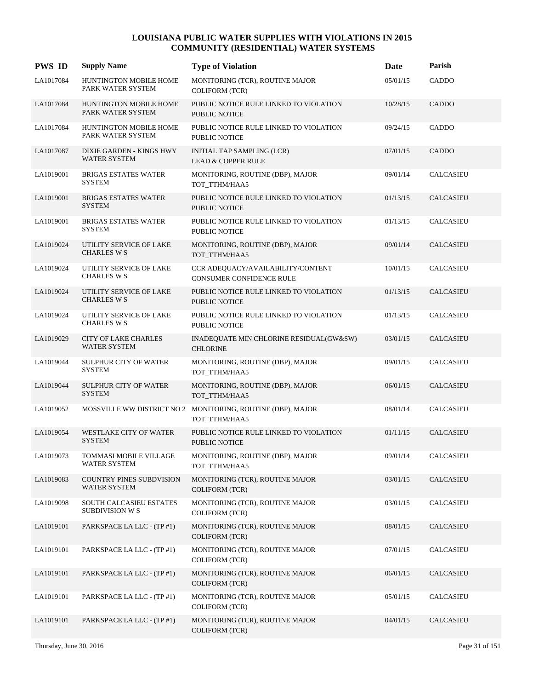| <b>PWS ID</b> | <b>Supply Name</b>                                     | <b>Type of Violation</b>                                             | Date     | Parish           |
|---------------|--------------------------------------------------------|----------------------------------------------------------------------|----------|------------------|
| LA1017084     | HUNTINGTON MOBILE HOME<br>PARK WATER SYSTEM            | MONITORING (TCR), ROUTINE MAJOR<br><b>COLIFORM (TCR)</b>             | 05/01/15 | CADDO            |
| LA1017084     | HUNTINGTON MOBILE HOME<br>PARK WATER SYSTEM            | PUBLIC NOTICE RULE LINKED TO VIOLATION<br><b>PUBLIC NOTICE</b>       | 10/28/15 | CADDO            |
| LA1017084     | HUNTINGTON MOBILE HOME<br>PARK WATER SYSTEM            | PUBLIC NOTICE RULE LINKED TO VIOLATION<br><b>PUBLIC NOTICE</b>       | 09/24/15 | CADDO            |
| LA1017087     | <b>DIXIE GARDEN - KINGS HWY</b><br><b>WATER SYSTEM</b> | INITIAL TAP SAMPLING (LCR)<br><b>LEAD &amp; COPPER RULE</b>          | 07/01/15 | CADDO            |
| LA1019001     | <b>BRIGAS ESTATES WATER</b><br><b>SYSTEM</b>           | MONITORING, ROUTINE (DBP), MAJOR<br>TOT_TTHM/HAA5                    | 09/01/14 | CALCASIEU        |
| LA1019001     | <b>BRIGAS ESTATES WATER</b><br><b>SYSTEM</b>           | PUBLIC NOTICE RULE LINKED TO VIOLATION<br><b>PUBLIC NOTICE</b>       | 01/13/15 | <b>CALCASIEU</b> |
| LA1019001     | <b>BRIGAS ESTATES WATER</b><br><b>SYSTEM</b>           | PUBLIC NOTICE RULE LINKED TO VIOLATION<br><b>PUBLIC NOTICE</b>       | 01/13/15 | CALCASIEU        |
| LA1019024     | UTILITY SERVICE OF LAKE<br><b>CHARLES W S</b>          | MONITORING, ROUTINE (DBP), MAJOR<br>TOT_TTHM/HAA5                    | 09/01/14 | <b>CALCASIEU</b> |
| LA1019024     | UTILITY SERVICE OF LAKE<br><b>CHARLES W S</b>          | CCR ADEQUACY/AVAILABILITY/CONTENT<br><b>CONSUMER CONFIDENCE RULE</b> | 10/01/15 | CALCASIEU        |
| LA1019024     | UTILITY SERVICE OF LAKE<br><b>CHARLES W S</b>          | PUBLIC NOTICE RULE LINKED TO VIOLATION<br>PUBLIC NOTICE              | 01/13/15 | <b>CALCASIEU</b> |
| LA1019024     | UTILITY SERVICE OF LAKE<br><b>CHARLES W S</b>          | PUBLIC NOTICE RULE LINKED TO VIOLATION<br>PUBLIC NOTICE              | 01/13/15 | CALCASIEU        |
| LA1019029     | <b>CITY OF LAKE CHARLES</b><br>WATER SYSTEM            | INADEQUATE MIN CHLORINE RESIDUAL(GW&SW)<br><b>CHLORINE</b>           | 03/01/15 | <b>CALCASIEU</b> |
| LA1019044     | <b>SULPHUR CITY OF WATER</b><br><b>SYSTEM</b>          | MONITORING, ROUTINE (DBP), MAJOR<br>TOT_TTHM/HAA5                    | 09/01/15 | CALCASIEU        |
| LA1019044     | SULPHUR CITY OF WATER<br><b>SYSTEM</b>                 | MONITORING, ROUTINE (DBP), MAJOR<br>TOT_TTHM/HAA5                    | 06/01/15 | CALCASIEU        |
| LA1019052     | MOSSVILLE WW DISTRICT NO 2                             | MONITORING, ROUTINE (DBP), MAJOR<br>TOT_TTHM/HAA5                    | 08/01/14 | CALCASIEU        |
| LA1019054     | <b>WESTLAKE CITY OF WATER</b><br><b>SYSTEM</b>         | PUBLIC NOTICE RULE LINKED TO VIOLATION<br>PUBLIC NOTICE              | 01/11/15 | <b>CALCASIEU</b> |
| LA1019073     | TOMMASI MOBILE VILLAGE<br>WATER SYSTEM                 | MONITORING, ROUTINE (DBP), MAJOR<br>TOT_TTHM/HAA5                    | 09/01/14 | CALCASIEU        |
| LA1019083     | COUNTRY PINES SUBDVISION<br>WATER SYSTEM               | MONITORING (TCR), ROUTINE MAJOR<br><b>COLIFORM (TCR)</b>             | 03/01/15 | CALCASIEU        |
| LA1019098     | SOUTH CALCASIEU ESTATES<br>SUBDIVISION W S             | MONITORING (TCR), ROUTINE MAJOR<br>COLIFORM (TCR)                    | 03/01/15 | CALCASIEU        |
| LA1019101     | PARKSPACE LA LLC - (TP #1)                             | MONITORING (TCR), ROUTINE MAJOR<br>COLIFORM (TCR)                    | 08/01/15 | CALCASIEU        |
| LA1019101     | PARKSPACE LA LLC - (TP #1)                             | MONITORING (TCR), ROUTINE MAJOR<br><b>COLIFORM (TCR)</b>             | 07/01/15 | CALCASIEU        |
| LA1019101     | PARKSPACE LA LLC - (TP #1)                             | MONITORING (TCR), ROUTINE MAJOR<br><b>COLIFORM (TCR)</b>             | 06/01/15 | <b>CALCASIEU</b> |
| LA1019101     | PARKSPACE LA LLC - (TP #1)                             | MONITORING (TCR), ROUTINE MAJOR<br>COLIFORM (TCR)                    | 05/01/15 | CALCASIEU        |
| LA1019101     | PARKSPACE LA LLC - (TP #1)                             | MONITORING (TCR), ROUTINE MAJOR<br><b>COLIFORM (TCR)</b>             | 04/01/15 | <b>CALCASIEU</b> |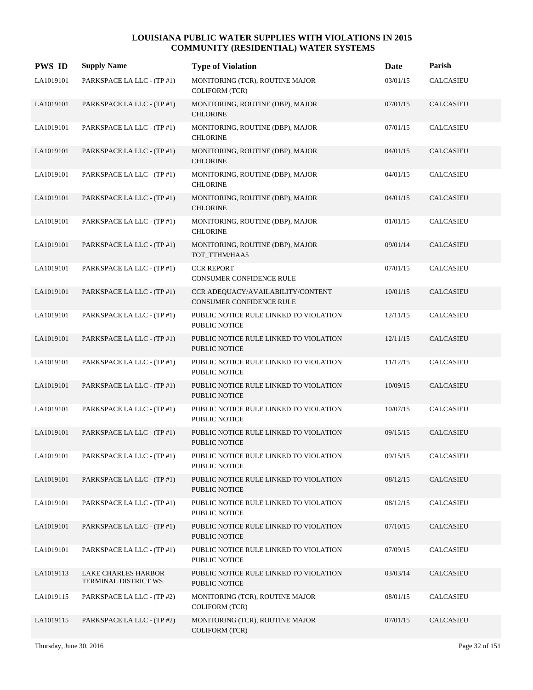| <b>PWS ID</b> | <b>Supply Name</b>                                 | <b>Type of Violation</b>                                      | Date     | Parish           |
|---------------|----------------------------------------------------|---------------------------------------------------------------|----------|------------------|
| LA1019101     | PARKSPACE LA LLC - (TP #1)                         | MONITORING (TCR), ROUTINE MAJOR<br><b>COLIFORM (TCR)</b>      | 03/01/15 | CALCASIEU        |
| LA1019101     | PARKSPACE LA LLC - (TP #1)                         | MONITORING, ROUTINE (DBP), MAJOR<br><b>CHLORINE</b>           | 07/01/15 | CALCASIEU        |
| LA1019101     | PARKSPACE LA LLC - (TP #1)                         | MONITORING, ROUTINE (DBP), MAJOR<br><b>CHLORINE</b>           | 07/01/15 | CALCASIEU        |
| LA1019101     | PARKSPACE LA LLC - (TP #1)                         | MONITORING, ROUTINE (DBP), MAJOR<br><b>CHLORINE</b>           | 04/01/15 | CALCASIEU        |
| LA1019101     | PARKSPACE LA LLC - (TP #1)                         | MONITORING, ROUTINE (DBP), MAJOR<br><b>CHLORINE</b>           | 04/01/15 | CALCASIEU        |
| LA1019101     | PARKSPACE LA LLC - (TP #1)                         | MONITORING, ROUTINE (DBP), MAJOR<br><b>CHLORINE</b>           | 04/01/15 | CALCASIEU        |
| LA1019101     | PARKSPACE LA LLC - (TP #1)                         | MONITORING, ROUTINE (DBP), MAJOR<br><b>CHLORINE</b>           | 01/01/15 | CALCASIEU        |
| LA1019101     | PARKSPACE LA LLC - (TP #1)                         | MONITORING, ROUTINE (DBP), MAJOR<br>TOT_TTHM/HAA5             | 09/01/14 | CALCASIEU        |
| LA1019101     | PARKSPACE LA LLC - (TP #1)                         | <b>CCR REPORT</b><br>CONSUMER CONFIDENCE RULE                 | 07/01/15 | <b>CALCASIEU</b> |
| LA1019101     | PARKSPACE LA LLC - (TP #1)                         | CCR ADEQUACY/AVAILABILITY/CONTENT<br>CONSUMER CONFIDENCE RULE | 10/01/15 | CALCASIEU        |
| LA1019101     | PARKSPACE LA LLC - (TP #1)                         | PUBLIC NOTICE RULE LINKED TO VIOLATION<br>PUBLIC NOTICE       | 12/11/15 | CALCASIEU        |
| LA1019101     | PARKSPACE LA LLC - (TP #1)                         | PUBLIC NOTICE RULE LINKED TO VIOLATION<br>PUBLIC NOTICE       | 12/11/15 | CALCASIEU        |
| LA1019101     | PARKSPACE LA LLC - (TP #1)                         | PUBLIC NOTICE RULE LINKED TO VIOLATION<br>PUBLIC NOTICE       | 11/12/15 | CALCASIEU        |
| LA1019101     | PARKSPACE LA LLC - (TP #1)                         | PUBLIC NOTICE RULE LINKED TO VIOLATION<br>PUBLIC NOTICE       | 10/09/15 | CALCASIEU        |
| LA1019101     | PARKSPACE LA LLC - (TP #1)                         | PUBLIC NOTICE RULE LINKED TO VIOLATION<br>PUBLIC NOTICE       | 10/07/15 | CALCASIEU        |
| LA1019101     | PARKSPACE LA LLC - (TP #1)                         | PUBLIC NOTICE RULE LINKED TO VIOLATION<br>PUBLIC NOTICE       | 09/15/15 | <b>CALCASIEU</b> |
| LA1019101     | PARKSPACE LA LLC - (TP #1)                         | PUBLIC NOTICE RULE LINKED TO VIOLATION<br>PUBLIC NOTICE       | 09/15/15 | CALCASIEU        |
| LA1019101     | PARKSPACE LA LLC - (TP #1)                         | PUBLIC NOTICE RULE LINKED TO VIOLATION<br>PUBLIC NOTICE       | 08/12/15 | CALCASIEU        |
| LA1019101     | PARKSPACE LA LLC - (TP #1)                         | PUBLIC NOTICE RULE LINKED TO VIOLATION<br>PUBLIC NOTICE       | 08/12/15 | CALCASIEU        |
| LA1019101     | PARKSPACE LA LLC - (TP #1)                         | PUBLIC NOTICE RULE LINKED TO VIOLATION<br>PUBLIC NOTICE       | 07/10/15 | CALCASIEU        |
| LA1019101     | PARKSPACE LA LLC - (TP #1)                         | PUBLIC NOTICE RULE LINKED TO VIOLATION<br>PUBLIC NOTICE       | 07/09/15 | CALCASIEU        |
| LA1019113     | <b>LAKE CHARLES HARBOR</b><br>TERMINAL DISTRICT WS | PUBLIC NOTICE RULE LINKED TO VIOLATION<br>PUBLIC NOTICE       | 03/03/14 | CALCASIEU        |
| LA1019115     | PARKSPACE LA LLC - (TP #2)                         | MONITORING (TCR), ROUTINE MAJOR<br><b>COLIFORM (TCR)</b>      | 08/01/15 | CALCASIEU        |
| LA1019115     | PARKSPACE LA LLC - (TP #2)                         | MONITORING (TCR), ROUTINE MAJOR<br><b>COLIFORM (TCR)</b>      | 07/01/15 | CALCASIEU        |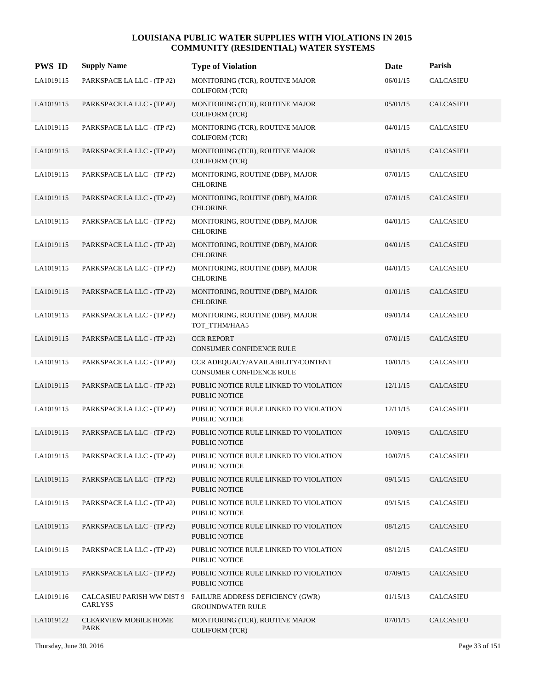| <b>PWS ID</b> | <b>Supply Name</b>                    | <b>Type of Violation</b>                                       | Date     | Parish           |
|---------------|---------------------------------------|----------------------------------------------------------------|----------|------------------|
| LA1019115     | PARKSPACE LA LLC - (TP #2)            | MONITORING (TCR), ROUTINE MAJOR<br><b>COLIFORM (TCR)</b>       | 06/01/15 | CALCASIEU        |
| LA1019115     | PARKSPACE LA LLC - (TP #2)            | MONITORING (TCR), ROUTINE MAJOR<br><b>COLIFORM (TCR)</b>       | 05/01/15 | CALCASIEU        |
| LA1019115     | PARKSPACE LA LLC - (TP #2)            | MONITORING (TCR), ROUTINE MAJOR<br><b>COLIFORM</b> (TCR)       | 04/01/15 | CALCASIEU        |
| LA1019115     | PARKSPACE LA LLC - (TP #2)            | MONITORING (TCR), ROUTINE MAJOR<br><b>COLIFORM (TCR)</b>       | 03/01/15 | <b>CALCASIEU</b> |
| LA1019115     | PARKSPACE LA LLC - (TP #2)            | MONITORING, ROUTINE (DBP), MAJOR<br><b>CHLORINE</b>            | 07/01/15 | CALCASIEU        |
| LA1019115     | PARKSPACE LA LLC - (TP #2)            | MONITORING, ROUTINE (DBP), MAJOR<br><b>CHLORINE</b>            | 07/01/15 | CALCASIEU        |
| LA1019115     | PARKSPACE LA LLC - (TP #2)            | MONITORING, ROUTINE (DBP), MAJOR<br><b>CHLORINE</b>            | 04/01/15 | CALCASIEU        |
| LA1019115     | PARKSPACE LA LLC - (TP #2)            | MONITORING, ROUTINE (DBP), MAJOR<br><b>CHLORINE</b>            | 04/01/15 | <b>CALCASIEU</b> |
| LA1019115     | PARKSPACE LA LLC - (TP #2)            | MONITORING, ROUTINE (DBP), MAJOR<br><b>CHLORINE</b>            | 04/01/15 | <b>CALCASIEU</b> |
| LA1019115     | PARKSPACE LA LLC - (TP #2)            | MONITORING, ROUTINE (DBP), MAJOR<br><b>CHLORINE</b>            | 01/01/15 | CALCASIEU        |
| LA1019115     | PARKSPACE LA LLC - (TP #2)            | MONITORING, ROUTINE (DBP), MAJOR<br>TOT_TTHM/HAA5              | 09/01/14 | CALCASIEU        |
| LA1019115     | PARKSPACE LA LLC - (TP #2)            | <b>CCR REPORT</b><br>CONSUMER CONFIDENCE RULE                  | 07/01/15 | CALCASIEU        |
| LA1019115     | PARKSPACE LA LLC - (TP #2)            | CCR ADEQUACY/AVAILABILITY/CONTENT<br>CONSUMER CONFIDENCE RULE  | 10/01/15 | CALCASIEU        |
| LA1019115     | PARKSPACE LA LLC - (TP #2)            | PUBLIC NOTICE RULE LINKED TO VIOLATION<br><b>PUBLIC NOTICE</b> | 12/11/15 | CALCASIEU        |
| LA1019115     | PARKSPACE LA LLC - (TP #2)            | PUBLIC NOTICE RULE LINKED TO VIOLATION<br>PUBLIC NOTICE        | 12/11/15 | CALCASIEU        |
| LA1019115     | PARKSPACE LA LLC - (TP #2)            | PUBLIC NOTICE RULE LINKED TO VIOLATION<br>PUBLIC NOTICE        | 10/09/15 | <b>CALCASIEU</b> |
| LA1019115     | PARKSPACE LA LLC - (TP #2)            | PUBLIC NOTICE RULE LINKED TO VIOLATION<br>PUBLIC NOTICE        | 10/07/15 | CALCASIEU        |
| LA1019115     | PARKSPACE LA LLC - (TP #2)            | PUBLIC NOTICE RULE LINKED TO VIOLATION<br>PUBLIC NOTICE        | 09/15/15 | CALCASIEU        |
| LA1019115     | PARKSPACE LA LLC - (TP #2)            | PUBLIC NOTICE RULE LINKED TO VIOLATION<br>PUBLIC NOTICE        | 09/15/15 | CALCASIEU        |
| LA1019115     | PARKSPACE LA LLC - (TP #2)            | PUBLIC NOTICE RULE LINKED TO VIOLATION<br>PUBLIC NOTICE        | 08/12/15 | CALCASIEU        |
| LA1019115     | PARKSPACE LA LLC - (TP #2)            | PUBLIC NOTICE RULE LINKED TO VIOLATION<br>PUBLIC NOTICE        | 08/12/15 | CALCASIEU        |
| LA1019115     | PARKSPACE LA LLC - (TP #2)            | PUBLIC NOTICE RULE LINKED TO VIOLATION<br>PUBLIC NOTICE        | 07/09/15 | CALCASIEU        |
| LA1019116     | CALCASIEU PARISH WW DIST 9<br>CARLYSS | FAILURE ADDRESS DEFICIENCY (GWR)<br><b>GROUNDWATER RULE</b>    | 01/15/13 | CALCASIEU        |
| LA1019122     | <b>CLEARVIEW MOBILE HOME</b><br>PARK  | MONITORING (TCR), ROUTINE MAJOR<br><b>COLIFORM (TCR)</b>       | 07/01/15 | CALCASIEU        |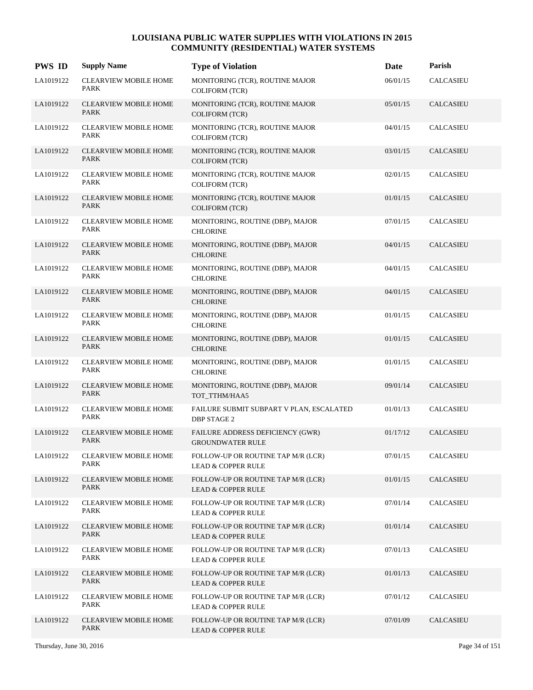| <b>PWS ID</b> | <b>Supply Name</b>                          | <b>Type of Violation</b>                                            | Date     | Parish           |
|---------------|---------------------------------------------|---------------------------------------------------------------------|----------|------------------|
| LA1019122     | <b>CLEARVIEW MOBILE HOME</b><br>PARK        | MONITORING (TCR), ROUTINE MAJOR<br><b>COLIFORM (TCR)</b>            | 06/01/15 | <b>CALCASIEU</b> |
| LA1019122     | <b>CLEARVIEW MOBILE HOME</b><br><b>PARK</b> | MONITORING (TCR), ROUTINE MAJOR<br><b>COLIFORM</b> (TCR)            | 05/01/15 | <b>CALCASIEU</b> |
| LA1019122     | <b>CLEARVIEW MOBILE HOME</b><br><b>PARK</b> | MONITORING (TCR), ROUTINE MAJOR<br><b>COLIFORM (TCR)</b>            | 04/01/15 | <b>CALCASIEU</b> |
| LA1019122     | CLEARVIEW MOBILE HOME<br>PARK               | MONITORING (TCR), ROUTINE MAJOR<br><b>COLIFORM (TCR)</b>            | 03/01/15 | <b>CALCASIEU</b> |
| LA1019122     | <b>CLEARVIEW MOBILE HOME</b><br>PARK        | MONITORING (TCR), ROUTINE MAJOR<br><b>COLIFORM (TCR)</b>            | 02/01/15 | <b>CALCASIEU</b> |
| LA1019122     | <b>CLEARVIEW MOBILE HOME</b><br>PARK        | MONITORING (TCR), ROUTINE MAJOR<br><b>COLIFORM (TCR)</b>            | 01/01/15 | <b>CALCASIEU</b> |
| LA1019122     | <b>CLEARVIEW MOBILE HOME</b><br>PARK        | MONITORING, ROUTINE (DBP), MAJOR<br><b>CHLORINE</b>                 | 07/01/15 | <b>CALCASIEU</b> |
| LA1019122     | CLEARVIEW MOBILE HOME<br><b>PARK</b>        | MONITORING, ROUTINE (DBP), MAJOR<br><b>CHLORINE</b>                 | 04/01/15 | <b>CALCASIEU</b> |
| LA1019122     | CLEARVIEW MOBILE HOME<br>PARK               | MONITORING, ROUTINE (DBP), MAJOR<br><b>CHLORINE</b>                 | 04/01/15 | <b>CALCASIEU</b> |
| LA1019122     | <b>CLEARVIEW MOBILE HOME</b><br><b>PARK</b> | MONITORING, ROUTINE (DBP), MAJOR<br><b>CHLORINE</b>                 | 04/01/15 | <b>CALCASIEU</b> |
| LA1019122     | CLEARVIEW MOBILE HOME<br>PARK               | MONITORING, ROUTINE (DBP), MAJOR<br><b>CHLORINE</b>                 | 01/01/15 | CALCASIEU        |
| LA1019122     | CLEARVIEW MOBILE HOME<br>PARK               | MONITORING, ROUTINE (DBP), MAJOR<br><b>CHLORINE</b>                 | 01/01/15 | CALCASIEU        |
| LA1019122     | <b>CLEARVIEW MOBILE HOME</b><br>PARK        | MONITORING, ROUTINE (DBP), MAJOR<br><b>CHLORINE</b>                 | 01/01/15 | <b>CALCASIEU</b> |
| LA1019122     | <b>CLEARVIEW MOBILE HOME</b><br>PARK        | MONITORING, ROUTINE (DBP), MAJOR<br>TOT_TTHM/HAA5                   | 09/01/14 | <b>CALCASIEU</b> |
| LA1019122     | CLEARVIEW MOBILE HOME<br>PARK               | FAILURE SUBMIT SUBPART V PLAN, ESCALATED<br><b>DBP STAGE 2</b>      | 01/01/13 | CALCASIEU        |
| LA1019122     | <b>CLEARVIEW MOBILE HOME</b><br>PARK        | FAILURE ADDRESS DEFICIENCY (GWR)<br><b>GROUNDWATER RULE</b>         | 01/17/12 | <b>CALCASIEU</b> |
| LA1019122     | <b>CLEARVIEW MOBILE HOME</b><br>PARK        | FOLLOW-UP OR ROUTINE TAP M/R (LCR)<br><b>LEAD &amp; COPPER RULE</b> | 07/01/15 | CALCASIEU        |
| LA1019122     | <b>CLEARVIEW MOBILE HOME</b><br>PARK        | FOLLOW-UP OR ROUTINE TAP M/R (LCR)<br><b>LEAD &amp; COPPER RULE</b> | 01/01/15 | <b>CALCASIEU</b> |
| LA1019122     | <b>CLEARVIEW MOBILE HOME</b><br>PARK        | FOLLOW-UP OR ROUTINE TAP M/R (LCR)<br><b>LEAD &amp; COPPER RULE</b> | 07/01/14 | <b>CALCASIEU</b> |
| LA1019122     | <b>CLEARVIEW MOBILE HOME</b><br>PARK        | FOLLOW-UP OR ROUTINE TAP M/R (LCR)<br><b>LEAD &amp; COPPER RULE</b> | 01/01/14 | CALCASIEU        |
| LA1019122     | <b>CLEARVIEW MOBILE HOME</b><br>PARK        | FOLLOW-UP OR ROUTINE TAP M/R (LCR)<br><b>LEAD &amp; COPPER RULE</b> | 07/01/13 | CALCASIEU        |
| LA1019122     | <b>CLEARVIEW MOBILE HOME</b><br>PARK        | FOLLOW-UP OR ROUTINE TAP M/R (LCR)<br><b>LEAD &amp; COPPER RULE</b> | 01/01/13 | <b>CALCASIEU</b> |
| LA1019122     | <b>CLEARVIEW MOBILE HOME</b><br>PARK        | FOLLOW-UP OR ROUTINE TAP M/R (LCR)<br><b>LEAD &amp; COPPER RULE</b> | 07/01/12 | CALCASIEU        |
| LA1019122     | <b>CLEARVIEW MOBILE HOME</b><br>PARK        | FOLLOW-UP OR ROUTINE TAP M/R (LCR)<br><b>LEAD &amp; COPPER RULE</b> | 07/01/09 | <b>CALCASIEU</b> |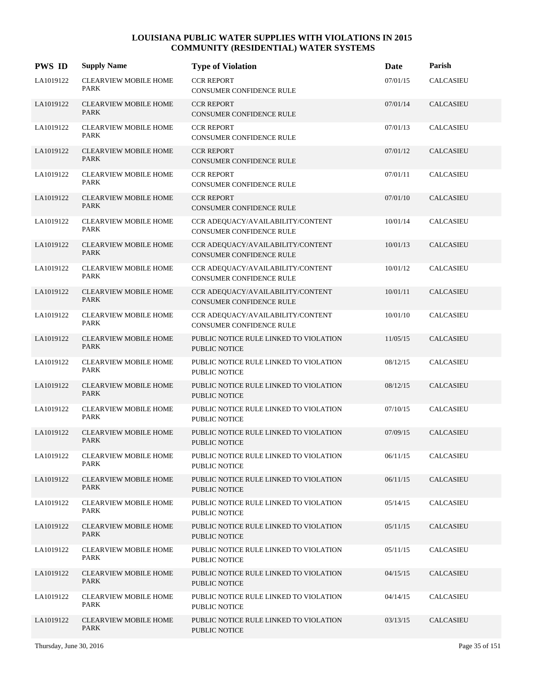| <b>PWS ID</b> | <b>Supply Name</b>                          | <b>Type of Violation</b>                                             | Date     | Parish           |
|---------------|---------------------------------------------|----------------------------------------------------------------------|----------|------------------|
| LA1019122     | <b>CLEARVIEW MOBILE HOME</b><br>PARK        | <b>CCR REPORT</b><br>CONSUMER CONFIDENCE RULE                        | 07/01/15 | <b>CALCASIEU</b> |
| LA1019122     | <b>CLEARVIEW MOBILE HOME</b><br><b>PARK</b> | <b>CCR REPORT</b><br>CONSUMER CONFIDENCE RULE                        | 07/01/14 | <b>CALCASIEU</b> |
| LA1019122     | <b>CLEARVIEW MOBILE HOME</b><br><b>PARK</b> | <b>CCR REPORT</b><br>CONSUMER CONFIDENCE RULE                        | 07/01/13 | <b>CALCASIEU</b> |
| LA1019122     | <b>CLEARVIEW MOBILE HOME</b><br>PARK        | <b>CCR REPORT</b><br>CONSUMER CONFIDENCE RULE                        | 07/01/12 | <b>CALCASIEU</b> |
| LA1019122     | CLEARVIEW MOBILE HOME<br><b>PARK</b>        | <b>CCR REPORT</b><br>CONSUMER CONFIDENCE RULE                        | 07/01/11 | CALCASIEU        |
| LA1019122     | <b>CLEARVIEW MOBILE HOME</b><br><b>PARK</b> | <b>CCR REPORT</b><br>CONSUMER CONFIDENCE RULE                        | 07/01/10 | <b>CALCASIEU</b> |
| LA1019122     | <b>CLEARVIEW MOBILE HOME</b><br>PARK        | CCR ADEQUACY/AVAILABILITY/CONTENT<br>CONSUMER CONFIDENCE RULE        | 10/01/14 | <b>CALCASIEU</b> |
| LA1019122     | <b>CLEARVIEW MOBILE HOME</b><br><b>PARK</b> | CCR ADEQUACY/AVAILABILITY/CONTENT<br><b>CONSUMER CONFIDENCE RULE</b> | 10/01/13 | <b>CALCASIEU</b> |
| LA1019122     | CLEARVIEW MOBILE HOME<br>PARK               | CCR ADEQUACY/AVAILABILITY/CONTENT<br>CONSUMER CONFIDENCE RULE        | 10/01/12 | CALCASIEU        |
| LA1019122     | CLEARVIEW MOBILE HOME<br>PARK               | CCR ADEQUACY/AVAILABILITY/CONTENT<br>CONSUMER CONFIDENCE RULE        | 10/01/11 | <b>CALCASIEU</b> |
| LA1019122     | CLEARVIEW MOBILE HOME<br>PARK               | CCR ADEQUACY/AVAILABILITY/CONTENT<br>CONSUMER CONFIDENCE RULE        | 10/01/10 | <b>CALCASIEU</b> |
| LA1019122     | CLEARVIEW MOBILE HOME<br><b>PARK</b>        | PUBLIC NOTICE RULE LINKED TO VIOLATION<br><b>PUBLIC NOTICE</b>       | 11/05/15 | <b>CALCASIEU</b> |
| LA1019122     | CLEARVIEW MOBILE HOME<br>PARK               | PUBLIC NOTICE RULE LINKED TO VIOLATION<br>PUBLIC NOTICE              | 08/12/15 | <b>CALCASIEU</b> |
| LA1019122     | <b>CLEARVIEW MOBILE HOME</b><br>PARK        | PUBLIC NOTICE RULE LINKED TO VIOLATION<br><b>PUBLIC NOTICE</b>       | 08/12/15 | CALCASIEU        |
| LA1019122     | CLEARVIEW MOBILE HOME<br><b>PARK</b>        | PUBLIC NOTICE RULE LINKED TO VIOLATION<br><b>PUBLIC NOTICE</b>       | 07/10/15 | <b>CALCASIEU</b> |
| LA1019122     | <b>CLEARVIEW MOBILE HOME</b><br><b>PARK</b> | PUBLIC NOTICE RULE LINKED TO VIOLATION<br><b>PUBLIC NOTICE</b>       | 07/09/15 | <b>CALCASIEU</b> |
| LA1019122     | <b>CLEARVIEW MOBILE HOME</b><br>PARK        | PUBLIC NOTICE RULE LINKED TO VIOLATION<br>PUBLIC NOTICE              | 06/11/15 | CALCASIEU        |
| LA1019122     | <b>CLEARVIEW MOBILE HOME</b><br><b>PARK</b> | PUBLIC NOTICE RULE LINKED TO VIOLATION<br>PUBLIC NOTICE              | 06/11/15 | <b>CALCASIEU</b> |
| LA1019122     | <b>CLEARVIEW MOBILE HOME</b><br>PARK        | PUBLIC NOTICE RULE LINKED TO VIOLATION<br><b>PUBLIC NOTICE</b>       | 05/14/15 | <b>CALCASIEU</b> |
| LA1019122     | <b>CLEARVIEW MOBILE HOME</b><br>PARK        | PUBLIC NOTICE RULE LINKED TO VIOLATION<br>PUBLIC NOTICE              | 05/11/15 | <b>CALCASIEU</b> |
| LA1019122     | <b>CLEARVIEW MOBILE HOME</b><br>PARK        | PUBLIC NOTICE RULE LINKED TO VIOLATION<br>PUBLIC NOTICE              | 05/11/15 | CALCASIEU        |
| LA1019122     | <b>CLEARVIEW MOBILE HOME</b><br><b>PARK</b> | PUBLIC NOTICE RULE LINKED TO VIOLATION<br>PUBLIC NOTICE              | 04/15/15 | <b>CALCASIEU</b> |
| LA1019122     | <b>CLEARVIEW MOBILE HOME</b><br>PARK        | PUBLIC NOTICE RULE LINKED TO VIOLATION<br>PUBLIC NOTICE              | 04/14/15 | CALCASIEU        |
| LA1019122     | <b>CLEARVIEW MOBILE HOME</b><br>PARK        | PUBLIC NOTICE RULE LINKED TO VIOLATION<br>PUBLIC NOTICE              | 03/13/15 | <b>CALCASIEU</b> |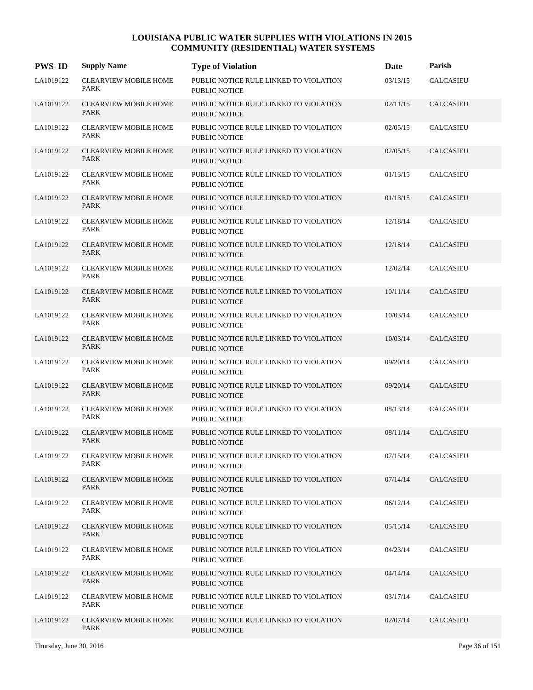| <b>PWS ID</b> | <b>Supply Name</b>                          | <b>Type of Violation</b>                                       | Date     | Parish           |
|---------------|---------------------------------------------|----------------------------------------------------------------|----------|------------------|
| LA1019122     | <b>CLEARVIEW MOBILE HOME</b><br>PARK        | PUBLIC NOTICE RULE LINKED TO VIOLATION<br><b>PUBLIC NOTICE</b> | 03/13/15 | <b>CALCASIEU</b> |
| LA1019122     | <b>CLEARVIEW MOBILE HOME</b><br><b>PARK</b> | PUBLIC NOTICE RULE LINKED TO VIOLATION<br><b>PUBLIC NOTICE</b> | 02/11/15 | <b>CALCASIEU</b> |
| LA1019122     | <b>CLEARVIEW MOBILE HOME</b><br>PARK        | PUBLIC NOTICE RULE LINKED TO VIOLATION<br>PUBLIC NOTICE        | 02/05/15 | <b>CALCASIEU</b> |
| LA1019122     | <b>CLEARVIEW MOBILE HOME</b><br>PARK        | PUBLIC NOTICE RULE LINKED TO VIOLATION<br><b>PUBLIC NOTICE</b> | 02/05/15 | <b>CALCASIEU</b> |
| LA1019122     | <b>CLEARVIEW MOBILE HOME</b><br>PARK        | PUBLIC NOTICE RULE LINKED TO VIOLATION<br><b>PUBLIC NOTICE</b> | 01/13/15 | <b>CALCASIEU</b> |
| LA1019122     | <b>CLEARVIEW MOBILE HOME</b><br>PARK        | PUBLIC NOTICE RULE LINKED TO VIOLATION<br><b>PUBLIC NOTICE</b> | 01/13/15 | <b>CALCASIEU</b> |
| LA1019122     | <b>CLEARVIEW MOBILE HOME</b><br><b>PARK</b> | PUBLIC NOTICE RULE LINKED TO VIOLATION<br><b>PUBLIC NOTICE</b> | 12/18/14 | <b>CALCASIEU</b> |
| LA1019122     | <b>CLEARVIEW MOBILE HOME</b><br><b>PARK</b> | PUBLIC NOTICE RULE LINKED TO VIOLATION<br><b>PUBLIC NOTICE</b> | 12/18/14 | <b>CALCASIEU</b> |
| LA1019122     | <b>CLEARVIEW MOBILE HOME</b><br>PARK        | PUBLIC NOTICE RULE LINKED TO VIOLATION<br>PUBLIC NOTICE        | 12/02/14 | <b>CALCASIEU</b> |
| LA1019122     | <b>CLEARVIEW MOBILE HOME</b><br>PARK        | PUBLIC NOTICE RULE LINKED TO VIOLATION<br><b>PUBLIC NOTICE</b> | 10/11/14 | <b>CALCASIEU</b> |
| LA1019122     | <b>CLEARVIEW MOBILE HOME</b><br>PARK        | PUBLIC NOTICE RULE LINKED TO VIOLATION<br><b>PUBLIC NOTICE</b> | 10/03/14 | <b>CALCASIEU</b> |
| LA1019122     | <b>CLEARVIEW MOBILE HOME</b><br><b>PARK</b> | PUBLIC NOTICE RULE LINKED TO VIOLATION<br><b>PUBLIC NOTICE</b> | 10/03/14 | CALCASIEU        |
| LA1019122     | <b>CLEARVIEW MOBILE HOME</b><br>PARK        | PUBLIC NOTICE RULE LINKED TO VIOLATION<br><b>PUBLIC NOTICE</b> | 09/20/14 | <b>CALCASIEU</b> |
| LA1019122     | <b>CLEARVIEW MOBILE HOME</b><br><b>PARK</b> | PUBLIC NOTICE RULE LINKED TO VIOLATION<br><b>PUBLIC NOTICE</b> | 09/20/14 | <b>CALCASIEU</b> |
| LA1019122     | <b>CLEARVIEW MOBILE HOME</b><br>PARK        | PUBLIC NOTICE RULE LINKED TO VIOLATION<br>PUBLIC NOTICE        | 08/13/14 | CALCASIEU        |
| LA1019122     | <b>CLEARVIEW MOBILE HOME</b><br>PARK        | PUBLIC NOTICE RULE LINKED TO VIOLATION<br>PUBLIC NOTICE        | 08/11/14 | <b>CALCASIEU</b> |
| LA1019122     | CLEARVIEW MOBILE HOME<br>PARK               | PUBLIC NOTICE RULE LINKED TO VIOLATION<br>PUBLIC NOTICE        | 07/15/14 | CALCASIEU        |
| LA1019122     | CLEARVIEW MOBILE HOME<br>PARK               | PUBLIC NOTICE RULE LINKED TO VIOLATION<br><b>PUBLIC NOTICE</b> | 07/14/14 | <b>CALCASIEU</b> |
| LA1019122     | CLEARVIEW MOBILE HOME<br>PARK               | PUBLIC NOTICE RULE LINKED TO VIOLATION<br>PUBLIC NOTICE        | 06/12/14 | <b>CALCASIEU</b> |
| LA1019122     | <b>CLEARVIEW MOBILE HOME</b><br>PARK        | PUBLIC NOTICE RULE LINKED TO VIOLATION<br>PUBLIC NOTICE        | 05/15/14 | <b>CALCASIEU</b> |
| LA1019122     | <b>CLEARVIEW MOBILE HOME</b><br>PARK        | PUBLIC NOTICE RULE LINKED TO VIOLATION<br>PUBLIC NOTICE        | 04/23/14 | CALCASIEU        |
| LA1019122     | <b>CLEARVIEW MOBILE HOME</b><br>PARK        | PUBLIC NOTICE RULE LINKED TO VIOLATION<br>PUBLIC NOTICE        | 04/14/14 | <b>CALCASIEU</b> |
| LA1019122     | <b>CLEARVIEW MOBILE HOME</b><br>PARK        | PUBLIC NOTICE RULE LINKED TO VIOLATION<br>PUBLIC NOTICE        | 03/17/14 | <b>CALCASIEU</b> |
| LA1019122     | <b>CLEARVIEW MOBILE HOME</b><br>PARK        | PUBLIC NOTICE RULE LINKED TO VIOLATION<br>PUBLIC NOTICE        | 02/07/14 | <b>CALCASIEU</b> |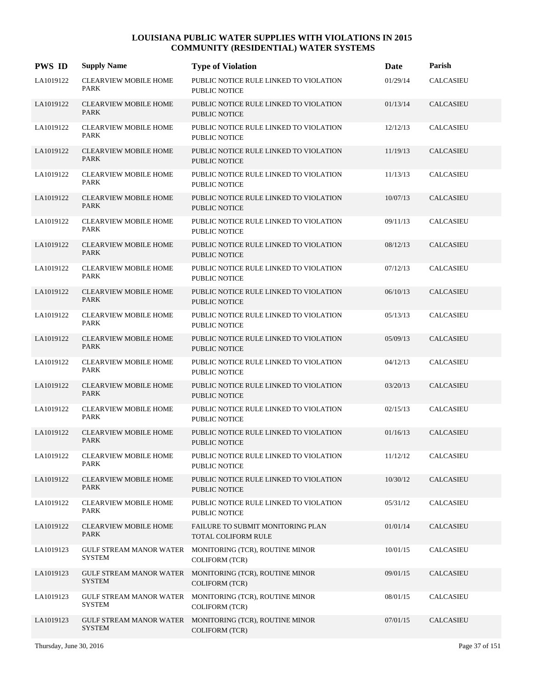| <b>PWS ID</b> | <b>Supply Name</b>                              | <b>Type of Violation</b>                                       | Date     | Parish               |
|---------------|-------------------------------------------------|----------------------------------------------------------------|----------|----------------------|
| LA1019122     | <b>CLEARVIEW MOBILE HOME</b><br>PARK            | PUBLIC NOTICE RULE LINKED TO VIOLATION<br><b>PUBLIC NOTICE</b> | 01/29/14 | <b>CALCASIEU</b>     |
| LA1019122     | <b>CLEARVIEW MOBILE HOME</b><br><b>PARK</b>     | PUBLIC NOTICE RULE LINKED TO VIOLATION<br><b>PUBLIC NOTICE</b> | 01/13/14 | <b>CALCASIEU</b>     |
| LA1019122     | <b>CLEARVIEW MOBILE HOME</b><br>PARK            | PUBLIC NOTICE RULE LINKED TO VIOLATION<br><b>PUBLIC NOTICE</b> | 12/12/13 | CALCASIEU            |
| LA1019122     | <b>CLEARVIEW MOBILE HOME</b><br>PARK            | PUBLIC NOTICE RULE LINKED TO VIOLATION<br><b>PUBLIC NOTICE</b> | 11/19/13 | <b>CALCASIEU</b>     |
| LA1019122     | <b>CLEARVIEW MOBILE HOME</b><br>PARK            | PUBLIC NOTICE RULE LINKED TO VIOLATION<br><b>PUBLIC NOTICE</b> | 11/13/13 | <b>CALCASIEU</b>     |
| LA1019122     | <b>CLEARVIEW MOBILE HOME</b><br>PARK            | PUBLIC NOTICE RULE LINKED TO VIOLATION<br><b>PUBLIC NOTICE</b> | 10/07/13 | <b>CALCASIEU</b>     |
| LA1019122     | <b>CLEARVIEW MOBILE HOME</b><br><b>PARK</b>     | PUBLIC NOTICE RULE LINKED TO VIOLATION<br>PUBLIC NOTICE        | 09/11/13 | <b>CALCASIEU</b>     |
| LA1019122     | <b>CLEARVIEW MOBILE HOME</b><br>PARK            | PUBLIC NOTICE RULE LINKED TO VIOLATION<br><b>PUBLIC NOTICE</b> | 08/12/13 | <b>CALCASIEU</b>     |
| LA1019122     | <b>CLEARVIEW MOBILE HOME</b><br>PARK            | PUBLIC NOTICE RULE LINKED TO VIOLATION<br><b>PUBLIC NOTICE</b> | 07/12/13 | <b>CALCASIEU</b>     |
| LA1019122     | <b>CLEARVIEW MOBILE HOME</b><br>PARK            | PUBLIC NOTICE RULE LINKED TO VIOLATION<br><b>PUBLIC NOTICE</b> | 06/10/13 | <b>CALCASIEU</b>     |
| LA1019122     | <b>CLEARVIEW MOBILE HOME</b><br><b>PARK</b>     | PUBLIC NOTICE RULE LINKED TO VIOLATION<br><b>PUBLIC NOTICE</b> | 05/13/13 | <b>CALCASIEU</b>     |
| LA1019122     | <b>CLEARVIEW MOBILE HOME</b><br><b>PARK</b>     | PUBLIC NOTICE RULE LINKED TO VIOLATION<br><b>PUBLIC NOTICE</b> | 05/09/13 | <b>CALCASIEU</b>     |
| LA1019122     | <b>CLEARVIEW MOBILE HOME</b><br>PARK            | PUBLIC NOTICE RULE LINKED TO VIOLATION<br><b>PUBLIC NOTICE</b> | 04/12/13 | <b>CALCASIEU</b>     |
| LA1019122     | <b>CLEARVIEW MOBILE HOME</b><br><b>PARK</b>     | PUBLIC NOTICE RULE LINKED TO VIOLATION<br><b>PUBLIC NOTICE</b> | 03/20/13 | <b>CALCASIEU</b>     |
| LA1019122     | <b>CLEARVIEW MOBILE HOME</b><br>PARK            | PUBLIC NOTICE RULE LINKED TO VIOLATION<br>PUBLIC NOTICE        | 02/15/13 | <b>CALCASIEU</b>     |
| LA1019122     | <b>CLEARVIEW MOBILE HOME</b><br><b>PARK</b>     | PUBLIC NOTICE RULE LINKED TO VIOLATION<br><b>PUBLIC NOTICE</b> | 01/16/13 | <b>CALCASIEU</b>     |
| LA1019122     | <b>CLEARVIEW MOBILE HOME</b><br>PARK            | PUBLIC NOTICE RULE LINKED TO VIOLATION<br>PUBLIC NOTICE        | 11/12/12 | <b>CALCASIEU</b>     |
| LA1019122     | <b>CLEARVIEW MOBILE HOME</b><br>PARK            | PUBLIC NOTICE RULE LINKED TO VIOLATION<br>PUBLIC NOTICE        | 10/30/12 | <b>CALCASIEU</b>     |
| LA1019122     | <b>CLEARVIEW MOBILE HOME</b><br>PARK            | PUBLIC NOTICE RULE LINKED TO VIOLATION<br>PUBLIC NOTICE        | 05/31/12 | <b>CALCASIEU</b>     |
| LA1019122     | <b>CLEARVIEW MOBILE HOME</b><br>PARK            | FAILURE TO SUBMIT MONITORING PLAN<br>TOTAL COLIFORM RULE       | 01/01/14 | <b>CALCASIEU</b>     |
| LA1019123     | <b>GULF STREAM MANOR WATER</b><br><b>SYSTEM</b> | MONITORING (TCR), ROUTINE MINOR<br>COLIFORM (TCR)              | 10/01/15 | CALCASIEU            |
| LA1019123     | <b>GULF STREAM MANOR WATER</b><br><b>SYSTEM</b> | MONITORING (TCR), ROUTINE MINOR<br><b>COLIFORM (TCR)</b>       | 09/01/15 | CALCASIEU            |
| LA1019123     | <b>GULF STREAM MANOR WATER</b><br><b>SYSTEM</b> | MONITORING (TCR), ROUTINE MINOR<br>COLIFORM (TCR)              | 08/01/15 | $\mathsf{CALCASIEU}$ |
| LA1019123     | GULF STREAM MANOR WATER<br><b>SYSTEM</b>        | MONITORING (TCR), ROUTINE MINOR<br>COLIFORM (TCR)              | 07/01/15 | <b>CALCASIEU</b>     |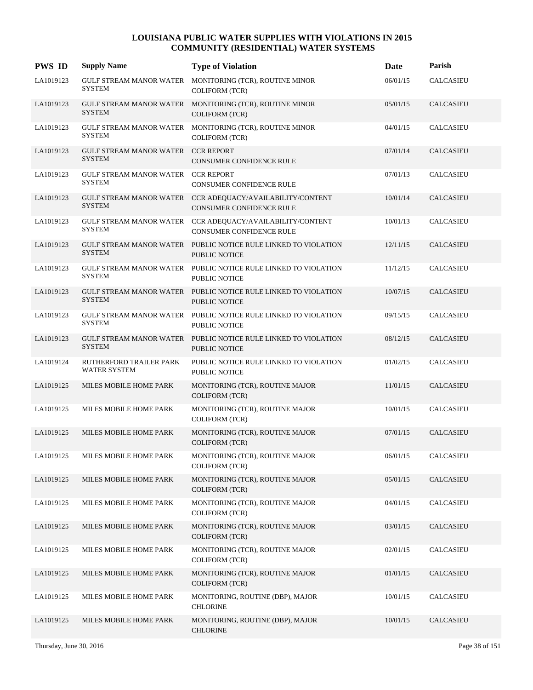| <b>PWS ID</b> | <b>Supply Name</b>                              | <b>Type of Violation</b>                                                               | Date     | Parish           |
|---------------|-------------------------------------------------|----------------------------------------------------------------------------------------|----------|------------------|
| LA1019123     | <b>GULF STREAM MANOR WATER</b><br>SYSTEM        | MONITORING (TCR), ROUTINE MINOR<br><b>COLIFORM (TCR)</b>                               | 06/01/15 | <b>CALCASIEU</b> |
| LA1019123     | GULF STREAM MANOR WATER<br><b>SYSTEM</b>        | MONITORING (TCR), ROUTINE MINOR<br><b>COLIFORM (TCR)</b>                               | 05/01/15 | <b>CALCASIEU</b> |
| LA1019123     | <b>GULF STREAM MANOR WATER</b><br><b>SYSTEM</b> | MONITORING (TCR), ROUTINE MINOR<br><b>COLIFORM (TCR)</b>                               | 04/01/15 | CALCASIEU        |
| LA1019123     | <b>GULF STREAM MANOR WATER</b><br><b>SYSTEM</b> | <b>CCR REPORT</b><br>CONSUMER CONFIDENCE RULE                                          | 07/01/14 | <b>CALCASIEU</b> |
| LA1019123     | GULF STREAM MANOR WATER<br><b>SYSTEM</b>        | <b>CCR REPORT</b><br>CONSUMER CONFIDENCE RULE                                          | 07/01/13 | CALCASIEU        |
| LA1019123     | <b>GULF STREAM MANOR WATER</b><br><b>SYSTEM</b> | CCR ADEQUACY/AVAILABILITY/CONTENT<br>CONSUMER CONFIDENCE RULE                          | 10/01/14 | <b>CALCASIEU</b> |
| LA1019123     | <b>GULF STREAM MANOR WATER</b><br><b>SYSTEM</b> | CCR ADEQUACY/AVAILABILITY/CONTENT<br>CONSUMER CONFIDENCE RULE                          | 10/01/13 | <b>CALCASIEU</b> |
| LA1019123     | GULF STREAM MANOR WATER<br><b>SYSTEM</b>        | PUBLIC NOTICE RULE LINKED TO VIOLATION<br><b>PUBLIC NOTICE</b>                         | 12/11/15 | <b>CALCASIEU</b> |
| LA1019123     | GULF STREAM MANOR WATER<br><b>SYSTEM</b>        | PUBLIC NOTICE RULE LINKED TO VIOLATION<br>PUBLIC NOTICE                                | 11/12/15 | <b>CALCASIEU</b> |
| LA1019123     | <b>SYSTEM</b>                                   | GULF STREAM MANOR WATER PUBLIC NOTICE RULE LINKED TO VIOLATION<br><b>PUBLIC NOTICE</b> | 10/07/15 | <b>CALCASIEU</b> |
| LA1019123     | <b>SYSTEM</b>                                   | GULF STREAM MANOR WATER PUBLIC NOTICE RULE LINKED TO VIOLATION<br>PUBLIC NOTICE        | 09/15/15 | CALCASIEU        |
| LA1019123     | <b>GULF STREAM MANOR WATER</b><br><b>SYSTEM</b> | PUBLIC NOTICE RULE LINKED TO VIOLATION<br>PUBLIC NOTICE                                | 08/12/15 | <b>CALCASIEU</b> |
| LA1019124     | RUTHERFORD TRAILER PARK<br>WATER SYSTEM         | PUBLIC NOTICE RULE LINKED TO VIOLATION<br>PUBLIC NOTICE                                | 01/02/15 | CALCASIEU        |
| LA1019125     | MILES MOBILE HOME PARK                          | MONITORING (TCR), ROUTINE MAJOR<br><b>COLIFORM (TCR)</b>                               | 11/01/15 | <b>CALCASIEU</b> |
| LA1019125     | MILES MOBILE HOME PARK                          | MONITORING (TCR), ROUTINE MAJOR<br>COLIFORM (TCR)                                      | 10/01/15 | CALCASIEU        |
| LA1019125     | MILES MOBILE HOME PARK                          | MONITORING (TCR), ROUTINE MAJOR<br><b>COLIFORM (TCR)</b>                               | 07/01/15 | <b>CALCASIEU</b> |
| LA1019125     | MILES MOBILE HOME PARK                          | MONITORING (TCR), ROUTINE MAJOR<br>COLIFORM (TCR)                                      | 06/01/15 | <b>CALCASIEU</b> |
| LA1019125     | MILES MOBILE HOME PARK                          | MONITORING (TCR), ROUTINE MAJOR<br>COLIFORM (TCR)                                      | 05/01/15 | <b>CALCASIEU</b> |
| LA1019125     | MILES MOBILE HOME PARK                          | MONITORING (TCR), ROUTINE MAJOR<br>COLIFORM (TCR)                                      | 04/01/15 | <b>CALCASIEU</b> |
| LA1019125     | MILES MOBILE HOME PARK                          | MONITORING (TCR), ROUTINE MAJOR<br><b>COLIFORM (TCR)</b>                               | 03/01/15 | <b>CALCASIEU</b> |
| LA1019125     | MILES MOBILE HOME PARK                          | MONITORING (TCR), ROUTINE MAJOR<br>COLIFORM (TCR)                                      | 02/01/15 | CALCASIEU        |
| LA1019125     | MILES MOBILE HOME PARK                          | MONITORING (TCR), ROUTINE MAJOR<br><b>COLIFORM (TCR)</b>                               | 01/01/15 | <b>CALCASIEU</b> |
| LA1019125     | MILES MOBILE HOME PARK                          | MONITORING, ROUTINE (DBP), MAJOR<br><b>CHLORINE</b>                                    | 10/01/15 | CALCASIEU        |
| LA1019125     | MILES MOBILE HOME PARK                          | MONITORING, ROUTINE (DBP), MAJOR<br><b>CHLORINE</b>                                    | 10/01/15 | CALCASIEU        |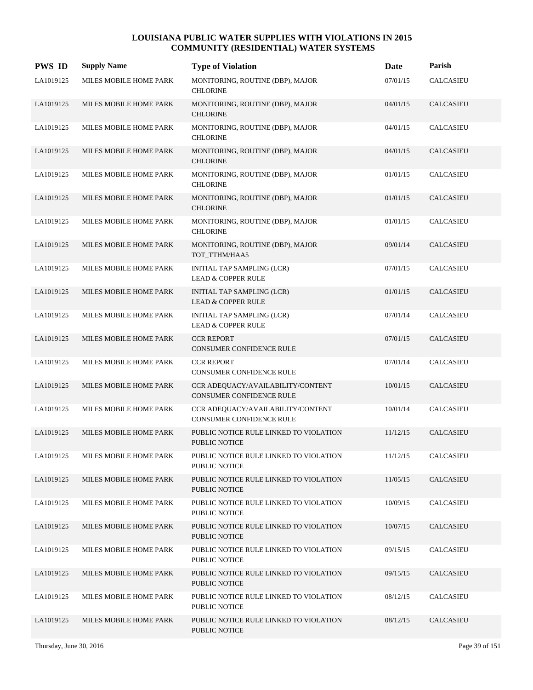| <b>PWS ID</b> | <b>Supply Name</b>     | <b>Type of Violation</b>                                       | Date     | Parish           |
|---------------|------------------------|----------------------------------------------------------------|----------|------------------|
| LA1019125     | MILES MOBILE HOME PARK | MONITORING, ROUTINE (DBP), MAJOR<br><b>CHLORINE</b>            | 07/01/15 | CALCASIEU        |
| LA1019125     | MILES MOBILE HOME PARK | MONITORING, ROUTINE (DBP), MAJOR<br><b>CHLORINE</b>            | 04/01/15 | CALCASIEU        |
| LA1019125     | MILES MOBILE HOME PARK | MONITORING, ROUTINE (DBP), MAJOR<br><b>CHLORINE</b>            | 04/01/15 | <b>CALCASIEU</b> |
| LA1019125     | MILES MOBILE HOME PARK | MONITORING, ROUTINE (DBP), MAJOR<br><b>CHLORINE</b>            | 04/01/15 | <b>CALCASIEU</b> |
| LA1019125     | MILES MOBILE HOME PARK | MONITORING, ROUTINE (DBP), MAJOR<br><b>CHLORINE</b>            | 01/01/15 | CALCASIEU        |
| LA1019125     | MILES MOBILE HOME PARK | MONITORING, ROUTINE (DBP), MAJOR<br><b>CHLORINE</b>            | 01/01/15 | <b>CALCASIEU</b> |
| LA1019125     | MILES MOBILE HOME PARK | MONITORING, ROUTINE (DBP), MAJOR<br><b>CHLORINE</b>            | 01/01/15 | CALCASIEU        |
| LA1019125     | MILES MOBILE HOME PARK | MONITORING, ROUTINE (DBP), MAJOR<br>TOT_TTHM/HAA5              | 09/01/14 | <b>CALCASIEU</b> |
| LA1019125     | MILES MOBILE HOME PARK | INITIAL TAP SAMPLING (LCR)<br><b>LEAD &amp; COPPER RULE</b>    | 07/01/15 | CALCASIEU        |
| LA1019125     | MILES MOBILE HOME PARK | INITIAL TAP SAMPLING (LCR)<br><b>LEAD &amp; COPPER RULE</b>    | 01/01/15 | <b>CALCASIEU</b> |
| LA1019125     | MILES MOBILE HOME PARK | INITIAL TAP SAMPLING (LCR)<br><b>LEAD &amp; COPPER RULE</b>    | 07/01/14 | <b>CALCASIEU</b> |
| LA1019125     | MILES MOBILE HOME PARK | <b>CCR REPORT</b><br>CONSUMER CONFIDENCE RULE                  | 07/01/15 | <b>CALCASIEU</b> |
| LA1019125     | MILES MOBILE HOME PARK | <b>CCR REPORT</b><br>CONSUMER CONFIDENCE RULE                  | 07/01/14 | CALCASIEU        |
| LA1019125     | MILES MOBILE HOME PARK | CCR ADEQUACY/AVAILABILITY/CONTENT<br>CONSUMER CONFIDENCE RULE  | 10/01/15 | <b>CALCASIEU</b> |
| LA1019125     | MILES MOBILE HOME PARK | CCR ADEQUACY/AVAILABILITY/CONTENT<br>CONSUMER CONFIDENCE RULE  | 10/01/14 | CALCASIEU        |
| LA1019125     | MILES MOBILE HOME PARK | PUBLIC NOTICE RULE LINKED TO VIOLATION<br><b>PUBLIC NOTICE</b> | 11/12/15 | CALCASIEU        |
| LA1019125     | MILES MOBILE HOME PARK | PUBLIC NOTICE RULE LINKED TO VIOLATION<br>PUBLIC NOTICE        | 11/12/15 | CALCASIEU        |
| LA1019125     | MILES MOBILE HOME PARK | PUBLIC NOTICE RULE LINKED TO VIOLATION<br>PUBLIC NOTICE        | 11/05/15 | <b>CALCASIEU</b> |
| LA1019125     | MILES MOBILE HOME PARK | PUBLIC NOTICE RULE LINKED TO VIOLATION<br>PUBLIC NOTICE        | 10/09/15 | CALCASIEU        |
| LA1019125     | MILES MOBILE HOME PARK | PUBLIC NOTICE RULE LINKED TO VIOLATION<br>PUBLIC NOTICE        | 10/07/15 | CALCASIEU        |
| LA1019125     | MILES MOBILE HOME PARK | PUBLIC NOTICE RULE LINKED TO VIOLATION<br>PUBLIC NOTICE        | 09/15/15 | CALCASIEU        |
| LA1019125     | MILES MOBILE HOME PARK | PUBLIC NOTICE RULE LINKED TO VIOLATION<br>PUBLIC NOTICE        | 09/15/15 | CALCASIEU        |
| LA1019125     | MILES MOBILE HOME PARK | PUBLIC NOTICE RULE LINKED TO VIOLATION<br>PUBLIC NOTICE        | 08/12/15 | CALCASIEU        |
| LA1019125     | MILES MOBILE HOME PARK | PUBLIC NOTICE RULE LINKED TO VIOLATION<br>PUBLIC NOTICE        | 08/12/15 | CALCASIEU        |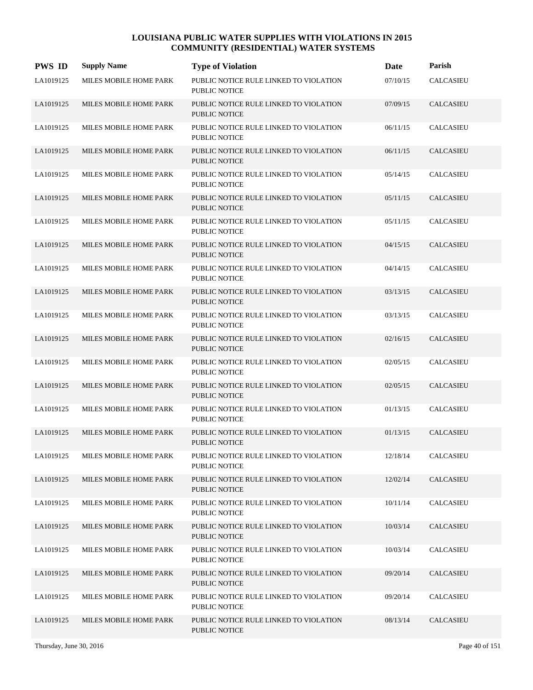| <b>PWS ID</b> | <b>Supply Name</b>     | <b>Type of Violation</b>                                       | Date     | Parish           |
|---------------|------------------------|----------------------------------------------------------------|----------|------------------|
| LA1019125     | MILES MOBILE HOME PARK | PUBLIC NOTICE RULE LINKED TO VIOLATION<br><b>PUBLIC NOTICE</b> | 07/10/15 | CALCASIEU        |
| LA1019125     | MILES MOBILE HOME PARK | PUBLIC NOTICE RULE LINKED TO VIOLATION<br><b>PUBLIC NOTICE</b> | 07/09/15 | <b>CALCASIEU</b> |
| LA1019125     | MILES MOBILE HOME PARK | PUBLIC NOTICE RULE LINKED TO VIOLATION<br><b>PUBLIC NOTICE</b> | 06/11/15 | <b>CALCASIEU</b> |
| LA1019125     | MILES MOBILE HOME PARK | PUBLIC NOTICE RULE LINKED TO VIOLATION<br><b>PUBLIC NOTICE</b> | 06/11/15 | <b>CALCASIEU</b> |
| LA1019125     | MILES MOBILE HOME PARK | PUBLIC NOTICE RULE LINKED TO VIOLATION<br>PUBLIC NOTICE        | 05/14/15 | <b>CALCASIEU</b> |
| LA1019125     | MILES MOBILE HOME PARK | PUBLIC NOTICE RULE LINKED TO VIOLATION<br><b>PUBLIC NOTICE</b> | 05/11/15 | <b>CALCASIEU</b> |
| LA1019125     | MILES MOBILE HOME PARK | PUBLIC NOTICE RULE LINKED TO VIOLATION<br><b>PUBLIC NOTICE</b> | 05/11/15 | CALCASIEU        |
| LA1019125     | MILES MOBILE HOME PARK | PUBLIC NOTICE RULE LINKED TO VIOLATION<br><b>PUBLIC NOTICE</b> | 04/15/15 | <b>CALCASIEU</b> |
| LA1019125     | MILES MOBILE HOME PARK | PUBLIC NOTICE RULE LINKED TO VIOLATION<br><b>PUBLIC NOTICE</b> | 04/14/15 | CALCASIEU        |
| LA1019125     | MILES MOBILE HOME PARK | PUBLIC NOTICE RULE LINKED TO VIOLATION<br><b>PUBLIC NOTICE</b> | 03/13/15 | <b>CALCASIEU</b> |
| LA1019125     | MILES MOBILE HOME PARK | PUBLIC NOTICE RULE LINKED TO VIOLATION<br>PUBLIC NOTICE        | 03/13/15 | <b>CALCASIEU</b> |
| LA1019125     | MILES MOBILE HOME PARK | PUBLIC NOTICE RULE LINKED TO VIOLATION<br>PUBLIC NOTICE        | 02/16/15 | <b>CALCASIEU</b> |
| LA1019125     | MILES MOBILE HOME PARK | PUBLIC NOTICE RULE LINKED TO VIOLATION<br>PUBLIC NOTICE        | 02/05/15 | CALCASIEU        |
| LA1019125     | MILES MOBILE HOME PARK | PUBLIC NOTICE RULE LINKED TO VIOLATION<br><b>PUBLIC NOTICE</b> | 02/05/15 | <b>CALCASIEU</b> |
| LA1019125     | MILES MOBILE HOME PARK | PUBLIC NOTICE RULE LINKED TO VIOLATION<br>PUBLIC NOTICE        | 01/13/15 | CALCASIEU        |
| LA1019125     | MILES MOBILE HOME PARK | PUBLIC NOTICE RULE LINKED TO VIOLATION<br><b>PUBLIC NOTICE</b> | 01/13/15 | CALCASIEU        |
| LA1019125     | MILES MOBILE HOME PARK | PUBLIC NOTICE RULE LINKED TO VIOLATION<br>PUBLIC NOTICE        | 12/18/14 | CALCASIEU        |
| LA1019125     | MILES MOBILE HOME PARK | PUBLIC NOTICE RULE LINKED TO VIOLATION<br>PUBLIC NOTICE        | 12/02/14 | CALCASIEU        |
| LA1019125     | MILES MOBILE HOME PARK | PUBLIC NOTICE RULE LINKED TO VIOLATION<br>PUBLIC NOTICE        | 10/11/14 | CALCASIEU        |
| LA1019125     | MILES MOBILE HOME PARK | PUBLIC NOTICE RULE LINKED TO VIOLATION<br>PUBLIC NOTICE        | 10/03/14 | CALCASIEU        |
| LA1019125     | MILES MOBILE HOME PARK | PUBLIC NOTICE RULE LINKED TO VIOLATION<br>PUBLIC NOTICE        | 10/03/14 | CALCASIEU        |
| LA1019125     | MILES MOBILE HOME PARK | PUBLIC NOTICE RULE LINKED TO VIOLATION<br>PUBLIC NOTICE        | 09/20/14 | CALCASIEU        |
| LA1019125     | MILES MOBILE HOME PARK | PUBLIC NOTICE RULE LINKED TO VIOLATION<br>PUBLIC NOTICE        | 09/20/14 | CALCASIEU        |
| LA1019125     | MILES MOBILE HOME PARK | PUBLIC NOTICE RULE LINKED TO VIOLATION<br>PUBLIC NOTICE        | 08/13/14 | CALCASIEU        |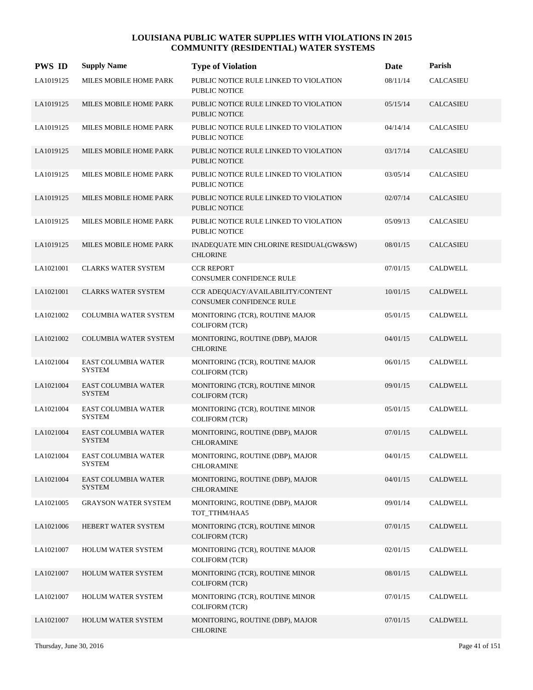| <b>PWS ID</b> | <b>Supply Name</b>                          | <b>Type of Violation</b>                                       | Date     | Parish           |
|---------------|---------------------------------------------|----------------------------------------------------------------|----------|------------------|
| LA1019125     | MILES MOBILE HOME PARK                      | PUBLIC NOTICE RULE LINKED TO VIOLATION<br>PUBLIC NOTICE        | 08/11/14 | <b>CALCASIEU</b> |
| LA1019125     | MILES MOBILE HOME PARK                      | PUBLIC NOTICE RULE LINKED TO VIOLATION<br><b>PUBLIC NOTICE</b> | 05/15/14 | <b>CALCASIEU</b> |
| LA1019125     | MILES MOBILE HOME PARK                      | PUBLIC NOTICE RULE LINKED TO VIOLATION<br>PUBLIC NOTICE        | 04/14/14 | <b>CALCASIEU</b> |
| LA1019125     | MILES MOBILE HOME PARK                      | PUBLIC NOTICE RULE LINKED TO VIOLATION<br><b>PUBLIC NOTICE</b> | 03/17/14 | <b>CALCASIEU</b> |
| LA1019125     | MILES MOBILE HOME PARK                      | PUBLIC NOTICE RULE LINKED TO VIOLATION<br><b>PUBLIC NOTICE</b> | 03/05/14 | CALCASIEU        |
| LA1019125     | MILES MOBILE HOME PARK                      | PUBLIC NOTICE RULE LINKED TO VIOLATION<br><b>PUBLIC NOTICE</b> | 02/07/14 | <b>CALCASIEU</b> |
| LA1019125     | MILES MOBILE HOME PARK                      | PUBLIC NOTICE RULE LINKED TO VIOLATION<br><b>PUBLIC NOTICE</b> | 05/09/13 | CALCASIEU        |
| LA1019125     | <b>MILES MOBILE HOME PARK</b>               | INADEQUATE MIN CHLORINE RESIDUAL(GW&SW)<br><b>CHLORINE</b>     | 08/01/15 | <b>CALCASIEU</b> |
| LA1021001     | <b>CLARKS WATER SYSTEM</b>                  | <b>CCR REPORT</b><br>CONSUMER CONFIDENCE RULE                  | 07/01/15 | CALDWELL         |
| LA1021001     | <b>CLARKS WATER SYSTEM</b>                  | CCR ADEQUACY/AVAILABILITY/CONTENT<br>CONSUMER CONFIDENCE RULE  | 10/01/15 | <b>CALDWELL</b>  |
| LA1021002     | COLUMBIA WATER SYSTEM                       | MONITORING (TCR), ROUTINE MAJOR<br><b>COLIFORM (TCR)</b>       | 05/01/15 | <b>CALDWELL</b>  |
| LA1021002     | <b>COLUMBIA WATER SYSTEM</b>                | MONITORING, ROUTINE (DBP), MAJOR<br><b>CHLORINE</b>            | 04/01/15 | <b>CALDWELL</b>  |
| LA1021004     | EAST COLUMBIA WATER<br><b>SYSTEM</b>        | MONITORING (TCR), ROUTINE MAJOR<br><b>COLIFORM (TCR)</b>       | 06/01/15 | <b>CALDWELL</b>  |
| LA1021004     | <b>EAST COLUMBIA WATER</b><br><b>SYSTEM</b> | MONITORING (TCR), ROUTINE MINOR<br><b>COLIFORM (TCR)</b>       | 09/01/15 | <b>CALDWELL</b>  |
| LA1021004     | EAST COLUMBIA WATER<br><b>SYSTEM</b>        | MONITORING (TCR), ROUTINE MINOR<br><b>COLIFORM (TCR)</b>       | 05/01/15 | CALDWELL         |
| LA1021004     | <b>EAST COLUMBIA WATER</b><br><b>SYSTEM</b> | MONITORING, ROUTINE (DBP), MAJOR<br><b>CHLORAMINE</b>          | 07/01/15 | <b>CALDWELL</b>  |
| LA1021004     | EAST COLUMBIA WATER<br><b>SYSTEM</b>        | MONITORING, ROUTINE (DBP), MAJOR<br><b>CHLORAMINE</b>          | 04/01/15 | CALDWELL         |
| LA1021004     | EAST COLUMBIA WATER<br><b>SYSTEM</b>        | MONITORING, ROUTINE (DBP), MAJOR<br><b>CHLORAMINE</b>          | 04/01/15 | CALDWELL         |
| LA1021005     | <b>GRAYSON WATER SYSTEM</b>                 | MONITORING, ROUTINE (DBP), MAJOR<br>TOT_TTHM/HAA5              | 09/01/14 | CALDWELL         |
| LA1021006     | HEBERT WATER SYSTEM                         | MONITORING (TCR), ROUTINE MINOR<br><b>COLIFORM (TCR)</b>       | 07/01/15 | CALDWELL         |
| LA1021007     | HOLUM WATER SYSTEM                          | MONITORING (TCR), ROUTINE MAJOR<br><b>COLIFORM (TCR)</b>       | 02/01/15 | CALDWELL         |
| LA1021007     | <b>HOLUM WATER SYSTEM</b>                   | MONITORING (TCR), ROUTINE MINOR<br><b>COLIFORM (TCR)</b>       | 08/01/15 | CALDWELL         |
| LA1021007     | <b>HOLUM WATER SYSTEM</b>                   | MONITORING (TCR), ROUTINE MINOR<br><b>COLIFORM (TCR)</b>       | 07/01/15 | CALDWELL         |
| LA1021007     | <b>HOLUM WATER SYSTEM</b>                   | MONITORING, ROUTINE (DBP), MAJOR<br><b>CHLORINE</b>            | 07/01/15 | CALDWELL         |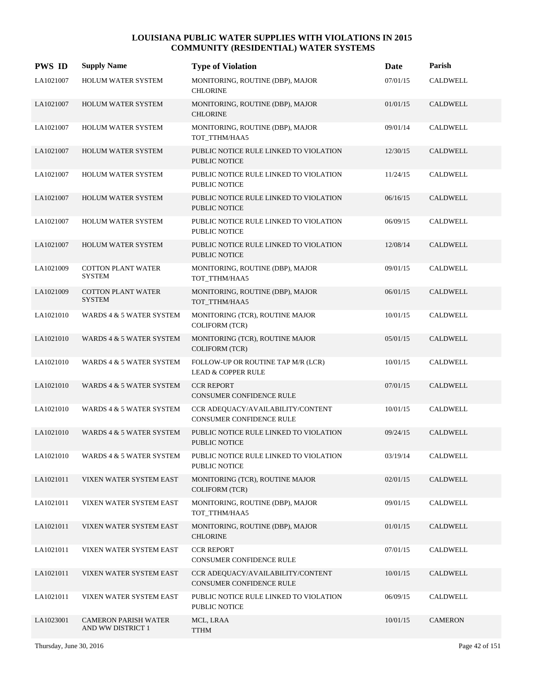| <b>PWS ID</b> | <b>Supply Name</b>                               | <b>Type of Violation</b>                                            | Date     | Parish          |
|---------------|--------------------------------------------------|---------------------------------------------------------------------|----------|-----------------|
| LA1021007     | <b>HOLUM WATER SYSTEM</b>                        | MONITORING, ROUTINE (DBP), MAJOR<br><b>CHLORINE</b>                 | 07/01/15 | <b>CALDWELL</b> |
| LA1021007     | <b>HOLUM WATER SYSTEM</b>                        | MONITORING, ROUTINE (DBP), MAJOR<br><b>CHLORINE</b>                 | 01/01/15 | CALDWELL        |
| LA1021007     | <b>HOLUM WATER SYSTEM</b>                        | MONITORING, ROUTINE (DBP), MAJOR<br>TOT_TTHM/HAA5                   | 09/01/14 | CALDWELL        |
| LA1021007     | HOLUM WATER SYSTEM                               | PUBLIC NOTICE RULE LINKED TO VIOLATION<br>PUBLIC NOTICE             | 12/30/15 | CALDWELL        |
| LA1021007     | <b>HOLUM WATER SYSTEM</b>                        | PUBLIC NOTICE RULE LINKED TO VIOLATION<br>PUBLIC NOTICE             | 11/24/15 | CALDWELL        |
| LA1021007     | HOLUM WATER SYSTEM                               | PUBLIC NOTICE RULE LINKED TO VIOLATION<br><b>PUBLIC NOTICE</b>      | 06/16/15 | CALDWELL        |
| LA1021007     | <b>HOLUM WATER SYSTEM</b>                        | PUBLIC NOTICE RULE LINKED TO VIOLATION<br>PUBLIC NOTICE             | 06/09/15 | CALDWELL        |
| LA1021007     | <b>HOLUM WATER SYSTEM</b>                        | PUBLIC NOTICE RULE LINKED TO VIOLATION<br>PUBLIC NOTICE             | 12/08/14 | <b>CALDWELL</b> |
| LA1021009     | <b>COTTON PLANT WATER</b><br>SYSTEM              | MONITORING, ROUTINE (DBP), MAJOR<br>TOT_TTHM/HAA5                   | 09/01/15 | <b>CALDWELL</b> |
| LA1021009     | <b>COTTON PLANT WATER</b><br><b>SYSTEM</b>       | MONITORING, ROUTINE (DBP), MAJOR<br>TOT_TTHM/HAA5                   | 06/01/15 | CALDWELL        |
| LA1021010     | WARDS 4 & 5 WATER SYSTEM                         | MONITORING (TCR), ROUTINE MAJOR<br>COLIFORM (TCR)                   | 10/01/15 | CALDWELL        |
| LA1021010     | WARDS 4 & 5 WATER SYSTEM                         | MONITORING (TCR), ROUTINE MAJOR<br>COLIFORM (TCR)                   | 05/01/15 | <b>CALDWELL</b> |
| LA1021010     | WARDS 4 & 5 WATER SYSTEM                         | FOLLOW-UP OR ROUTINE TAP M/R (LCR)<br><b>LEAD &amp; COPPER RULE</b> | 10/01/15 | CALDWELL        |
| LA1021010     | WARDS 4 & 5 WATER SYSTEM                         | <b>CCR REPORT</b><br><b>CONSUMER CONFIDENCE RULE</b>                | 07/01/15 | CALDWELL        |
| LA1021010     | WARDS 4 & 5 WATER SYSTEM                         | CCR ADEQUACY/AVAILABILITY/CONTENT<br>CONSUMER CONFIDENCE RULE       | 10/01/15 | <b>CALDWELL</b> |
| LA1021010     | WARDS 4 & 5 WATER SYSTEM                         | PUBLIC NOTICE RULE LINKED TO VIOLATION<br><b>PUBLIC NOTICE</b>      | 09/24/15 | <b>CALDWELL</b> |
| LA1021010     | WARDS 4 & 5 WATER SYSTEM                         | PUBLIC NOTICE RULE LINKED TO VIOLATION<br>PUBLIC NOTICE             | 03/19/14 | CALDWELL        |
| LA1021011     | VIXEN WATER SYSTEM EAST                          | MONITORING (TCR), ROUTINE MAJOR<br>COLIFORM (TCR)                   | 02/01/15 | CALDWELL        |
| LA1021011     | VIXEN WATER SYSTEM EAST                          | MONITORING, ROUTINE (DBP), MAJOR<br>TOT_TTHM/HAA5                   | 09/01/15 | CALDWELL        |
| LA1021011     | VIXEN WATER SYSTEM EAST                          | MONITORING, ROUTINE (DBP), MAJOR<br><b>CHLORINE</b>                 | 01/01/15 | CALDWELL        |
| LA1021011     | VIXEN WATER SYSTEM EAST                          | <b>CCR REPORT</b><br>CONSUMER CONFIDENCE RULE                       | 07/01/15 | CALDWELL        |
| LA1021011     | VIXEN WATER SYSTEM EAST                          | CCR ADEQUACY/AVAILABILITY/CONTENT<br>CONSUMER CONFIDENCE RULE       | 10/01/15 | CALDWELL        |
| LA1021011     | VIXEN WATER SYSTEM EAST                          | PUBLIC NOTICE RULE LINKED TO VIOLATION<br>PUBLIC NOTICE             | 06/09/15 | CALDWELL        |
| LA1023001     | <b>CAMERON PARISH WATER</b><br>AND WW DISTRICT 1 | MCL, LRAA<br><b>TTHM</b>                                            | 10/01/15 | <b>CAMERON</b>  |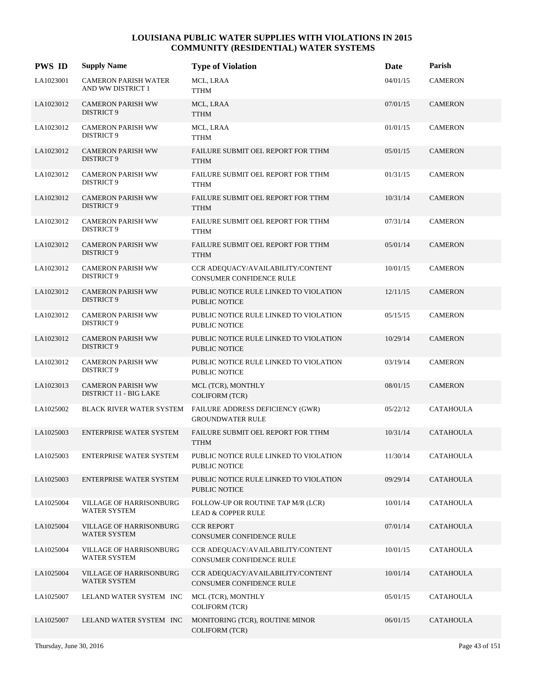| <b>PWS ID</b> | <b>Supply Name</b>                                 | <b>Type of Violation</b>                                             | Date     | Parish           |
|---------------|----------------------------------------------------|----------------------------------------------------------------------|----------|------------------|
| LA1023001     | <b>CAMERON PARISH WATER</b><br>AND WW DISTRICT 1   | MCL, LRAA<br>TTHM                                                    | 04/01/15 | <b>CAMERON</b>   |
| LA1023012     | <b>CAMERON PARISH WW</b><br>DISTRICT 9             | MCL, LRAA<br><b>TTHM</b>                                             | 07/01/15 | <b>CAMERON</b>   |
| LA1023012     | <b>CAMERON PARISH WW</b><br>DISTRICT 9             | MCL, LRAA<br><b>TTHM</b>                                             | 01/01/15 | <b>CAMERON</b>   |
| LA1023012     | <b>CAMERON PARISH WW</b><br>DISTRICT 9             | FAILURE SUBMIT OEL REPORT FOR TTHM<br><b>TTHM</b>                    | 05/01/15 | <b>CAMERON</b>   |
| LA1023012     | <b>CAMERON PARISH WW</b><br>DISTRICT 9             | FAILURE SUBMIT OEL REPORT FOR TTHM<br>TTHM                           | 01/31/15 | <b>CAMERON</b>   |
| LA1023012     | <b>CAMERON PARISH WW</b><br>DISTRICT 9             | FAILURE SUBMIT OEL REPORT FOR TTHM<br><b>TTHM</b>                    | 10/31/14 | <b>CAMERON</b>   |
| LA1023012     | <b>CAMERON PARISH WW</b><br>DISTRICT 9             | FAILURE SUBMIT OEL REPORT FOR TTHM<br><b>TTHM</b>                    | 07/31/14 | <b>CAMERON</b>   |
| LA1023012     | <b>CAMERON PARISH WW</b><br>DISTRICT 9             | FAILURE SUBMIT OEL REPORT FOR TTHM<br><b>TTHM</b>                    | 05/01/14 | <b>CAMERON</b>   |
| LA1023012     | <b>CAMERON PARISH WW</b><br>DISTRICT 9             | CCR ADEQUACY/AVAILABILITY/CONTENT<br><b>CONSUMER CONFIDENCE RULE</b> | 10/01/15 | <b>CAMERON</b>   |
| LA1023012     | <b>CAMERON PARISH WW</b><br>DISTRICT 9             | PUBLIC NOTICE RULE LINKED TO VIOLATION<br><b>PUBLIC NOTICE</b>       | 12/11/15 | <b>CAMERON</b>   |
| LA1023012     | <b>CAMERON PARISH WW</b><br>DISTRICT 9             | PUBLIC NOTICE RULE LINKED TO VIOLATION<br><b>PUBLIC NOTICE</b>       | 05/15/15 | <b>CAMERON</b>   |
| LA1023012     | <b>CAMERON PARISH WW</b><br>DISTRICT 9             | PUBLIC NOTICE RULE LINKED TO VIOLATION<br><b>PUBLIC NOTICE</b>       | 10/29/14 | <b>CAMERON</b>   |
| LA1023012     | <b>CAMERON PARISH WW</b><br>DISTRICT 9             | PUBLIC NOTICE RULE LINKED TO VIOLATION<br>PUBLIC NOTICE              | 03/19/14 | <b>CAMERON</b>   |
| LA1023013     | <b>CAMERON PARISH WW</b><br>DISTRICT 11 - BIG LAKE | MCL (TCR), MONTHLY<br><b>COLIFORM (TCR)</b>                          | 08/01/15 | <b>CAMERON</b>   |
| LA1025002     | BLACK RIVER WATER SYSTEM                           | FAILURE ADDRESS DEFICIENCY (GWR)<br><b>GROUNDWATER RULE</b>          | 05/22/12 | <b>CATAHOULA</b> |
| LA1025003     | <b>ENTERPRISE WATER SYSTEM</b>                     | FAILURE SUBMIT OEL REPORT FOR TTHM<br><b>TTHM</b>                    | 10/31/14 | <b>CATAHOULA</b> |
| LA1025003     | ENTERPRISE WATER SYSTEM                            | PUBLIC NOTICE RULE LINKED TO VIOLATION<br>PUBLIC NOTICE              | 11/30/14 | <b>CATAHOULA</b> |
| LA1025003     | <b>ENTERPRISE WATER SYSTEM</b>                     | PUBLIC NOTICE RULE LINKED TO VIOLATION<br>PUBLIC NOTICE              | 09/29/14 | <b>CATAHOULA</b> |
| LA1025004     | VILLAGE OF HARRISONBURG<br>WATER SYSTEM            | FOLLOW-UP OR ROUTINE TAP M/R (LCR)<br><b>LEAD &amp; COPPER RULE</b>  | 10/01/14 | <b>CATAHOULA</b> |
| LA1025004     | <b>VILLAGE OF HARRISONBURG</b><br>WATER SYSTEM     | <b>CCR REPORT</b><br>CONSUMER CONFIDENCE RULE                        | 07/01/14 | <b>CATAHOULA</b> |
| LA1025004     | VILLAGE OF HARRISONBURG<br>WATER SYSTEM            | CCR ADEQUACY/AVAILABILITY/CONTENT<br>CONSUMER CONFIDENCE RULE        | 10/01/15 | CATAHOULA        |
| LA1025004     | VILLAGE OF HARRISONBURG<br>WATER SYSTEM            | CCR ADEQUACY/AVAILABILITY/CONTENT<br>CONSUMER CONFIDENCE RULE        | 10/01/14 | <b>CATAHOULA</b> |
| LA1025007     | LELAND WATER SYSTEM INC                            | MCL (TCR), MONTHLY<br><b>COLIFORM (TCR)</b>                          | 05/01/15 | CATAHOULA        |
| LA1025007     | LELAND WATER SYSTEM INC                            | MONITORING (TCR), ROUTINE MINOR<br><b>COLIFORM (TCR)</b>             | 06/01/15 | <b>CATAHOULA</b> |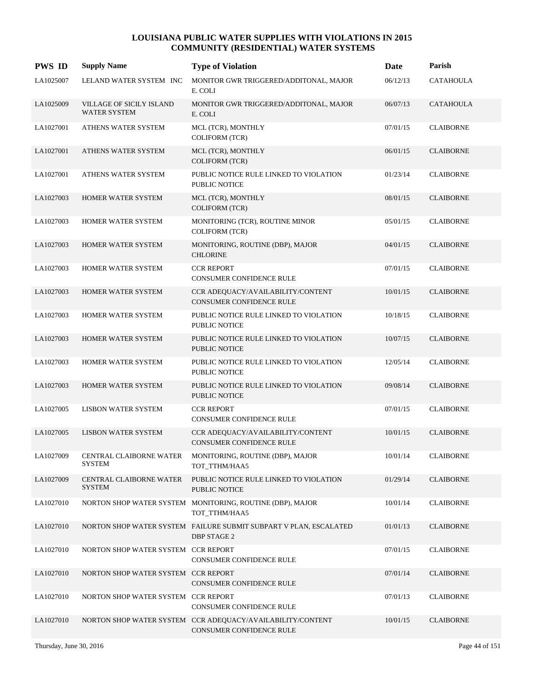| <b>PWS ID</b> | <b>Supply Name</b>                                     | <b>Type of Violation</b>                                                                | Date     | Parish           |
|---------------|--------------------------------------------------------|-----------------------------------------------------------------------------------------|----------|------------------|
| LA1025007     | LELAND WATER SYSTEM INC                                | MONITOR GWR TRIGGERED/ADDITONAL, MAJOR<br>E. COLI                                       | 06/12/13 | <b>CATAHOULA</b> |
| LA1025009     | <b>VILLAGE OF SICILY ISLAND</b><br><b>WATER SYSTEM</b> | MONITOR GWR TRIGGERED/ADDITONAL, MAJOR<br>E. COLI                                       | 06/07/13 | <b>CATAHOULA</b> |
| LA1027001     | ATHENS WATER SYSTEM                                    | MCL (TCR), MONTHLY<br><b>COLIFORM (TCR)</b>                                             | 07/01/15 | <b>CLAIBORNE</b> |
| LA1027001     | ATHENS WATER SYSTEM                                    | MCL (TCR), MONTHLY<br><b>COLIFORM (TCR)</b>                                             | 06/01/15 | <b>CLAIBORNE</b> |
| LA1027001     | ATHENS WATER SYSTEM                                    | PUBLIC NOTICE RULE LINKED TO VIOLATION<br>PUBLIC NOTICE                                 | 01/23/14 | <b>CLAIBORNE</b> |
| LA1027003     | HOMER WATER SYSTEM                                     | MCL (TCR), MONTHLY<br><b>COLIFORM (TCR)</b>                                             | 08/01/15 | <b>CLAIBORNE</b> |
| LA1027003     | HOMER WATER SYSTEM                                     | MONITORING (TCR), ROUTINE MINOR<br><b>COLIFORM (TCR)</b>                                | 05/01/15 | <b>CLAIBORNE</b> |
| LA1027003     | <b>HOMER WATER SYSTEM</b>                              | MONITORING, ROUTINE (DBP), MAJOR<br><b>CHLORINE</b>                                     | 04/01/15 | <b>CLAIBORNE</b> |
| LA1027003     | HOMER WATER SYSTEM                                     | <b>CCR REPORT</b><br><b>CONSUMER CONFIDENCE RULE</b>                                    | 07/01/15 | <b>CLAIBORNE</b> |
| LA1027003     | HOMER WATER SYSTEM                                     | CCR ADEQUACY/AVAILABILITY/CONTENT<br><b>CONSUMER CONFIDENCE RULE</b>                    | 10/01/15 | <b>CLAIBORNE</b> |
| LA1027003     | <b>HOMER WATER SYSTEM</b>                              | PUBLIC NOTICE RULE LINKED TO VIOLATION<br>PUBLIC NOTICE                                 | 10/18/15 | <b>CLAIBORNE</b> |
| LA1027003     | <b>HOMER WATER SYSTEM</b>                              | PUBLIC NOTICE RULE LINKED TO VIOLATION<br><b>PUBLIC NOTICE</b>                          | 10/07/15 | <b>CLAIBORNE</b> |
| LA1027003     | HOMER WATER SYSTEM                                     | PUBLIC NOTICE RULE LINKED TO VIOLATION<br><b>PUBLIC NOTICE</b>                          | 12/05/14 | <b>CLAIBORNE</b> |
| LA1027003     | HOMER WATER SYSTEM                                     | PUBLIC NOTICE RULE LINKED TO VIOLATION<br><b>PUBLIC NOTICE</b>                          | 09/08/14 | <b>CLAIBORNE</b> |
| LA1027005     | <b>LISBON WATER SYSTEM</b>                             | <b>CCR REPORT</b><br>CONSUMER CONFIDENCE RULE                                           | 07/01/15 | <b>CLAIBORNE</b> |
| LA1027005     | <b>LISBON WATER SYSTEM</b>                             | CCR ADEQUACY/AVAILABILITY/CONTENT<br>CONSUMER CONFIDENCE RULE                           | 10/01/15 | <b>CLAIBORNE</b> |
| LA1027009     | CENTRAL CLAIBORNE WATER<br><b>SYSTEM</b>               | MONITORING, ROUTINE (DBP), MAJOR<br>TOT_TTHM/HAA5                                       | 10/01/14 | <b>CLAIBORNE</b> |
| LA1027009     | CENTRAL CLAIBORNE WATER<br><b>SYSTEM</b>               | PUBLIC NOTICE RULE LINKED TO VIOLATION<br>PUBLIC NOTICE                                 | 01/29/14 | <b>CLAIBORNE</b> |
| LA1027010     |                                                        | NORTON SHOP WATER SYSTEM MONITORING, ROUTINE (DBP), MAJOR<br>TOT_TTHM/HAA5              | 10/01/14 | <b>CLAIBORNE</b> |
| LA1027010     |                                                        | NORTON SHOP WATER SYSTEM FAILURE SUBMIT SUBPART V PLAN, ESCALATED<br><b>DBP STAGE 2</b> | 01/01/13 | <b>CLAIBORNE</b> |
| LA1027010     | NORTON SHOP WATER SYSTEM CCR REPORT                    | CONSUMER CONFIDENCE RULE                                                                | 07/01/15 | <b>CLAIBORNE</b> |
| LA1027010     | NORTON SHOP WATER SYSTEM CCR REPORT                    | CONSUMER CONFIDENCE RULE                                                                | 07/01/14 | <b>CLAIBORNE</b> |
| LA1027010     | NORTON SHOP WATER SYSTEM CCR REPORT                    | CONSUMER CONFIDENCE RULE                                                                | 07/01/13 | <b>CLAIBORNE</b> |
| LA1027010     |                                                        | NORTON SHOP WATER SYSTEM CCR ADEQUACY/AVAILABILITY/CONTENT<br>CONSUMER CONFIDENCE RULE  | 10/01/15 | <b>CLAIBORNE</b> |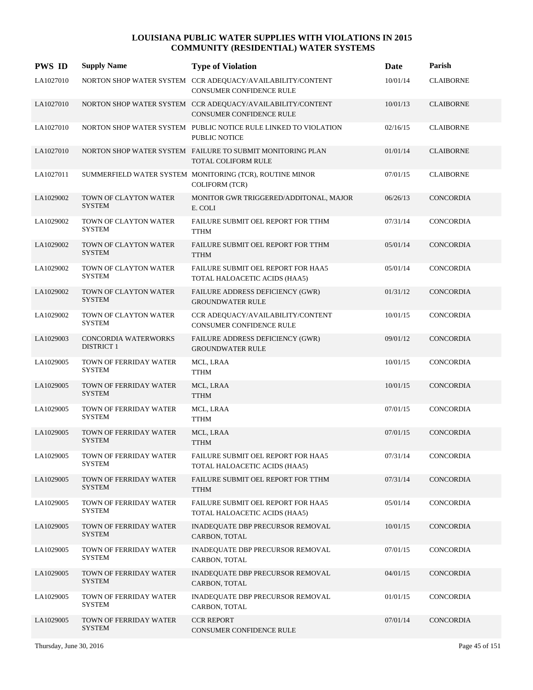| <b>PWS ID</b> | <b>Supply Name</b>                        | <b>Type of Violation</b>                                                                 | Date     | Parish           |
|---------------|-------------------------------------------|------------------------------------------------------------------------------------------|----------|------------------|
| LA1027010     |                                           | NORTON SHOP WATER SYSTEM CCR ADEQUACY/AVAILABILITY/CONTENT<br>CONSUMER CONFIDENCE RULE   | 10/01/14 | <b>CLAIBORNE</b> |
| LA1027010     |                                           | NORTON SHOP WATER SYSTEM CCR ADEQUACY/AVAILABILITY/CONTENT<br>CONSUMER CONFIDENCE RULE   | 10/01/13 | <b>CLAIBORNE</b> |
| LA1027010     |                                           | NORTON SHOP WATER SYSTEM PUBLIC NOTICE RULE LINKED TO VIOLATION<br><b>PUBLIC NOTICE</b>  | 02/16/15 | <b>CLAIBORNE</b> |
| LA1027010     |                                           | NORTON SHOP WATER SYSTEM FAILURE TO SUBMIT MONITORING PLAN<br><b>TOTAL COLIFORM RULE</b> | 01/01/14 | <b>CLAIBORNE</b> |
| LA1027011     |                                           | SUMMERFIELD WATER SYSTEM MONITORING (TCR), ROUTINE MINOR<br><b>COLIFORM (TCR)</b>        | 07/01/15 | <b>CLAIBORNE</b> |
| LA1029002     | TOWN OF CLAYTON WATER<br><b>SYSTEM</b>    | MONITOR GWR TRIGGERED/ADDITONAL, MAJOR<br>E. COLI                                        | 06/26/13 | <b>CONCORDIA</b> |
| LA1029002     | TOWN OF CLAYTON WATER<br><b>SYSTEM</b>    | FAILURE SUBMIT OEL REPORT FOR TTHM<br><b>TTHM</b>                                        | 07/31/14 | <b>CONCORDIA</b> |
| LA1029002     | TOWN OF CLAYTON WATER<br><b>SYSTEM</b>    | FAILURE SUBMIT OEL REPORT FOR TTHM<br><b>TTHM</b>                                        | 05/01/14 | <b>CONCORDIA</b> |
| LA1029002     | TOWN OF CLAYTON WATER<br><b>SYSTEM</b>    | FAILURE SUBMIT OEL REPORT FOR HAA5<br>TOTAL HALOACETIC ACIDS (HAA5)                      | 05/01/14 | CONCORDIA        |
| LA1029002     | TOWN OF CLAYTON WATER<br><b>SYSTEM</b>    | <b>FAILURE ADDRESS DEFICIENCY (GWR)</b><br><b>GROUNDWATER RULE</b>                       | 01/31/12 | CONCORDIA        |
| LA1029002     | TOWN OF CLAYTON WATER<br><b>SYSTEM</b>    | CCR ADEQUACY/AVAILABILITY/CONTENT<br>CONSUMER CONFIDENCE RULE                            | 10/01/15 | CONCORDIA        |
| LA1029003     | CONCORDIA WATERWORKS<br><b>DISTRICT 1</b> | FAILURE ADDRESS DEFICIENCY (GWR)<br><b>GROUNDWATER RULE</b>                              | 09/01/12 | CONCORDIA        |
| LA1029005     | TOWN OF FERRIDAY WATER<br><b>SYSTEM</b>   | MCL, LRAA<br><b>TTHM</b>                                                                 | 10/01/15 | CONCORDIA        |
| LA1029005     | TOWN OF FERRIDAY WATER<br><b>SYSTEM</b>   | MCL, LRAA<br><b>TTHM</b>                                                                 | 10/01/15 | <b>CONCORDIA</b> |
| LA1029005     | TOWN OF FERRIDAY WATER<br><b>SYSTEM</b>   | MCL, LRAA<br><b>TTHM</b>                                                                 | 07/01/15 | CONCORDIA        |
| LA1029005     | TOWN OF FERRIDAY WATER<br><b>SYSTEM</b>   | MCL, LRAA<br><b>TTHM</b>                                                                 | 07/01/15 | CONCORDIA        |
| LA1029005     | TOWN OF FERRIDAY WATER<br>SYSTEM          | FAILURE SUBMIT OEL REPORT FOR HAA5<br>TOTAL HALOACETIC ACIDS (HAA5)                      | 07/31/14 | CONCORDIA        |
| LA1029005     | TOWN OF FERRIDAY WATER<br><b>SYSTEM</b>   | FAILURE SUBMIT OEL REPORT FOR TTHM<br><b>TTHM</b>                                        | 07/31/14 | <b>CONCORDIA</b> |
| LA1029005     | TOWN OF FERRIDAY WATER<br>SYSTEM          | FAILURE SUBMIT OEL REPORT FOR HAA5<br>TOTAL HALOACETIC ACIDS (HAA5)                      | 05/01/14 | CONCORDIA        |
| LA1029005     | TOWN OF FERRIDAY WATER<br><b>SYSTEM</b>   | INADEQUATE DBP PRECURSOR REMOVAL<br>CARBON, TOTAL                                        | 10/01/15 | <b>CONCORDIA</b> |
| LA1029005     | TOWN OF FERRIDAY WATER<br><b>SYSTEM</b>   | INADEQUATE DBP PRECURSOR REMOVAL<br>CARBON, TOTAL                                        | 07/01/15 | CONCORDIA        |
| LA1029005     | TOWN OF FERRIDAY WATER<br><b>SYSTEM</b>   | INADEQUATE DBP PRECURSOR REMOVAL<br>CARBON, TOTAL                                        | 04/01/15 | CONCORDIA        |
| LA1029005     | TOWN OF FERRIDAY WATER<br><b>SYSTEM</b>   | INADEQUATE DBP PRECURSOR REMOVAL<br>CARBON, TOTAL                                        | 01/01/15 | CONCORDIA        |
| LA1029005     | TOWN OF FERRIDAY WATER<br><b>SYSTEM</b>   | <b>CCR REPORT</b><br>CONSUMER CONFIDENCE RULE                                            | 07/01/14 | CONCORDIA        |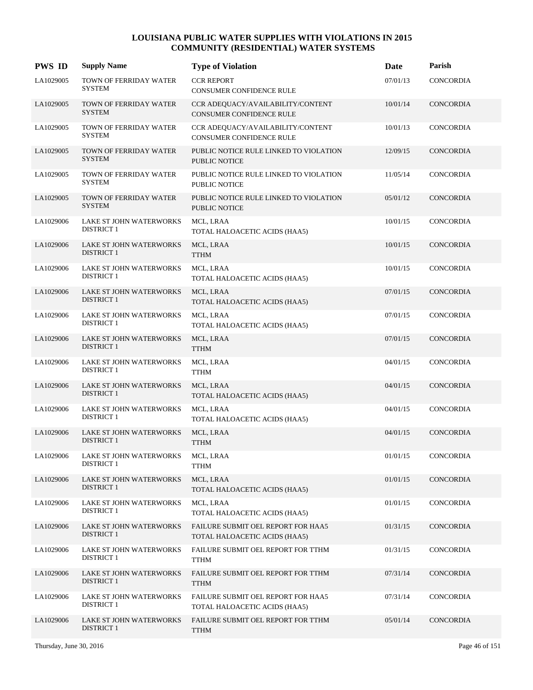| <b>PWS ID</b> | <b>Supply Name</b>                                  | <b>Type of Violation</b>                                                   | Date     | Parish           |
|---------------|-----------------------------------------------------|----------------------------------------------------------------------------|----------|------------------|
| LA1029005     | TOWN OF FERRIDAY WATER<br><b>SYSTEM</b>             | <b>CCR REPORT</b><br>CONSUMER CONFIDENCE RULE                              | 07/01/13 | <b>CONCORDIA</b> |
| LA1029005     | TOWN OF FERRIDAY WATER<br><b>SYSTEM</b>             | CCR ADEQUACY/AVAILABILITY/CONTENT<br>CONSUMER CONFIDENCE RULE              | 10/01/14 | CONCORDIA        |
| LA1029005     | TOWN OF FERRIDAY WATER<br><b>SYSTEM</b>             | CCR ADEQUACY/AVAILABILITY/CONTENT<br>CONSUMER CONFIDENCE RULE              | 10/01/13 | CONCORDIA        |
| LA1029005     | TOWN OF FERRIDAY WATER<br><b>SYSTEM</b>             | PUBLIC NOTICE RULE LINKED TO VIOLATION<br><b>PUBLIC NOTICE</b>             | 12/09/15 | CONCORDIA        |
| LA1029005     | TOWN OF FERRIDAY WATER<br><b>SYSTEM</b>             | PUBLIC NOTICE RULE LINKED TO VIOLATION<br>PUBLIC NOTICE                    | 11/05/14 | <b>CONCORDIA</b> |
| LA1029005     | TOWN OF FERRIDAY WATER<br><b>SYSTEM</b>             | PUBLIC NOTICE RULE LINKED TO VIOLATION<br>PUBLIC NOTICE                    | 05/01/12 | CONCORDIA        |
| LA1029006     | LAKE ST JOHN WATERWORKS<br><b>DISTRICT 1</b>        | MCL, LRAA<br>TOTAL HALOACETIC ACIDS (HAA5)                                 | 10/01/15 | CONCORDIA        |
| LA1029006     | LAKE ST JOHN WATERWORKS<br><b>DISTRICT 1</b>        | MCL, LRAA<br><b>TTHM</b>                                                   | 10/01/15 | CONCORDIA        |
| LA1029006     | LAKE ST JOHN WATERWORKS<br><b>DISTRICT 1</b>        | MCL, LRAA<br>TOTAL HALOACETIC ACIDS (HAA5)                                 | 10/01/15 | CONCORDIA        |
| LA1029006     | LAKE ST JOHN WATERWORKS<br><b>DISTRICT 1</b>        | MCL, LRAA<br>TOTAL HALOACETIC ACIDS (HAA5)                                 | 07/01/15 | CONCORDIA        |
| LA1029006     | LAKE ST JOHN WATERWORKS<br><b>DISTRICT 1</b>        | MCL, LRAA<br>TOTAL HALOACETIC ACIDS (HAA5)                                 | 07/01/15 | CONCORDIA        |
| LA1029006     | LAKE ST JOHN WATERWORKS<br><b>DISTRICT 1</b>        | MCL, LRAA<br><b>TTHM</b>                                                   | 07/01/15 | <b>CONCORDIA</b> |
| LA1029006     | LAKE ST JOHN WATERWORKS<br><b>DISTRICT 1</b>        | MCL, LRAA<br><b>TTHM</b>                                                   | 04/01/15 | CONCORDIA        |
| LA1029006     | LAKE ST JOHN WATERWORKS<br><b>DISTRICT 1</b>        | MCL, LRAA<br>TOTAL HALOACETIC ACIDS (HAA5)                                 | 04/01/15 | CONCORDIA        |
| LA1029006     | LAKE ST JOHN WATERWORKS<br><b>DISTRICT 1</b>        | MCL, LRAA<br>TOTAL HALOACETIC ACIDS (HAA5)                                 | 04/01/15 | CONCORDIA        |
| LA1029006     | <b>LAKE ST JOHN WATERWORKS</b><br><b>DISTRICT 1</b> | MCL, LRAA<br><b>TTHM</b>                                                   | 04/01/15 | <b>CONCORDIA</b> |
| LA1029006     | LAKE ST JOHN WATERWORKS<br><b>DISTRICT 1</b>        | MCL, LRAA<br><b>TTHM</b>                                                   | 01/01/15 | CONCORDIA        |
| LA1029006     | LAKE ST JOHN WATERWORKS<br><b>DISTRICT 1</b>        | MCL, LRAA<br>TOTAL HALOACETIC ACIDS (HAA5)                                 | 01/01/15 | CONCORDIA        |
| LA1029006     | LAKE ST JOHN WATERWORKS<br><b>DISTRICT 1</b>        | MCL, LRAA<br>TOTAL HALOACETIC ACIDS (HAA5)                                 | 01/01/15 | CONCORDIA        |
| LA1029006     | LAKE ST JOHN WATERWORKS<br><b>DISTRICT 1</b>        | <b>FAILURE SUBMIT OEL REPORT FOR HAA5</b><br>TOTAL HALOACETIC ACIDS (HAA5) | 01/31/15 | <b>CONCORDIA</b> |
| LA1029006     | LAKE ST JOHN WATERWORKS<br><b>DISTRICT 1</b>        | FAILURE SUBMIT OEL REPORT FOR TTHM<br><b>TTHM</b>                          | 01/31/15 | CONCORDIA        |
| LA1029006     | LAKE ST JOHN WATERWORKS<br><b>DISTRICT 1</b>        | FAILURE SUBMIT OEL REPORT FOR TTHM<br><b>TTHM</b>                          | 07/31/14 | <b>CONCORDIA</b> |
| LA1029006     | LAKE ST JOHN WATERWORKS<br><b>DISTRICT 1</b>        | FAILURE SUBMIT OEL REPORT FOR HAA5<br>TOTAL HALOACETIC ACIDS (HAA5)        | 07/31/14 | CONCORDIA        |
| LA1029006     | LAKE ST JOHN WATERWORKS<br><b>DISTRICT 1</b>        | FAILURE SUBMIT OEL REPORT FOR TTHM<br><b>TTHM</b>                          | 05/01/14 | <b>CONCORDIA</b> |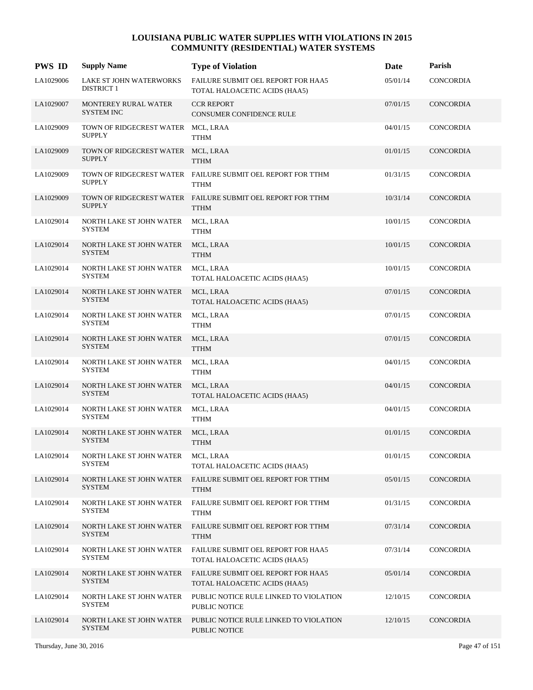| <b>PWS ID</b> | <b>Supply Name</b>                                  | <b>Type of Violation</b>                                                   | Date     | Parish           |
|---------------|-----------------------------------------------------|----------------------------------------------------------------------------|----------|------------------|
| LA1029006     | LAKE ST JOHN WATERWORKS<br><b>DISTRICT 1</b>        | FAILURE SUBMIT OEL REPORT FOR HAA5<br>TOTAL HALOACETIC ACIDS (HAA5)        | 05/01/14 | CONCORDIA        |
| LA1029007     | MONTEREY RURAL WATER<br><b>SYSTEM INC</b>           | <b>CCR REPORT</b><br>CONSUMER CONFIDENCE RULE                              | 07/01/15 | CONCORDIA        |
| LA1029009     | TOWN OF RIDGECREST WATER<br><b>SUPPLY</b>           | MCL, LRAA<br><b>TTHM</b>                                                   | 04/01/15 | CONCORDIA        |
| LA1029009     | TOWN OF RIDGECREST WATER MCL, LRAA<br><b>SUPPLY</b> | <b>TTHM</b>                                                                | 01/01/15 | CONCORDIA        |
| LA1029009     | <b>SUPPLY</b>                                       | TOWN OF RIDGECREST WATER FAILURE SUBMIT OEL REPORT FOR TTHM<br><b>TTHM</b> | 01/31/15 | CONCORDIA        |
| LA1029009     | <b>SUPPLY</b>                                       | TOWN OF RIDGECREST WATER FAILURE SUBMIT OEL REPORT FOR TTHM<br><b>TTHM</b> | 10/31/14 | CONCORDIA        |
| LA1029014     | NORTH LAKE ST JOHN WATER<br><b>SYSTEM</b>           | MCL, LRAA<br><b>TTHM</b>                                                   | 10/01/15 | CONCORDIA        |
| LA1029014     | NORTH LAKE ST JOHN WATER<br><b>SYSTEM</b>           | MCL, LRAA<br><b>TTHM</b>                                                   | 10/01/15 | CONCORDIA        |
| LA1029014     | NORTH LAKE ST JOHN WATER<br><b>SYSTEM</b>           | MCL, LRAA<br>TOTAL HALOACETIC ACIDS (HAA5)                                 | 10/01/15 | CONCORDIA        |
| LA1029014     | NORTH LAKE ST JOHN WATER<br><b>SYSTEM</b>           | MCL, LRAA<br>TOTAL HALOACETIC ACIDS (HAA5)                                 | 07/01/15 | <b>CONCORDIA</b> |
| LA1029014     | NORTH LAKE ST JOHN WATER<br><b>SYSTEM</b>           | MCL, LRAA<br><b>TTHM</b>                                                   | 07/01/15 | <b>CONCORDIA</b> |
| LA1029014     | NORTH LAKE ST JOHN WATER<br><b>SYSTEM</b>           | MCL, LRAA<br><b>TTHM</b>                                                   | 07/01/15 | <b>CONCORDIA</b> |
| LA1029014     | NORTH LAKE ST JOHN WATER<br><b>SYSTEM</b>           | MCL, LRAA<br><b>TTHM</b>                                                   | 04/01/15 | CONCORDIA        |
| LA1029014     | NORTH LAKE ST JOHN WATER<br><b>SYSTEM</b>           | MCL, LRAA<br>TOTAL HALOACETIC ACIDS (HAA5)                                 | 04/01/15 | <b>CONCORDIA</b> |
| LA1029014     | NORTH LAKE ST JOHN WATER<br><b>SYSTEM</b>           | MCL, LRAA<br><b>TTHM</b>                                                   | 04/01/15 | <b>CONCORDIA</b> |
| LA1029014     | NORTH LAKE ST JOHN WATER<br><b>SYSTEM</b>           | MCL, LRAA<br><b>TTHM</b>                                                   | 01/01/15 | <b>CONCORDIA</b> |
| LA1029014     | NORTH LAKE ST JOHN WATER<br><b>SYSTEM</b>           | MCL, LRAA<br>TOTAL HALOACETIC ACIDS (HAA5)                                 | 01/01/15 | CONCORDIA        |
| LA1029014     | NORTH LAKE ST JOHN WATER<br><b>SYSTEM</b>           | FAILURE SUBMIT OEL REPORT FOR TTHM<br><b>TTHM</b>                          | 05/01/15 | <b>CONCORDIA</b> |
| LA1029014     | NORTH LAKE ST JOHN WATER<br><b>SYSTEM</b>           | FAILURE SUBMIT OEL REPORT FOR TTHM<br>TTHM                                 | 01/31/15 | CONCORDIA        |
| LA1029014     | NORTH LAKE ST JOHN WATER<br><b>SYSTEM</b>           | FAILURE SUBMIT OEL REPORT FOR TTHM<br><b>TTHM</b>                          | 07/31/14 | CONCORDIA        |
| LA1029014     | NORTH LAKE ST JOHN WATER<br><b>SYSTEM</b>           | FAILURE SUBMIT OEL REPORT FOR HAA5<br>TOTAL HALOACETIC ACIDS (HAA5)        | 07/31/14 | CONCORDIA        |
| LA1029014     | NORTH LAKE ST JOHN WATER<br><b>SYSTEM</b>           | FAILURE SUBMIT OEL REPORT FOR HAA5<br>TOTAL HALOACETIC ACIDS (HAA5)        | 05/01/14 | CONCORDIA        |
| LA1029014     | NORTH LAKE ST JOHN WATER<br><b>SYSTEM</b>           | PUBLIC NOTICE RULE LINKED TO VIOLATION<br>PUBLIC NOTICE                    | 12/10/15 | CONCORDIA        |
| LA1029014     | NORTH LAKE ST JOHN WATER<br><b>SYSTEM</b>           | PUBLIC NOTICE RULE LINKED TO VIOLATION<br>PUBLIC NOTICE                    | 12/10/15 | CONCORDIA        |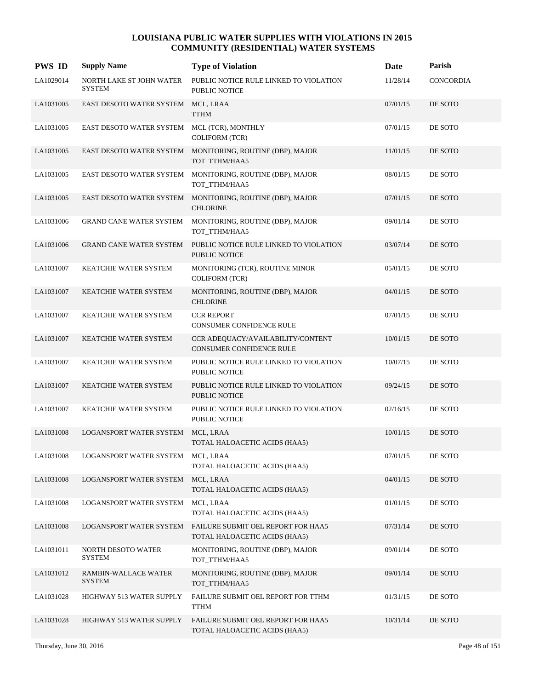| <b>PWS ID</b> | <b>Supply Name</b>                        | <b>Type of Violation</b>                                            | Date     | Parish           |
|---------------|-------------------------------------------|---------------------------------------------------------------------|----------|------------------|
| LA1029014     | NORTH LAKE ST JOHN WATER<br><b>SYSTEM</b> | PUBLIC NOTICE RULE LINKED TO VIOLATION<br><b>PUBLIC NOTICE</b>      | 11/28/14 | <b>CONCORDIA</b> |
| LA1031005     | EAST DESOTO WATER SYSTEM MCL, LRAA        | <b>TTHM</b>                                                         | 07/01/15 | DE SOTO          |
| LA1031005     | EAST DESOTO WATER SYSTEM                  | MCL (TCR), MONTHLY<br><b>COLIFORM (TCR)</b>                         | 07/01/15 | DE SOTO          |
| LA1031005     | <b>EAST DESOTO WATER SYSTEM</b>           | MONITORING, ROUTINE (DBP), MAJOR<br>TOT_TTHM/HAA5                   | 11/01/15 | DE SOTO          |
| LA1031005     | EAST DESOTO WATER SYSTEM                  | MONITORING, ROUTINE (DBP), MAJOR<br>TOT_TTHM/HAA5                   | 08/01/15 | DE SOTO          |
| LA1031005     | EAST DESOTO WATER SYSTEM                  | MONITORING, ROUTINE (DBP), MAJOR<br><b>CHLORINE</b>                 | 07/01/15 | DE SOTO          |
| LA1031006     | <b>GRAND CANE WATER SYSTEM</b>            | MONITORING, ROUTINE (DBP), MAJOR<br>TOT_TTHM/HAA5                   | 09/01/14 | DE SOTO          |
| LA1031006     | <b>GRAND CANE WATER SYSTEM</b>            | PUBLIC NOTICE RULE LINKED TO VIOLATION<br>PUBLIC NOTICE             | 03/07/14 | DE SOTO          |
| LA1031007     | KEATCHIE WATER SYSTEM                     | MONITORING (TCR), ROUTINE MINOR<br><b>COLIFORM (TCR)</b>            | 05/01/15 | DE SOTO          |
| LA1031007     | KEATCHIE WATER SYSTEM                     | MONITORING, ROUTINE (DBP), MAJOR<br><b>CHLORINE</b>                 | 04/01/15 | DE SOTO          |
| LA1031007     | KEATCHIE WATER SYSTEM                     | <b>CCR REPORT</b><br>CONSUMER CONFIDENCE RULE                       | 07/01/15 | DE SOTO          |
| LA1031007     | KEATCHIE WATER SYSTEM                     | CCR ADEQUACY/AVAILABILITY/CONTENT<br>CONSUMER CONFIDENCE RULE       | 10/01/15 | DE SOTO          |
| LA1031007     | KEATCHIE WATER SYSTEM                     | PUBLIC NOTICE RULE LINKED TO VIOLATION<br>PUBLIC NOTICE             | 10/07/15 | DE SOTO          |
| LA1031007     | KEATCHIE WATER SYSTEM                     | PUBLIC NOTICE RULE LINKED TO VIOLATION<br><b>PUBLIC NOTICE</b>      | 09/24/15 | DE SOTO          |
| LA1031007     | KEATCHIE WATER SYSTEM                     | PUBLIC NOTICE RULE LINKED TO VIOLATION<br>PUBLIC NOTICE             | 02/16/15 | DE SOTO          |
| LA1031008     | <b>LOGANSPORT WATER SYSTEM</b>            | MCL, LRAA<br>TOTAL HALOACETIC ACIDS (HAA5)                          | 10/01/15 | DE SOTO          |
| LA1031008     | <b>LOGANSPORT WATER SYSTEM</b>            | MCL, LRAA<br>TOTAL HALOACETIC ACIDS (HAA5)                          | 07/01/15 | DE SOTO          |
| LA1031008     | <b>LOGANSPORT WATER SYSTEM</b>            | MCL, LRAA<br>TOTAL HALOACETIC ACIDS (HAA5)                          | 04/01/15 | DE SOTO          |
| LA1031008     | LOGANSPORT WATER SYSTEM                   | MCL, LRAA<br>TOTAL HALOACETIC ACIDS (HAA5)                          | 01/01/15 | DE SOTO          |
| LA1031008     | <b>LOGANSPORT WATER SYSTEM</b>            | FAILURE SUBMIT OEL REPORT FOR HAA5<br>TOTAL HALOACETIC ACIDS (HAA5) | 07/31/14 | DE SOTO          |
| LA1031011     | NORTH DESOTO WATER<br><b>SYSTEM</b>       | MONITORING, ROUTINE (DBP), MAJOR<br>TOT TTHM/HAA5                   | 09/01/14 | DE SOTO          |
| LA1031012     | RAMBIN-WALLACE WATER<br><b>SYSTEM</b>     | MONITORING, ROUTINE (DBP), MAJOR<br>TOT_TTHM/HAA5                   | 09/01/14 | DE SOTO          |
| LA1031028     | HIGHWAY 513 WATER SUPPLY                  | FAILURE SUBMIT OEL REPORT FOR TTHM<br>TTHM                          | 01/31/15 | DE SOTO          |
| LA1031028     | HIGHWAY 513 WATER SUPPLY                  | FAILURE SUBMIT OEL REPORT FOR HAA5<br>TOTAL HALOACETIC ACIDS (HAA5) | 10/31/14 | DE SOTO          |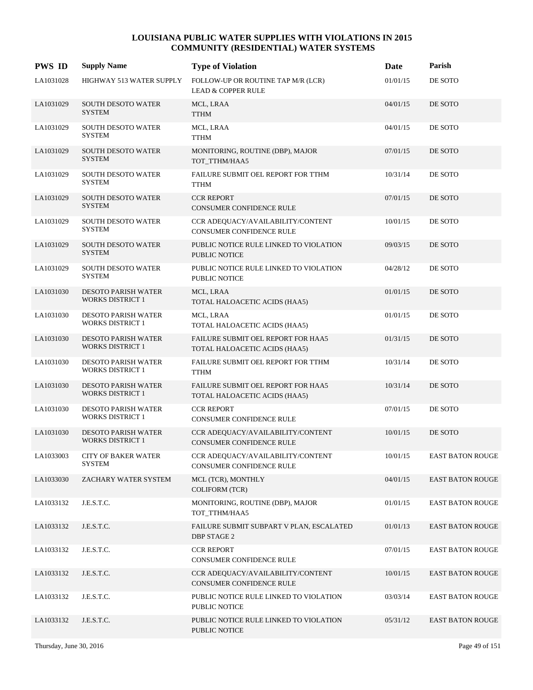| <b>PWS ID</b> | <b>Supply Name</b>                                    | <b>Type of Violation</b>                                             | Date     | Parish                  |
|---------------|-------------------------------------------------------|----------------------------------------------------------------------|----------|-------------------------|
| LA1031028     | HIGHWAY 513 WATER SUPPLY                              | FOLLOW-UP OR ROUTINE TAP M/R (LCR)<br><b>LEAD &amp; COPPER RULE</b>  | 01/01/15 | DE SOTO                 |
| LA1031029     | SOUTH DESOTO WATER<br><b>SYSTEM</b>                   | MCL, LRAA<br><b>TTHM</b>                                             | 04/01/15 | DE SOTO                 |
| LA1031029     | SOUTH DESOTO WATER<br><b>SYSTEM</b>                   | MCL, LRAA<br><b>TTHM</b>                                             | 04/01/15 | DE SOTO                 |
| LA1031029     | SOUTH DESOTO WATER<br><b>SYSTEM</b>                   | MONITORING, ROUTINE (DBP), MAJOR<br>TOT TTHM/HAA5                    | 07/01/15 | DE SOTO                 |
| LA1031029     | SOUTH DESOTO WATER<br><b>SYSTEM</b>                   | FAILURE SUBMIT OEL REPORT FOR TTHM<br><b>TTHM</b>                    | 10/31/14 | DE SOTO                 |
| LA1031029     | SOUTH DESOTO WATER<br><b>SYSTEM</b>                   | <b>CCR REPORT</b><br><b>CONSUMER CONFIDENCE RULE</b>                 | 07/01/15 | DE SOTO                 |
| LA1031029     | SOUTH DESOTO WATER<br><b>SYSTEM</b>                   | CCR ADEQUACY/AVAILABILITY/CONTENT<br><b>CONSUMER CONFIDENCE RULE</b> | 10/01/15 | DE SOTO                 |
| LA1031029     | SOUTH DESOTO WATER<br><b>SYSTEM</b>                   | PUBLIC NOTICE RULE LINKED TO VIOLATION<br><b>PUBLIC NOTICE</b>       | 09/03/15 | DE SOTO                 |
| LA1031029     | SOUTH DESOTO WATER<br><b>SYSTEM</b>                   | PUBLIC NOTICE RULE LINKED TO VIOLATION<br><b>PUBLIC NOTICE</b>       | 04/28/12 | DE SOTO                 |
| LA1031030     | <b>DESOTO PARISH WATER</b><br><b>WORKS DISTRICT 1</b> | MCL, LRAA<br>TOTAL HALOACETIC ACIDS (HAA5)                           | 01/01/15 | DE SOTO                 |
| LA1031030     | <b>DESOTO PARISH WATER</b><br><b>WORKS DISTRICT 1</b> | MCL, LRAA<br>TOTAL HALOACETIC ACIDS (HAA5)                           | 01/01/15 | DE SOTO                 |
| LA1031030     | <b>DESOTO PARISH WATER</b><br><b>WORKS DISTRICT 1</b> | FAILURE SUBMIT OEL REPORT FOR HAA5<br>TOTAL HALOACETIC ACIDS (HAA5)  | 01/31/15 | DE SOTO                 |
| LA1031030     | DESOTO PARISH WATER<br>WORKS DISTRICT 1               | FAILURE SUBMIT OEL REPORT FOR TTHM<br><b>TTHM</b>                    | 10/31/14 | DE SOTO                 |
| LA1031030     | <b>DESOTO PARISH WATER</b><br><b>WORKS DISTRICT 1</b> | FAILURE SUBMIT OEL REPORT FOR HAA5<br>TOTAL HALOACETIC ACIDS (HAA5)  | 10/31/14 | DE SOTO                 |
| LA1031030     | <b>DESOTO PARISH WATER</b><br><b>WORKS DISTRICT 1</b> | <b>CCR REPORT</b><br>CONSUMER CONFIDENCE RULE                        | 07/01/15 | DE SOTO                 |
| LA1031030     | DESOTO PARISH WATER<br><b>WORKS DISTRICT 1</b>        | CCR ADEQUACY/AVAILABILITY/CONTENT<br><b>CONSUMER CONFIDENCE RULE</b> | 10/01/15 | DE SOTO                 |
| LA1033003     | <b>CITY OF BAKER WATER</b><br><b>SYSTEM</b>           | CCR ADEQUACY/AVAILABILITY/CONTENT<br>CONSUMER CONFIDENCE RULE        | 10/01/15 | <b>EAST BATON ROUGE</b> |
| LA1033030     | ZACHARY WATER SYSTEM                                  | MCL (TCR), MONTHLY<br><b>COLIFORM (TCR)</b>                          | 04/01/15 | <b>EAST BATON ROUGE</b> |
| LA1033132     | J.E.S.T.C.                                            | MONITORING, ROUTINE (DBP), MAJOR<br>TOT_TTHM/HAA5                    | 01/01/15 | <b>EAST BATON ROUGE</b> |
| LA1033132     | J.E.S.T.C.                                            | FAILURE SUBMIT SUBPART V PLAN, ESCALATED<br><b>DBP STAGE 2</b>       | 01/01/13 | <b>EAST BATON ROUGE</b> |
| LA1033132     | $_{\rm J.E.S.T.C.}$                                   | <b>CCR REPORT</b><br>CONSUMER CONFIDENCE RULE                        | 07/01/15 | EAST BATON ROUGE        |
| LA1033132     | J.E.S.T.C.                                            | CCR ADEQUACY/AVAILABILITY/CONTENT<br>CONSUMER CONFIDENCE RULE        | 10/01/15 | <b>EAST BATON ROUGE</b> |
| LA1033132     | J.E.S.T.C.                                            | PUBLIC NOTICE RULE LINKED TO VIOLATION<br>PUBLIC NOTICE              | 03/03/14 | <b>EAST BATON ROUGE</b> |
| LA1033132     | J.E.S.T.C.                                            | PUBLIC NOTICE RULE LINKED TO VIOLATION<br>PUBLIC NOTICE              | 05/31/12 | <b>EAST BATON ROUGE</b> |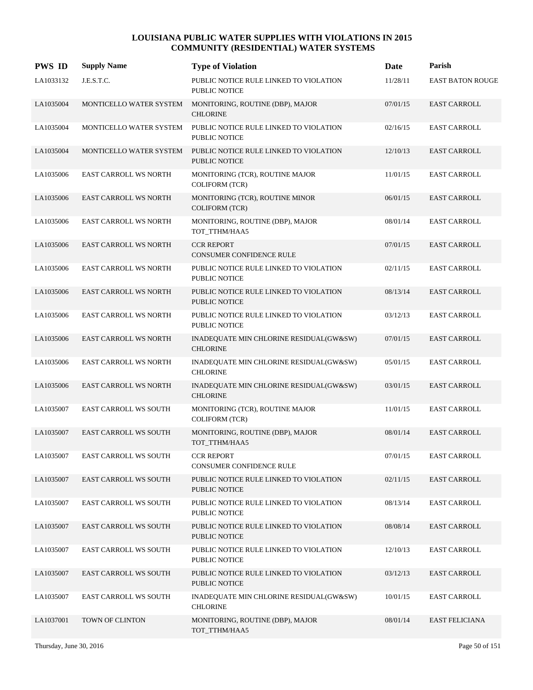| <b>PWS ID</b> | <b>Supply Name</b>           | <b>Type of Violation</b>                                       | Date     | Parish                  |
|---------------|------------------------------|----------------------------------------------------------------|----------|-------------------------|
| LA1033132     | J.E.S.T.C.                   | PUBLIC NOTICE RULE LINKED TO VIOLATION<br><b>PUBLIC NOTICE</b> | 11/28/11 | <b>EAST BATON ROUGE</b> |
| LA1035004     | MONTICELLO WATER SYSTEM      | MONITORING, ROUTINE (DBP), MAJOR<br><b>CHLORINE</b>            | 07/01/15 | <b>EAST CARROLL</b>     |
| LA1035004     | MONTICELLO WATER SYSTEM      | PUBLIC NOTICE RULE LINKED TO VIOLATION<br><b>PUBLIC NOTICE</b> | 02/16/15 | <b>EAST CARROLL</b>     |
| LA1035004     | MONTICELLO WATER SYSTEM      | PUBLIC NOTICE RULE LINKED TO VIOLATION<br><b>PUBLIC NOTICE</b> | 12/10/13 | <b>EAST CARROLL</b>     |
| LA1035006     | <b>EAST CARROLL WS NORTH</b> | MONITORING (TCR), ROUTINE MAJOR<br><b>COLIFORM (TCR)</b>       | 11/01/15 | <b>EAST CARROLL</b>     |
| LA1035006     | <b>EAST CARROLL WS NORTH</b> | MONITORING (TCR), ROUTINE MINOR<br><b>COLIFORM (TCR)</b>       | 06/01/15 | <b>EAST CARROLL</b>     |
| LA1035006     | EAST CARROLL WS NORTH        | MONITORING, ROUTINE (DBP), MAJOR<br>TOT_TTHM/HAA5              | 08/01/14 | <b>EAST CARROLL</b>     |
| LA1035006     | <b>EAST CARROLL WS NORTH</b> | <b>CCR REPORT</b><br><b>CONSUMER CONFIDENCE RULE</b>           | 07/01/15 | <b>EAST CARROLL</b>     |
| LA1035006     | EAST CARROLL WS NORTH        | PUBLIC NOTICE RULE LINKED TO VIOLATION<br><b>PUBLIC NOTICE</b> | 02/11/15 | <b>EAST CARROLL</b>     |
| LA1035006     | <b>EAST CARROLL WS NORTH</b> | PUBLIC NOTICE RULE LINKED TO VIOLATION<br><b>PUBLIC NOTICE</b> | 08/13/14 | <b>EAST CARROLL</b>     |
| LA1035006     | <b>EAST CARROLL WS NORTH</b> | PUBLIC NOTICE RULE LINKED TO VIOLATION<br><b>PUBLIC NOTICE</b> | 03/12/13 | <b>EAST CARROLL</b>     |
| LA1035006     | <b>EAST CARROLL WS NORTH</b> | INADEQUATE MIN CHLORINE RESIDUAL(GW&SW)<br><b>CHLORINE</b>     | 07/01/15 | <b>EAST CARROLL</b>     |
| LA1035006     | EAST CARROLL WS NORTH        | INADEQUATE MIN CHLORINE RESIDUAL(GW&SW)<br><b>CHLORINE</b>     | 05/01/15 | <b>EAST CARROLL</b>     |
| LA1035006     | EAST CARROLL WS NORTH        | INADEQUATE MIN CHLORINE RESIDUAL(GW&SW)<br><b>CHLORINE</b>     | 03/01/15 | <b>EAST CARROLL</b>     |
| LA1035007     | <b>EAST CARROLL WS SOUTH</b> | MONITORING (TCR), ROUTINE MAJOR<br><b>COLIFORM (TCR)</b>       | 11/01/15 | <b>EAST CARROLL</b>     |
| LA1035007     | <b>EAST CARROLL WS SOUTH</b> | MONITORING, ROUTINE (DBP), MAJOR<br>TOT_TTHM/HAA5              | 08/01/14 | <b>EAST CARROLL</b>     |
| LA1035007     | <b>EAST CARROLL WS SOUTH</b> | <b>CCR REPORT</b><br>CONSUMER CONFIDENCE RULE                  | 07/01/15 | <b>EAST CARROLL</b>     |
| LA1035007     | <b>EAST CARROLL WS SOUTH</b> | PUBLIC NOTICE RULE LINKED TO VIOLATION<br>PUBLIC NOTICE        | 02/11/15 | <b>EAST CARROLL</b>     |
| LA1035007     | <b>EAST CARROLL WS SOUTH</b> | PUBLIC NOTICE RULE LINKED TO VIOLATION<br><b>PUBLIC NOTICE</b> | 08/13/14 | <b>EAST CARROLL</b>     |
| LA1035007     | <b>EAST CARROLL WS SOUTH</b> | PUBLIC NOTICE RULE LINKED TO VIOLATION<br>PUBLIC NOTICE        | 08/08/14 | <b>EAST CARROLL</b>     |
| LA1035007     | <b>EAST CARROLL WS SOUTH</b> | PUBLIC NOTICE RULE LINKED TO VIOLATION<br>PUBLIC NOTICE        | 12/10/13 | EAST CARROLL            |
| LA1035007     | <b>EAST CARROLL WS SOUTH</b> | PUBLIC NOTICE RULE LINKED TO VIOLATION<br><b>PUBLIC NOTICE</b> | 03/12/13 | <b>EAST CARROLL</b>     |
| LA1035007     | <b>EAST CARROLL WS SOUTH</b> | INADEQUATE MIN CHLORINE RESIDUAL(GW&SW)<br><b>CHLORINE</b>     | 10/01/15 | <b>EAST CARROLL</b>     |
| LA1037001     | TOWN OF CLINTON              | MONITORING, ROUTINE (DBP), MAJOR<br>TOT_TTHM/HAA5              | 08/01/14 | <b>EAST FELICIANA</b>   |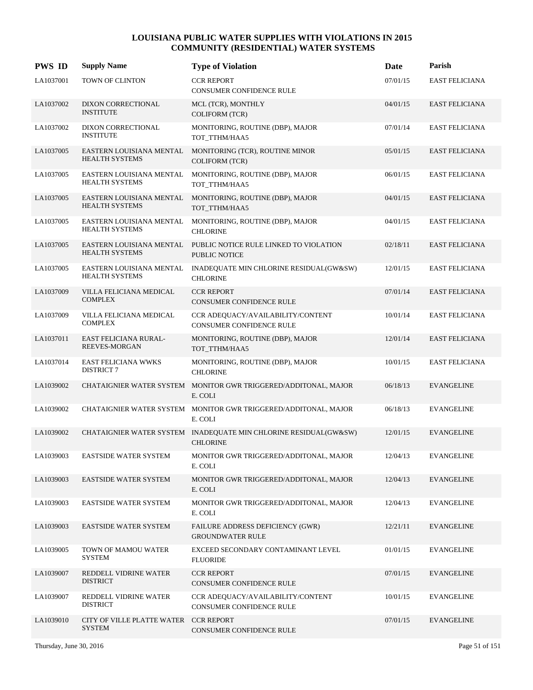| <b>PWS ID</b> | <b>Supply Name</b>                                     | <b>Type of Violation</b>                                                   | Date     | Parish                |
|---------------|--------------------------------------------------------|----------------------------------------------------------------------------|----------|-----------------------|
| LA1037001     | TOWN OF CLINTON                                        | <b>CCR REPORT</b><br>CONSUMER CONFIDENCE RULE                              | 07/01/15 | <b>EAST FELICIANA</b> |
| LA1037002     | DIXON CORRECTIONAL<br><b>INSTITUTE</b>                 | MCL (TCR), MONTHLY<br><b>COLIFORM (TCR)</b>                                | 04/01/15 | <b>EAST FELICIANA</b> |
| LA1037002     | DIXON CORRECTIONAL<br><b>INSTITUTE</b>                 | MONITORING, ROUTINE (DBP), MAJOR<br>TOT_TTHM/HAA5                          | 07/01/14 | <b>EAST FELICIANA</b> |
| LA1037005     | EASTERN LOUISIANA MENTAL<br><b>HEALTH SYSTEMS</b>      | MONITORING (TCR), ROUTINE MINOR<br><b>COLIFORM (TCR)</b>                   | 05/01/15 | <b>EAST FELICIANA</b> |
| LA1037005     | EASTERN LOUISIANA MENTAL<br><b>HEALTH SYSTEMS</b>      | MONITORING, ROUTINE (DBP), MAJOR<br>TOT_TTHM/HAA5                          | 06/01/15 | <b>EAST FELICIANA</b> |
| LA1037005     | EASTERN LOUISIANA MENTAL<br><b>HEALTH SYSTEMS</b>      | MONITORING, ROUTINE (DBP), MAJOR<br>TOT_TTHM/HAA5                          | 04/01/15 | <b>EAST FELICIANA</b> |
| LA1037005     | EASTERN LOUISIANA MENTAL<br><b>HEALTH SYSTEMS</b>      | MONITORING, ROUTINE (DBP), MAJOR<br><b>CHLORINE</b>                        | 04/01/15 | <b>EAST FELICIANA</b> |
| LA1037005     | EASTERN LOUISIANA MENTAL<br><b>HEALTH SYSTEMS</b>      | PUBLIC NOTICE RULE LINKED TO VIOLATION<br><b>PUBLIC NOTICE</b>             | 02/18/11 | <b>EAST FELICIANA</b> |
| LA1037005     | EASTERN LOUISIANA MENTAL<br><b>HEALTH SYSTEMS</b>      | INADEQUATE MIN CHLORINE RESIDUAL(GW&SW)<br><b>CHLORINE</b>                 | 12/01/15 | <b>EAST FELICIANA</b> |
| LA1037009     | VILLA FELICIANA MEDICAL<br><b>COMPLEX</b>              | <b>CCR REPORT</b><br><b>CONSUMER CONFIDENCE RULE</b>                       | 07/01/14 | <b>EAST FELICIANA</b> |
| LA1037009     | VILLA FELICIANA MEDICAL<br><b>COMPLEX</b>              | CCR ADEQUACY/AVAILABILITY/CONTENT<br>CONSUMER CONFIDENCE RULE              | 10/01/14 | <b>EAST FELICIANA</b> |
| LA1037011     | EAST FELICIANA RURAL-<br><b>REEVES-MORGAN</b>          | MONITORING, ROUTINE (DBP), MAJOR<br>TOT_TTHM/HAA5                          | 12/01/14 | <b>EAST FELICIANA</b> |
| LA1037014     | <b>EAST FELICIANA WWKS</b><br><b>DISTRICT 7</b>        | MONITORING, ROUTINE (DBP), MAJOR<br><b>CHLORINE</b>                        | 10/01/15 | <b>EAST FELICIANA</b> |
| LA1039002     | CHATAIGNIER WATER SYSTEM                               | MONITOR GWR TRIGGERED/ADDITONAL, MAJOR<br>E. COLI                          | 06/18/13 | <b>EVANGELINE</b>     |
| LA1039002     |                                                        | CHATAIGNIER WATER SYSTEM MONITOR GWR TRIGGERED/ADDITONAL, MAJOR<br>E. COLI | 06/18/13 | <b>EVANGELINE</b>     |
| LA1039002     | CHATAIGNIER WATER SYSTEM                               | INADEQUATE MIN CHLORINE RESIDUAL(GW&SW)<br><b>CHLORINE</b>                 | 12/01/15 | <b>EVANGELINE</b>     |
| LA1039003     | <b>EASTSIDE WATER SYSTEM</b>                           | MONITOR GWR TRIGGERED/ADDITONAL, MAJOR<br>E. COLI                          | 12/04/13 | <b>EVANGELINE</b>     |
| LA1039003     | <b>EASTSIDE WATER SYSTEM</b>                           | MONITOR GWR TRIGGERED/ADDITONAL, MAJOR<br>E. COLI                          | 12/04/13 | <b>EVANGELINE</b>     |
| LA1039003     | <b>EASTSIDE WATER SYSTEM</b>                           | MONITOR GWR TRIGGERED/ADDITONAL, MAJOR<br>E. COLI                          | 12/04/13 | <b>EVANGELINE</b>     |
| LA1039003     | EASTSIDE WATER SYSTEM                                  | FAILURE ADDRESS DEFICIENCY (GWR)<br><b>GROUNDWATER RULE</b>                | 12/21/11 | <b>EVANGELINE</b>     |
| LA1039005     | TOWN OF MAMOU WATER<br><b>SYSTEM</b>                   | EXCEED SECONDARY CONTAMINANT LEVEL<br><b>FLUORIDE</b>                      | 01/01/15 | <b>EVANGELINE</b>     |
| LA1039007     | REDDELL VIDRINE WATER<br><b>DISTRICT</b>               | <b>CCR REPORT</b><br>CONSUMER CONFIDENCE RULE                              | 07/01/15 | <b>EVANGELINE</b>     |
| LA1039007     | REDDELL VIDRINE WATER<br><b>DISTRICT</b>               | CCR ADEQUACY/AVAILABILITY/CONTENT<br>CONSUMER CONFIDENCE RULE              | 10/01/15 | <b>EVANGELINE</b>     |
| LA1039010     | CITY OF VILLE PLATTE WATER CCR REPORT<br><b>SYSTEM</b> | CONSUMER CONFIDENCE RULE                                                   | 07/01/15 | <b>EVANGELINE</b>     |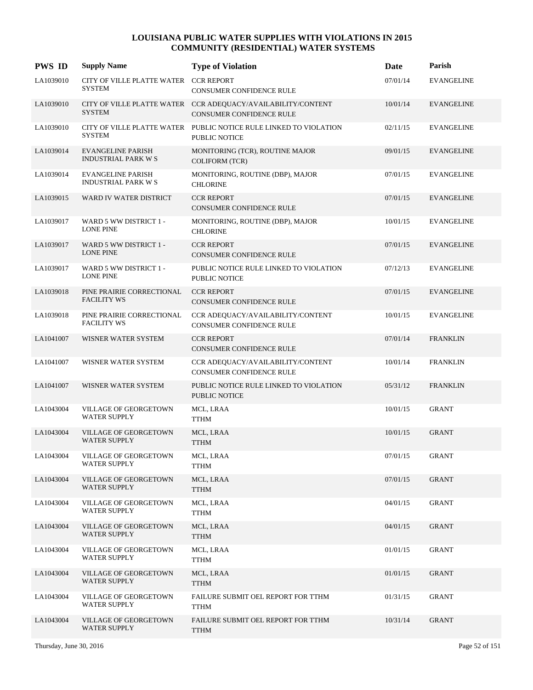| <b>PWS ID</b> | <b>Supply Name</b>                                     | <b>Type of Violation</b>                                                                 | Date     | Parish            |
|---------------|--------------------------------------------------------|------------------------------------------------------------------------------------------|----------|-------------------|
| LA1039010     | CITY OF VILLE PLATTE WATER<br><b>SYSTEM</b>            | <b>CCR REPORT</b><br>CONSUMER CONFIDENCE RULE                                            | 07/01/14 | <b>EVANGELINE</b> |
| LA1039010     | <b>SYSTEM</b>                                          | CITY OF VILLE PLATTE WATER CCR ADEQUACY/AVAILABILITY/CONTENT<br>CONSUMER CONFIDENCE RULE | 10/01/14 | <b>EVANGELINE</b> |
| LA1039010     | <b>SYSTEM</b>                                          | CITY OF VILLE PLATTE WATER PUBLIC NOTICE RULE LINKED TO VIOLATION<br>PUBLIC NOTICE       | 02/11/15 | <b>EVANGELINE</b> |
| LA1039014     | <b>EVANGELINE PARISH</b><br><b>INDUSTRIAL PARK W S</b> | MONITORING (TCR), ROUTINE MAJOR<br><b>COLIFORM (TCR)</b>                                 | 09/01/15 | <b>EVANGELINE</b> |
| LA1039014     | <b>EVANGELINE PARISH</b><br><b>INDUSTRIAL PARK W S</b> | MONITORING, ROUTINE (DBP), MAJOR<br><b>CHLORINE</b>                                      | 07/01/15 | <b>EVANGELINE</b> |
| LA1039015     | WARD IV WATER DISTRICT                                 | <b>CCR REPORT</b><br>CONSUMER CONFIDENCE RULE                                            | 07/01/15 | <b>EVANGELINE</b> |
| LA1039017     | WARD 5 WW DISTRICT 1 -<br><b>LONE PINE</b>             | MONITORING, ROUTINE (DBP), MAJOR<br><b>CHLORINE</b>                                      | 10/01/15 | <b>EVANGELINE</b> |
| LA1039017     | WARD 5 WW DISTRICT 1 -<br><b>LONE PINE</b>             | <b>CCR REPORT</b><br><b>CONSUMER CONFIDENCE RULE</b>                                     | 07/01/15 | <b>EVANGELINE</b> |
| LA1039017     | WARD 5 WW DISTRICT 1 -<br>LONE PINE                    | PUBLIC NOTICE RULE LINKED TO VIOLATION<br>PUBLIC NOTICE                                  | 07/12/13 | <b>EVANGELINE</b> |
| LA1039018     | PINE PRAIRIE CORRECTIONAL<br><b>FACILITY WS</b>        | <b>CCR REPORT</b><br><b>CONSUMER CONFIDENCE RULE</b>                                     | 07/01/15 | <b>EVANGELINE</b> |
| LA1039018     | PINE PRAIRIE CORRECTIONAL<br><b>FACILITY WS</b>        | CCR ADEQUACY/AVAILABILITY/CONTENT<br>CONSUMER CONFIDENCE RULE                            | 10/01/15 | <b>EVANGELINE</b> |
| LA1041007     | WISNER WATER SYSTEM                                    | <b>CCR REPORT</b><br><b>CONSUMER CONFIDENCE RULE</b>                                     | 07/01/14 | <b>FRANKLIN</b>   |
| LA1041007     | WISNER WATER SYSTEM                                    | CCR ADEQUACY/AVAILABILITY/CONTENT<br>CONSUMER CONFIDENCE RULE                            | 10/01/14 | <b>FRANKLIN</b>   |
| LA1041007     | WISNER WATER SYSTEM                                    | PUBLIC NOTICE RULE LINKED TO VIOLATION<br><b>PUBLIC NOTICE</b>                           | 05/31/12 | <b>FRANKLIN</b>   |
| LA1043004     | <b>VILLAGE OF GEORGETOWN</b><br><b>WATER SUPPLY</b>    | MCL, LRAA<br><b>TTHM</b>                                                                 | 10/01/15 | <b>GRANT</b>      |
| LA1043004     | VILLAGE OF GEORGETOWN<br><b>WATER SUPPLY</b>           | MCL, LRAA<br><b>TTHM</b>                                                                 | 10/01/15 | <b>GRANT</b>      |
| LA1043004     | VILLAGE OF GEORGETOWN<br>WATER SUPPLY                  | MCL, LRAA<br><b>TTHM</b>                                                                 | 07/01/15 | <b>GRANT</b>      |
| LA1043004     | VILLAGE OF GEORGETOWN<br><b>WATER SUPPLY</b>           | MCL, LRAA<br><b>TTHM</b>                                                                 | 07/01/15 | <b>GRANT</b>      |
| LA1043004     | VILLAGE OF GEORGETOWN<br>WATER SUPPLY                  | MCL, LRAA<br><b>TTHM</b>                                                                 | 04/01/15 | <b>GRANT</b>      |
| LA1043004     | VILLAGE OF GEORGETOWN<br>WATER SUPPLY                  | MCL, LRAA<br><b>TTHM</b>                                                                 | 04/01/15 | <b>GRANT</b>      |
| LA1043004     | VILLAGE OF GEORGETOWN<br><b>WATER SUPPLY</b>           | MCL, LRAA<br><b>TTHM</b>                                                                 | 01/01/15 | <b>GRANT</b>      |
| LA1043004     | VILLAGE OF GEORGETOWN<br><b>WATER SUPPLY</b>           | MCL, LRAA<br><b>TTHM</b>                                                                 | 01/01/15 | <b>GRANT</b>      |
| LA1043004     | VILLAGE OF GEORGETOWN<br>WATER SUPPLY                  | FAILURE SUBMIT OEL REPORT FOR TTHM<br><b>TTHM</b>                                        | 01/31/15 | <b>GRANT</b>      |
| LA1043004     | VILLAGE OF GEORGETOWN<br>WATER SUPPLY                  | FAILURE SUBMIT OEL REPORT FOR TTHM<br><b>TTHM</b>                                        | 10/31/14 | <b>GRANT</b>      |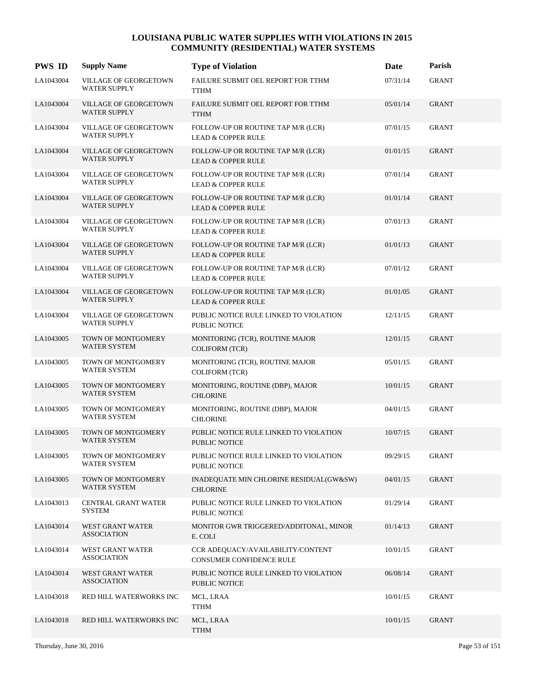| <b>PWS ID</b> | <b>Supply Name</b>                           | <b>Type of Violation</b>                                            | Date     | Parish       |
|---------------|----------------------------------------------|---------------------------------------------------------------------|----------|--------------|
| LA1043004     | VILLAGE OF GEORGETOWN<br><b>WATER SUPPLY</b> | FAILURE SUBMIT OEL REPORT FOR TTHM<br><b>TTHM</b>                   | 07/31/14 | <b>GRANT</b> |
| LA1043004     | VILLAGE OF GEORGETOWN<br><b>WATER SUPPLY</b> | FAILURE SUBMIT OEL REPORT FOR TTHM<br><b>TTHM</b>                   | 05/01/14 | <b>GRANT</b> |
| LA1043004     | VILLAGE OF GEORGETOWN<br><b>WATER SUPPLY</b> | FOLLOW-UP OR ROUTINE TAP M/R (LCR)<br><b>LEAD &amp; COPPER RULE</b> | 07/01/15 | <b>GRANT</b> |
| LA1043004     | VILLAGE OF GEORGETOWN<br><b>WATER SUPPLY</b> | FOLLOW-UP OR ROUTINE TAP M/R (LCR)<br><b>LEAD &amp; COPPER RULE</b> | 01/01/15 | <b>GRANT</b> |
| LA1043004     | VILLAGE OF GEORGETOWN<br><b>WATER SUPPLY</b> | FOLLOW-UP OR ROUTINE TAP M/R (LCR)<br><b>LEAD &amp; COPPER RULE</b> | 07/01/14 | <b>GRANT</b> |
| LA1043004     | VILLAGE OF GEORGETOWN<br><b>WATER SUPPLY</b> | FOLLOW-UP OR ROUTINE TAP M/R (LCR)<br><b>LEAD &amp; COPPER RULE</b> | 01/01/14 | <b>GRANT</b> |
| LA1043004     | VILLAGE OF GEORGETOWN<br><b>WATER SUPPLY</b> | FOLLOW-UP OR ROUTINE TAP M/R (LCR)<br><b>LEAD &amp; COPPER RULE</b> | 07/01/13 | <b>GRANT</b> |
| LA1043004     | VILLAGE OF GEORGETOWN<br><b>WATER SUPPLY</b> | FOLLOW-UP OR ROUTINE TAP M/R (LCR)<br><b>LEAD &amp; COPPER RULE</b> | 01/01/13 | <b>GRANT</b> |
| LA1043004     | VILLAGE OF GEORGETOWN<br><b>WATER SUPPLY</b> | FOLLOW-UP OR ROUTINE TAP M/R (LCR)<br><b>LEAD &amp; COPPER RULE</b> | 07/01/12 | <b>GRANT</b> |
| LA1043004     | VILLAGE OF GEORGETOWN<br><b>WATER SUPPLY</b> | FOLLOW-UP OR ROUTINE TAP M/R (LCR)<br><b>LEAD &amp; COPPER RULE</b> | 01/01/05 | <b>GRANT</b> |
| LA1043004     | VILLAGE OF GEORGETOWN<br><b>WATER SUPPLY</b> | PUBLIC NOTICE RULE LINKED TO VIOLATION<br><b>PUBLIC NOTICE</b>      | 12/11/15 | <b>GRANT</b> |
| LA1043005     | TOWN OF MONTGOMERY<br>WATER SYSTEM           | MONITORING (TCR), ROUTINE MAJOR<br><b>COLIFORM</b> (TCR)            | 12/01/15 | <b>GRANT</b> |
| LA1043005     | TOWN OF MONTGOMERY<br><b>WATER SYSTEM</b>    | MONITORING (TCR), ROUTINE MAJOR<br><b>COLIFORM (TCR)</b>            | 05/01/15 | <b>GRANT</b> |
| LA1043005     | TOWN OF MONTGOMERY<br><b>WATER SYSTEM</b>    | MONITORING, ROUTINE (DBP), MAJOR<br><b>CHLORINE</b>                 | 10/01/15 | <b>GRANT</b> |
| LA1043005     | TOWN OF MONTGOMERY<br><b>WATER SYSTEM</b>    | MONITORING, ROUTINE (DBP), MAJOR<br><b>CHLORINE</b>                 | 04/01/15 | <b>GRANT</b> |
| LA1043005     | TOWN OF MONTGOMERY<br><b>WATER SYSTEM</b>    | PUBLIC NOTICE RULE LINKED TO VIOLATION<br><b>PUBLIC NOTICE</b>      | 10/07/15 | <b>GRANT</b> |
| LA1043005     | TOWN OF MONTGOMERY<br><b>WATER SYSTEM</b>    | PUBLIC NOTICE RULE LINKED TO VIOLATION<br>PUBLIC NOTICE             | 09/29/15 | <b>GRANT</b> |
| LA1043005     | TOWN OF MONTGOMERY<br>WATER SYSTEM           | INADEQUATE MIN CHLORINE RESIDUAL(GW&SW)<br><b>CHLORINE</b>          | 04/01/15 | <b>GRANT</b> |
| LA1043013     | CENTRAL GRANT WATER<br><b>SYSTEM</b>         | PUBLIC NOTICE RULE LINKED TO VIOLATION<br>PUBLIC NOTICE             | 01/29/14 | <b>GRANT</b> |
| LA1043014     | WEST GRANT WATER<br><b>ASSOCIATION</b>       | MONITOR GWR TRIGGERED/ADDITONAL, MINOR<br>E. COLI                   | 01/14/13 | <b>GRANT</b> |
| LA1043014     | WEST GRANT WATER<br><b>ASSOCIATION</b>       | CCR ADEQUACY/AVAILABILITY/CONTENT<br>CONSUMER CONFIDENCE RULE       | 10/01/15 | <b>GRANT</b> |
| LA1043014     | WEST GRANT WATER<br><b>ASSOCIATION</b>       | PUBLIC NOTICE RULE LINKED TO VIOLATION<br>PUBLIC NOTICE             | 06/08/14 | <b>GRANT</b> |
| LA1043018     | RED HILL WATERWORKS INC                      | MCL, LRAA<br><b>TTHM</b>                                            | 10/01/15 | <b>GRANT</b> |
| LA1043018     | RED HILL WATERWORKS INC                      | MCL, LRAA<br><b>TTHM</b>                                            | 10/01/15 | <b>GRANT</b> |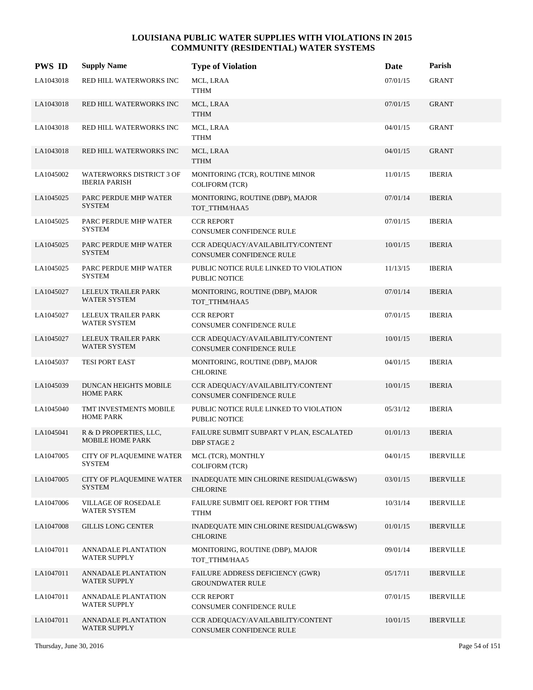| <b>PWS ID</b> | <b>Supply Name</b>                                      | <b>Type of Violation</b>                                             | Date     | Parish           |
|---------------|---------------------------------------------------------|----------------------------------------------------------------------|----------|------------------|
| LA1043018     | RED HILL WATERWORKS INC                                 | MCL, LRAA<br><b>TTHM</b>                                             | 07/01/15 | <b>GRANT</b>     |
| LA1043018     | RED HILL WATERWORKS INC                                 | MCL, LRAA<br><b>TTHM</b>                                             | 07/01/15 | <b>GRANT</b>     |
| LA1043018     | RED HILL WATERWORKS INC                                 | MCL, LRAA<br><b>TTHM</b>                                             | 04/01/15 | <b>GRANT</b>     |
| LA1043018     | RED HILL WATERWORKS INC                                 | MCL, LRAA<br><b>TTHM</b>                                             | 04/01/15 | <b>GRANT</b>     |
| LA1045002     | <b>WATERWORKS DISTRICT 3 OF</b><br><b>IBERIA PARISH</b> | MONITORING (TCR), ROUTINE MINOR<br><b>COLIFORM (TCR)</b>             | 11/01/15 | <b>IBERIA</b>    |
| LA1045025     | PARC PERDUE MHP WATER<br><b>SYSTEM</b>                  | MONITORING, ROUTINE (DBP), MAJOR<br>TOT_TTHM/HAA5                    | 07/01/14 | <b>IBERIA</b>    |
| LA1045025     | PARC PERDUE MHP WATER<br><b>SYSTEM</b>                  | <b>CCR REPORT</b><br>CONSUMER CONFIDENCE RULE                        | 07/01/15 | <b>IBERIA</b>    |
| LA1045025     | PARC PERDUE MHP WATER<br><b>SYSTEM</b>                  | CCR ADEQUACY/AVAILABILITY/CONTENT<br>CONSUMER CONFIDENCE RULE        | 10/01/15 | <b>IBERIA</b>    |
| LA1045025     | PARC PERDUE MHP WATER<br><b>SYSTEM</b>                  | PUBLIC NOTICE RULE LINKED TO VIOLATION<br>PUBLIC NOTICE              | 11/13/15 | <b>IBERIA</b>    |
| LA1045027     | LELEUX TRAILER PARK<br><b>WATER SYSTEM</b>              | MONITORING, ROUTINE (DBP), MAJOR<br>TOT_TTHM/HAA5                    | 07/01/14 | <b>IBERIA</b>    |
| LA1045027     | LELEUX TRAILER PARK<br><b>WATER SYSTEM</b>              | <b>CCR REPORT</b><br>CONSUMER CONFIDENCE RULE                        | 07/01/15 | <b>IBERIA</b>    |
| LA1045027     | LELEUX TRAILER PARK<br><b>WATER SYSTEM</b>              | CCR ADEQUACY/AVAILABILITY/CONTENT<br>CONSUMER CONFIDENCE RULE        | 10/01/15 | <b>IBERIA</b>    |
| LA1045037     | TESI PORT EAST                                          | MONITORING, ROUTINE (DBP), MAJOR<br><b>CHLORINE</b>                  | 04/01/15 | <b>IBERIA</b>    |
| LA1045039     | DUNCAN HEIGHTS MOBILE<br><b>HOME PARK</b>               | CCR ADEQUACY/AVAILABILITY/CONTENT<br><b>CONSUMER CONFIDENCE RULE</b> | 10/01/15 | <b>IBERIA</b>    |
| LA1045040     | TMT INVESTMENTS MOBILE<br><b>HOME PARK</b>              | PUBLIC NOTICE RULE LINKED TO VIOLATION<br><b>PUBLIC NOTICE</b>       | 05/31/12 | <b>IBERIA</b>    |
| LA1045041     | R & D PROPERTIES, LLC,<br><b>MOBILE HOME PARK</b>       | FAILURE SUBMIT SUBPART V PLAN, ESCALATED<br><b>DBP STAGE 2</b>       | 01/01/13 | <b>IBERIA</b>    |
| LA1047005     | <b>CITY OF PLAQUEMINE WATER</b><br><b>SYSTEM</b>        | MCL (TCR), MONTHLY<br><b>COLIFORM (TCR)</b>                          | 04/01/15 | <b>IBERVILLE</b> |
| LA1047005     | <b>CITY OF PLAQUEMINE WATER</b><br><b>SYSTEM</b>        | INADEQUATE MIN CHLORINE RESIDUAL(GW&SW)<br><b>CHLORINE</b>           | 03/01/15 | <b>IBERVILLE</b> |
| LA1047006     | <b>VILLAGE OF ROSEDALE</b><br><b>WATER SYSTEM</b>       | FAILURE SUBMIT OEL REPORT FOR TTHM<br><b>TTHM</b>                    | 10/31/14 | <b>IBERVILLE</b> |
| LA1047008     | <b>GILLIS LONG CENTER</b>                               | INADEQUATE MIN CHLORINE RESIDUAL(GW&SW)<br><b>CHLORINE</b>           | 01/01/15 | <b>IBERVILLE</b> |
| LA1047011     | ANNADALE PLANTATION<br><b>WATER SUPPLY</b>              | MONITORING, ROUTINE (DBP), MAJOR<br>TOT_TTHM/HAA5                    | 09/01/14 | <b>IBERVILLE</b> |
| LA1047011     | ANNADALE PLANTATION<br><b>WATER SUPPLY</b>              | <b>FAILURE ADDRESS DEFICIENCY (GWR)</b><br><b>GROUNDWATER RULE</b>   | 05/17/11 | <b>IBERVILLE</b> |
| LA1047011     | <b>ANNADALE PLANTATION</b><br><b>WATER SUPPLY</b>       | <b>CCR REPORT</b><br>CONSUMER CONFIDENCE RULE                        | 07/01/15 | <b>IBERVILLE</b> |
| LA1047011     | <b>ANNADALE PLANTATION</b><br><b>WATER SUPPLY</b>       | CCR ADEQUACY/AVAILABILITY/CONTENT<br>CONSUMER CONFIDENCE RULE        | 10/01/15 | <b>IBERVILLE</b> |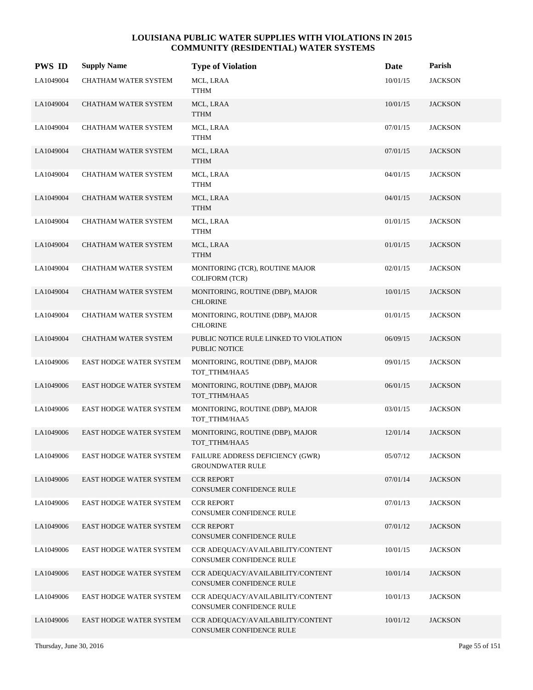| <b>PWS ID</b> | <b>Supply Name</b>             | <b>Type of Violation</b>                                       | Date     | Parish         |
|---------------|--------------------------------|----------------------------------------------------------------|----------|----------------|
| LA1049004     | CHATHAM WATER SYSTEM           | MCL, LRAA<br>TTHM                                              | 10/01/15 | <b>JACKSON</b> |
| LA1049004     | CHATHAM WATER SYSTEM           | MCL, LRAA<br><b>TTHM</b>                                       | 10/01/15 | <b>JACKSON</b> |
| LA1049004     | CHATHAM WATER SYSTEM           | MCL, LRAA<br><b>TTHM</b>                                       | 07/01/15 | <b>JACKSON</b> |
| LA1049004     | CHATHAM WATER SYSTEM           | MCL, LRAA<br><b>TTHM</b>                                       | 07/01/15 | <b>JACKSON</b> |
| LA1049004     | CHATHAM WATER SYSTEM           | MCL, LRAA<br><b>TTHM</b>                                       | 04/01/15 | <b>JACKSON</b> |
| LA1049004     | CHATHAM WATER SYSTEM           | MCL, LRAA<br><b>TTHM</b>                                       | 04/01/15 | <b>JACKSON</b> |
| LA1049004     | CHATHAM WATER SYSTEM           | MCL, LRAA<br><b>TTHM</b>                                       | 01/01/15 | <b>JACKSON</b> |
| LA1049004     | <b>CHATHAM WATER SYSTEM</b>    | MCL, LRAA<br><b>TTHM</b>                                       | 01/01/15 | <b>JACKSON</b> |
| LA1049004     | CHATHAM WATER SYSTEM           | MONITORING (TCR), ROUTINE MAJOR<br><b>COLIFORM (TCR)</b>       | 02/01/15 | <b>JACKSON</b> |
| LA1049004     | <b>CHATHAM WATER SYSTEM</b>    | MONITORING, ROUTINE (DBP), MAJOR<br><b>CHLORINE</b>            | 10/01/15 | <b>JACKSON</b> |
| LA1049004     | CHATHAM WATER SYSTEM           | MONITORING, ROUTINE (DBP), MAJOR<br><b>CHLORINE</b>            | 01/01/15 | <b>JACKSON</b> |
| LA1049004     | CHATHAM WATER SYSTEM           | PUBLIC NOTICE RULE LINKED TO VIOLATION<br><b>PUBLIC NOTICE</b> | 06/09/15 | <b>JACKSON</b> |
| LA1049006     | <b>EAST HODGE WATER SYSTEM</b> | MONITORING, ROUTINE (DBP), MAJOR<br>TOT_TTHM/HAA5              | 09/01/15 | <b>JACKSON</b> |
| LA1049006     | <b>EAST HODGE WATER SYSTEM</b> | MONITORING, ROUTINE (DBP), MAJOR<br>TOT_TTHM/HAA5              | 06/01/15 | <b>JACKSON</b> |
| LA1049006     | EAST HODGE WATER SYSTEM        | MONITORING, ROUTINE (DBP), MAJOR<br>TOT_TTHM/HAA5              | 03/01/15 | <b>JACKSON</b> |
| LA1049006     | <b>EAST HODGE WATER SYSTEM</b> | MONITORING, ROUTINE (DBP), MAJOR<br>TOT TTHM/HAA5              | 12/01/14 | <b>JACKSON</b> |
| LA1049006     | EAST HODGE WATER SYSTEM        | FAILURE ADDRESS DEFICIENCY (GWR)<br><b>GROUNDWATER RULE</b>    | 05/07/12 | <b>JACKSON</b> |
| LA1049006     | <b>EAST HODGE WATER SYSTEM</b> | <b>CCR REPORT</b><br>CONSUMER CONFIDENCE RULE                  | 07/01/14 | <b>JACKSON</b> |
| LA1049006     | <b>EAST HODGE WATER SYSTEM</b> | <b>CCR REPORT</b><br>CONSUMER CONFIDENCE RULE                  | 07/01/13 | <b>JACKSON</b> |
| LA1049006     | EAST HODGE WATER SYSTEM        | <b>CCR REPORT</b><br>CONSUMER CONFIDENCE RULE                  | 07/01/12 | <b>JACKSON</b> |
| LA1049006     | EAST HODGE WATER SYSTEM        | CCR ADEQUACY/AVAILABILITY/CONTENT<br>CONSUMER CONFIDENCE RULE  | 10/01/15 | <b>JACKSON</b> |
| LA1049006     | <b>EAST HODGE WATER SYSTEM</b> | CCR ADEQUACY/AVAILABILITY/CONTENT<br>CONSUMER CONFIDENCE RULE  | 10/01/14 | <b>JACKSON</b> |
| LA1049006     | EAST HODGE WATER SYSTEM        | CCR ADEQUACY/AVAILABILITY/CONTENT<br>CONSUMER CONFIDENCE RULE  | 10/01/13 | JACKSON        |
| LA1049006     | <b>EAST HODGE WATER SYSTEM</b> | CCR ADEQUACY/AVAILABILITY/CONTENT<br>CONSUMER CONFIDENCE RULE  | 10/01/12 | <b>JACKSON</b> |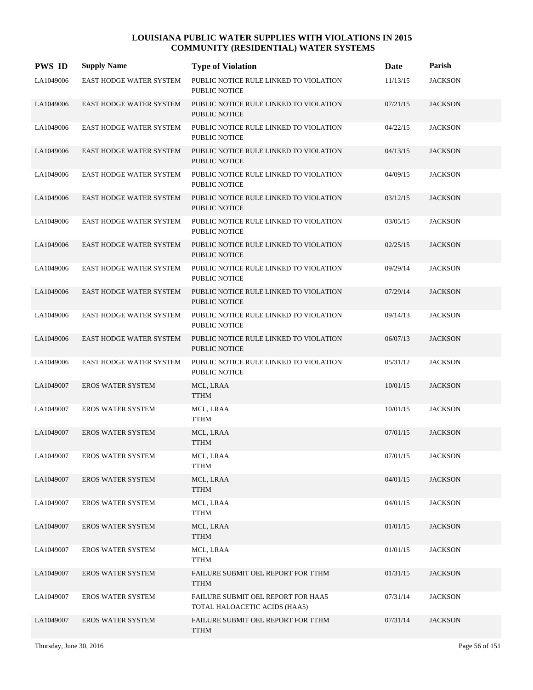| <b>PWS ID</b> | <b>Supply Name</b>             | <b>Type of Violation</b>                                            | Date     | Parish         |
|---------------|--------------------------------|---------------------------------------------------------------------|----------|----------------|
| LA1049006     | EAST HODGE WATER SYSTEM        | PUBLIC NOTICE RULE LINKED TO VIOLATION<br>PUBLIC NOTICE             | 11/13/15 | <b>JACKSON</b> |
| LA1049006     | EAST HODGE WATER SYSTEM        | PUBLIC NOTICE RULE LINKED TO VIOLATION<br><b>PUBLIC NOTICE</b>      | 07/21/15 | <b>JACKSON</b> |
| LA1049006     | EAST HODGE WATER SYSTEM        | PUBLIC NOTICE RULE LINKED TO VIOLATION<br>PUBLIC NOTICE             | 04/22/15 | <b>JACKSON</b> |
| LA1049006     | <b>EAST HODGE WATER SYSTEM</b> | PUBLIC NOTICE RULE LINKED TO VIOLATION<br><b>PUBLIC NOTICE</b>      | 04/13/15 | <b>JACKSON</b> |
| LA1049006     | EAST HODGE WATER SYSTEM        | PUBLIC NOTICE RULE LINKED TO VIOLATION<br><b>PUBLIC NOTICE</b>      | 04/09/15 | <b>JACKSON</b> |
| LA1049006     | EAST HODGE WATER SYSTEM        | PUBLIC NOTICE RULE LINKED TO VIOLATION<br><b>PUBLIC NOTICE</b>      | 03/12/15 | <b>JACKSON</b> |
| LA1049006     | EAST HODGE WATER SYSTEM        | PUBLIC NOTICE RULE LINKED TO VIOLATION<br>PUBLIC NOTICE             | 03/05/15 | <b>JACKSON</b> |
| LA1049006     | <b>EAST HODGE WATER SYSTEM</b> | PUBLIC NOTICE RULE LINKED TO VIOLATION<br><b>PUBLIC NOTICE</b>      | 02/25/15 | <b>JACKSON</b> |
| LA1049006     | EAST HODGE WATER SYSTEM        | PUBLIC NOTICE RULE LINKED TO VIOLATION<br><b>PUBLIC NOTICE</b>      | 09/29/14 | <b>JACKSON</b> |
| LA1049006     | <b>EAST HODGE WATER SYSTEM</b> | PUBLIC NOTICE RULE LINKED TO VIOLATION<br><b>PUBLIC NOTICE</b>      | 07/29/14 | <b>JACKSON</b> |
| LA1049006     | EAST HODGE WATER SYSTEM        | PUBLIC NOTICE RULE LINKED TO VIOLATION<br><b>PUBLIC NOTICE</b>      | 09/14/13 | <b>JACKSON</b> |
| LA1049006     | <b>EAST HODGE WATER SYSTEM</b> | PUBLIC NOTICE RULE LINKED TO VIOLATION<br><b>PUBLIC NOTICE</b>      | 06/07/13 | <b>JACKSON</b> |
| LA1049006     | EAST HODGE WATER SYSTEM        | PUBLIC NOTICE RULE LINKED TO VIOLATION<br><b>PUBLIC NOTICE</b>      | 05/31/12 | <b>JACKSON</b> |
| LA1049007     | <b>EROS WATER SYSTEM</b>       | MCL, LRAA<br><b>TTHM</b>                                            | 10/01/15 | <b>JACKSON</b> |
| LA1049007     | <b>EROS WATER SYSTEM</b>       | MCL, LRAA<br><b>TTHM</b>                                            | 10/01/15 | <b>JACKSON</b> |
| LA1049007     | <b>EROS WATER SYSTEM</b>       | MCL, LRAA<br><b>TTHM</b>                                            | 07/01/15 | <b>JACKSON</b> |
| LA1049007     | <b>EROS WATER SYSTEM</b>       | MCL, LRAA<br><b>TTHM</b>                                            | 07/01/15 | <b>JACKSON</b> |
| LA1049007     | <b>EROS WATER SYSTEM</b>       | MCL, LRAA<br><b>TTHM</b>                                            | 04/01/15 | <b>JACKSON</b> |
| LA1049007     | <b>EROS WATER SYSTEM</b>       | MCL, LRAA<br>TTHM                                                   | 04/01/15 | <b>JACKSON</b> |
| LA1049007     | <b>EROS WATER SYSTEM</b>       | MCL, LRAA<br><b>TTHM</b>                                            | 01/01/15 | <b>JACKSON</b> |
| LA1049007     | <b>EROS WATER SYSTEM</b>       | MCL, LRAA<br><b>TTHM</b>                                            | 01/01/15 | <b>JACKSON</b> |
| LA1049007     | <b>EROS WATER SYSTEM</b>       | FAILURE SUBMIT OEL REPORT FOR TTHM<br><b>TTHM</b>                   | 01/31/15 | <b>JACKSON</b> |
| LA1049007     | <b>EROS WATER SYSTEM</b>       | FAILURE SUBMIT OEL REPORT FOR HAA5<br>TOTAL HALOACETIC ACIDS (HAA5) | 07/31/14 | <b>JACKSON</b> |
| LA1049007     | <b>EROS WATER SYSTEM</b>       | FAILURE SUBMIT OEL REPORT FOR TTHM<br><b>TTHM</b>                   | 07/31/14 | <b>JACKSON</b> |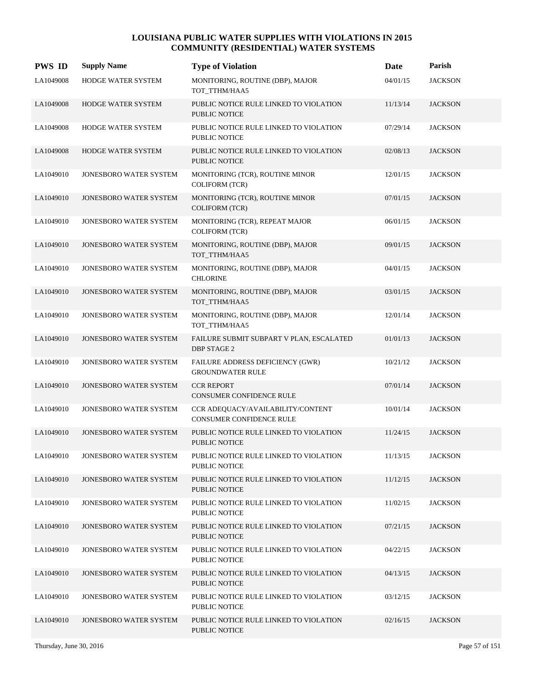| <b>PWS ID</b> | <b>Supply Name</b>            | <b>Type of Violation</b>                                       | Date     | Parish         |
|---------------|-------------------------------|----------------------------------------------------------------|----------|----------------|
| LA1049008     | HODGE WATER SYSTEM            | MONITORING, ROUTINE (DBP), MAJOR<br>TOT_TTHM/HAA5              | 04/01/15 | <b>JACKSON</b> |
| LA1049008     | HODGE WATER SYSTEM            | PUBLIC NOTICE RULE LINKED TO VIOLATION<br><b>PUBLIC NOTICE</b> | 11/13/14 | <b>JACKSON</b> |
| LA1049008     | HODGE WATER SYSTEM            | PUBLIC NOTICE RULE LINKED TO VIOLATION<br><b>PUBLIC NOTICE</b> | 07/29/14 | <b>JACKSON</b> |
| LA1049008     | <b>HODGE WATER SYSTEM</b>     | PUBLIC NOTICE RULE LINKED TO VIOLATION<br><b>PUBLIC NOTICE</b> | 02/08/13 | <b>JACKSON</b> |
| LA1049010     | JONESBORO WATER SYSTEM        | MONITORING (TCR), ROUTINE MINOR<br><b>COLIFORM (TCR)</b>       | 12/01/15 | <b>JACKSON</b> |
| LA1049010     | JONESBORO WATER SYSTEM        | MONITORING (TCR), ROUTINE MINOR<br><b>COLIFORM</b> (TCR)       | 07/01/15 | <b>JACKSON</b> |
| LA1049010     | JONESBORO WATER SYSTEM        | MONITORING (TCR), REPEAT MAJOR<br><b>COLIFORM (TCR)</b>        | 06/01/15 | <b>JACKSON</b> |
| LA1049010     | <b>JONESBORO WATER SYSTEM</b> | MONITORING, ROUTINE (DBP), MAJOR<br>TOT_TTHM/HAA5              | 09/01/15 | <b>JACKSON</b> |
| LA1049010     | JONESBORO WATER SYSTEM        | MONITORING, ROUTINE (DBP), MAJOR<br><b>CHLORINE</b>            | 04/01/15 | <b>JACKSON</b> |
| LA1049010     | JONESBORO WATER SYSTEM        | MONITORING, ROUTINE (DBP), MAJOR<br>TOT TTHM/HAA5              | 03/01/15 | <b>JACKSON</b> |
| LA1049010     | JONESBORO WATER SYSTEM        | MONITORING, ROUTINE (DBP), MAJOR<br>TOT_TTHM/HAA5              | 12/01/14 | <b>JACKSON</b> |
| LA1049010     | <b>JONESBORO WATER SYSTEM</b> | FAILURE SUBMIT SUBPART V PLAN, ESCALATED<br>DBP STAGE 2        | 01/01/13 | <b>JACKSON</b> |
| LA1049010     | JONESBORO WATER SYSTEM        | FAILURE ADDRESS DEFICIENCY (GWR)<br><b>GROUNDWATER RULE</b>    | 10/21/12 | <b>JACKSON</b> |
| LA1049010     | JONESBORO WATER SYSTEM        | <b>CCR REPORT</b><br><b>CONSUMER CONFIDENCE RULE</b>           | 07/01/14 | <b>JACKSON</b> |
| LA1049010     | JONESBORO WATER SYSTEM        | CCR ADEQUACY/AVAILABILITY/CONTENT<br>CONSUMER CONFIDENCE RULE  | 10/01/14 | <b>JACKSON</b> |
| LA1049010     | <b>JONESBORO WATER SYSTEM</b> | PUBLIC NOTICE RULE LINKED TO VIOLATION<br>PUBLIC NOTICE        | 11/24/15 | <b>JACKSON</b> |
| LA1049010     | JONESBORO WATER SYSTEM        | PUBLIC NOTICE RULE LINKED TO VIOLATION<br>PUBLIC NOTICE        | 11/13/15 | <b>JACKSON</b> |
| LA1049010     | JONESBORO WATER SYSTEM        | PUBLIC NOTICE RULE LINKED TO VIOLATION<br>PUBLIC NOTICE        | 11/12/15 | <b>JACKSON</b> |
| LA1049010     | JONESBORO WATER SYSTEM        | PUBLIC NOTICE RULE LINKED TO VIOLATION<br>PUBLIC NOTICE        | 11/02/15 | <b>JACKSON</b> |
| LA1049010     | <b>JONESBORO WATER SYSTEM</b> | PUBLIC NOTICE RULE LINKED TO VIOLATION<br>PUBLIC NOTICE        | 07/21/15 | <b>JACKSON</b> |
| LA1049010     | JONESBORO WATER SYSTEM        | PUBLIC NOTICE RULE LINKED TO VIOLATION<br>PUBLIC NOTICE        | 04/22/15 | <b>JACKSON</b> |
| LA1049010     | JONESBORO WATER SYSTEM        | PUBLIC NOTICE RULE LINKED TO VIOLATION<br>PUBLIC NOTICE        | 04/13/15 | <b>JACKSON</b> |
| LA1049010     | JONESBORO WATER SYSTEM        | PUBLIC NOTICE RULE LINKED TO VIOLATION<br>PUBLIC NOTICE        | 03/12/15 | <b>JACKSON</b> |
| LA1049010     | JONESBORO WATER SYSTEM        | PUBLIC NOTICE RULE LINKED TO VIOLATION<br>PUBLIC NOTICE        | 02/16/15 | <b>JACKSON</b> |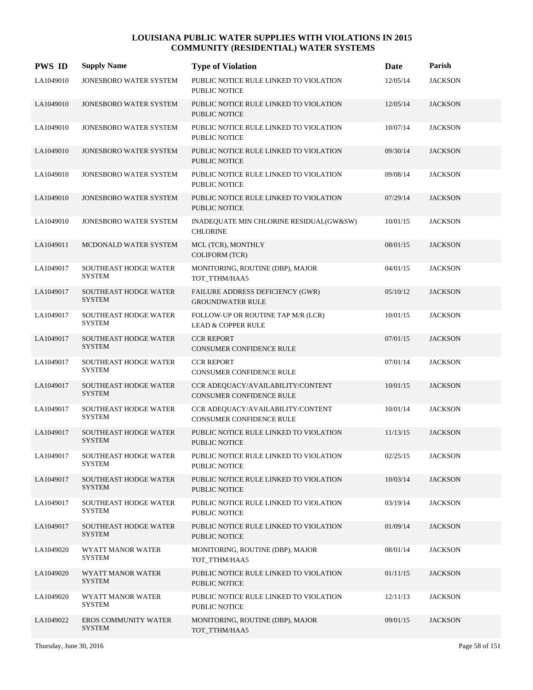| <b>PWS ID</b> | <b>Supply Name</b>                            | <b>Type of Violation</b>                                            | Date     | Parish         |
|---------------|-----------------------------------------------|---------------------------------------------------------------------|----------|----------------|
| LA1049010     | JONESBORO WATER SYSTEM                        | PUBLIC NOTICE RULE LINKED TO VIOLATION<br><b>PUBLIC NOTICE</b>      | 12/05/14 | <b>JACKSON</b> |
| LA1049010     | JONESBORO WATER SYSTEM                        | PUBLIC NOTICE RULE LINKED TO VIOLATION<br><b>PUBLIC NOTICE</b>      | 12/05/14 | <b>JACKSON</b> |
| LA1049010     | JONESBORO WATER SYSTEM                        | PUBLIC NOTICE RULE LINKED TO VIOLATION<br><b>PUBLIC NOTICE</b>      | 10/07/14 | <b>JACKSON</b> |
| LA1049010     | JONESBORO WATER SYSTEM                        | PUBLIC NOTICE RULE LINKED TO VIOLATION<br><b>PUBLIC NOTICE</b>      | 09/30/14 | <b>JACKSON</b> |
| LA1049010     | JONESBORO WATER SYSTEM                        | PUBLIC NOTICE RULE LINKED TO VIOLATION<br><b>PUBLIC NOTICE</b>      | 09/08/14 | <b>JACKSON</b> |
| LA1049010     | JONESBORO WATER SYSTEM                        | PUBLIC NOTICE RULE LINKED TO VIOLATION<br><b>PUBLIC NOTICE</b>      | 07/29/14 | <b>JACKSON</b> |
| LA1049010     | JONESBORO WATER SYSTEM                        | INADEQUATE MIN CHLORINE RESIDUAL(GW&SW)<br><b>CHLORINE</b>          | 10/01/15 | <b>JACKSON</b> |
| LA1049011     | MCDONALD WATER SYSTEM                         | MCL (TCR), MONTHLY<br><b>COLIFORM (TCR)</b>                         | 08/01/15 | <b>JACKSON</b> |
| LA1049017     | <b>SOUTHEAST HODGE WATER</b><br><b>SYSTEM</b> | MONITORING, ROUTINE (DBP), MAJOR<br>TOT TTHM/HAA5                   | 04/01/15 | <b>JACKSON</b> |
| LA1049017     | SOUTHEAST HODGE WATER<br><b>SYSTEM</b>        | FAILURE ADDRESS DEFICIENCY (GWR)<br><b>GROUNDWATER RULE</b>         | 05/10/12 | <b>JACKSON</b> |
| LA1049017     | <b>SOUTHEAST HODGE WATER</b><br><b>SYSTEM</b> | FOLLOW-UP OR ROUTINE TAP M/R (LCR)<br><b>LEAD &amp; COPPER RULE</b> | 10/01/15 | <b>JACKSON</b> |
| LA1049017     | <b>SOUTHEAST HODGE WATER</b><br><b>SYSTEM</b> | <b>CCR REPORT</b><br><b>CONSUMER CONFIDENCE RULE</b>                | 07/01/15 | <b>JACKSON</b> |
| LA1049017     | SOUTHEAST HODGE WATER<br><b>SYSTEM</b>        | <b>CCR REPORT</b><br>CONSUMER CONFIDENCE RULE                       | 07/01/14 | <b>JACKSON</b> |
| LA1049017     | SOUTHEAST HODGE WATER<br><b>SYSTEM</b>        | CCR ADEQUACY/AVAILABILITY/CONTENT<br>CONSUMER CONFIDENCE RULE       | 10/01/15 | <b>JACKSON</b> |
| LA1049017     | <b>SOUTHEAST HODGE WATER</b><br><b>SYSTEM</b> | CCR ADEQUACY/AVAILABILITY/CONTENT<br>CONSUMER CONFIDENCE RULE       | 10/01/14 | <b>JACKSON</b> |
| LA1049017     | <b>SOUTHEAST HODGE WATER</b><br><b>SYSTEM</b> | PUBLIC NOTICE RULE LINKED TO VIOLATION<br>PUBLIC NOTICE             | 11/13/15 | <b>JACKSON</b> |
| LA1049017     | SOUTHEAST HODGE WATER<br><b>SYSTEM</b>        | PUBLIC NOTICE RULE LINKED TO VIOLATION<br>PUBLIC NOTICE             | 02/25/15 | <b>JACKSON</b> |
| LA1049017     | <b>SOUTHEAST HODGE WATER</b><br><b>SYSTEM</b> | PUBLIC NOTICE RULE LINKED TO VIOLATION<br>PUBLIC NOTICE             | 10/03/14 | <b>JACKSON</b> |
| LA1049017     | <b>SOUTHEAST HODGE WATER</b><br><b>SYSTEM</b> | PUBLIC NOTICE RULE LINKED TO VIOLATION<br>PUBLIC NOTICE             | 03/19/14 | <b>JACKSON</b> |
| LA1049017     | SOUTHEAST HODGE WATER<br><b>SYSTEM</b>        | PUBLIC NOTICE RULE LINKED TO VIOLATION<br>PUBLIC NOTICE             | 01/09/14 | <b>JACKSON</b> |
| LA1049020     | WYATT MANOR WATER<br><b>SYSTEM</b>            | MONITORING, ROUTINE (DBP), MAJOR<br>TOT TTHM/HAA5                   | 08/01/14 | <b>JACKSON</b> |
| LA1049020     | WYATT MANOR WATER<br><b>SYSTEM</b>            | PUBLIC NOTICE RULE LINKED TO VIOLATION<br>PUBLIC NOTICE             | 01/11/15 | <b>JACKSON</b> |
| LA1049020     | WYATT MANOR WATER<br><b>SYSTEM</b>            | PUBLIC NOTICE RULE LINKED TO VIOLATION<br>PUBLIC NOTICE             | 12/11/13 | <b>JACKSON</b> |
| LA1049022     | <b>EROS COMMUNITY WATER</b><br><b>SYSTEM</b>  | MONITORING, ROUTINE (DBP), MAJOR<br>TOT_TTHM/HAA5                   | 09/01/15 | <b>JACKSON</b> |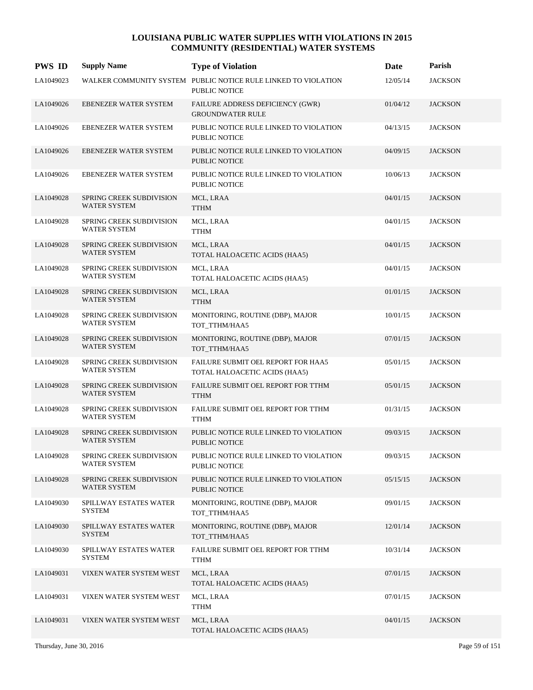| <b>PWS ID</b> | <b>Supply Name</b>                                     | <b>Type of Violation</b>                                                               | <b>Date</b> | Parish         |
|---------------|--------------------------------------------------------|----------------------------------------------------------------------------------------|-------------|----------------|
| LA1049023     |                                                        | WALKER COMMUNITY SYSTEM PUBLIC NOTICE RULE LINKED TO VIOLATION<br><b>PUBLIC NOTICE</b> | 12/05/14    | <b>JACKSON</b> |
| LA1049026     | <b>EBENEZER WATER SYSTEM</b>                           | FAILURE ADDRESS DEFICIENCY (GWR)<br><b>GROUNDWATER RULE</b>                            | 01/04/12    | <b>JACKSON</b> |
| LA1049026     | EBENEZER WATER SYSTEM                                  | PUBLIC NOTICE RULE LINKED TO VIOLATION<br>PUBLIC NOTICE                                | 04/13/15    | <b>JACKSON</b> |
| LA1049026     | EBENEZER WATER SYSTEM                                  | PUBLIC NOTICE RULE LINKED TO VIOLATION<br><b>PUBLIC NOTICE</b>                         | 04/09/15    | <b>JACKSON</b> |
| LA1049026     | <b>EBENEZER WATER SYSTEM</b>                           | PUBLIC NOTICE RULE LINKED TO VIOLATION<br>PUBLIC NOTICE                                | 10/06/13    | <b>JACKSON</b> |
| LA1049028     | SPRING CREEK SUBDIVISION<br><b>WATER SYSTEM</b>        | MCL, LRAA<br><b>TTHM</b>                                                               | 04/01/15    | <b>JACKSON</b> |
| LA1049028     | SPRING CREEK SUBDIVISION<br><b>WATER SYSTEM</b>        | MCL, LRAA<br><b>TTHM</b>                                                               | 04/01/15    | <b>JACKSON</b> |
| LA1049028     | SPRING CREEK SUBDIVISION<br><b>WATER SYSTEM</b>        | MCL, LRAA<br>TOTAL HALOACETIC ACIDS (HAA5)                                             | 04/01/15    | <b>JACKSON</b> |
| LA1049028     | SPRING CREEK SUBDIVISION<br><b>WATER SYSTEM</b>        | MCL, LRAA<br>TOTAL HALOACETIC ACIDS (HAA5)                                             | 04/01/15    | <b>JACKSON</b> |
| LA1049028     | SPRING CREEK SUBDIVISION<br><b>WATER SYSTEM</b>        | MCL, LRAA<br><b>TTHM</b>                                                               | 01/01/15    | <b>JACKSON</b> |
| LA1049028     | SPRING CREEK SUBDIVISION<br><b>WATER SYSTEM</b>        | MONITORING, ROUTINE (DBP), MAJOR<br>TOT_TTHM/HAA5                                      | 10/01/15    | <b>JACKSON</b> |
| LA1049028     | SPRING CREEK SUBDIVISION<br><b>WATER SYSTEM</b>        | MONITORING, ROUTINE (DBP), MAJOR<br>TOT_TTHM/HAA5                                      | 07/01/15    | <b>JACKSON</b> |
| LA1049028     | SPRING CREEK SUBDIVISION<br><b>WATER SYSTEM</b>        | FAILURE SUBMIT OEL REPORT FOR HAA5<br>TOTAL HALOACETIC ACIDS (HAA5)                    | 05/01/15    | <b>JACKSON</b> |
| LA1049028     | SPRING CREEK SUBDIVISION<br><b>WATER SYSTEM</b>        | FAILURE SUBMIT OEL REPORT FOR TTHM<br><b>TTHM</b>                                      | 05/01/15    | <b>JACKSON</b> |
| LA1049028     | SPRING CREEK SUBDIVISION<br><b>WATER SYSTEM</b>        | FAILURE SUBMIT OEL REPORT FOR TTHM<br><b>TTHM</b>                                      | 01/31/15    | <b>JACKSON</b> |
| LA1049028     | <b>SPRING CREEK SUBDIVISION</b><br><b>WATER SYSTEM</b> | PUBLIC NOTICE RULE LINKED TO VIOLATION<br><b>PUBLIC NOTICE</b>                         | 09/03/15    | <b>JACKSON</b> |
| LA1049028     | SPRING CREEK SUBDIVISION<br><b>WATER SYSTEM</b>        | PUBLIC NOTICE RULE LINKED TO VIOLATION<br>PUBLIC NOTICE                                | 09/03/15    | <b>JACKSON</b> |
| LA1049028     | SPRING CREEK SUBDIVISION<br>WATER SYSTEM               | PUBLIC NOTICE RULE LINKED TO VIOLATION<br><b>PUBLIC NOTICE</b>                         | 05/15/15    | <b>JACKSON</b> |
| LA1049030     | SPILLWAY ESTATES WATER<br><b>SYSTEM</b>                | MONITORING, ROUTINE (DBP), MAJOR<br>TOT_TTHM/HAA5                                      | 09/01/15    | <b>JACKSON</b> |
| LA1049030     | SPILLWAY ESTATES WATER<br><b>SYSTEM</b>                | MONITORING, ROUTINE (DBP), MAJOR<br>TOT_TTHM/HAA5                                      | 12/01/14    | <b>JACKSON</b> |
| LA1049030     | SPILLWAY ESTATES WATER<br><b>SYSTEM</b>                | FAILURE SUBMIT OEL REPORT FOR TTHM<br><b>TTHM</b>                                      | 10/31/14    | <b>JACKSON</b> |
| LA1049031     | VIXEN WATER SYSTEM WEST                                | MCL, LRAA<br>TOTAL HALOACETIC ACIDS (HAA5)                                             | 07/01/15    | <b>JACKSON</b> |
| LA1049031     | VIXEN WATER SYSTEM WEST                                | MCL, LRAA<br><b>TTHM</b>                                                               | 07/01/15    | <b>JACKSON</b> |
| LA1049031     | VIXEN WATER SYSTEM WEST                                | MCL, LRAA<br>TOTAL HALOACETIC ACIDS (HAA5)                                             | 04/01/15    | <b>JACKSON</b> |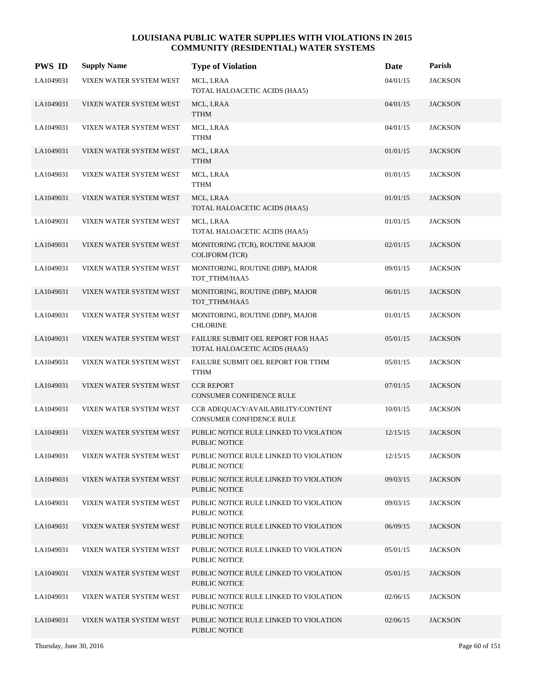| <b>PWS ID</b> | <b>Supply Name</b>      | <b>Type of Violation</b>                                            | Date     | Parish         |
|---------------|-------------------------|---------------------------------------------------------------------|----------|----------------|
| LA1049031     | VIXEN WATER SYSTEM WEST | MCL, LRAA<br>TOTAL HALOACETIC ACIDS (HAA5)                          | 04/01/15 | <b>JACKSON</b> |
| LA1049031     | VIXEN WATER SYSTEM WEST | MCL, LRAA<br><b>TTHM</b>                                            | 04/01/15 | <b>JACKSON</b> |
| LA1049031     | VIXEN WATER SYSTEM WEST | MCL, LRAA<br><b>TTHM</b>                                            | 04/01/15 | <b>JACKSON</b> |
| LA1049031     | VIXEN WATER SYSTEM WEST | MCL, LRAA<br><b>TTHM</b>                                            | 01/01/15 | <b>JACKSON</b> |
| LA1049031     | VIXEN WATER SYSTEM WEST | MCL, LRAA<br>TTHM                                                   | 01/01/15 | <b>JACKSON</b> |
| LA1049031     | VIXEN WATER SYSTEM WEST | MCL, LRAA<br>TOTAL HALOACETIC ACIDS (HAA5)                          | 01/01/15 | <b>JACKSON</b> |
| LA1049031     | VIXEN WATER SYSTEM WEST | MCL, LRAA<br>TOTAL HALOACETIC ACIDS (HAA5)                          | 01/01/15 | <b>JACKSON</b> |
| LA1049031     | VIXEN WATER SYSTEM WEST | MONITORING (TCR), ROUTINE MAJOR<br><b>COLIFORM (TCR)</b>            | 02/01/15 | <b>JACKSON</b> |
| LA1049031     | VIXEN WATER SYSTEM WEST | MONITORING, ROUTINE (DBP), MAJOR<br>TOT_TTHM/HAA5                   | 09/01/15 | <b>JACKSON</b> |
| LA1049031     | VIXEN WATER SYSTEM WEST | MONITORING, ROUTINE (DBP), MAJOR<br>TOT_TTHM/HAA5                   | 06/01/15 | <b>JACKSON</b> |
| LA1049031     | VIXEN WATER SYSTEM WEST | MONITORING, ROUTINE (DBP), MAJOR<br><b>CHLORINE</b>                 | 01/01/15 | <b>JACKSON</b> |
| LA1049031     | VIXEN WATER SYSTEM WEST | FAILURE SUBMIT OEL REPORT FOR HAA5<br>TOTAL HALOACETIC ACIDS (HAA5) | 05/01/15 | <b>JACKSON</b> |
| LA1049031     | VIXEN WATER SYSTEM WEST | FAILURE SUBMIT OEL REPORT FOR TTHM<br><b>TTHM</b>                   | 05/01/15 | <b>JACKSON</b> |
| LA1049031     | VIXEN WATER SYSTEM WEST | <b>CCR REPORT</b><br><b>CONSUMER CONFIDENCE RULE</b>                | 07/01/15 | <b>JACKSON</b> |
| LA1049031     | VIXEN WATER SYSTEM WEST | CCR ADEQUACY/AVAILABILITY/CONTENT<br>CONSUMER CONFIDENCE RULE       | 10/01/15 | <b>JACKSON</b> |
| LA1049031     | VIXEN WATER SYSTEM WEST | PUBLIC NOTICE RULE LINKED TO VIOLATION<br>PUBLIC NOTICE             | 12/15/15 | <b>JACKSON</b> |
| LA1049031     | VIXEN WATER SYSTEM WEST | PUBLIC NOTICE RULE LINKED TO VIOLATION<br>PUBLIC NOTICE             | 12/15/15 | <b>JACKSON</b> |
| LA1049031     | VIXEN WATER SYSTEM WEST | PUBLIC NOTICE RULE LINKED TO VIOLATION<br><b>PUBLIC NOTICE</b>      | 09/03/15 | <b>JACKSON</b> |
| LA1049031     | VIXEN WATER SYSTEM WEST | PUBLIC NOTICE RULE LINKED TO VIOLATION<br>PUBLIC NOTICE             | 09/03/15 | <b>JACKSON</b> |
| LA1049031     | VIXEN WATER SYSTEM WEST | PUBLIC NOTICE RULE LINKED TO VIOLATION<br>PUBLIC NOTICE             | 06/09/15 | <b>JACKSON</b> |
| LA1049031     | VIXEN WATER SYSTEM WEST | PUBLIC NOTICE RULE LINKED TO VIOLATION<br>PUBLIC NOTICE             | 05/01/15 | <b>JACKSON</b> |
| LA1049031     | VIXEN WATER SYSTEM WEST | PUBLIC NOTICE RULE LINKED TO VIOLATION<br>PUBLIC NOTICE             | 05/01/15 | <b>JACKSON</b> |
| LA1049031     | VIXEN WATER SYSTEM WEST | PUBLIC NOTICE RULE LINKED TO VIOLATION<br>PUBLIC NOTICE             | 02/06/15 | <b>JACKSON</b> |
| LA1049031     | VIXEN WATER SYSTEM WEST | PUBLIC NOTICE RULE LINKED TO VIOLATION<br><b>PUBLIC NOTICE</b>      | 02/06/15 | <b>JACKSON</b> |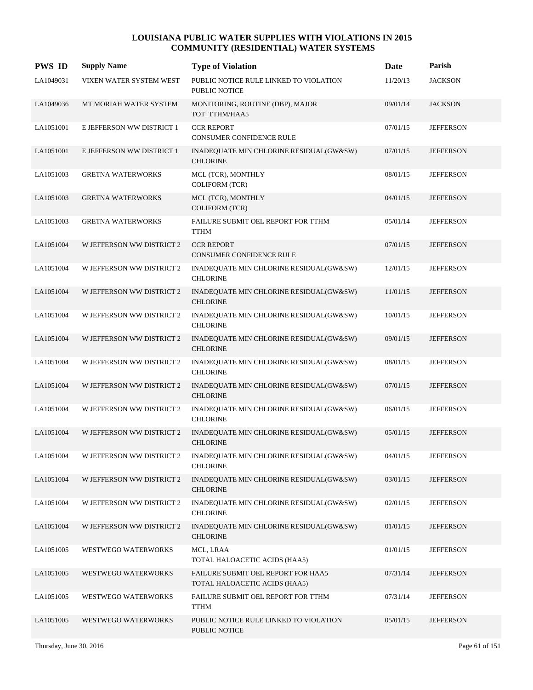| <b>PWS ID</b> | <b>Supply Name</b>        | <b>Type of Violation</b>                                            | Date     | Parish           |
|---------------|---------------------------|---------------------------------------------------------------------|----------|------------------|
| LA1049031     | VIXEN WATER SYSTEM WEST   | PUBLIC NOTICE RULE LINKED TO VIOLATION<br><b>PUBLIC NOTICE</b>      | 11/20/13 | <b>JACKSON</b>   |
| LA1049036     | MT MORIAH WATER SYSTEM    | MONITORING, ROUTINE (DBP), MAJOR<br>TOT_TTHM/HAA5                   | 09/01/14 | <b>JACKSON</b>   |
| LA1051001     | E JEFFERSON WW DISTRICT 1 | <b>CCR REPORT</b><br>CONSUMER CONFIDENCE RULE                       | 07/01/15 | <b>JEFFERSON</b> |
| LA1051001     | E JEFFERSON WW DISTRICT 1 | INADEQUATE MIN CHLORINE RESIDUAL(GW&SW)<br><b>CHLORINE</b>          | 07/01/15 | <b>JEFFERSON</b> |
| LA1051003     | <b>GRETNA WATERWORKS</b>  | MCL (TCR), MONTHLY<br><b>COLIFORM (TCR)</b>                         | 08/01/15 | <b>JEFFERSON</b> |
| LA1051003     | <b>GRETNA WATERWORKS</b>  | MCL (TCR), MONTHLY<br><b>COLIFORM (TCR)</b>                         | 04/01/15 | <b>JEFFERSON</b> |
| LA1051003     | <b>GRETNA WATERWORKS</b>  | FAILURE SUBMIT OEL REPORT FOR TTHM<br><b>TTHM</b>                   | 05/01/14 | <b>JEFFERSON</b> |
| LA1051004     | W JEFFERSON WW DISTRICT 2 | <b>CCR REPORT</b><br><b>CONSUMER CONFIDENCE RULE</b>                | 07/01/15 | <b>JEFFERSON</b> |
| LA1051004     | W JEFFERSON WW DISTRICT 2 | INADEQUATE MIN CHLORINE RESIDUAL(GW&SW)<br><b>CHLORINE</b>          | 12/01/15 | <b>JEFFERSON</b> |
| LA1051004     | W JEFFERSON WW DISTRICT 2 | INADEQUATE MIN CHLORINE RESIDUAL(GW&SW)<br><b>CHLORINE</b>          | 11/01/15 | <b>JEFFERSON</b> |
| LA1051004     | W JEFFERSON WW DISTRICT 2 | INADEQUATE MIN CHLORINE RESIDUAL(GW&SW)<br><b>CHLORINE</b>          | 10/01/15 | <b>JEFFERSON</b> |
| LA1051004     | W JEFFERSON WW DISTRICT 2 | INADEQUATE MIN CHLORINE RESIDUAL(GW&SW)<br><b>CHLORINE</b>          | 09/01/15 | <b>JEFFERSON</b> |
| LA1051004     | W JEFFERSON WW DISTRICT 2 | INADEQUATE MIN CHLORINE RESIDUAL(GW&SW)<br><b>CHLORINE</b>          | 08/01/15 | <b>JEFFERSON</b> |
| LA1051004     | W JEFFERSON WW DISTRICT 2 | INADEQUATE MIN CHLORINE RESIDUAL(GW&SW)<br><b>CHLORINE</b>          | 07/01/15 | <b>JEFFERSON</b> |
| LA1051004     | W JEFFERSON WW DISTRICT 2 | INADEQUATE MIN CHLORINE RESIDUAL(GW&SW)<br><b>CHLORINE</b>          | 06/01/15 | <b>JEFFERSON</b> |
| LA1051004     | W JEFFERSON WW DISTRICT 2 | INADEQUATE MIN CHLORINE RESIDUAL(GW&SW)<br><b>CHLORINE</b>          | 05/01/15 | <b>JEFFERSON</b> |
| LA1051004     | W JEFFERSON WW DISTRICT 2 | INADEQUATE MIN CHLORINE RESIDUAL(GW&SW)<br><b>CHLORINE</b>          | 04/01/15 | <b>JEFFERSON</b> |
| LA1051004     | W JEFFERSON WW DISTRICT 2 | INADEQUATE MIN CHLORINE RESIDUAL(GW&SW)<br><b>CHLORINE</b>          | 03/01/15 | <b>JEFFERSON</b> |
| LA1051004     | W JEFFERSON WW DISTRICT 2 | INADEQUATE MIN CHLORINE RESIDUAL(GW&SW)<br><b>CHLORINE</b>          | 02/01/15 | <b>JEFFERSON</b> |
| LA1051004     | W JEFFERSON WW DISTRICT 2 | INADEQUATE MIN CHLORINE RESIDUAL(GW&SW)<br><b>CHLORINE</b>          | 01/01/15 | <b>JEFFERSON</b> |
| LA1051005     | WESTWEGO WATERWORKS       | MCL, LRAA<br>TOTAL HALOACETIC ACIDS (HAA5)                          | 01/01/15 | <b>JEFFERSON</b> |
| LA1051005     | WESTWEGO WATERWORKS       | FAILURE SUBMIT OEL REPORT FOR HAA5<br>TOTAL HALOACETIC ACIDS (HAA5) | 07/31/14 | <b>JEFFERSON</b> |
| LA1051005     | WESTWEGO WATERWORKS       | FAILURE SUBMIT OEL REPORT FOR TTHM<br><b>TTHM</b>                   | 07/31/14 | <b>JEFFERSON</b> |
| LA1051005     | WESTWEGO WATERWORKS       | PUBLIC NOTICE RULE LINKED TO VIOLATION<br>PUBLIC NOTICE             | 05/01/15 | <b>JEFFERSON</b> |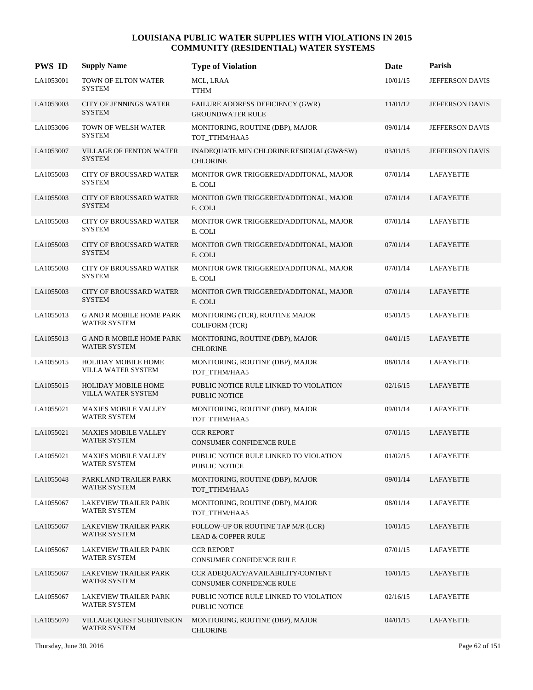| <b>PWS ID</b> | <b>Supply Name</b>                                     | <b>Type of Violation</b>                                            | Date     | Parish                 |
|---------------|--------------------------------------------------------|---------------------------------------------------------------------|----------|------------------------|
| LA1053001     | TOWN OF ELTON WATER<br><b>SYSTEM</b>                   | MCL, LRAA<br><b>TTHM</b>                                            | 10/01/15 | <b>JEFFERSON DAVIS</b> |
| LA1053003     | <b>CITY OF JENNINGS WATER</b><br><b>SYSTEM</b>         | FAILURE ADDRESS DEFICIENCY (GWR)<br><b>GROUNDWATER RULE</b>         | 11/01/12 | JEFFERSON DAVIS        |
| LA1053006     | TOWN OF WELSH WATER<br><b>SYSTEM</b>                   | MONITORING, ROUTINE (DBP), MAJOR<br>TOT_TTHM/HAA5                   | 09/01/14 | JEFFERSON DAVIS        |
| LA1053007     | <b>VILLAGE OF FENTON WATER</b><br><b>SYSTEM</b>        | INADEQUATE MIN CHLORINE RESIDUAL(GW&SW)<br><b>CHLORINE</b>          | 03/01/15 | <b>JEFFERSON DAVIS</b> |
| LA1055003     | <b>CITY OF BROUSSARD WATER</b><br><b>SYSTEM</b>        | MONITOR GWR TRIGGERED/ADDITONAL, MAJOR<br>E. COLI                   | 07/01/14 | <b>LAFAYETTE</b>       |
| LA1055003     | <b>CITY OF BROUSSARD WATER</b><br><b>SYSTEM</b>        | MONITOR GWR TRIGGERED/ADDITONAL, MAJOR<br>E. COLI                   | 07/01/14 | LAFAYETTE              |
| LA1055003     | CITY OF BROUSSARD WATER<br><b>SYSTEM</b>               | MONITOR GWR TRIGGERED/ADDITONAL, MAJOR<br>E. COLI                   | 07/01/14 | LAFAYETTE              |
| LA1055003     | CITY OF BROUSSARD WATER<br><b>SYSTEM</b>               | MONITOR GWR TRIGGERED/ADDITONAL, MAJOR<br>E. COLI                   | 07/01/14 | LAFAYETTE              |
| LA1055003     | <b>CITY OF BROUSSARD WATER</b><br><b>SYSTEM</b>        | MONITOR GWR TRIGGERED/ADDITONAL, MAJOR<br>E. COLI                   | 07/01/14 | LAFAYETTE              |
| LA1055003     | <b>CITY OF BROUSSARD WATER</b><br><b>SYSTEM</b>        | MONITOR GWR TRIGGERED/ADDITONAL, MAJOR<br>E. COLI                   | 07/01/14 | LAFAYETTE              |
| LA1055013     | <b>G AND R MOBILE HOME PARK</b><br><b>WATER SYSTEM</b> | MONITORING (TCR), ROUTINE MAJOR<br><b>COLIFORM (TCR)</b>            | 05/01/15 | LAFAYETTE              |
| LA1055013     | <b>G AND R MOBILE HOME PARK</b><br>WATER SYSTEM        | MONITORING, ROUTINE (DBP), MAJOR<br><b>CHLORINE</b>                 | 04/01/15 | LAFAYETTE              |
| LA1055015     | <b>HOLIDAY MOBILE HOME</b><br>VILLA WATER SYSTEM       | MONITORING, ROUTINE (DBP), MAJOR<br>TOT_TTHM/HAA5                   | 08/01/14 | LAFAYETTE              |
| LA1055015     | <b>HOLIDAY MOBILE HOME</b><br>VILLA WATER SYSTEM       | PUBLIC NOTICE RULE LINKED TO VIOLATION<br><b>PUBLIC NOTICE</b>      | 02/16/15 | LAFAYETTE              |
| LA1055021     | <b>MAXIES MOBILE VALLEY</b><br><b>WATER SYSTEM</b>     | MONITORING, ROUTINE (DBP), MAJOR<br>TOT_TTHM/HAA5                   | 09/01/14 | <b>LAFAYETTE</b>       |
| LA1055021     | <b>MAXIES MOBILE VALLEY</b><br><b>WATER SYSTEM</b>     | <b>CCR REPORT</b><br><b>CONSUMER CONFIDENCE RULE</b>                | 07/01/15 | LAFAYETTE              |
| LA1055021     | <b>MAXIES MOBILE VALLEY</b><br><b>WATER SYSTEM</b>     | PUBLIC NOTICE RULE LINKED TO VIOLATION<br>PUBLIC NOTICE             | 01/02/15 | LAFAYETTE              |
| LA1055048     | PARKLAND TRAILER PARK<br><b>WATER SYSTEM</b>           | MONITORING, ROUTINE (DBP), MAJOR<br>TOT_TTHM/HAA5                   | 09/01/14 | LAFAYETTE              |
| LA1055067     | <b>LAKEVIEW TRAILER PARK</b><br><b>WATER SYSTEM</b>    | MONITORING, ROUTINE (DBP), MAJOR<br>TOT_TTHM/HAA5                   | 08/01/14 | LAFAYETTE              |
| LA1055067     | <b>LAKEVIEW TRAILER PARK</b><br>WATER SYSTEM           | FOLLOW-UP OR ROUTINE TAP M/R (LCR)<br><b>LEAD &amp; COPPER RULE</b> | 10/01/15 | <b>LAFAYETTE</b>       |
| LA1055067     | <b>LAKEVIEW TRAILER PARK</b><br><b>WATER SYSTEM</b>    | <b>CCR REPORT</b><br>CONSUMER CONFIDENCE RULE                       | 07/01/15 | LAFAYETTE              |
| LA1055067     | LAKEVIEW TRAILER PARK<br>WATER SYSTEM                  | CCR ADEQUACY/AVAILABILITY/CONTENT<br>CONSUMER CONFIDENCE RULE       | 10/01/15 | LAFAYETTE              |
| LA1055067     | LAKEVIEW TRAILER PARK<br><b>WATER SYSTEM</b>           | PUBLIC NOTICE RULE LINKED TO VIOLATION<br>PUBLIC NOTICE             | 02/16/15 | LAFAYETTE              |
| LA1055070     | VILLAGE QUEST SUBDIVISION<br><b>WATER SYSTEM</b>       | MONITORING, ROUTINE (DBP), MAJOR<br><b>CHLORINE</b>                 | 04/01/15 | LAFAYETTE              |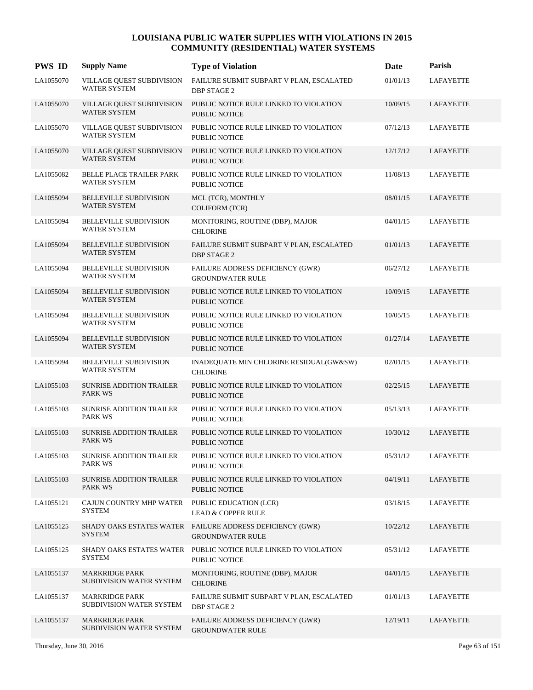| <b>PWS ID</b> | <b>Supply Name</b>                                     | <b>Type of Violation</b>                                                             | <b>Date</b> | Parish           |
|---------------|--------------------------------------------------------|--------------------------------------------------------------------------------------|-------------|------------------|
| LA1055070     | VILLAGE QUEST SUBDIVISION<br><b>WATER SYSTEM</b>       | FAILURE SUBMIT SUBPART V PLAN, ESCALATED<br><b>DBP STAGE 2</b>                       | 01/01/13    | <b>LAFAYETTE</b> |
| LA1055070     | VILLAGE QUEST SUBDIVISION<br><b>WATER SYSTEM</b>       | PUBLIC NOTICE RULE LINKED TO VIOLATION<br><b>PUBLIC NOTICE</b>                       | 10/09/15    | <b>LAFAYETTE</b> |
| LA1055070     | VILLAGE QUEST SUBDIVISION<br><b>WATER SYSTEM</b>       | PUBLIC NOTICE RULE LINKED TO VIOLATION<br>PUBLIC NOTICE                              | 07/12/13    | <b>LAFAYETTE</b> |
| LA1055070     | VILLAGE QUEST SUBDIVISION<br><b>WATER SYSTEM</b>       | PUBLIC NOTICE RULE LINKED TO VIOLATION<br><b>PUBLIC NOTICE</b>                       | 12/17/12    | <b>LAFAYETTE</b> |
| LA1055082     | <b>BELLE PLACE TRAILER PARK</b><br><b>WATER SYSTEM</b> | PUBLIC NOTICE RULE LINKED TO VIOLATION<br><b>PUBLIC NOTICE</b>                       | 11/08/13    | <b>LAFAYETTE</b> |
| LA1055094     | <b>BELLEVILLE SUBDIVISION</b><br><b>WATER SYSTEM</b>   | MCL (TCR), MONTHLY<br><b>COLIFORM (TCR)</b>                                          | 08/01/15    | LAFAYETTE        |
| LA1055094     | <b>BELLEVILLE SUBDIVISION</b><br><b>WATER SYSTEM</b>   | MONITORING, ROUTINE (DBP), MAJOR<br><b>CHLORINE</b>                                  | 04/01/15    | LAFAYETTE        |
| LA1055094     | <b>BELLEVILLE SUBDIVISION</b><br><b>WATER SYSTEM</b>   | FAILURE SUBMIT SUBPART V PLAN, ESCALATED<br>DBP STAGE 2                              | 01/01/13    | <b>LAFAYETTE</b> |
| LA1055094     | <b>BELLEVILLE SUBDIVISION</b><br><b>WATER SYSTEM</b>   | FAILURE ADDRESS DEFICIENCY (GWR)<br><b>GROUNDWATER RULE</b>                          | 06/27/12    | <b>LAFAYETTE</b> |
| LA1055094     | <b>BELLEVILLE SUBDIVISION</b><br><b>WATER SYSTEM</b>   | PUBLIC NOTICE RULE LINKED TO VIOLATION<br><b>PUBLIC NOTICE</b>                       | 10/09/15    | LAFAYETTE        |
| LA1055094     | <b>BELLEVILLE SUBDIVISION</b><br><b>WATER SYSTEM</b>   | PUBLIC NOTICE RULE LINKED TO VIOLATION<br><b>PUBLIC NOTICE</b>                       | 10/05/15    | LAFAYETTE        |
| LA1055094     | <b>BELLEVILLE SUBDIVISION</b><br><b>WATER SYSTEM</b>   | PUBLIC NOTICE RULE LINKED TO VIOLATION<br><b>PUBLIC NOTICE</b>                       | 01/27/14    | LAFAYETTE        |
| LA1055094     | <b>BELLEVILLE SUBDIVISION</b><br><b>WATER SYSTEM</b>   | INADEQUATE MIN CHLORINE RESIDUAL(GW&SW)<br><b>CHLORINE</b>                           | 02/01/15    | LAFAYETTE        |
| LA1055103     | <b>SUNRISE ADDITION TRAILER</b><br><b>PARK WS</b>      | PUBLIC NOTICE RULE LINKED TO VIOLATION<br><b>PUBLIC NOTICE</b>                       | 02/25/15    | LAFAYETTE        |
| LA1055103     | <b>SUNRISE ADDITION TRAILER</b><br><b>PARK WS</b>      | PUBLIC NOTICE RULE LINKED TO VIOLATION<br><b>PUBLIC NOTICE</b>                       | 05/13/13    | LAFAYETTE        |
| LA1055103     | <b>SUNRISE ADDITION TRAILER</b><br><b>PARK WS</b>      | PUBLIC NOTICE RULE LINKED TO VIOLATION<br><b>PUBLIC NOTICE</b>                       | 10/30/12    | <b>LAFAYETTE</b> |
| LA1055103     | <b>SUNRISE ADDITION TRAILER</b><br><b>PARK WS</b>      | PUBLIC NOTICE RULE LINKED TO VIOLATION<br>PUBLIC NOTICE                              | 05/31/12    | LAFAYETTE        |
| LA1055103     | <b>SUNRISE ADDITION TRAILER</b><br><b>PARK WS</b>      | PUBLIC NOTICE RULE LINKED TO VIOLATION<br><b>PUBLIC NOTICE</b>                       | 04/19/11    | LAFAYETTE        |
| LA1055121     | CAJUN COUNTRY MHP WATER<br><b>SYSTEM</b>               | PUBLIC EDUCATION (LCR)<br><b>LEAD &amp; COPPER RULE</b>                              | 03/18/15    | LAFAYETTE        |
| LA1055125     | <b>SYSTEM</b>                                          | SHADY OAKS ESTATES WATER FAILURE ADDRESS DEFICIENCY (GWR)<br><b>GROUNDWATER RULE</b> | 10/22/12    | LAFAYETTE        |
| LA1055125     | <b>SYSTEM</b>                                          | SHADY OAKS ESTATES WATER PUBLIC NOTICE RULE LINKED TO VIOLATION<br>PUBLIC NOTICE     | 05/31/12    | LAFAYETTE        |
| LA1055137     | <b>MARKRIDGE PARK</b><br>SUBDIVISION WATER SYSTEM      | MONITORING, ROUTINE (DBP), MAJOR<br><b>CHLORINE</b>                                  | 04/01/15    | LAFAYETTE        |
| LA1055137     | <b>MARKRIDGE PARK</b><br>SUBDIVISION WATER SYSTEM      | FAILURE SUBMIT SUBPART V PLAN, ESCALATED<br><b>DBP STAGE 2</b>                       | 01/01/13    | LAFAYETTE        |
| LA1055137     | <b>MARKRIDGE PARK</b><br>SUBDIVISION WATER SYSTEM      | FAILURE ADDRESS DEFICIENCY (GWR)<br><b>GROUNDWATER RULE</b>                          | 12/19/11    | LAFAYETTE        |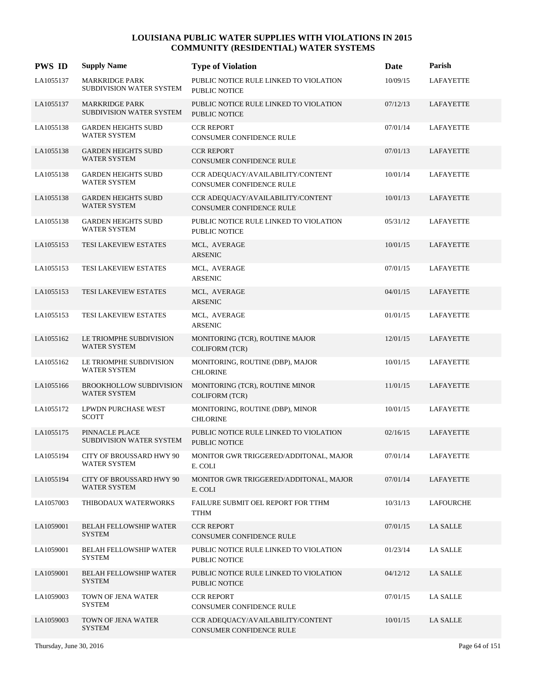| <b>PWS ID</b> | <b>Supply Name</b>                                     | <b>Type of Violation</b>                                       | Date     | Parish           |
|---------------|--------------------------------------------------------|----------------------------------------------------------------|----------|------------------|
| LA1055137     | <b>MARKRIDGE PARK</b><br>SUBDIVISION WATER SYSTEM      | PUBLIC NOTICE RULE LINKED TO VIOLATION<br>PUBLIC NOTICE        | 10/09/15 | LAFAYETTE        |
| LA1055137     | <b>MARKRIDGE PARK</b><br>SUBDIVISION WATER SYSTEM      | PUBLIC NOTICE RULE LINKED TO VIOLATION<br><b>PUBLIC NOTICE</b> | 07/12/13 | LAFAYETTE        |
| LA1055138     | <b>GARDEN HEIGHTS SUBD</b><br><b>WATER SYSTEM</b>      | <b>CCR REPORT</b><br>CONSUMER CONFIDENCE RULE                  | 07/01/14 | LAFAYETTE        |
| LA1055138     | <b>GARDEN HEIGHTS SUBD</b><br><b>WATER SYSTEM</b>      | <b>CCR REPORT</b><br>CONSUMER CONFIDENCE RULE                  | 07/01/13 | LAFAYETTE        |
| LA1055138     | <b>GARDEN HEIGHTS SUBD</b><br>WATER SYSTEM             | CCR ADEQUACY/AVAILABILITY/CONTENT<br>CONSUMER CONFIDENCE RULE  | 10/01/14 | LAFAYETTE        |
| LA1055138     | <b>GARDEN HEIGHTS SUBD</b><br><b>WATER SYSTEM</b>      | CCR ADEQUACY/AVAILABILITY/CONTENT<br>CONSUMER CONFIDENCE RULE  | 10/01/13 | LAFAYETTE        |
| LA1055138     | <b>GARDEN HEIGHTS SUBD</b><br><b>WATER SYSTEM</b>      | PUBLIC NOTICE RULE LINKED TO VIOLATION<br>PUBLIC NOTICE        | 05/31/12 | LAFAYETTE        |
| LA1055153     | <b>TESI LAKEVIEW ESTATES</b>                           | MCL, AVERAGE<br><b>ARSENIC</b>                                 | 10/01/15 | LAFAYETTE        |
| LA1055153     | TESI LAKEVIEW ESTATES                                  | MCL, AVERAGE<br>ARSENIC                                        | 07/01/15 | <b>LAFAYETTE</b> |
| LA1055153     | TESI LAKEVIEW ESTATES                                  | MCL, AVERAGE<br><b>ARSENIC</b>                                 | 04/01/15 | LAFAYETTE        |
| LA1055153     | TESI LAKEVIEW ESTATES                                  | MCL, AVERAGE<br><b>ARSENIC</b>                                 | 01/01/15 | LAFAYETTE        |
| LA1055162     | LE TRIOMPHE SUBDIVISION<br><b>WATER SYSTEM</b>         | MONITORING (TCR), ROUTINE MAJOR<br><b>COLIFORM (TCR)</b>       | 12/01/15 | LAFAYETTE        |
| LA1055162     | LE TRIOMPHE SUBDIVISION<br>WATER SYSTEM                | MONITORING, ROUTINE (DBP), MAJOR<br><b>CHLORINE</b>            | 10/01/15 | LAFAYETTE        |
| LA1055166     | <b>BROOKHOLLOW SUBDIVISION</b><br><b>WATER SYSTEM</b>  | MONITORING (TCR), ROUTINE MINOR<br><b>COLIFORM (TCR)</b>       | 11/01/15 | LAFAYETTE        |
| LA1055172     | LPWDN PURCHASE WEST<br><b>SCOTT</b>                    | MONITORING, ROUTINE (DBP), MINOR<br><b>CHLORINE</b>            | 10/01/15 | LAFAYETTE        |
| LA1055175     | PINNACLE PLACE<br>SUBDIVISION WATER SYSTEM             | PUBLIC NOTICE RULE LINKED TO VIOLATION<br><b>PUBLIC NOTICE</b> | 02/16/15 | LAFAYETTE        |
| LA1055194     | <b>CITY OF BROUSSARD HWY 90</b><br><b>WATER SYSTEM</b> | MONITOR GWR TRIGGERED/ADDITONAL, MAJOR<br>E. COLI              | 07/01/14 | LAFAYETTE        |
| LA1055194     | <b>CITY OF BROUSSARD HWY 90</b><br><b>WATER SYSTEM</b> | MONITOR GWR TRIGGERED/ADDITONAL, MAJOR<br>E. COLI              | 07/01/14 | LAFAYETTE        |
| LA1057003     | THIBODAUX WATERWORKS                                   | FAILURE SUBMIT OEL REPORT FOR TTHM<br><b>TTHM</b>              | 10/31/13 | LAFOURCHE        |
| LA1059001     | <b>BELAH FELLOWSHIP WATER</b><br><b>SYSTEM</b>         | <b>CCR REPORT</b><br><b>CONSUMER CONFIDENCE RULE</b>           | 07/01/15 | LA SALLE         |
| LA1059001     | <b>BELAH FELLOWSHIP WATER</b><br><b>SYSTEM</b>         | PUBLIC NOTICE RULE LINKED TO VIOLATION<br>PUBLIC NOTICE        | 01/23/14 | <b>LA SALLE</b>  |
| LA1059001     | <b>BELAH FELLOWSHIP WATER</b><br><b>SYSTEM</b>         | PUBLIC NOTICE RULE LINKED TO VIOLATION<br>PUBLIC NOTICE        | 04/12/12 | LA SALLE         |
| LA1059003     | TOWN OF JENA WATER<br><b>SYSTEM</b>                    | <b>CCR REPORT</b><br>CONSUMER CONFIDENCE RULE                  | 07/01/15 | LA SALLE         |
| LA1059003     | TOWN OF JENA WATER<br><b>SYSTEM</b>                    | CCR ADEQUACY/AVAILABILITY/CONTENT<br>CONSUMER CONFIDENCE RULE  | 10/01/15 | LA SALLE         |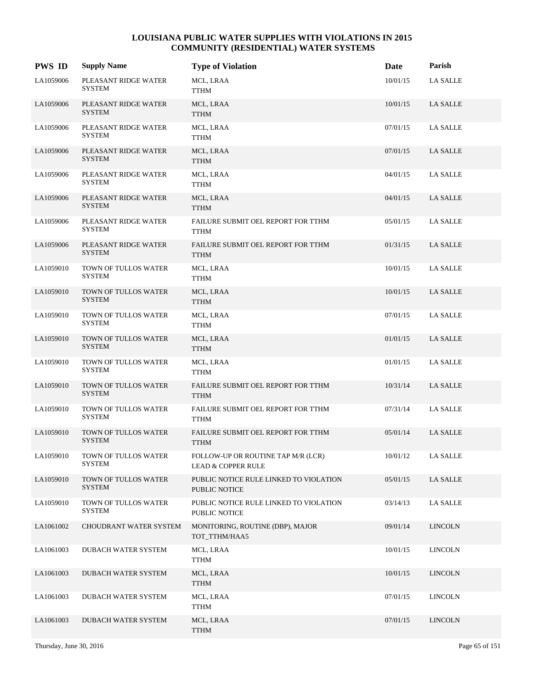| <b>PWS ID</b> | <b>Supply Name</b>                    | <b>Type of Violation</b>                                            | Date     | Parish          |
|---------------|---------------------------------------|---------------------------------------------------------------------|----------|-----------------|
| LA1059006     | PLEASANT RIDGE WATER<br><b>SYSTEM</b> | MCL, LRAA<br>TTHM                                                   | 10/01/15 | <b>LA SALLE</b> |
| LA1059006     | PLEASANT RIDGE WATER<br><b>SYSTEM</b> | MCL, LRAA<br><b>TTHM</b>                                            | 10/01/15 | <b>LA SALLE</b> |
| LA1059006     | PLEASANT RIDGE WATER<br><b>SYSTEM</b> | MCL, LRAA<br>TTHM                                                   | 07/01/15 | LA SALLE        |
| LA1059006     | PLEASANT RIDGE WATER<br><b>SYSTEM</b> | MCL, LRAA<br><b>TTHM</b>                                            | 07/01/15 | LA SALLE        |
| LA1059006     | PLEASANT RIDGE WATER<br><b>SYSTEM</b> | MCL, LRAA<br>TTHM                                                   | 04/01/15 | LA SALLE        |
| LA1059006     | PLEASANT RIDGE WATER<br><b>SYSTEM</b> | MCL, LRAA<br><b>TTHM</b>                                            | 04/01/15 | LA SALLE        |
| LA1059006     | PLEASANT RIDGE WATER<br><b>SYSTEM</b> | FAILURE SUBMIT OEL REPORT FOR TTHM<br><b>TTHM</b>                   | 05/01/15 | LA SALLE        |
| LA1059006     | PLEASANT RIDGE WATER<br><b>SYSTEM</b> | FAILURE SUBMIT OEL REPORT FOR TTHM<br><b>TTHM</b>                   | 01/31/15 | LA SALLE        |
| LA1059010     | TOWN OF TULLOS WATER<br><b>SYSTEM</b> | MCL, LRAA<br><b>TTHM</b>                                            | 10/01/15 | LA SALLE        |
| LA1059010     | TOWN OF TULLOS WATER<br><b>SYSTEM</b> | MCL, LRAA<br><b>TTHM</b>                                            | 10/01/15 | <b>LA SALLE</b> |
| LA1059010     | TOWN OF TULLOS WATER<br><b>SYSTEM</b> | MCL, LRAA<br><b>TTHM</b>                                            | 07/01/15 | <b>LA SALLE</b> |
| LA1059010     | TOWN OF TULLOS WATER<br><b>SYSTEM</b> | MCL, LRAA<br><b>TTHM</b>                                            | 01/01/15 | LA SALLE        |
| LA1059010     | TOWN OF TULLOS WATER<br><b>SYSTEM</b> | MCL, LRAA<br><b>TTHM</b>                                            | 01/01/15 | <b>LA SALLE</b> |
| LA1059010     | TOWN OF TULLOS WATER<br><b>SYSTEM</b> | FAILURE SUBMIT OEL REPORT FOR TTHM<br><b>TTHM</b>                   | 10/31/14 | LA SALLE        |
| LA1059010     | TOWN OF TULLOS WATER<br><b>SYSTEM</b> | FAILURE SUBMIT OEL REPORT FOR TTHM<br><b>TTHM</b>                   | 07/31/14 | LA SALLE        |
| LA1059010     | TOWN OF TULLOS WATER<br><b>SYSTEM</b> | FAILURE SUBMIT OEL REPORT FOR TTHM<br><b>TTHM</b>                   | 05/01/14 | <b>LA SALLE</b> |
| LA1059010     | TOWN OF TULLOS WATER<br><b>SYSTEM</b> | FOLLOW-UP OR ROUTINE TAP M/R (LCR)<br><b>LEAD &amp; COPPER RULE</b> | 10/01/12 | <b>LA SALLE</b> |
| LA1059010     | TOWN OF TULLOS WATER<br><b>SYSTEM</b> | PUBLIC NOTICE RULE LINKED TO VIOLATION<br>PUBLIC NOTICE             | 05/01/15 | <b>LA SALLE</b> |
| LA1059010     | TOWN OF TULLOS WATER<br><b>SYSTEM</b> | PUBLIC NOTICE RULE LINKED TO VIOLATION<br>PUBLIC NOTICE             | 03/14/13 | LA SALLE        |
| LA1061002     | CHOUDRANT WATER SYSTEM                | MONITORING, ROUTINE (DBP), MAJOR<br>TOT_TTHM/HAA5                   | 09/01/14 | <b>LINCOLN</b>  |
| LA1061003     | <b>DUBACH WATER SYSTEM</b>            | MCL, LRAA<br><b>TTHM</b>                                            | 10/01/15 | <b>LINCOLN</b>  |
| LA1061003     | DUBACH WATER SYSTEM                   | MCL, LRAA<br>TTHM                                                   | 10/01/15 | <b>LINCOLN</b>  |
| LA1061003     | DUBACH WATER SYSTEM                   | MCL, LRAA<br>TTHM                                                   | 07/01/15 | <b>LINCOLN</b>  |
| LA1061003     | DUBACH WATER SYSTEM                   | MCL, LRAA<br><b>TTHM</b>                                            | 07/01/15 | <b>LINCOLN</b>  |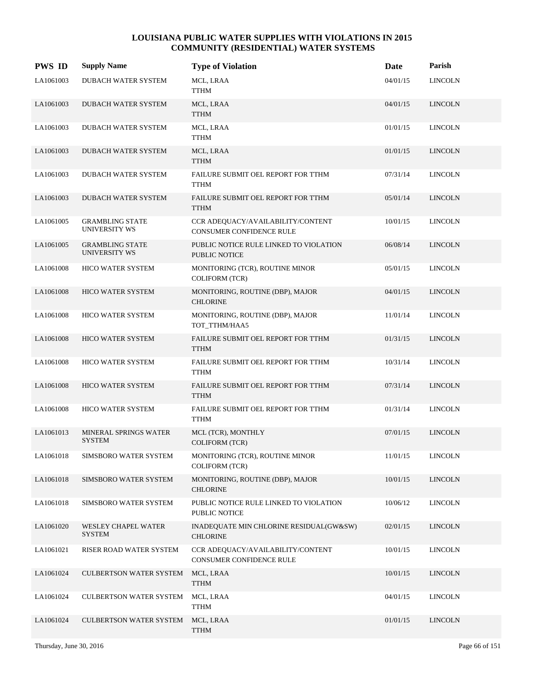| <b>PWS ID</b> | <b>Supply Name</b>                      | <b>Type of Violation</b>                                      | Date     | Parish         |
|---------------|-----------------------------------------|---------------------------------------------------------------|----------|----------------|
| LA1061003     | DUBACH WATER SYSTEM                     | MCL, LRAA<br><b>TTHM</b>                                      | 04/01/15 | <b>LINCOLN</b> |
| LA1061003     | DUBACH WATER SYSTEM                     | MCL, LRAA<br><b>TTHM</b>                                      | 04/01/15 | <b>LINCOLN</b> |
| LA1061003     | DUBACH WATER SYSTEM                     | MCL, LRAA<br><b>TTHM</b>                                      | 01/01/15 | <b>LINCOLN</b> |
| LA1061003     | DUBACH WATER SYSTEM                     | MCL, LRAA<br><b>TTHM</b>                                      | 01/01/15 | <b>LINCOLN</b> |
| LA1061003     | DUBACH WATER SYSTEM                     | FAILURE SUBMIT OEL REPORT FOR TTHM<br><b>TTHM</b>             | 07/31/14 | <b>LINCOLN</b> |
| LA1061003     | DUBACH WATER SYSTEM                     | FAILURE SUBMIT OEL REPORT FOR TTHM<br><b>TTHM</b>             | 05/01/14 | <b>LINCOLN</b> |
| LA1061005     | <b>GRAMBLING STATE</b><br>UNIVERSITY WS | CCR ADEQUACY/AVAILABILITY/CONTENT<br>CONSUMER CONFIDENCE RULE | 10/01/15 | <b>LINCOLN</b> |
| LA1061005     | <b>GRAMBLING STATE</b><br>UNIVERSITY WS | PUBLIC NOTICE RULE LINKED TO VIOLATION<br>PUBLIC NOTICE       | 06/08/14 | <b>LINCOLN</b> |
| LA1061008     | <b>HICO WATER SYSTEM</b>                | MONITORING (TCR), ROUTINE MINOR<br><b>COLIFORM (TCR)</b>      | 05/01/15 | <b>LINCOLN</b> |
| LA1061008     | HICO WATER SYSTEM                       | MONITORING, ROUTINE (DBP), MAJOR<br><b>CHLORINE</b>           | 04/01/15 | <b>LINCOLN</b> |
| LA1061008     | <b>HICO WATER SYSTEM</b>                | MONITORING, ROUTINE (DBP), MAJOR<br>TOT_TTHM/HAA5             | 11/01/14 | <b>LINCOLN</b> |
| LA1061008     | <b>HICO WATER SYSTEM</b>                | FAILURE SUBMIT OEL REPORT FOR TTHM<br><b>TTHM</b>             | 01/31/15 | <b>LINCOLN</b> |
| LA1061008     | HICO WATER SYSTEM                       | FAILURE SUBMIT OEL REPORT FOR TTHM<br><b>TTHM</b>             | 10/31/14 | <b>LINCOLN</b> |
| LA1061008     | HICO WATER SYSTEM                       | FAILURE SUBMIT OEL REPORT FOR TTHM<br><b>TTHM</b>             | 07/31/14 | <b>LINCOLN</b> |
| LA1061008     | <b>HICO WATER SYSTEM</b>                | FAILURE SUBMIT OEL REPORT FOR TTHM<br><b>TTHM</b>             | 01/31/14 | <b>LINCOLN</b> |
| LA1061013     | MINERAL SPRINGS WATER<br><b>SYSTEM</b>  | MCL (TCR), MONTHLY<br><b>COLIFORM (TCR)</b>                   | 07/01/15 | <b>LINCOLN</b> |
| LA1061018     | SIMSBORO WATER SYSTEM                   | MONITORING (TCR), ROUTINE MINOR<br>COLIFORM (TCR)             | 11/01/15 | <b>LINCOLN</b> |
| LA1061018     | SIMSBORO WATER SYSTEM                   | MONITORING, ROUTINE (DBP), MAJOR<br><b>CHLORINE</b>           | 10/01/15 | <b>LINCOLN</b> |
| LA1061018     | SIMSBORO WATER SYSTEM                   | PUBLIC NOTICE RULE LINKED TO VIOLATION<br>PUBLIC NOTICE       | 10/06/12 | <b>LINCOLN</b> |
| LA1061020     | WESLEY CHAPEL WATER<br><b>SYSTEM</b>    | INADEQUATE MIN CHLORINE RESIDUAL(GW&SW)<br><b>CHLORINE</b>    | 02/01/15 | <b>LINCOLN</b> |
| LA1061021     | RISER ROAD WATER SYSTEM                 | CCR ADEQUACY/AVAILABILITY/CONTENT<br>CONSUMER CONFIDENCE RULE | 10/01/15 | <b>LINCOLN</b> |
| LA1061024     | <b>CULBERTSON WATER SYSTEM</b>          | MCL, LRAA<br><b>TTHM</b>                                      | 10/01/15 | <b>LINCOLN</b> |
| LA1061024     | <b>CULBERTSON WATER SYSTEM</b>          | MCL, LRAA<br><b>TTHM</b>                                      | 04/01/15 | <b>LINCOLN</b> |
| LA1061024     | <b>CULBERTSON WATER SYSTEM</b>          | MCL, LRAA<br><b>TTHM</b>                                      | 01/01/15 | <b>LINCOLN</b> |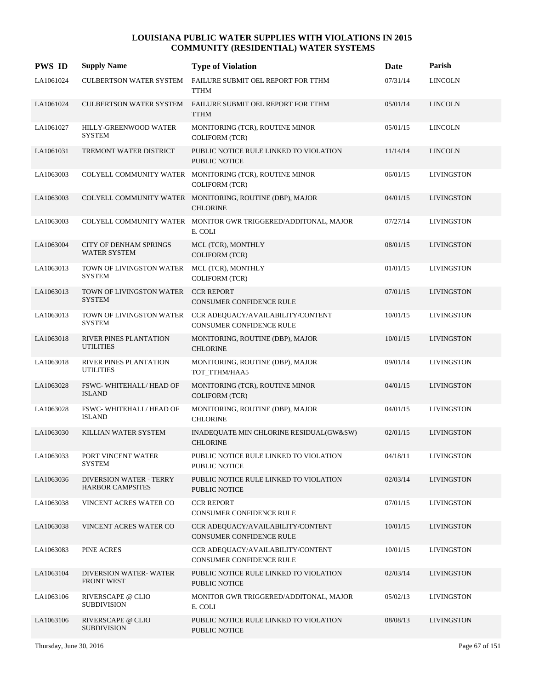| <b>PWS ID</b> | <b>Supply Name</b>                                        | <b>Type of Violation</b>                                                         | <b>Date</b> | Parish            |
|---------------|-----------------------------------------------------------|----------------------------------------------------------------------------------|-------------|-------------------|
| LA1061024     | CULBERTSON WATER SYSTEM                                   | FAILURE SUBMIT OEL REPORT FOR TTHM<br><b>TTHM</b>                                | 07/31/14    | <b>LINCOLN</b>    |
| LA1061024     | <b>CULBERTSON WATER SYSTEM</b>                            | FAILURE SUBMIT OEL REPORT FOR TTHM<br><b>TTHM</b>                                | 05/01/14    | <b>LINCOLN</b>    |
| LA1061027     | HILLY-GREENWOOD WATER<br><b>SYSTEM</b>                    | MONITORING (TCR), ROUTINE MINOR<br><b>COLIFORM (TCR)</b>                         | 05/01/15    | <b>LINCOLN</b>    |
| LA1061031     | TREMONT WATER DISTRICT                                    | PUBLIC NOTICE RULE LINKED TO VIOLATION<br><b>PUBLIC NOTICE</b>                   | 11/14/14    | <b>LINCOLN</b>    |
| LA1063003     |                                                           | COLYELL COMMUNITY WATER MONITORING (TCR), ROUTINE MINOR<br><b>COLIFORM (TCR)</b> | 06/01/15    | <b>LIVINGSTON</b> |
| LA1063003     |                                                           | COLYELL COMMUNITY WATER MONITORING, ROUTINE (DBP), MAJOR<br><b>CHLORINE</b>      | 04/01/15    | <b>LIVINGSTON</b> |
| LA1063003     |                                                           | COLYELL COMMUNITY WATER MONITOR GWR TRIGGERED/ADDITONAL, MAJOR<br>E. COLI        | 07/27/14    | <b>LIVINGSTON</b> |
| LA1063004     | <b>CITY OF DENHAM SPRINGS</b><br><b>WATER SYSTEM</b>      | MCL (TCR), MONTHLY<br>COLIFORM (TCR)                                             | 08/01/15    | <b>LIVINGSTON</b> |
| LA1063013     | TOWN OF LIVINGSTON WATER<br><b>SYSTEM</b>                 | MCL (TCR), MONTHLY<br><b>COLIFORM (TCR)</b>                                      | 01/01/15    | <b>LIVINGSTON</b> |
| LA1063013     | TOWN OF LIVINGSTON WATER<br><b>SYSTEM</b>                 | <b>CCR REPORT</b><br><b>CONSUMER CONFIDENCE RULE</b>                             | 07/01/15    | <b>LIVINGSTON</b> |
| LA1063013     | TOWN OF LIVINGSTON WATER<br><b>SYSTEM</b>                 | CCR ADEQUACY/AVAILABILITY/CONTENT<br>CONSUMER CONFIDENCE RULE                    | 10/01/15    | <b>LIVINGSTON</b> |
| LA1063018     | RIVER PINES PLANTATION<br><b>UTILITIES</b>                | MONITORING, ROUTINE (DBP), MAJOR<br><b>CHLORINE</b>                              | 10/01/15    | <b>LIVINGSTON</b> |
| LA1063018     | RIVER PINES PLANTATION<br><b>UTILITIES</b>                | MONITORING, ROUTINE (DBP), MAJOR<br>TOT_TTHM/HAA5                                | 09/01/14    | <b>LIVINGSTON</b> |
| LA1063028     | FSWC-WHITEHALL/HEAD OF<br><b>ISLAND</b>                   | MONITORING (TCR), ROUTINE MINOR<br><b>COLIFORM (TCR)</b>                         | 04/01/15    | <b>LIVINGSTON</b> |
| LA1063028     | <b>FSWC-WHITEHALL/HEAD OF</b><br><b>ISLAND</b>            | MONITORING, ROUTINE (DBP), MAJOR<br><b>CHLORINE</b>                              | 04/01/15    | <b>LIVINGSTON</b> |
| LA1063030     | KILLIAN WATER SYSTEM                                      | INADEQUATE MIN CHLORINE RESIDUAL(GW&SW)<br><b>CHLORINE</b>                       | 02/01/15    | <b>LIVINGSTON</b> |
| LA1063033     | PORT VINCENT WATER<br><b>SYSTEM</b>                       | PUBLIC NOTICE RULE LINKED TO VIOLATION<br><b>PUBLIC NOTICE</b>                   | 04/18/11    | <b>LIVINGSTON</b> |
| LA1063036     | <b>DIVERSION WATER - TERRY</b><br><b>HARBOR CAMPSITES</b> | PUBLIC NOTICE RULE LINKED TO VIOLATION<br><b>PUBLIC NOTICE</b>                   | 02/03/14    | <b>LIVINGSTON</b> |
| LA1063038     | VINCENT ACRES WATER CO                                    | <b>CCR REPORT</b><br><b>CONSUMER CONFIDENCE RULE</b>                             | 07/01/15    | <b>LIVINGSTON</b> |
| LA1063038     | VINCENT ACRES WATER CO                                    | CCR ADEOUACY/AVAILABILITY/CONTENT<br>CONSUMER CONFIDENCE RULE                    | 10/01/15    | <b>LIVINGSTON</b> |
| LA1063083     | PINE ACRES                                                | CCR ADEQUACY/AVAILABILITY/CONTENT<br>CONSUMER CONFIDENCE RULE                    | 10/01/15    | <b>LIVINGSTON</b> |
| LA1063104     | DIVERSION WATER-WATER<br><b>FRONT WEST</b>                | PUBLIC NOTICE RULE LINKED TO VIOLATION<br>PUBLIC NOTICE                          | 02/03/14    | <b>LIVINGSTON</b> |
| LA1063106     | RIVERSCAPE @ CLIO<br><b>SUBDIVISION</b>                   | MONITOR GWR TRIGGERED/ADDITONAL, MAJOR<br>E. COLI                                | 05/02/13    | <b>LIVINGSTON</b> |
| LA1063106     | RIVERSCAPE @ CLIO<br><b>SUBDIVISION</b>                   | PUBLIC NOTICE RULE LINKED TO VIOLATION<br>PUBLIC NOTICE                          | 08/08/13    | <b>LIVINGSTON</b> |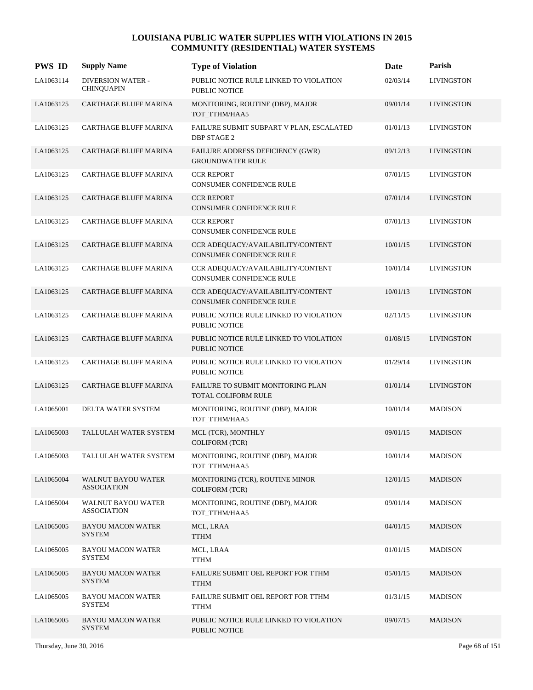| <b>PWS ID</b> | <b>Supply Name</b>                              | <b>Type of Violation</b>                                             | Date     | Parish            |
|---------------|-------------------------------------------------|----------------------------------------------------------------------|----------|-------------------|
| LA1063114     | <b>DIVERSION WATER -</b><br><b>CHINQUAPIN</b>   | PUBLIC NOTICE RULE LINKED TO VIOLATION<br><b>PUBLIC NOTICE</b>       | 02/03/14 | <b>LIVINGSTON</b> |
| LA1063125     | <b>CARTHAGE BLUFF MARINA</b>                    | MONITORING, ROUTINE (DBP), MAJOR<br>TOT_TTHM/HAA5                    | 09/01/14 | <b>LIVINGSTON</b> |
| LA1063125     | CARTHAGE BLUFF MARINA                           | FAILURE SUBMIT SUBPART V PLAN, ESCALATED<br><b>DBP STAGE 2</b>       | 01/01/13 | LIVINGSTON        |
| LA1063125     | <b>CARTHAGE BLUFF MARINA</b>                    | FAILURE ADDRESS DEFICIENCY (GWR)<br><b>GROUNDWATER RULE</b>          | 09/12/13 | <b>LIVINGSTON</b> |
| LA1063125     | CARTHAGE BLUFF MARINA                           | <b>CCR REPORT</b><br>CONSUMER CONFIDENCE RULE                        | 07/01/15 | LIVINGSTON        |
| LA1063125     | <b>CARTHAGE BLUFF MARINA</b>                    | <b>CCR REPORT</b><br>CONSUMER CONFIDENCE RULE                        | 07/01/14 | <b>LIVINGSTON</b> |
| LA1063125     | CARTHAGE BLUFF MARINA                           | <b>CCR REPORT</b><br>CONSUMER CONFIDENCE RULE                        | 07/01/13 | LIVINGSTON        |
| LA1063125     | <b>CARTHAGE BLUFF MARINA</b>                    | CCR ADEQUACY/AVAILABILITY/CONTENT<br>CONSUMER CONFIDENCE RULE        | 10/01/15 | <b>LIVINGSTON</b> |
| LA1063125     | CARTHAGE BLUFF MARINA                           | CCR ADEQUACY/AVAILABILITY/CONTENT<br>CONSUMER CONFIDENCE RULE        | 10/01/14 | <b>LIVINGSTON</b> |
| LA1063125     | <b>CARTHAGE BLUFF MARINA</b>                    | CCR ADEQUACY/AVAILABILITY/CONTENT<br><b>CONSUMER CONFIDENCE RULE</b> | 10/01/13 | <b>LIVINGSTON</b> |
| LA1063125     | CARTHAGE BLUFF MARINA                           | PUBLIC NOTICE RULE LINKED TO VIOLATION<br>PUBLIC NOTICE              | 02/11/15 | LIVINGSTON        |
| LA1063125     | <b>CARTHAGE BLUFF MARINA</b>                    | PUBLIC NOTICE RULE LINKED TO VIOLATION<br>PUBLIC NOTICE              | 01/08/15 | <b>LIVINGSTON</b> |
| LA1063125     | CARTHAGE BLUFF MARINA                           | PUBLIC NOTICE RULE LINKED TO VIOLATION<br>PUBLIC NOTICE              | 01/29/14 | <b>LIVINGSTON</b> |
| LA1063125     | <b>CARTHAGE BLUFF MARINA</b>                    | FAILURE TO SUBMIT MONITORING PLAN<br>TOTAL COLIFORM RULE             | 01/01/14 | <b>LIVINGSTON</b> |
| LA1065001     | DELTA WATER SYSTEM                              | MONITORING, ROUTINE (DBP), MAJOR<br>TOT_TTHM/HAA5                    | 10/01/14 | <b>MADISON</b>    |
| LA1065003     | TALLULAH WATER SYSTEM                           | MCL (TCR), MONTHLY<br><b>COLIFORM (TCR)</b>                          | 09/01/15 | <b>MADISON</b>    |
| LA1065003     | TALLULAH WATER SYSTEM                           | MONITORING, ROUTINE (DBP), MAJOR<br>TOT_TTHM/HAA5                    | 10/01/14 | <b>MADISON</b>    |
| LA1065004     | WALNUT BAYOU WATER<br><b>ASSOCIATION</b>        | MONITORING (TCR), ROUTINE MINOR<br><b>COLIFORM (TCR)</b>             | 12/01/15 | <b>MADISON</b>    |
| LA1065004     | <b>WALNUT BAYOU WATER</b><br><b>ASSOCIATION</b> | MONITORING, ROUTINE (DBP), MAJOR<br>TOT_TTHM/HAA5                    | 09/01/14 | <b>MADISON</b>    |
| LA1065005     | <b>BAYOU MACON WATER</b><br><b>SYSTEM</b>       | MCL, LRAA<br><b>TTHM</b>                                             | 04/01/15 | <b>MADISON</b>    |
| LA1065005     | <b>BAYOU MACON WATER</b><br><b>SYSTEM</b>       | MCL, LRAA<br><b>TTHM</b>                                             | 01/01/15 | <b>MADISON</b>    |
| LA1065005     | <b>BAYOU MACON WATER</b><br><b>SYSTEM</b>       | FAILURE SUBMIT OEL REPORT FOR TTHM<br><b>TTHM</b>                    | 05/01/15 | <b>MADISON</b>    |
| LA1065005     | <b>BAYOU MACON WATER</b><br><b>SYSTEM</b>       | FAILURE SUBMIT OEL REPORT FOR TTHM<br>TTHM                           | 01/31/15 | <b>MADISON</b>    |
| LA1065005     | <b>BAYOU MACON WATER</b><br><b>SYSTEM</b>       | PUBLIC NOTICE RULE LINKED TO VIOLATION<br>PUBLIC NOTICE              | 09/07/15 | <b>MADISON</b>    |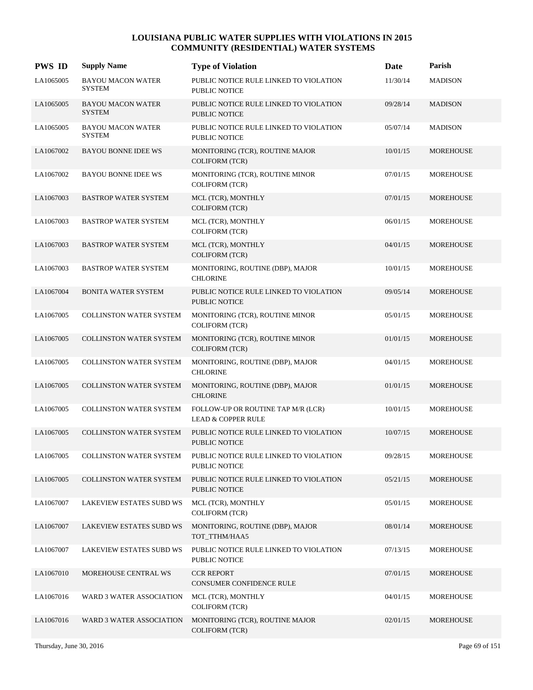| <b>PWS ID</b> | <b>Supply Name</b>                        | <b>Type of Violation</b>                                            | Date     | Parish           |
|---------------|-------------------------------------------|---------------------------------------------------------------------|----------|------------------|
| LA1065005     | <b>BAYOU MACON WATER</b><br><b>SYSTEM</b> | PUBLIC NOTICE RULE LINKED TO VIOLATION<br><b>PUBLIC NOTICE</b>      | 11/30/14 | <b>MADISON</b>   |
| LA1065005     | <b>BAYOU MACON WATER</b><br><b>SYSTEM</b> | PUBLIC NOTICE RULE LINKED TO VIOLATION<br><b>PUBLIC NOTICE</b>      | 09/28/14 | <b>MADISON</b>   |
| LA1065005     | <b>BAYOU MACON WATER</b><br><b>SYSTEM</b> | PUBLIC NOTICE RULE LINKED TO VIOLATION<br>PUBLIC NOTICE             | 05/07/14 | <b>MADISON</b>   |
| LA1067002     | <b>BAYOU BONNE IDEE WS</b>                | MONITORING (TCR), ROUTINE MAJOR<br><b>COLIFORM (TCR)</b>            | 10/01/15 | <b>MOREHOUSE</b> |
| LA1067002     | <b>BAYOU BONNE IDEE WS</b>                | MONITORING (TCR), ROUTINE MINOR<br><b>COLIFORM (TCR)</b>            | 07/01/15 | MOREHOUSE        |
| LA1067003     | <b>BASTROP WATER SYSTEM</b>               | MCL (TCR), MONTHLY<br><b>COLIFORM</b> (TCR)                         | 07/01/15 | <b>MOREHOUSE</b> |
| LA1067003     | <b>BASTROP WATER SYSTEM</b>               | MCL (TCR), MONTHLY<br>COLIFORM (TCR)                                | 06/01/15 | <b>MOREHOUSE</b> |
| LA1067003     | <b>BASTROP WATER SYSTEM</b>               | MCL (TCR), MONTHLY<br><b>COLIFORM (TCR)</b>                         | 04/01/15 | <b>MOREHOUSE</b> |
| LA1067003     | <b>BASTROP WATER SYSTEM</b>               | MONITORING, ROUTINE (DBP), MAJOR<br><b>CHLORINE</b>                 | 10/01/15 | <b>MOREHOUSE</b> |
| LA1067004     | <b>BONITA WATER SYSTEM</b>                | PUBLIC NOTICE RULE LINKED TO VIOLATION<br><b>PUBLIC NOTICE</b>      | 09/05/14 | <b>MOREHOUSE</b> |
| LA1067005     | <b>COLLINSTON WATER SYSTEM</b>            | MONITORING (TCR), ROUTINE MINOR<br><b>COLIFORM</b> (TCR)            | 05/01/15 | MOREHOUSE        |
| LA1067005     | <b>COLLINSTON WATER SYSTEM</b>            | MONITORING (TCR), ROUTINE MINOR<br><b>COLIFORM (TCR)</b>            | 01/01/15 | <b>MOREHOUSE</b> |
| LA1067005     | <b>COLLINSTON WATER SYSTEM</b>            | MONITORING, ROUTINE (DBP), MAJOR<br><b>CHLORINE</b>                 | 04/01/15 | <b>MOREHOUSE</b> |
| LA1067005     | <b>COLLINSTON WATER SYSTEM</b>            | MONITORING, ROUTINE (DBP), MAJOR<br><b>CHLORINE</b>                 | 01/01/15 | <b>MOREHOUSE</b> |
| LA1067005     | COLLINSTON WATER SYSTEM                   | FOLLOW-UP OR ROUTINE TAP M/R (LCR)<br><b>LEAD &amp; COPPER RULE</b> | 10/01/15 | MOREHOUSE        |
| LA1067005     | <b>COLLINSTON WATER SYSTEM</b>            | PUBLIC NOTICE RULE LINKED TO VIOLATION<br><b>PUBLIC NOTICE</b>      | 10/07/15 | MOREHOUSE        |
| LA1067005     | COLLINSTON WATER SYSTEM                   | PUBLIC NOTICE RULE LINKED TO VIOLATION<br>PUBLIC NOTICE             | 09/28/15 | <b>MOREHOUSE</b> |
| LA1067005     | <b>COLLINSTON WATER SYSTEM</b>            | PUBLIC NOTICE RULE LINKED TO VIOLATION<br>PUBLIC NOTICE             | 05/21/15 | <b>MOREHOUSE</b> |
| LA1067007     | <b>LAKEVIEW ESTATES SUBD WS</b>           | MCL (TCR), MONTHLY<br><b>COLIFORM (TCR)</b>                         | 05/01/15 | <b>MOREHOUSE</b> |
| LA1067007     | <b>LAKEVIEW ESTATES SUBD WS</b>           | MONITORING, ROUTINE (DBP), MAJOR<br>TOT_TTHM/HAA5                   | 08/01/14 | <b>MOREHOUSE</b> |
| LA1067007     | <b>LAKEVIEW ESTATES SUBD WS</b>           | PUBLIC NOTICE RULE LINKED TO VIOLATION<br>PUBLIC NOTICE             | 07/13/15 | MOREHOUSE        |
| LA1067010     | MOREHOUSE CENTRAL WS                      | <b>CCR REPORT</b><br>CONSUMER CONFIDENCE RULE                       | 07/01/15 | MOREHOUSE        |
| LA1067016     | WARD 3 WATER ASSOCIATION                  | MCL (TCR), MONTHLY<br><b>COLIFORM (TCR)</b>                         | 04/01/15 | MOREHOUSE        |
| LA1067016     | WARD 3 WATER ASSOCIATION                  | MONITORING (TCR), ROUTINE MAJOR<br>COLIFORM (TCR)                   | 02/01/15 | <b>MOREHOUSE</b> |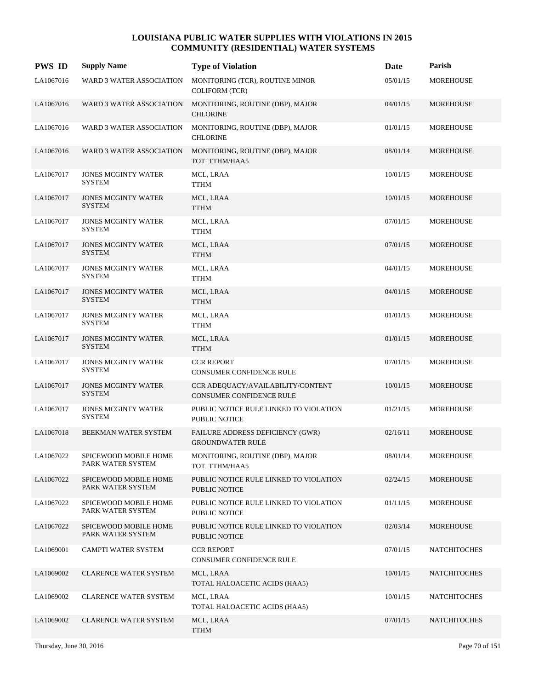| <b>PWS ID</b> | <b>Supply Name</b>                          | <b>Type of Violation</b>                                             | Date     | Parish              |
|---------------|---------------------------------------------|----------------------------------------------------------------------|----------|---------------------|
| LA1067016     | WARD 3 WATER ASSOCIATION                    | MONITORING (TCR), ROUTINE MINOR<br><b>COLIFORM (TCR)</b>             | 05/01/15 | <b>MOREHOUSE</b>    |
| LA1067016     | <b>WARD 3 WATER ASSOCIATION</b>             | MONITORING, ROUTINE (DBP), MAJOR<br><b>CHLORINE</b>                  | 04/01/15 | <b>MOREHOUSE</b>    |
| LA1067016     | WARD 3 WATER ASSOCIATION                    | MONITORING, ROUTINE (DBP), MAJOR<br><b>CHLORINE</b>                  | 01/01/15 | <b>MOREHOUSE</b>    |
| LA1067016     | WARD 3 WATER ASSOCIATION                    | MONITORING, ROUTINE (DBP), MAJOR<br>TOT_TTHM/HAA5                    | 08/01/14 | <b>MOREHOUSE</b>    |
| LA1067017     | <b>JONES MCGINTY WATER</b><br><b>SYSTEM</b> | MCL, LRAA<br>TTHM                                                    | 10/01/15 | MOREHOUSE           |
| LA1067017     | <b>JONES MCGINTY WATER</b><br><b>SYSTEM</b> | MCL, LRAA<br><b>TTHM</b>                                             | 10/01/15 | <b>MOREHOUSE</b>    |
| LA1067017     | <b>JONES MCGINTY WATER</b><br><b>SYSTEM</b> | MCL, LRAA<br><b>TTHM</b>                                             | 07/01/15 | <b>MOREHOUSE</b>    |
| LA1067017     | <b>JONES MCGINTY WATER</b><br><b>SYSTEM</b> | MCL, LRAA<br><b>TTHM</b>                                             | 07/01/15 | <b>MOREHOUSE</b>    |
| LA1067017     | <b>JONES MCGINTY WATER</b><br>SYSTEM        | MCL, LRAA<br><b>TTHM</b>                                             | 04/01/15 | MOREHOUSE           |
| LA1067017     | <b>JONES MCGINTY WATER</b><br><b>SYSTEM</b> | MCL, LRAA<br><b>TTHM</b>                                             | 04/01/15 | <b>MOREHOUSE</b>    |
| LA1067017     | <b>JONES MCGINTY WATER</b><br><b>SYSTEM</b> | MCL, LRAA<br><b>TTHM</b>                                             | 01/01/15 | MOREHOUSE           |
| LA1067017     | <b>JONES MCGINTY WATER</b><br><b>SYSTEM</b> | MCL, LRAA<br><b>TTHM</b>                                             | 01/01/15 | <b>MOREHOUSE</b>    |
| LA1067017     | <b>JONES MCGINTY WATER</b><br><b>SYSTEM</b> | <b>CCR REPORT</b><br>CONSUMER CONFIDENCE RULE                        | 07/01/15 | <b>MOREHOUSE</b>    |
| LA1067017     | <b>JONES MCGINTY WATER</b><br><b>SYSTEM</b> | CCR ADEQUACY/AVAILABILITY/CONTENT<br><b>CONSUMER CONFIDENCE RULE</b> | 10/01/15 | <b>MOREHOUSE</b>    |
| LA1067017     | <b>JONES MCGINTY WATER</b><br><b>SYSTEM</b> | PUBLIC NOTICE RULE LINKED TO VIOLATION<br>PUBLIC NOTICE              | 01/21/15 | MOREHOUSE           |
| LA1067018     | BEEKMAN WATER SYSTEM                        | FAILURE ADDRESS DEFICIENCY (GWR)<br><b>GROUNDWATER RULE</b>          | 02/16/11 | MOREHOUSE           |
| LA1067022     | SPICEWOOD MOBILE HOME<br>PARK WATER SYSTEM  | MONITORING, ROUTINE (DBP), MAJOR<br>TOT_TTHM/HAA5                    | 08/01/14 | <b>MOREHOUSE</b>    |
| LA1067022     | SPICEWOOD MOBILE HOME<br>PARK WATER SYSTEM  | PUBLIC NOTICE RULE LINKED TO VIOLATION<br>PUBLIC NOTICE              | 02/24/15 | MOREHOUSE           |
| LA1067022     | SPICEWOOD MOBILE HOME<br>PARK WATER SYSTEM  | PUBLIC NOTICE RULE LINKED TO VIOLATION<br>PUBLIC NOTICE              | 01/11/15 | MOREHOUSE           |
| LA1067022     | SPICEWOOD MOBILE HOME<br>PARK WATER SYSTEM  | PUBLIC NOTICE RULE LINKED TO VIOLATION<br><b>PUBLIC NOTICE</b>       | 02/03/14 | MOREHOUSE           |
| LA1069001     | CAMPTI WATER SYSTEM                         | <b>CCR REPORT</b><br>CONSUMER CONFIDENCE RULE                        | 07/01/15 | NATCHITOCHES        |
| LA1069002     | <b>CLARENCE WATER SYSTEM</b>                | MCL, LRAA<br>TOTAL HALOACETIC ACIDS (HAA5)                           | 10/01/15 | <b>NATCHITOCHES</b> |
| LA1069002     | <b>CLARENCE WATER SYSTEM</b>                | MCL, LRAA<br>TOTAL HALOACETIC ACIDS (HAA5)                           | 10/01/15 | NATCHITOCHES        |
| LA1069002     | CLARENCE WATER SYSTEM                       | MCL, LRAA<br><b>TTHM</b>                                             | 07/01/15 | <b>NATCHITOCHES</b> |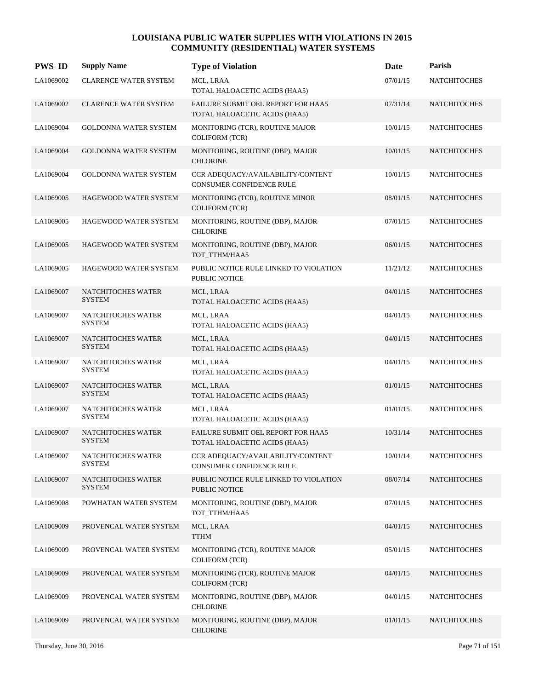| <b>PWS ID</b> | <b>Supply Name</b>                  | <b>Type of Violation</b>                                             | Date     | Parish              |
|---------------|-------------------------------------|----------------------------------------------------------------------|----------|---------------------|
| LA1069002     | <b>CLARENCE WATER SYSTEM</b>        | MCL, LRAA<br>TOTAL HALOACETIC ACIDS (HAA5)                           | 07/01/15 | <b>NATCHITOCHES</b> |
| LA1069002     | <b>CLARENCE WATER SYSTEM</b>        | FAILURE SUBMIT OEL REPORT FOR HAA5<br>TOTAL HALOACETIC ACIDS (HAA5)  | 07/31/14 | <b>NATCHITOCHES</b> |
| LA1069004     | <b>GOLDONNA WATER SYSTEM</b>        | MONITORING (TCR), ROUTINE MAJOR<br><b>COLIFORM (TCR)</b>             | 10/01/15 | <b>NATCHITOCHES</b> |
| LA1069004     | <b>GOLDONNA WATER SYSTEM</b>        | MONITORING, ROUTINE (DBP), MAJOR<br><b>CHLORINE</b>                  | 10/01/15 | <b>NATCHITOCHES</b> |
| LA1069004     | <b>GOLDONNA WATER SYSTEM</b>        | CCR ADEQUACY/AVAILABILITY/CONTENT<br><b>CONSUMER CONFIDENCE RULE</b> | 10/01/15 | <b>NATCHITOCHES</b> |
| LA1069005     | <b>HAGEWOOD WATER SYSTEM</b>        | MONITORING (TCR), ROUTINE MINOR<br><b>COLIFORM (TCR)</b>             | 08/01/15 | <b>NATCHITOCHES</b> |
| LA1069005     | <b>HAGEWOOD WATER SYSTEM</b>        | MONITORING, ROUTINE (DBP), MAJOR<br><b>CHLORINE</b>                  | 07/01/15 | <b>NATCHITOCHES</b> |
| LA1069005     | <b>HAGEWOOD WATER SYSTEM</b>        | MONITORING, ROUTINE (DBP), MAJOR<br>TOT_TTHM/HAA5                    | 06/01/15 | <b>NATCHITOCHES</b> |
| LA1069005     | <b>HAGEWOOD WATER SYSTEM</b>        | PUBLIC NOTICE RULE LINKED TO VIOLATION<br>PUBLIC NOTICE              | 11/21/12 | <b>NATCHITOCHES</b> |
| LA1069007     | NATCHITOCHES WATER<br><b>SYSTEM</b> | MCL, LRAA<br>TOTAL HALOACETIC ACIDS (HAA5)                           | 04/01/15 | <b>NATCHITOCHES</b> |
| LA1069007     | NATCHITOCHES WATER<br><b>SYSTEM</b> | MCL, LRAA<br>TOTAL HALOACETIC ACIDS (HAA5)                           | 04/01/15 | <b>NATCHITOCHES</b> |
| LA1069007     | NATCHITOCHES WATER<br><b>SYSTEM</b> | MCL, LRAA<br>TOTAL HALOACETIC ACIDS (HAA5)                           | 04/01/15 | <b>NATCHITOCHES</b> |
| LA1069007     | NATCHITOCHES WATER<br><b>SYSTEM</b> | MCL, LRAA<br>TOTAL HALOACETIC ACIDS (HAA5)                           | 04/01/15 | <b>NATCHITOCHES</b> |
| LA1069007     | NATCHITOCHES WATER<br><b>SYSTEM</b> | MCL, LRAA<br>TOTAL HALOACETIC ACIDS (HAA5)                           | 01/01/15 | <b>NATCHITOCHES</b> |
| LA1069007     | NATCHITOCHES WATER<br><b>SYSTEM</b> | MCL, LRAA<br>TOTAL HALOACETIC ACIDS (HAA5)                           | 01/01/15 | <b>NATCHITOCHES</b> |
| LA1069007     | NATCHITOCHES WATER<br><b>SYSTEM</b> | FAILURE SUBMIT OEL REPORT FOR HAA5<br>TOTAL HALOACETIC ACIDS (HAA5)  | 10/31/14 | <b>NATCHITOCHES</b> |
| LA1069007     | NATCHITOCHES WATER<br><b>SYSTEM</b> | CCR ADEQUACY/AVAILABILITY/CONTENT<br>CONSUMER CONFIDENCE RULE        | 10/01/14 | <b>NATCHITOCHES</b> |
| LA1069007     | NATCHITOCHES WATER<br><b>SYSTEM</b> | PUBLIC NOTICE RULE LINKED TO VIOLATION<br>PUBLIC NOTICE              | 08/07/14 | <b>NATCHITOCHES</b> |
| LA1069008     | POWHATAN WATER SYSTEM               | MONITORING, ROUTINE (DBP), MAJOR<br>TOT_TTHM/HAA5                    | 07/01/15 | <b>NATCHITOCHES</b> |
| LA1069009     | PROVENCAL WATER SYSTEM              | MCL, LRAA<br><b>TTHM</b>                                             | 04/01/15 | <b>NATCHITOCHES</b> |
| LA1069009     | PROVENCAL WATER SYSTEM              | MONITORING (TCR), ROUTINE MAJOR<br><b>COLIFORM (TCR)</b>             | 05/01/15 | <b>NATCHITOCHES</b> |
| LA1069009     | PROVENCAL WATER SYSTEM              | MONITORING (TCR), ROUTINE MAJOR<br><b>COLIFORM (TCR)</b>             | 04/01/15 | <b>NATCHITOCHES</b> |
| LA1069009     | PROVENCAL WATER SYSTEM              | MONITORING, ROUTINE (DBP), MAJOR<br><b>CHLORINE</b>                  | 04/01/15 | <b>NATCHITOCHES</b> |
| LA1069009     | PROVENCAL WATER SYSTEM              | MONITORING, ROUTINE (DBP), MAJOR<br><b>CHLORINE</b>                  | 01/01/15 | <b>NATCHITOCHES</b> |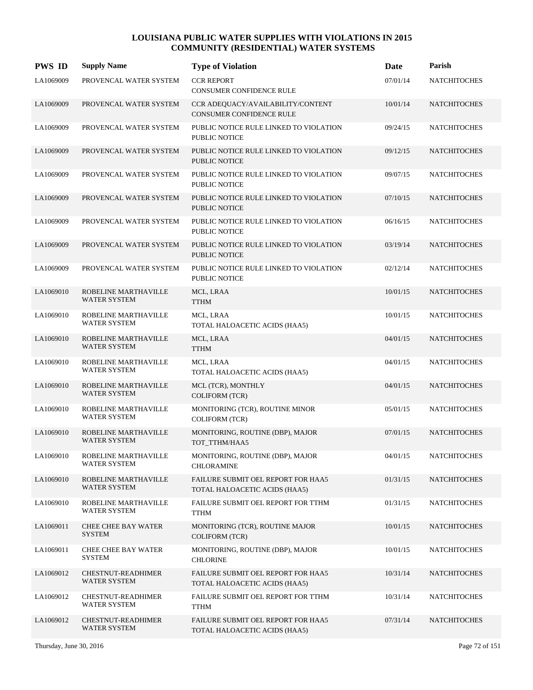| <b>PWS ID</b> | <b>Supply Name</b>                          | <b>Type of Violation</b>                                                   | Date     | Parish              |
|---------------|---------------------------------------------|----------------------------------------------------------------------------|----------|---------------------|
| LA1069009     | PROVENCAL WATER SYSTEM                      | <b>CCR REPORT</b><br>CONSUMER CONFIDENCE RULE                              | 07/01/14 | <b>NATCHITOCHES</b> |
| LA1069009     | PROVENCAL WATER SYSTEM                      | CCR ADEQUACY/AVAILABILITY/CONTENT<br><b>CONSUMER CONFIDENCE RULE</b>       | 10/01/14 | <b>NATCHITOCHES</b> |
| LA1069009     | PROVENCAL WATER SYSTEM                      | PUBLIC NOTICE RULE LINKED TO VIOLATION<br><b>PUBLIC NOTICE</b>             | 09/24/15 | <b>NATCHITOCHES</b> |
| LA1069009     | PROVENCAL WATER SYSTEM                      | PUBLIC NOTICE RULE LINKED TO VIOLATION<br><b>PUBLIC NOTICE</b>             | 09/12/15 | <b>NATCHITOCHES</b> |
| LA1069009     | PROVENCAL WATER SYSTEM                      | PUBLIC NOTICE RULE LINKED TO VIOLATION<br>PUBLIC NOTICE                    | 09/07/15 | <b>NATCHITOCHES</b> |
| LA1069009     | PROVENCAL WATER SYSTEM                      | PUBLIC NOTICE RULE LINKED TO VIOLATION<br><b>PUBLIC NOTICE</b>             | 07/10/15 | <b>NATCHITOCHES</b> |
| LA1069009     | PROVENCAL WATER SYSTEM                      | PUBLIC NOTICE RULE LINKED TO VIOLATION<br><b>PUBLIC NOTICE</b>             | 06/16/15 | <b>NATCHITOCHES</b> |
| LA1069009     | PROVENCAL WATER SYSTEM                      | PUBLIC NOTICE RULE LINKED TO VIOLATION<br><b>PUBLIC NOTICE</b>             | 03/19/14 | <b>NATCHITOCHES</b> |
| LA1069009     | PROVENCAL WATER SYSTEM                      | PUBLIC NOTICE RULE LINKED TO VIOLATION<br>PUBLIC NOTICE                    | 02/12/14 | <b>NATCHITOCHES</b> |
| LA1069010     | ROBELINE MARTHAVILLE<br><b>WATER SYSTEM</b> | MCL, LRAA<br><b>TTHM</b>                                                   | 10/01/15 | <b>NATCHITOCHES</b> |
| LA1069010     | ROBELINE MARTHAVILLE<br><b>WATER SYSTEM</b> | MCL, LRAA<br>TOTAL HALOACETIC ACIDS (HAA5)                                 | 10/01/15 | <b>NATCHITOCHES</b> |
| LA1069010     | ROBELINE MARTHAVILLE<br>WATER SYSTEM        | MCL, LRAA<br><b>TTHM</b>                                                   | 04/01/15 | <b>NATCHITOCHES</b> |
| LA1069010     | ROBELINE MARTHAVILLE<br><b>WATER SYSTEM</b> | MCL, LRAA<br>TOTAL HALOACETIC ACIDS (HAA5)                                 | 04/01/15 | <b>NATCHITOCHES</b> |
| LA1069010     | ROBELINE MARTHAVILLE<br><b>WATER SYSTEM</b> | MCL (TCR), MONTHLY<br><b>COLIFORM (TCR)</b>                                | 04/01/15 | <b>NATCHITOCHES</b> |
| LA1069010     | ROBELINE MARTHAVILLE<br><b>WATER SYSTEM</b> | MONITORING (TCR), ROUTINE MINOR<br><b>COLIFORM (TCR)</b>                   | 05/01/15 | <b>NATCHITOCHES</b> |
| LA1069010     | ROBELINE MARTHAVILLE<br><b>WATER SYSTEM</b> | MONITORING, ROUTINE (DBP), MAJOR<br>TOT_TTHM/HAA5                          | 07/01/15 | <b>NATCHITOCHES</b> |
| LA1069010     | ROBELINE MARTHAVILLE<br><b>WATER SYSTEM</b> | MONITORING, ROUTINE (DBP), MAJOR<br><b>CHLORAMINE</b>                      | 04/01/15 | <b>NATCHITOCHES</b> |
| LA1069010     | ROBELINE MARTHAVILLE<br>WATER SYSTEM        | FAILURE SUBMIT OEL REPORT FOR HAA5<br>TOTAL HALOACETIC ACIDS (HAA5)        | 01/31/15 | <b>NATCHITOCHES</b> |
| LA1069010     | ROBELINE MARTHAVILLE<br>WATER SYSTEM        | FAILURE SUBMIT OEL REPORT FOR TTHM<br><b>TTHM</b>                          | 01/31/15 | <b>NATCHITOCHES</b> |
| LA1069011     | <b>CHEE CHEE BAY WATER</b><br><b>SYSTEM</b> | MONITORING (TCR), ROUTINE MAJOR<br><b>COLIFORM (TCR)</b>                   | 10/01/15 | <b>NATCHITOCHES</b> |
| LA1069011     | CHEE CHEE BAY WATER<br><b>SYSTEM</b>        | MONITORING, ROUTINE (DBP), MAJOR<br><b>CHLORINE</b>                        | 10/01/15 | <b>NATCHITOCHES</b> |
| LA1069012     | CHESTNUT-READHIMER<br>WATER SYSTEM          | <b>FAILURE SUBMIT OEL REPORT FOR HAA5</b><br>TOTAL HALOACETIC ACIDS (HAA5) | 10/31/14 | <b>NATCHITOCHES</b> |
| LA1069012     | <b>CHESTNUT-READHIMER</b><br>WATER SYSTEM   | FAILURE SUBMIT OEL REPORT FOR TTHM<br>TTHM                                 | 10/31/14 | <b>NATCHITOCHES</b> |
| LA1069012     | CHESTNUT-READHIMER<br>WATER SYSTEM          | FAILURE SUBMIT OEL REPORT FOR HAA5<br>TOTAL HALOACETIC ACIDS (HAA5)        | 07/31/14 | <b>NATCHITOCHES</b> |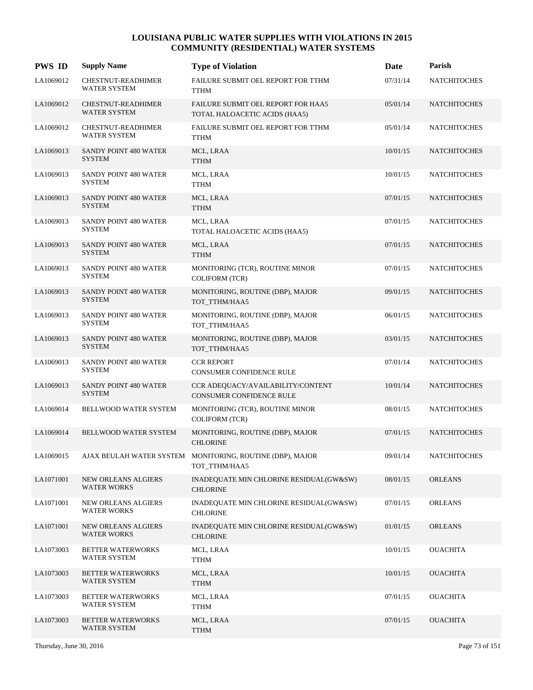| <b>PWS ID</b> | <b>Supply Name</b>                               | <b>Type of Violation</b>                                                   | <b>Date</b> | Parish              |
|---------------|--------------------------------------------------|----------------------------------------------------------------------------|-------------|---------------------|
| LA1069012     | <b>CHESTNUT-READHIMER</b><br><b>WATER SYSTEM</b> | FAILURE SUBMIT OEL REPORT FOR TTHM<br><b>TTHM</b>                          | 07/31/14    | <b>NATCHITOCHES</b> |
| LA1069012     | <b>CHESTNUT-READHIMER</b><br><b>WATER SYSTEM</b> | FAILURE SUBMIT OEL REPORT FOR HAA5<br>TOTAL HALOACETIC ACIDS (HAA5)        | 05/01/14    | <b>NATCHITOCHES</b> |
| LA1069012     | CHESTNUT-READHIMER<br><b>WATER SYSTEM</b>        | FAILURE SUBMIT OEL REPORT FOR TTHM<br><b>TTHM</b>                          | 05/01/14    | <b>NATCHITOCHES</b> |
| LA1069013     | SANDY POINT 480 WATER<br><b>SYSTEM</b>           | MCL, LRAA<br><b>TTHM</b>                                                   | 10/01/15    | <b>NATCHITOCHES</b> |
| LA1069013     | SANDY POINT 480 WATER<br><b>SYSTEM</b>           | MCL, LRAA<br><b>TTHM</b>                                                   | 10/01/15    | <b>NATCHITOCHES</b> |
| LA1069013     | SANDY POINT 480 WATER<br><b>SYSTEM</b>           | MCL, LRAA<br><b>TTHM</b>                                                   | 07/01/15    | <b>NATCHITOCHES</b> |
| LA1069013     | SANDY POINT 480 WATER<br><b>SYSTEM</b>           | MCL, LRAA<br>TOTAL HALOACETIC ACIDS (HAA5)                                 | 07/01/15    | <b>NATCHITOCHES</b> |
| LA1069013     | SANDY POINT 480 WATER<br><b>SYSTEM</b>           | MCL, LRAA<br><b>TTHM</b>                                                   | 07/01/15    | <b>NATCHITOCHES</b> |
| LA1069013     | SANDY POINT 480 WATER<br><b>SYSTEM</b>           | MONITORING (TCR), ROUTINE MINOR<br><b>COLIFORM (TCR)</b>                   | 07/01/15    | <b>NATCHITOCHES</b> |
| LA1069013     | SANDY POINT 480 WATER<br><b>SYSTEM</b>           | MONITORING, ROUTINE (DBP), MAJOR<br>TOT_TTHM/HAA5                          | 09/01/15    | <b>NATCHITOCHES</b> |
| LA1069013     | SANDY POINT 480 WATER<br><b>SYSTEM</b>           | MONITORING, ROUTINE (DBP), MAJOR<br>TOT_TTHM/HAA5                          | 06/01/15    | <b>NATCHITOCHES</b> |
| LA1069013     | SANDY POINT 480 WATER<br><b>SYSTEM</b>           | MONITORING, ROUTINE (DBP), MAJOR<br>TOT_TTHM/HAA5                          | 03/01/15    | <b>NATCHITOCHES</b> |
| LA1069013     | SANDY POINT 480 WATER<br><b>SYSTEM</b>           | <b>CCR REPORT</b><br><b>CONSUMER CONFIDENCE RULE</b>                       | 07/01/14    | <b>NATCHITOCHES</b> |
| LA1069013     | SANDY POINT 480 WATER<br><b>SYSTEM</b>           | CCR ADEQUACY/AVAILABILITY/CONTENT<br>CONSUMER CONFIDENCE RULE              | 10/01/14    | <b>NATCHITOCHES</b> |
| LA1069014     | BELLWOOD WATER SYSTEM                            | MONITORING (TCR), ROUTINE MINOR<br><b>COLIFORM (TCR)</b>                   | 08/01/15    | <b>NATCHITOCHES</b> |
| LA1069014     | <b>BELLWOOD WATER SYSTEM</b>                     | MONITORING, ROUTINE (DBP), MAJOR<br><b>CHLORINE</b>                        | 07/01/15    | <b>NATCHITOCHES</b> |
| LA1069015     |                                                  | AJAX BEULAH WATER SYSTEM MONITORING, ROUTINE (DBP), MAJOR<br>TOT_TTHM/HAA5 | 09/01/14    | <b>NATCHITOCHES</b> |
| LA1071001     | NEW ORLEANS ALGIERS<br><b>WATER WORKS</b>        | INADEQUATE MIN CHLORINE RESIDUAL(GW&SW)<br><b>CHLORINE</b>                 | 08/01/15    | <b>ORLEANS</b>      |
| LA1071001     | NEW ORLEANS ALGIERS<br><b>WATER WORKS</b>        | INADEQUATE MIN CHLORINE RESIDUAL(GW&SW)<br><b>CHLORINE</b>                 | 07/01/15    | <b>ORLEANS</b>      |
| LA1071001     | <b>NEW ORLEANS ALGIERS</b><br><b>WATER WORKS</b> | INADEQUATE MIN CHLORINE RESIDUAL(GW&SW)<br><b>CHLORINE</b>                 | 01/01/15    | <b>ORLEANS</b>      |
| LA1073003     | <b>BETTER WATERWORKS</b><br><b>WATER SYSTEM</b>  | MCL, LRAA<br><b>TTHM</b>                                                   | 10/01/15    | <b>OUACHITA</b>     |
| LA1073003     | <b>BETTER WATERWORKS</b><br><b>WATER SYSTEM</b>  | MCL, LRAA<br><b>TTHM</b>                                                   | 10/01/15    | <b>OUACHITA</b>     |
| LA1073003     | <b>BETTER WATERWORKS</b><br><b>WATER SYSTEM</b>  | MCL, LRAA<br>TTHM                                                          | 07/01/15    | <b>OUACHITA</b>     |
| LA1073003     | <b>BETTER WATERWORKS</b><br>WATER SYSTEM         | MCL, LRAA<br><b>TTHM</b>                                                   | 07/01/15    | <b>OUACHITA</b>     |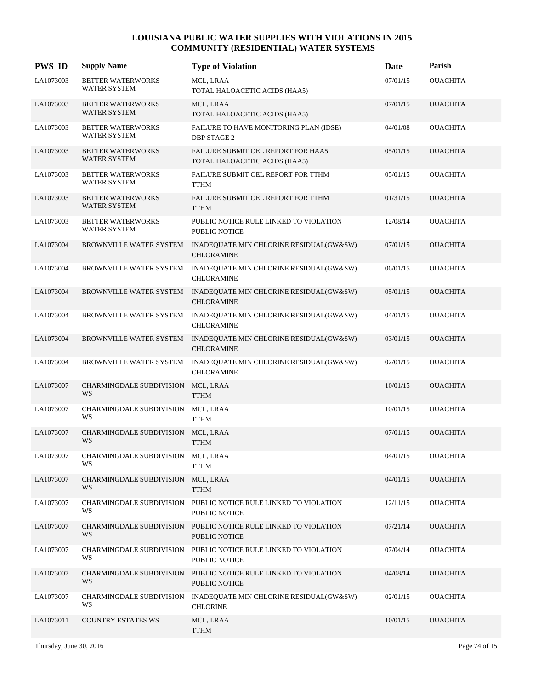| <b>PWS ID</b> | <b>Supply Name</b>                              | <b>Type of Violation</b>                                                                | Date     | Parish          |
|---------------|-------------------------------------------------|-----------------------------------------------------------------------------------------|----------|-----------------|
| LA1073003     | <b>BETTER WATERWORKS</b><br><b>WATER SYSTEM</b> | MCL, LRAA<br>TOTAL HALOACETIC ACIDS (HAA5)                                              | 07/01/15 | <b>OUACHITA</b> |
| LA1073003     | <b>BETTER WATERWORKS</b><br><b>WATER SYSTEM</b> | MCL, LRAA<br>TOTAL HALOACETIC ACIDS (HAA5)                                              | 07/01/15 | <b>OUACHITA</b> |
| LA1073003     | <b>BETTER WATERWORKS</b><br><b>WATER SYSTEM</b> | FAILURE TO HAVE MONITORING PLAN (IDSE)<br><b>DBP STAGE 2</b>                            | 04/01/08 | <b>OUACHITA</b> |
| LA1073003     | <b>BETTER WATERWORKS</b><br>WATER SYSTEM        | FAILURE SUBMIT OEL REPORT FOR HAA5<br>TOTAL HALOACETIC ACIDS (HAA5)                     | 05/01/15 | <b>OUACHITA</b> |
| LA1073003     | <b>BETTER WATERWORKS</b><br>WATER SYSTEM        | FAILURE SUBMIT OEL REPORT FOR TTHM<br>TTHM                                              | 05/01/15 | <b>OUACHITA</b> |
| LA1073003     | <b>BETTER WATERWORKS</b><br><b>WATER SYSTEM</b> | FAILURE SUBMIT OEL REPORT FOR TTHM<br><b>TTHM</b>                                       | 01/31/15 | <b>OUACHITA</b> |
| LA1073003     | <b>BETTER WATERWORKS</b><br>WATER SYSTEM        | PUBLIC NOTICE RULE LINKED TO VIOLATION<br>PUBLIC NOTICE                                 | 12/08/14 | <b>OUACHITA</b> |
| LA1073004     | BROWNVILLE WATER SYSTEM                         | INADEQUATE MIN CHLORINE RESIDUAL(GW&SW)<br><b>CHLORAMINE</b>                            | 07/01/15 | <b>OUACHITA</b> |
| LA1073004     | BROWNVILLE WATER SYSTEM                         | INADEQUATE MIN CHLORINE RESIDUAL(GW&SW)<br><b>CHLORAMINE</b>                            | 06/01/15 | <b>OUACHITA</b> |
| LA1073004     | BROWNVILLE WATER SYSTEM                         | INADEQUATE MIN CHLORINE RESIDUAL(GW&SW)<br><b>CHLORAMINE</b>                            | 05/01/15 | <b>OUACHITA</b> |
| LA1073004     | BROWNVILLE WATER SYSTEM                         | INADEQUATE MIN CHLORINE RESIDUAL(GW&SW)<br><b>CHLORAMINE</b>                            | 04/01/15 | <b>OUACHITA</b> |
| LA1073004     | <b>BROWNVILLE WATER SYSTEM</b>                  | INADEQUATE MIN CHLORINE RESIDUAL(GW&SW)<br><b>CHLORAMINE</b>                            | 03/01/15 | <b>OUACHITA</b> |
| LA1073004     | BROWNVILLE WATER SYSTEM                         | INADEQUATE MIN CHLORINE RESIDUAL(GW&SW)<br><b>CHLORAMINE</b>                            | 02/01/15 | <b>OUACHITA</b> |
| LA1073007     | CHARMINGDALE SUBDIVISION<br>WS                  | MCL, LRAA<br><b>TTHM</b>                                                                | 10/01/15 | <b>OUACHITA</b> |
| LA1073007     | CHARMINGDALE SUBDIVISION<br>WS                  | MCL, LRAA<br><b>TTHM</b>                                                                | 10/01/15 | <b>OUACHITA</b> |
| LA1073007     | <b>CHARMINGDALE SUBDIVISION</b><br>WS           | MCL, LRAA<br><b>TTHM</b>                                                                | 07/01/15 | <b>OUACHITA</b> |
| LA1073007     | CHARMINGDALE SUBDIVISION MCL, LRAA<br>WS        | <b>TTHM</b>                                                                             | 04/01/15 | <b>OUACHITA</b> |
| LA1073007     | CHARMINGDALE SUBDIVISION<br>WS                  | MCL, LRAA<br><b>TTHM</b>                                                                | 04/01/15 | <b>OUACHITA</b> |
| LA1073007     | WS                                              | CHARMINGDALE SUBDIVISION PUBLIC NOTICE RULE LINKED TO VIOLATION<br>PUBLIC NOTICE        | 12/11/15 | <b>OUACHITA</b> |
| LA1073007     | WS                                              | CHARMINGDALE SUBDIVISION PUBLIC NOTICE RULE LINKED TO VIOLATION<br>PUBLIC NOTICE        | 07/21/14 | <b>OUACHITA</b> |
| LA1073007     | WS                                              | CHARMINGDALE SUBDIVISION PUBLIC NOTICE RULE LINKED TO VIOLATION<br>PUBLIC NOTICE        | 07/04/14 | <b>OUACHITA</b> |
| LA1073007     | WS                                              | CHARMINGDALE SUBDIVISION PUBLIC NOTICE RULE LINKED TO VIOLATION<br><b>PUBLIC NOTICE</b> | 04/08/14 | <b>OUACHITA</b> |
| LA1073007     | WS                                              | CHARMINGDALE SUBDIVISION INADEQUATE MIN CHLORINE RESIDUAL(GW&SW)<br><b>CHLORINE</b>     | 02/01/15 | <b>OUACHITA</b> |
| LA1073011     | <b>COUNTRY ESTATES WS</b>                       | MCL, LRAA<br><b>TTHM</b>                                                                | 10/01/15 | <b>OUACHITA</b> |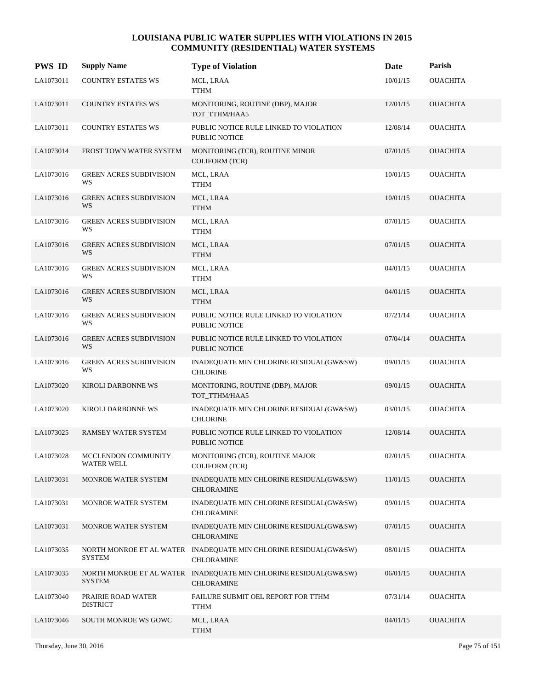| <b>PWS ID</b> | <b>Supply Name</b>                       | <b>Type of Violation</b>                                                              | Date     | Parish          |
|---------------|------------------------------------------|---------------------------------------------------------------------------------------|----------|-----------------|
| LA1073011     | <b>COUNTRY ESTATES WS</b>                | MCL, LRAA<br><b>TTHM</b>                                                              | 10/01/15 | <b>OUACHITA</b> |
| LA1073011     | <b>COUNTRY ESTATES WS</b>                | MONITORING, ROUTINE (DBP), MAJOR<br>TOT_TTHM/HAA5                                     | 12/01/15 | <b>OUACHITA</b> |
| LA1073011     | <b>COUNTRY ESTATES WS</b>                | PUBLIC NOTICE RULE LINKED TO VIOLATION<br><b>PUBLIC NOTICE</b>                        | 12/08/14 | <b>OUACHITA</b> |
| LA1073014     | FROST TOWN WATER SYSTEM                  | MONITORING (TCR), ROUTINE MINOR<br><b>COLIFORM (TCR)</b>                              | 07/01/15 | <b>OUACHITA</b> |
| LA1073016     | <b>GREEN ACRES SUBDIVISION</b><br>WS     | MCL, LRAA<br><b>TTHM</b>                                                              | 10/01/15 | <b>OUACHITA</b> |
| LA1073016     | <b>GREEN ACRES SUBDIVISION</b><br>WS     | MCL, LRAA<br><b>TTHM</b>                                                              | 10/01/15 | <b>OUACHITA</b> |
| LA1073016     | <b>GREEN ACRES SUBDIVISION</b><br>WS     | MCL, LRAA<br><b>TTHM</b>                                                              | 07/01/15 | <b>OUACHITA</b> |
| LA1073016     | <b>GREEN ACRES SUBDIVISION</b><br>WS     | MCL, LRAA<br><b>TTHM</b>                                                              | 07/01/15 | <b>OUACHITA</b> |
| LA1073016     | <b>GREEN ACRES SUBDIVISION</b><br>WS     | MCL, LRAA<br><b>TTHM</b>                                                              | 04/01/15 | <b>OUACHITA</b> |
| LA1073016     | <b>GREEN ACRES SUBDIVISION</b><br>WS     | MCL, LRAA<br><b>TTHM</b>                                                              | 04/01/15 | <b>OUACHITA</b> |
| LA1073016     | <b>GREEN ACRES SUBDIVISION</b><br>WS     | PUBLIC NOTICE RULE LINKED TO VIOLATION<br>PUBLIC NOTICE                               | 07/21/14 | <b>OUACHITA</b> |
| LA1073016     | <b>GREEN ACRES SUBDIVISION</b><br>WS     | PUBLIC NOTICE RULE LINKED TO VIOLATION<br><b>PUBLIC NOTICE</b>                        | 07/04/14 | <b>OUACHITA</b> |
| LA1073016     | <b>GREEN ACRES SUBDIVISION</b><br>WS     | INADEQUATE MIN CHLORINE RESIDUAL(GW&SW)<br><b>CHLORINE</b>                            | 09/01/15 | <b>OUACHITA</b> |
| LA1073020     | <b>KIROLI DARBONNE WS</b>                | MONITORING, ROUTINE (DBP), MAJOR<br>TOT_TTHM/HAA5                                     | 09/01/15 | <b>OUACHITA</b> |
| LA1073020     | <b>KIROLI DARBONNE WS</b>                | INADEQUATE MIN CHLORINE RESIDUAL(GW&SW)<br><b>CHLORINE</b>                            | 03/01/15 | <b>OUACHITA</b> |
| LA1073025     | <b>RAMSEY WATER SYSTEM</b>               | PUBLIC NOTICE RULE LINKED TO VIOLATION<br>PUBLIC NOTICE                               | 12/08/14 | <b>OUACHITA</b> |
| LA1073028     | MCCLENDON COMMUNITY<br><b>WATER WELL</b> | MONITORING (TCR), ROUTINE MAJOR<br><b>COLIFORM (TCR)</b>                              | 02/01/15 | <b>OUACHITA</b> |
| LA1073031     | MONROE WATER SYSTEM                      | INADEQUATE MIN CHLORINE RESIDUAL(GW&SW)<br><b>CHLORAMINE</b>                          | 11/01/15 | <b>OUACHITA</b> |
| LA1073031     | MONROE WATER SYSTEM                      | INADEQUATE MIN CHLORINE RESIDUAL(GW&SW)<br>CHLORAMINE                                 | 09/01/15 | <b>OUACHITA</b> |
| LA1073031     | MONROE WATER SYSTEM                      | INADEQUATE MIN CHLORINE RESIDUAL(GW&SW)<br><b>CHLORAMINE</b>                          | 07/01/15 | <b>OUACHITA</b> |
| LA1073035     | <b>SYSTEM</b>                            | NORTH MONROE ET AL WATER INADEQUATE MIN CHLORINE RESIDUAL(GW&SW)<br>CHLORAMINE        | 08/01/15 | <b>OUACHITA</b> |
| LA1073035     | <b>SYSTEM</b>                            | NORTH MONROE ET AL WATER INADEQUATE MIN CHLORINE RESIDUAL(GW&SW)<br><b>CHLORAMINE</b> | 06/01/15 | <b>OUACHITA</b> |
| LA1073040     | PRAIRIE ROAD WATER<br><b>DISTRICT</b>    | FAILURE SUBMIT OEL REPORT FOR TTHM<br><b>TTHM</b>                                     | 07/31/14 | <b>OUACHITA</b> |
| LA1073046     | SOUTH MONROE WS GOWC                     | MCL, LRAA<br><b>TTHM</b>                                                              | 04/01/15 | <b>OUACHITA</b> |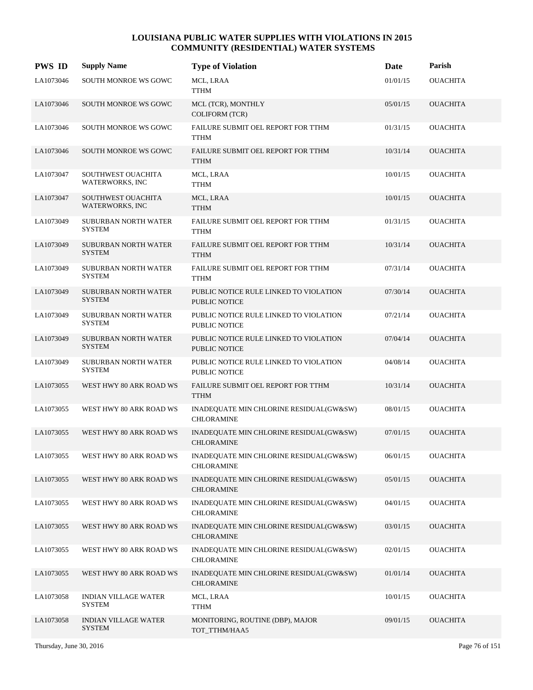| <b>PWS ID</b> | <b>Supply Name</b>                           | <b>Type of Violation</b>                                       | Date     | Parish          |
|---------------|----------------------------------------------|----------------------------------------------------------------|----------|-----------------|
| LA1073046     | SOUTH MONROE WS GOWC                         | MCL, LRAA<br><b>TTHM</b>                                       | 01/01/15 | <b>OUACHITA</b> |
| LA1073046     | SOUTH MONROE WS GOWC                         | MCL (TCR), MONTHLY<br><b>COLIFORM</b> (TCR)                    | 05/01/15 | <b>OUACHITA</b> |
| LA1073046     | SOUTH MONROE WS GOWC                         | FAILURE SUBMIT OEL REPORT FOR TTHM<br><b>TTHM</b>              | 01/31/15 | <b>OUACHITA</b> |
| LA1073046     | SOUTH MONROE WS GOWC                         | FAILURE SUBMIT OEL REPORT FOR TTHM<br><b>TTHM</b>              | 10/31/14 | <b>OUACHITA</b> |
| LA1073047     | SOUTHWEST OUACHITA<br>WATERWORKS, INC        | MCL, LRAA<br><b>TTHM</b>                                       | 10/01/15 | <b>OUACHITA</b> |
| LA1073047     | SOUTHWEST OUACHITA<br>WATERWORKS, INC        | MCL, LRAA<br><b>TTHM</b>                                       | 10/01/15 | <b>OUACHITA</b> |
| LA1073049     | SUBURBAN NORTH WATER<br><b>SYSTEM</b>        | FAILURE SUBMIT OEL REPORT FOR TTHM<br><b>TTHM</b>              | 01/31/15 | <b>OUACHITA</b> |
| LA1073049     | SUBURBAN NORTH WATER<br><b>SYSTEM</b>        | FAILURE SUBMIT OEL REPORT FOR TTHM<br><b>TTHM</b>              | 10/31/14 | <b>OUACHITA</b> |
| LA1073049     | <b>SUBURBAN NORTH WATER</b><br><b>SYSTEM</b> | FAILURE SUBMIT OEL REPORT FOR TTHM<br><b>TTHM</b>              | 07/31/14 | <b>OUACHITA</b> |
| LA1073049     | <b>SUBURBAN NORTH WATER</b><br><b>SYSTEM</b> | PUBLIC NOTICE RULE LINKED TO VIOLATION<br><b>PUBLIC NOTICE</b> | 07/30/14 | <b>OUACHITA</b> |
| LA1073049     | SUBURBAN NORTH WATER<br><b>SYSTEM</b>        | PUBLIC NOTICE RULE LINKED TO VIOLATION<br><b>PUBLIC NOTICE</b> | 07/21/14 | <b>OUACHITA</b> |
| LA1073049     | <b>SUBURBAN NORTH WATER</b><br><b>SYSTEM</b> | PUBLIC NOTICE RULE LINKED TO VIOLATION<br><b>PUBLIC NOTICE</b> | 07/04/14 | <b>OUACHITA</b> |
| LA1073049     | SUBURBAN NORTH WATER<br><b>SYSTEM</b>        | PUBLIC NOTICE RULE LINKED TO VIOLATION<br>PUBLIC NOTICE        | 04/08/14 | <b>OUACHITA</b> |
| LA1073055     | WEST HWY 80 ARK ROAD WS                      | FAILURE SUBMIT OEL REPORT FOR TTHM<br><b>TTHM</b>              | 10/31/14 | <b>OUACHITA</b> |
| LA1073055     | WEST HWY 80 ARK ROAD WS                      | INADEQUATE MIN CHLORINE RESIDUAL(GW&SW)<br><b>CHLORAMINE</b>   | 08/01/15 | <b>OUACHITA</b> |
| LA1073055     | WEST HWY 80 ARK ROAD WS                      | INADEQUATE MIN CHLORINE RESIDUAL(GW&SW)<br><b>CHLORAMINE</b>   | 07/01/15 | <b>OUACHITA</b> |
| LA1073055     | WEST HWY 80 ARK ROAD WS                      | INADEQUATE MIN CHLORINE RESIDUAL(GW&SW)<br><b>CHLORAMINE</b>   | 06/01/15 | <b>OUACHITA</b> |
| LA1073055     | WEST HWY 80 ARK ROAD WS                      | INADEQUATE MIN CHLORINE RESIDUAL(GW&SW)<br><b>CHLORAMINE</b>   | 05/01/15 | <b>OUACHITA</b> |
| LA1073055     | WEST HWY 80 ARK ROAD WS                      | INADEQUATE MIN CHLORINE RESIDUAL(GW&SW)<br><b>CHLORAMINE</b>   | 04/01/15 | OUACHITA        |
| LA1073055     | WEST HWY 80 ARK ROAD WS                      | INADEQUATE MIN CHLORINE RESIDUAL(GW&SW)<br><b>CHLORAMINE</b>   | 03/01/15 | <b>OUACHITA</b> |
| LA1073055     | WEST HWY 80 ARK ROAD WS                      | INADEQUATE MIN CHLORINE RESIDUAL(GW&SW)<br>CHLORAMINE          | 02/01/15 | <b>OUACHITA</b> |
| LA1073055     | WEST HWY 80 ARK ROAD WS                      | INADEQUATE MIN CHLORINE RESIDUAL(GW&SW)<br><b>CHLORAMINE</b>   | 01/01/14 | <b>OUACHITA</b> |
| LA1073058     | <b>INDIAN VILLAGE WATER</b><br>SYSTEM        | MCL, LRAA<br><b>TTHM</b>                                       | 10/01/15 | <b>OUACHITA</b> |
| LA1073058     | <b>INDIAN VILLAGE WATER</b><br><b>SYSTEM</b> | MONITORING, ROUTINE (DBP), MAJOR<br>TOT_TTHM/HAA5              | 09/01/15 | <b>OUACHITA</b> |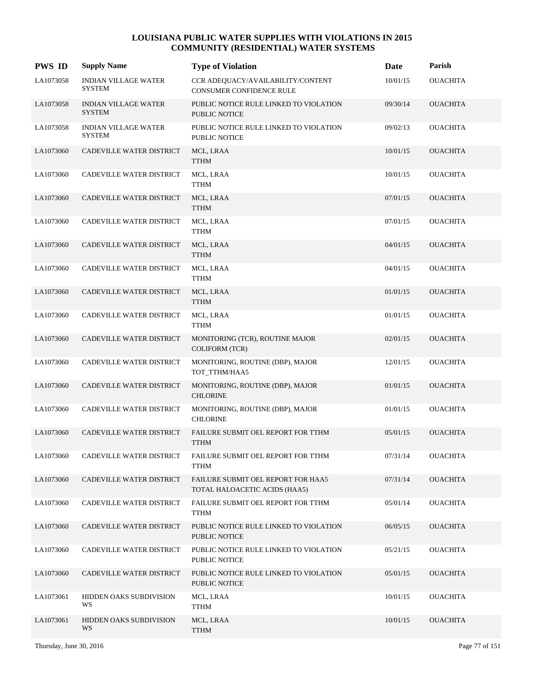| <b>PWS ID</b> | <b>Supply Name</b>                           | <b>Type of Violation</b>                                            | Date     | Parish          |
|---------------|----------------------------------------------|---------------------------------------------------------------------|----------|-----------------|
| LA1073058     | <b>INDIAN VILLAGE WATER</b><br><b>SYSTEM</b> | CCR ADEQUACY/AVAILABILITY/CONTENT<br>CONSUMER CONFIDENCE RULE       | 10/01/15 | <b>OUACHITA</b> |
| LA1073058     | <b>INDIAN VILLAGE WATER</b><br><b>SYSTEM</b> | PUBLIC NOTICE RULE LINKED TO VIOLATION<br>PUBLIC NOTICE             | 09/30/14 | <b>OUACHITA</b> |
| LA1073058     | <b>INDIAN VILLAGE WATER</b><br><b>SYSTEM</b> | PUBLIC NOTICE RULE LINKED TO VIOLATION<br>PUBLIC NOTICE             | 09/02/13 | <b>OUACHITA</b> |
| LA1073060     | CADEVILLE WATER DISTRICT                     | MCL, LRAA<br><b>TTHM</b>                                            | 10/01/15 | <b>OUACHITA</b> |
| LA1073060     | CADEVILLE WATER DISTRICT                     | MCL, LRAA<br><b>TTHM</b>                                            | 10/01/15 | <b>OUACHITA</b> |
| LA1073060     | CADEVILLE WATER DISTRICT                     | MCL, LRAA<br><b>TTHM</b>                                            | 07/01/15 | <b>OUACHITA</b> |
| LA1073060     | CADEVILLE WATER DISTRICT                     | MCL, LRAA<br><b>TTHM</b>                                            | 07/01/15 | <b>OUACHITA</b> |
| LA1073060     | CADEVILLE WATER DISTRICT                     | MCL, LRAA<br><b>TTHM</b>                                            | 04/01/15 | <b>OUACHITA</b> |
| LA1073060     | CADEVILLE WATER DISTRICT                     | MCL, LRAA<br><b>TTHM</b>                                            | 04/01/15 | <b>OUACHITA</b> |
| LA1073060     | CADEVILLE WATER DISTRICT                     | MCL, LRAA<br><b>TTHM</b>                                            | 01/01/15 | <b>OUACHITA</b> |
| LA1073060     | CADEVILLE WATER DISTRICT                     | MCL, LRAA<br><b>TTHM</b>                                            | 01/01/15 | <b>OUACHITA</b> |
| LA1073060     | CADEVILLE WATER DISTRICT                     | MONITORING (TCR), ROUTINE MAJOR<br><b>COLIFORM (TCR)</b>            | 02/01/15 | <b>OUACHITA</b> |
| LA1073060     | CADEVILLE WATER DISTRICT                     | MONITORING, ROUTINE (DBP), MAJOR<br>TOT_TTHM/HAA5                   | 12/01/15 | <b>OUACHITA</b> |
| LA1073060     | CADEVILLE WATER DISTRICT                     | MONITORING, ROUTINE (DBP), MAJOR<br><b>CHLORINE</b>                 | 01/01/15 | <b>OUACHITA</b> |
| LA1073060     | CADEVILLE WATER DISTRICT                     | MONITORING, ROUTINE (DBP), MAJOR<br><b>CHLORINE</b>                 | 01/01/15 | <b>OUACHITA</b> |
| LA1073060     | CADEVILLE WATER DISTRICT                     | FAILURE SUBMIT OEL REPORT FOR TTHM<br><b>TTHM</b>                   | 05/01/15 | <b>OUACHITA</b> |
| LA1073060     | CADEVILLE WATER DISTRICT                     | FAILURE SUBMIT OEL REPORT FOR TTHM<br><b>TTHM</b>                   | 07/31/14 | <b>OUACHITA</b> |
| LA1073060     | CADEVILLE WATER DISTRICT                     | FAILURE SUBMIT OEL REPORT FOR HAA5<br>TOTAL HALOACETIC ACIDS (HAA5) | 07/31/14 | <b>OUACHITA</b> |
| LA1073060     | CADEVILLE WATER DISTRICT                     | FAILURE SUBMIT OEL REPORT FOR TTHM<br><b>TTHM</b>                   | 05/01/14 | <b>OUACHITA</b> |
| LA1073060     | CADEVILLE WATER DISTRICT                     | PUBLIC NOTICE RULE LINKED TO VIOLATION<br>PUBLIC NOTICE             | 06/05/15 | <b>OUACHITA</b> |
| LA1073060     | CADEVILLE WATER DISTRICT                     | PUBLIC NOTICE RULE LINKED TO VIOLATION<br>PUBLIC NOTICE             | 05/21/15 | <b>OUACHITA</b> |
| LA1073060     | CADEVILLE WATER DISTRICT                     | PUBLIC NOTICE RULE LINKED TO VIOLATION<br>PUBLIC NOTICE             | 05/01/15 | <b>OUACHITA</b> |
| LA1073061     | HIDDEN OAKS SUBDIVISION<br>WS                | MCL, LRAA<br><b>TTHM</b>                                            | 10/01/15 | OUACHITA        |
| LA1073061     | HIDDEN OAKS SUBDIVISION<br>WS                | MCL, LRAA<br><b>TTHM</b>                                            | 10/01/15 | <b>OUACHITA</b> |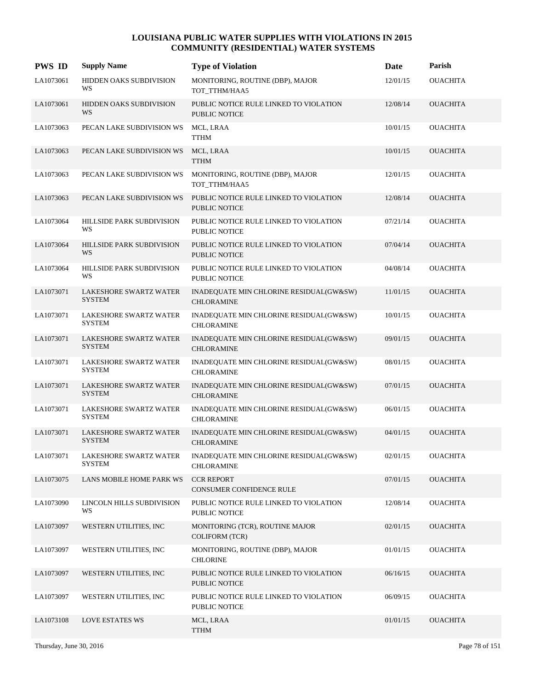| <b>PWS ID</b> | <b>Supply Name</b>                             | <b>Type of Violation</b>                                       | Date     | Parish          |
|---------------|------------------------------------------------|----------------------------------------------------------------|----------|-----------------|
| LA1073061     | HIDDEN OAKS SUBDIVISION<br>WS                  | MONITORING, ROUTINE (DBP), MAJOR<br>TOT_TTHM/HAA5              | 12/01/15 | <b>OUACHITA</b> |
| LA1073061     | HIDDEN OAKS SUBDIVISION<br>WS                  | PUBLIC NOTICE RULE LINKED TO VIOLATION<br><b>PUBLIC NOTICE</b> | 12/08/14 | <b>OUACHITA</b> |
| LA1073063     | PECAN LAKE SUBDIVISION WS                      | MCL, LRAA<br><b>TTHM</b>                                       | 10/01/15 | <b>OUACHITA</b> |
| LA1073063     | PECAN LAKE SUBDIVISION WS                      | MCL, LRAA<br><b>TTHM</b>                                       | 10/01/15 | <b>OUACHITA</b> |
| LA1073063     | PECAN LAKE SUBDIVISION WS                      | MONITORING, ROUTINE (DBP), MAJOR<br>TOT_TTHM/HAA5              | 12/01/15 | <b>OUACHITA</b> |
| LA1073063     | PECAN LAKE SUBDIVISION WS                      | PUBLIC NOTICE RULE LINKED TO VIOLATION<br><b>PUBLIC NOTICE</b> | 12/08/14 | <b>OUACHITA</b> |
| LA1073064     | HILLSIDE PARK SUBDIVISION<br>WS                | PUBLIC NOTICE RULE LINKED TO VIOLATION<br><b>PUBLIC NOTICE</b> | 07/21/14 | <b>OUACHITA</b> |
| LA1073064     | HILLSIDE PARK SUBDIVISION<br>WS                | PUBLIC NOTICE RULE LINKED TO VIOLATION<br><b>PUBLIC NOTICE</b> | 07/04/14 | <b>OUACHITA</b> |
| LA1073064     | HILLSIDE PARK SUBDIVISION<br>WS                | PUBLIC NOTICE RULE LINKED TO VIOLATION<br><b>PUBLIC NOTICE</b> | 04/08/14 | <b>OUACHITA</b> |
| LA1073071     | <b>LAKESHORE SWARTZ WATER</b><br><b>SYSTEM</b> | INADEQUATE MIN CHLORINE RESIDUAL(GW&SW)<br><b>CHLORAMINE</b>   | 11/01/15 | <b>OUACHITA</b> |
| LA1073071     | <b>LAKESHORE SWARTZ WATER</b><br><b>SYSTEM</b> | INADEQUATE MIN CHLORINE RESIDUAL(GW&SW)<br><b>CHLORAMINE</b>   | 10/01/15 | <b>OUACHITA</b> |
| LA1073071     | <b>LAKESHORE SWARTZ WATER</b><br><b>SYSTEM</b> | INADEQUATE MIN CHLORINE RESIDUAL(GW&SW)<br><b>CHLORAMINE</b>   | 09/01/15 | <b>OUACHITA</b> |
| LA1073071     | LAKESHORE SWARTZ WATER<br><b>SYSTEM</b>        | INADEQUATE MIN CHLORINE RESIDUAL(GW&SW)<br><b>CHLORAMINE</b>   | 08/01/15 | <b>OUACHITA</b> |
| LA1073071     | <b>LAKESHORE SWARTZ WATER</b><br><b>SYSTEM</b> | INADEQUATE MIN CHLORINE RESIDUAL(GW&SW)<br><b>CHLORAMINE</b>   | 07/01/15 | <b>OUACHITA</b> |
| LA1073071     | LAKESHORE SWARTZ WATER<br><b>SYSTEM</b>        | INADEQUATE MIN CHLORINE RESIDUAL(GW&SW)<br><b>CHLORAMINE</b>   | 06/01/15 | <b>OUACHITA</b> |
| LA1073071     | <b>LAKESHORE SWARTZ WATER</b><br><b>SYSTEM</b> | INADEQUATE MIN CHLORINE RESIDUAL(GW&SW)<br><b>CHLORAMINE</b>   | 04/01/15 | <b>OUACHITA</b> |
| LA1073071     | LAKESHORE SWARTZ WATER<br><b>SYSTEM</b>        | INADEQUATE MIN CHLORINE RESIDUAL(GW&SW)<br>CHLORAMINE          | 02/01/15 | <b>OUACHITA</b> |
| LA1073075     | LANS MOBILE HOME PARK WS                       | <b>CCR REPORT</b><br>CONSUMER CONFIDENCE RULE                  | 07/01/15 | <b>OUACHITA</b> |
| LA1073090     | LINCOLN HILLS SUBDIVISION<br>WS                | PUBLIC NOTICE RULE LINKED TO VIOLATION<br>PUBLIC NOTICE        | 12/08/14 | <b>OUACHITA</b> |
| LA1073097     | WESTERN UTILITIES, INC                         | MONITORING (TCR), ROUTINE MAJOR<br><b>COLIFORM (TCR)</b>       | 02/01/15 | <b>OUACHITA</b> |
| LA1073097     | WESTERN UTILITIES, INC                         | MONITORING, ROUTINE (DBP), MAJOR<br><b>CHLORINE</b>            | 01/01/15 | <b>OUACHITA</b> |
| LA1073097     | WESTERN UTILITIES, INC                         | PUBLIC NOTICE RULE LINKED TO VIOLATION<br>PUBLIC NOTICE        | 06/16/15 | <b>OUACHITA</b> |
| LA1073097     | WESTERN UTILITIES, INC                         | PUBLIC NOTICE RULE LINKED TO VIOLATION<br>PUBLIC NOTICE        | 06/09/15 | <b>OUACHITA</b> |
| LA1073108     | <b>LOVE ESTATES WS</b>                         | MCL, LRAA<br><b>TTHM</b>                                       | 01/01/15 | <b>OUACHITA</b> |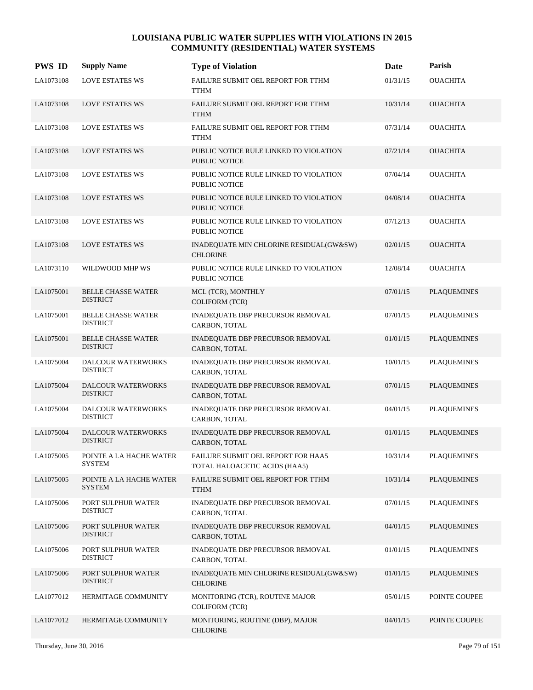| <b>PWS ID</b> | <b>Supply Name</b>                           | <b>Type of Violation</b>                                            | Date     | Parish             |
|---------------|----------------------------------------------|---------------------------------------------------------------------|----------|--------------------|
| LA1073108     | <b>LOVE ESTATES WS</b>                       | FAILURE SUBMIT OEL REPORT FOR TTHM<br><b>TTHM</b>                   | 01/31/15 | <b>OUACHITA</b>    |
| LA1073108     | <b>LOVE ESTATES WS</b>                       | FAILURE SUBMIT OEL REPORT FOR TTHM<br><b>TTHM</b>                   | 10/31/14 | <b>OUACHITA</b>    |
| LA1073108     | <b>LOVE ESTATES WS</b>                       | FAILURE SUBMIT OEL REPORT FOR TTHM<br><b>TTHM</b>                   | 07/31/14 | <b>OUACHITA</b>    |
| LA1073108     | <b>LOVE ESTATES WS</b>                       | PUBLIC NOTICE RULE LINKED TO VIOLATION<br>PUBLIC NOTICE             | 07/21/14 | <b>OUACHITA</b>    |
| LA1073108     | <b>LOVE ESTATES WS</b>                       | PUBLIC NOTICE RULE LINKED TO VIOLATION<br>PUBLIC NOTICE             | 07/04/14 | <b>OUACHITA</b>    |
| LA1073108     | <b>LOVE ESTATES WS</b>                       | PUBLIC NOTICE RULE LINKED TO VIOLATION<br>PUBLIC NOTICE             | 04/08/14 | <b>OUACHITA</b>    |
| LA1073108     | <b>LOVE ESTATES WS</b>                       | PUBLIC NOTICE RULE LINKED TO VIOLATION<br>PUBLIC NOTICE             | 07/12/13 | <b>OUACHITA</b>    |
| LA1073108     | <b>LOVE ESTATES WS</b>                       | INADEQUATE MIN CHLORINE RESIDUAL(GW&SW)<br><b>CHLORINE</b>          | 02/01/15 | <b>OUACHITA</b>    |
| LA1073110     | WILDWOOD MHP WS                              | PUBLIC NOTICE RULE LINKED TO VIOLATION<br>PUBLIC NOTICE             | 12/08/14 | <b>OUACHITA</b>    |
| LA1075001     | <b>BELLE CHASSE WATER</b><br><b>DISTRICT</b> | MCL (TCR), MONTHLY<br><b>COLIFORM (TCR)</b>                         | 07/01/15 | <b>PLAQUEMINES</b> |
| LA1075001     | <b>BELLE CHASSE WATER</b><br><b>DISTRICT</b> | INADEQUATE DBP PRECURSOR REMOVAL<br>CARBON, TOTAL                   | 07/01/15 | <b>PLAQUEMINES</b> |
| LA1075001     | <b>BELLE CHASSE WATER</b><br><b>DISTRICT</b> | INADEQUATE DBP PRECURSOR REMOVAL<br>CARBON, TOTAL                   | 01/01/15 | <b>PLAQUEMINES</b> |
| LA1075004     | DALCOUR WATERWORKS<br><b>DISTRICT</b>        | INADEQUATE DBP PRECURSOR REMOVAL<br>CARBON, TOTAL                   | 10/01/15 | <b>PLAQUEMINES</b> |
| LA1075004     | DALCOUR WATERWORKS<br><b>DISTRICT</b>        | INADEQUATE DBP PRECURSOR REMOVAL<br>CARBON, TOTAL                   | 07/01/15 | <b>PLAQUEMINES</b> |
| LA1075004     | DALCOUR WATERWORKS<br><b>DISTRICT</b>        | INADEQUATE DBP PRECURSOR REMOVAL<br>CARBON, TOTAL                   | 04/01/15 | <b>PLAQUEMINES</b> |
| LA1075004     | DALCOUR WATERWORKS<br><b>DISTRICT</b>        | INADEQUATE DBP PRECURSOR REMOVAL<br>CARBON, TOTAL                   | 01/01/15 | <b>PLAQUEMINES</b> |
| LA1075005     | POINTE A LA HACHE WATER<br><b>SYSTEM</b>     | FAILURE SUBMIT OEL REPORT FOR HAA5<br>TOTAL HALOACETIC ACIDS (HAA5) | 10/31/14 | PLAQUEMINES        |
| LA1075005     | POINTE A LA HACHE WATER<br><b>SYSTEM</b>     | FAILURE SUBMIT OEL REPORT FOR TTHM<br><b>TTHM</b>                   | 10/31/14 | <b>PLAQUEMINES</b> |
| LA1075006     | PORT SULPHUR WATER<br><b>DISTRICT</b>        | INADEQUATE DBP PRECURSOR REMOVAL<br>CARBON, TOTAL                   | 07/01/15 | <b>PLAQUEMINES</b> |
| LA1075006     | PORT SULPHUR WATER<br><b>DISTRICT</b>        | <b>INADEQUATE DBP PRECURSOR REMOVAL</b><br>CARBON, TOTAL            | 04/01/15 | <b>PLAQUEMINES</b> |
| LA1075006     | PORT SULPHUR WATER<br><b>DISTRICT</b>        | INADEQUATE DBP PRECURSOR REMOVAL<br>CARBON, TOTAL                   | 01/01/15 | <b>PLAQUEMINES</b> |
| LA1075006     | PORT SULPHUR WATER<br><b>DISTRICT</b>        | INADEQUATE MIN CHLORINE RESIDUAL(GW&SW)<br><b>CHLORINE</b>          | 01/01/15 | <b>PLAQUEMINES</b> |
| LA1077012     | HERMITAGE COMMUNITY                          | MONITORING (TCR), ROUTINE MAJOR<br><b>COLIFORM (TCR)</b>            | 05/01/15 | POINTE COUPEE      |
| LA1077012     | HERMITAGE COMMUNITY                          | MONITORING, ROUTINE (DBP), MAJOR<br><b>CHLORINE</b>                 | 04/01/15 | POINTE COUPEE      |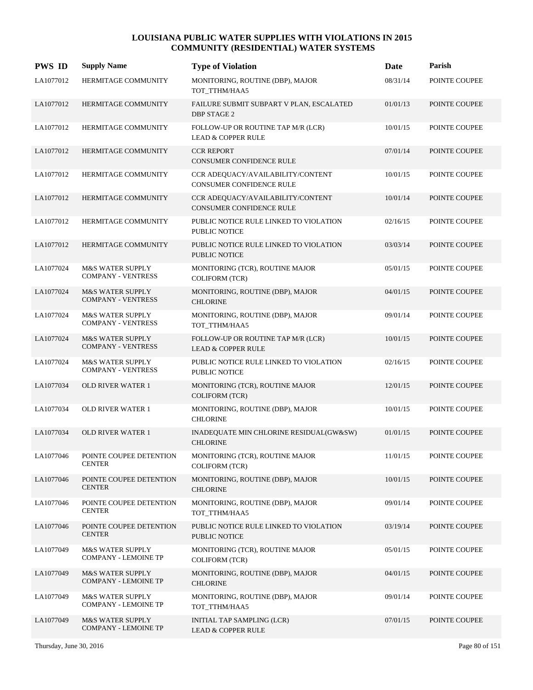| <b>PWS ID</b> | <b>Supply Name</b>                                         | <b>Type of Violation</b>                                            | Date     | Parish        |
|---------------|------------------------------------------------------------|---------------------------------------------------------------------|----------|---------------|
| LA1077012     | HERMITAGE COMMUNITY                                        | MONITORING, ROUTINE (DBP), MAJOR<br>TOT_TTHM/HAA5                   | 08/31/14 | POINTE COUPEE |
| LA1077012     | HERMITAGE COMMUNITY                                        | FAILURE SUBMIT SUBPART V PLAN, ESCALATED<br><b>DBP STAGE 2</b>      | 01/01/13 | POINTE COUPEE |
| LA1077012     | HERMITAGE COMMUNITY                                        | FOLLOW-UP OR ROUTINE TAP M/R (LCR)<br><b>LEAD &amp; COPPER RULE</b> | 10/01/15 | POINTE COUPEE |
| LA1077012     | HERMITAGE COMMUNITY                                        | <b>CCR REPORT</b><br><b>CONSUMER CONFIDENCE RULE</b>                | 07/01/14 | POINTE COUPEE |
| LA1077012     | HERMITAGE COMMUNITY                                        | CCR ADEQUACY/AVAILABILITY/CONTENT<br>CONSUMER CONFIDENCE RULE       | 10/01/15 | POINTE COUPEE |
| LA1077012     | HERMITAGE COMMUNITY                                        | CCR ADEQUACY/AVAILABILITY/CONTENT<br>CONSUMER CONFIDENCE RULE       | 10/01/14 | POINTE COUPEE |
| LA1077012     | HERMITAGE COMMUNITY                                        | PUBLIC NOTICE RULE LINKED TO VIOLATION<br><b>PUBLIC NOTICE</b>      | 02/16/15 | POINTE COUPEE |
| LA1077012     | HERMITAGE COMMUNITY                                        | PUBLIC NOTICE RULE LINKED TO VIOLATION<br><b>PUBLIC NOTICE</b>      | 03/03/14 | POINTE COUPEE |
| LA1077024     | <b>M&amp;S WATER SUPPLY</b><br><b>COMPANY - VENTRESS</b>   | MONITORING (TCR), ROUTINE MAJOR<br><b>COLIFORM (TCR)</b>            | 05/01/15 | POINTE COUPEE |
| LA1077024     | <b>M&amp;S WATER SUPPLY</b><br><b>COMPANY - VENTRESS</b>   | MONITORING, ROUTINE (DBP), MAJOR<br><b>CHLORINE</b>                 | 04/01/15 | POINTE COUPEE |
| LA1077024     | <b>M&amp;S WATER SUPPLY</b><br><b>COMPANY - VENTRESS</b>   | MONITORING, ROUTINE (DBP), MAJOR<br>TOT_TTHM/HAA5                   | 09/01/14 | POINTE COUPEE |
| LA1077024     | <b>M&amp;S WATER SUPPLY</b><br><b>COMPANY - VENTRESS</b>   | FOLLOW-UP OR ROUTINE TAP M/R (LCR)<br><b>LEAD &amp; COPPER RULE</b> | 10/01/15 | POINTE COUPEE |
| LA1077024     | <b>M&amp;S WATER SUPPLY</b><br><b>COMPANY - VENTRESS</b>   | PUBLIC NOTICE RULE LINKED TO VIOLATION<br><b>PUBLIC NOTICE</b>      | 02/16/15 | POINTE COUPEE |
| LA1077034     | <b>OLD RIVER WATER 1</b>                                   | MONITORING (TCR), ROUTINE MAJOR<br><b>COLIFORM</b> (TCR)            | 12/01/15 | POINTE COUPEE |
| LA1077034     | <b>OLD RIVER WATER 1</b>                                   | MONITORING, ROUTINE (DBP), MAJOR<br><b>CHLORINE</b>                 | 10/01/15 | POINTE COUPEE |
| LA1077034     | <b>OLD RIVER WATER 1</b>                                   | INADEQUATE MIN CHLORINE RESIDUAL(GW&SW)<br><b>CHLORINE</b>          | 01/01/15 | POINTE COUPEE |
| LA1077046     | POINTE COUPEE DETENTION<br><b>CENTER</b>                   | MONITORING (TCR), ROUTINE MAJOR<br><b>COLIFORM (TCR)</b>            | 11/01/15 | POINTE COUPEE |
| LA1077046     | POINTE COUPEE DETENTION<br><b>CENTER</b>                   | MONITORING, ROUTINE (DBP), MAJOR<br><b>CHLORINE</b>                 | 10/01/15 | POINTE COUPEE |
| LA1077046     | POINTE COUPEE DETENTION<br><b>CENTER</b>                   | MONITORING, ROUTINE (DBP), MAJOR<br>TOT_TTHM/HAA5                   | 09/01/14 | POINTE COUPEE |
| LA1077046     | POINTE COUPEE DETENTION<br><b>CENTER</b>                   | PUBLIC NOTICE RULE LINKED TO VIOLATION<br>PUBLIC NOTICE             | 03/19/14 | POINTE COUPEE |
| LA1077049     | <b>M&amp;S WATER SUPPLY</b><br><b>COMPANY - LEMOINE TP</b> | MONITORING (TCR), ROUTINE MAJOR<br>COLIFORM (TCR)                   | 05/01/15 | POINTE COUPEE |
| LA1077049     | <b>M&amp;S WATER SUPPLY</b><br><b>COMPANY - LEMOINE TP</b> | MONITORING, ROUTINE (DBP), MAJOR<br><b>CHLORINE</b>                 | 04/01/15 | POINTE COUPEE |
| LA1077049     | <b>M&amp;S WATER SUPPLY</b><br><b>COMPANY - LEMOINE TP</b> | MONITORING, ROUTINE (DBP), MAJOR<br>TOT_TTHM/HAA5                   | 09/01/14 | POINTE COUPEE |
| LA1077049     | M&S WATER SUPPLY<br><b>COMPANY - LEMOINE TP</b>            | INITIAL TAP SAMPLING (LCR)<br><b>LEAD &amp; COPPER RULE</b>         | 07/01/15 | POINTE COUPEE |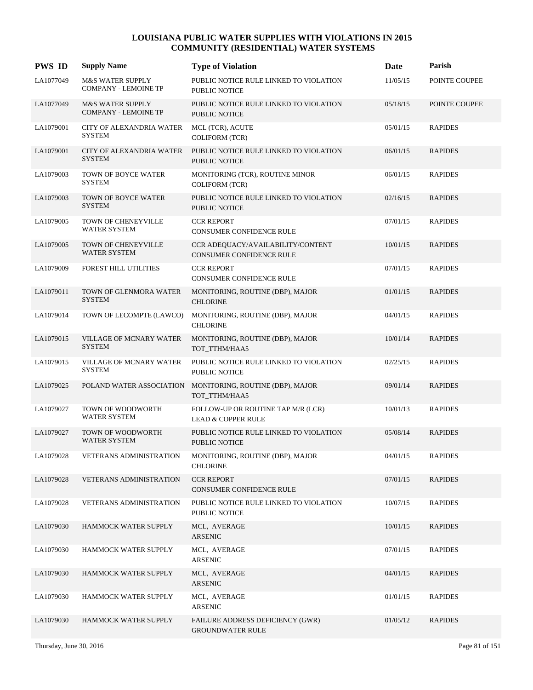| <b>PWS ID</b> | <b>Supply Name</b>                                         | <b>Type of Violation</b>                                             | Date     | Parish         |
|---------------|------------------------------------------------------------|----------------------------------------------------------------------|----------|----------------|
| LA1077049     | M&S WATER SUPPLY<br><b>COMPANY - LEMOINE TP</b>            | PUBLIC NOTICE RULE LINKED TO VIOLATION<br>PUBLIC NOTICE              | 11/05/15 | POINTE COUPEE  |
| LA1077049     | <b>M&amp;S WATER SUPPLY</b><br><b>COMPANY - LEMOINE TP</b> | PUBLIC NOTICE RULE LINKED TO VIOLATION<br><b>PUBLIC NOTICE</b>       | 05/18/15 | POINTE COUPEE  |
| LA1079001     | CITY OF ALEXANDRIA WATER<br><b>SYSTEM</b>                  | MCL (TCR), ACUTE<br><b>COLIFORM (TCR)</b>                            | 05/01/15 | <b>RAPIDES</b> |
| LA1079001     | <b>CITY OF ALEXANDRIA WATER</b><br><b>SYSTEM</b>           | PUBLIC NOTICE RULE LINKED TO VIOLATION<br><b>PUBLIC NOTICE</b>       | 06/01/15 | <b>RAPIDES</b> |
| LA1079003     | TOWN OF BOYCE WATER<br><b>SYSTEM</b>                       | MONITORING (TCR), ROUTINE MINOR<br><b>COLIFORM (TCR)</b>             | 06/01/15 | <b>RAPIDES</b> |
| LA1079003     | TOWN OF BOYCE WATER<br><b>SYSTEM</b>                       | PUBLIC NOTICE RULE LINKED TO VIOLATION<br><b>PUBLIC NOTICE</b>       | 02/16/15 | <b>RAPIDES</b> |
| LA1079005     | TOWN OF CHENEYVILLE<br><b>WATER SYSTEM</b>                 | <b>CCR REPORT</b><br><b>CONSUMER CONFIDENCE RULE</b>                 | 07/01/15 | <b>RAPIDES</b> |
| LA1079005     | TOWN OF CHENEYVILLE<br><b>WATER SYSTEM</b>                 | CCR ADEQUACY/AVAILABILITY/CONTENT<br><b>CONSUMER CONFIDENCE RULE</b> | 10/01/15 | <b>RAPIDES</b> |
| LA1079009     | FOREST HILL UTILITIES                                      | <b>CCR REPORT</b><br><b>CONSUMER CONFIDENCE RULE</b>                 | 07/01/15 | <b>RAPIDES</b> |
| LA1079011     | TOWN OF GLENMORA WATER<br><b>SYSTEM</b>                    | MONITORING, ROUTINE (DBP), MAJOR<br><b>CHLORINE</b>                  | 01/01/15 | <b>RAPIDES</b> |
| LA1079014     | TOWN OF LECOMPTE (LAWCO)                                   | MONITORING, ROUTINE (DBP), MAJOR<br><b>CHLORINE</b>                  | 04/01/15 | <b>RAPIDES</b> |
| LA1079015     | VILLAGE OF MCNARY WATER<br><b>SYSTEM</b>                   | MONITORING, ROUTINE (DBP), MAJOR<br>TOT_TTHM/HAA5                    | 10/01/14 | <b>RAPIDES</b> |
| LA1079015     | VILLAGE OF MCNARY WATER<br><b>SYSTEM</b>                   | PUBLIC NOTICE RULE LINKED TO VIOLATION<br>PUBLIC NOTICE              | 02/25/15 | <b>RAPIDES</b> |
| LA1079025     | POLAND WATER ASSOCIATION                                   | MONITORING, ROUTINE (DBP), MAJOR<br>TOT_TTHM/HAA5                    | 09/01/14 | <b>RAPIDES</b> |
| LA1079027     | TOWN OF WOODWORTH<br><b>WATER SYSTEM</b>                   | FOLLOW-UP OR ROUTINE TAP M/R (LCR)<br><b>LEAD &amp; COPPER RULE</b>  | 10/01/13 | <b>RAPIDES</b> |
| LA1079027     | TOWN OF WOODWORTH<br><b>WATER SYSTEM</b>                   | PUBLIC NOTICE RULE LINKED TO VIOLATION<br><b>PUBLIC NOTICE</b>       | 05/08/14 | <b>RAPIDES</b> |
| LA1079028     | <b>VETERANS ADMINISTRATION</b>                             | MONITORING, ROUTINE (DBP), MAJOR<br><b>CHLORINE</b>                  | 04/01/15 | <b>RAPIDES</b> |
| LA1079028     | <b>VETERANS ADMINISTRATION</b>                             | <b>CCR REPORT</b><br>CONSUMER CONFIDENCE RULE                        | 07/01/15 | <b>RAPIDES</b> |
| LA1079028     | <b>VETERANS ADMINISTRATION</b>                             | PUBLIC NOTICE RULE LINKED TO VIOLATION<br>PUBLIC NOTICE              | 10/07/15 | <b>RAPIDES</b> |
| LA1079030     | HAMMOCK WATER SUPPLY                                       | MCL, AVERAGE<br><b>ARSENIC</b>                                       | 10/01/15 | <b>RAPIDES</b> |
| LA1079030     | HAMMOCK WATER SUPPLY                                       | MCL, AVERAGE<br><b>ARSENIC</b>                                       | 07/01/15 | <b>RAPIDES</b> |
| LA1079030     | HAMMOCK WATER SUPPLY                                       | MCL, AVERAGE<br>ARSENIC                                              | 04/01/15 | <b>RAPIDES</b> |
| LA1079030     | HAMMOCK WATER SUPPLY                                       | MCL, AVERAGE<br>ARSENIC                                              | 01/01/15 | <b>RAPIDES</b> |
| LA1079030     | HAMMOCK WATER SUPPLY                                       | FAILURE ADDRESS DEFICIENCY (GWR)<br><b>GROUNDWATER RULE</b>          | 01/05/12 | <b>RAPIDES</b> |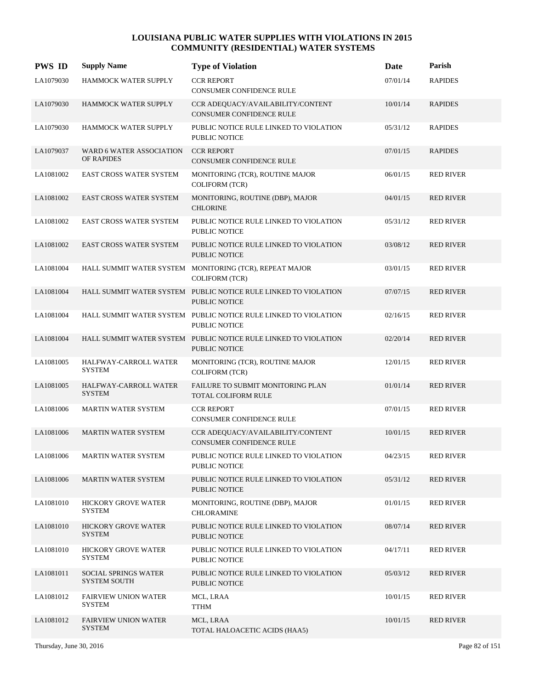| <b>PWS ID</b> | <b>Supply Name</b>                           | <b>Type of Violation</b>                                                                | Date     | Parish           |
|---------------|----------------------------------------------|-----------------------------------------------------------------------------------------|----------|------------------|
| LA1079030     | HAMMOCK WATER SUPPLY                         | <b>CCR REPORT</b><br>CONSUMER CONFIDENCE RULE                                           | 07/01/14 | <b>RAPIDES</b>   |
| LA1079030     | HAMMOCK WATER SUPPLY                         | CCR ADEQUACY/AVAILABILITY/CONTENT<br><b>CONSUMER CONFIDENCE RULE</b>                    | 10/01/14 | <b>RAPIDES</b>   |
| LA1079030     | HAMMOCK WATER SUPPLY                         | PUBLIC NOTICE RULE LINKED TO VIOLATION<br><b>PUBLIC NOTICE</b>                          | 05/31/12 | <b>RAPIDES</b>   |
| LA1079037     | WARD 6 WATER ASSOCIATION<br>OF RAPIDES       | <b>CCR REPORT</b><br><b>CONSUMER CONFIDENCE RULE</b>                                    | 07/01/15 | <b>RAPIDES</b>   |
| LA1081002     | <b>EAST CROSS WATER SYSTEM</b>               | MONITORING (TCR), ROUTINE MAJOR<br><b>COLIFORM (TCR)</b>                                | 06/01/15 | <b>RED RIVER</b> |
| LA1081002     | <b>EAST CROSS WATER SYSTEM</b>               | MONITORING, ROUTINE (DBP), MAJOR<br><b>CHLORINE</b>                                     | 04/01/15 | <b>RED RIVER</b> |
| LA1081002     | <b>EAST CROSS WATER SYSTEM</b>               | PUBLIC NOTICE RULE LINKED TO VIOLATION<br><b>PUBLIC NOTICE</b>                          | 05/31/12 | <b>RED RIVER</b> |
| LA1081002     | <b>EAST CROSS WATER SYSTEM</b>               | PUBLIC NOTICE RULE LINKED TO VIOLATION<br><b>PUBLIC NOTICE</b>                          | 03/08/12 | <b>RED RIVER</b> |
| LA1081004     |                                              | HALL SUMMIT WATER SYSTEM MONITORING (TCR), REPEAT MAJOR<br><b>COLIFORM (TCR)</b>        | 03/01/15 | <b>RED RIVER</b> |
| LA1081004     |                                              | HALL SUMMIT WATER SYSTEM PUBLIC NOTICE RULE LINKED TO VIOLATION<br><b>PUBLIC NOTICE</b> | 07/07/15 | <b>RED RIVER</b> |
| LA1081004     |                                              | HALL SUMMIT WATER SYSTEM PUBLIC NOTICE RULE LINKED TO VIOLATION<br>PUBLIC NOTICE        | 02/16/15 | <b>RED RIVER</b> |
| LA1081004     |                                              | HALL SUMMIT WATER SYSTEM PUBLIC NOTICE RULE LINKED TO VIOLATION<br><b>PUBLIC NOTICE</b> | 02/20/14 | <b>RED RIVER</b> |
| LA1081005     | HALFWAY-CARROLL WATER<br><b>SYSTEM</b>       | MONITORING (TCR), ROUTINE MAJOR<br><b>COLIFORM (TCR)</b>                                | 12/01/15 | <b>RED RIVER</b> |
| LA1081005     | HALFWAY-CARROLL WATER<br><b>SYSTEM</b>       | FAILURE TO SUBMIT MONITORING PLAN<br>TOTAL COLIFORM RULE                                | 01/01/14 | <b>RED RIVER</b> |
| LA1081006     | <b>MARTIN WATER SYSTEM</b>                   | <b>CCR REPORT</b><br>CONSUMER CONFIDENCE RULE                                           | 07/01/15 | <b>RED RIVER</b> |
| LA1081006     | <b>MARTIN WATER SYSTEM</b>                   | CCR ADEQUACY/AVAILABILITY/CONTENT<br>CONSUMER CONFIDENCE RULE                           | 10/01/15 | <b>RED RIVER</b> |
| LA1081006     | <b>MARTIN WATER SYSTEM</b>                   | PUBLIC NOTICE RULE LINKED TO VIOLATION<br>PUBLIC NOTICE                                 | 04/23/15 | <b>RED RIVER</b> |
| LA1081006     | <b>MARTIN WATER SYSTEM</b>                   | PUBLIC NOTICE RULE LINKED TO VIOLATION<br><b>PUBLIC NOTICE</b>                          | 05/31/12 | <b>RED RIVER</b> |
| LA1081010     | <b>HICKORY GROVE WATER</b><br><b>SYSTEM</b>  | MONITORING, ROUTINE (DBP), MAJOR<br><b>CHLORAMINE</b>                                   | 01/01/15 | <b>RED RIVER</b> |
| LA1081010     | <b>HICKORY GROVE WATER</b><br><b>SYSTEM</b>  | PUBLIC NOTICE RULE LINKED TO VIOLATION<br>PUBLIC NOTICE                                 | 08/07/14 | <b>RED RIVER</b> |
| LA1081010     | <b>HICKORY GROVE WATER</b><br><b>SYSTEM</b>  | PUBLIC NOTICE RULE LINKED TO VIOLATION<br>PUBLIC NOTICE                                 | 04/17/11 | <b>RED RIVER</b> |
| LA1081011     | SOCIAL SPRINGS WATER<br><b>SYSTEM SOUTH</b>  | PUBLIC NOTICE RULE LINKED TO VIOLATION<br>PUBLIC NOTICE                                 | 05/03/12 | <b>RED RIVER</b> |
| LA1081012     | <b>FAIRVIEW UNION WATER</b><br><b>SYSTEM</b> | MCL, LRAA<br><b>TTHM</b>                                                                | 10/01/15 | <b>RED RIVER</b> |
| LA1081012     | <b>FAIRVIEW UNION WATER</b><br><b>SYSTEM</b> | MCL, LRAA<br>TOTAL HALOACETIC ACIDS (HAA5)                                              | 10/01/15 | <b>RED RIVER</b> |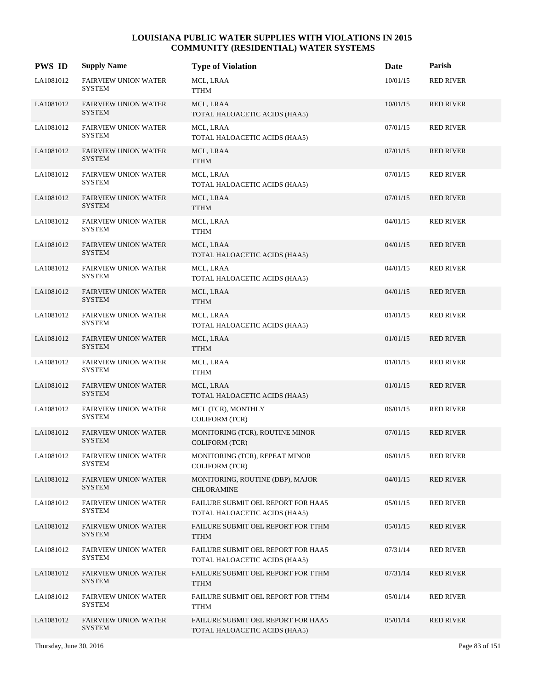| <b>PWS ID</b> | <b>Supply Name</b>                           | <b>Type of Violation</b>                                            | Date     | Parish           |
|---------------|----------------------------------------------|---------------------------------------------------------------------|----------|------------------|
| LA1081012     | <b>FAIRVIEW UNION WATER</b><br><b>SYSTEM</b> | MCL, LRAA<br>TTHM                                                   | 10/01/15 | <b>RED RIVER</b> |
| LA1081012     | <b>FAIRVIEW UNION WATER</b><br><b>SYSTEM</b> | MCL, LRAA<br>TOTAL HALOACETIC ACIDS (HAA5)                          | 10/01/15 | <b>RED RIVER</b> |
| LA1081012     | <b>FAIRVIEW UNION WATER</b><br><b>SYSTEM</b> | MCL, LRAA<br>TOTAL HALOACETIC ACIDS (HAA5)                          | 07/01/15 | <b>RED RIVER</b> |
| LA1081012     | <b>FAIRVIEW UNION WATER</b><br><b>SYSTEM</b> | MCL, LRAA<br><b>TTHM</b>                                            | 07/01/15 | <b>RED RIVER</b> |
| LA1081012     | <b>FAIRVIEW UNION WATER</b><br>SYSTEM        | MCL, LRAA<br>TOTAL HALOACETIC ACIDS (HAA5)                          | 07/01/15 | <b>RED RIVER</b> |
| LA1081012     | <b>FAIRVIEW UNION WATER</b><br><b>SYSTEM</b> | MCL, LRAA<br><b>TTHM</b>                                            | 07/01/15 | <b>RED RIVER</b> |
| LA1081012     | <b>FAIRVIEW UNION WATER</b><br><b>SYSTEM</b> | MCL, LRAA<br><b>TTHM</b>                                            | 04/01/15 | <b>RED RIVER</b> |
| LA1081012     | <b>FAIRVIEW UNION WATER</b><br><b>SYSTEM</b> | MCL, LRAA<br>TOTAL HALOACETIC ACIDS (HAA5)                          | 04/01/15 | <b>RED RIVER</b> |
| LA1081012     | <b>FAIRVIEW UNION WATER</b><br>SYSTEM        | MCL, LRAA<br>TOTAL HALOACETIC ACIDS (HAA5)                          | 04/01/15 | <b>RED RIVER</b> |
| LA1081012     | <b>FAIRVIEW UNION WATER</b><br><b>SYSTEM</b> | MCL, LRAA<br><b>TTHM</b>                                            | 04/01/15 | <b>RED RIVER</b> |
| LA1081012     | <b>FAIRVIEW UNION WATER</b><br><b>SYSTEM</b> | MCL, LRAA<br>TOTAL HALOACETIC ACIDS (HAA5)                          | 01/01/15 | <b>RED RIVER</b> |
| LA1081012     | <b>FAIRVIEW UNION WATER</b><br><b>SYSTEM</b> | MCL, LRAA<br><b>TTHM</b>                                            | 01/01/15 | <b>RED RIVER</b> |
| LA1081012     | <b>FAIRVIEW UNION WATER</b><br><b>SYSTEM</b> | MCL, LRAA<br><b>TTHM</b>                                            | 01/01/15 | <b>RED RIVER</b> |
| LA1081012     | <b>FAIRVIEW UNION WATER</b><br><b>SYSTEM</b> | MCL, LRAA<br>TOTAL HALOACETIC ACIDS (HAA5)                          | 01/01/15 | <b>RED RIVER</b> |
| LA1081012     | <b>FAIRVIEW UNION WATER</b><br><b>SYSTEM</b> | MCL (TCR), MONTHLY<br><b>COLIFORM (TCR)</b>                         | 06/01/15 | <b>RED RIVER</b> |
| LA1081012     | <b>FAIRVIEW UNION WATER</b><br><b>SYSTEM</b> | MONITORING (TCR), ROUTINE MINOR<br><b>COLIFORM (TCR)</b>            | 07/01/15 | <b>RED RIVER</b> |
| LA1081012     | <b>FAIRVIEW UNION WATER</b><br><b>SYSTEM</b> | MONITORING (TCR), REPEAT MINOR<br><b>COLIFORM (TCR)</b>             | 06/01/15 | <b>RED RIVER</b> |
| LA1081012     | <b>FAIRVIEW UNION WATER</b><br><b>SYSTEM</b> | MONITORING, ROUTINE (DBP), MAJOR<br><b>CHLORAMINE</b>               | 04/01/15 | <b>RED RIVER</b> |
| LA1081012     | <b>FAIRVIEW UNION WATER</b><br><b>SYSTEM</b> | FAILURE SUBMIT OEL REPORT FOR HAA5<br>TOTAL HALOACETIC ACIDS (HAA5) | 05/01/15 | <b>RED RIVER</b> |
| LA1081012     | <b>FAIRVIEW UNION WATER</b><br><b>SYSTEM</b> | FAILURE SUBMIT OEL REPORT FOR TTHM<br><b>TTHM</b>                   | 05/01/15 | <b>RED RIVER</b> |
| LA1081012     | <b>FAIRVIEW UNION WATER</b><br><b>SYSTEM</b> | FAILURE SUBMIT OEL REPORT FOR HAA5<br>TOTAL HALOACETIC ACIDS (HAA5) | 07/31/14 | <b>RED RIVER</b> |
| LA1081012     | <b>FAIRVIEW UNION WATER</b><br><b>SYSTEM</b> | FAILURE SUBMIT OEL REPORT FOR TTHM<br><b>TTHM</b>                   | 07/31/14 | <b>RED RIVER</b> |
| LA1081012     | <b>FAIRVIEW UNION WATER</b><br>SYSTEM        | FAILURE SUBMIT OEL REPORT FOR TTHM<br>TTHM                          | 05/01/14 | <b>RED RIVER</b> |
| LA1081012     | <b>FAIRVIEW UNION WATER</b><br><b>SYSTEM</b> | FAILURE SUBMIT OEL REPORT FOR HAA5<br>TOTAL HALOACETIC ACIDS (HAA5) | 05/01/14 | <b>RED RIVER</b> |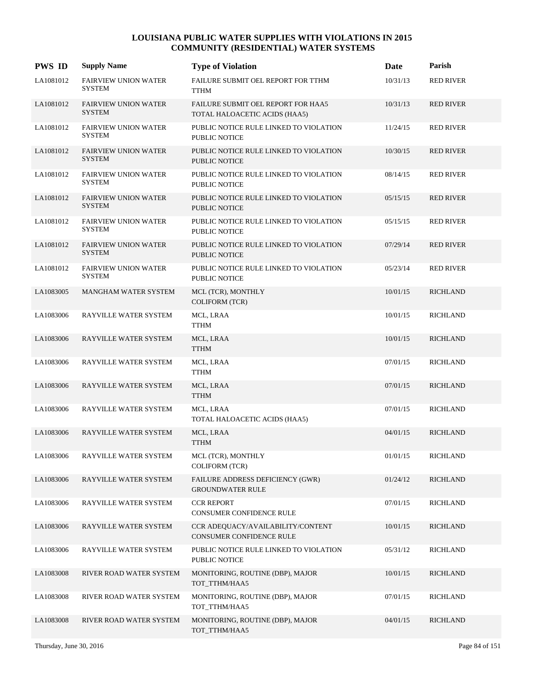| <b>PWS ID</b> | <b>Supply Name</b>                           | <b>Type of Violation</b>                                            | Date     | Parish           |
|---------------|----------------------------------------------|---------------------------------------------------------------------|----------|------------------|
| LA1081012     | <b>FAIRVIEW UNION WATER</b><br><b>SYSTEM</b> | FAILURE SUBMIT OEL REPORT FOR TTHM<br>TTHM                          | 10/31/13 | <b>RED RIVER</b> |
| LA1081012     | <b>FAIRVIEW UNION WATER</b><br><b>SYSTEM</b> | FAILURE SUBMIT OEL REPORT FOR HAA5<br>TOTAL HALOACETIC ACIDS (HAA5) | 10/31/13 | <b>RED RIVER</b> |
| LA1081012     | <b>FAIRVIEW UNION WATER</b><br><b>SYSTEM</b> | PUBLIC NOTICE RULE LINKED TO VIOLATION<br><b>PUBLIC NOTICE</b>      | 11/24/15 | <b>RED RIVER</b> |
| LA1081012     | <b>FAIRVIEW UNION WATER</b><br><b>SYSTEM</b> | PUBLIC NOTICE RULE LINKED TO VIOLATION<br><b>PUBLIC NOTICE</b>      | 10/30/15 | <b>RED RIVER</b> |
| LA1081012     | <b>FAIRVIEW UNION WATER</b><br><b>SYSTEM</b> | PUBLIC NOTICE RULE LINKED TO VIOLATION<br>PUBLIC NOTICE             | 08/14/15 | <b>RED RIVER</b> |
| LA1081012     | <b>FAIRVIEW UNION WATER</b><br><b>SYSTEM</b> | PUBLIC NOTICE RULE LINKED TO VIOLATION<br>PUBLIC NOTICE             | 05/15/15 | <b>RED RIVER</b> |
| LA1081012     | <b>FAIRVIEW UNION WATER</b><br><b>SYSTEM</b> | PUBLIC NOTICE RULE LINKED TO VIOLATION<br>PUBLIC NOTICE             | 05/15/15 | <b>RED RIVER</b> |
| LA1081012     | <b>FAIRVIEW UNION WATER</b><br><b>SYSTEM</b> | PUBLIC NOTICE RULE LINKED TO VIOLATION<br>PUBLIC NOTICE             | 07/29/14 | <b>RED RIVER</b> |
| LA1081012     | <b>FAIRVIEW UNION WATER</b><br><b>SYSTEM</b> | PUBLIC NOTICE RULE LINKED TO VIOLATION<br>PUBLIC NOTICE             | 05/23/14 | <b>RED RIVER</b> |
| LA1083005     | MANGHAM WATER SYSTEM                         | MCL (TCR), MONTHLY<br><b>COLIFORM (TCR)</b>                         | 10/01/15 | <b>RICHLAND</b>  |
| LA1083006     | RAYVILLE WATER SYSTEM                        | MCL, LRAA<br><b>TTHM</b>                                            | 10/01/15 | <b>RICHLAND</b>  |
| LA1083006     | RAYVILLE WATER SYSTEM                        | MCL, LRAA<br><b>TTHM</b>                                            | 10/01/15 | <b>RICHLAND</b>  |
| LA1083006     | RAYVILLE WATER SYSTEM                        | MCL, LRAA<br><b>TTHM</b>                                            | 07/01/15 | <b>RICHLAND</b>  |
| LA1083006     | RAYVILLE WATER SYSTEM                        | MCL, LRAA<br><b>TTHM</b>                                            | 07/01/15 | <b>RICHLAND</b>  |
| LA1083006     | RAYVILLE WATER SYSTEM                        | MCL, LRAA<br>TOTAL HALOACETIC ACIDS (HAA5)                          | 07/01/15 | <b>RICHLAND</b>  |
| LA1083006     | RAYVILLE WATER SYSTEM                        | MCL, LRAA<br><b>TTHM</b>                                            | 04/01/15 | <b>RICHLAND</b>  |
| LA1083006     | RAYVILLE WATER SYSTEM                        | MCL (TCR), MONTHLY<br><b>COLIFORM (TCR)</b>                         | 01/01/15 | <b>RICHLAND</b>  |
| LA1083006     | RAYVILLE WATER SYSTEM                        | FAILURE ADDRESS DEFICIENCY (GWR)<br><b>GROUNDWATER RULE</b>         | 01/24/12 | <b>RICHLAND</b>  |
| LA1083006     | RAYVILLE WATER SYSTEM                        | <b>CCR REPORT</b><br>CONSUMER CONFIDENCE RULE                       | 07/01/15 | <b>RICHLAND</b>  |
| LA1083006     | RAYVILLE WATER SYSTEM                        | CCR ADEQUACY/AVAILABILITY/CONTENT<br>CONSUMER CONFIDENCE RULE       | 10/01/15 | <b>RICHLAND</b>  |
| LA1083006     | RAYVILLE WATER SYSTEM                        | PUBLIC NOTICE RULE LINKED TO VIOLATION<br>PUBLIC NOTICE             | 05/31/12 | <b>RICHLAND</b>  |
| LA1083008     | RIVER ROAD WATER SYSTEM                      | MONITORING, ROUTINE (DBP), MAJOR<br>TOT_TTHM/HAA5                   | 10/01/15 | <b>RICHLAND</b>  |
| LA1083008     | RIVER ROAD WATER SYSTEM                      | MONITORING, ROUTINE (DBP), MAJOR<br>TOT_TTHM/HAA5                   | 07/01/15 | <b>RICHLAND</b>  |
| LA1083008     | RIVER ROAD WATER SYSTEM                      | MONITORING, ROUTINE (DBP), MAJOR<br>TOT_TTHM/HAA5                   | 04/01/15 | <b>RICHLAND</b>  |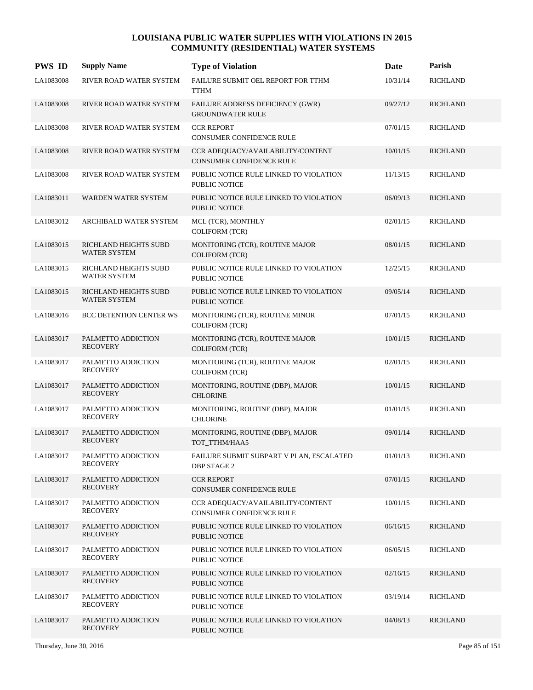| <b>PWS ID</b> | <b>Supply Name</b>                           | <b>Type of Violation</b>                                             | Date     | Parish          |
|---------------|----------------------------------------------|----------------------------------------------------------------------|----------|-----------------|
| LA1083008     | RIVER ROAD WATER SYSTEM                      | FAILURE SUBMIT OEL REPORT FOR TTHM<br><b>TTHM</b>                    | 10/31/14 | <b>RICHLAND</b> |
| LA1083008     | RIVER ROAD WATER SYSTEM                      | FAILURE ADDRESS DEFICIENCY (GWR)<br><b>GROUNDWATER RULE</b>          | 09/27/12 | <b>RICHLAND</b> |
| LA1083008     | RIVER ROAD WATER SYSTEM                      | <b>CCR REPORT</b><br>CONSUMER CONFIDENCE RULE                        | 07/01/15 | <b>RICHLAND</b> |
| LA1083008     | RIVER ROAD WATER SYSTEM                      | CCR ADEQUACY/AVAILABILITY/CONTENT<br><b>CONSUMER CONFIDENCE RULE</b> | 10/01/15 | <b>RICHLAND</b> |
| LA1083008     | RIVER ROAD WATER SYSTEM                      | PUBLIC NOTICE RULE LINKED TO VIOLATION<br><b>PUBLIC NOTICE</b>       | 11/13/15 | <b>RICHLAND</b> |
| LA1083011     | WARDEN WATER SYSTEM                          | PUBLIC NOTICE RULE LINKED TO VIOLATION<br><b>PUBLIC NOTICE</b>       | 06/09/13 | <b>RICHLAND</b> |
| LA1083012     | ARCHIBALD WATER SYSTEM                       | MCL (TCR), MONTHLY<br><b>COLIFORM (TCR)</b>                          | 02/01/15 | <b>RICHLAND</b> |
| LA1083015     | RICHLAND HEIGHTS SUBD<br><b>WATER SYSTEM</b> | MONITORING (TCR), ROUTINE MAJOR<br>COLIFORM (TCR)                    | 08/01/15 | <b>RICHLAND</b> |
| LA1083015     | RICHLAND HEIGHTS SUBD<br><b>WATER SYSTEM</b> | PUBLIC NOTICE RULE LINKED TO VIOLATION<br><b>PUBLIC NOTICE</b>       | 12/25/15 | <b>RICHLAND</b> |
| LA1083015     | RICHLAND HEIGHTS SUBD<br><b>WATER SYSTEM</b> | PUBLIC NOTICE RULE LINKED TO VIOLATION<br><b>PUBLIC NOTICE</b>       | 09/05/14 | <b>RICHLAND</b> |
| LA1083016     | <b>BCC DETENTION CENTER WS</b>               | MONITORING (TCR), ROUTINE MINOR<br><b>COLIFORM (TCR)</b>             | 07/01/15 | <b>RICHLAND</b> |
| LA1083017     | PALMETTO ADDICTION<br><b>RECOVERY</b>        | MONITORING (TCR), ROUTINE MAJOR<br><b>COLIFORM (TCR)</b>             | 10/01/15 | <b>RICHLAND</b> |
| LA1083017     | PALMETTO ADDICTION<br><b>RECOVERY</b>        | MONITORING (TCR), ROUTINE MAJOR<br><b>COLIFORM (TCR)</b>             | 02/01/15 | <b>RICHLAND</b> |
| LA1083017     | PALMETTO ADDICTION<br><b>RECOVERY</b>        | MONITORING, ROUTINE (DBP), MAJOR<br><b>CHLORINE</b>                  | 10/01/15 | <b>RICHLAND</b> |
| LA1083017     | PALMETTO ADDICTION<br><b>RECOVERY</b>        | MONITORING, ROUTINE (DBP), MAJOR<br><b>CHLORINE</b>                  | 01/01/15 | <b>RICHLAND</b> |
| LA1083017     | PALMETTO ADDICTION<br><b>RECOVERY</b>        | MONITORING, ROUTINE (DBP), MAJOR<br>TOT_TTHM/HAA5                    | 09/01/14 | <b>RICHLAND</b> |
| LA1083017     | PALMETTO ADDICTION<br><b>RECOVERY</b>        | FAILURE SUBMIT SUBPART V PLAN, ESCALATED<br><b>DBP STAGE 2</b>       | 01/01/13 | <b>RICHLAND</b> |
| LA1083017     | PALMETTO ADDICTION<br><b>RECOVERY</b>        | <b>CCR REPORT</b><br>CONSUMER CONFIDENCE RULE                        | 07/01/15 | <b>RICHLAND</b> |
| LA1083017     | PALMETTO ADDICTION<br><b>RECOVERY</b>        | CCR ADEQUACY/AVAILABILITY/CONTENT<br>CONSUMER CONFIDENCE RULE        | 10/01/15 | <b>RICHLAND</b> |
| LA1083017     | PALMETTO ADDICTION<br><b>RECOVERY</b>        | PUBLIC NOTICE RULE LINKED TO VIOLATION<br>PUBLIC NOTICE              | 06/16/15 | <b>RICHLAND</b> |
| LA1083017     | PALMETTO ADDICTION<br><b>RECOVERY</b>        | PUBLIC NOTICE RULE LINKED TO VIOLATION<br>PUBLIC NOTICE              | 06/05/15 | <b>RICHLAND</b> |
| LA1083017     | PALMETTO ADDICTION<br><b>RECOVERY</b>        | PUBLIC NOTICE RULE LINKED TO VIOLATION<br>PUBLIC NOTICE              | 02/16/15 | <b>RICHLAND</b> |
| LA1083017     | PALMETTO ADDICTION<br><b>RECOVERY</b>        | PUBLIC NOTICE RULE LINKED TO VIOLATION<br>PUBLIC NOTICE              | 03/19/14 | <b>RICHLAND</b> |
| LA1083017     | PALMETTO ADDICTION<br><b>RECOVERY</b>        | PUBLIC NOTICE RULE LINKED TO VIOLATION<br>PUBLIC NOTICE              | 04/08/13 | <b>RICHLAND</b> |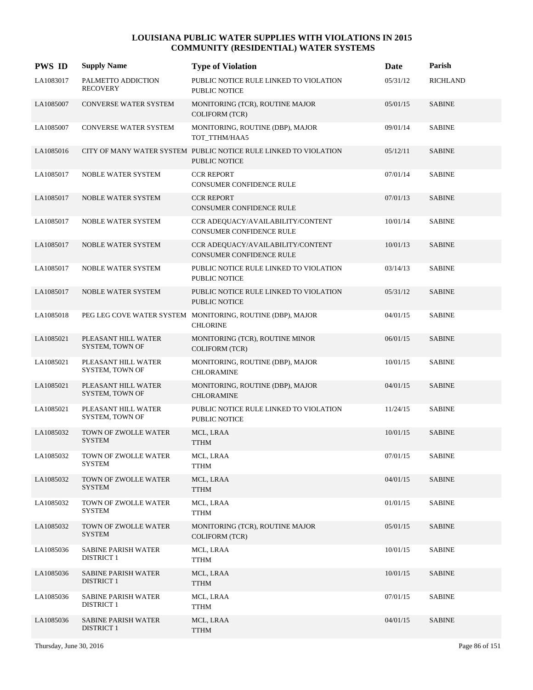| <b>PWS ID</b> | <b>Supply Name</b>                              | <b>Type of Violation</b>                                                                 | Date     | Parish          |
|---------------|-------------------------------------------------|------------------------------------------------------------------------------------------|----------|-----------------|
| LA1083017     | PALMETTO ADDICTION<br><b>RECOVERY</b>           | PUBLIC NOTICE RULE LINKED TO VIOLATION<br>PUBLIC NOTICE                                  | 05/31/12 | <b>RICHLAND</b> |
| LA1085007     | CONVERSE WATER SYSTEM                           | MONITORING (TCR), ROUTINE MAJOR<br><b>COLIFORM (TCR)</b>                                 | 05/01/15 | <b>SABINE</b>   |
| LA1085007     | CONVERSE WATER SYSTEM                           | MONITORING, ROUTINE (DBP), MAJOR<br>TOT_TTHM/HAA5                                        | 09/01/14 | <b>SABINE</b>   |
| LA1085016     |                                                 | CITY OF MANY WATER SYSTEM PUBLIC NOTICE RULE LINKED TO VIOLATION<br><b>PUBLIC NOTICE</b> | 05/12/11 | <b>SABINE</b>   |
| LA1085017     | NOBLE WATER SYSTEM                              | <b>CCR REPORT</b><br>CONSUMER CONFIDENCE RULE                                            | 07/01/14 | <b>SABINE</b>   |
| LA1085017     | <b>NOBLE WATER SYSTEM</b>                       | <b>CCR REPORT</b><br>CONSUMER CONFIDENCE RULE                                            | 07/01/13 | <b>SABINE</b>   |
| LA1085017     | NOBLE WATER SYSTEM                              | CCR ADEQUACY/AVAILABILITY/CONTENT<br>CONSUMER CONFIDENCE RULE                            | 10/01/14 | <b>SABINE</b>   |
| LA1085017     | <b>NOBLE WATER SYSTEM</b>                       | CCR ADEQUACY/AVAILABILITY/CONTENT<br><b>CONSUMER CONFIDENCE RULE</b>                     | 10/01/13 | <b>SABINE</b>   |
| LA1085017     | NOBLE WATER SYSTEM                              | PUBLIC NOTICE RULE LINKED TO VIOLATION<br><b>PUBLIC NOTICE</b>                           | 03/14/13 | <b>SABINE</b>   |
| LA1085017     | NOBLE WATER SYSTEM                              | PUBLIC NOTICE RULE LINKED TO VIOLATION<br><b>PUBLIC NOTICE</b>                           | 05/31/12 | <b>SABINE</b>   |
| LA1085018     |                                                 | PEG LEG COVE WATER SYSTEM MONITORING, ROUTINE (DBP), MAJOR<br><b>CHLORINE</b>            | 04/01/15 | <b>SABINE</b>   |
| LA1085021     | PLEASANT HILL WATER<br>SYSTEM, TOWN OF          | MONITORING (TCR), ROUTINE MINOR<br><b>COLIFORM (TCR)</b>                                 | 06/01/15 | <b>SABINE</b>   |
| LA1085021     | PLEASANT HILL WATER<br>SYSTEM, TOWN OF          | MONITORING, ROUTINE (DBP), MAJOR<br><b>CHLORAMINE</b>                                    | 10/01/15 | <b>SABINE</b>   |
| LA1085021     | PLEASANT HILL WATER<br>SYSTEM, TOWN OF          | MONITORING, ROUTINE (DBP), MAJOR<br><b>CHLORAMINE</b>                                    | 04/01/15 | <b>SABINE</b>   |
| LA1085021     | PLEASANT HILL WATER<br>SYSTEM, TOWN OF          | PUBLIC NOTICE RULE LINKED TO VIOLATION<br>PUBLIC NOTICE                                  | 11/24/15 | <b>SABINE</b>   |
| LA1085032     | TOWN OF ZWOLLE WATER<br><b>SYSTEM</b>           | MCL, LRAA<br><b>TTHM</b>                                                                 | 10/01/15 | <b>SABINE</b>   |
| LA1085032     | TOWN OF ZWOLLE WATER<br>SYSTEM                  | MCL, LRAA<br><b>TTHM</b>                                                                 | 07/01/15 | <b>SABINE</b>   |
| LA1085032     | TOWN OF ZWOLLE WATER<br><b>SYSTEM</b>           | MCL, LRAA<br><b>TTHM</b>                                                                 | 04/01/15 | <b>SABINE</b>   |
| LA1085032     | TOWN OF ZWOLLE WATER<br><b>SYSTEM</b>           | MCL, LRAA<br><b>TTHM</b>                                                                 | 01/01/15 | <b>SABINE</b>   |
| LA1085032     | TOWN OF ZWOLLE WATER<br><b>SYSTEM</b>           | MONITORING (TCR), ROUTINE MAJOR<br><b>COLIFORM (TCR)</b>                                 | 05/01/15 | <b>SABINE</b>   |
| LA1085036     | SABINE PARISH WATER<br><b>DISTRICT 1</b>        | MCL, LRAA<br><b>TTHM</b>                                                                 | 10/01/15 | <b>SABINE</b>   |
| LA1085036     | <b>SABINE PARISH WATER</b><br>DISTRICT 1        | MCL, LRAA<br><b>TTHM</b>                                                                 | 10/01/15 | <b>SABINE</b>   |
| LA1085036     | <b>SABINE PARISH WATER</b><br>DISTRICT 1        | MCL, LRAA<br><b>TTHM</b>                                                                 | 07/01/15 | <b>SABINE</b>   |
| LA1085036     | <b>SABINE PARISH WATER</b><br><b>DISTRICT 1</b> | MCL, LRAA<br><b>TTHM</b>                                                                 | 04/01/15 | <b>SABINE</b>   |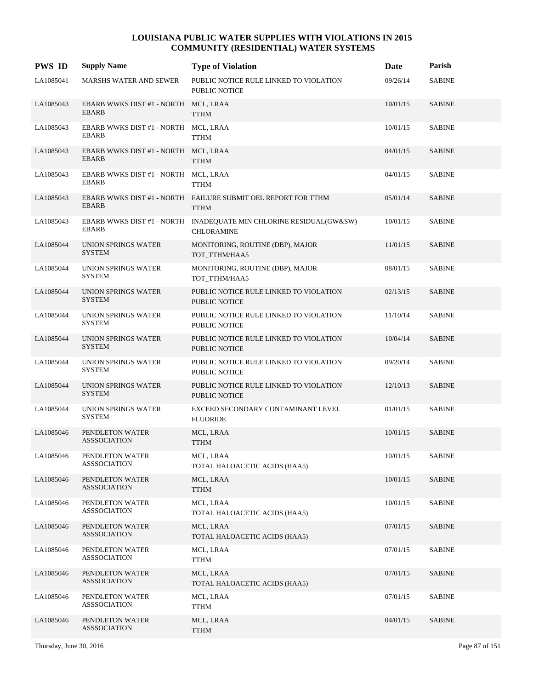| <b>PWS ID</b> | <b>Supply Name</b>                                   | <b>Type of Violation</b>                                                                | Date     | Parish        |
|---------------|------------------------------------------------------|-----------------------------------------------------------------------------------------|----------|---------------|
| LA1085041     | MARSHS WATER AND SEWER                               | PUBLIC NOTICE RULE LINKED TO VIOLATION<br><b>PUBLIC NOTICE</b>                          | 09/26/14 | <b>SABINE</b> |
| LA1085043     | EBARB WWKS DIST #1 - NORTH MCL, LRAA<br><b>EBARB</b> | <b>TTHM</b>                                                                             | 10/01/15 | <b>SABINE</b> |
| LA1085043     | EBARB WWKS DIST #1 - NORTH MCL, LRAA<br><b>EBARB</b> | <b>TTHM</b>                                                                             | 10/01/15 | <b>SABINE</b> |
| LA1085043     | EBARB WWKS DIST #1 - NORTH MCL, LRAA<br><b>EBARB</b> | <b>TTHM</b>                                                                             | 04/01/15 | <b>SABINE</b> |
| LA1085043     | EBARB WWKS DIST #1 - NORTH MCL, LRAA<br><b>EBARB</b> | <b>TTHM</b>                                                                             | 04/01/15 | <b>SABINE</b> |
| LA1085043     | <b>EBARB</b>                                         | EBARB WWKS DIST #1 - NORTH FAILURE SUBMIT OEL REPORT FOR TTHM<br><b>TTHM</b>            | 05/01/14 | <b>SABINE</b> |
| LA1085043     | <b>EBARB</b>                                         | EBARB WWKS DIST #1 - NORTH INADEQUATE MIN CHLORINE RESIDUAL(GW&SW)<br><b>CHLORAMINE</b> | 10/01/15 | <b>SABINE</b> |
| LA1085044     | UNION SPRINGS WATER<br><b>SYSTEM</b>                 | MONITORING, ROUTINE (DBP), MAJOR<br>TOT_TTHM/HAA5                                       | 11/01/15 | <b>SABINE</b> |
| LA1085044     | UNION SPRINGS WATER<br><b>SYSTEM</b>                 | MONITORING, ROUTINE (DBP), MAJOR<br>TOT_TTHM/HAA5                                       | 08/01/15 | <b>SABINE</b> |
| LA1085044     | UNION SPRINGS WATER<br><b>SYSTEM</b>                 | PUBLIC NOTICE RULE LINKED TO VIOLATION<br><b>PUBLIC NOTICE</b>                          | 02/13/15 | <b>SABINE</b> |
| LA1085044     | UNION SPRINGS WATER<br><b>SYSTEM</b>                 | PUBLIC NOTICE RULE LINKED TO VIOLATION<br><b>PUBLIC NOTICE</b>                          | 11/10/14 | <b>SABINE</b> |
| LA1085044     | UNION SPRINGS WATER<br><b>SYSTEM</b>                 | PUBLIC NOTICE RULE LINKED TO VIOLATION<br><b>PUBLIC NOTICE</b>                          | 10/04/14 | <b>SABINE</b> |
| LA1085044     | UNION SPRINGS WATER<br><b>SYSTEM</b>                 | PUBLIC NOTICE RULE LINKED TO VIOLATION<br><b>PUBLIC NOTICE</b>                          | 09/20/14 | <b>SABINE</b> |
| LA1085044     | UNION SPRINGS WATER<br><b>SYSTEM</b>                 | PUBLIC NOTICE RULE LINKED TO VIOLATION<br><b>PUBLIC NOTICE</b>                          | 12/10/13 | <b>SABINE</b> |
| LA1085044     | UNION SPRINGS WATER<br><b>SYSTEM</b>                 | EXCEED SECONDARY CONTAMINANT LEVEL<br><b>FLUORIDE</b>                                   | 01/01/15 | <b>SABINE</b> |
| LA1085046     | PENDLETON WATER<br><b>ASSSOCIATION</b>               | MCL, LRAA<br><b>TTHM</b>                                                                | 10/01/15 | <b>SABINE</b> |
| LA1085046     | PENDLETON WATER<br><b>ASSSOCIATION</b>               | MCL, LRAA<br>TOTAL HALOACETIC ACIDS (HAA5)                                              | 10/01/15 | <b>SABINE</b> |
| LA1085046     | PENDLETON WATER<br><b>ASSSOCIATION</b>               | MCL, LRAA<br><b>TTHM</b>                                                                | 10/01/15 | <b>SABINE</b> |
| LA1085046     | PENDLETON WATER<br><b>ASSSOCIATION</b>               | MCL, LRAA<br>TOTAL HALOACETIC ACIDS (HAA5)                                              | 10/01/15 | <b>SABINE</b> |
| LA1085046     | PENDLETON WATER<br><b>ASSSOCIATION</b>               | MCL, LRAA<br>TOTAL HALOACETIC ACIDS (HAA5)                                              | 07/01/15 | <b>SABINE</b> |
| LA1085046     | PENDLETON WATER<br><b>ASSSOCIATION</b>               | MCL, LRAA<br><b>TTHM</b>                                                                | 07/01/15 | <b>SABINE</b> |
| LA1085046     | PENDLETON WATER<br>ASSSOCIATION                      | MCL, LRAA<br>TOTAL HALOACETIC ACIDS (HAA5)                                              | 07/01/15 | <b>SABINE</b> |
| LA1085046     | PENDLETON WATER<br>ASSSOCIATION                      | MCL, LRAA<br>TTHM                                                                       | 07/01/15 | <b>SABINE</b> |
| LA1085046     | PENDLETON WATER<br><b>ASSSOCIATION</b>               | MCL, LRAA<br><b>TTHM</b>                                                                | 04/01/15 | <b>SABINE</b> |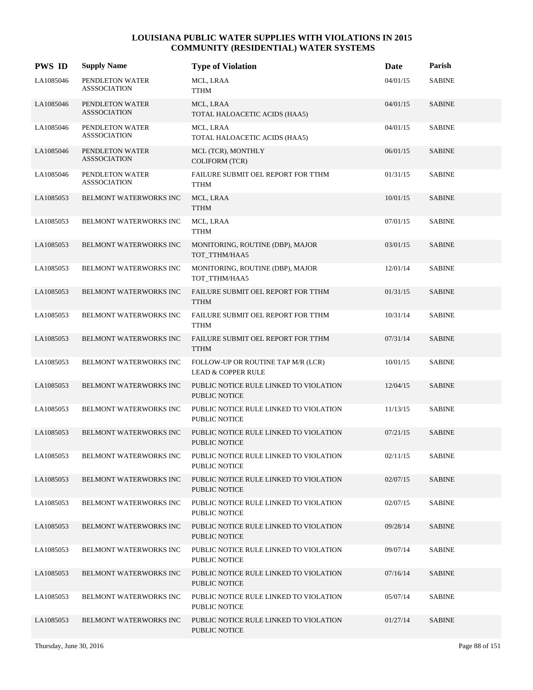| <b>PWS ID</b> | <b>Supply Name</b>                     | <b>Type of Violation</b>                                            | Date     | Parish        |
|---------------|----------------------------------------|---------------------------------------------------------------------|----------|---------------|
| LA1085046     | PENDLETON WATER<br><b>ASSSOCIATION</b> | MCL, LRAA<br>TTHM                                                   | 04/01/15 | <b>SABINE</b> |
| LA1085046     | PENDLETON WATER<br><b>ASSSOCIATION</b> | MCL, LRAA<br>TOTAL HALOACETIC ACIDS (HAA5)                          | 04/01/15 | <b>SABINE</b> |
| LA1085046     | PENDLETON WATER<br><b>ASSSOCIATION</b> | MCL, LRAA<br>TOTAL HALOACETIC ACIDS (HAA5)                          | 04/01/15 | SABINE        |
| LA1085046     | PENDLETON WATER<br><b>ASSSOCIATION</b> | MCL (TCR), MONTHLY<br><b>COLIFORM (TCR)</b>                         | 06/01/15 | <b>SABINE</b> |
| LA1085046     | PENDLETON WATER<br><b>ASSSOCIATION</b> | FAILURE SUBMIT OEL REPORT FOR TTHM<br><b>TTHM</b>                   | 01/31/15 | <b>SABINE</b> |
| LA1085053     | BELMONT WATERWORKS INC                 | MCL, LRAA<br><b>TTHM</b>                                            | 10/01/15 | <b>SABINE</b> |
| LA1085053     | BELMONT WATERWORKS INC                 | MCL, LRAA<br><b>TTHM</b>                                            | 07/01/15 | <b>SABINE</b> |
| LA1085053     | BELMONT WATERWORKS INC                 | MONITORING, ROUTINE (DBP), MAJOR<br>TOT_TTHM/HAA5                   | 03/01/15 | <b>SABINE</b> |
| LA1085053     | BELMONT WATERWORKS INC                 | MONITORING, ROUTINE (DBP), MAJOR<br>TOT_TTHM/HAA5                   | 12/01/14 | <b>SABINE</b> |
| LA1085053     | BELMONT WATERWORKS INC                 | FAILURE SUBMIT OEL REPORT FOR TTHM<br><b>TTHM</b>                   | 01/31/15 | <b>SABINE</b> |
| LA1085053     | BELMONT WATERWORKS INC                 | FAILURE SUBMIT OEL REPORT FOR TTHM<br><b>TTHM</b>                   | 10/31/14 | <b>SABINE</b> |
| LA1085053     | BELMONT WATERWORKS INC                 | FAILURE SUBMIT OEL REPORT FOR TTHM<br><b>TTHM</b>                   | 07/31/14 | <b>SABINE</b> |
| LA1085053     | BELMONT WATERWORKS INC                 | FOLLOW-UP OR ROUTINE TAP M/R (LCR)<br><b>LEAD &amp; COPPER RULE</b> | 10/01/15 | <b>SABINE</b> |
| LA1085053     | BELMONT WATERWORKS INC                 | PUBLIC NOTICE RULE LINKED TO VIOLATION<br><b>PUBLIC NOTICE</b>      | 12/04/15 | <b>SABINE</b> |
| LA1085053     | BELMONT WATERWORKS INC                 | PUBLIC NOTICE RULE LINKED TO VIOLATION<br>PUBLIC NOTICE             | 11/13/15 | <b>SABINE</b> |
| LA1085053     | <b>BELMONT WATERWORKS INC</b>          | PUBLIC NOTICE RULE LINKED TO VIOLATION<br>PUBLIC NOTICE             | 07/21/15 | <b>SABINE</b> |
| LA1085053     | BELMONT WATERWORKS INC                 | PUBLIC NOTICE RULE LINKED TO VIOLATION<br><b>PUBLIC NOTICE</b>      | 02/11/15 | <b>SABINE</b> |
| LA1085053     | <b>BELMONT WATERWORKS INC</b>          | PUBLIC NOTICE RULE LINKED TO VIOLATION<br>PUBLIC NOTICE             | 02/07/15 | <b>SABINE</b> |
| LA1085053     | BELMONT WATERWORKS INC                 | PUBLIC NOTICE RULE LINKED TO VIOLATION<br>PUBLIC NOTICE             | 02/07/15 | <b>SABINE</b> |
| LA1085053     | <b>BELMONT WATERWORKS INC</b>          | PUBLIC NOTICE RULE LINKED TO VIOLATION<br>PUBLIC NOTICE             | 09/28/14 | <b>SABINE</b> |
| LA1085053     | BELMONT WATERWORKS INC                 | PUBLIC NOTICE RULE LINKED TO VIOLATION<br><b>PUBLIC NOTICE</b>      | 09/07/14 | <b>SABINE</b> |
| LA1085053     | BELMONT WATERWORKS INC                 | PUBLIC NOTICE RULE LINKED TO VIOLATION<br>PUBLIC NOTICE             | 07/16/14 | <b>SABINE</b> |
| LA1085053     | <b>BELMONT WATERWORKS INC</b>          | PUBLIC NOTICE RULE LINKED TO VIOLATION<br>PUBLIC NOTICE             | 05/07/14 | SABINE        |
| LA1085053     | BELMONT WATERWORKS INC                 | PUBLIC NOTICE RULE LINKED TO VIOLATION<br>PUBLIC NOTICE             | 01/27/14 | <b>SABINE</b> |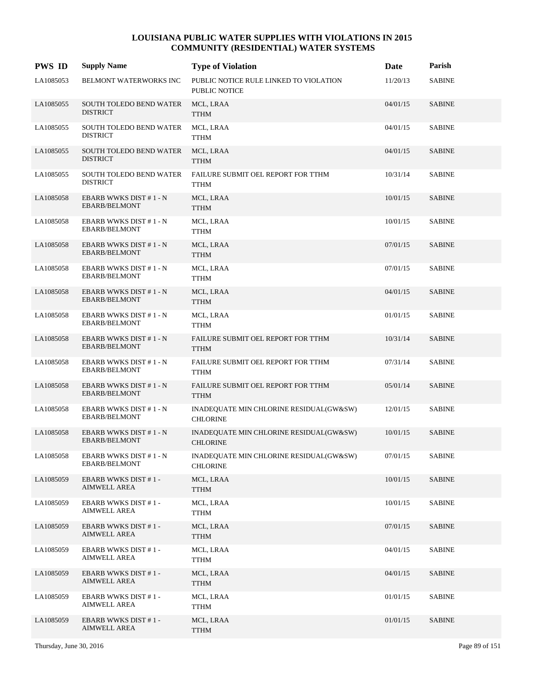| <b>PWS ID</b> | <b>Supply Name</b>                                | <b>Type of Violation</b>                                       | Date     | Parish        |
|---------------|---------------------------------------------------|----------------------------------------------------------------|----------|---------------|
| LA1085053     | BELMONT WATERWORKS INC                            | PUBLIC NOTICE RULE LINKED TO VIOLATION<br><b>PUBLIC NOTICE</b> | 11/20/13 | <b>SABINE</b> |
| LA1085055     | SOUTH TOLEDO BEND WATER<br><b>DISTRICT</b>        | MCL, LRAA<br><b>TTHM</b>                                       | 04/01/15 | <b>SABINE</b> |
| LA1085055     | SOUTH TOLEDO BEND WATER<br><b>DISTRICT</b>        | MCL, LRAA<br><b>TTHM</b>                                       | 04/01/15 | <b>SABINE</b> |
| LA1085055     | SOUTH TOLEDO BEND WATER<br><b>DISTRICT</b>        | MCL, LRAA<br><b>TTHM</b>                                       | 04/01/15 | <b>SABINE</b> |
| LA1085055     | SOUTH TOLEDO BEND WATER<br><b>DISTRICT</b>        | FAILURE SUBMIT OEL REPORT FOR TTHM<br><b>TTHM</b>              | 10/31/14 | <b>SABINE</b> |
| LA1085058     | EBARB WWKS DIST #1 - N<br><b>EBARB/BELMONT</b>    | MCL, LRAA<br><b>TTHM</b>                                       | 10/01/15 | <b>SABINE</b> |
| LA1085058     | EBARB WWKS DIST #1 - N<br><b>EBARB/BELMONT</b>    | MCL, LRAA<br><b>TTHM</b>                                       | 10/01/15 | <b>SABINE</b> |
| LA1085058     | EBARB WWKS DIST #1-N<br><b>EBARB/BELMONT</b>      | MCL, LRAA<br><b>TTHM</b>                                       | 07/01/15 | <b>SABINE</b> |
| LA1085058     | EBARB WWKS DIST #1 - N<br><b>EBARB/BELMONT</b>    | MCL, LRAA<br><b>TTHM</b>                                       | 07/01/15 | <b>SABINE</b> |
| LA1085058     | EBARB WWKS DIST #1 - N<br><b>EBARB/BELMONT</b>    | MCL, LRAA<br><b>TTHM</b>                                       | 04/01/15 | <b>SABINE</b> |
| LA1085058     | EBARB WWKS DIST #1 - N<br><b>EBARB/BELMONT</b>    | MCL, LRAA<br><b>TTHM</b>                                       | 01/01/15 | <b>SABINE</b> |
| LA1085058     | EBARB WWKS DIST #1 - N<br><b>EBARB/BELMONT</b>    | FAILURE SUBMIT OEL REPORT FOR TTHM<br><b>TTHM</b>              | 10/31/14 | <b>SABINE</b> |
| LA1085058     | EBARB WWKS DIST #1 - N<br><b>EBARB/BELMONT</b>    | FAILURE SUBMIT OEL REPORT FOR TTHM<br><b>TTHM</b>              | 07/31/14 | <b>SABINE</b> |
| LA1085058     | EBARB WWKS DIST #1 - N<br><b>EBARB/BELMONT</b>    | FAILURE SUBMIT OEL REPORT FOR TTHM<br><b>TTHM</b>              | 05/01/14 | <b>SABINE</b> |
| LA1085058     | EBARB WWKS DIST #1 - N<br><b>EBARB/BELMONT</b>    | INADEQUATE MIN CHLORINE RESIDUAL(GW&SW)<br><b>CHLORINE</b>     | 12/01/15 | <b>SABINE</b> |
| LA1085058     | EBARB WWKS DIST #1 - N<br><b>EBARB/BELMONT</b>    | INADEQUATE MIN CHLORINE RESIDUAL(GW&SW)<br><b>CHLORINE</b>     | 10/01/15 | <b>SABINE</b> |
| LA1085058     | EBARB WWKS DIST #1 - N<br><b>EBARB/BELMONT</b>    | INADEQUATE MIN CHLORINE RESIDUAL(GW&SW)<br><b>CHLORINE</b>     | 07/01/15 | <b>SABINE</b> |
| LA1085059     | EBARB WWKS DIST #1-<br><b>AIMWELL AREA</b>        | MCL, LRAA<br><b>TTHM</b>                                       | 10/01/15 | <b>SABINE</b> |
| LA1085059     | <b>EBARB WWKS DIST #1-</b><br><b>AIMWELL AREA</b> | MCL, LRAA<br><b>TTHM</b>                                       | 10/01/15 | <b>SABINE</b> |
| LA1085059     | <b>EBARB WWKS DIST #1-</b><br>AIMWELL AREA        | MCL, LRAA<br><b>TTHM</b>                                       | 07/01/15 | <b>SABINE</b> |
| LA1085059     | <b>EBARB WWKS DIST #1-</b><br><b>AIMWELL AREA</b> | MCL, LRAA<br><b>TTHM</b>                                       | 04/01/15 | <b>SABINE</b> |
| LA1085059     | <b>EBARB WWKS DIST #1-</b><br>AIMWELL AREA        | MCL, LRAA<br><b>TTHM</b>                                       | 04/01/15 | <b>SABINE</b> |
| LA1085059     | <b>EBARB WWKS DIST #1-</b><br>AIMWELL AREA        | MCL, LRAA<br>TTHM                                              | 01/01/15 | <b>SABINE</b> |
| LA1085059     | <b>EBARB WWKS DIST #1-</b><br>AIMWELL AREA        | MCL, LRAA<br><b>TTHM</b>                                       | 01/01/15 | <b>SABINE</b> |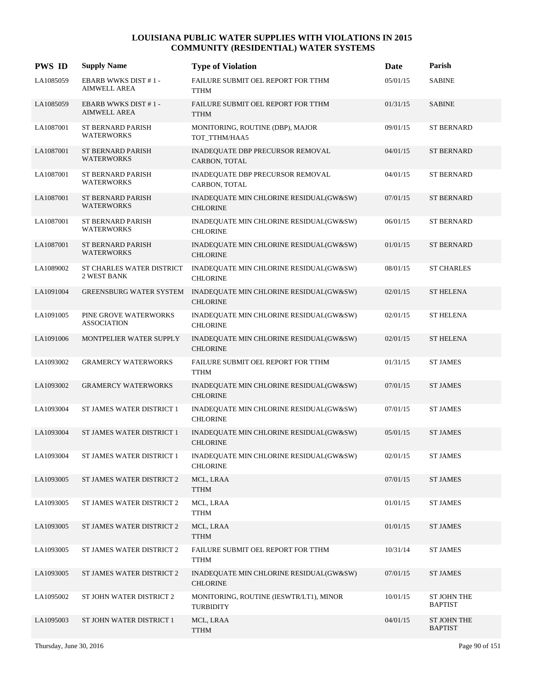| <b>PWS ID</b> | <b>Supply Name</b>                                | <b>Type of Violation</b>                                    | Date     | Parish                        |
|---------------|---------------------------------------------------|-------------------------------------------------------------|----------|-------------------------------|
| LA1085059     | <b>EBARB WWKS DIST #1-</b><br><b>AIMWELL AREA</b> | FAILURE SUBMIT OEL REPORT FOR TTHM<br><b>TTHM</b>           | 05/01/15 | <b>SABINE</b>                 |
| LA1085059     | <b>EBARB WWKS DIST #1-</b><br><b>AIMWELL AREA</b> | FAILURE SUBMIT OEL REPORT FOR TTHM<br><b>TTHM</b>           | 01/31/15 | <b>SABINE</b>                 |
| LA1087001     | <b>ST BERNARD PARISH</b><br><b>WATERWORKS</b>     | MONITORING, ROUTINE (DBP), MAJOR<br>TOT_TTHM/HAA5           | 09/01/15 | <b>ST BERNARD</b>             |
| LA1087001     | ST BERNARD PARISH<br><b>WATERWORKS</b>            | INADEQUATE DBP PRECURSOR REMOVAL<br>CARBON, TOTAL           | 04/01/15 | <b>ST BERNARD</b>             |
| LA1087001     | ST BERNARD PARISH<br><b>WATERWORKS</b>            | INADEQUATE DBP PRECURSOR REMOVAL<br>CARBON, TOTAL           | 04/01/15 | <b>ST BERNARD</b>             |
| LA1087001     | ST BERNARD PARISH<br><b>WATERWORKS</b>            | INADEQUATE MIN CHLORINE RESIDUAL(GW&SW)<br><b>CHLORINE</b>  | 07/01/15 | <b>ST BERNARD</b>             |
| LA1087001     | ST BERNARD PARISH<br><b>WATERWORKS</b>            | INADEQUATE MIN CHLORINE RESIDUAL(GW&SW)<br><b>CHLORINE</b>  | 06/01/15 | <b>ST BERNARD</b>             |
| LA1087001     | ST BERNARD PARISH<br><b>WATERWORKS</b>            | INADEQUATE MIN CHLORINE RESIDUAL(GW&SW)<br><b>CHLORINE</b>  | 01/01/15 | <b>ST BERNARD</b>             |
| LA1089002     | ST CHARLES WATER DISTRICT<br>2 WEST BANK          | INADEQUATE MIN CHLORINE RESIDUAL(GW&SW)<br><b>CHLORINE</b>  | 08/01/15 | <b>ST CHARLES</b>             |
| LA1091004     | GREENSBURG WATER SYSTEM                           | INADEQUATE MIN CHLORINE RESIDUAL(GW&SW)<br><b>CHLORINE</b>  | 02/01/15 | <b>ST HELENA</b>              |
| LA1091005     | PINE GROVE WATERWORKS<br><b>ASSOCIATION</b>       | INADEQUATE MIN CHLORINE RESIDUAL(GW&SW)<br><b>CHLORINE</b>  | 02/01/15 | <b>ST HELENA</b>              |
| LA1091006     | MONTPELIER WATER SUPPLY                           | INADEQUATE MIN CHLORINE RESIDUAL(GW&SW)<br><b>CHLORINE</b>  | 02/01/15 | <b>ST HELENA</b>              |
| LA1093002     | <b>GRAMERCY WATERWORKS</b>                        | FAILURE SUBMIT OEL REPORT FOR TTHM<br><b>TTHM</b>           | 01/31/15 | <b>ST JAMES</b>               |
| LA1093002     | <b>GRAMERCY WATERWORKS</b>                        | INADEQUATE MIN CHLORINE RESIDUAL(GW&SW)<br><b>CHLORINE</b>  | 07/01/15 | <b>ST JAMES</b>               |
| LA1093004     | ST JAMES WATER DISTRICT 1                         | INADEQUATE MIN CHLORINE RESIDUAL(GW&SW)<br><b>CHLORINE</b>  | 07/01/15 | <b>ST JAMES</b>               |
| LA1093004     | ST JAMES WATER DISTRICT 1                         | INADEQUATE MIN CHLORINE RESIDUAL(GW&SW)<br><b>CHLORINE</b>  | 05/01/15 | <b>ST JAMES</b>               |
| LA1093004     | ST JAMES WATER DISTRICT 1                         | INADEQUATE MIN CHLORINE RESIDUAL(GW&SW)<br><b>CHLORINE</b>  | 02/01/15 | <b>ST JAMES</b>               |
| LA1093005     | ST JAMES WATER DISTRICT 2                         | MCL, LRAA<br><b>TTHM</b>                                    | 07/01/15 | <b>ST JAMES</b>               |
| LA1093005     | ST JAMES WATER DISTRICT 2                         | MCL, LRAA<br><b>TTHM</b>                                    | 01/01/15 | ST JAMES                      |
| LA1093005     | ST JAMES WATER DISTRICT 2                         | MCL, LRAA<br><b>TTHM</b>                                    | 01/01/15 | <b>ST JAMES</b>               |
| LA1093005     | ST JAMES WATER DISTRICT 2                         | FAILURE SUBMIT OEL REPORT FOR TTHM<br><b>TTHM</b>           | 10/31/14 | <b>ST JAMES</b>               |
| LA1093005     | ST JAMES WATER DISTRICT 2                         | INADEQUATE MIN CHLORINE RESIDUAL(GW&SW)<br><b>CHLORINE</b>  | 07/01/15 | <b>ST JAMES</b>               |
| LA1095002     | ST JOHN WATER DISTRICT 2                          | MONITORING, ROUTINE (IESWTR/LT1), MINOR<br><b>TURBIDITY</b> | 10/01/15 | ST JOHN THE<br><b>BAPTIST</b> |
| LA1095003     | ST JOHN WATER DISTRICT 1                          | MCL, LRAA<br><b>TTHM</b>                                    | 04/01/15 | ST JOHN THE<br><b>BAPTIST</b> |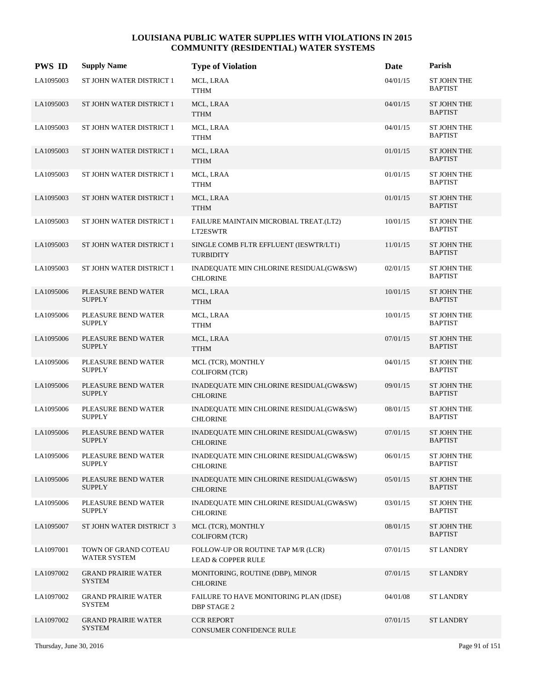| <b>PWS ID</b> | <b>Supply Name</b>                          | <b>Type of Violation</b>                                            | Date     | Parish                               |
|---------------|---------------------------------------------|---------------------------------------------------------------------|----------|--------------------------------------|
| LA1095003     | ST JOHN WATER DISTRICT 1                    | MCL, LRAA<br><b>TTHM</b>                                            | 04/01/15 | <b>ST JOHN THE</b><br><b>BAPTIST</b> |
| LA1095003     | ST JOHN WATER DISTRICT 1                    | MCL, LRAA<br><b>TTHM</b>                                            | 04/01/15 | <b>ST JOHN THE</b><br><b>BAPTIST</b> |
| LA1095003     | ST JOHN WATER DISTRICT 1                    | MCL, LRAA<br><b>TTHM</b>                                            | 04/01/15 | ST JOHN THE<br><b>BAPTIST</b>        |
| LA1095003     | ST JOHN WATER DISTRICT 1                    | MCL, LRAA<br><b>TTHM</b>                                            | 01/01/15 | <b>ST JOHN THE</b><br><b>BAPTIST</b> |
| LA1095003     | ST JOHN WATER DISTRICT 1                    | MCL, LRAA<br>TTHM                                                   | 01/01/15 | <b>ST JOHN THE</b><br><b>BAPTIST</b> |
| LA1095003     | ST JOHN WATER DISTRICT 1                    | MCL, LRAA<br><b>TTHM</b>                                            | 01/01/15 | ST JOHN THE<br><b>BAPTIST</b>        |
| LA1095003     | ST JOHN WATER DISTRICT 1                    | FAILURE MAINTAIN MICROBIAL TREAT.(LT2)<br>LT2ESWTR                  | 10/01/15 | ST JOHN THE<br><b>BAPTIST</b>        |
| LA1095003     | ST JOHN WATER DISTRICT 1                    | SINGLE COMB FLTR EFFLUENT (IESWTR/LT1)<br><b>TURBIDITY</b>          | 11/01/15 | <b>ST JOHN THE</b><br><b>BAPTIST</b> |
| LA1095003     | ST JOHN WATER DISTRICT 1                    | INADEQUATE MIN CHLORINE RESIDUAL(GW&SW)<br><b>CHLORINE</b>          | 02/01/15 | <b>ST JOHN THE</b><br><b>BAPTIST</b> |
| LA1095006     | PLEASURE BEND WATER<br><b>SUPPLY</b>        | MCL, LRAA<br><b>TTHM</b>                                            | 10/01/15 | ST JOHN THE<br><b>BAPTIST</b>        |
| LA1095006     | PLEASURE BEND WATER<br><b>SUPPLY</b>        | MCL, LRAA<br><b>TTHM</b>                                            | 10/01/15 | ST JOHN THE<br><b>BAPTIST</b>        |
| LA1095006     | PLEASURE BEND WATER<br><b>SUPPLY</b>        | MCL, LRAA<br><b>TTHM</b>                                            | 07/01/15 | ST JOHN THE<br><b>BAPTIST</b>        |
| LA1095006     | PLEASURE BEND WATER<br><b>SUPPLY</b>        | MCL (TCR), MONTHLY<br><b>COLIFORM (TCR)</b>                         | 04/01/15 | ST JOHN THE<br><b>BAPTIST</b>        |
| LA1095006     | PLEASURE BEND WATER<br><b>SUPPLY</b>        | INADEQUATE MIN CHLORINE RESIDUAL(GW&SW)<br><b>CHLORINE</b>          | 09/01/15 | ST JOHN THE<br><b>BAPTIST</b>        |
| LA1095006     | PLEASURE BEND WATER<br><b>SUPPLY</b>        | INADEQUATE MIN CHLORINE RESIDUAL(GW&SW)<br><b>CHLORINE</b>          | 08/01/15 | ST JOHN THE<br><b>BAPTIST</b>        |
| LA1095006     | PLEASURE BEND WATER<br><b>SUPPLY</b>        | INADEQUATE MIN CHLORINE RESIDUAL(GW&SW)<br><b>CHLORINE</b>          | 07/01/15 | ST JOHN THE<br><b>BAPTIST</b>        |
| LA1095006     | PLEASURE BEND WATER<br><b>SUPPLY</b>        | INADEQUATE MIN CHLORINE RESIDUAL(GW&SW)<br><b>CHLORINE</b>          | 06/01/15 | ST JOHN THE<br><b>BAPTIST</b>        |
| LA1095006     | PLEASURE BEND WATER<br><b>SUPPLY</b>        | INADEQUATE MIN CHLORINE RESIDUAL(GW&SW)<br><b>CHLORINE</b>          | 05/01/15 | ST JOHN THE<br><b>BAPTIST</b>        |
| LA1095006     | PLEASURE BEND WATER<br><b>SUPPLY</b>        | INADEQUATE MIN CHLORINE RESIDUAL(GW&SW)<br><b>CHLORINE</b>          | 03/01/15 | ST JOHN THE<br><b>BAPTIST</b>        |
| LA1095007     | ST JOHN WATER DISTRICT 3                    | MCL (TCR), MONTHLY<br><b>COLIFORM (TCR)</b>                         | 08/01/15 | ST JOHN THE<br><b>BAPTIST</b>        |
| LA1097001     | TOWN OF GRAND COTEAU<br>WATER SYSTEM        | FOLLOW-UP OR ROUTINE TAP M/R (LCR)<br><b>LEAD &amp; COPPER RULE</b> | 07/01/15 | <b>ST LANDRY</b>                     |
| LA1097002     | <b>GRAND PRAIRIE WATER</b><br><b>SYSTEM</b> | MONITORING, ROUTINE (DBP), MINOR<br><b>CHLORINE</b>                 | 07/01/15 | ST LANDRY                            |
| LA1097002     | <b>GRAND PRAIRIE WATER</b><br><b>SYSTEM</b> | FAILURE TO HAVE MONITORING PLAN (IDSE)<br>DBP STAGE 2               | 04/01/08 | ST LANDRY                            |
| LA1097002     | <b>GRAND PRAIRIE WATER</b><br><b>SYSTEM</b> | <b>CCR REPORT</b><br>CONSUMER CONFIDENCE RULE                       | 07/01/15 | <b>ST LANDRY</b>                     |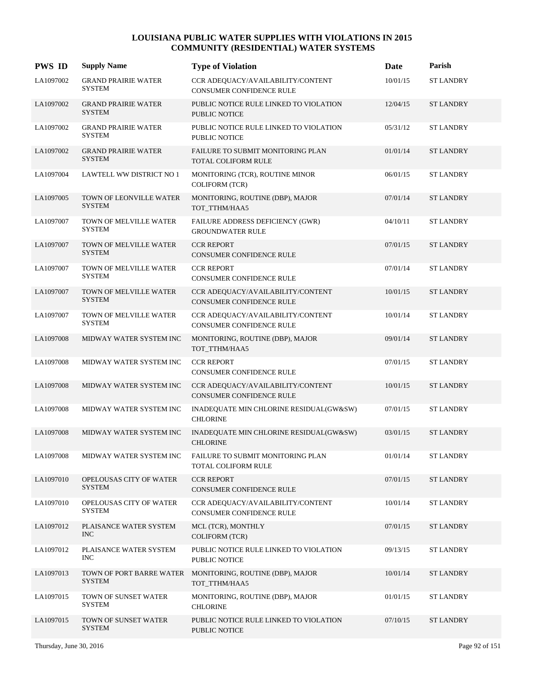| <b>PWS ID</b> | <b>Supply Name</b>                          | <b>Type of Violation</b>                                             | Date     | Parish           |
|---------------|---------------------------------------------|----------------------------------------------------------------------|----------|------------------|
| LA1097002     | <b>GRAND PRAIRIE WATER</b><br><b>SYSTEM</b> | CCR ADEQUACY/AVAILABILITY/CONTENT<br><b>CONSUMER CONFIDENCE RULE</b> | 10/01/15 | <b>ST LANDRY</b> |
| LA1097002     | <b>GRAND PRAIRIE WATER</b><br><b>SYSTEM</b> | PUBLIC NOTICE RULE LINKED TO VIOLATION<br><b>PUBLIC NOTICE</b>       | 12/04/15 | <b>ST LANDRY</b> |
| LA1097002     | <b>GRAND PRAIRIE WATER</b><br><b>SYSTEM</b> | PUBLIC NOTICE RULE LINKED TO VIOLATION<br>PUBLIC NOTICE              | 05/31/12 | <b>ST LANDRY</b> |
| LA1097002     | <b>GRAND PRAIRIE WATER</b><br><b>SYSTEM</b> | FAILURE TO SUBMIT MONITORING PLAN<br><b>TOTAL COLIFORM RULE</b>      | 01/01/14 | <b>ST LANDRY</b> |
| LA1097004     | LAWTELL WW DISTRICT NO 1                    | MONITORING (TCR), ROUTINE MINOR<br>COLIFORM (TCR)                    | 06/01/15 | <b>ST LANDRY</b> |
| LA1097005     | TOWN OF LEONVILLE WATER<br><b>SYSTEM</b>    | MONITORING, ROUTINE (DBP), MAJOR<br>TOT_TTHM/HAA5                    | 07/01/14 | <b>ST LANDRY</b> |
| LA1097007     | TOWN OF MELVILLE WATER<br><b>SYSTEM</b>     | FAILURE ADDRESS DEFICIENCY (GWR)<br><b>GROUNDWATER RULE</b>          | 04/10/11 | <b>ST LANDRY</b> |
| LA1097007     | TOWN OF MELVILLE WATER<br><b>SYSTEM</b>     | <b>CCR REPORT</b><br>CONSUMER CONFIDENCE RULE                        | 07/01/15 | <b>ST LANDRY</b> |
| LA1097007     | TOWN OF MELVILLE WATER<br><b>SYSTEM</b>     | <b>CCR REPORT</b><br>CONSUMER CONFIDENCE RULE                        | 07/01/14 | <b>ST LANDRY</b> |
| LA1097007     | TOWN OF MELVILLE WATER<br><b>SYSTEM</b>     | CCR ADEOUACY/AVAILABILITY/CONTENT<br><b>CONSUMER CONFIDENCE RULE</b> | 10/01/15 | <b>ST LANDRY</b> |
| LA1097007     | TOWN OF MELVILLE WATER<br><b>SYSTEM</b>     | CCR ADEQUACY/AVAILABILITY/CONTENT<br>CONSUMER CONFIDENCE RULE        | 10/01/14 | <b>ST LANDRY</b> |
| LA1097008     | MIDWAY WATER SYSTEM INC                     | MONITORING, ROUTINE (DBP), MAJOR<br>TOT_TTHM/HAA5                    | 09/01/14 | <b>ST LANDRY</b> |
| LA1097008     | MIDWAY WATER SYSTEM INC                     | <b>CCR REPORT</b><br>CONSUMER CONFIDENCE RULE                        | 07/01/15 | <b>ST LANDRY</b> |
| LA1097008     | MIDWAY WATER SYSTEM INC                     | CCR ADEQUACY/AVAILABILITY/CONTENT<br>CONSUMER CONFIDENCE RULE        | 10/01/15 | <b>ST LANDRY</b> |
| LA1097008     | MIDWAY WATER SYSTEM INC                     | INADEQUATE MIN CHLORINE RESIDUAL(GW&SW)<br><b>CHLORINE</b>           | 07/01/15 | <b>ST LANDRY</b> |
| LA1097008     | MIDWAY WATER SYSTEM INC                     | INADEQUATE MIN CHLORINE RESIDUAL(GW&SW)<br><b>CHLORINE</b>           | 03/01/15 | <b>ST LANDRY</b> |
| LA1097008     | MIDWAY WATER SYSTEM INC                     | FAILURE TO SUBMIT MONITORING PLAN<br>TOTAL COLIFORM RULE             | 01/01/14 | <b>ST LANDRY</b> |
| LA1097010     | OPELOUSAS CITY OF WATER<br><b>SYSTEM</b>    | <b>CCR REPORT</b><br>CONSUMER CONFIDENCE RULE                        | 07/01/15 | <b>ST LANDRY</b> |
| LA1097010     | OPELOUSAS CITY OF WATER<br><b>SYSTEM</b>    | CCR ADEQUACY/AVAILABILITY/CONTENT<br>CONSUMER CONFIDENCE RULE        | 10/01/14 | <b>ST LANDRY</b> |
| LA1097012     | PLAISANCE WATER SYSTEM<br><b>INC</b>        | MCL (TCR), MONTHLY<br><b>COLIFORM (TCR)</b>                          | 07/01/15 | <b>ST LANDRY</b> |
| LA1097012     | PLAISANCE WATER SYSTEM<br><b>INC</b>        | PUBLIC NOTICE RULE LINKED TO VIOLATION<br>PUBLIC NOTICE              | 09/13/15 | <b>ST LANDRY</b> |
| LA1097013     | TOWN OF PORT BARRE WATER<br><b>SYSTEM</b>   | MONITORING, ROUTINE (DBP), MAJOR<br>TOT_TTHM/HAA5                    | 10/01/14 | <b>ST LANDRY</b> |
| LA1097015     | TOWN OF SUNSET WATER<br><b>SYSTEM</b>       | MONITORING, ROUTINE (DBP), MAJOR<br><b>CHLORINE</b>                  | 01/01/15 | <b>ST LANDRY</b> |
| LA1097015     | TOWN OF SUNSET WATER<br><b>SYSTEM</b>       | PUBLIC NOTICE RULE LINKED TO VIOLATION<br>PUBLIC NOTICE              | 07/10/15 | <b>ST LANDRY</b> |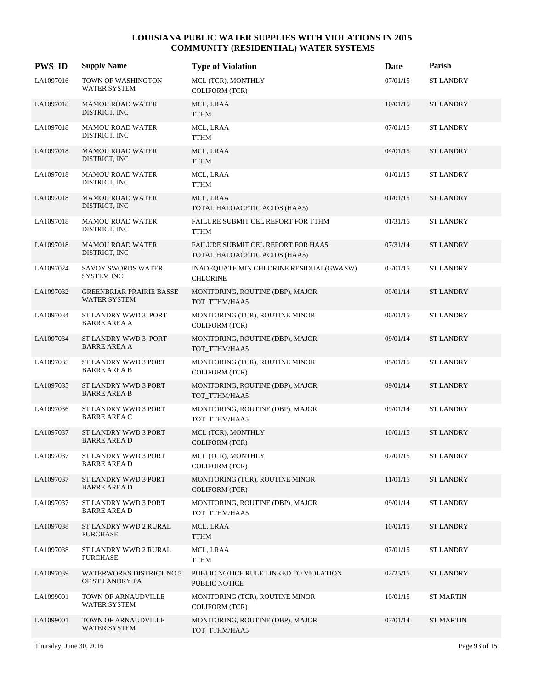| <b>PWS ID</b> | <b>Supply Name</b>                                     | <b>Type of Violation</b>                                                   | Date     | Parish           |
|---------------|--------------------------------------------------------|----------------------------------------------------------------------------|----------|------------------|
| LA1097016     | TOWN OF WASHINGTON<br><b>WATER SYSTEM</b>              | MCL (TCR), MONTHLY<br>COLIFORM (TCR)                                       | 07/01/15 | <b>ST LANDRY</b> |
| LA1097018     | <b>MAMOU ROAD WATER</b><br>DISTRICT, INC               | MCL, LRAA<br><b>TTHM</b>                                                   | 10/01/15 | <b>ST LANDRY</b> |
| LA1097018     | <b>MAMOU ROAD WATER</b><br>DISTRICT, INC               | MCL, LRAA<br><b>TTHM</b>                                                   | 07/01/15 | ST LANDRY        |
| LA1097018     | <b>MAMOU ROAD WATER</b><br>DISTRICT, INC               | MCL, LRAA<br><b>TTHM</b>                                                   | 04/01/15 | <b>ST LANDRY</b> |
| LA1097018     | <b>MAMOU ROAD WATER</b><br>DISTRICT, INC               | MCL, LRAA<br><b>TTHM</b>                                                   | 01/01/15 | <b>ST LANDRY</b> |
| LA1097018     | <b>MAMOU ROAD WATER</b><br>DISTRICT, INC               | MCL, LRAA<br>TOTAL HALOACETIC ACIDS (HAA5)                                 | 01/01/15 | <b>ST LANDRY</b> |
| LA1097018     | <b>MAMOU ROAD WATER</b><br>DISTRICT, INC               | FAILURE SUBMIT OEL REPORT FOR TTHM<br><b>TTHM</b>                          | 01/31/15 | <b>ST LANDRY</b> |
| LA1097018     | <b>MAMOU ROAD WATER</b><br>DISTRICT, INC               | <b>FAILURE SUBMIT OEL REPORT FOR HAA5</b><br>TOTAL HALOACETIC ACIDS (HAA5) | 07/31/14 | <b>ST LANDRY</b> |
| LA1097024     | SAVOY SWORDS WATER<br><b>SYSTEM INC</b>                | INADEQUATE MIN CHLORINE RESIDUAL(GW&SW)<br><b>CHLORINE</b>                 | 03/01/15 | <b>ST LANDRY</b> |
| LA1097032     | <b>GREENBRIAR PRAIRIE BASSE</b><br><b>WATER SYSTEM</b> | MONITORING, ROUTINE (DBP), MAJOR<br>TOT_TTHM/HAA5                          | 09/01/14 | <b>ST LANDRY</b> |
| LA1097034     | ST LANDRY WWD 3 PORT<br><b>BARRE AREA A</b>            | MONITORING (TCR), ROUTINE MINOR<br><b>COLIFORM (TCR)</b>                   | 06/01/15 | <b>ST LANDRY</b> |
| LA1097034     | ST LANDRY WWD 3 PORT<br><b>BARRE AREA A</b>            | MONITORING, ROUTINE (DBP), MAJOR<br>TOT_TTHM/HAA5                          | 09/01/14 | <b>ST LANDRY</b> |
| LA1097035     | ST LANDRY WWD 3 PORT<br><b>BARRE AREA B</b>            | MONITORING (TCR), ROUTINE MINOR<br><b>COLIFORM (TCR)</b>                   | 05/01/15 | <b>ST LANDRY</b> |
| LA1097035     | ST LANDRY WWD 3 PORT<br><b>BARRE AREA B</b>            | MONITORING, ROUTINE (DBP), MAJOR<br>TOT_TTHM/HAA5                          | 09/01/14 | <b>ST LANDRY</b> |
| LA1097036     | ST LANDRY WWD 3 PORT<br><b>BARRE AREA C</b>            | MONITORING, ROUTINE (DBP), MAJOR<br>TOT TTHM/HAA5                          | 09/01/14 | ST LANDRY        |
| LA1097037     | ST LANDRY WWD 3 PORT<br><b>BARRE AREA D</b>            | MCL (TCR), MONTHLY<br><b>COLIFORM (TCR)</b>                                | 10/01/15 | <b>ST LANDRY</b> |
| LA1097037     | ST LANDRY WWD 3 PORT<br><b>BARRE AREA D</b>            | MCL (TCR), MONTHLY<br><b>COLIFORM (TCR)</b>                                | 07/01/15 | <b>ST LANDRY</b> |
| LA1097037     | ST LANDRY WWD 3 PORT<br><b>BARRE AREA D</b>            | MONITORING (TCR), ROUTINE MINOR<br><b>COLIFORM (TCR)</b>                   | 11/01/15 | <b>ST LANDRY</b> |
| LA1097037     | ST LANDRY WWD 3 PORT<br><b>BARRE AREA D</b>            | MONITORING, ROUTINE (DBP), MAJOR<br>TOT TTHM/HAA5                          | 09/01/14 | <b>ST LANDRY</b> |
| LA1097038     | ST LANDRY WWD 2 RURAL<br><b>PURCHASE</b>               | MCL, LRAA<br><b>TTHM</b>                                                   | 10/01/15 | <b>ST LANDRY</b> |
| LA1097038     | ST LANDRY WWD 2 RURAL<br><b>PURCHASE</b>               | MCL, LRAA<br><b>TTHM</b>                                                   | 07/01/15 | <b>ST LANDRY</b> |
| LA1097039     | <b>WATERWORKS DISTRICT NO 5</b><br>OF ST LANDRY PA     | PUBLIC NOTICE RULE LINKED TO VIOLATION<br>PUBLIC NOTICE                    | 02/25/15 | <b>ST LANDRY</b> |
| LA1099001     | TOWN OF ARNAUDVILLE<br>WATER SYSTEM                    | MONITORING (TCR), ROUTINE MINOR<br><b>COLIFORM (TCR)</b>                   | 10/01/15 | <b>ST MARTIN</b> |
| LA1099001     | TOWN OF ARNAUDVILLE<br><b>WATER SYSTEM</b>             | MONITORING, ROUTINE (DBP), MAJOR<br>TOT_TTHM/HAA5                          | 07/01/14 | <b>ST MARTIN</b> |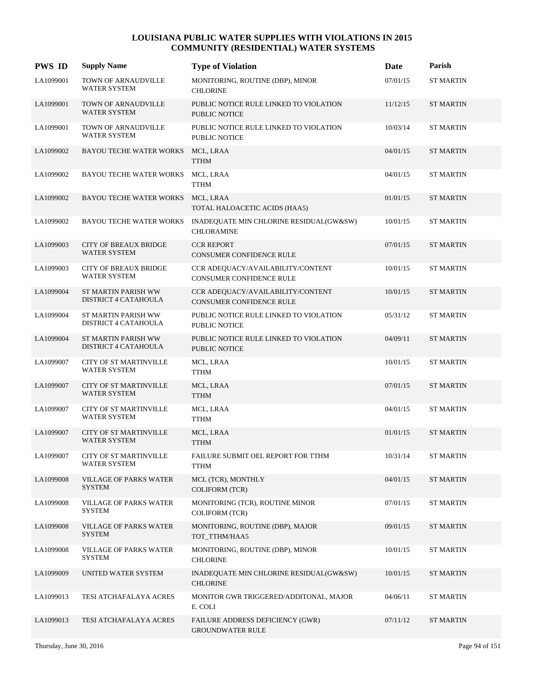| <b>PWS ID</b> | <b>Supply Name</b>                                   | <b>Type of Violation</b>                                       | Date     | Parish           |
|---------------|------------------------------------------------------|----------------------------------------------------------------|----------|------------------|
| LA1099001     | TOWN OF ARNAUDVILLE<br><b>WATER SYSTEM</b>           | MONITORING, ROUTINE (DBP), MINOR<br><b>CHLORINE</b>            | 07/01/15 | <b>ST MARTIN</b> |
| LA1099001     | TOWN OF ARNAUDVILLE<br><b>WATER SYSTEM</b>           | PUBLIC NOTICE RULE LINKED TO VIOLATION<br><b>PUBLIC NOTICE</b> | 11/12/15 | <b>ST MARTIN</b> |
| LA1099001     | TOWN OF ARNAUDVILLE<br><b>WATER SYSTEM</b>           | PUBLIC NOTICE RULE LINKED TO VIOLATION<br><b>PUBLIC NOTICE</b> | 10/03/14 | <b>ST MARTIN</b> |
| LA1099002     | <b>BAYOU TECHE WATER WORKS</b>                       | MCL, LRAA<br><b>TTHM</b>                                       | 04/01/15 | <b>ST MARTIN</b> |
| LA1099002     | <b>BAYOU TECHE WATER WORKS</b>                       | MCL, LRAA<br><b>TTHM</b>                                       | 04/01/15 | <b>ST MARTIN</b> |
| LA1099002     | BAYOU TECHE WATER WORKS                              | MCL, LRAA<br>TOTAL HALOACETIC ACIDS (HAA5)                     | 01/01/15 | <b>ST MARTIN</b> |
| LA1099002     | BAYOU TECHE WATER WORKS                              | INADEQUATE MIN CHLORINE RESIDUAL(GW&SW)<br><b>CHLORAMINE</b>   | 10/01/15 | <b>ST MARTIN</b> |
| LA1099003     | <b>CITY OF BREAUX BRIDGE</b><br><b>WATER SYSTEM</b>  | <b>CCR REPORT</b><br><b>CONSUMER CONFIDENCE RULE</b>           | 07/01/15 | <b>ST MARTIN</b> |
| LA1099003     | <b>CITY OF BREAUX BRIDGE</b><br>WATER SYSTEM         | CCR ADEQUACY/AVAILABILITY/CONTENT<br>CONSUMER CONFIDENCE RULE  | 10/01/15 | <b>ST MARTIN</b> |
| LA1099004     | <b>ST MARTIN PARISH WW</b><br>DISTRICT 4 CATAHOULA   | CCR ADEQUACY/AVAILABILITY/CONTENT<br>CONSUMER CONFIDENCE RULE  | 10/01/15 | <b>ST MARTIN</b> |
| LA1099004     | ST MARTIN PARISH WW<br>DISTRICT 4 CATAHOULA          | PUBLIC NOTICE RULE LINKED TO VIOLATION<br>PUBLIC NOTICE        | 05/31/12 | <b>ST MARTIN</b> |
| LA1099004     | <b>ST MARTIN PARISH WW</b><br>DISTRICT 4 CATAHOULA   | PUBLIC NOTICE RULE LINKED TO VIOLATION<br>PUBLIC NOTICE        | 04/09/11 | <b>ST MARTIN</b> |
| LA1099007     | <b>CITY OF ST MARTINVILLE</b><br>WATER SYSTEM        | MCL, LRAA<br><b>TTHM</b>                                       | 10/01/15 | <b>ST MARTIN</b> |
| LA1099007     | <b>CITY OF ST MARTINVILLE</b><br><b>WATER SYSTEM</b> | MCL, LRAA<br><b>TTHM</b>                                       | 07/01/15 | <b>ST MARTIN</b> |
| LA1099007     | <b>CITY OF ST MARTINVILLE</b><br>WATER SYSTEM        | MCL, LRAA<br><b>TTHM</b>                                       | 04/01/15 | <b>ST MARTIN</b> |
| LA1099007     | <b>CITY OF ST MARTINVILLE</b><br><b>WATER SYSTEM</b> | MCL, LRAA<br><b>TTHM</b>                                       | 01/01/15 | <b>ST MARTIN</b> |
| LA1099007     | <b>CITY OF ST MARTINVILLE</b><br>WATER SYSTEM        | FAILURE SUBMIT OEL REPORT FOR TTHM<br><b>TTHM</b>              | 10/31/14 | <b>ST MARTIN</b> |
| LA1099008     | <b>VILLAGE OF PARKS WATER</b><br><b>SYSTEM</b>       | MCL (TCR), MONTHLY<br><b>COLIFORM (TCR)</b>                    | 04/01/15 | <b>ST MARTIN</b> |
| LA1099008     | <b>VILLAGE OF PARKS WATER</b><br><b>SYSTEM</b>       | MONITORING (TCR), ROUTINE MINOR<br>COLIFORM (TCR)              | 07/01/15 | <b>ST MARTIN</b> |
| LA1099008     | <b>VILLAGE OF PARKS WATER</b><br><b>SYSTEM</b>       | MONITORING, ROUTINE (DBP), MAJOR<br>TOT_TTHM/HAA5              | 09/01/15 | <b>ST MARTIN</b> |
| LA1099008     | <b>VILLAGE OF PARKS WATER</b><br><b>SYSTEM</b>       | MONITORING, ROUTINE (DBP), MINOR<br><b>CHLORINE</b>            | 10/01/15 | <b>ST MARTIN</b> |
| LA1099009     | UNITED WATER SYSTEM                                  | INADEQUATE MIN CHLORINE RESIDUAL(GW&SW)<br><b>CHLORINE</b>     | 10/01/15 | <b>ST MARTIN</b> |
| LA1099013     | TESI ATCHAFALAYA ACRES                               | MONITOR GWR TRIGGERED/ADDITONAL, MAJOR<br>E. COLI              | 04/06/11 | <b>ST MARTIN</b> |
| LA1099013     | TESI ATCHAFALAYA ACRES                               | FAILURE ADDRESS DEFICIENCY (GWR)<br><b>GROUNDWATER RULE</b>    | 07/11/12 | <b>ST MARTIN</b> |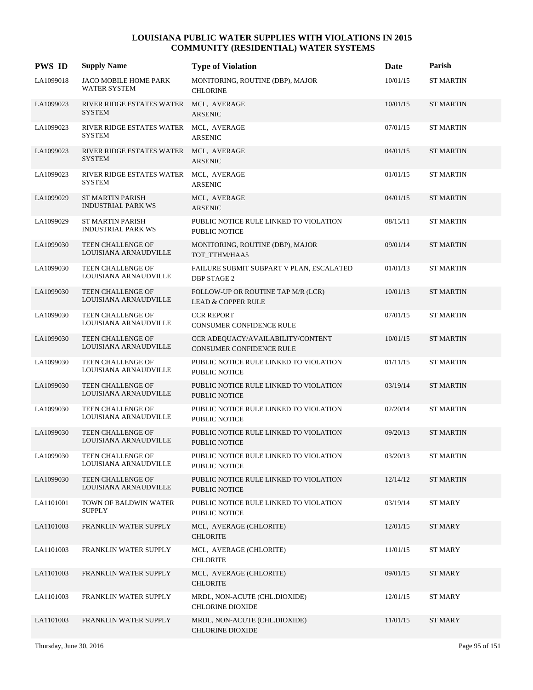| <b>PWS ID</b> | <b>Supply Name</b>                                      | <b>Type of Violation</b>                                            | Date     | Parish           |
|---------------|---------------------------------------------------------|---------------------------------------------------------------------|----------|------------------|
| LA1099018     | JACO MOBILE HOME PARK<br>WATER SYSTEM                   | MONITORING, ROUTINE (DBP), MAJOR<br><b>CHLORINE</b>                 | 10/01/15 | <b>ST MARTIN</b> |
| LA1099023     | RIVER RIDGE ESTATES WATER MCL, AVERAGE<br><b>SYSTEM</b> | <b>ARSENIC</b>                                                      | 10/01/15 | <b>ST MARTIN</b> |
| LA1099023     | RIVER RIDGE ESTATES WATER<br><b>SYSTEM</b>              | MCL, AVERAGE<br><b>ARSENIC</b>                                      | 07/01/15 | <b>ST MARTIN</b> |
| LA1099023     | RIVER RIDGE ESTATES WATER MCL, AVERAGE<br><b>SYSTEM</b> | <b>ARSENIC</b>                                                      | 04/01/15 | <b>ST MARTIN</b> |
| LA1099023     | RIVER RIDGE ESTATES WATER<br><b>SYSTEM</b>              | MCL, AVERAGE<br>ARSENIC                                             | 01/01/15 | <b>ST MARTIN</b> |
| LA1099029     | <b>ST MARTIN PARISH</b><br><b>INDUSTRIAL PARK WS</b>    | MCL, AVERAGE<br><b>ARSENIC</b>                                      | 04/01/15 | <b>ST MARTIN</b> |
| LA1099029     | <b>ST MARTIN PARISH</b><br><b>INDUSTRIAL PARK WS</b>    | PUBLIC NOTICE RULE LINKED TO VIOLATION<br><b>PUBLIC NOTICE</b>      | 08/15/11 | <b>ST MARTIN</b> |
| LA1099030     | TEEN CHALLENGE OF<br>LOUISIANA ARNAUDVILLE              | MONITORING, ROUTINE (DBP), MAJOR<br>TOT_TTHM/HAA5                   | 09/01/14 | <b>ST MARTIN</b> |
| LA1099030     | TEEN CHALLENGE OF<br>LOUISIANA ARNAUDVILLE              | FAILURE SUBMIT SUBPART V PLAN, ESCALATED<br><b>DBP STAGE 2</b>      | 01/01/13 | <b>ST MARTIN</b> |
| LA1099030     | <b>TEEN CHALLENGE OF</b><br>LOUISIANA ARNAUDVILLE       | FOLLOW-UP OR ROUTINE TAP M/R (LCR)<br><b>LEAD &amp; COPPER RULE</b> | 10/01/13 | <b>ST MARTIN</b> |
| LA1099030     | TEEN CHALLENGE OF<br>LOUISIANA ARNAUDVILLE              | <b>CCR REPORT</b><br>CONSUMER CONFIDENCE RULE                       | 07/01/15 | <b>ST MARTIN</b> |
| LA1099030     | TEEN CHALLENGE OF<br>LOUISIANA ARNAUDVILLE              | CCR ADEQUACY/AVAILABILITY/CONTENT<br>CONSUMER CONFIDENCE RULE       | 10/01/15 | <b>ST MARTIN</b> |
| LA1099030     | TEEN CHALLENGE OF<br>LOUISIANA ARNAUDVILLE              | PUBLIC NOTICE RULE LINKED TO VIOLATION<br>PUBLIC NOTICE             | 01/11/15 | <b>ST MARTIN</b> |
| LA1099030     | TEEN CHALLENGE OF<br>LOUISIANA ARNAUDVILLE              | PUBLIC NOTICE RULE LINKED TO VIOLATION<br><b>PUBLIC NOTICE</b>      | 03/19/14 | <b>ST MARTIN</b> |
| LA1099030     | TEEN CHALLENGE OF<br>LOUISIANA ARNAUDVILLE              | PUBLIC NOTICE RULE LINKED TO VIOLATION<br>PUBLIC NOTICE             | 02/20/14 | <b>ST MARTIN</b> |
| LA1099030     | <b>TEEN CHALLENGE OF</b><br>LOUISIANA ARNAUDVILLE       | PUBLIC NOTICE RULE LINKED TO VIOLATION<br>PUBLIC NOTICE             | 09/20/13 | <b>ST MARTIN</b> |
| LA1099030     | TEEN CHALLENGE OF<br>LOUISIANA ARNAUDVILLE              | PUBLIC NOTICE RULE LINKED TO VIOLATION<br>PUBLIC NOTICE             | 03/20/13 | <b>ST MARTIN</b> |
| LA1099030     | TEEN CHALLENGE OF<br>LOUISIANA ARNAUDVILLE              | PUBLIC NOTICE RULE LINKED TO VIOLATION<br>PUBLIC NOTICE             | 12/14/12 | <b>ST MARTIN</b> |
| LA1101001     | TOWN OF BALDWIN WATER<br><b>SUPPLY</b>                  | PUBLIC NOTICE RULE LINKED TO VIOLATION<br>PUBLIC NOTICE             | 03/19/14 | <b>ST MARY</b>   |
| LA1101003     | FRANKLIN WATER SUPPLY                                   | MCL, AVERAGE (CHLORITE)<br><b>CHLORITE</b>                          | 12/01/15 | <b>ST MARY</b>   |
| LA1101003     | FRANKLIN WATER SUPPLY                                   | MCL, AVERAGE (CHLORITE)<br><b>CHLORITE</b>                          | 11/01/15 | <b>ST MARY</b>   |
| LA1101003     | FRANKLIN WATER SUPPLY                                   | MCL, AVERAGE (CHLORITE)<br><b>CHLORITE</b>                          | 09/01/15 | ST MARY          |
| LA1101003     | FRANKLIN WATER SUPPLY                                   | MRDL, NON-ACUTE (CHL.DIOXIDE)<br><b>CHLORINE DIOXIDE</b>            | 12/01/15 | ST MARY          |
| LA1101003     | FRANKLIN WATER SUPPLY                                   | MRDL, NON-ACUTE (CHL.DIOXIDE)<br><b>CHLORINE DIOXIDE</b>            | 11/01/15 | <b>ST MARY</b>   |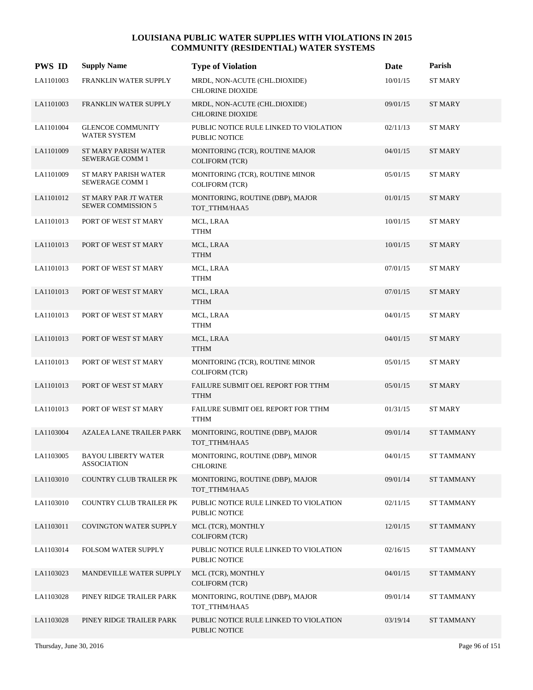| <b>PWS ID</b> | <b>Supply Name</b>                                | <b>Type of Violation</b>                                       | Date     | Parish            |
|---------------|---------------------------------------------------|----------------------------------------------------------------|----------|-------------------|
| LA1101003     | FRANKLIN WATER SUPPLY                             | MRDL, NON-ACUTE (CHL.DIOXIDE)<br><b>CHLORINE DIOXIDE</b>       | 10/01/15 | ST MARY           |
| LA1101003     | FRANKLIN WATER SUPPLY                             | MRDL, NON-ACUTE (CHL.DIOXIDE)<br><b>CHLORINE DIOXIDE</b>       | 09/01/15 | <b>ST MARY</b>    |
| LA1101004     | <b>GLENCOE COMMUNITY</b><br><b>WATER SYSTEM</b>   | PUBLIC NOTICE RULE LINKED TO VIOLATION<br><b>PUBLIC NOTICE</b> | 02/11/13 | ST MARY           |
| LA1101009     | <b>ST MARY PARISH WATER</b><br>SEWERAGE COMM 1    | MONITORING (TCR), ROUTINE MAJOR<br><b>COLIFORM (TCR)</b>       | 04/01/15 | <b>ST MARY</b>    |
| LA1101009     | ST MARY PARISH WATER<br>SEWERAGE COMM 1           | MONITORING (TCR), ROUTINE MINOR<br><b>COLIFORM (TCR)</b>       | 05/01/15 | ST MARY           |
| LA1101012     | ST MARY PAR JT WATER<br><b>SEWER COMMISSION 5</b> | MONITORING, ROUTINE (DBP), MAJOR<br>TOT_TTHM/HAA5              | 01/01/15 | <b>ST MARY</b>    |
| LA1101013     | PORT OF WEST ST MARY                              | MCL, LRAA<br><b>TTHM</b>                                       | 10/01/15 | ST MARY           |
| LA1101013     | PORT OF WEST ST MARY                              | MCL, LRAA<br><b>TTHM</b>                                       | 10/01/15 | <b>ST MARY</b>    |
| LA1101013     | PORT OF WEST ST MARY                              | MCL, LRAA<br>TTHM                                              | 07/01/15 | <b>ST MARY</b>    |
| LA1101013     | PORT OF WEST ST MARY                              | MCL, LRAA<br><b>TTHM</b>                                       | 07/01/15 | <b>ST MARY</b>    |
| LA1101013     | PORT OF WEST ST MARY                              | MCL, LRAA<br><b>TTHM</b>                                       | 04/01/15 | ST MARY           |
| LA1101013     | PORT OF WEST ST MARY                              | MCL, LRAA<br><b>TTHM</b>                                       | 04/01/15 | <b>ST MARY</b>    |
| LA1101013     | PORT OF WEST ST MARY                              | MONITORING (TCR), ROUTINE MINOR<br><b>COLIFORM (TCR)</b>       | 05/01/15 | ST MARY           |
| LA1101013     | PORT OF WEST ST MARY                              | FAILURE SUBMIT OEL REPORT FOR TTHM<br><b>TTHM</b>              | 05/01/15 | ST MARY           |
| LA1101013     | PORT OF WEST ST MARY                              | FAILURE SUBMIT OEL REPORT FOR TTHM<br><b>TTHM</b>              | 01/31/15 | ST MARY           |
| LA1103004     | <b>AZALEA LANE TRAILER PARK</b>                   | MONITORING, ROUTINE (DBP), MAJOR<br>TOT TTHM/HAA5              | 09/01/14 | <b>ST TAMMANY</b> |
| LA1103005     | <b>BAYOU LIBERTY WATER</b><br><b>ASSOCIATION</b>  | MONITORING, ROUTINE (DBP), MINOR<br><b>CHLORINE</b>            | 04/01/15 | ST TAMMANY        |
| LA1103010     | <b>COUNTRY CLUB TRAILER PK</b>                    | MONITORING, ROUTINE (DBP), MAJOR<br>TOT_TTHM/HAA5              | 09/01/14 | <b>ST TAMMANY</b> |
| LA1103010     | COUNTRY CLUB TRAILER PK                           | PUBLIC NOTICE RULE LINKED TO VIOLATION<br>PUBLIC NOTICE        | 02/11/15 | <b>ST TAMMANY</b> |
| LA1103011     | <b>COVINGTON WATER SUPPLY</b>                     | MCL (TCR), MONTHLY<br><b>COLIFORM (TCR)</b>                    | 12/01/15 | <b>ST TAMMANY</b> |
| LA1103014     | FOLSOM WATER SUPPLY                               | PUBLIC NOTICE RULE LINKED TO VIOLATION<br>PUBLIC NOTICE        | 02/16/15 | <b>ST TAMMANY</b> |
| LA1103023     | MANDEVILLE WATER SUPPLY                           | MCL (TCR), MONTHLY<br><b>COLIFORM</b> (TCR)                    | 04/01/15 | <b>ST TAMMANY</b> |
| LA1103028     | PINEY RIDGE TRAILER PARK                          | MONITORING, ROUTINE (DBP), MAJOR<br>TOT_TTHM/HAA5              | 09/01/14 | ST TAMMANY        |
| LA1103028     | PINEY RIDGE TRAILER PARK                          | PUBLIC NOTICE RULE LINKED TO VIOLATION<br>PUBLIC NOTICE        | 03/19/14 | ST TAMMANY        |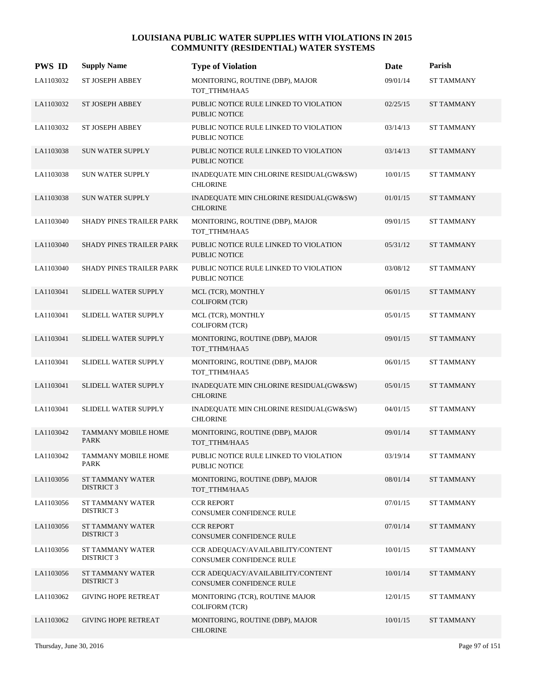| <b>PWS ID</b> | <b>Supply Name</b>                        | <b>Type of Violation</b>                                       | Date     | Parish            |
|---------------|-------------------------------------------|----------------------------------------------------------------|----------|-------------------|
| LA1103032     | <b>ST JOSEPH ABBEY</b>                    | MONITORING, ROUTINE (DBP), MAJOR<br>TOT_TTHM/HAA5              | 09/01/14 | <b>ST TAMMANY</b> |
| LA1103032     | <b>ST JOSEPH ABBEY</b>                    | PUBLIC NOTICE RULE LINKED TO VIOLATION<br>PUBLIC NOTICE        | 02/25/15 | <b>ST TAMMANY</b> |
| LA1103032     | <b>ST JOSEPH ABBEY</b>                    | PUBLIC NOTICE RULE LINKED TO VIOLATION<br><b>PUBLIC NOTICE</b> | 03/14/13 | <b>ST TAMMANY</b> |
| LA1103038     | <b>SUN WATER SUPPLY</b>                   | PUBLIC NOTICE RULE LINKED TO VIOLATION<br><b>PUBLIC NOTICE</b> | 03/14/13 | <b>ST TAMMANY</b> |
| LA1103038     | <b>SUN WATER SUPPLY</b>                   | INADEQUATE MIN CHLORINE RESIDUAL(GW&SW)<br><b>CHLORINE</b>     | 10/01/15 | <b>ST TAMMANY</b> |
| LA1103038     | <b>SUN WATER SUPPLY</b>                   | INADEQUATE MIN CHLORINE RESIDUAL(GW&SW)<br><b>CHLORINE</b>     | 01/01/15 | <b>ST TAMMANY</b> |
| LA1103040     | SHADY PINES TRAILER PARK                  | MONITORING, ROUTINE (DBP), MAJOR<br>TOT_TTHM/HAA5              | 09/01/15 | <b>ST TAMMANY</b> |
| LA1103040     | SHADY PINES TRAILER PARK                  | PUBLIC NOTICE RULE LINKED TO VIOLATION<br><b>PUBLIC NOTICE</b> | 05/31/12 | <b>ST TAMMANY</b> |
| LA1103040     | SHADY PINES TRAILER PARK                  | PUBLIC NOTICE RULE LINKED TO VIOLATION<br><b>PUBLIC NOTICE</b> | 03/08/12 | <b>ST TAMMANY</b> |
| LA1103041     | SLIDELL WATER SUPPLY                      | MCL (TCR), MONTHLY<br><b>COLIFORM (TCR)</b>                    | 06/01/15 | <b>ST TAMMANY</b> |
| LA1103041     | SLIDELL WATER SUPPLY                      | MCL (TCR), MONTHLY<br>COLIFORM (TCR)                           | 05/01/15 | <b>ST TAMMANY</b> |
| LA1103041     | SLIDELL WATER SUPPLY                      | MONITORING, ROUTINE (DBP), MAJOR<br>TOT_TTHM/HAA5              | 09/01/15 | <b>ST TAMMANY</b> |
| LA1103041     | SLIDELL WATER SUPPLY                      | MONITORING, ROUTINE (DBP), MAJOR<br>TOT_TTHM/HAA5              | 06/01/15 | <b>ST TAMMANY</b> |
| LA1103041     | SLIDELL WATER SUPPLY                      | INADEQUATE MIN CHLORINE RESIDUAL(GW&SW)<br><b>CHLORINE</b>     | 05/01/15 | <b>ST TAMMANY</b> |
| LA1103041     | SLIDELL WATER SUPPLY                      | INADEQUATE MIN CHLORINE RESIDUAL(GW&SW)<br><b>CHLORINE</b>     | 04/01/15 | <b>ST TAMMANY</b> |
| LA1103042     | <b>TAMMANY MOBILE HOME</b><br><b>PARK</b> | MONITORING, ROUTINE (DBP), MAJOR<br>TOT_TTHM/HAA5              | 09/01/14 | <b>ST TAMMANY</b> |
| LA1103042     | TAMMANY MOBILE HOME<br>PARK               | PUBLIC NOTICE RULE LINKED TO VIOLATION<br>PUBLIC NOTICE        | 03/19/14 | <b>ST TAMMANY</b> |
| LA1103056     | ST TAMMANY WATER<br><b>DISTRICT 3</b>     | MONITORING, ROUTINE (DBP), MAJOR<br>TOT_TTHM/HAA5              | 08/01/14 | <b>ST TAMMANY</b> |
| LA1103056     | ST TAMMANY WATER<br><b>DISTRICT 3</b>     | <b>CCR REPORT</b><br>CONSUMER CONFIDENCE RULE                  | 07/01/15 | <b>ST TAMMANY</b> |
| LA1103056     | ST TAMMANY WATER<br>DISTRICT 3            | <b>CCR REPORT</b><br>CONSUMER CONFIDENCE RULE                  | 07/01/14 | <b>ST TAMMANY</b> |
| LA1103056     | ST TAMMANY WATER<br>DISTRICT 3            | CCR ADEOUACY/AVAILABILITY/CONTENT<br>CONSUMER CONFIDENCE RULE  | 10/01/15 | <b>ST TAMMANY</b> |
| LA1103056     | ST TAMMANY WATER<br>DISTRICT 3            | CCR ADEQUACY/AVAILABILITY/CONTENT<br>CONSUMER CONFIDENCE RULE  | 10/01/14 | <b>ST TAMMANY</b> |
| LA1103062     | <b>GIVING HOPE RETREAT</b>                | MONITORING (TCR), ROUTINE MAJOR<br><b>COLIFORM</b> (TCR)       | 12/01/15 | <b>ST TAMMANY</b> |
| LA1103062     | <b>GIVING HOPE RETREAT</b>                | MONITORING, ROUTINE (DBP), MAJOR<br><b>CHLORINE</b>            | 10/01/15 | <b>ST TAMMANY</b> |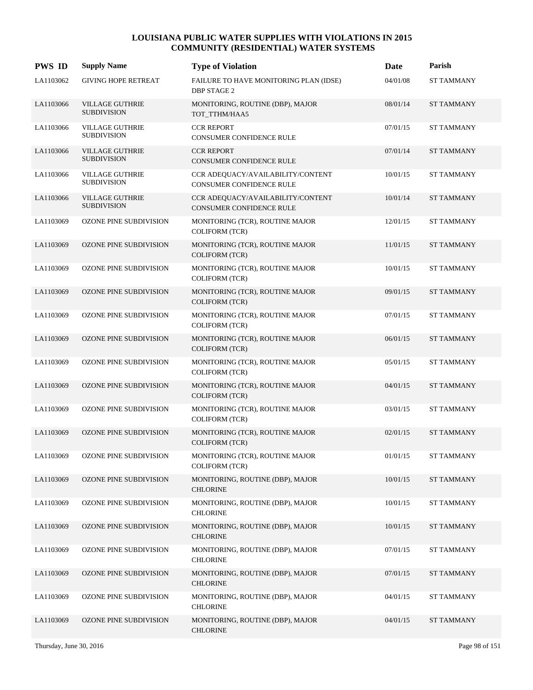| <b>PWS ID</b> | <b>Supply Name</b>                           | <b>Type of Violation</b>                                      | Date     | Parish            |
|---------------|----------------------------------------------|---------------------------------------------------------------|----------|-------------------|
| LA1103062     | <b>GIVING HOPE RETREAT</b>                   | FAILURE TO HAVE MONITORING PLAN (IDSE)<br>DBP STAGE 2         | 04/01/08 | <b>ST TAMMANY</b> |
| LA1103066     | <b>VILLAGE GUTHRIE</b><br><b>SUBDIVISION</b> | MONITORING, ROUTINE (DBP), MAJOR<br>TOT_TTHM/HAA5             | 08/01/14 | <b>ST TAMMANY</b> |
| LA1103066     | <b>VILLAGE GUTHRIE</b><br><b>SUBDIVISION</b> | <b>CCR REPORT</b><br>CONSUMER CONFIDENCE RULE                 | 07/01/15 | <b>ST TAMMANY</b> |
| LA1103066     | <b>VILLAGE GUTHRIE</b><br><b>SUBDIVISION</b> | <b>CCR REPORT</b><br>CONSUMER CONFIDENCE RULE                 | 07/01/14 | <b>ST TAMMANY</b> |
| LA1103066     | <b>VILLAGE GUTHRIE</b><br><b>SUBDIVISION</b> | CCR ADEQUACY/AVAILABILITY/CONTENT<br>CONSUMER CONFIDENCE RULE | 10/01/15 | <b>ST TAMMANY</b> |
| LA1103066     | <b>VILLAGE GUTHRIE</b><br><b>SUBDIVISION</b> | CCR ADEQUACY/AVAILABILITY/CONTENT<br>CONSUMER CONFIDENCE RULE | 10/01/14 | <b>ST TAMMANY</b> |
| LA1103069     | OZONE PINE SUBDIVISION                       | MONITORING (TCR), ROUTINE MAJOR<br><b>COLIFORM (TCR)</b>      | 12/01/15 | <b>ST TAMMANY</b> |
| LA1103069     | OZONE PINE SUBDIVISION                       | MONITORING (TCR), ROUTINE MAJOR<br><b>COLIFORM (TCR)</b>      | 11/01/15 | <b>ST TAMMANY</b> |
| LA1103069     | OZONE PINE SUBDIVISION                       | MONITORING (TCR), ROUTINE MAJOR<br><b>COLIFORM (TCR)</b>      | 10/01/15 | <b>ST TAMMANY</b> |
| LA1103069     | OZONE PINE SUBDIVISION                       | MONITORING (TCR), ROUTINE MAJOR<br>COLIFORM (TCR)             | 09/01/15 | <b>ST TAMMANY</b> |
| LA1103069     | OZONE PINE SUBDIVISION                       | MONITORING (TCR), ROUTINE MAJOR<br><b>COLIFORM (TCR)</b>      | 07/01/15 | <b>ST TAMMANY</b> |
| LA1103069     | <b>OZONE PINE SUBDIVISION</b>                | MONITORING (TCR), ROUTINE MAJOR<br>COLIFORM (TCR)             | 06/01/15 | <b>ST TAMMANY</b> |
| LA1103069     | OZONE PINE SUBDIVISION                       | MONITORING (TCR), ROUTINE MAJOR<br>COLIFORM (TCR)             | 05/01/15 | <b>ST TAMMANY</b> |
| LA1103069     | OZONE PINE SUBDIVISION                       | MONITORING (TCR), ROUTINE MAJOR<br>COLIFORM (TCR)             | 04/01/15 | <b>ST TAMMANY</b> |
| LA1103069     | <b>OZONE PINE SUBDIVISION</b>                | MONITORING (TCR), ROUTINE MAJOR<br><b>COLIFORM (TCR)</b>      | 03/01/15 | <b>ST TAMMANY</b> |
| LA1103069     | <b>OZONE PINE SUBDIVISION</b>                | MONITORING (TCR), ROUTINE MAJOR<br><b>COLIFORM (TCR)</b>      | 02/01/15 | <b>ST TAMMANY</b> |
| LA1103069     | OZONE PINE SUBDIVISION                       | MONITORING (TCR), ROUTINE MAJOR<br><b>COLIFORM (TCR)</b>      | 01/01/15 | <b>ST TAMMANY</b> |
| LA1103069     | OZONE PINE SUBDIVISION                       | MONITORING, ROUTINE (DBP), MAJOR<br><b>CHLORINE</b>           | 10/01/15 | <b>ST TAMMANY</b> |
| LA1103069     | OZONE PINE SUBDIVISION                       | MONITORING, ROUTINE (DBP), MAJOR<br><b>CHLORINE</b>           | 10/01/15 | <b>ST TAMMANY</b> |
| LA1103069     | OZONE PINE SUBDIVISION                       | MONITORING, ROUTINE (DBP), MAJOR<br><b>CHLORINE</b>           | 10/01/15 | <b>ST TAMMANY</b> |
| LA1103069     | OZONE PINE SUBDIVISION                       | MONITORING, ROUTINE (DBP), MAJOR<br><b>CHLORINE</b>           | 07/01/15 | <b>ST TAMMANY</b> |
| LA1103069     | <b>OZONE PINE SUBDIVISION</b>                | MONITORING, ROUTINE (DBP), MAJOR<br><b>CHLORINE</b>           | 07/01/15 | <b>ST TAMMANY</b> |
| LA1103069     | OZONE PINE SUBDIVISION                       | MONITORING, ROUTINE (DBP), MAJOR<br><b>CHLORINE</b>           | 04/01/15 | <b>ST TAMMANY</b> |
| LA1103069     | OZONE PINE SUBDIVISION                       | MONITORING, ROUTINE (DBP), MAJOR<br><b>CHLORINE</b>           | 04/01/15 | <b>ST TAMMANY</b> |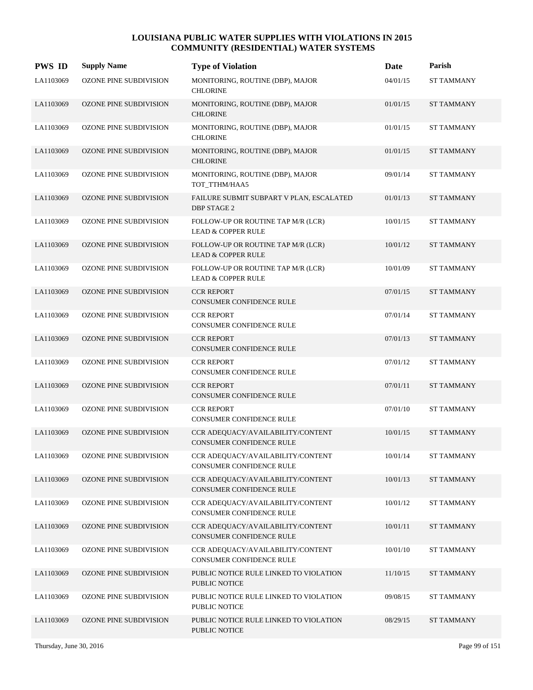| <b>PWS ID</b> | <b>Supply Name</b>            | <b>Type of Violation</b>                                             | Date     | Parish            |
|---------------|-------------------------------|----------------------------------------------------------------------|----------|-------------------|
| LA1103069     | <b>OZONE PINE SUBDIVISION</b> | MONITORING, ROUTINE (DBP), MAJOR<br><b>CHLORINE</b>                  | 04/01/15 | <b>ST TAMMANY</b> |
| LA1103069     | <b>OZONE PINE SUBDIVISION</b> | MONITORING, ROUTINE (DBP), MAJOR<br><b>CHLORINE</b>                  | 01/01/15 | <b>ST TAMMANY</b> |
| LA1103069     | <b>OZONE PINE SUBDIVISION</b> | MONITORING, ROUTINE (DBP), MAJOR<br><b>CHLORINE</b>                  | 01/01/15 | <b>ST TAMMANY</b> |
| LA1103069     | <b>OZONE PINE SUBDIVISION</b> | MONITORING, ROUTINE (DBP), MAJOR<br><b>CHLORINE</b>                  | 01/01/15 | <b>ST TAMMANY</b> |
| LA1103069     | <b>OZONE PINE SUBDIVISION</b> | MONITORING, ROUTINE (DBP), MAJOR<br>TOT_TTHM/HAA5                    | 09/01/14 | <b>ST TAMMANY</b> |
| LA1103069     | <b>OZONE PINE SUBDIVISION</b> | FAILURE SUBMIT SUBPART V PLAN, ESCALATED<br>DBP STAGE 2              | 01/01/13 | <b>ST TAMMANY</b> |
| LA1103069     | OZONE PINE SUBDIVISION        | FOLLOW-UP OR ROUTINE TAP M/R (LCR)<br><b>LEAD &amp; COPPER RULE</b>  | 10/01/15 | <b>ST TAMMANY</b> |
| LA1103069     | <b>OZONE PINE SUBDIVISION</b> | FOLLOW-UP OR ROUTINE TAP M/R (LCR)<br><b>LEAD &amp; COPPER RULE</b>  | 10/01/12 | <b>ST TAMMANY</b> |
| LA1103069     | <b>OZONE PINE SUBDIVISION</b> | FOLLOW-UP OR ROUTINE TAP M/R (LCR)<br><b>LEAD &amp; COPPER RULE</b>  | 10/01/09 | <b>ST TAMMANY</b> |
| LA1103069     | OZONE PINE SUBDIVISION        | <b>CCR REPORT</b><br>CONSUMER CONFIDENCE RULE                        | 07/01/15 | <b>ST TAMMANY</b> |
| LA1103069     | OZONE PINE SUBDIVISION        | <b>CCR REPORT</b><br>CONSUMER CONFIDENCE RULE                        | 07/01/14 | <b>ST TAMMANY</b> |
| LA1103069     | <b>OZONE PINE SUBDIVISION</b> | <b>CCR REPORT</b><br>CONSUMER CONFIDENCE RULE                        | 07/01/13 | <b>ST TAMMANY</b> |
| LA1103069     | OZONE PINE SUBDIVISION        | <b>CCR REPORT</b><br>CONSUMER CONFIDENCE RULE                        | 07/01/12 | <b>ST TAMMANY</b> |
| LA1103069     | OZONE PINE SUBDIVISION        | <b>CCR REPORT</b><br>CONSUMER CONFIDENCE RULE                        | 07/01/11 | <b>ST TAMMANY</b> |
| LA1103069     | OZONE PINE SUBDIVISION        | <b>CCR REPORT</b><br>CONSUMER CONFIDENCE RULE                        | 07/01/10 | <b>ST TAMMANY</b> |
| LA1103069     | <b>OZONE PINE SUBDIVISION</b> | CCR ADEQUACY/AVAILABILITY/CONTENT<br><b>CONSUMER CONFIDENCE RULE</b> | 10/01/15 | <b>ST TAMMANY</b> |
| LA1103069     | OZONE PINE SUBDIVISION        | CCR ADEQUACY/AVAILABILITY/CONTENT<br>CONSUMER CONFIDENCE RULE        | 10/01/14 | ST TAMMANY        |
| LA1103069     | OZONE PINE SUBDIVISION        | CCR ADEQUACY/AVAILABILITY/CONTENT<br>CONSUMER CONFIDENCE RULE        | 10/01/13 | <b>ST TAMMANY</b> |
| LA1103069     | OZONE PINE SUBDIVISION        | CCR ADEQUACY/AVAILABILITY/CONTENT<br>CONSUMER CONFIDENCE RULE        | 10/01/12 | <b>ST TAMMANY</b> |
| LA1103069     | OZONE PINE SUBDIVISION        | CCR ADEQUACY/AVAILABILITY/CONTENT<br>CONSUMER CONFIDENCE RULE        | 10/01/11 | <b>ST TAMMANY</b> |
| LA1103069     | OZONE PINE SUBDIVISION        | CCR ADEQUACY/AVAILABILITY/CONTENT<br>CONSUMER CONFIDENCE RULE        | 10/01/10 | <b>ST TAMMANY</b> |
| LA1103069     | OZONE PINE SUBDIVISION        | PUBLIC NOTICE RULE LINKED TO VIOLATION<br>PUBLIC NOTICE              | 11/10/15 | <b>ST TAMMANY</b> |
| LA1103069     | OZONE PINE SUBDIVISION        | PUBLIC NOTICE RULE LINKED TO VIOLATION<br>PUBLIC NOTICE              | 09/08/15 | <b>ST TAMMANY</b> |
| LA1103069     | OZONE PINE SUBDIVISION        | PUBLIC NOTICE RULE LINKED TO VIOLATION<br>PUBLIC NOTICE              | 08/29/15 | <b>ST TAMMANY</b> |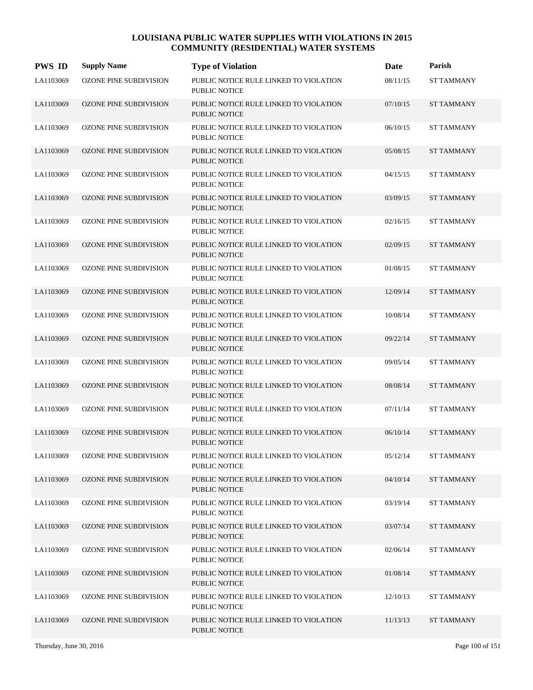| <b>PWS ID</b> | <b>Supply Name</b>            | <b>Type of Violation</b>                                       | Date     | Parish            |
|---------------|-------------------------------|----------------------------------------------------------------|----------|-------------------|
| LA1103069     | <b>OZONE PINE SUBDIVISION</b> | PUBLIC NOTICE RULE LINKED TO VIOLATION<br><b>PUBLIC NOTICE</b> | 08/11/15 | <b>ST TAMMANY</b> |
| LA1103069     | <b>OZONE PINE SUBDIVISION</b> | PUBLIC NOTICE RULE LINKED TO VIOLATION<br><b>PUBLIC NOTICE</b> | 07/10/15 | <b>ST TAMMANY</b> |
| LA1103069     | OZONE PINE SUBDIVISION        | PUBLIC NOTICE RULE LINKED TO VIOLATION<br><b>PUBLIC NOTICE</b> | 06/10/15 | <b>ST TAMMANY</b> |
| LA1103069     | <b>OZONE PINE SUBDIVISION</b> | PUBLIC NOTICE RULE LINKED TO VIOLATION<br><b>PUBLIC NOTICE</b> | 05/08/15 | <b>ST TAMMANY</b> |
| LA1103069     | OZONE PINE SUBDIVISION        | PUBLIC NOTICE RULE LINKED TO VIOLATION<br><b>PUBLIC NOTICE</b> | 04/15/15 | <b>ST TAMMANY</b> |
| LA1103069     | <b>OZONE PINE SUBDIVISION</b> | PUBLIC NOTICE RULE LINKED TO VIOLATION<br><b>PUBLIC NOTICE</b> | 03/09/15 | <b>ST TAMMANY</b> |
| LA1103069     | <b>OZONE PINE SUBDIVISION</b> | PUBLIC NOTICE RULE LINKED TO VIOLATION<br><b>PUBLIC NOTICE</b> | 02/16/15 | <b>ST TAMMANY</b> |
| LA1103069     | <b>OZONE PINE SUBDIVISION</b> | PUBLIC NOTICE RULE LINKED TO VIOLATION<br><b>PUBLIC NOTICE</b> | 02/09/15 | <b>ST TAMMANY</b> |
| LA1103069     | OZONE PINE SUBDIVISION        | PUBLIC NOTICE RULE LINKED TO VIOLATION<br>PUBLIC NOTICE        | 01/08/15 | <b>ST TAMMANY</b> |
| LA1103069     | <b>OZONE PINE SUBDIVISION</b> | PUBLIC NOTICE RULE LINKED TO VIOLATION<br><b>PUBLIC NOTICE</b> | 12/09/14 | <b>ST TAMMANY</b> |
| LA1103069     | OZONE PINE SUBDIVISION        | PUBLIC NOTICE RULE LINKED TO VIOLATION<br><b>PUBLIC NOTICE</b> | 10/08/14 | <b>ST TAMMANY</b> |
| LA1103069     | <b>OZONE PINE SUBDIVISION</b> | PUBLIC NOTICE RULE LINKED TO VIOLATION<br><b>PUBLIC NOTICE</b> | 09/22/14 | <b>ST TAMMANY</b> |
| LA1103069     | <b>OZONE PINE SUBDIVISION</b> | PUBLIC NOTICE RULE LINKED TO VIOLATION<br><b>PUBLIC NOTICE</b> | 09/05/14 | <b>ST TAMMANY</b> |
| LA1103069     | <b>OZONE PINE SUBDIVISION</b> | PUBLIC NOTICE RULE LINKED TO VIOLATION<br><b>PUBLIC NOTICE</b> | 08/08/14 | <b>ST TAMMANY</b> |
| LA1103069     | OZONE PINE SUBDIVISION        | PUBLIC NOTICE RULE LINKED TO VIOLATION<br>PUBLIC NOTICE        | 07/11/14 | <b>ST TAMMANY</b> |
| LA1103069     | <b>OZONE PINE SUBDIVISION</b> | PUBLIC NOTICE RULE LINKED TO VIOLATION<br>PUBLIC NOTICE        | 06/10/14 | <b>ST TAMMANY</b> |
| LA1103069     | <b>OZONE PINE SUBDIVISION</b> | PUBLIC NOTICE RULE LINKED TO VIOLATION<br>PUBLIC NOTICE        | 05/12/14 | <b>ST TAMMANY</b> |
| LA1103069     | OZONE PINE SUBDIVISION        | PUBLIC NOTICE RULE LINKED TO VIOLATION<br>PUBLIC NOTICE        | 04/10/14 | <b>ST TAMMANY</b> |
| LA1103069     | OZONE PINE SUBDIVISION        | PUBLIC NOTICE RULE LINKED TO VIOLATION<br>PUBLIC NOTICE        | 03/19/14 | <b>ST TAMMANY</b> |
| LA1103069     | <b>OZONE PINE SUBDIVISION</b> | PUBLIC NOTICE RULE LINKED TO VIOLATION<br>PUBLIC NOTICE        | 03/07/14 | <b>ST TAMMANY</b> |
| LA1103069     | OZONE PINE SUBDIVISION        | PUBLIC NOTICE RULE LINKED TO VIOLATION<br>PUBLIC NOTICE        | 02/06/14 | ST TAMMANY        |
| LA1103069     | OZONE PINE SUBDIVISION        | PUBLIC NOTICE RULE LINKED TO VIOLATION<br>PUBLIC NOTICE        | 01/08/14 | ST TAMMANY        |
| LA1103069     | OZONE PINE SUBDIVISION        | PUBLIC NOTICE RULE LINKED TO VIOLATION<br>PUBLIC NOTICE        | 12/10/13 | ST TAMMANY        |
| LA1103069     | <b>OZONE PINE SUBDIVISION</b> | PUBLIC NOTICE RULE LINKED TO VIOLATION<br>PUBLIC NOTICE        | 11/13/13 | ST TAMMANY        |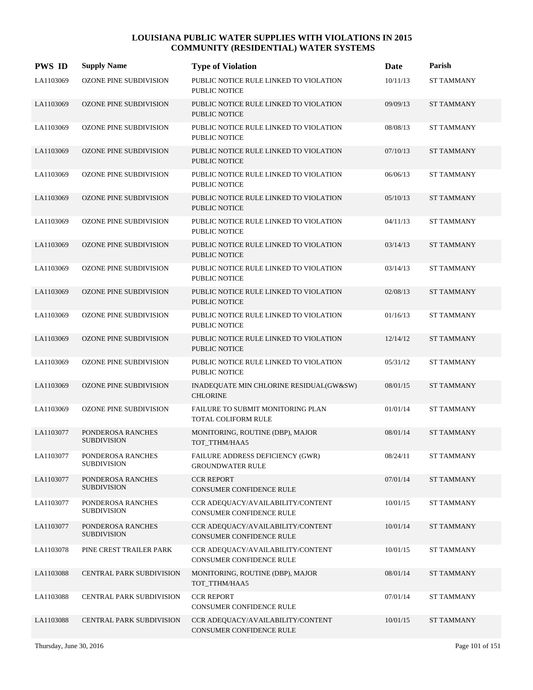| <b>PWS ID</b> | <b>Supply Name</b>                      | <b>Type of Violation</b>                                        | Date     | Parish            |
|---------------|-----------------------------------------|-----------------------------------------------------------------|----------|-------------------|
| LA1103069     | <b>OZONE PINE SUBDIVISION</b>           | PUBLIC NOTICE RULE LINKED TO VIOLATION<br><b>PUBLIC NOTICE</b>  | 10/11/13 | <b>ST TAMMANY</b> |
| LA1103069     | <b>OZONE PINE SUBDIVISION</b>           | PUBLIC NOTICE RULE LINKED TO VIOLATION<br><b>PUBLIC NOTICE</b>  | 09/09/13 | <b>ST TAMMANY</b> |
| LA1103069     | OZONE PINE SUBDIVISION                  | PUBLIC NOTICE RULE LINKED TO VIOLATION<br><b>PUBLIC NOTICE</b>  | 08/08/13 | <b>ST TAMMANY</b> |
| LA1103069     | <b>OZONE PINE SUBDIVISION</b>           | PUBLIC NOTICE RULE LINKED TO VIOLATION<br><b>PUBLIC NOTICE</b>  | 07/10/13 | <b>ST TAMMANY</b> |
| LA1103069     | OZONE PINE SUBDIVISION                  | PUBLIC NOTICE RULE LINKED TO VIOLATION<br><b>PUBLIC NOTICE</b>  | 06/06/13 | <b>ST TAMMANY</b> |
| LA1103069     | <b>OZONE PINE SUBDIVISION</b>           | PUBLIC NOTICE RULE LINKED TO VIOLATION<br><b>PUBLIC NOTICE</b>  | 05/10/13 | <b>ST TAMMANY</b> |
| LA1103069     | <b>OZONE PINE SUBDIVISION</b>           | PUBLIC NOTICE RULE LINKED TO VIOLATION<br><b>PUBLIC NOTICE</b>  | 04/11/13 | <b>ST TAMMANY</b> |
| LA1103069     | <b>OZONE PINE SUBDIVISION</b>           | PUBLIC NOTICE RULE LINKED TO VIOLATION<br><b>PUBLIC NOTICE</b>  | 03/14/13 | <b>ST TAMMANY</b> |
| LA1103069     | OZONE PINE SUBDIVISION                  | PUBLIC NOTICE RULE LINKED TO VIOLATION<br><b>PUBLIC NOTICE</b>  | 03/14/13 | <b>ST TAMMANY</b> |
| LA1103069     | <b>OZONE PINE SUBDIVISION</b>           | PUBLIC NOTICE RULE LINKED TO VIOLATION<br><b>PUBLIC NOTICE</b>  | 02/08/13 | <b>ST TAMMANY</b> |
| LA1103069     | OZONE PINE SUBDIVISION                  | PUBLIC NOTICE RULE LINKED TO VIOLATION<br><b>PUBLIC NOTICE</b>  | 01/16/13 | <b>ST TAMMANY</b> |
| LA1103069     | <b>OZONE PINE SUBDIVISION</b>           | PUBLIC NOTICE RULE LINKED TO VIOLATION<br><b>PUBLIC NOTICE</b>  | 12/14/12 | <b>ST TAMMANY</b> |
| LA1103069     | <b>OZONE PINE SUBDIVISION</b>           | PUBLIC NOTICE RULE LINKED TO VIOLATION<br><b>PUBLIC NOTICE</b>  | 05/31/12 | <b>ST TAMMANY</b> |
| LA1103069     | <b>OZONE PINE SUBDIVISION</b>           | INADEQUATE MIN CHLORINE RESIDUAL(GW&SW)<br><b>CHLORINE</b>      | 08/01/15 | <b>ST TAMMANY</b> |
| LA1103069     | OZONE PINE SUBDIVISION                  | <b>FAILURE TO SUBMIT MONITORING PLAN</b><br>TOTAL COLIFORM RULE | 01/01/14 | <b>ST TAMMANY</b> |
| LA1103077     | PONDEROSA RANCHES<br><b>SUBDIVISION</b> | MONITORING, ROUTINE (DBP), MAJOR<br>TOT TTHM/HAA5               | 08/01/14 | <b>ST TAMMANY</b> |
| LA1103077     | PONDEROSA RANCHES<br><b>SUBDIVISION</b> | FAILURE ADDRESS DEFICIENCY (GWR)<br><b>GROUNDWATER RULE</b>     | 08/24/11 | <b>ST TAMMANY</b> |
| LA1103077     | PONDEROSA RANCHES<br><b>SUBDIVISION</b> | <b>CCR REPORT</b><br>CONSUMER CONFIDENCE RULE                   | 07/01/14 | <b>ST TAMMANY</b> |
| LA1103077     | PONDEROSA RANCHES<br><b>SUBDIVISION</b> | CCR ADEQUACY/AVAILABILITY/CONTENT<br>CONSUMER CONFIDENCE RULE   | 10/01/15 | ST TAMMANY        |
| LA1103077     | PONDEROSA RANCHES<br><b>SUBDIVISION</b> | CCR ADEQUACY/AVAILABILITY/CONTENT<br>CONSUMER CONFIDENCE RULE   | 10/01/14 | <b>ST TAMMANY</b> |
| LA1103078     | PINE CREST TRAILER PARK                 | CCR ADEOUACY/AVAILABILITY/CONTENT<br>CONSUMER CONFIDENCE RULE   | 10/01/15 | ST TAMMANY        |
| LA1103088     | CENTRAL PARK SUBDIVISION                | MONITORING, ROUTINE (DBP), MAJOR<br>TOT_TTHM/HAA5               | 08/01/14 | <b>ST TAMMANY</b> |
| LA1103088     | CENTRAL PARK SUBDIVISION                | <b>CCR REPORT</b><br>CONSUMER CONFIDENCE RULE                   | 07/01/14 | <b>ST TAMMANY</b> |
| LA1103088     | CENTRAL PARK SUBDIVISION                | CCR ADEQUACY/AVAILABILITY/CONTENT<br>CONSUMER CONFIDENCE RULE   | 10/01/15 | <b>ST TAMMANY</b> |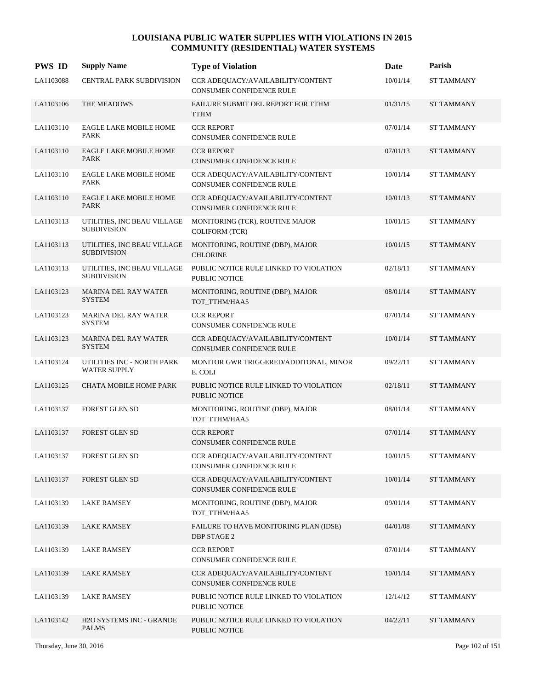| <b>PWS ID</b> | <b>Supply Name</b>                                | <b>Type of Violation</b>                                       | Date     | Parish            |
|---------------|---------------------------------------------------|----------------------------------------------------------------|----------|-------------------|
| LA1103088     | <b>CENTRAL PARK SUBDIVISION</b>                   | CCR ADEQUACY/AVAILABILITY/CONTENT<br>CONSUMER CONFIDENCE RULE  | 10/01/14 | <b>ST TAMMANY</b> |
| LA1103106     | THE MEADOWS                                       | FAILURE SUBMIT OEL REPORT FOR TTHM<br><b>TTHM</b>              | 01/31/15 | <b>ST TAMMANY</b> |
| LA1103110     | <b>EAGLE LAKE MOBILE HOME</b><br><b>PARK</b>      | <b>CCR REPORT</b><br>CONSUMER CONFIDENCE RULE                  | 07/01/14 | <b>ST TAMMANY</b> |
| LA1103110     | EAGLE LAKE MOBILE HOME<br>PARK                    | <b>CCR REPORT</b><br>CONSUMER CONFIDENCE RULE                  | 07/01/13 | <b>ST TAMMANY</b> |
| LA1103110     | <b>EAGLE LAKE MOBILE HOME</b><br>PARK             | CCR ADEQUACY/AVAILABILITY/CONTENT<br>CONSUMER CONFIDENCE RULE  | 10/01/14 | <b>ST TAMMANY</b> |
| LA1103110     | <b>EAGLE LAKE MOBILE HOME</b><br>PARK             | CCR ADEQUACY/AVAILABILITY/CONTENT<br>CONSUMER CONFIDENCE RULE  | 10/01/13 | <b>ST TAMMANY</b> |
| LA1103113     | UTILITIES, INC BEAU VILLAGE<br><b>SUBDIVISION</b> | MONITORING (TCR), ROUTINE MAJOR<br><b>COLIFORM (TCR)</b>       | 10/01/15 | <b>ST TAMMANY</b> |
| LA1103113     | UTILITIES, INC BEAU VILLAGE<br><b>SUBDIVISION</b> | MONITORING, ROUTINE (DBP), MAJOR<br><b>CHLORINE</b>            | 10/01/15 | <b>ST TAMMANY</b> |
| LA1103113     | UTILITIES, INC BEAU VILLAGE<br><b>SUBDIVISION</b> | PUBLIC NOTICE RULE LINKED TO VIOLATION<br>PUBLIC NOTICE        | 02/18/11 | <b>ST TAMMANY</b> |
| LA1103123     | <b>MARINA DEL RAY WATER</b><br><b>SYSTEM</b>      | MONITORING, ROUTINE (DBP), MAJOR<br>TOT_TTHM/HAA5              | 08/01/14 | <b>ST TAMMANY</b> |
| LA1103123     | MARINA DEL RAY WATER<br><b>SYSTEM</b>             | <b>CCR REPORT</b><br>CONSUMER CONFIDENCE RULE                  | 07/01/14 | <b>ST TAMMANY</b> |
| LA1103123     | <b>MARINA DEL RAY WATER</b><br><b>SYSTEM</b>      | CCR ADEQUACY/AVAILABILITY/CONTENT<br>CONSUMER CONFIDENCE RULE  | 10/01/14 | <b>ST TAMMANY</b> |
| LA1103124     | UTILITIES INC - NORTH PARK<br><b>WATER SUPPLY</b> | MONITOR GWR TRIGGERED/ADDITONAL, MINOR<br>E. COLI              | 09/22/11 | <b>ST TAMMANY</b> |
| LA1103125     | CHATA MOBILE HOME PARK                            | PUBLIC NOTICE RULE LINKED TO VIOLATION<br><b>PUBLIC NOTICE</b> | 02/18/11 | <b>ST TAMMANY</b> |
| LA1103137     | FOREST GLEN SD                                    | MONITORING, ROUTINE (DBP), MAJOR<br>TOT_TTHM/HAA5              | 08/01/14 | <b>ST TAMMANY</b> |
| LA1103137     | <b>FOREST GLEN SD</b>                             | <b>CCR REPORT</b><br><b>CONSUMER CONFIDENCE RULE</b>           | 07/01/14 | <b>ST TAMMANY</b> |
| LA1103137     | FOREST GLEN SD                                    | CCR ADEQUACY/AVAILABILITY/CONTENT<br>CONSUMER CONFIDENCE RULE  | 10/01/15 | <b>ST TAMMANY</b> |
| LA1103137     | <b>FOREST GLEN SD</b>                             | CCR ADEQUACY/AVAILABILITY/CONTENT<br>CONSUMER CONFIDENCE RULE  | 10/01/14 | <b>ST TAMMANY</b> |
| LA1103139     | <b>LAKE RAMSEY</b>                                | MONITORING, ROUTINE (DBP), MAJOR<br>TOT_TTHM/HAA5              | 09/01/14 | <b>ST TAMMANY</b> |
| LA1103139     | <b>LAKE RAMSEY</b>                                | FAILURE TO HAVE MONITORING PLAN (IDSE)<br><b>DBP STAGE 2</b>   | 04/01/08 | <b>ST TAMMANY</b> |
| LA1103139     | <b>LAKE RAMSEY</b>                                | <b>CCR REPORT</b><br>CONSUMER CONFIDENCE RULE                  | 07/01/14 | <b>ST TAMMANY</b> |
| LA1103139     | <b>LAKE RAMSEY</b>                                | CCR ADEQUACY/AVAILABILITY/CONTENT<br>CONSUMER CONFIDENCE RULE  | 10/01/14 | ST TAMMANY        |
| LA1103139     | <b>LAKE RAMSEY</b>                                | PUBLIC NOTICE RULE LINKED TO VIOLATION<br>PUBLIC NOTICE        | 12/14/12 | ST TAMMANY        |
| LA1103142     | <b>H2O SYSTEMS INC - GRANDE</b><br><b>PALMS</b>   | PUBLIC NOTICE RULE LINKED TO VIOLATION<br>PUBLIC NOTICE        | 04/22/11 | <b>ST TAMMANY</b> |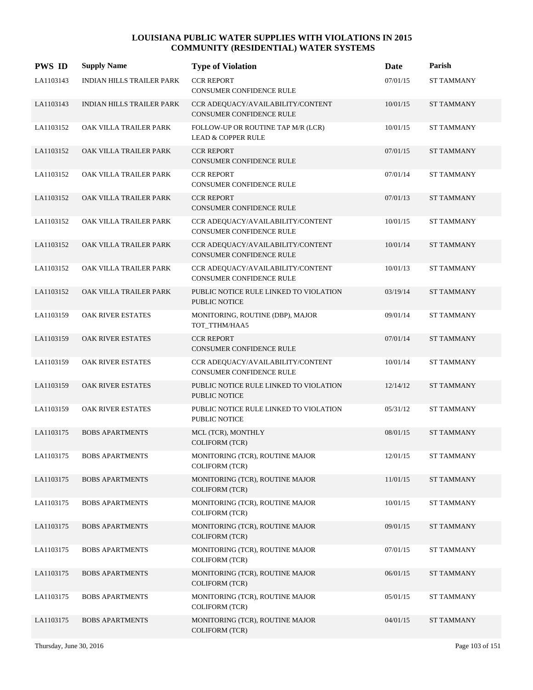| <b>PWS ID</b> | <b>Supply Name</b>               | <b>Type of Violation</b>                                             | Date     | Parish            |
|---------------|----------------------------------|----------------------------------------------------------------------|----------|-------------------|
| LA1103143     | <b>INDIAN HILLS TRAILER PARK</b> | <b>CCR REPORT</b><br><b>CONSUMER CONFIDENCE RULE</b>                 | 07/01/15 | <b>ST TAMMANY</b> |
| LA1103143     | INDIAN HILLS TRAILER PARK        | CCR ADEQUACY/AVAILABILITY/CONTENT<br><b>CONSUMER CONFIDENCE RULE</b> | 10/01/15 | <b>ST TAMMANY</b> |
| LA1103152     | OAK VILLA TRAILER PARK           | FOLLOW-UP OR ROUTINE TAP M/R (LCR)<br><b>LEAD &amp; COPPER RULE</b>  | 10/01/15 | ST TAMMANY        |
| LA1103152     | OAK VILLA TRAILER PARK           | <b>CCR REPORT</b><br>CONSUMER CONFIDENCE RULE                        | 07/01/15 | <b>ST TAMMANY</b> |
| LA1103152     | OAK VILLA TRAILER PARK           | <b>CCR REPORT</b><br>CONSUMER CONFIDENCE RULE                        | 07/01/14 | <b>ST TAMMANY</b> |
| LA1103152     | OAK VILLA TRAILER PARK           | <b>CCR REPORT</b><br>CONSUMER CONFIDENCE RULE                        | 07/01/13 | <b>ST TAMMANY</b> |
| LA1103152     | OAK VILLA TRAILER PARK           | CCR ADEQUACY/AVAILABILITY/CONTENT<br>CONSUMER CONFIDENCE RULE        | 10/01/15 | <b>ST TAMMANY</b> |
| LA1103152     | OAK VILLA TRAILER PARK           | CCR ADEQUACY/AVAILABILITY/CONTENT<br><b>CONSUMER CONFIDENCE RULE</b> | 10/01/14 | <b>ST TAMMANY</b> |
| LA1103152     | OAK VILLA TRAILER PARK           | CCR ADEQUACY/AVAILABILITY/CONTENT<br>CONSUMER CONFIDENCE RULE        | 10/01/13 | <b>ST TAMMANY</b> |
| LA1103152     | OAK VILLA TRAILER PARK           | PUBLIC NOTICE RULE LINKED TO VIOLATION<br><b>PUBLIC NOTICE</b>       | 03/19/14 | <b>ST TAMMANY</b> |
| LA1103159     | OAK RIVER ESTATES                | MONITORING, ROUTINE (DBP), MAJOR<br>TOT_TTHM/HAA5                    | 09/01/14 | <b>ST TAMMANY</b> |
| LA1103159     | OAK RIVER ESTATES                | <b>CCR REPORT</b><br>CONSUMER CONFIDENCE RULE                        | 07/01/14 | <b>ST TAMMANY</b> |
| LA1103159     | OAK RIVER ESTATES                | CCR ADEQUACY/AVAILABILITY/CONTENT<br>CONSUMER CONFIDENCE RULE        | 10/01/14 | <b>ST TAMMANY</b> |
| LA1103159     | OAK RIVER ESTATES                | PUBLIC NOTICE RULE LINKED TO VIOLATION<br><b>PUBLIC NOTICE</b>       | 12/14/12 | <b>ST TAMMANY</b> |
| LA1103159     | <b>OAK RIVER ESTATES</b>         | PUBLIC NOTICE RULE LINKED TO VIOLATION<br>PUBLIC NOTICE              | 05/31/12 | <b>ST TAMMANY</b> |
| LA1103175     | <b>BOBS APARTMENTS</b>           | MCL (TCR), MONTHLY<br><b>COLIFORM (TCR)</b>                          | 08/01/15 | <b>ST TAMMANY</b> |
| LA1103175     | <b>BOBS APARTMENTS</b>           | MONITORING (TCR), ROUTINE MAJOR<br><b>COLIFORM (TCR)</b>             | 12/01/15 | <b>ST TAMMANY</b> |
| LA1103175     | <b>BOBS APARTMENTS</b>           | MONITORING (TCR), ROUTINE MAJOR<br><b>COLIFORM (TCR)</b>             | 11/01/15 | ST TAMMANY        |
| LA1103175     | <b>BOBS APARTMENTS</b>           | MONITORING (TCR), ROUTINE MAJOR<br>COLIFORM (TCR)                    | 10/01/15 | ST TAMMANY        |
| LA1103175     | <b>BOBS APARTMENTS</b>           | MONITORING (TCR), ROUTINE MAJOR<br>COLIFORM (TCR)                    | 09/01/15 | ST TAMMANY        |
| LA1103175     | <b>BOBS APARTMENTS</b>           | MONITORING (TCR), ROUTINE MAJOR<br><b>COLIFORM (TCR)</b>             | 07/01/15 | <b>ST TAMMANY</b> |
| LA1103175     | <b>BOBS APARTMENTS</b>           | MONITORING (TCR), ROUTINE MAJOR<br><b>COLIFORM (TCR)</b>             | 06/01/15 | ST TAMMANY        |
| LA1103175     | <b>BOBS APARTMENTS</b>           | MONITORING (TCR), ROUTINE MAJOR<br><b>COLIFORM (TCR)</b>             | 05/01/15 | ST TAMMANY        |
| LA1103175     | <b>BOBS APARTMENTS</b>           | MONITORING (TCR), ROUTINE MAJOR<br>COLIFORM (TCR)                    | 04/01/15 | ST TAMMANY        |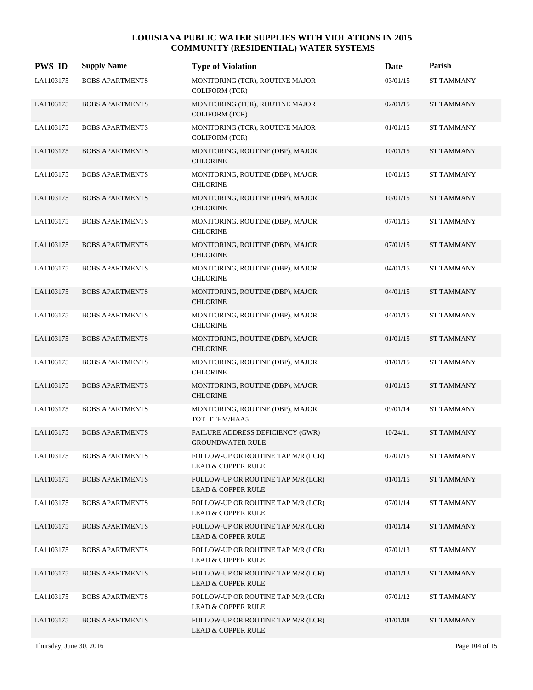| <b>PWS ID</b> | <b>Supply Name</b>     | <b>Type of Violation</b>                                            | Date     | Parish            |
|---------------|------------------------|---------------------------------------------------------------------|----------|-------------------|
| LA1103175     | <b>BOBS APARTMENTS</b> | MONITORING (TCR), ROUTINE MAJOR<br><b>COLIFORM (TCR)</b>            | 03/01/15 | <b>ST TAMMANY</b> |
| LA1103175     | <b>BOBS APARTMENTS</b> | MONITORING (TCR), ROUTINE MAJOR<br><b>COLIFORM (TCR)</b>            | 02/01/15 | <b>ST TAMMANY</b> |
| LA1103175     | <b>BOBS APARTMENTS</b> | MONITORING (TCR), ROUTINE MAJOR<br><b>COLIFORM</b> (TCR)            | 01/01/15 | <b>ST TAMMANY</b> |
| LA1103175     | <b>BOBS APARTMENTS</b> | MONITORING, ROUTINE (DBP), MAJOR<br><b>CHLORINE</b>                 | 10/01/15 | <b>ST TAMMANY</b> |
| LA1103175     | <b>BOBS APARTMENTS</b> | MONITORING, ROUTINE (DBP), MAJOR<br><b>CHLORINE</b>                 | 10/01/15 | <b>ST TAMMANY</b> |
| LA1103175     | <b>BOBS APARTMENTS</b> | MONITORING, ROUTINE (DBP), MAJOR<br><b>CHLORINE</b>                 | 10/01/15 | <b>ST TAMMANY</b> |
| LA1103175     | <b>BOBS APARTMENTS</b> | MONITORING, ROUTINE (DBP), MAJOR<br><b>CHLORINE</b>                 | 07/01/15 | <b>ST TAMMANY</b> |
| LA1103175     | <b>BOBS APARTMENTS</b> | MONITORING, ROUTINE (DBP), MAJOR<br><b>CHLORINE</b>                 | 07/01/15 | <b>ST TAMMANY</b> |
| LA1103175     | <b>BOBS APARTMENTS</b> | MONITORING, ROUTINE (DBP), MAJOR<br><b>CHLORINE</b>                 | 04/01/15 | <b>ST TAMMANY</b> |
| LA1103175     | <b>BOBS APARTMENTS</b> | MONITORING, ROUTINE (DBP), MAJOR<br><b>CHLORINE</b>                 | 04/01/15 | <b>ST TAMMANY</b> |
| LA1103175     | <b>BOBS APARTMENTS</b> | MONITORING, ROUTINE (DBP), MAJOR<br><b>CHLORINE</b>                 | 04/01/15 | <b>ST TAMMANY</b> |
| LA1103175     | <b>BOBS APARTMENTS</b> | MONITORING, ROUTINE (DBP), MAJOR<br><b>CHLORINE</b>                 | 01/01/15 | <b>ST TAMMANY</b> |
| LA1103175     | <b>BOBS APARTMENTS</b> | MONITORING, ROUTINE (DBP), MAJOR<br><b>CHLORINE</b>                 | 01/01/15 | <b>ST TAMMANY</b> |
| LA1103175     | <b>BOBS APARTMENTS</b> | MONITORING, ROUTINE (DBP), MAJOR<br><b>CHLORINE</b>                 | 01/01/15 | <b>ST TAMMANY</b> |
| LA1103175     | <b>BOBS APARTMENTS</b> | MONITORING, ROUTINE (DBP), MAJOR<br>TOT_TTHM/HAA5                   | 09/01/14 | <b>ST TAMMANY</b> |
| LA1103175     | <b>BOBS APARTMENTS</b> | FAILURE ADDRESS DEFICIENCY (GWR)<br><b>GROUNDWATER RULE</b>         | 10/24/11 | <b>ST TAMMANY</b> |
| LA1103175     | <b>BOBS APARTMENTS</b> | FOLLOW-UP OR ROUTINE TAP M/R (LCR)<br><b>LEAD &amp; COPPER RULE</b> | 07/01/15 | <b>ST TAMMANY</b> |
| LA1103175     | <b>BOBS APARTMENTS</b> | FOLLOW-UP OR ROUTINE TAP M/R (LCR)<br><b>LEAD &amp; COPPER RULE</b> | 01/01/15 | <b>ST TAMMANY</b> |
| LA1103175     | <b>BOBS APARTMENTS</b> | FOLLOW-UP OR ROUTINE TAP M/R (LCR)<br><b>LEAD &amp; COPPER RULE</b> | 07/01/14 | <b>ST TAMMANY</b> |
| LA1103175     | <b>BOBS APARTMENTS</b> | FOLLOW-UP OR ROUTINE TAP M/R (LCR)<br><b>LEAD &amp; COPPER RULE</b> | 01/01/14 | ST TAMMANY        |
| LA1103175     | <b>BOBS APARTMENTS</b> | FOLLOW-UP OR ROUTINE TAP M/R (LCR)<br><b>LEAD &amp; COPPER RULE</b> | 07/01/13 | <b>ST TAMMANY</b> |
| LA1103175     | <b>BOBS APARTMENTS</b> | FOLLOW-UP OR ROUTINE TAP M/R (LCR)<br><b>LEAD &amp; COPPER RULE</b> | 01/01/13 | ST TAMMANY        |
| LA1103175     | <b>BOBS APARTMENTS</b> | FOLLOW-UP OR ROUTINE TAP M/R (LCR)<br><b>LEAD &amp; COPPER RULE</b> | 07/01/12 | ST TAMMANY        |
| LA1103175     | <b>BOBS APARTMENTS</b> | FOLLOW-UP OR ROUTINE TAP M/R (LCR)<br><b>LEAD &amp; COPPER RULE</b> | 01/01/08 | <b>ST TAMMANY</b> |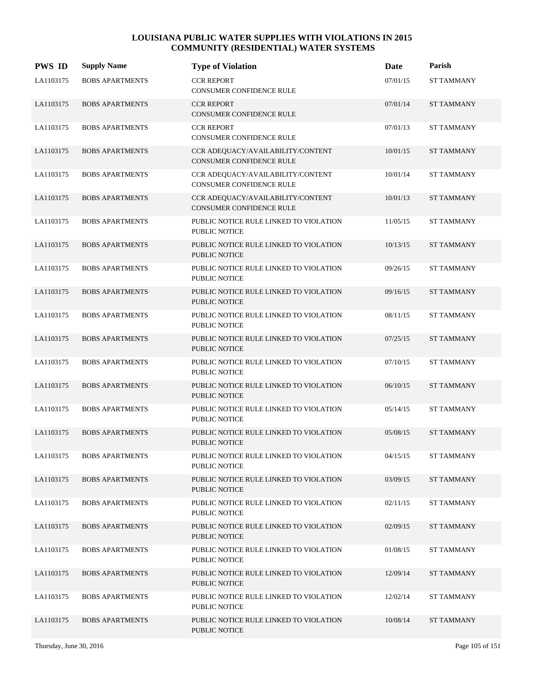| <b>PWS ID</b> | <b>Supply Name</b>     | <b>Type of Violation</b>                                       | Date     | Parish            |
|---------------|------------------------|----------------------------------------------------------------|----------|-------------------|
| LA1103175     | <b>BOBS APARTMENTS</b> | <b>CCR REPORT</b><br>CONSUMER CONFIDENCE RULE                  | 07/01/15 | <b>ST TAMMANY</b> |
| LA1103175     | <b>BOBS APARTMENTS</b> | <b>CCR REPORT</b><br><b>CONSUMER CONFIDENCE RULE</b>           | 07/01/14 | <b>ST TAMMANY</b> |
| LA1103175     | <b>BOBS APARTMENTS</b> | <b>CCR REPORT</b><br><b>CONSUMER CONFIDENCE RULE</b>           | 07/01/13 | <b>ST TAMMANY</b> |
| LA1103175     | <b>BOBS APARTMENTS</b> | CCR ADEQUACY/AVAILABILITY/CONTENT<br>CONSUMER CONFIDENCE RULE  | 10/01/15 | <b>ST TAMMANY</b> |
| LA1103175     | <b>BOBS APARTMENTS</b> | CCR ADEQUACY/AVAILABILITY/CONTENT<br>CONSUMER CONFIDENCE RULE  | 10/01/14 | <b>ST TAMMANY</b> |
| LA1103175     | <b>BOBS APARTMENTS</b> | CCR ADEQUACY/AVAILABILITY/CONTENT<br>CONSUMER CONFIDENCE RULE  | 10/01/13 | <b>ST TAMMANY</b> |
| LA1103175     | <b>BOBS APARTMENTS</b> | PUBLIC NOTICE RULE LINKED TO VIOLATION<br>PUBLIC NOTICE        | 11/05/15 | <b>ST TAMMANY</b> |
| LA1103175     | <b>BOBS APARTMENTS</b> | PUBLIC NOTICE RULE LINKED TO VIOLATION<br>PUBLIC NOTICE        | 10/13/15 | <b>ST TAMMANY</b> |
| LA1103175     | <b>BOBS APARTMENTS</b> | PUBLIC NOTICE RULE LINKED TO VIOLATION<br><b>PUBLIC NOTICE</b> | 09/26/15 | <b>ST TAMMANY</b> |
| LA1103175     | <b>BOBS APARTMENTS</b> | PUBLIC NOTICE RULE LINKED TO VIOLATION<br><b>PUBLIC NOTICE</b> | 09/16/15 | <b>ST TAMMANY</b> |
| LA1103175     | <b>BOBS APARTMENTS</b> | PUBLIC NOTICE RULE LINKED TO VIOLATION<br>PUBLIC NOTICE        | 08/11/15 | <b>ST TAMMANY</b> |
| LA1103175     | <b>BOBS APARTMENTS</b> | PUBLIC NOTICE RULE LINKED TO VIOLATION<br>PUBLIC NOTICE        | 07/25/15 | <b>ST TAMMANY</b> |
| LA1103175     | <b>BOBS APARTMENTS</b> | PUBLIC NOTICE RULE LINKED TO VIOLATION<br>PUBLIC NOTICE        | 07/10/15 | <b>ST TAMMANY</b> |
| LA1103175     | <b>BOBS APARTMENTS</b> | PUBLIC NOTICE RULE LINKED TO VIOLATION<br><b>PUBLIC NOTICE</b> | 06/10/15 | <b>ST TAMMANY</b> |
| LA1103175     | <b>BOBS APARTMENTS</b> | PUBLIC NOTICE RULE LINKED TO VIOLATION<br>PUBLIC NOTICE        | 05/14/15 | <b>ST TAMMANY</b> |
| LA1103175     | <b>BOBS APARTMENTS</b> | PUBLIC NOTICE RULE LINKED TO VIOLATION<br>PUBLIC NOTICE        | 05/08/15 | <b>ST TAMMANY</b> |
| LA1103175     | <b>BOBS APARTMENTS</b> | PUBLIC NOTICE RULE LINKED TO VIOLATION<br>PUBLIC NOTICE        | 04/15/15 | <b>ST TAMMANY</b> |
| LA1103175     | <b>BOBS APARTMENTS</b> | PUBLIC NOTICE RULE LINKED TO VIOLATION<br><b>PUBLIC NOTICE</b> | 03/09/15 | <b>ST TAMMANY</b> |
| LA1103175     | <b>BOBS APARTMENTS</b> | PUBLIC NOTICE RULE LINKED TO VIOLATION<br><b>PUBLIC NOTICE</b> | 02/11/15 | <b>ST TAMMANY</b> |
| LA1103175     | <b>BOBS APARTMENTS</b> | PUBLIC NOTICE RULE LINKED TO VIOLATION<br>PUBLIC NOTICE        | 02/09/15 | ST TAMMANY        |
| LA1103175     | <b>BOBS APARTMENTS</b> | PUBLIC NOTICE RULE LINKED TO VIOLATION<br>PUBLIC NOTICE        | 01/08/15 | <b>ST TAMMANY</b> |
| LA1103175     | <b>BOBS APARTMENTS</b> | PUBLIC NOTICE RULE LINKED TO VIOLATION<br>PUBLIC NOTICE        | 12/09/14 | ST TAMMANY        |
| LA1103175     | <b>BOBS APARTMENTS</b> | PUBLIC NOTICE RULE LINKED TO VIOLATION<br>PUBLIC NOTICE        | 12/02/14 | ST TAMMANY        |
| LA1103175     | <b>BOBS APARTMENTS</b> | PUBLIC NOTICE RULE LINKED TO VIOLATION<br>PUBLIC NOTICE        | 10/08/14 | <b>ST TAMMANY</b> |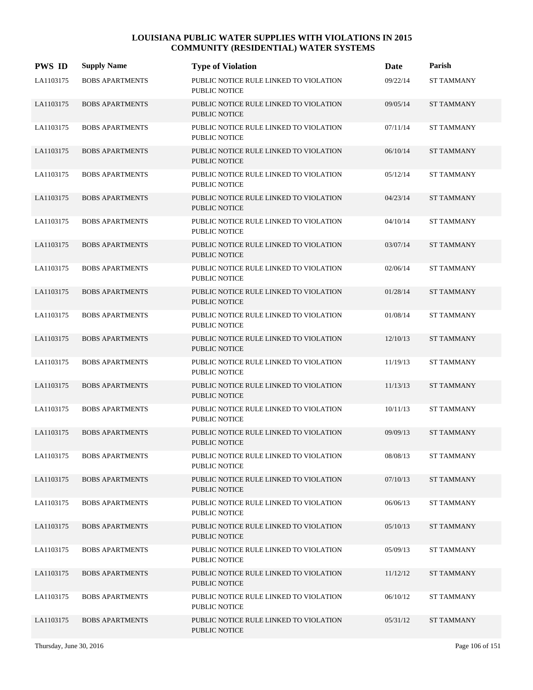| <b>PWS ID</b> | <b>Supply Name</b>     | <b>Type of Violation</b>                                       | Date     | Parish            |
|---------------|------------------------|----------------------------------------------------------------|----------|-------------------|
| LA1103175     | <b>BOBS APARTMENTS</b> | PUBLIC NOTICE RULE LINKED TO VIOLATION<br><b>PUBLIC NOTICE</b> | 09/22/14 | <b>ST TAMMANY</b> |
| LA1103175     | <b>BOBS APARTMENTS</b> | PUBLIC NOTICE RULE LINKED TO VIOLATION<br><b>PUBLIC NOTICE</b> | 09/05/14 | <b>ST TAMMANY</b> |
| LA1103175     | <b>BOBS APARTMENTS</b> | PUBLIC NOTICE RULE LINKED TO VIOLATION<br>PUBLIC NOTICE        | 07/11/14 | <b>ST TAMMANY</b> |
| LA1103175     | <b>BOBS APARTMENTS</b> | PUBLIC NOTICE RULE LINKED TO VIOLATION<br><b>PUBLIC NOTICE</b> | 06/10/14 | <b>ST TAMMANY</b> |
| LA1103175     | <b>BOBS APARTMENTS</b> | PUBLIC NOTICE RULE LINKED TO VIOLATION<br>PUBLIC NOTICE        | 05/12/14 | <b>ST TAMMANY</b> |
| LA1103175     | <b>BOBS APARTMENTS</b> | PUBLIC NOTICE RULE LINKED TO VIOLATION<br><b>PUBLIC NOTICE</b> | 04/23/14 | <b>ST TAMMANY</b> |
| LA1103175     | <b>BOBS APARTMENTS</b> | PUBLIC NOTICE RULE LINKED TO VIOLATION<br><b>PUBLIC NOTICE</b> | 04/10/14 | <b>ST TAMMANY</b> |
| LA1103175     | <b>BOBS APARTMENTS</b> | PUBLIC NOTICE RULE LINKED TO VIOLATION<br><b>PUBLIC NOTICE</b> | 03/07/14 | <b>ST TAMMANY</b> |
| LA1103175     | <b>BOBS APARTMENTS</b> | PUBLIC NOTICE RULE LINKED TO VIOLATION<br>PUBLIC NOTICE        | 02/06/14 | <b>ST TAMMANY</b> |
| LA1103175     | <b>BOBS APARTMENTS</b> | PUBLIC NOTICE RULE LINKED TO VIOLATION<br><b>PUBLIC NOTICE</b> | 01/28/14 | <b>ST TAMMANY</b> |
| LA1103175     | <b>BOBS APARTMENTS</b> | PUBLIC NOTICE RULE LINKED TO VIOLATION<br><b>PUBLIC NOTICE</b> | 01/08/14 | <b>ST TAMMANY</b> |
| LA1103175     | <b>BOBS APARTMENTS</b> | PUBLIC NOTICE RULE LINKED TO VIOLATION<br><b>PUBLIC NOTICE</b> | 12/10/13 | <b>ST TAMMANY</b> |
| LA1103175     | <b>BOBS APARTMENTS</b> | PUBLIC NOTICE RULE LINKED TO VIOLATION<br><b>PUBLIC NOTICE</b> | 11/19/13 | <b>ST TAMMANY</b> |
| LA1103175     | <b>BOBS APARTMENTS</b> | PUBLIC NOTICE RULE LINKED TO VIOLATION<br><b>PUBLIC NOTICE</b> | 11/13/13 | <b>ST TAMMANY</b> |
| LA1103175     | <b>BOBS APARTMENTS</b> | PUBLIC NOTICE RULE LINKED TO VIOLATION<br>PUBLIC NOTICE        | 10/11/13 | <b>ST TAMMANY</b> |
| LA1103175     | <b>BOBS APARTMENTS</b> | PUBLIC NOTICE RULE LINKED TO VIOLATION<br><b>PUBLIC NOTICE</b> | 09/09/13 | <b>ST TAMMANY</b> |
| LA1103175     | <b>BOBS APARTMENTS</b> | PUBLIC NOTICE RULE LINKED TO VIOLATION<br>PUBLIC NOTICE        | 08/08/13 | <b>ST TAMMANY</b> |
| LA1103175     | <b>BOBS APARTMENTS</b> | PUBLIC NOTICE RULE LINKED TO VIOLATION<br>PUBLIC NOTICE        | 07/10/13 | <b>ST TAMMANY</b> |
| LA1103175     | <b>BOBS APARTMENTS</b> | PUBLIC NOTICE RULE LINKED TO VIOLATION<br><b>PUBLIC NOTICE</b> | 06/06/13 | <b>ST TAMMANY</b> |
| LA1103175     | <b>BOBS APARTMENTS</b> | PUBLIC NOTICE RULE LINKED TO VIOLATION<br>PUBLIC NOTICE        | 05/10/13 | <b>ST TAMMANY</b> |
| LA1103175     | <b>BOBS APARTMENTS</b> | PUBLIC NOTICE RULE LINKED TO VIOLATION<br>PUBLIC NOTICE        | 05/09/13 | <b>ST TAMMANY</b> |
| LA1103175     | <b>BOBS APARTMENTS</b> | PUBLIC NOTICE RULE LINKED TO VIOLATION<br>PUBLIC NOTICE        | 11/12/12 | <b>ST TAMMANY</b> |
| LA1103175     | <b>BOBS APARTMENTS</b> | PUBLIC NOTICE RULE LINKED TO VIOLATION<br>PUBLIC NOTICE        | 06/10/12 | <b>ST TAMMANY</b> |
| LA1103175     | <b>BOBS APARTMENTS</b> | PUBLIC NOTICE RULE LINKED TO VIOLATION<br>PUBLIC NOTICE        | 05/31/12 | <b>ST TAMMANY</b> |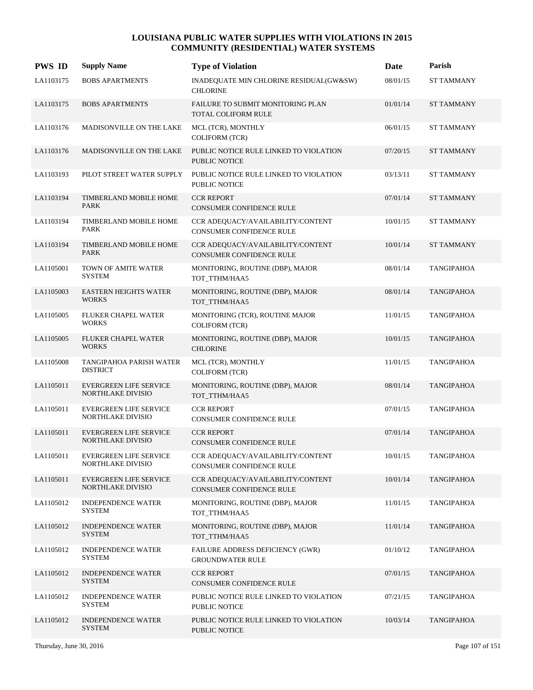| <b>PWS ID</b> | <b>Supply Name</b>                                 | <b>Type of Violation</b>                                             | Date     | Parish            |
|---------------|----------------------------------------------------|----------------------------------------------------------------------|----------|-------------------|
| LA1103175     | <b>BOBS APARTMENTS</b>                             | INADEQUATE MIN CHLORINE RESIDUAL(GW&SW)<br><b>CHLORINE</b>           | 08/01/15 | <b>ST TAMMANY</b> |
| LA1103175     | <b>BOBS APARTMENTS</b>                             | FAILURE TO SUBMIT MONITORING PLAN<br><b>TOTAL COLIFORM RULE</b>      | 01/01/14 | <b>ST TAMMANY</b> |
| LA1103176     | MADISONVILLE ON THE LAKE                           | MCL (TCR), MONTHLY<br><b>COLIFORM (TCR)</b>                          | 06/01/15 | <b>ST TAMMANY</b> |
| LA1103176     | MADISONVILLE ON THE LAKE                           | PUBLIC NOTICE RULE LINKED TO VIOLATION<br><b>PUBLIC NOTICE</b>       | 07/20/15 | <b>ST TAMMANY</b> |
| LA1103193     | PILOT STREET WATER SUPPLY                          | PUBLIC NOTICE RULE LINKED TO VIOLATION<br><b>PUBLIC NOTICE</b>       | 03/13/11 | <b>ST TAMMANY</b> |
| LA1103194     | TIMBERLAND MOBILE HOME<br><b>PARK</b>              | <b>CCR REPORT</b><br><b>CONSUMER CONFIDENCE RULE</b>                 | 07/01/14 | <b>ST TAMMANY</b> |
| LA1103194     | TIMBERLAND MOBILE HOME<br>PARK                     | CCR ADEQUACY/AVAILABILITY/CONTENT<br><b>CONSUMER CONFIDENCE RULE</b> | 10/01/15 | <b>ST TAMMANY</b> |
| LA1103194     | <b>TIMBERLAND MOBILE HOME</b><br><b>PARK</b>       | CCR ADEQUACY/AVAILABILITY/CONTENT<br><b>CONSUMER CONFIDENCE RULE</b> | 10/01/14 | <b>ST TAMMANY</b> |
| LA1105001     | TOWN OF AMITE WATER<br><b>SYSTEM</b>               | MONITORING, ROUTINE (DBP), MAJOR<br>TOT TTHM/HAA5                    | 08/01/14 | TANGIPAHOA        |
| LA1105003     | <b>EASTERN HEIGHTS WATER</b><br><b>WORKS</b>       | MONITORING, ROUTINE (DBP), MAJOR<br>TOT_TTHM/HAA5                    | 08/01/14 | <b>TANGIPAHOA</b> |
| LA1105005     | FLUKER CHAPEL WATER<br><b>WORKS</b>                | MONITORING (TCR), ROUTINE MAJOR<br><b>COLIFORM (TCR)</b>             | 11/01/15 | <b>TANGIPAHOA</b> |
| LA1105005     | FLUKER CHAPEL WATER<br><b>WORKS</b>                | MONITORING, ROUTINE (DBP), MAJOR<br><b>CHLORINE</b>                  | 10/01/15 | <b>TANGIPAHOA</b> |
| LA1105008     | TANGIPAHOA PARISH WATER<br><b>DISTRICT</b>         | MCL (TCR), MONTHLY<br><b>COLIFORM (TCR)</b>                          | 11/01/15 | <b>TANGIPAHOA</b> |
| LA1105011     | EVERGREEN LIFE SERVICE<br>NORTHLAKE DIVISIO        | MONITORING, ROUTINE (DBP), MAJOR<br>TOT_TTHM/HAA5                    | 08/01/14 | <b>TANGIPAHOA</b> |
| LA1105011     | <b>EVERGREEN LIFE SERVICE</b><br>NORTHLAKE DIVISIO | <b>CCR REPORT</b><br>CONSUMER CONFIDENCE RULE                        | 07/01/15 | <b>TANGIPAHOA</b> |
| LA1105011     | <b>EVERGREEN LIFE SERVICE</b><br>NORTHLAKE DIVISIO | <b>CCR REPORT</b><br><b>CONSUMER CONFIDENCE RULE</b>                 | 07/01/14 | <b>TANGIPAHOA</b> |
| LA1105011     | <b>EVERGREEN LIFE SERVICE</b><br>NORTHLAKE DIVISIO | CCR ADEQUACY/AVAILABILITY/CONTENT<br>CONSUMER CONFIDENCE RULE        | 10/01/15 | <b>TANGIPAHOA</b> |
| LA1105011     | <b>EVERGREEN LIFE SERVICE</b><br>NORTHLAKE DIVISIO | CCR ADEQUACY/AVAILABILITY/CONTENT<br>CONSUMER CONFIDENCE RULE        | 10/01/14 | <b>TANGIPAHOA</b> |
| LA1105012     | <b>INDEPENDENCE WATER</b><br><b>SYSTEM</b>         | MONITORING, ROUTINE (DBP), MAJOR<br>TOT_TTHM/HAA5                    | 11/01/15 | TANGIPAHOA        |
| LA1105012     | <b>INDEPENDENCE WATER</b><br><b>SYSTEM</b>         | MONITORING, ROUTINE (DBP), MAJOR<br>TOT_TTHM/HAA5                    | 11/01/14 | <b>TANGIPAHOA</b> |
| LA1105012     | <b>INDEPENDENCE WATER</b><br><b>SYSTEM</b>         | FAILURE ADDRESS DEFICIENCY (GWR)<br><b>GROUNDWATER RULE</b>          | 01/10/12 | <b>TANGIPAHOA</b> |
| LA1105012     | <b>INDEPENDENCE WATER</b><br><b>SYSTEM</b>         | <b>CCR REPORT</b><br>CONSUMER CONFIDENCE RULE                        | 07/01/15 | <b>TANGIPAHOA</b> |
| LA1105012     | <b>INDEPENDENCE WATER</b><br><b>SYSTEM</b>         | PUBLIC NOTICE RULE LINKED TO VIOLATION<br>PUBLIC NOTICE              | 07/21/15 | TANGIPAHOA        |
| LA1105012     | <b>INDEPENDENCE WATER</b><br><b>SYSTEM</b>         | PUBLIC NOTICE RULE LINKED TO VIOLATION<br>PUBLIC NOTICE              | 10/03/14 | <b>TANGIPAHOA</b> |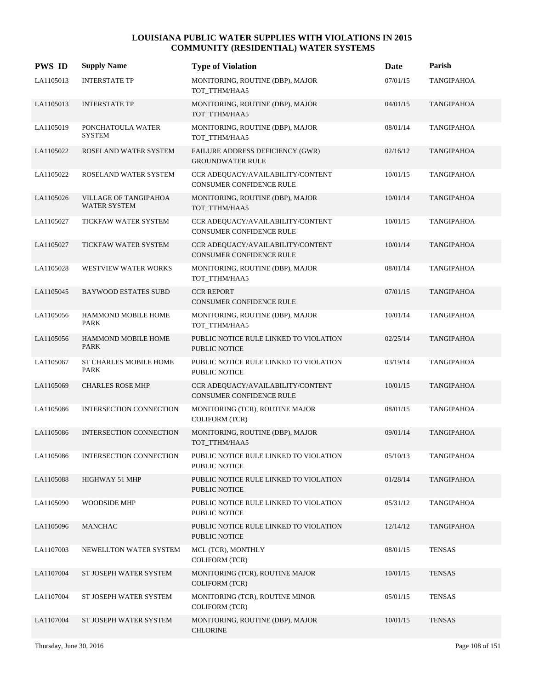| <b>PWS ID</b> | <b>Supply Name</b>                    | <b>Type of Violation</b>                                             | Date     | Parish            |
|---------------|---------------------------------------|----------------------------------------------------------------------|----------|-------------------|
| LA1105013     | <b>INTERSTATE TP</b>                  | MONITORING, ROUTINE (DBP), MAJOR<br>TOT TTHM/HAA5                    | 07/01/15 | <b>TANGIPAHOA</b> |
| LA1105013     | <b>INTERSTATE TP</b>                  | MONITORING, ROUTINE (DBP), MAJOR<br>TOT TTHM/HAA5                    | 04/01/15 | <b>TANGIPAHOA</b> |
| LA1105019     | PONCHATOULA WATER<br><b>SYSTEM</b>    | MONITORING, ROUTINE (DBP), MAJOR<br>TOT_TTHM/HAA5                    | 08/01/14 | TANGIPAHOA        |
| LA1105022     | ROSELAND WATER SYSTEM                 | FAILURE ADDRESS DEFICIENCY (GWR)<br><b>GROUNDWATER RULE</b>          | 02/16/12 | TANGIPAHOA        |
| LA1105022     | ROSELAND WATER SYSTEM                 | CCR ADEQUACY/AVAILABILITY/CONTENT<br>CONSUMER CONFIDENCE RULE        | 10/01/15 | <b>TANGIPAHOA</b> |
| LA1105026     | VILLAGE OF TANGIPAHOA<br>WATER SYSTEM | MONITORING, ROUTINE (DBP), MAJOR<br>TOT_TTHM/HAA5                    | 10/01/14 | TANGIPAHOA        |
| LA1105027     | TICKFAW WATER SYSTEM                  | CCR ADEQUACY/AVAILABILITY/CONTENT<br>CONSUMER CONFIDENCE RULE        | 10/01/15 | TANGIPAHOA        |
| LA1105027     | TICKFAW WATER SYSTEM                  | CCR ADEQUACY/AVAILABILITY/CONTENT<br><b>CONSUMER CONFIDENCE RULE</b> | 10/01/14 | TANGIPAHOA        |
| LA1105028     | WESTVIEW WATER WORKS                  | MONITORING, ROUTINE (DBP), MAJOR<br>TOT_TTHM/HAA5                    | 08/01/14 | <b>TANGIPAHOA</b> |
| LA1105045     | <b>BAYWOOD ESTATES SUBD</b>           | <b>CCR REPORT</b><br>CONSUMER CONFIDENCE RULE                        | 07/01/15 | <b>TANGIPAHOA</b> |
| LA1105056     | HAMMOND MOBILE HOME<br>PARK           | MONITORING, ROUTINE (DBP), MAJOR<br>TOT_TTHM/HAA5                    | 10/01/14 | TANGIPAHOA        |
| LA1105056     | HAMMOND MOBILE HOME<br>PARK           | PUBLIC NOTICE RULE LINKED TO VIOLATION<br>PUBLIC NOTICE              | 02/25/14 | TANGIPAHOA        |
| LA1105067     | ST CHARLES MOBILE HOME<br>PARK        | PUBLIC NOTICE RULE LINKED TO VIOLATION<br>PUBLIC NOTICE              | 03/19/14 | <b>TANGIPAHOA</b> |
| LA1105069     | <b>CHARLES ROSE MHP</b>               | CCR ADEQUACY/AVAILABILITY/CONTENT<br>CONSUMER CONFIDENCE RULE        | 10/01/15 | <b>TANGIPAHOA</b> |
| LA1105086     | INTERSECTION CONNECTION               | MONITORING (TCR), ROUTINE MAJOR<br><b>COLIFORM (TCR)</b>             | 08/01/15 | TANGIPAHOA        |
| LA1105086     | <b>INTERSECTION CONNECTION</b>        | MONITORING, ROUTINE (DBP), MAJOR<br>TOT_TTHM/HAA5                    | 09/01/14 | TANGIPAHOA        |
| LA1105086     | <b>INTERSECTION CONNECTION</b>        | PUBLIC NOTICE RULE LINKED TO VIOLATION<br>PUBLIC NOTICE              | 05/10/13 | <b>TANGIPAHOA</b> |
| LA1105088     | HIGHWAY 51 MHP                        | PUBLIC NOTICE RULE LINKED TO VIOLATION<br>PUBLIC NOTICE              | 01/28/14 | TANGIPAHOA        |
| LA1105090     | WOODSIDE MHP                          | PUBLIC NOTICE RULE LINKED TO VIOLATION<br>PUBLIC NOTICE              | 05/31/12 | TANGIPAHOA        |
| LA1105096     | <b>MANCHAC</b>                        | PUBLIC NOTICE RULE LINKED TO VIOLATION<br>PUBLIC NOTICE              | 12/14/12 | TANGIPAHOA        |
| LA1107003     | NEWELLTON WATER SYSTEM                | MCL (TCR), MONTHLY<br><b>COLIFORM (TCR)</b>                          | 08/01/15 | <b>TENSAS</b>     |
| LA1107004     | ST JOSEPH WATER SYSTEM                | MONITORING (TCR), ROUTINE MAJOR<br><b>COLIFORM (TCR)</b>             | 10/01/15 | <b>TENSAS</b>     |
| LA1107004     | ST JOSEPH WATER SYSTEM                | MONITORING (TCR), ROUTINE MINOR<br><b>COLIFORM (TCR)</b>             | 05/01/15 | <b>TENSAS</b>     |
| LA1107004     | ST JOSEPH WATER SYSTEM                | MONITORING, ROUTINE (DBP), MAJOR<br><b>CHLORINE</b>                  | 10/01/15 | <b>TENSAS</b>     |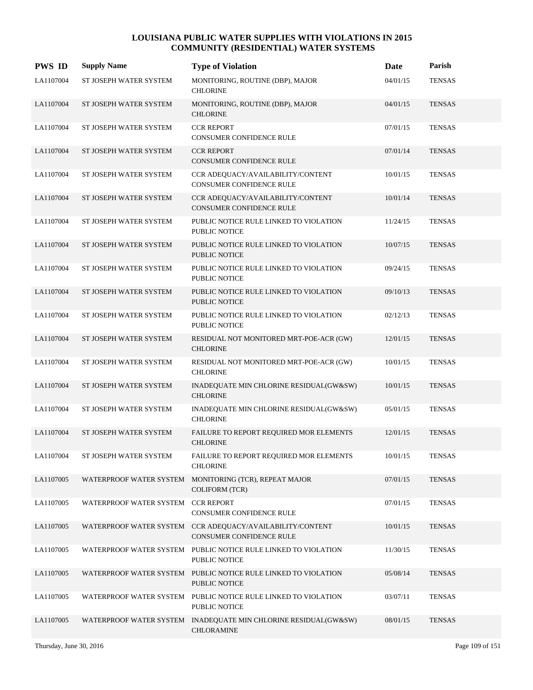| <b>PWS ID</b> | <b>Supply Name</b>                 | <b>Type of Violation</b>                                                                     | Date     | Parish        |
|---------------|------------------------------------|----------------------------------------------------------------------------------------------|----------|---------------|
| LA1107004     | ST JOSEPH WATER SYSTEM             | MONITORING, ROUTINE (DBP), MAJOR<br><b>CHLORINE</b>                                          | 04/01/15 | <b>TENSAS</b> |
| LA1107004     | ST JOSEPH WATER SYSTEM             | MONITORING, ROUTINE (DBP), MAJOR<br><b>CHLORINE</b>                                          | 04/01/15 | <b>TENSAS</b> |
| LA1107004     | ST JOSEPH WATER SYSTEM             | <b>CCR REPORT</b><br>CONSUMER CONFIDENCE RULE                                                | 07/01/15 | <b>TENSAS</b> |
| LA1107004     | ST JOSEPH WATER SYSTEM             | <b>CCR REPORT</b><br><b>CONSUMER CONFIDENCE RULE</b>                                         | 07/01/14 | <b>TENSAS</b> |
| LA1107004     | ST JOSEPH WATER SYSTEM             | CCR ADEQUACY/AVAILABILITY/CONTENT<br><b>CONSUMER CONFIDENCE RULE</b>                         | 10/01/15 | <b>TENSAS</b> |
| LA1107004     | ST JOSEPH WATER SYSTEM             | CCR ADEQUACY/AVAILABILITY/CONTENT<br><b>CONSUMER CONFIDENCE RULE</b>                         | 10/01/14 | <b>TENSAS</b> |
| LA1107004     | ST JOSEPH WATER SYSTEM             | PUBLIC NOTICE RULE LINKED TO VIOLATION<br><b>PUBLIC NOTICE</b>                               | 11/24/15 | <b>TENSAS</b> |
| LA1107004     | ST JOSEPH WATER SYSTEM             | PUBLIC NOTICE RULE LINKED TO VIOLATION<br><b>PUBLIC NOTICE</b>                               | 10/07/15 | <b>TENSAS</b> |
| LA1107004     | ST JOSEPH WATER SYSTEM             | PUBLIC NOTICE RULE LINKED TO VIOLATION<br><b>PUBLIC NOTICE</b>                               | 09/24/15 | <b>TENSAS</b> |
| LA1107004     | ST JOSEPH WATER SYSTEM             | PUBLIC NOTICE RULE LINKED TO VIOLATION<br><b>PUBLIC NOTICE</b>                               | 09/10/13 | <b>TENSAS</b> |
| LA1107004     | ST JOSEPH WATER SYSTEM             | PUBLIC NOTICE RULE LINKED TO VIOLATION<br><b>PUBLIC NOTICE</b>                               | 02/12/13 | <b>TENSAS</b> |
| LA1107004     | ST JOSEPH WATER SYSTEM             | RESIDUAL NOT MONITORED MRT-POE-ACR (GW)<br><b>CHLORINE</b>                                   | 12/01/15 | <b>TENSAS</b> |
| LA1107004     | ST JOSEPH WATER SYSTEM             | RESIDUAL NOT MONITORED MRT-POE-ACR (GW)<br><b>CHLORINE</b>                                   | 10/01/15 | <b>TENSAS</b> |
| LA1107004     | ST JOSEPH WATER SYSTEM             | INADEQUATE MIN CHLORINE RESIDUAL(GW&SW)<br><b>CHLORINE</b>                                   | 10/01/15 | <b>TENSAS</b> |
| LA1107004     | ST JOSEPH WATER SYSTEM             | INADEQUATE MIN CHLORINE RESIDUAL(GW&SW)<br><b>CHLORINE</b>                                   | 05/01/15 | <b>TENSAS</b> |
| LA1107004     | ST JOSEPH WATER SYSTEM             | FAILURE TO REPORT REQUIRED MOR ELEMENTS<br><b>CHLORINE</b>                                   | 12/01/15 | <b>TENSAS</b> |
| LA1107004     | ST JOSEPH WATER SYSTEM             | FAILURE TO REPORT REQUIRED MOR ELEMENTS<br><b>CHLORINE</b>                                   | 10/01/15 | <b>TENSAS</b> |
| LA1107005     | WATERPROOF WATER SYSTEM            | MONITORING (TCR), REPEAT MAJOR<br><b>COLIFORM (TCR)</b>                                      | 07/01/15 | <b>TENSAS</b> |
| LA1107005     | WATERPROOF WATER SYSTEM CCR REPORT | CONSUMER CONFIDENCE RULE                                                                     | 07/01/15 | <b>TENSAS</b> |
| LA1107005     |                                    | WATERPROOF WATER SYSTEM CCR ADEQUACY/AVAILABILITY/CONTENT<br><b>CONSUMER CONFIDENCE RULE</b> | 10/01/15 | <b>TENSAS</b> |
| LA1107005     |                                    | WATERPROOF WATER SYSTEM PUBLIC NOTICE RULE LINKED TO VIOLATION<br>PUBLIC NOTICE              | 11/30/15 | <b>TENSAS</b> |
| LA1107005     |                                    | WATERPROOF WATER SYSTEM PUBLIC NOTICE RULE LINKED TO VIOLATION<br>PUBLIC NOTICE              | 05/08/14 | <b>TENSAS</b> |
| LA1107005     |                                    | WATERPROOF WATER SYSTEM PUBLIC NOTICE RULE LINKED TO VIOLATION<br>PUBLIC NOTICE              | 03/07/11 | <b>TENSAS</b> |
| LA1107005     |                                    | WATERPROOF WATER SYSTEM INADEQUATE MIN CHLORINE RESIDUAL(GW&SW)<br><b>CHLORAMINE</b>         | 08/01/15 | <b>TENSAS</b> |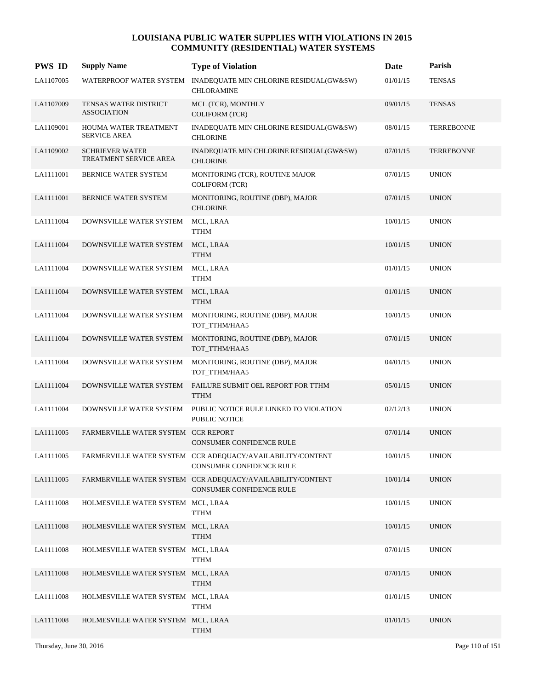| <b>PWS ID</b> | <b>Supply Name</b>                               | <b>Type of Violation</b>                                                               | Date     | Parish            |
|---------------|--------------------------------------------------|----------------------------------------------------------------------------------------|----------|-------------------|
| LA1107005     | WATERPROOF WATER SYSTEM                          | INADEQUATE MIN CHLORINE RESIDUAL(GW&SW)<br><b>CHLORAMINE</b>                           | 01/01/15 | <b>TENSAS</b>     |
| LA1107009     | TENSAS WATER DISTRICT<br><b>ASSOCIATION</b>      | MCL (TCR), MONTHLY<br><b>COLIFORM (TCR)</b>                                            | 09/01/15 | <b>TENSAS</b>     |
| LA1109001     | HOUMA WATER TREATMENT<br><b>SERVICE AREA</b>     | INADEQUATE MIN CHLORINE RESIDUAL(GW&SW)<br><b>CHLORINE</b>                             | 08/01/15 | TERREBONNE        |
| LA1109002     | <b>SCHRIEVER WATER</b><br>TREATMENT SERVICE AREA | INADEQUATE MIN CHLORINE RESIDUAL(GW&SW)<br><b>CHLORINE</b>                             | 07/01/15 | <b>TERREBONNE</b> |
| LA1111001     | BERNICE WATER SYSTEM                             | MONITORING (TCR), ROUTINE MAJOR<br><b>COLIFORM (TCR)</b>                               | 07/01/15 | <b>UNION</b>      |
| LA1111001     | <b>BERNICE WATER SYSTEM</b>                      | MONITORING, ROUTINE (DBP), MAJOR<br><b>CHLORINE</b>                                    | 07/01/15 | <b>UNION</b>      |
| LA1111004     | DOWNSVILLE WATER SYSTEM                          | MCL, LRAA<br><b>TTHM</b>                                                               | 10/01/15 | <b>UNION</b>      |
| LA1111004     | DOWNSVILLE WATER SYSTEM                          | MCL, LRAA<br><b>TTHM</b>                                                               | 10/01/15 | <b>UNION</b>      |
| LA1111004     | DOWNSVILLE WATER SYSTEM                          | MCL, LRAA<br>TTHM                                                                      | 01/01/15 | <b>UNION</b>      |
| LA1111004     | DOWNSVILLE WATER SYSTEM                          | MCL, LRAA<br><b>TTHM</b>                                                               | 01/01/15 | <b>UNION</b>      |
| LA1111004     | DOWNSVILLE WATER SYSTEM                          | MONITORING, ROUTINE (DBP), MAJOR<br>TOT_TTHM/HAA5                                      | 10/01/15 | <b>UNION</b>      |
| LA1111004     | DOWNSVILLE WATER SYSTEM                          | MONITORING, ROUTINE (DBP), MAJOR<br>TOT_TTHM/HAA5                                      | 07/01/15 | <b>UNION</b>      |
| LA1111004     | DOWNSVILLE WATER SYSTEM                          | MONITORING, ROUTINE (DBP), MAJOR<br>TOT_TTHM/HAA5                                      | 04/01/15 | <b>UNION</b>      |
| LA1111004     | DOWNSVILLE WATER SYSTEM                          | FAILURE SUBMIT OEL REPORT FOR TTHM<br><b>TTHM</b>                                      | 05/01/15 | <b>UNION</b>      |
| LA1111004     | DOWNSVILLE WATER SYSTEM                          | PUBLIC NOTICE RULE LINKED TO VIOLATION<br>PUBLIC NOTICE                                | 02/12/13 | <b>UNION</b>      |
| LA1111005     | FARMERVILLE WATER SYSTEM CCR REPORT              | CONSUMER CONFIDENCE RULE                                                               | 07/01/14 | <b>UNION</b>      |
| LA1111005     |                                                  | FARMERVILLE WATER SYSTEM CCR ADEQUACY/AVAILABILITY/CONTENT<br>CONSUMER CONFIDENCE RULE | 10/01/15 | <b>UNION</b>      |
| LA1111005     |                                                  | FARMERVILLE WATER SYSTEM CCR ADEQUACY/AVAILABILITY/CONTENT<br>CONSUMER CONFIDENCE RULE | 10/01/14 | <b>UNION</b>      |
| LA1111008     | HOLMESVILLE WATER SYSTEM MCL, LRAA               | <b>TTHM</b>                                                                            | 10/01/15 | <b>UNION</b>      |
| LA1111008     | HOLMESVILLE WATER SYSTEM MCL, LRAA               | <b>TTHM</b>                                                                            | 10/01/15 | <b>UNION</b>      |
| LA1111008     | HOLMESVILLE WATER SYSTEM MCL, LRAA               | <b>TTHM</b>                                                                            | 07/01/15 | <b>UNION</b>      |
| LA1111008     | HOLMESVILLE WATER SYSTEM MCL, LRAA               | <b>TTHM</b>                                                                            | 07/01/15 | <b>UNION</b>      |
| LA1111008     | HOLMESVILLE WATER SYSTEM MCL, LRAA               | <b>TTHM</b>                                                                            | 01/01/15 | <b>UNION</b>      |
| LA1111008     | HOLMESVILLE WATER SYSTEM MCL, LRAA               | <b>TTHM</b>                                                                            | 01/01/15 | <b>UNION</b>      |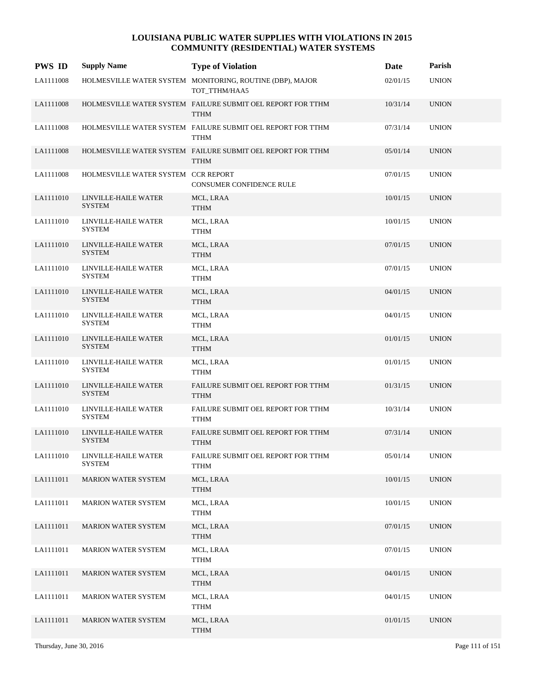| <b>PWS ID</b> | <b>Supply Name</b>                    | <b>Type of Violation</b>                                                   | Date     | Parish       |
|---------------|---------------------------------------|----------------------------------------------------------------------------|----------|--------------|
| LA1111008     |                                       | HOLMESVILLE WATER SYSTEM MONITORING, ROUTINE (DBP), MAJOR<br>TOT_TTHM/HAA5 | 02/01/15 | <b>UNION</b> |
| LA1111008     |                                       | HOLMESVILLE WATER SYSTEM FAILURE SUBMIT OEL REPORT FOR TTHM<br><b>TTHM</b> | 10/31/14 | <b>UNION</b> |
| LA1111008     |                                       | HOLMESVILLE WATER SYSTEM FAILURE SUBMIT OEL REPORT FOR TTHM<br><b>TTHM</b> | 07/31/14 | <b>UNION</b> |
| LA1111008     |                                       | HOLMESVILLE WATER SYSTEM FAILURE SUBMIT OEL REPORT FOR TTHM<br><b>TTHM</b> | 05/01/14 | <b>UNION</b> |
| LA1111008     | HOLMESVILLE WATER SYSTEM CCR REPORT   | CONSUMER CONFIDENCE RULE                                                   | 07/01/15 | <b>UNION</b> |
| LA1111010     | LINVILLE-HAILE WATER<br><b>SYSTEM</b> | MCL, LRAA<br><b>TTHM</b>                                                   | 10/01/15 | <b>UNION</b> |
| LA1111010     | LINVILLE-HAILE WATER<br><b>SYSTEM</b> | MCL, LRAA<br><b>TTHM</b>                                                   | 10/01/15 | <b>UNION</b> |
| LA1111010     | LINVILLE-HAILE WATER<br><b>SYSTEM</b> | MCL, LRAA<br><b>TTHM</b>                                                   | 07/01/15 | <b>UNION</b> |
| LA1111010     | LINVILLE-HAILE WATER<br><b>SYSTEM</b> | MCL, LRAA<br>TTHM                                                          | 07/01/15 | <b>UNION</b> |
| LA1111010     | LINVILLE-HAILE WATER<br><b>SYSTEM</b> | MCL, LRAA<br><b>TTHM</b>                                                   | 04/01/15 | <b>UNION</b> |
| LA1111010     | LINVILLE-HAILE WATER<br><b>SYSTEM</b> | MCL, LRAA<br>TTHM                                                          | 04/01/15 | <b>UNION</b> |
| LA1111010     | LINVILLE-HAILE WATER<br><b>SYSTEM</b> | MCL, LRAA<br><b>TTHM</b>                                                   | 01/01/15 | <b>UNION</b> |
| LA1111010     | LINVILLE-HAILE WATER<br><b>SYSTEM</b> | MCL, LRAA<br><b>TTHM</b>                                                   | 01/01/15 | <b>UNION</b> |
| LA1111010     | LINVILLE-HAILE WATER<br><b>SYSTEM</b> | FAILURE SUBMIT OEL REPORT FOR TTHM<br><b>TTHM</b>                          | 01/31/15 | <b>UNION</b> |
| LA1111010     | LINVILLE-HAILE WATER<br><b>SYSTEM</b> | FAILURE SUBMIT OEL REPORT FOR TTHM<br><b>TTHM</b>                          | 10/31/14 | <b>UNION</b> |
| LA1111010     | LINVILLE-HAILE WATER<br><b>SYSTEM</b> | FAILURE SUBMIT OEL REPORT FOR TTHM<br><b>TTHM</b>                          | 07/31/14 | <b>UNION</b> |
| LA1111010     | LINVILLE-HAILE WATER<br>SYSTEM        | FAILURE SUBMIT OEL REPORT FOR TTHM<br><b>TTHM</b>                          | 05/01/14 | <b>UNION</b> |
| LA1111011     | <b>MARION WATER SYSTEM</b>            | MCL, LRAA<br><b>TTHM</b>                                                   | 10/01/15 | <b>UNION</b> |
| LA1111011     | <b>MARION WATER SYSTEM</b>            | MCL, LRAA<br><b>TTHM</b>                                                   | 10/01/15 | <b>UNION</b> |
| LA1111011     | <b>MARION WATER SYSTEM</b>            | MCL, LRAA<br><b>TTHM</b>                                                   | 07/01/15 | <b>UNION</b> |
| LA1111011     | MARION WATER SYSTEM                   | MCL, LRAA<br><b>TTHM</b>                                                   | 07/01/15 | <b>UNION</b> |
| LA1111011     | <b>MARION WATER SYSTEM</b>            | MCL, LRAA<br><b>TTHM</b>                                                   | 04/01/15 | <b>UNION</b> |
| LA1111011     | <b>MARION WATER SYSTEM</b>            | MCL, LRAA<br><b>TTHM</b>                                                   | 04/01/15 | <b>UNION</b> |
| LA1111011     | <b>MARION WATER SYSTEM</b>            | MCL, LRAA<br><b>TTHM</b>                                                   | 01/01/15 | <b>UNION</b> |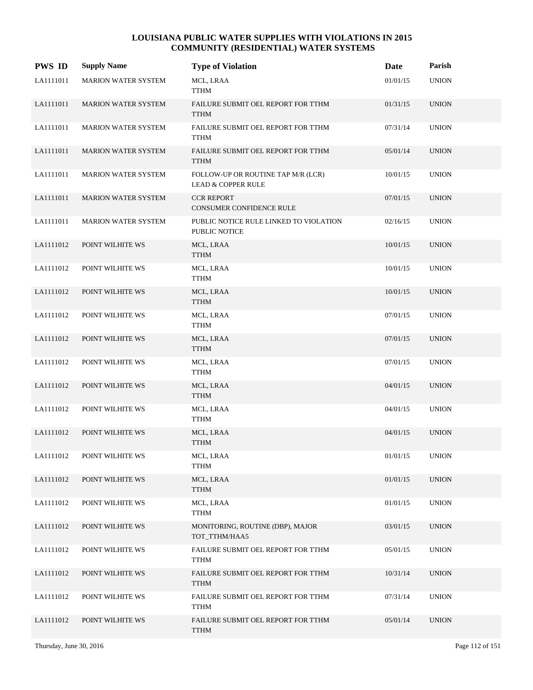| <b>PWS ID</b> | <b>Supply Name</b>         | <b>Type of Violation</b>                                            | Date     | Parish       |
|---------------|----------------------------|---------------------------------------------------------------------|----------|--------------|
| LA1111011     | <b>MARION WATER SYSTEM</b> | MCL, LRAA<br><b>TTHM</b>                                            | 01/01/15 | <b>UNION</b> |
| LA1111011     | <b>MARION WATER SYSTEM</b> | FAILURE SUBMIT OEL REPORT FOR TTHM<br><b>TTHM</b>                   | 01/31/15 | <b>UNION</b> |
| LA1111011     | MARION WATER SYSTEM        | FAILURE SUBMIT OEL REPORT FOR TTHM<br><b>TTHM</b>                   | 07/31/14 | <b>UNION</b> |
| LA1111011     | <b>MARION WATER SYSTEM</b> | FAILURE SUBMIT OEL REPORT FOR TTHM<br><b>TTHM</b>                   | 05/01/14 | <b>UNION</b> |
| LA1111011     | MARION WATER SYSTEM        | FOLLOW-UP OR ROUTINE TAP M/R (LCR)<br><b>LEAD &amp; COPPER RULE</b> | 10/01/15 | <b>UNION</b> |
| LA1111011     | <b>MARION WATER SYSTEM</b> | <b>CCR REPORT</b><br><b>CONSUMER CONFIDENCE RULE</b>                | 07/01/15 | <b>UNION</b> |
| LA1111011     | <b>MARION WATER SYSTEM</b> | PUBLIC NOTICE RULE LINKED TO VIOLATION<br>PUBLIC NOTICE             | 02/16/15 | <b>UNION</b> |
| LA1111012     | POINT WILHITE WS           | MCL, LRAA<br><b>TTHM</b>                                            | 10/01/15 | <b>UNION</b> |
| LA1111012     | POINT WILHITE WS           | MCL, LRAA<br><b>TTHM</b>                                            | 10/01/15 | <b>UNION</b> |
| LA1111012     | POINT WILHITE WS           | MCL, LRAA<br><b>TTHM</b>                                            | 10/01/15 | <b>UNION</b> |
| LA1111012     | POINT WILHITE WS           | MCL, LRAA<br><b>TTHM</b>                                            | 07/01/15 | <b>UNION</b> |
| LA1111012     | POINT WILHITE WS           | MCL, LRAA<br><b>TTHM</b>                                            | 07/01/15 | <b>UNION</b> |
| LA1111012     | POINT WILHITE WS           | MCL, LRAA<br><b>TTHM</b>                                            | 07/01/15 | <b>UNION</b> |
| LA1111012     | POINT WILHITE WS           | MCL, LRAA<br><b>TTHM</b>                                            | 04/01/15 | <b>UNION</b> |
| LA1111012     | POINT WILHITE WS           | MCL, LRAA<br><b>TTHM</b>                                            | 04/01/15 | <b>UNION</b> |
| LA1111012     | POINT WILHITE WS           | MCL, LRAA<br><b>TTHM</b>                                            | 04/01/15 | <b>UNION</b> |
| LA1111012     | POINT WILHITE WS           | MCL, LRAA<br><b>TTHM</b>                                            | 01/01/15 | <b>UNION</b> |
| LA1111012     | POINT WILHITE WS           | MCL, LRAA<br><b>TTHM</b>                                            | 01/01/15 | <b>UNION</b> |
| LA1111012     | POINT WILHITE WS           | MCL, LRAA<br><b>TTHM</b>                                            | 01/01/15 | <b>UNION</b> |
| LA1111012     | POINT WILHITE WS           | MONITORING, ROUTINE (DBP), MAJOR<br>TOT_TTHM/HAA5                   | 03/01/15 | <b>UNION</b> |
| LA1111012     | POINT WILHITE WS           | FAILURE SUBMIT OEL REPORT FOR TTHM<br><b>TTHM</b>                   | 05/01/15 | <b>UNION</b> |
| LA1111012     | POINT WILHITE WS           | FAILURE SUBMIT OEL REPORT FOR TTHM<br><b>TTHM</b>                   | 10/31/14 | <b>UNION</b> |
| LA1111012     | POINT WILHITE WS           | FAILURE SUBMIT OEL REPORT FOR TTHM<br><b>TTHM</b>                   | 07/31/14 | <b>UNION</b> |
| LA1111012     | POINT WILHITE WS           | FAILURE SUBMIT OEL REPORT FOR TTHM<br><b>TTHM</b>                   | 05/01/14 | <b>UNION</b> |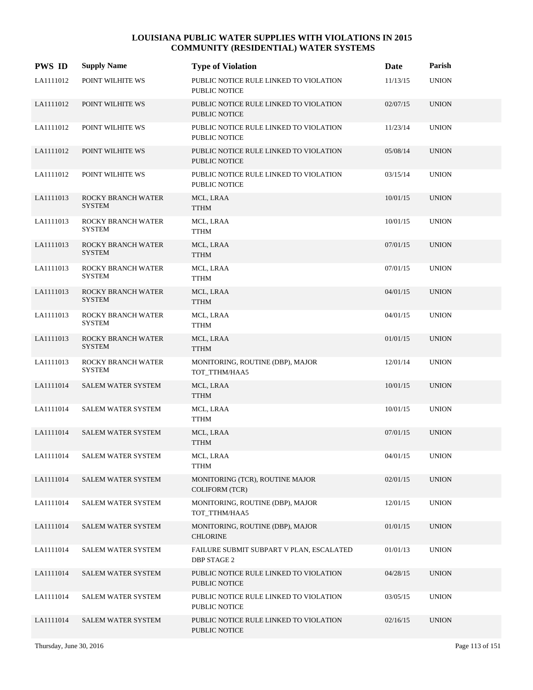| <b>PWS ID</b> | <b>Supply Name</b>                  | <b>Type of Violation</b>                                       | Date     | Parish       |
|---------------|-------------------------------------|----------------------------------------------------------------|----------|--------------|
| LA1111012     | POINT WILHITE WS                    | PUBLIC NOTICE RULE LINKED TO VIOLATION<br>PUBLIC NOTICE        | 11/13/15 | <b>UNION</b> |
| LA1111012     | POINT WILHITE WS                    | PUBLIC NOTICE RULE LINKED TO VIOLATION<br>PUBLIC NOTICE        | 02/07/15 | <b>UNION</b> |
| LA1111012     | POINT WILHITE WS                    | PUBLIC NOTICE RULE LINKED TO VIOLATION<br>PUBLIC NOTICE        | 11/23/14 | <b>UNION</b> |
| LA1111012     | POINT WILHITE WS                    | PUBLIC NOTICE RULE LINKED TO VIOLATION<br><b>PUBLIC NOTICE</b> | 05/08/14 | <b>UNION</b> |
| LA1111012     | POINT WILHITE WS                    | PUBLIC NOTICE RULE LINKED TO VIOLATION<br><b>PUBLIC NOTICE</b> | 03/15/14 | <b>UNION</b> |
| LA1111013     | ROCKY BRANCH WATER<br><b>SYSTEM</b> | MCL, LRAA<br><b>TTHM</b>                                       | 10/01/15 | <b>UNION</b> |
| LA1111013     | ROCKY BRANCH WATER<br><b>SYSTEM</b> | MCL, LRAA<br><b>TTHM</b>                                       | 10/01/15 | <b>UNION</b> |
| LA1111013     | ROCKY BRANCH WATER<br><b>SYSTEM</b> | MCL, LRAA<br><b>TTHM</b>                                       | 07/01/15 | <b>UNION</b> |
| LA1111013     | ROCKY BRANCH WATER<br><b>SYSTEM</b> | MCL, LRAA<br><b>TTHM</b>                                       | 07/01/15 | <b>UNION</b> |
| LA1111013     | ROCKY BRANCH WATER<br><b>SYSTEM</b> | MCL, LRAA<br><b>TTHM</b>                                       | 04/01/15 | <b>UNION</b> |
| LA1111013     | ROCKY BRANCH WATER<br><b>SYSTEM</b> | MCL, LRAA<br><b>TTHM</b>                                       | 04/01/15 | <b>UNION</b> |
| LA1111013     | ROCKY BRANCH WATER<br><b>SYSTEM</b> | MCL, LRAA<br><b>TTHM</b>                                       | 01/01/15 | <b>UNION</b> |
| LA1111013     | ROCKY BRANCH WATER<br><b>SYSTEM</b> | MONITORING, ROUTINE (DBP), MAJOR<br>TOT_TTHM/HAA5              | 12/01/14 | <b>UNION</b> |
| LA1111014     | <b>SALEM WATER SYSTEM</b>           | MCL, LRAA<br><b>TTHM</b>                                       | 10/01/15 | <b>UNION</b> |
| LA1111014     | <b>SALEM WATER SYSTEM</b>           | MCL, LRAA<br><b>TTHM</b>                                       | 10/01/15 | <b>UNION</b> |
| LA1111014     | <b>SALEM WATER SYSTEM</b>           | MCL, LRAA<br><b>TTHM</b>                                       | 07/01/15 | <b>UNION</b> |
| LA1111014     | <b>SALEM WATER SYSTEM</b>           | MCL, LRAA<br><b>TTHM</b>                                       | 04/01/15 | <b>UNION</b> |
| LA1111014     | <b>SALEM WATER SYSTEM</b>           | MONITORING (TCR), ROUTINE MAJOR<br><b>COLIFORM (TCR)</b>       | 02/01/15 | <b>UNION</b> |
| LA1111014     | <b>SALEM WATER SYSTEM</b>           | MONITORING, ROUTINE (DBP), MAJOR<br>TOT_TTHM/HAA5              | 12/01/15 | <b>UNION</b> |
| LA1111014     | <b>SALEM WATER SYSTEM</b>           | MONITORING, ROUTINE (DBP), MAJOR<br><b>CHLORINE</b>            | 01/01/15 | <b>UNION</b> |
| LA1111014     | SALEM WATER SYSTEM                  | FAILURE SUBMIT SUBPART V PLAN, ESCALATED<br><b>DBP STAGE 2</b> | 01/01/13 | <b>UNION</b> |
| LA1111014     | <b>SALEM WATER SYSTEM</b>           | PUBLIC NOTICE RULE LINKED TO VIOLATION<br>PUBLIC NOTICE        | 04/28/15 | <b>UNION</b> |
| LA1111014     | SALEM WATER SYSTEM                  | PUBLIC NOTICE RULE LINKED TO VIOLATION<br>PUBLIC NOTICE        | 03/05/15 | <b>UNION</b> |
| LA1111014     | SALEM WATER SYSTEM                  | PUBLIC NOTICE RULE LINKED TO VIOLATION<br>PUBLIC NOTICE        | 02/16/15 | <b>UNION</b> |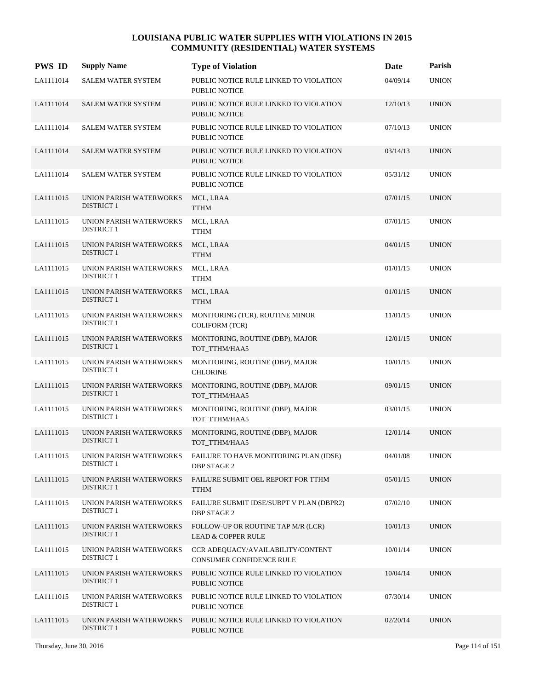| <b>PWS ID</b> | <b>Supply Name</b>                                  | <b>Type of Violation</b>                                            | Date     | Parish       |
|---------------|-----------------------------------------------------|---------------------------------------------------------------------|----------|--------------|
| LA1111014     | SALEM WATER SYSTEM                                  | PUBLIC NOTICE RULE LINKED TO VIOLATION<br><b>PUBLIC NOTICE</b>      | 04/09/14 | <b>UNION</b> |
| LA1111014     | <b>SALEM WATER SYSTEM</b>                           | PUBLIC NOTICE RULE LINKED TO VIOLATION<br>PUBLIC NOTICE             | 12/10/13 | <b>UNION</b> |
| LA1111014     | SALEM WATER SYSTEM                                  | PUBLIC NOTICE RULE LINKED TO VIOLATION<br>PUBLIC NOTICE             | 07/10/13 | <b>UNION</b> |
| LA1111014     | <b>SALEM WATER SYSTEM</b>                           | PUBLIC NOTICE RULE LINKED TO VIOLATION<br><b>PUBLIC NOTICE</b>      | 03/14/13 | <b>UNION</b> |
| LA1111014     | SALEM WATER SYSTEM                                  | PUBLIC NOTICE RULE LINKED TO VIOLATION<br>PUBLIC NOTICE             | 05/31/12 | <b>UNION</b> |
| LA1111015     | UNION PARISH WATERWORKS<br><b>DISTRICT 1</b>        | MCL, LRAA<br><b>TTHM</b>                                            | 07/01/15 | <b>UNION</b> |
| LA1111015     | UNION PARISH WATERWORKS<br><b>DISTRICT 1</b>        | MCL, LRAA<br><b>TTHM</b>                                            | 07/01/15 | <b>UNION</b> |
| LA1111015     | UNION PARISH WATERWORKS<br><b>DISTRICT 1</b>        | MCL, LRAA<br><b>TTHM</b>                                            | 04/01/15 | <b>UNION</b> |
| LA1111015     | UNION PARISH WATERWORKS<br><b>DISTRICT 1</b>        | MCL, LRAA<br><b>TTHM</b>                                            | 01/01/15 | <b>UNION</b> |
| LA1111015     | UNION PARISH WATERWORKS<br><b>DISTRICT 1</b>        | MCL, LRAA<br><b>TTHM</b>                                            | 01/01/15 | <b>UNION</b> |
| LA1111015     | UNION PARISH WATERWORKS<br><b>DISTRICT 1</b>        | MONITORING (TCR), ROUTINE MINOR<br><b>COLIFORM (TCR)</b>            | 11/01/15 | <b>UNION</b> |
| LA1111015     | UNION PARISH WATERWORKS<br><b>DISTRICT 1</b>        | MONITORING, ROUTINE (DBP), MAJOR<br>TOT_TTHM/HAA5                   | 12/01/15 | <b>UNION</b> |
| LA1111015     | UNION PARISH WATERWORKS<br><b>DISTRICT 1</b>        | MONITORING, ROUTINE (DBP), MAJOR<br><b>CHLORINE</b>                 | 10/01/15 | <b>UNION</b> |
| LA1111015     | UNION PARISH WATERWORKS<br><b>DISTRICT 1</b>        | MONITORING, ROUTINE (DBP), MAJOR<br>TOT_TTHM/HAA5                   | 09/01/15 | <b>UNION</b> |
| LA1111015     | UNION PARISH WATERWORKS<br><b>DISTRICT 1</b>        | MONITORING, ROUTINE (DBP), MAJOR<br>TOT_TTHM/HAA5                   | 03/01/15 | <b>UNION</b> |
| LA1111015     | UNION PARISH WATERWORKS<br><b>DISTRICT 1</b>        | MONITORING, ROUTINE (DBP), MAJOR<br>TOT_TTHM/HAA5                   | 12/01/14 | <b>UNION</b> |
| LA1111015     | UNION PARISH WATERWORKS<br><b>DISTRICT 1</b>        | FAILURE TO HAVE MONITORING PLAN (IDSE)<br>DBP STAGE 2               | 04/01/08 | <b>UNION</b> |
| LA1111015     | UNION PARISH WATERWORKS<br><b>DISTRICT 1</b>        | FAILURE SUBMIT OEL REPORT FOR TTHM<br><b>TTHM</b>                   | 05/01/15 | <b>UNION</b> |
| LA1111015     | <b>UNION PARISH WATERWORKS</b><br><b>DISTRICT 1</b> | FAILURE SUBMIT IDSE/SUBPT V PLAN (DBPR2)<br><b>DBP STAGE 2</b>      | 07/02/10 | <b>UNION</b> |
| LA1111015     | UNION PARISH WATERWORKS<br><b>DISTRICT 1</b>        | FOLLOW-UP OR ROUTINE TAP M/R (LCR)<br><b>LEAD &amp; COPPER RULE</b> | 10/01/13 | <b>UNION</b> |
| LA1111015     | UNION PARISH WATERWORKS<br><b>DISTRICT 1</b>        | CCR ADEQUACY/AVAILABILITY/CONTENT<br>CONSUMER CONFIDENCE RULE       | 10/01/14 | <b>UNION</b> |
| LA1111015     | UNION PARISH WATERWORKS<br><b>DISTRICT 1</b>        | PUBLIC NOTICE RULE LINKED TO VIOLATION<br>PUBLIC NOTICE             | 10/04/14 | <b>UNION</b> |
| LA1111015     | UNION PARISH WATERWORKS<br><b>DISTRICT 1</b>        | PUBLIC NOTICE RULE LINKED TO VIOLATION<br>PUBLIC NOTICE             | 07/30/14 | <b>UNION</b> |
| LA1111015     | UNION PARISH WATERWORKS<br><b>DISTRICT 1</b>        | PUBLIC NOTICE RULE LINKED TO VIOLATION<br>PUBLIC NOTICE             | 02/20/14 | <b>UNION</b> |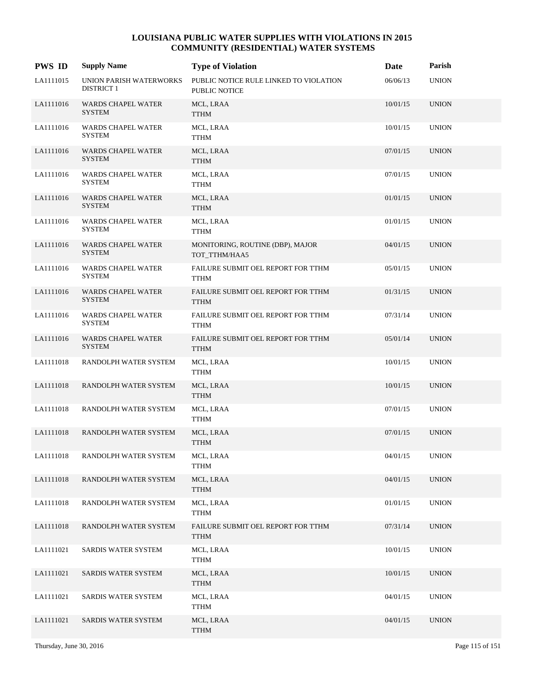| <b>PWS ID</b> | <b>Supply Name</b>                           | <b>Type of Violation</b>                                       | Date     | Parish       |
|---------------|----------------------------------------------|----------------------------------------------------------------|----------|--------------|
| LA1111015     | UNION PARISH WATERWORKS<br><b>DISTRICT 1</b> | PUBLIC NOTICE RULE LINKED TO VIOLATION<br><b>PUBLIC NOTICE</b> | 06/06/13 | <b>UNION</b> |
| LA1111016     | <b>WARDS CHAPEL WATER</b><br><b>SYSTEM</b>   | MCL, LRAA<br><b>TTHM</b>                                       | 10/01/15 | <b>UNION</b> |
| LA1111016     | WARDS CHAPEL WATER<br><b>SYSTEM</b>          | MCL, LRAA<br><b>TTHM</b>                                       | 10/01/15 | <b>UNION</b> |
| LA1111016     | <b>WARDS CHAPEL WATER</b><br><b>SYSTEM</b>   | MCL, LRAA<br><b>TTHM</b>                                       | 07/01/15 | <b>UNION</b> |
| LA1111016     | <b>WARDS CHAPEL WATER</b><br><b>SYSTEM</b>   | MCL, LRAA<br>TTHM                                              | 07/01/15 | <b>UNION</b> |
| LA1111016     | <b>WARDS CHAPEL WATER</b><br><b>SYSTEM</b>   | MCL, LRAA<br><b>TTHM</b>                                       | 01/01/15 | <b>UNION</b> |
| LA1111016     | <b>WARDS CHAPEL WATER</b><br><b>SYSTEM</b>   | MCL, LRAA<br><b>TTHM</b>                                       | 01/01/15 | <b>UNION</b> |
| LA1111016     | <b>WARDS CHAPEL WATER</b><br><b>SYSTEM</b>   | MONITORING, ROUTINE (DBP), MAJOR<br>TOT TTHM/HAA5              | 04/01/15 | <b>UNION</b> |
| LA1111016     | <b>WARDS CHAPEL WATER</b><br><b>SYSTEM</b>   | FAILURE SUBMIT OEL REPORT FOR TTHM<br>TTHM                     | 05/01/15 | <b>UNION</b> |
| LA1111016     | WARDS CHAPEL WATER<br><b>SYSTEM</b>          | FAILURE SUBMIT OEL REPORT FOR TTHM<br><b>TTHM</b>              | 01/31/15 | <b>UNION</b> |
| LA1111016     | <b>WARDS CHAPEL WATER</b><br><b>SYSTEM</b>   | FAILURE SUBMIT OEL REPORT FOR TTHM<br><b>TTHM</b>              | 07/31/14 | <b>UNION</b> |
| LA1111016     | <b>WARDS CHAPEL WATER</b><br><b>SYSTEM</b>   | FAILURE SUBMIT OEL REPORT FOR TTHM<br><b>TTHM</b>              | 05/01/14 | <b>UNION</b> |
| LA1111018     | RANDOLPH WATER SYSTEM                        | MCL, LRAA<br>TTHM                                              | 10/01/15 | <b>UNION</b> |
| LA1111018     | RANDOLPH WATER SYSTEM                        | MCL, LRAA<br><b>TTHM</b>                                       | 10/01/15 | <b>UNION</b> |
| LA1111018     | RANDOLPH WATER SYSTEM                        | MCL, LRAA<br><b>TTHM</b>                                       | 07/01/15 | <b>UNION</b> |
| LA1111018     | RANDOLPH WATER SYSTEM                        | MCL, LRAA<br><b>TTHM</b>                                       | 07/01/15 | <b>UNION</b> |
| LA1111018     | RANDOLPH WATER SYSTEM                        | MCL, LRAA<br><b>TTHM</b>                                       | 04/01/15 | <b>UNION</b> |
| LA1111018     | RANDOLPH WATER SYSTEM                        | MCL, LRAA<br><b>TTHM</b>                                       | 04/01/15 | <b>UNION</b> |
| LA1111018     | RANDOLPH WATER SYSTEM                        | MCL, LRAA<br><b>TTHM</b>                                       | 01/01/15 | <b>UNION</b> |
| LA1111018     | RANDOLPH WATER SYSTEM                        | FAILURE SUBMIT OEL REPORT FOR TTHM<br><b>TTHM</b>              | 07/31/14 | <b>UNION</b> |
| LA1111021     | SARDIS WATER SYSTEM                          | MCL, LRAA<br><b>TTHM</b>                                       | 10/01/15 | <b>UNION</b> |
| LA1111021     | SARDIS WATER SYSTEM                          | MCL, LRAA<br><b>TTHM</b>                                       | 10/01/15 | <b>UNION</b> |
| LA1111021     | SARDIS WATER SYSTEM                          | MCL, LRAA<br><b>TTHM</b>                                       | 04/01/15 | <b>UNION</b> |
| LA1111021     | SARDIS WATER SYSTEM                          | MCL, LRAA<br><b>TTHM</b>                                       | 04/01/15 | <b>UNION</b> |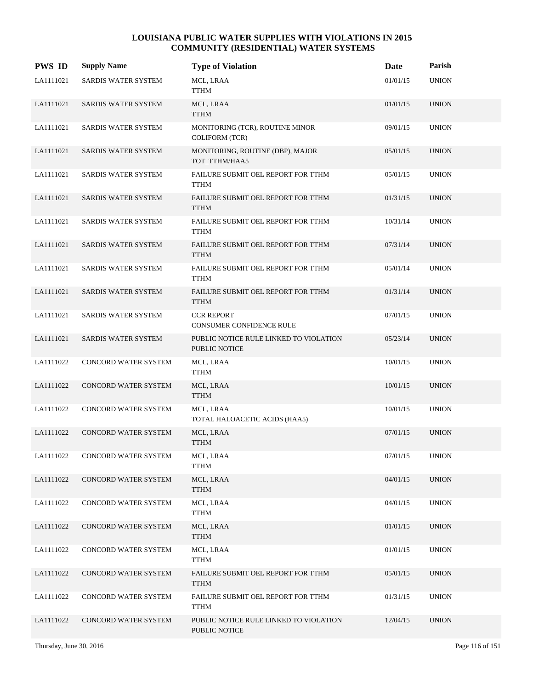| <b>PWS ID</b> | <b>Supply Name</b>          | <b>Type of Violation</b>                                 | Date     | Parish       |
|---------------|-----------------------------|----------------------------------------------------------|----------|--------------|
| LA1111021     | SARDIS WATER SYSTEM         | MCL, LRAA<br><b>TTHM</b>                                 | 01/01/15 | <b>UNION</b> |
| LA1111021     | SARDIS WATER SYSTEM         | MCL, LRAA<br><b>TTHM</b>                                 | 01/01/15 | <b>UNION</b> |
| LA1111021     | <b>SARDIS WATER SYSTEM</b>  | MONITORING (TCR), ROUTINE MINOR<br><b>COLIFORM (TCR)</b> | 09/01/15 | <b>UNION</b> |
| LA1111021     | SARDIS WATER SYSTEM         | MONITORING, ROUTINE (DBP), MAJOR<br>TOT_TTHM/HAA5        | 05/01/15 | <b>UNION</b> |
| LA1111021     | SARDIS WATER SYSTEM         | FAILURE SUBMIT OEL REPORT FOR TTHM<br><b>TTHM</b>        | 05/01/15 | <b>UNION</b> |
| LA1111021     | SARDIS WATER SYSTEM         | FAILURE SUBMIT OEL REPORT FOR TTHM<br><b>TTHM</b>        | 01/31/15 | <b>UNION</b> |
| LA1111021     | <b>SARDIS WATER SYSTEM</b>  | FAILURE SUBMIT OEL REPORT FOR TTHM<br><b>TTHM</b>        | 10/31/14 | <b>UNION</b> |
| LA1111021     | <b>SARDIS WATER SYSTEM</b>  | FAILURE SUBMIT OEL REPORT FOR TTHM<br><b>TTHM</b>        | 07/31/14 | <b>UNION</b> |
| LA1111021     | <b>SARDIS WATER SYSTEM</b>  | FAILURE SUBMIT OEL REPORT FOR TTHM<br><b>TTHM</b>        | 05/01/14 | <b>UNION</b> |
| LA1111021     | SARDIS WATER SYSTEM         | FAILURE SUBMIT OEL REPORT FOR TTHM<br><b>TTHM</b>        | 01/31/14 | <b>UNION</b> |
| LA1111021     | <b>SARDIS WATER SYSTEM</b>  | <b>CCR REPORT</b><br><b>CONSUMER CONFIDENCE RULE</b>     | 07/01/15 | <b>UNION</b> |
| LA1111021     | <b>SARDIS WATER SYSTEM</b>  | PUBLIC NOTICE RULE LINKED TO VIOLATION<br>PUBLIC NOTICE  | 05/23/14 | <b>UNION</b> |
| LA1111022     | CONCORD WATER SYSTEM        | MCL, LRAA<br><b>TTHM</b>                                 | 10/01/15 | <b>UNION</b> |
| LA1111022     | CONCORD WATER SYSTEM        | MCL, LRAA<br><b>TTHM</b>                                 | 10/01/15 | <b>UNION</b> |
| LA1111022     | CONCORD WATER SYSTEM        | MCL, LRAA<br>TOTAL HALOACETIC ACIDS (HAA5)               | 10/01/15 | <b>UNION</b> |
| LA1111022     | <b>CONCORD WATER SYSTEM</b> | MCL, LRAA<br><b>TTHM</b>                                 | 07/01/15 | <b>UNION</b> |
| LA1111022     | CONCORD WATER SYSTEM        | MCL, LRAA<br><b>TTHM</b>                                 | 07/01/15 | <b>UNION</b> |
| LA1111022     | CONCORD WATER SYSTEM        | MCL, LRAA<br><b>TTHM</b>                                 | 04/01/15 | <b>UNION</b> |
| LA1111022     | CONCORD WATER SYSTEM        | MCL, LRAA<br>TTHM                                        | 04/01/15 | <b>UNION</b> |
| LA1111022     | CONCORD WATER SYSTEM        | MCL, LRAA<br><b>TTHM</b>                                 | 01/01/15 | <b>UNION</b> |
| LA1111022     | CONCORD WATER SYSTEM        | MCL, LRAA<br><b>TTHM</b>                                 | 01/01/15 | <b>UNION</b> |
| LA1111022     | CONCORD WATER SYSTEM        | FAILURE SUBMIT OEL REPORT FOR TTHM<br><b>TTHM</b>        | 05/01/15 | <b>UNION</b> |
| LA1111022     | CONCORD WATER SYSTEM        | FAILURE SUBMIT OEL REPORT FOR TTHM<br><b>TTHM</b>        | 01/31/15 | <b>UNION</b> |
| LA1111022     | CONCORD WATER SYSTEM        | PUBLIC NOTICE RULE LINKED TO VIOLATION<br>PUBLIC NOTICE  | 12/04/15 | <b>UNION</b> |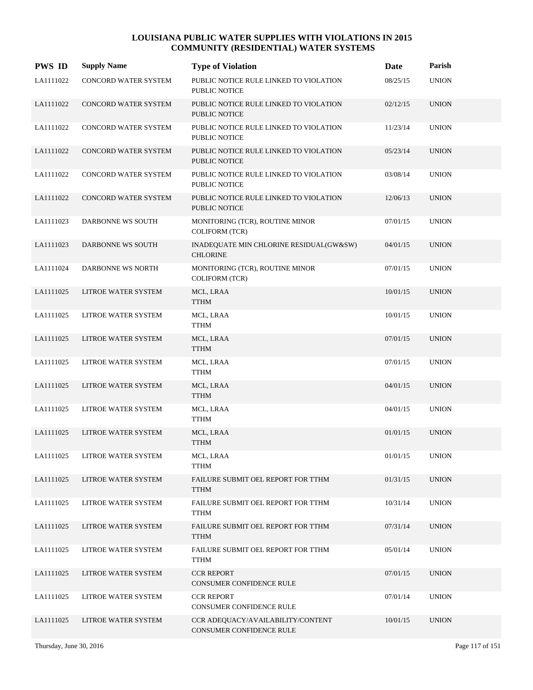| <b>PWS ID</b> | <b>Supply Name</b>          | <b>Type of Violation</b>                                       | Date     | Parish       |
|---------------|-----------------------------|----------------------------------------------------------------|----------|--------------|
| LA1111022     | CONCORD WATER SYSTEM        | PUBLIC NOTICE RULE LINKED TO VIOLATION<br>PUBLIC NOTICE        | 08/25/15 | <b>UNION</b> |
| LA1111022     | CONCORD WATER SYSTEM        | PUBLIC NOTICE RULE LINKED TO VIOLATION<br><b>PUBLIC NOTICE</b> | 02/12/15 | <b>UNION</b> |
| LA1111022     | CONCORD WATER SYSTEM        | PUBLIC NOTICE RULE LINKED TO VIOLATION<br>PUBLIC NOTICE        | 11/23/14 | <b>UNION</b> |
| LA1111022     | <b>CONCORD WATER SYSTEM</b> | PUBLIC NOTICE RULE LINKED TO VIOLATION<br>PUBLIC NOTICE        | 05/23/14 | <b>UNION</b> |
| LA1111022     | CONCORD WATER SYSTEM        | PUBLIC NOTICE RULE LINKED TO VIOLATION<br>PUBLIC NOTICE        | 03/08/14 | <b>UNION</b> |
| LA1111022     | CONCORD WATER SYSTEM        | PUBLIC NOTICE RULE LINKED TO VIOLATION<br><b>PUBLIC NOTICE</b> | 12/06/13 | <b>UNION</b> |
| LA1111023     | DARBONNE WS SOUTH           | MONITORING (TCR), ROUTINE MINOR<br><b>COLIFORM (TCR)</b>       | 07/01/15 | <b>UNION</b> |
| LA1111023     | DARBONNE WS SOUTH           | INADEQUATE MIN CHLORINE RESIDUAL(GW&SW)<br><b>CHLORINE</b>     | 04/01/15 | <b>UNION</b> |
| LA1111024     | DARBONNE WS NORTH           | MONITORING (TCR), ROUTINE MINOR<br><b>COLIFORM (TCR)</b>       | 07/01/15 | <b>UNION</b> |
| LA1111025     | LITROE WATER SYSTEM         | MCL, LRAA<br><b>TTHM</b>                                       | 10/01/15 | <b>UNION</b> |
| LA1111025     | LITROE WATER SYSTEM         | MCL, LRAA<br>TTHM                                              | 10/01/15 | <b>UNION</b> |
| LA1111025     | LITROE WATER SYSTEM         | MCL, LRAA<br><b>TTHM</b>                                       | 07/01/15 | <b>UNION</b> |
| LA1111025     | LITROE WATER SYSTEM         | MCL, LRAA<br>TTHM                                              | 07/01/15 | <b>UNION</b> |
| LA1111025     | LITROE WATER SYSTEM         | MCL, LRAA<br><b>TTHM</b>                                       | 04/01/15 | <b>UNION</b> |
| LA1111025     | LITROE WATER SYSTEM         | MCL, LRAA<br>TTHM                                              | 04/01/15 | <b>UNION</b> |
| LA1111025     | LITROE WATER SYSTEM         | MCL, LRAA<br><b>TTHM</b>                                       | 01/01/15 | <b>UNION</b> |
| LA1111025     | LITROE WATER SYSTEM         | MCL, LRAA<br><b>TTHM</b>                                       | 01/01/15 | <b>UNION</b> |
| LA1111025     | LITROE WATER SYSTEM         | FAILURE SUBMIT OEL REPORT FOR TTHM<br><b>TTHM</b>              | 01/31/15 | <b>UNION</b> |
| LA1111025     | LITROE WATER SYSTEM         | FAILURE SUBMIT OEL REPORT FOR TTHM<br><b>TTHM</b>              | 10/31/14 | <b>UNION</b> |
| LA1111025     | LITROE WATER SYSTEM         | FAILURE SUBMIT OEL REPORT FOR TTHM<br><b>TTHM</b>              | 07/31/14 | <b>UNION</b> |
| LA1111025     | LITROE WATER SYSTEM         | FAILURE SUBMIT OEL REPORT FOR TTHM<br><b>TTHM</b>              | 05/01/14 | <b>UNION</b> |
| LA1111025     | LITROE WATER SYSTEM         | <b>CCR REPORT</b><br>CONSUMER CONFIDENCE RULE                  | 07/01/15 | <b>UNION</b> |
| LA1111025     | LITROE WATER SYSTEM         | <b>CCR REPORT</b><br>CONSUMER CONFIDENCE RULE                  | 07/01/14 | <b>UNION</b> |
| LA1111025     | LITROE WATER SYSTEM         | CCR ADEQUACY/AVAILABILITY/CONTENT<br>CONSUMER CONFIDENCE RULE  | 10/01/15 | <b>UNION</b> |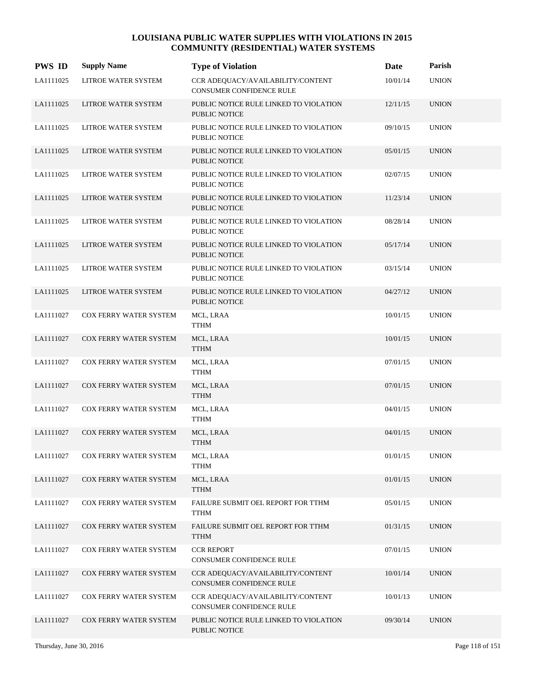| <b>PWS ID</b> | <b>Supply Name</b>            | <b>Type of Violation</b>                                       | Date     | Parish       |
|---------------|-------------------------------|----------------------------------------------------------------|----------|--------------|
| LA1111025     | LITROE WATER SYSTEM           | CCR ADEQUACY/AVAILABILITY/CONTENT<br>CONSUMER CONFIDENCE RULE  | 10/01/14 | <b>UNION</b> |
| LA1111025     | <b>LITROE WATER SYSTEM</b>    | PUBLIC NOTICE RULE LINKED TO VIOLATION<br><b>PUBLIC NOTICE</b> | 12/11/15 | <b>UNION</b> |
| LA1111025     | LITROE WATER SYSTEM           | PUBLIC NOTICE RULE LINKED TO VIOLATION<br>PUBLIC NOTICE        | 09/10/15 | <b>UNION</b> |
| LA1111025     | LITROE WATER SYSTEM           | PUBLIC NOTICE RULE LINKED TO VIOLATION<br><b>PUBLIC NOTICE</b> | 05/01/15 | <b>UNION</b> |
| LA1111025     | LITROE WATER SYSTEM           | PUBLIC NOTICE RULE LINKED TO VIOLATION<br>PUBLIC NOTICE        | 02/07/15 | <b>UNION</b> |
| LA1111025     | LITROE WATER SYSTEM           | PUBLIC NOTICE RULE LINKED TO VIOLATION<br><b>PUBLIC NOTICE</b> | 11/23/14 | <b>UNION</b> |
| LA1111025     | LITROE WATER SYSTEM           | PUBLIC NOTICE RULE LINKED TO VIOLATION<br>PUBLIC NOTICE        | 08/28/14 | <b>UNION</b> |
| LA1111025     | LITROE WATER SYSTEM           | PUBLIC NOTICE RULE LINKED TO VIOLATION<br>PUBLIC NOTICE        | 05/17/14 | <b>UNION</b> |
| LA1111025     | LITROE WATER SYSTEM           | PUBLIC NOTICE RULE LINKED TO VIOLATION<br>PUBLIC NOTICE        | 03/15/14 | <b>UNION</b> |
| LA1111025     | LITROE WATER SYSTEM           | PUBLIC NOTICE RULE LINKED TO VIOLATION<br>PUBLIC NOTICE        | 04/27/12 | <b>UNION</b> |
| LA1111027     | COX FERRY WATER SYSTEM        | MCL, LRAA<br><b>TTHM</b>                                       | 10/01/15 | <b>UNION</b> |
| LA1111027     | <b>COX FERRY WATER SYSTEM</b> | MCL, LRAA<br><b>TTHM</b>                                       | 10/01/15 | <b>UNION</b> |
| LA1111027     | COX FERRY WATER SYSTEM        | MCL, LRAA<br><b>TTHM</b>                                       | 07/01/15 | <b>UNION</b> |
| LA1111027     | COX FERRY WATER SYSTEM        | MCL, LRAA<br><b>TTHM</b>                                       | 07/01/15 | <b>UNION</b> |
| LA1111027     | COX FERRY WATER SYSTEM        | MCL, LRAA<br><b>TTHM</b>                                       | 04/01/15 | <b>UNION</b> |
| LA1111027     | COX FERRY WATER SYSTEM        | MCL, LRAA<br><b>TTHM</b>                                       | 04/01/15 | <b>UNION</b> |
| LA1111027     | COX FERRY WATER SYSTEM        | MCL, LRAA<br><b>TTHM</b>                                       | 01/01/15 | <b>UNION</b> |
| LA1111027     | COX FERRY WATER SYSTEM        | MCL, LRAA<br><b>TTHM</b>                                       | 01/01/15 | <b>UNION</b> |
| LA1111027     | COX FERRY WATER SYSTEM        | FAILURE SUBMIT OEL REPORT FOR TTHM<br><b>TTHM</b>              | 05/01/15 | <b>UNION</b> |
| LA1111027     | COX FERRY WATER SYSTEM        | FAILURE SUBMIT OEL REPORT FOR TTHM<br><b>TTHM</b>              | 01/31/15 | <b>UNION</b> |
| LA1111027     | COX FERRY WATER SYSTEM        | <b>CCR REPORT</b><br>CONSUMER CONFIDENCE RULE                  | 07/01/15 | <b>UNION</b> |
| LA1111027     | COX FERRY WATER SYSTEM        | CCR ADEQUACY/AVAILABILITY/CONTENT<br>CONSUMER CONFIDENCE RULE  | 10/01/14 | <b>UNION</b> |
| LA1111027     | COX FERRY WATER SYSTEM        | CCR ADEQUACY/AVAILABILITY/CONTENT<br>CONSUMER CONFIDENCE RULE  | 10/01/13 | <b>UNION</b> |
| LA1111027     | COX FERRY WATER SYSTEM        | PUBLIC NOTICE RULE LINKED TO VIOLATION<br>PUBLIC NOTICE        | 09/30/14 | <b>UNION</b> |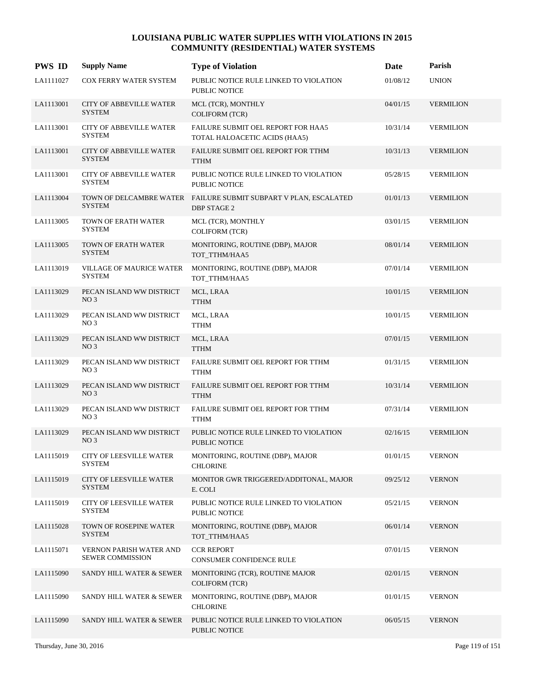| <b>PWS ID</b> | <b>Supply Name</b>                                 | <b>Type of Violation</b>                                                               | Date     | Parish           |
|---------------|----------------------------------------------------|----------------------------------------------------------------------------------------|----------|------------------|
| LA1111027     | COX FERRY WATER SYSTEM                             | PUBLIC NOTICE RULE LINKED TO VIOLATION<br>PUBLIC NOTICE                                | 01/08/12 | <b>UNION</b>     |
| LA1113001     | <b>CITY OF ABBEVILLE WATER</b><br><b>SYSTEM</b>    | MCL (TCR), MONTHLY<br><b>COLIFORM (TCR)</b>                                            | 04/01/15 | <b>VERMILION</b> |
| LA1113001     | <b>CITY OF ABBEVILLE WATER</b><br><b>SYSTEM</b>    | FAILURE SUBMIT OEL REPORT FOR HAA5<br>TOTAL HALOACETIC ACIDS (HAA5)                    | 10/31/14 | <b>VERMILION</b> |
| LA1113001     | <b>CITY OF ABBEVILLE WATER</b><br><b>SYSTEM</b>    | FAILURE SUBMIT OEL REPORT FOR TTHM<br><b>TTHM</b>                                      | 10/31/13 | <b>VERMILION</b> |
| LA1113001     | <b>CITY OF ABBEVILLE WATER</b><br><b>SYSTEM</b>    | PUBLIC NOTICE RULE LINKED TO VIOLATION<br><b>PUBLIC NOTICE</b>                         | 05/28/15 | <b>VERMILION</b> |
| LA1113004     | <b>SYSTEM</b>                                      | TOWN OF DELCAMBRE WATER FAILURE SUBMIT SUBPART V PLAN, ESCALATED<br><b>DBP STAGE 2</b> | 01/01/13 | <b>VERMILION</b> |
| LA1113005     | <b>TOWN OF ERATH WATER</b><br><b>SYSTEM</b>        | MCL (TCR), MONTHLY<br><b>COLIFORM (TCR)</b>                                            | 03/01/15 | <b>VERMILION</b> |
| LA1113005     | TOWN OF ERATH WATER<br><b>SYSTEM</b>               | MONITORING, ROUTINE (DBP), MAJOR<br>TOT TTHM/HAA5                                      | 08/01/14 | <b>VERMILION</b> |
| LA1113019     | VILLAGE OF MAURICE WATER<br><b>SYSTEM</b>          | MONITORING, ROUTINE (DBP), MAJOR<br>TOT_TTHM/HAA5                                      | 07/01/14 | <b>VERMILION</b> |
| LA1113029     | PECAN ISLAND WW DISTRICT<br>NO <sub>3</sub>        | MCL, LRAA<br><b>TTHM</b>                                                               | 10/01/15 | <b>VERMILION</b> |
| LA1113029     | PECAN ISLAND WW DISTRICT<br>NO <sub>3</sub>        | MCL, LRAA<br><b>TTHM</b>                                                               | 10/01/15 | <b>VERMILION</b> |
| LA1113029     | PECAN ISLAND WW DISTRICT<br>NO <sub>3</sub>        | MCL, LRAA<br><b>TTHM</b>                                                               | 07/01/15 | <b>VERMILION</b> |
| LA1113029     | PECAN ISLAND WW DISTRICT<br>NO <sub>3</sub>        | FAILURE SUBMIT OEL REPORT FOR TTHM<br><b>TTHM</b>                                      | 01/31/15 | <b>VERMILION</b> |
| LA1113029     | PECAN ISLAND WW DISTRICT<br>NO <sub>3</sub>        | FAILURE SUBMIT OEL REPORT FOR TTHM<br><b>TTHM</b>                                      | 10/31/14 | <b>VERMILION</b> |
| LA1113029     | PECAN ISLAND WW DISTRICT<br>NO <sub>3</sub>        | FAILURE SUBMIT OEL REPORT FOR TTHM<br><b>TTHM</b>                                      | 07/31/14 | <b>VERMILION</b> |
| LA1113029     | PECAN ISLAND WW DISTRICT<br>NO <sub>3</sub>        | PUBLIC NOTICE RULE LINKED TO VIOLATION<br><b>PUBLIC NOTICE</b>                         | 02/16/15 | <b>VERMILION</b> |
| LA1115019     | CITY OF LEESVILLE WATER<br><b>SYSTEM</b>           | MONITORING, ROUTINE (DBP), MAJOR<br><b>CHLORINE</b>                                    | 01/01/15 | <b>VERNON</b>    |
| LA1115019     | CITY OF LEESVILLE WATER<br><b>SYSTEM</b>           | MONITOR GWR TRIGGERED/ADDITONAL, MAJOR<br>E. COLI                                      | 09/25/12 | <b>VERNON</b>    |
| LA1115019     | <b>CITY OF LEESVILLE WATER</b><br><b>SYSTEM</b>    | PUBLIC NOTICE RULE LINKED TO VIOLATION<br>PUBLIC NOTICE                                | 05/21/15 | <b>VERNON</b>    |
| LA1115028     | TOWN OF ROSEPINE WATER<br><b>SYSTEM</b>            | MONITORING, ROUTINE (DBP), MAJOR<br>TOT TTHM/HAA5                                      | 06/01/14 | <b>VERNON</b>    |
| LA1115071     | VERNON PARISH WATER AND<br><b>SEWER COMMISSION</b> | <b>CCR REPORT</b><br>CONSUMER CONFIDENCE RULE                                          | 07/01/15 | <b>VERNON</b>    |
| LA1115090     | <b>SANDY HILL WATER &amp; SEWER</b>                | MONITORING (TCR), ROUTINE MAJOR<br><b>COLIFORM (TCR)</b>                               | 02/01/15 | <b>VERNON</b>    |
| LA1115090     | <b>SANDY HILL WATER &amp; SEWER</b>                | MONITORING, ROUTINE (DBP), MAJOR<br><b>CHLORINE</b>                                    | 01/01/15 | <b>VERNON</b>    |
| LA1115090     | <b>SANDY HILL WATER &amp; SEWER</b>                | PUBLIC NOTICE RULE LINKED TO VIOLATION<br>PUBLIC NOTICE                                | 06/05/15 | <b>VERNON</b>    |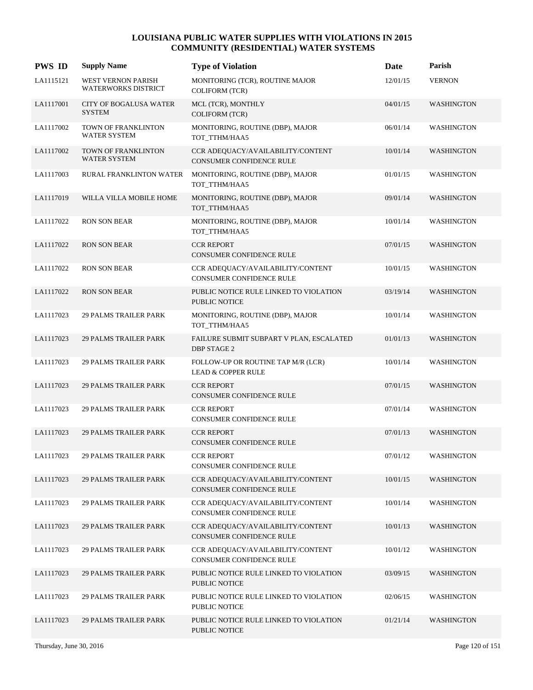| <b>PWS ID</b> | <b>Supply Name</b>                             | <b>Type of Violation</b>                                             | Date     | Parish            |
|---------------|------------------------------------------------|----------------------------------------------------------------------|----------|-------------------|
| LA1115121     | WEST VERNON PARISH<br>WATERWORKS DISTRICT      | MONITORING (TCR), ROUTINE MAJOR<br><b>COLIFORM (TCR)</b>             | 12/01/15 | <b>VERNON</b>     |
| LA1117001     | <b>CITY OF BOGALUSA WATER</b><br><b>SYSTEM</b> | MCL (TCR), MONTHLY<br><b>COLIFORM (TCR)</b>                          | 04/01/15 | <b>WASHINGTON</b> |
| LA1117002     | TOWN OF FRANKLINTON<br><b>WATER SYSTEM</b>     | MONITORING, ROUTINE (DBP), MAJOR<br>TOT_TTHM/HAA5                    | 06/01/14 | <b>WASHINGTON</b> |
| LA1117002     | TOWN OF FRANKLINTON<br><b>WATER SYSTEM</b>     | CCR ADEQUACY/AVAILABILITY/CONTENT<br><b>CONSUMER CONFIDENCE RULE</b> | 10/01/14 | <b>WASHINGTON</b> |
| LA1117003     | RURAL FRANKLINTON WATER                        | MONITORING, ROUTINE (DBP), MAJOR<br>TOT_TTHM/HAA5                    | 01/01/15 | <b>WASHINGTON</b> |
| LA1117019     | WILLA VILLA MOBILE HOME                        | MONITORING, ROUTINE (DBP), MAJOR<br>TOT_TTHM/HAA5                    | 09/01/14 | <b>WASHINGTON</b> |
| LA1117022     | <b>RON SON BEAR</b>                            | MONITORING, ROUTINE (DBP), MAJOR<br>TOT_TTHM/HAA5                    | 10/01/14 | <b>WASHINGTON</b> |
| LA1117022     | <b>RON SON BEAR</b>                            | <b>CCR REPORT</b><br><b>CONSUMER CONFIDENCE RULE</b>                 | 07/01/15 | <b>WASHINGTON</b> |
| LA1117022     | <b>RON SON BEAR</b>                            | CCR ADEQUACY/AVAILABILITY/CONTENT<br>CONSUMER CONFIDENCE RULE        | 10/01/15 | <b>WASHINGTON</b> |
| LA1117022     | <b>RON SON BEAR</b>                            | PUBLIC NOTICE RULE LINKED TO VIOLATION<br><b>PUBLIC NOTICE</b>       | 03/19/14 | <b>WASHINGTON</b> |
| LA1117023     | <b>29 PALMS TRAILER PARK</b>                   | MONITORING, ROUTINE (DBP), MAJOR<br>TOT_TTHM/HAA5                    | 10/01/14 | WASHINGTON        |
| LA1117023     | <b>29 PALMS TRAILER PARK</b>                   | FAILURE SUBMIT SUBPART V PLAN, ESCALATED<br><b>DBP STAGE 2</b>       | 01/01/13 | <b>WASHINGTON</b> |
| LA1117023     | <b>29 PALMS TRAILER PARK</b>                   | FOLLOW-UP OR ROUTINE TAP M/R (LCR)<br><b>LEAD &amp; COPPER RULE</b>  | 10/01/14 | <b>WASHINGTON</b> |
| LA1117023     | <b>29 PALMS TRAILER PARK</b>                   | <b>CCR REPORT</b><br>CONSUMER CONFIDENCE RULE                        | 07/01/15 | <b>WASHINGTON</b> |
| LA1117023     | <b>29 PALMS TRAILER PARK</b>                   | <b>CCR REPORT</b><br>CONSUMER CONFIDENCE RULE                        | 07/01/14 | WASHINGTON        |
| LA1117023     | <b>29 PALMS TRAILER PARK</b>                   | <b>CCR REPORT</b><br><b>CONSUMER CONFIDENCE RULE</b>                 | 07/01/13 | <b>WASHINGTON</b> |
| LA1117023     | 29 PALMS TRAILER PARK                          | <b>CCR REPORT</b><br>CONSUMER CONFIDENCE RULE                        | 07/01/12 | WASHINGTON        |
| LA1117023     | <b>29 PALMS TRAILER PARK</b>                   | CCR ADEQUACY/AVAILABILITY/CONTENT<br>CONSUMER CONFIDENCE RULE        | 10/01/15 | <b>WASHINGTON</b> |
| LA1117023     | <b>29 PALMS TRAILER PARK</b>                   | CCR ADEQUACY/AVAILABILITY/CONTENT<br>CONSUMER CONFIDENCE RULE        | 10/01/14 | <b>WASHINGTON</b> |
| LA1117023     | <b>29 PALMS TRAILER PARK</b>                   | CCR ADEQUACY/AVAILABILITY/CONTENT<br>CONSUMER CONFIDENCE RULE        | 10/01/13 | <b>WASHINGTON</b> |
| LA1117023     | 29 PALMS TRAILER PARK                          | CCR ADEQUACY/AVAILABILITY/CONTENT<br>CONSUMER CONFIDENCE RULE        | 10/01/12 | WASHINGTON        |
| LA1117023     | <b>29 PALMS TRAILER PARK</b>                   | PUBLIC NOTICE RULE LINKED TO VIOLATION<br>PUBLIC NOTICE              | 03/09/15 | <b>WASHINGTON</b> |
| LA1117023     | <b>29 PALMS TRAILER PARK</b>                   | PUBLIC NOTICE RULE LINKED TO VIOLATION<br>PUBLIC NOTICE              | 02/06/15 | <b>WASHINGTON</b> |
| LA1117023     | <b>29 PALMS TRAILER PARK</b>                   | PUBLIC NOTICE RULE LINKED TO VIOLATION<br>PUBLIC NOTICE              | 01/21/14 | <b>WASHINGTON</b> |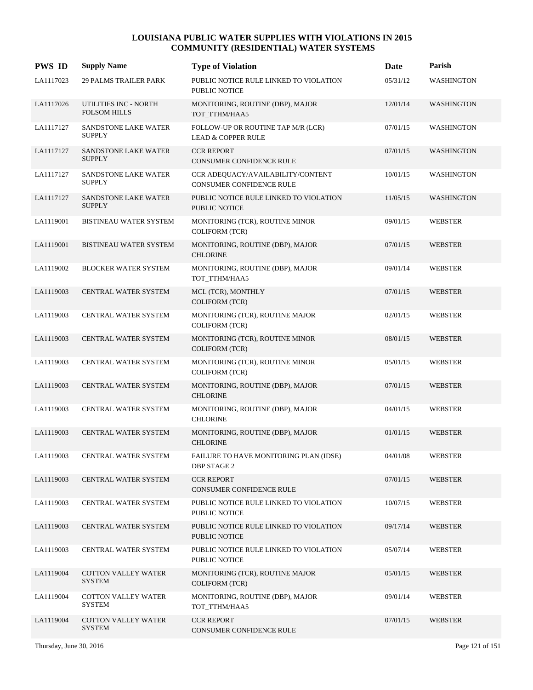| <b>PWS ID</b> | <b>Supply Name</b>                           | <b>Type of Violation</b>                                            | Date     | Parish            |
|---------------|----------------------------------------------|---------------------------------------------------------------------|----------|-------------------|
| LA1117023     | <b>29 PALMS TRAILER PARK</b>                 | PUBLIC NOTICE RULE LINKED TO VIOLATION<br><b>PUBLIC NOTICE</b>      | 05/31/12 | <b>WASHINGTON</b> |
| LA1117026     | UTILITIES INC - NORTH<br><b>FOLSOM HILLS</b> | MONITORING, ROUTINE (DBP), MAJOR<br>TOT_TTHM/HAA5                   | 12/01/14 | <b>WASHINGTON</b> |
| LA1117127     | SANDSTONE LAKE WATER<br><b>SUPPLY</b>        | FOLLOW-UP OR ROUTINE TAP M/R (LCR)<br><b>LEAD &amp; COPPER RULE</b> | 07/01/15 | WASHINGTON        |
| LA1117127     | SANDSTONE LAKE WATER<br><b>SUPPLY</b>        | <b>CCR REPORT</b><br><b>CONSUMER CONFIDENCE RULE</b>                | 07/01/15 | <b>WASHINGTON</b> |
| LA1117127     | SANDSTONE LAKE WATER<br><b>SUPPLY</b>        | CCR ADEQUACY/AVAILABILITY/CONTENT<br>CONSUMER CONFIDENCE RULE       | 10/01/15 | <b>WASHINGTON</b> |
| LA1117127     | SANDSTONE LAKE WATER<br><b>SUPPLY</b>        | PUBLIC NOTICE RULE LINKED TO VIOLATION<br><b>PUBLIC NOTICE</b>      | 11/05/15 | <b>WASHINGTON</b> |
| LA1119001     | <b>BISTINEAU WATER SYSTEM</b>                | MONITORING (TCR), ROUTINE MINOR<br><b>COLIFORM (TCR)</b>            | 09/01/15 | <b>WEBSTER</b>    |
| LA1119001     | <b>BISTINEAU WATER SYSTEM</b>                | MONITORING, ROUTINE (DBP), MAJOR<br><b>CHLORINE</b>                 | 07/01/15 | <b>WEBSTER</b>    |
| LA1119002     | <b>BLOCKER WATER SYSTEM</b>                  | MONITORING, ROUTINE (DBP), MAJOR<br>TOT TTHM/HAA5                   | 09/01/14 | <b>WEBSTER</b>    |
| LA1119003     | CENTRAL WATER SYSTEM                         | MCL (TCR), MONTHLY<br><b>COLIFORM (TCR)</b>                         | 07/01/15 | <b>WEBSTER</b>    |
| LA1119003     | CENTRAL WATER SYSTEM                         | MONITORING (TCR), ROUTINE MAJOR<br><b>COLIFORM (TCR)</b>            | 02/01/15 | <b>WEBSTER</b>    |
| LA1119003     | <b>CENTRAL WATER SYSTEM</b>                  | MONITORING (TCR), ROUTINE MINOR<br><b>COLIFORM (TCR)</b>            | 08/01/15 | <b>WEBSTER</b>    |
| LA1119003     | CENTRAL WATER SYSTEM                         | MONITORING (TCR), ROUTINE MINOR<br><b>COLIFORM (TCR)</b>            | 05/01/15 | <b>WEBSTER</b>    |
| LA1119003     | <b>CENTRAL WATER SYSTEM</b>                  | MONITORING, ROUTINE (DBP), MAJOR<br><b>CHLORINE</b>                 | 07/01/15 | <b>WEBSTER</b>    |
| LA1119003     | CENTRAL WATER SYSTEM                         | MONITORING, ROUTINE (DBP), MAJOR<br><b>CHLORINE</b>                 | 04/01/15 | <b>WEBSTER</b>    |
| LA1119003     | <b>CENTRAL WATER SYSTEM</b>                  | MONITORING, ROUTINE (DBP), MAJOR<br><b>CHLORINE</b>                 | 01/01/15 | <b>WEBSTER</b>    |
| LA1119003     | CENTRAL WATER SYSTEM                         | FAILURE TO HAVE MONITORING PLAN (IDSE)<br><b>DBP STAGE 2</b>        | 04/01/08 | <b>WEBSTER</b>    |
| LA1119003     | CENTRAL WATER SYSTEM                         | <b>CCR REPORT</b><br>CONSUMER CONFIDENCE RULE                       | 07/01/15 | <b>WEBSTER</b>    |
| LA1119003     | CENTRAL WATER SYSTEM                         | PUBLIC NOTICE RULE LINKED TO VIOLATION<br>PUBLIC NOTICE             | 10/07/15 | WEBSTER           |
| LA1119003     | CENTRAL WATER SYSTEM                         | PUBLIC NOTICE RULE LINKED TO VIOLATION<br>PUBLIC NOTICE             | 09/17/14 | <b>WEBSTER</b>    |
| LA1119003     | CENTRAL WATER SYSTEM                         | PUBLIC NOTICE RULE LINKED TO VIOLATION<br>PUBLIC NOTICE             | 05/07/14 | <b>WEBSTER</b>    |
| LA1119004     | <b>COTTON VALLEY WATER</b><br><b>SYSTEM</b>  | MONITORING (TCR), ROUTINE MAJOR<br><b>COLIFORM (TCR)</b>            | 05/01/15 | <b>WEBSTER</b>    |
| LA1119004     | <b>COTTON VALLEY WATER</b><br><b>SYSTEM</b>  | MONITORING, ROUTINE (DBP), MAJOR<br>TOT_TTHM/HAA5                   | 09/01/14 | WEBSTER           |
| LA1119004     | <b>COTTON VALLEY WATER</b><br><b>SYSTEM</b>  | <b>CCR REPORT</b><br>CONSUMER CONFIDENCE RULE                       | 07/01/15 | <b>WEBSTER</b>    |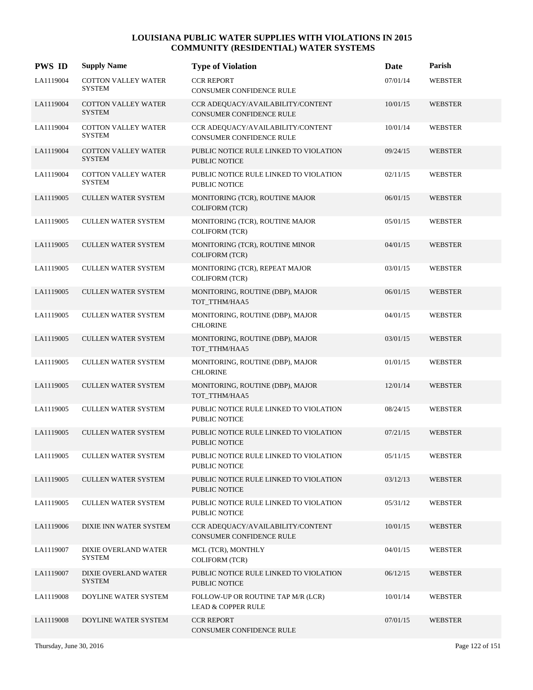| <b>PWS ID</b> | <b>Supply Name</b>                          | <b>Type of Violation</b>                                             | Date     | Parish         |
|---------------|---------------------------------------------|----------------------------------------------------------------------|----------|----------------|
| LA1119004     | COTTON VALLEY WATER<br><b>SYSTEM</b>        | <b>CCR REPORT</b><br>CONSUMER CONFIDENCE RULE                        | 07/01/14 | <b>WEBSTER</b> |
| LA1119004     | <b>COTTON VALLEY WATER</b><br><b>SYSTEM</b> | CCR ADEQUACY/AVAILABILITY/CONTENT<br><b>CONSUMER CONFIDENCE RULE</b> | 10/01/15 | <b>WEBSTER</b> |
| LA1119004     | COTTON VALLEY WATER<br><b>SYSTEM</b>        | CCR ADEQUACY/AVAILABILITY/CONTENT<br><b>CONSUMER CONFIDENCE RULE</b> | 10/01/14 | <b>WEBSTER</b> |
| LA1119004     | <b>COTTON VALLEY WATER</b><br><b>SYSTEM</b> | PUBLIC NOTICE RULE LINKED TO VIOLATION<br>PUBLIC NOTICE              | 09/24/15 | <b>WEBSTER</b> |
| LA1119004     | <b>COTTON VALLEY WATER</b><br><b>SYSTEM</b> | PUBLIC NOTICE RULE LINKED TO VIOLATION<br>PUBLIC NOTICE              | 02/11/15 | <b>WEBSTER</b> |
| LA1119005     | <b>CULLEN WATER SYSTEM</b>                  | MONITORING (TCR), ROUTINE MAJOR<br><b>COLIFORM (TCR)</b>             | 06/01/15 | <b>WEBSTER</b> |
| LA1119005     | <b>CULLEN WATER SYSTEM</b>                  | MONITORING (TCR), ROUTINE MAJOR<br><b>COLIFORM (TCR)</b>             | 05/01/15 | WEBSTER        |
| LA1119005     | <b>CULLEN WATER SYSTEM</b>                  | MONITORING (TCR), ROUTINE MINOR<br><b>COLIFORM (TCR)</b>             | 04/01/15 | <b>WEBSTER</b> |
| LA1119005     | <b>CULLEN WATER SYSTEM</b>                  | MONITORING (TCR), REPEAT MAJOR<br>COLIFORM (TCR)                     | 03/01/15 | <b>WEBSTER</b> |
| LA1119005     | <b>CULLEN WATER SYSTEM</b>                  | MONITORING, ROUTINE (DBP), MAJOR<br>TOT TTHM/HAA5                    | 06/01/15 | <b>WEBSTER</b> |
| LA1119005     | <b>CULLEN WATER SYSTEM</b>                  | MONITORING, ROUTINE (DBP), MAJOR<br><b>CHLORINE</b>                  | 04/01/15 | <b>WEBSTER</b> |
| LA1119005     | <b>CULLEN WATER SYSTEM</b>                  | MONITORING, ROUTINE (DBP), MAJOR<br>TOT_TTHM/HAA5                    | 03/01/15 | <b>WEBSTER</b> |
| LA1119005     | <b>CULLEN WATER SYSTEM</b>                  | MONITORING, ROUTINE (DBP), MAJOR<br><b>CHLORINE</b>                  | 01/01/15 | <b>WEBSTER</b> |
| LA1119005     | <b>CULLEN WATER SYSTEM</b>                  | MONITORING, ROUTINE (DBP), MAJOR<br>TOT_TTHM/HAA5                    | 12/01/14 | <b>WEBSTER</b> |
| LA1119005     | <b>CULLEN WATER SYSTEM</b>                  | PUBLIC NOTICE RULE LINKED TO VIOLATION<br><b>PUBLIC NOTICE</b>       | 08/24/15 | <b>WEBSTER</b> |
| LA1119005     | <b>CULLEN WATER SYSTEM</b>                  | PUBLIC NOTICE RULE LINKED TO VIOLATION<br><b>PUBLIC NOTICE</b>       | 07/21/15 | <b>WEBSTER</b> |
| LA1119005     | <b>CULLEN WATER SYSTEM</b>                  | PUBLIC NOTICE RULE LINKED TO VIOLATION<br>PUBLIC NOTICE              | 05/11/15 | <b>WEBSTER</b> |
| LA1119005     | <b>CULLEN WATER SYSTEM</b>                  | PUBLIC NOTICE RULE LINKED TO VIOLATION<br><b>PUBLIC NOTICE</b>       | 03/12/13 | <b>WEBSTER</b> |
| LA1119005     | <b>CULLEN WATER SYSTEM</b>                  | PUBLIC NOTICE RULE LINKED TO VIOLATION<br>PUBLIC NOTICE              | 05/31/12 | WEBSTER        |
| LA1119006     | DIXIE INN WATER SYSTEM                      | CCR ADEOUACY/AVAILABILITY/CONTENT<br>CONSUMER CONFIDENCE RULE        | 10/01/15 | <b>WEBSTER</b> |
| LA1119007     | DIXIE OVERLAND WATER<br><b>SYSTEM</b>       | MCL (TCR), MONTHLY<br><b>COLIFORM (TCR)</b>                          | 04/01/15 | <b>WEBSTER</b> |
| LA1119007     | DIXIE OVERLAND WATER<br><b>SYSTEM</b>       | PUBLIC NOTICE RULE LINKED TO VIOLATION<br>PUBLIC NOTICE              | 06/12/15 | <b>WEBSTER</b> |
| LA1119008     | DOYLINE WATER SYSTEM                        | FOLLOW-UP OR ROUTINE TAP M/R (LCR)<br><b>LEAD &amp; COPPER RULE</b>  | 10/01/14 | <b>WEBSTER</b> |
| LA1119008     | DOYLINE WATER SYSTEM                        | <b>CCR REPORT</b><br><b>CONSUMER CONFIDENCE RULE</b>                 | 07/01/15 | <b>WEBSTER</b> |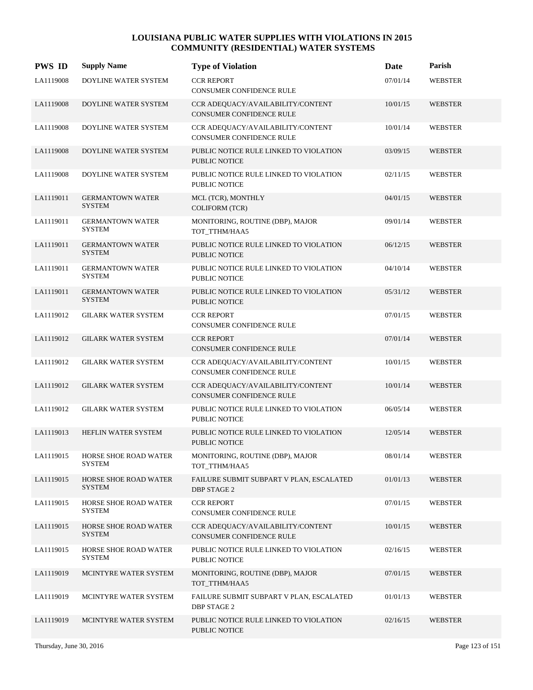| <b>PWS ID</b> | <b>Supply Name</b>                       | <b>Type of Violation</b>                                             | Date     | Parish         |
|---------------|------------------------------------------|----------------------------------------------------------------------|----------|----------------|
| LA1119008     | DOYLINE WATER SYSTEM                     | <b>CCR REPORT</b><br>CONSUMER CONFIDENCE RULE                        | 07/01/14 | <b>WEBSTER</b> |
| LA1119008     | <b>DOYLINE WATER SYSTEM</b>              | CCR ADEQUACY/AVAILABILITY/CONTENT<br><b>CONSUMER CONFIDENCE RULE</b> | 10/01/15 | <b>WEBSTER</b> |
| LA1119008     | DOYLINE WATER SYSTEM                     | CCR ADEQUACY/AVAILABILITY/CONTENT<br>CONSUMER CONFIDENCE RULE        | 10/01/14 | <b>WEBSTER</b> |
| LA1119008     | DOYLINE WATER SYSTEM                     | PUBLIC NOTICE RULE LINKED TO VIOLATION<br><b>PUBLIC NOTICE</b>       | 03/09/15 | <b>WEBSTER</b> |
| LA1119008     | DOYLINE WATER SYSTEM                     | PUBLIC NOTICE RULE LINKED TO VIOLATION<br>PUBLIC NOTICE              | 02/11/15 | WEBSTER        |
| LA1119011     | <b>GERMANTOWN WATER</b><br><b>SYSTEM</b> | MCL (TCR), MONTHLY<br><b>COLIFORM</b> (TCR)                          | 04/01/15 | <b>WEBSTER</b> |
| LA1119011     | <b>GERMANTOWN WATER</b><br><b>SYSTEM</b> | MONITORING, ROUTINE (DBP), MAJOR<br>TOT_TTHM/HAA5                    | 09/01/14 | WEBSTER        |
| LA1119011     | <b>GERMANTOWN WATER</b><br><b>SYSTEM</b> | PUBLIC NOTICE RULE LINKED TO VIOLATION<br><b>PUBLIC NOTICE</b>       | 06/12/15 | <b>WEBSTER</b> |
| LA1119011     | <b>GERMANTOWN WATER</b><br><b>SYSTEM</b> | PUBLIC NOTICE RULE LINKED TO VIOLATION<br>PUBLIC NOTICE              | 04/10/14 | WEBSTER        |
| LA1119011     | <b>GERMANTOWN WATER</b><br><b>SYSTEM</b> | PUBLIC NOTICE RULE LINKED TO VIOLATION<br><b>PUBLIC NOTICE</b>       | 05/31/12 | <b>WEBSTER</b> |
| LA1119012     | <b>GILARK WATER SYSTEM</b>               | <b>CCR REPORT</b><br><b>CONSUMER CONFIDENCE RULE</b>                 | 07/01/15 | WEBSTER        |
| LA1119012     | <b>GILARK WATER SYSTEM</b>               | <b>CCR REPORT</b><br>CONSUMER CONFIDENCE RULE                        | 07/01/14 | <b>WEBSTER</b> |
| LA1119012     | <b>GILARK WATER SYSTEM</b>               | CCR ADEQUACY/AVAILABILITY/CONTENT<br>CONSUMER CONFIDENCE RULE        | 10/01/15 | <b>WEBSTER</b> |
| LA1119012     | <b>GILARK WATER SYSTEM</b>               | CCR ADEQUACY/AVAILABILITY/CONTENT<br>CONSUMER CONFIDENCE RULE        | 10/01/14 | <b>WEBSTER</b> |
| LA1119012     | <b>GILARK WATER SYSTEM</b>               | PUBLIC NOTICE RULE LINKED TO VIOLATION<br><b>PUBLIC NOTICE</b>       | 06/05/14 | WEBSTER        |
| LA1119013     | HEFLIN WATER SYSTEM                      | PUBLIC NOTICE RULE LINKED TO VIOLATION<br><b>PUBLIC NOTICE</b>       | 12/05/14 | <b>WEBSTER</b> |
| LA1119015     | HORSE SHOE ROAD WATER<br><b>SYSTEM</b>   | MONITORING, ROUTINE (DBP), MAJOR<br>TOT_TTHM/HAA5                    | 08/01/14 | WEBSTER        |
| LA1119015     | HORSE SHOE ROAD WATER<br><b>SYSTEM</b>   | FAILURE SUBMIT SUBPART V PLAN, ESCALATED<br>DBP STAGE 2              | 01/01/13 | <b>WEBSTER</b> |
| LA1119015     | HORSE SHOE ROAD WATER<br><b>SYSTEM</b>   | <b>CCR REPORT</b><br>CONSUMER CONFIDENCE RULE                        | 07/01/15 | WEBSTER        |
| LA1119015     | HORSE SHOE ROAD WATER<br>SYSTEM          | CCR ADEOUACY/AVAILABILITY/CONTENT<br>CONSUMER CONFIDENCE RULE        | 10/01/15 | <b>WEBSTER</b> |
| LA1119015     | HORSE SHOE ROAD WATER<br><b>SYSTEM</b>   | PUBLIC NOTICE RULE LINKED TO VIOLATION<br>PUBLIC NOTICE              | 02/16/15 | <b>WEBSTER</b> |
| LA1119019     | MCINTYRE WATER SYSTEM                    | MONITORING, ROUTINE (DBP), MAJOR<br>TOT_TTHM/HAA5                    | 07/01/15 | <b>WEBSTER</b> |
| LA1119019     | MCINTYRE WATER SYSTEM                    | FAILURE SUBMIT SUBPART V PLAN, ESCALATED<br>DBP STAGE 2              | 01/01/13 | WEBSTER        |
| LA1119019     | MCINTYRE WATER SYSTEM                    | PUBLIC NOTICE RULE LINKED TO VIOLATION<br>PUBLIC NOTICE              | 02/16/15 | WEBSTER        |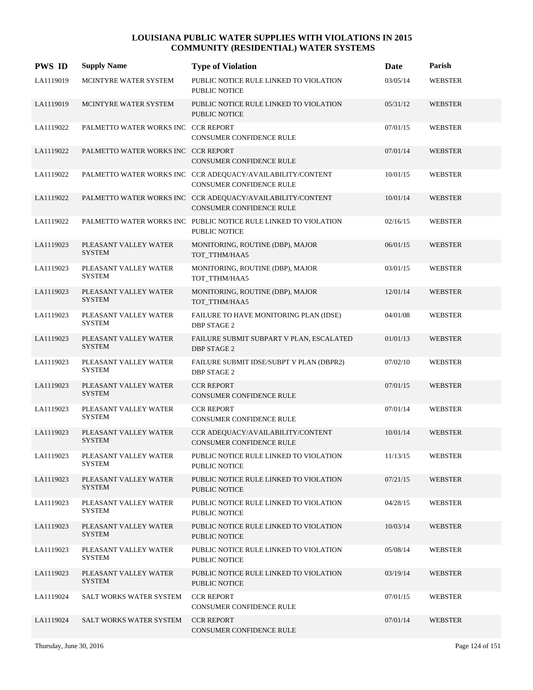| <b>PWS ID</b> | <b>Supply Name</b>                     | <b>Type of Violation</b>                                                                | Date     | Parish         |
|---------------|----------------------------------------|-----------------------------------------------------------------------------------------|----------|----------------|
| LA1119019     | MCINTYRE WATER SYSTEM                  | PUBLIC NOTICE RULE LINKED TO VIOLATION<br><b>PUBLIC NOTICE</b>                          | 03/05/14 | <b>WEBSTER</b> |
| LA1119019     | MCINTYRE WATER SYSTEM                  | PUBLIC NOTICE RULE LINKED TO VIOLATION<br><b>PUBLIC NOTICE</b>                          | 05/31/12 | <b>WEBSTER</b> |
| LA1119022     | PALMETTO WATER WORKS INC CCR REPORT    | CONSUMER CONFIDENCE RULE                                                                | 07/01/15 | <b>WEBSTER</b> |
| LA1119022     | PALMETTO WATER WORKS INC CCR REPORT    | <b>CONSUMER CONFIDENCE RULE</b>                                                         | 07/01/14 | <b>WEBSTER</b> |
| LA1119022     |                                        | PALMETTO WATER WORKS INC CCR ADEQUACY/AVAILABILITY/CONTENT<br>CONSUMER CONFIDENCE RULE  | 10/01/15 | <b>WEBSTER</b> |
| LA1119022     |                                        | PALMETTO WATER WORKS INC CCR ADEQUACY/AVAILABILITY/CONTENT<br>CONSUMER CONFIDENCE RULE  | 10/01/14 | <b>WEBSTER</b> |
| LA1119022     |                                        | PALMETTO WATER WORKS INC PUBLIC NOTICE RULE LINKED TO VIOLATION<br><b>PUBLIC NOTICE</b> | 02/16/15 | <b>WEBSTER</b> |
| LA1119023     | PLEASANT VALLEY WATER<br><b>SYSTEM</b> | MONITORING, ROUTINE (DBP), MAJOR<br>TOT_TTHM/HAA5                                       | 06/01/15 | <b>WEBSTER</b> |
| LA1119023     | PLEASANT VALLEY WATER<br><b>SYSTEM</b> | MONITORING, ROUTINE (DBP), MAJOR<br>TOT_TTHM/HAA5                                       | 03/01/15 | <b>WEBSTER</b> |
| LA1119023     | PLEASANT VALLEY WATER<br><b>SYSTEM</b> | MONITORING, ROUTINE (DBP), MAJOR<br>TOT TTHM/HAA5                                       | 12/01/14 | <b>WEBSTER</b> |
| LA1119023     | PLEASANT VALLEY WATER<br><b>SYSTEM</b> | FAILURE TO HAVE MONITORING PLAN (IDSE)<br><b>DBP STAGE 2</b>                            | 04/01/08 | <b>WEBSTER</b> |
| LA1119023     | PLEASANT VALLEY WATER<br><b>SYSTEM</b> | FAILURE SUBMIT SUBPART V PLAN, ESCALATED<br>DBP STAGE 2                                 | 01/01/13 | <b>WEBSTER</b> |
| LA1119023     | PLEASANT VALLEY WATER<br><b>SYSTEM</b> | FAILURE SUBMIT IDSE/SUBPT V PLAN (DBPR2)<br>DBP STAGE 2                                 | 07/02/10 | <b>WEBSTER</b> |
| LA1119023     | PLEASANT VALLEY WATER<br><b>SYSTEM</b> | <b>CCR REPORT</b><br><b>CONSUMER CONFIDENCE RULE</b>                                    | 07/01/15 | <b>WEBSTER</b> |
| LA1119023     | PLEASANT VALLEY WATER<br><b>SYSTEM</b> | <b>CCR REPORT</b><br>CONSUMER CONFIDENCE RULE                                           | 07/01/14 | <b>WEBSTER</b> |
| LA1119023     | PLEASANT VALLEY WATER<br><b>SYSTEM</b> | CCR ADEQUACY/AVAILABILITY/CONTENT<br><b>CONSUMER CONFIDENCE RULE</b>                    | 10/01/14 | <b>WEBSTER</b> |
| LA1119023     | PLEASANT VALLEY WATER<br><b>SYSTEM</b> | PUBLIC NOTICE RULE LINKED TO VIOLATION<br>PUBLIC NOTICE                                 | 11/13/15 | <b>WEBSTER</b> |
| LA1119023     | PLEASANT VALLEY WATER<br><b>SYSTEM</b> | PUBLIC NOTICE RULE LINKED TO VIOLATION<br><b>PUBLIC NOTICE</b>                          | 07/21/15 | <b>WEBSTER</b> |
| LA1119023     | PLEASANT VALLEY WATER<br>SYSTEM        | PUBLIC NOTICE RULE LINKED TO VIOLATION<br><b>PUBLIC NOTICE</b>                          | 04/28/15 | <b>WEBSTER</b> |
| LA1119023     | PLEASANT VALLEY WATER<br><b>SYSTEM</b> | PUBLIC NOTICE RULE LINKED TO VIOLATION<br>PUBLIC NOTICE                                 | 10/03/14 | <b>WEBSTER</b> |
| LA1119023     | PLEASANT VALLEY WATER<br><b>SYSTEM</b> | PUBLIC NOTICE RULE LINKED TO VIOLATION<br>PUBLIC NOTICE                                 | 05/08/14 | <b>WEBSTER</b> |
| LA1119023     | PLEASANT VALLEY WATER<br><b>SYSTEM</b> | PUBLIC NOTICE RULE LINKED TO VIOLATION<br>PUBLIC NOTICE                                 | 03/19/14 | <b>WEBSTER</b> |
| LA1119024     | <b>SALT WORKS WATER SYSTEM</b>         | <b>CCR REPORT</b><br>CONSUMER CONFIDENCE RULE                                           | 07/01/15 | <b>WEBSTER</b> |
| LA1119024     | SALT WORKS WATER SYSTEM                | <b>CCR REPORT</b><br>CONSUMER CONFIDENCE RULE                                           | 07/01/14 | <b>WEBSTER</b> |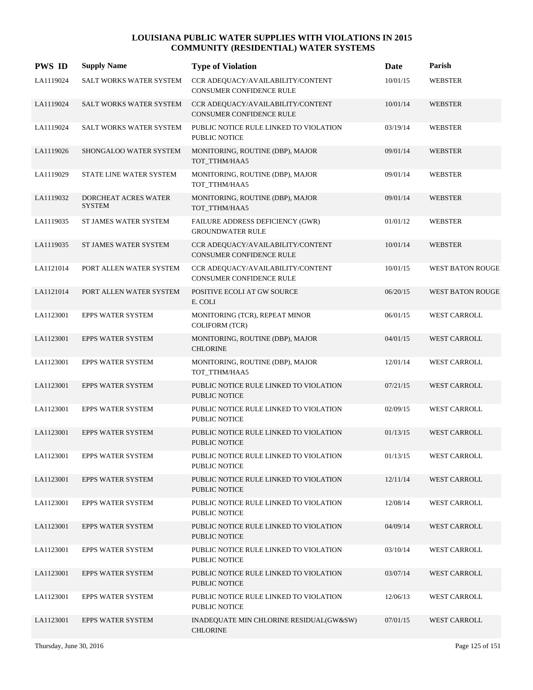| <b>PWS ID</b> | <b>Supply Name</b>                    | <b>Type of Violation</b>                                             | Date     | Parish                  |
|---------------|---------------------------------------|----------------------------------------------------------------------|----------|-------------------------|
| LA1119024     | SALT WORKS WATER SYSTEM               | CCR ADEQUACY/AVAILABILITY/CONTENT<br><b>CONSUMER CONFIDENCE RULE</b> | 10/01/15 | <b>WEBSTER</b>          |
| LA1119024     | SALT WORKS WATER SYSTEM               | CCR ADEQUACY/AVAILABILITY/CONTENT<br><b>CONSUMER CONFIDENCE RULE</b> | 10/01/14 | <b>WEBSTER</b>          |
| LA1119024     | SALT WORKS WATER SYSTEM               | PUBLIC NOTICE RULE LINKED TO VIOLATION<br><b>PUBLIC NOTICE</b>       | 03/19/14 | <b>WEBSTER</b>          |
| LA1119026     | SHONGALOO WATER SYSTEM                | MONITORING, ROUTINE (DBP), MAJOR<br>TOT_TTHM/HAA5                    | 09/01/14 | <b>WEBSTER</b>          |
| LA1119029     | STATE LINE WATER SYSTEM               | MONITORING, ROUTINE (DBP), MAJOR<br>TOT_TTHM/HAA5                    | 09/01/14 | <b>WEBSTER</b>          |
| LA1119032     | DORCHEAT ACRES WATER<br><b>SYSTEM</b> | MONITORING, ROUTINE (DBP), MAJOR<br>TOT_TTHM/HAA5                    | 09/01/14 | <b>WEBSTER</b>          |
| LA1119035     | ST JAMES WATER SYSTEM                 | FAILURE ADDRESS DEFICIENCY (GWR)<br><b>GROUNDWATER RULE</b>          | 01/01/12 | <b>WEBSTER</b>          |
| LA1119035     | <b>ST JAMES WATER SYSTEM</b>          | CCR ADEQUACY/AVAILABILITY/CONTENT<br><b>CONSUMER CONFIDENCE RULE</b> | 10/01/14 | <b>WEBSTER</b>          |
| LA1121014     | PORT ALLEN WATER SYSTEM               | CCR ADEOUACY/AVAILABILITY/CONTENT<br><b>CONSUMER CONFIDENCE RULE</b> | 10/01/15 | <b>WEST BATON ROUGE</b> |
| LA1121014     | PORT ALLEN WATER SYSTEM               | POSITIVE ECOLI AT GW SOURCE<br>E. COLI                               | 06/20/15 | WEST BATON ROUGE        |
| LA1123001     | EPPS WATER SYSTEM                     | MONITORING (TCR), REPEAT MINOR<br><b>COLIFORM (TCR)</b>              | 06/01/15 | WEST CARROLL            |
| LA1123001     | <b>EPPS WATER SYSTEM</b>              | MONITORING, ROUTINE (DBP), MAJOR<br><b>CHLORINE</b>                  | 04/01/15 | WEST CARROLL            |
| LA1123001     | EPPS WATER SYSTEM                     | MONITORING, ROUTINE (DBP), MAJOR<br>TOT_TTHM/HAA5                    | 12/01/14 | WEST CARROLL            |
| LA1123001     | EPPS WATER SYSTEM                     | PUBLIC NOTICE RULE LINKED TO VIOLATION<br><b>PUBLIC NOTICE</b>       | 07/21/15 | WEST CARROLL            |
| LA1123001     | EPPS WATER SYSTEM                     | PUBLIC NOTICE RULE LINKED TO VIOLATION<br><b>PUBLIC NOTICE</b>       | 02/09/15 | WEST CARROLL            |
| LA1123001     | <b>EPPS WATER SYSTEM</b>              | PUBLIC NOTICE RULE LINKED TO VIOLATION<br>PUBLIC NOTICE              | 01/13/15 | <b>WEST CARROLL</b>     |
| LA1123001     | EPPS WATER SYSTEM                     | PUBLIC NOTICE RULE LINKED TO VIOLATION<br>PUBLIC NOTICE              | 01/13/15 | WEST CARROLL            |
| LA1123001     | EPPS WATER SYSTEM                     | PUBLIC NOTICE RULE LINKED TO VIOLATION<br>PUBLIC NOTICE              | 12/11/14 | WEST CARROLL            |
| LA1123001     | <b>EPPS WATER SYSTEM</b>              | PUBLIC NOTICE RULE LINKED TO VIOLATION<br>PUBLIC NOTICE              | 12/08/14 | WEST CARROLL            |
| LA1123001     | EPPS WATER SYSTEM                     | PUBLIC NOTICE RULE LINKED TO VIOLATION<br><b>PUBLIC NOTICE</b>       | 04/09/14 | WEST CARROLL            |
| LA1123001     | <b>EPPS WATER SYSTEM</b>              | PUBLIC NOTICE RULE LINKED TO VIOLATION<br>PUBLIC NOTICE              | 03/10/14 | WEST CARROLL            |
| LA1123001     | EPPS WATER SYSTEM                     | PUBLIC NOTICE RULE LINKED TO VIOLATION<br><b>PUBLIC NOTICE</b>       | 03/07/14 | WEST CARROLL            |
| LA1123001     | EPPS WATER SYSTEM                     | PUBLIC NOTICE RULE LINKED TO VIOLATION<br>PUBLIC NOTICE              | 12/06/13 | WEST CARROLL            |
| LA1123001     | <b>EPPS WATER SYSTEM</b>              | INADEQUATE MIN CHLORINE RESIDUAL(GW&SW)<br><b>CHLORINE</b>           | 07/01/15 | WEST CARROLL            |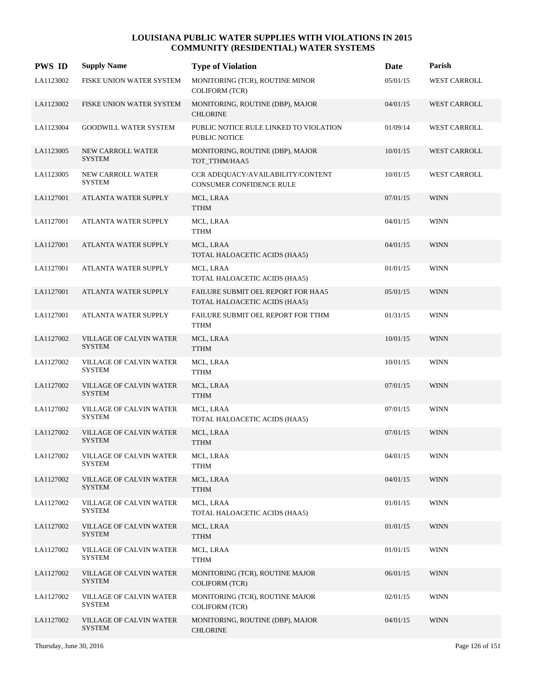| <b>PWS ID</b> | <b>Supply Name</b>                              | <b>Type of Violation</b>                                            | Date     | Parish              |
|---------------|-------------------------------------------------|---------------------------------------------------------------------|----------|---------------------|
| LA1123002     | FISKE UNION WATER SYSTEM                        | MONITORING (TCR), ROUTINE MINOR<br><b>COLIFORM (TCR)</b>            | 05/01/15 | WEST CARROLL        |
| LA1123002     | FISKE UNION WATER SYSTEM                        | MONITORING, ROUTINE (DBP), MAJOR<br><b>CHLORINE</b>                 | 04/01/15 | WEST CARROLL        |
| LA1123004     | <b>GOODWILL WATER SYSTEM</b>                    | PUBLIC NOTICE RULE LINKED TO VIOLATION<br>PUBLIC NOTICE             | 01/09/14 | WEST CARROLL        |
| LA1123005     | NEW CARROLL WATER<br><b>SYSTEM</b>              | MONITORING, ROUTINE (DBP), MAJOR<br>TOT_TTHM/HAA5                   | 10/01/15 | WEST CARROLL        |
| LA1123005     | NEW CARROLL WATER<br><b>SYSTEM</b>              | CCR ADEQUACY/AVAILABILITY/CONTENT<br>CONSUMER CONFIDENCE RULE       | 10/01/15 | <b>WEST CARROLL</b> |
| LA1127001     | ATLANTA WATER SUPPLY                            | MCL, LRAA<br><b>TTHM</b>                                            | 07/01/15 | <b>WINN</b>         |
| LA1127001     | ATLANTA WATER SUPPLY                            | MCL, LRAA<br><b>TTHM</b>                                            | 04/01/15 | <b>WINN</b>         |
| LA1127001     | ATLANTA WATER SUPPLY                            | MCL, LRAA<br>TOTAL HALOACETIC ACIDS (HAA5)                          | 04/01/15 | <b>WINN</b>         |
| LA1127001     | ATLANTA WATER SUPPLY                            | MCL, LRAA<br>TOTAL HALOACETIC ACIDS (HAA5)                          | 01/01/15 | <b>WINN</b>         |
| LA1127001     | ATLANTA WATER SUPPLY                            | FAILURE SUBMIT OEL REPORT FOR HAA5<br>TOTAL HALOACETIC ACIDS (HAA5) | 05/01/15 | <b>WINN</b>         |
| LA1127001     | ATLANTA WATER SUPPLY                            | FAILURE SUBMIT OEL REPORT FOR TTHM<br><b>TTHM</b>                   | 01/31/15 | <b>WINN</b>         |
| LA1127002     | <b>VILLAGE OF CALVIN WATER</b><br><b>SYSTEM</b> | MCL, LRAA<br><b>TTHM</b>                                            | 10/01/15 | <b>WINN</b>         |
| LA1127002     | VILLAGE OF CALVIN WATER<br><b>SYSTEM</b>        | MCL, LRAA<br><b>TTHM</b>                                            | 10/01/15 | <b>WINN</b>         |
| LA1127002     | VILLAGE OF CALVIN WATER<br><b>SYSTEM</b>        | MCL, LRAA<br><b>TTHM</b>                                            | 07/01/15 | <b>WINN</b>         |
| LA1127002     | VILLAGE OF CALVIN WATER<br><b>SYSTEM</b>        | MCL, LRAA<br>TOTAL HALOACETIC ACIDS (HAA5)                          | 07/01/15 | <b>WINN</b>         |
| LA1127002     | VILLAGE OF CALVIN WATER<br><b>SYSTEM</b>        | MCL, LRAA<br><b>TTHM</b>                                            | 07/01/15 | <b>WINN</b>         |
| LA1127002     | VILLAGE OF CALVIN WATER<br><b>SYSTEM</b>        | MCL, LRAA<br><b>TTHM</b>                                            | 04/01/15 | <b>WINN</b>         |
| LA1127002     | VILLAGE OF CALVIN WATER<br><b>SYSTEM</b>        | MCL, LRAA<br>TTHM                                                   | 04/01/15 | <b>WINN</b>         |
| LA1127002     | VILLAGE OF CALVIN WATER<br><b>SYSTEM</b>        | MCL, LRAA<br>TOTAL HALOACETIC ACIDS (HAA5)                          | 01/01/15 | WINN                |
| LA1127002     | VILLAGE OF CALVIN WATER<br><b>SYSTEM</b>        | MCL, LRAA<br><b>TTHM</b>                                            | 01/01/15 | <b>WINN</b>         |
| LA1127002     | VILLAGE OF CALVIN WATER<br><b>SYSTEM</b>        | MCL, LRAA<br><b>TTHM</b>                                            | 01/01/15 | <b>WINN</b>         |
| LA1127002     | VILLAGE OF CALVIN WATER<br><b>SYSTEM</b>        | MONITORING (TCR), ROUTINE MAJOR<br><b>COLIFORM</b> (TCR)            | 06/01/15 | <b>WINN</b>         |
| LA1127002     | VILLAGE OF CALVIN WATER<br><b>SYSTEM</b>        | MONITORING (TCR), ROUTINE MAJOR<br><b>COLIFORM (TCR)</b>            | 02/01/15 | <b>WINN</b>         |
| LA1127002     | VILLAGE OF CALVIN WATER<br><b>SYSTEM</b>        | MONITORING, ROUTINE (DBP), MAJOR<br><b>CHLORINE</b>                 | 04/01/15 | <b>WINN</b>         |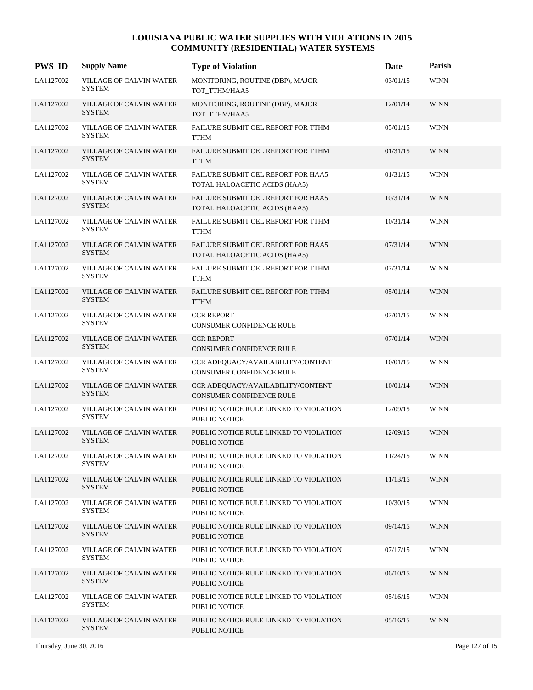| <b>PWS ID</b> | <b>Supply Name</b>                              | <b>Type of Violation</b>                                             | Date     | Parish      |
|---------------|-------------------------------------------------|----------------------------------------------------------------------|----------|-------------|
| LA1127002     | VILLAGE OF CALVIN WATER<br><b>SYSTEM</b>        | MONITORING, ROUTINE (DBP), MAJOR<br>TOT TTHM/HAA5                    | 03/01/15 | <b>WINN</b> |
| LA1127002     | <b>VILLAGE OF CALVIN WATER</b><br><b>SYSTEM</b> | MONITORING, ROUTINE (DBP), MAJOR<br>TOT_TTHM/HAA5                    | 12/01/14 | <b>WINN</b> |
| LA1127002     | VILLAGE OF CALVIN WATER<br><b>SYSTEM</b>        | FAILURE SUBMIT OEL REPORT FOR TTHM<br><b>TTHM</b>                    | 05/01/15 | <b>WINN</b> |
| LA1127002     | VILLAGE OF CALVIN WATER<br><b>SYSTEM</b>        | FAILURE SUBMIT OEL REPORT FOR TTHM<br><b>TTHM</b>                    | 01/31/15 | <b>WINN</b> |
| LA1127002     | VILLAGE OF CALVIN WATER<br><b>SYSTEM</b>        | FAILURE SUBMIT OEL REPORT FOR HAA5<br>TOTAL HALOACETIC ACIDS (HAA5)  | 01/31/15 | <b>WINN</b> |
| LA1127002     | <b>VILLAGE OF CALVIN WATER</b><br><b>SYSTEM</b> | FAILURE SUBMIT OEL REPORT FOR HAA5<br>TOTAL HALOACETIC ACIDS (HAA5)  | 10/31/14 | <b>WINN</b> |
| LA1127002     | VILLAGE OF CALVIN WATER<br><b>SYSTEM</b>        | FAILURE SUBMIT OEL REPORT FOR TTHM<br><b>TTHM</b>                    | 10/31/14 | <b>WINN</b> |
| LA1127002     | VILLAGE OF CALVIN WATER<br><b>SYSTEM</b>        | FAILURE SUBMIT OEL REPORT FOR HAA5<br>TOTAL HALOACETIC ACIDS (HAA5)  | 07/31/14 | <b>WINN</b> |
| LA1127002     | <b>VILLAGE OF CALVIN WATER</b><br><b>SYSTEM</b> | FAILURE SUBMIT OEL REPORT FOR TTHM<br><b>TTHM</b>                    | 07/31/14 | <b>WINN</b> |
| LA1127002     | VILLAGE OF CALVIN WATER<br><b>SYSTEM</b>        | FAILURE SUBMIT OEL REPORT FOR TTHM<br><b>TTHM</b>                    | 05/01/14 | <b>WINN</b> |
| LA1127002     | VILLAGE OF CALVIN WATER<br><b>SYSTEM</b>        | <b>CCR REPORT</b><br>CONSUMER CONFIDENCE RULE                        | 07/01/15 | <b>WINN</b> |
| LA1127002     | VILLAGE OF CALVIN WATER<br><b>SYSTEM</b>        | <b>CCR REPORT</b><br><b>CONSUMER CONFIDENCE RULE</b>                 | 07/01/14 | <b>WINN</b> |
| LA1127002     | VILLAGE OF CALVIN WATER<br><b>SYSTEM</b>        | CCR ADEQUACY/AVAILABILITY/CONTENT<br><b>CONSUMER CONFIDENCE RULE</b> | 10/01/15 | <b>WINN</b> |
| LA1127002     | VILLAGE OF CALVIN WATER<br><b>SYSTEM</b>        | CCR ADEQUACY/AVAILABILITY/CONTENT<br>CONSUMER CONFIDENCE RULE        | 10/01/14 | <b>WINN</b> |
| LA1127002     | VILLAGE OF CALVIN WATER<br><b>SYSTEM</b>        | PUBLIC NOTICE RULE LINKED TO VIOLATION<br>PUBLIC NOTICE              | 12/09/15 | <b>WINN</b> |
| LA1127002     | VILLAGE OF CALVIN WATER<br><b>SYSTEM</b>        | PUBLIC NOTICE RULE LINKED TO VIOLATION<br><b>PUBLIC NOTICE</b>       | 12/09/15 | <b>WINN</b> |
| LA1127002     | VILLAGE OF CALVIN WATER<br>SYSTEM               | PUBLIC NOTICE RULE LINKED TO VIOLATION<br>PUBLIC NOTICE              | 11/24/15 | <b>WINN</b> |
| LA1127002     | VILLAGE OF CALVIN WATER<br><b>SYSTEM</b>        | PUBLIC NOTICE RULE LINKED TO VIOLATION<br>PUBLIC NOTICE              | 11/13/15 | <b>WINN</b> |
| LA1127002     | VILLAGE OF CALVIN WATER<br>SYSTEM               | PUBLIC NOTICE RULE LINKED TO VIOLATION<br>PUBLIC NOTICE              | 10/30/15 | <b>WINN</b> |
| LA1127002     | VILLAGE OF CALVIN WATER<br><b>SYSTEM</b>        | PUBLIC NOTICE RULE LINKED TO VIOLATION<br>PUBLIC NOTICE              | 09/14/15 | <b>WINN</b> |
| LA1127002     | VILLAGE OF CALVIN WATER<br><b>SYSTEM</b>        | PUBLIC NOTICE RULE LINKED TO VIOLATION<br>PUBLIC NOTICE              | 07/17/15 | <b>WINN</b> |
| LA1127002     | VILLAGE OF CALVIN WATER<br><b>SYSTEM</b>        | PUBLIC NOTICE RULE LINKED TO VIOLATION<br>PUBLIC NOTICE              | 06/10/15 | <b>WINN</b> |
| LA1127002     | VILLAGE OF CALVIN WATER<br>SYSTEM               | PUBLIC NOTICE RULE LINKED TO VIOLATION<br>PUBLIC NOTICE              | 05/16/15 | <b>WINN</b> |
| LA1127002     | <b>VILLAGE OF CALVIN WATER</b><br><b>SYSTEM</b> | PUBLIC NOTICE RULE LINKED TO VIOLATION<br>PUBLIC NOTICE              | 05/16/15 | <b>WINN</b> |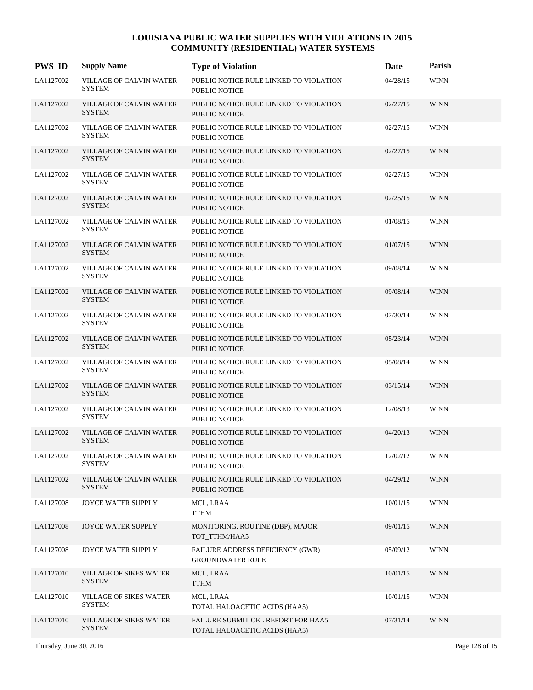| <b>PWS ID</b> | <b>Supply Name</b>                              | <b>Type of Violation</b>                                            | Date     | Parish      |
|---------------|-------------------------------------------------|---------------------------------------------------------------------|----------|-------------|
| LA1127002     | <b>VILLAGE OF CALVIN WATER</b><br><b>SYSTEM</b> | PUBLIC NOTICE RULE LINKED TO VIOLATION<br>PUBLIC NOTICE             | 04/28/15 | <b>WINN</b> |
| LA1127002     | <b>VILLAGE OF CALVIN WATER</b><br><b>SYSTEM</b> | PUBLIC NOTICE RULE LINKED TO VIOLATION<br><b>PUBLIC NOTICE</b>      | 02/27/15 | <b>WINN</b> |
| LA1127002     | VILLAGE OF CALVIN WATER<br><b>SYSTEM</b>        | PUBLIC NOTICE RULE LINKED TO VIOLATION<br>PUBLIC NOTICE             | 02/27/15 | <b>WINN</b> |
| LA1127002     | <b>VILLAGE OF CALVIN WATER</b><br><b>SYSTEM</b> | PUBLIC NOTICE RULE LINKED TO VIOLATION<br>PUBLIC NOTICE             | 02/27/15 | <b>WINN</b> |
| LA1127002     | <b>VILLAGE OF CALVIN WATER</b><br><b>SYSTEM</b> | PUBLIC NOTICE RULE LINKED TO VIOLATION<br><b>PUBLIC NOTICE</b>      | 02/27/15 | <b>WINN</b> |
| LA1127002     | <b>VILLAGE OF CALVIN WATER</b><br><b>SYSTEM</b> | PUBLIC NOTICE RULE LINKED TO VIOLATION<br>PUBLIC NOTICE             | 02/25/15 | <b>WINN</b> |
| LA1127002     | VILLAGE OF CALVIN WATER<br><b>SYSTEM</b>        | PUBLIC NOTICE RULE LINKED TO VIOLATION<br><b>PUBLIC NOTICE</b>      | 01/08/15 | <b>WINN</b> |
| LA1127002     | <b>VILLAGE OF CALVIN WATER</b><br><b>SYSTEM</b> | PUBLIC NOTICE RULE LINKED TO VIOLATION<br><b>PUBLIC NOTICE</b>      | 01/07/15 | <b>WINN</b> |
| LA1127002     | <b>VILLAGE OF CALVIN WATER</b><br><b>SYSTEM</b> | PUBLIC NOTICE RULE LINKED TO VIOLATION<br>PUBLIC NOTICE             | 09/08/14 | <b>WINN</b> |
| LA1127002     | <b>VILLAGE OF CALVIN WATER</b><br><b>SYSTEM</b> | PUBLIC NOTICE RULE LINKED TO VIOLATION<br>PUBLIC NOTICE             | 09/08/14 | <b>WINN</b> |
| LA1127002     | <b>VILLAGE OF CALVIN WATER</b><br><b>SYSTEM</b> | PUBLIC NOTICE RULE LINKED TO VIOLATION<br>PUBLIC NOTICE             | 07/30/14 | <b>WINN</b> |
| LA1127002     | <b>VILLAGE OF CALVIN WATER</b><br><b>SYSTEM</b> | PUBLIC NOTICE RULE LINKED TO VIOLATION<br><b>PUBLIC NOTICE</b>      | 05/23/14 | <b>WINN</b> |
| LA1127002     | <b>VILLAGE OF CALVIN WATER</b><br><b>SYSTEM</b> | PUBLIC NOTICE RULE LINKED TO VIOLATION<br>PUBLIC NOTICE             | 05/08/14 | <b>WINN</b> |
| LA1127002     | <b>VILLAGE OF CALVIN WATER</b><br><b>SYSTEM</b> | PUBLIC NOTICE RULE LINKED TO VIOLATION<br><b>PUBLIC NOTICE</b>      | 03/15/14 | <b>WINN</b> |
| LA1127002     | <b>VILLAGE OF CALVIN WATER</b><br><b>SYSTEM</b> | PUBLIC NOTICE RULE LINKED TO VIOLATION<br><b>PUBLIC NOTICE</b>      | 12/08/13 | <b>WINN</b> |
| LA1127002     | <b>VILLAGE OF CALVIN WATER</b><br><b>SYSTEM</b> | PUBLIC NOTICE RULE LINKED TO VIOLATION<br><b>PUBLIC NOTICE</b>      | 04/20/13 | <b>WINN</b> |
| LA1127002     | VILLAGE OF CALVIN WATER<br><b>SYSTEM</b>        | PUBLIC NOTICE RULE LINKED TO VIOLATION<br>PUBLIC NOTICE             | 12/02/12 | <b>WINN</b> |
| LA1127002     | VILLAGE OF CALVIN WATER<br><b>SYSTEM</b>        | PUBLIC NOTICE RULE LINKED TO VIOLATION<br><b>PUBLIC NOTICE</b>      | 04/29/12 | <b>WINN</b> |
| LA1127008     | JOYCE WATER SUPPLY                              | MCL, LRAA<br><b>TTHM</b>                                            | 10/01/15 | WINN        |
| LA1127008     | JOYCE WATER SUPPLY                              | MONITORING, ROUTINE (DBP), MAJOR<br>TOT_TTHM/HAA5                   | 09/01/15 | <b>WINN</b> |
| LA1127008     | JOYCE WATER SUPPLY                              | FAILURE ADDRESS DEFICIENCY (GWR)<br><b>GROUNDWATER RULE</b>         | 05/09/12 | <b>WINN</b> |
| LA1127010     | <b>VILLAGE OF SIKES WATER</b><br><b>SYSTEM</b>  | MCL, LRAA<br><b>TTHM</b>                                            | 10/01/15 | <b>WINN</b> |
| LA1127010     | <b>VILLAGE OF SIKES WATER</b><br>SYSTEM         | MCL, LRAA<br>TOTAL HALOACETIC ACIDS (HAA5)                          | 10/01/15 | <b>WINN</b> |
| LA1127010     | VILLAGE OF SIKES WATER<br><b>SYSTEM</b>         | FAILURE SUBMIT OEL REPORT FOR HAA5<br>TOTAL HALOACETIC ACIDS (HAA5) | 07/31/14 | <b>WINN</b> |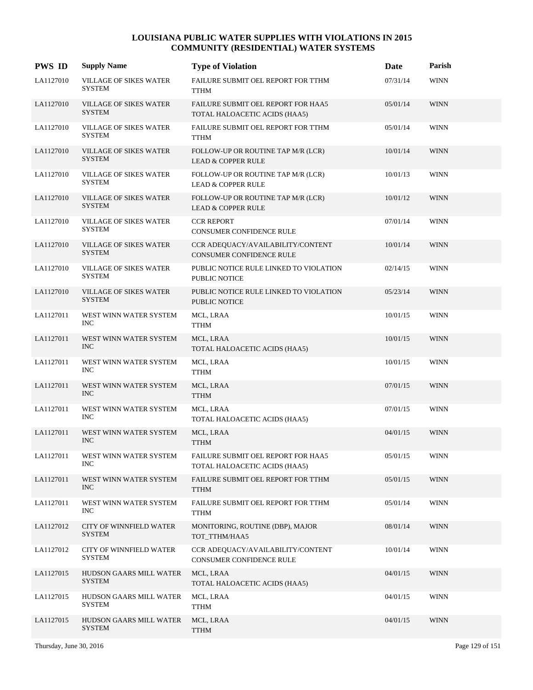| <b>PWS ID</b> | <b>Supply Name</b>                             | <b>Type of Violation</b>                                             | Date     | Parish      |
|---------------|------------------------------------------------|----------------------------------------------------------------------|----------|-------------|
| LA1127010     | VILLAGE OF SIKES WATER<br><b>SYSTEM</b>        | FAILURE SUBMIT OEL REPORT FOR TTHM<br><b>TTHM</b>                    | 07/31/14 | <b>WINN</b> |
| LA1127010     | <b>VILLAGE OF SIKES WATER</b><br><b>SYSTEM</b> | FAILURE SUBMIT OEL REPORT FOR HAA5<br>TOTAL HALOACETIC ACIDS (HAA5)  | 05/01/14 | <b>WINN</b> |
| LA1127010     | VILLAGE OF SIKES WATER<br><b>SYSTEM</b>        | FAILURE SUBMIT OEL REPORT FOR TTHM<br><b>TTHM</b>                    | 05/01/14 | <b>WINN</b> |
| LA1127010     | <b>VILLAGE OF SIKES WATER</b><br><b>SYSTEM</b> | FOLLOW-UP OR ROUTINE TAP M/R (LCR)<br><b>LEAD &amp; COPPER RULE</b>  | 10/01/14 | <b>WINN</b> |
| LA1127010     | VILLAGE OF SIKES WATER<br><b>SYSTEM</b>        | FOLLOW-UP OR ROUTINE TAP M/R (LCR)<br><b>LEAD &amp; COPPER RULE</b>  | 10/01/13 | <b>WINN</b> |
| LA1127010     | VILLAGE OF SIKES WATER<br><b>SYSTEM</b>        | FOLLOW-UP OR ROUTINE TAP M/R (LCR)<br><b>LEAD &amp; COPPER RULE</b>  | 10/01/12 | <b>WINN</b> |
| LA1127010     | VILLAGE OF SIKES WATER<br><b>SYSTEM</b>        | <b>CCR REPORT</b><br>CONSUMER CONFIDENCE RULE                        | 07/01/14 | <b>WINN</b> |
| LA1127010     | <b>VILLAGE OF SIKES WATER</b><br><b>SYSTEM</b> | CCR ADEQUACY/AVAILABILITY/CONTENT<br><b>CONSUMER CONFIDENCE RULE</b> | 10/01/14 | <b>WINN</b> |
| LA1127010     | VILLAGE OF SIKES WATER<br><b>SYSTEM</b>        | PUBLIC NOTICE RULE LINKED TO VIOLATION<br><b>PUBLIC NOTICE</b>       | 02/14/15 | <b>WINN</b> |
| LA1127010     | VILLAGE OF SIKES WATER<br><b>SYSTEM</b>        | PUBLIC NOTICE RULE LINKED TO VIOLATION<br><b>PUBLIC NOTICE</b>       | 05/23/14 | <b>WINN</b> |
| LA1127011     | WEST WINN WATER SYSTEM<br><b>INC</b>           | MCL, LRAA<br><b>TTHM</b>                                             | 10/01/15 | <b>WINN</b> |
| LA1127011     | WEST WINN WATER SYSTEM<br><b>INC</b>           | MCL, LRAA<br>TOTAL HALOACETIC ACIDS (HAA5)                           | 10/01/15 | <b>WINN</b> |
| LA1127011     | WEST WINN WATER SYSTEM<br><b>INC</b>           | MCL, LRAA<br>TTHM                                                    | 10/01/15 | <b>WINN</b> |
| LA1127011     | WEST WINN WATER SYSTEM<br><b>INC</b>           | MCL, LRAA<br><b>TTHM</b>                                             | 07/01/15 | <b>WINN</b> |
| LA1127011     | WEST WINN WATER SYSTEM<br><b>INC</b>           | MCL, LRAA<br>TOTAL HALOACETIC ACIDS (HAA5)                           | 07/01/15 | <b>WINN</b> |
| LA1127011     | WEST WINN WATER SYSTEM<br><b>INC</b>           | MCL, LRAA<br><b>TTHM</b>                                             | 04/01/15 | <b>WINN</b> |
| LA1127011     | WEST WINN WATER SYSTEM<br><b>INC</b>           | FAILURE SUBMIT OEL REPORT FOR HAA5<br>TOTAL HALOACETIC ACIDS (HAA5)  | 05/01/15 | <b>WINN</b> |
| LA1127011     | WEST WINN WATER SYSTEM<br><b>INC</b>           | FAILURE SUBMIT OEL REPORT FOR TTHM<br><b>TTHM</b>                    | 05/01/15 | <b>WINN</b> |
| LA1127011     | WEST WINN WATER SYSTEM<br><b>INC</b>           | FAILURE SUBMIT OEL REPORT FOR TTHM<br><b>TTHM</b>                    | 05/01/14 | <b>WINN</b> |
| LA1127012     | CITY OF WINNFIELD WATER<br><b>SYSTEM</b>       | MONITORING, ROUTINE (DBP), MAJOR<br>TOT_TTHM/HAA5                    | 08/01/14 | <b>WINN</b> |
| LA1127012     | CITY OF WINNFIELD WATER<br><b>SYSTEM</b>       | CCR ADEQUACY/AVAILABILITY/CONTENT<br>CONSUMER CONFIDENCE RULE        | 10/01/14 | <b>WINN</b> |
| LA1127015     | HUDSON GAARS MILL WATER<br><b>SYSTEM</b>       | MCL, LRAA<br>TOTAL HALOACETIC ACIDS (HAA5)                           | 04/01/15 | <b>WINN</b> |
| LA1127015     | HUDSON GAARS MILL WATER<br><b>SYSTEM</b>       | MCL, LRAA<br><b>TTHM</b>                                             | 04/01/15 | <b>WINN</b> |
| LA1127015     | HUDSON GAARS MILL WATER<br><b>SYSTEM</b>       | MCL, LRAA<br><b>TTHM</b>                                             | 04/01/15 | <b>WINN</b> |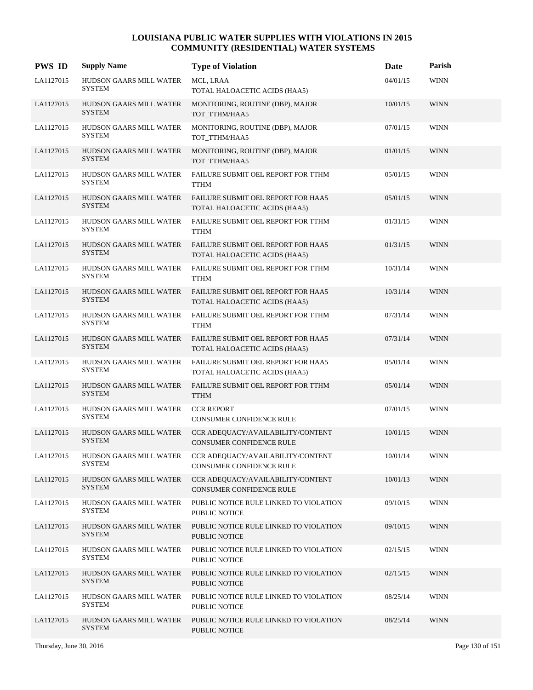| <b>PWS ID</b> | <b>Supply Name</b>                              | <b>Type of Violation</b>                                                   | Date     | Parish      |
|---------------|-------------------------------------------------|----------------------------------------------------------------------------|----------|-------------|
| LA1127015     | HUDSON GAARS MILL WATER<br><b>SYSTEM</b>        | MCL, LRAA<br>TOTAL HALOACETIC ACIDS (HAA5)                                 | 04/01/15 | <b>WINN</b> |
| LA1127015     | HUDSON GAARS MILL WATER<br><b>SYSTEM</b>        | MONITORING, ROUTINE (DBP), MAJOR<br>TOT_TTHM/HAA5                          | 10/01/15 | <b>WINN</b> |
| LA1127015     | HUDSON GAARS MILL WATER<br><b>SYSTEM</b>        | MONITORING, ROUTINE (DBP), MAJOR<br>TOT_TTHM/HAA5                          | 07/01/15 | <b>WINN</b> |
| LA1127015     | HUDSON GAARS MILL WATER<br><b>SYSTEM</b>        | MONITORING, ROUTINE (DBP), MAJOR<br>TOT_TTHM/HAA5                          | 01/01/15 | <b>WINN</b> |
| LA1127015     | HUDSON GAARS MILL WATER<br>SYSTEM               | FAILURE SUBMIT OEL REPORT FOR TTHM<br><b>TTHM</b>                          | 05/01/15 | <b>WINN</b> |
| LA1127015     | HUDSON GAARS MILL WATER<br><b>SYSTEM</b>        | FAILURE SUBMIT OEL REPORT FOR HAA5<br>TOTAL HALOACETIC ACIDS (HAA5)        | 05/01/15 | <b>WINN</b> |
| LA1127015     | HUDSON GAARS MILL WATER<br><b>SYSTEM</b>        | FAILURE SUBMIT OEL REPORT FOR TTHM<br><b>TTHM</b>                          | 01/31/15 | <b>WINN</b> |
| LA1127015     | HUDSON GAARS MILL WATER<br><b>SYSTEM</b>        | FAILURE SUBMIT OEL REPORT FOR HAA5<br>TOTAL HALOACETIC ACIDS (HAA5)        | 01/31/15 | <b>WINN</b> |
| LA1127015     | HUDSON GAARS MILL WATER<br><b>SYSTEM</b>        | FAILURE SUBMIT OEL REPORT FOR TTHM<br><b>TTHM</b>                          | 10/31/14 | <b>WINN</b> |
| LA1127015     | <b>HUDSON GAARS MILL WATER</b><br><b>SYSTEM</b> | FAILURE SUBMIT OEL REPORT FOR HAA5<br>TOTAL HALOACETIC ACIDS (HAA5)        | 10/31/14 | <b>WINN</b> |
| LA1127015     | HUDSON GAARS MILL WATER<br><b>SYSTEM</b>        | FAILURE SUBMIT OEL REPORT FOR TTHM<br><b>TTHM</b>                          | 07/31/14 | <b>WINN</b> |
| LA1127015     | HUDSON GAARS MILL WATER<br><b>SYSTEM</b>        | <b>FAILURE SUBMIT OEL REPORT FOR HAA5</b><br>TOTAL HALOACETIC ACIDS (HAA5) | 07/31/14 | <b>WINN</b> |
| LA1127015     | <b>HUDSON GAARS MILL WATER</b><br>SYSTEM        | FAILURE SUBMIT OEL REPORT FOR HAA5<br>TOTAL HALOACETIC ACIDS (HAA5)        | 05/01/14 | <b>WINN</b> |
| LA1127015     | HUDSON GAARS MILL WATER<br><b>SYSTEM</b>        | FAILURE SUBMIT OEL REPORT FOR TTHM<br><b>TTHM</b>                          | 05/01/14 | <b>WINN</b> |
| LA1127015     | HUDSON GAARS MILL WATER<br><b>SYSTEM</b>        | <b>CCR REPORT</b><br><b>CONSUMER CONFIDENCE RULE</b>                       | 07/01/15 | <b>WINN</b> |
| LA1127015     | <b>HUDSON GAARS MILL WATER</b><br><b>SYSTEM</b> | CCR ADEQUACY/AVAILABILITY/CONTENT<br><b>CONSUMER CONFIDENCE RULE</b>       | 10/01/15 | <b>WINN</b> |
| LA1127015     | HUDSON GAARS MILL WATER<br><b>SYSTEM</b>        | CCR ADEQUACY/AVAILABILITY/CONTENT<br>CONSUMER CONFIDENCE RULE              | 10/01/14 | <b>WINN</b> |
| LA1127015     | HUDSON GAARS MILL WATER<br><b>SYSTEM</b>        | CCR ADEQUACY/AVAILABILITY/CONTENT<br>CONSUMER CONFIDENCE RULE              | 10/01/13 | <b>WINN</b> |
| LA1127015     | HUDSON GAARS MILL WATER<br>SYSTEM               | PUBLIC NOTICE RULE LINKED TO VIOLATION<br>PUBLIC NOTICE                    | 09/10/15 | <b>WINN</b> |
| LA1127015     | <b>HUDSON GAARS MILL WATER</b><br><b>SYSTEM</b> | PUBLIC NOTICE RULE LINKED TO VIOLATION<br>PUBLIC NOTICE                    | 09/10/15 | <b>WINN</b> |
| LA1127015     | HUDSON GAARS MILL WATER<br><b>SYSTEM</b>        | PUBLIC NOTICE RULE LINKED TO VIOLATION<br>PUBLIC NOTICE                    | 02/15/15 | <b>WINN</b> |
| LA1127015     | HUDSON GAARS MILL WATER<br><b>SYSTEM</b>        | PUBLIC NOTICE RULE LINKED TO VIOLATION<br>PUBLIC NOTICE                    | 02/15/15 | <b>WINN</b> |
| LA1127015     | HUDSON GAARS MILL WATER<br><b>SYSTEM</b>        | PUBLIC NOTICE RULE LINKED TO VIOLATION<br>PUBLIC NOTICE                    | 08/25/14 | <b>WINN</b> |
| LA1127015     | HUDSON GAARS MILL WATER<br><b>SYSTEM</b>        | PUBLIC NOTICE RULE LINKED TO VIOLATION<br>PUBLIC NOTICE                    | 08/25/14 | <b>WINN</b> |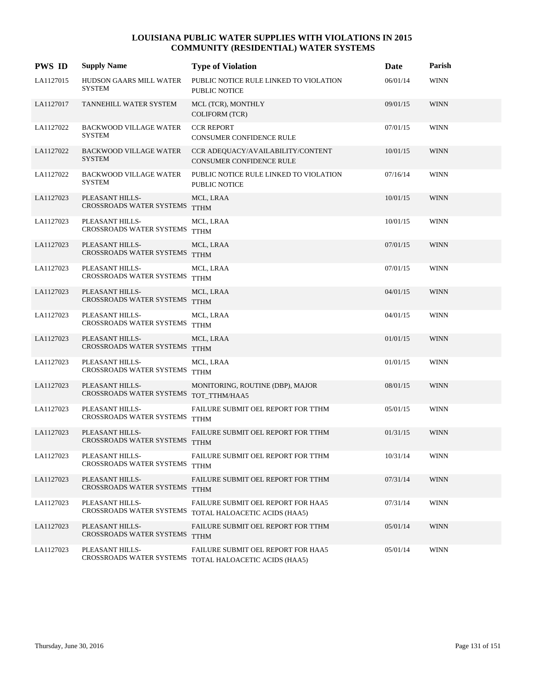| <b>PWS ID</b> | <b>Supply Name</b>                                        | <b>Type of Violation</b>                                             | Date     | Parish      |
|---------------|-----------------------------------------------------------|----------------------------------------------------------------------|----------|-------------|
| LA1127015     | HUDSON GAARS MILL WATER<br><b>SYSTEM</b>                  | PUBLIC NOTICE RULE LINKED TO VIOLATION<br><b>PUBLIC NOTICE</b>       | 06/01/14 | <b>WINN</b> |
| LA1127017     | TANNEHILL WATER SYSTEM                                    | MCL (TCR), MONTHLY<br><b>COLIFORM (TCR)</b>                          | 09/01/15 | <b>WINN</b> |
| LA1127022     | <b>BACKWOOD VILLAGE WATER</b><br><b>SYSTEM</b>            | <b>CCR REPORT</b><br>CONSUMER CONFIDENCE RULE                        | 07/01/15 | <b>WINN</b> |
| LA1127022     | <b>BACKWOOD VILLAGE WATER</b><br><b>SYSTEM</b>            | CCR ADEOUACY/AVAILABILITY/CONTENT<br><b>CONSUMER CONFIDENCE RULE</b> | 10/01/15 | <b>WINN</b> |
| LA1127022     | <b>BACKWOOD VILLAGE WATER</b><br><b>SYSTEM</b>            | PUBLIC NOTICE RULE LINKED TO VIOLATION<br><b>PUBLIC NOTICE</b>       | 07/16/14 | <b>WINN</b> |
| LA1127023     | PLEASANT HILLS-<br>CROSSROADS WATER SYSTEMS               | MCL, LRAA<br><b>TTHM</b>                                             | 10/01/15 | <b>WINN</b> |
| LA1127023     | PLEASANT HILLS-<br>CROSSROADS WATER SYSTEMS               | MCL, LRAA<br><b>TTHM</b>                                             | 10/01/15 | <b>WINN</b> |
| LA1127023     | PLEASANT HILLS-<br>CROSSROADS WATER SYSTEMS               | MCL, LRAA<br><b>TTHM</b>                                             | 07/01/15 | <b>WINN</b> |
| LA1127023     | PLEASANT HILLS-<br>CROSSROADS WATER SYSTEMS TTHM          | MCL, LRAA                                                            | 07/01/15 | <b>WINN</b> |
| LA1127023     | PLEASANT HILLS-<br>CROSSROADS WATER SYSTEMS               | MCL, LRAA<br><b>TTHM</b>                                             | 04/01/15 | <b>WINN</b> |
| LA1127023     | PLEASANT HILLS-<br>CROSSROADS WATER SYSTEMS               | MCL, LRAA<br><b>TTHM</b>                                             | 04/01/15 | <b>WINN</b> |
| LA1127023     | PLEASANT HILLS-<br>CROSSROADS WATER SYSTEMS               | MCL, LRAA<br><b>TTHM</b>                                             | 01/01/15 | <b>WINN</b> |
| LA1127023     | PLEASANT HILLS-<br>CROSSROADS WATER SYSTEMS               | MCL, LRAA<br><b>TTHM</b>                                             | 01/01/15 | <b>WINN</b> |
| LA1127023     | PLEASANT HILLS-<br>CROSSROADS WATER SYSTEMS TOT_TTHM/HAA5 | MONITORING, ROUTINE (DBP), MAJOR                                     | 08/01/15 | <b>WINN</b> |
| LA1127023     | PLEASANT HILLS-<br>CROSSROADS WATER SYSTEMS TTHM          | FAILURE SUBMIT OEL REPORT FOR TTHM                                   | 05/01/15 | <b>WINN</b> |
| LA1127023     | PLEASANT HILLS-<br>CROSSROADS WATER SYSTEMS               | FAILURE SUBMIT OEL REPORT FOR TTHM<br><b>TTHM</b>                    | 01/31/15 | <b>WINN</b> |
| LA1127023     | PLEASANT HILLS-<br>CROSSROADS WATER SYSTEMS               | FAILURE SUBMIT OEL REPORT FOR TTHM<br><b>TTHM</b>                    | 10/31/14 | <b>WINN</b> |
| LA1127023     | PLEASANT HILLS-<br>CROSSROADS WATER SYSTEMS               | FAILURE SUBMIT OEL REPORT FOR TTHM<br><b>TTHM</b>                    | 07/31/14 | <b>WINN</b> |
| LA1127023     | PLEASANT HILLS-<br>CROSSROADS WATER SYSTEMS               | FAILURE SUBMIT OEL REPORT FOR HAA5<br>TOTAL HALOACETIC ACIDS (HAA5)  | 07/31/14 | <b>WINN</b> |
| LA1127023     | PLEASANT HILLS-<br>CROSSROADS WATER SYSTEMS               | FAILURE SUBMIT OEL REPORT FOR TTHM<br><b>TTHM</b>                    | 05/01/14 | <b>WINN</b> |
| LA1127023     | PLEASANT HILLS-<br>CROSSROADS WATER SYSTEMS               | FAILURE SUBMIT OEL REPORT FOR HAA5<br>TOTAL HALOACETIC ACIDS (HAA5)  | 05/01/14 | <b>WINN</b> |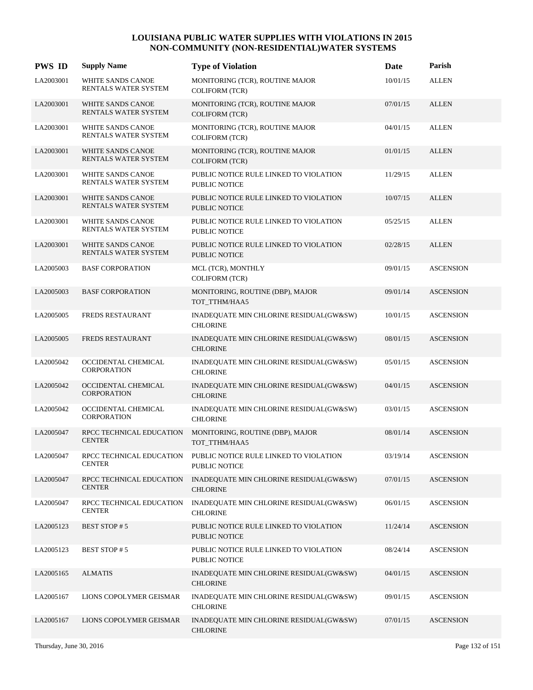| <b>PWS ID</b> | <b>Supply Name</b>                        | <b>Type of Violation</b>                                       | Date     | Parish           |
|---------------|-------------------------------------------|----------------------------------------------------------------|----------|------------------|
| LA2003001     | WHITE SANDS CANOE<br>RENTALS WATER SYSTEM | MONITORING (TCR), ROUTINE MAJOR<br><b>COLIFORM (TCR)</b>       | 10/01/15 | <b>ALLEN</b>     |
| LA2003001     | WHITE SANDS CANOE<br>RENTALS WATER SYSTEM | MONITORING (TCR), ROUTINE MAJOR<br><b>COLIFORM (TCR)</b>       | 07/01/15 | <b>ALLEN</b>     |
| LA2003001     | WHITE SANDS CANOE<br>RENTALS WATER SYSTEM | MONITORING (TCR), ROUTINE MAJOR<br><b>COLIFORM (TCR)</b>       | 04/01/15 | <b>ALLEN</b>     |
| LA2003001     | WHITE SANDS CANOE<br>RENTALS WATER SYSTEM | MONITORING (TCR), ROUTINE MAJOR<br><b>COLIFORM (TCR)</b>       | 01/01/15 | <b>ALLEN</b>     |
| LA2003001     | WHITE SANDS CANOE<br>RENTALS WATER SYSTEM | PUBLIC NOTICE RULE LINKED TO VIOLATION<br><b>PUBLIC NOTICE</b> | 11/29/15 | <b>ALLEN</b>     |
| LA2003001     | WHITE SANDS CANOE<br>RENTALS WATER SYSTEM | PUBLIC NOTICE RULE LINKED TO VIOLATION<br><b>PUBLIC NOTICE</b> | 10/07/15 | <b>ALLEN</b>     |
| LA2003001     | WHITE SANDS CANOE<br>RENTALS WATER SYSTEM | PUBLIC NOTICE RULE LINKED TO VIOLATION<br><b>PUBLIC NOTICE</b> | 05/25/15 | <b>ALLEN</b>     |
| LA2003001     | WHITE SANDS CANOE<br>RENTALS WATER SYSTEM | PUBLIC NOTICE RULE LINKED TO VIOLATION<br>PUBLIC NOTICE        | 02/28/15 | <b>ALLEN</b>     |
| LA2005003     | <b>BASF CORPORATION</b>                   | MCL (TCR), MONTHLY<br><b>COLIFORM (TCR)</b>                    | 09/01/15 | <b>ASCENSION</b> |
| LA2005003     | <b>BASF CORPORATION</b>                   | MONITORING, ROUTINE (DBP), MAJOR<br>TOT_TTHM/HAA5              | 09/01/14 | <b>ASCENSION</b> |
| LA2005005     | FREDS RESTAURANT                          | INADEQUATE MIN CHLORINE RESIDUAL(GW&SW)<br><b>CHLORINE</b>     | 10/01/15 | <b>ASCENSION</b> |
| LA2005005     | <b>FREDS RESTAURANT</b>                   | INADEQUATE MIN CHLORINE RESIDUAL(GW&SW)<br><b>CHLORINE</b>     | 08/01/15 | <b>ASCENSION</b> |
| LA2005042     | OCCIDENTAL CHEMICAL<br>CORPORATION        | INADEQUATE MIN CHLORINE RESIDUAL(GW&SW)<br><b>CHLORINE</b>     | 05/01/15 | <b>ASCENSION</b> |
| LA2005042     | OCCIDENTAL CHEMICAL<br><b>CORPORATION</b> | INADEQUATE MIN CHLORINE RESIDUAL(GW&SW)<br><b>CHLORINE</b>     | 04/01/15 | <b>ASCENSION</b> |
| LA2005042     | OCCIDENTAL CHEMICAL<br><b>CORPORATION</b> | INADEQUATE MIN CHLORINE RESIDUAL(GW&SW)<br><b>CHLORINE</b>     | 03/01/15 | <b>ASCENSION</b> |
| LA2005047     | RPCC TECHNICAL EDUCATION<br><b>CENTER</b> | MONITORING, ROUTINE (DBP), MAJOR<br>TOT TTHM/HAA5              | 08/01/14 | <b>ASCENSION</b> |
| LA2005047     | RPCC TECHNICAL EDUCATION<br><b>CENTER</b> | PUBLIC NOTICE RULE LINKED TO VIOLATION<br>PUBLIC NOTICE        | 03/19/14 | <b>ASCENSION</b> |
| LA2005047     | RPCC TECHNICAL EDUCATION<br><b>CENTER</b> | INADEQUATE MIN CHLORINE RESIDUAL(GW&SW)<br><b>CHLORINE</b>     | 07/01/15 | <b>ASCENSION</b> |
| LA2005047     | RPCC TECHNICAL EDUCATION<br><b>CENTER</b> | INADEQUATE MIN CHLORINE RESIDUAL(GW&SW)<br><b>CHLORINE</b>     | 06/01/15 | <b>ASCENSION</b> |
| LA2005123     | <b>BEST STOP#5</b>                        | PUBLIC NOTICE RULE LINKED TO VIOLATION<br>PUBLIC NOTICE        | 11/24/14 | <b>ASCENSION</b> |
| LA2005123     | <b>BEST STOP #5</b>                       | PUBLIC NOTICE RULE LINKED TO VIOLATION<br>PUBLIC NOTICE        | 08/24/14 | <b>ASCENSION</b> |
| LA2005165     | <b>ALMATIS</b>                            | INADEQUATE MIN CHLORINE RESIDUAL(GW&SW)<br><b>CHLORINE</b>     | 04/01/15 | <b>ASCENSION</b> |
| LA2005167     | LIONS COPOLYMER GEISMAR                   | INADEQUATE MIN CHLORINE RESIDUAL(GW&SW)<br><b>CHLORINE</b>     | 09/01/15 | <b>ASCENSION</b> |
| LA2005167     | LIONS COPOLYMER GEISMAR                   | INADEQUATE MIN CHLORINE RESIDUAL(GW&SW)<br><b>CHLORINE</b>     | 07/01/15 | <b>ASCENSION</b> |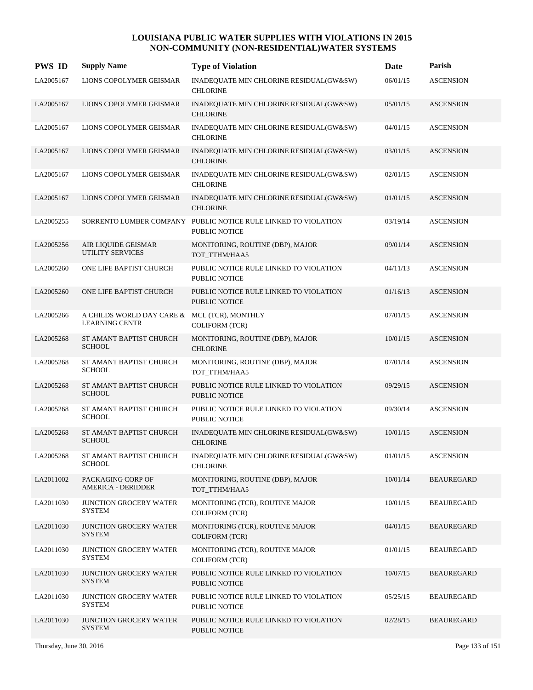| <b>PWS ID</b> | <b>Supply Name</b>                                                    | <b>Type of Violation</b>                                                               | Date     | Parish            |
|---------------|-----------------------------------------------------------------------|----------------------------------------------------------------------------------------|----------|-------------------|
| LA2005167     | LIONS COPOLYMER GEISMAR                                               | INADEQUATE MIN CHLORINE RESIDUAL(GW&SW)<br><b>CHLORINE</b>                             | 06/01/15 | <b>ASCENSION</b>  |
| LA2005167     | LIONS COPOLYMER GEISMAR                                               | INADEQUATE MIN CHLORINE RESIDUAL(GW&SW)<br><b>CHLORINE</b>                             | 05/01/15 | <b>ASCENSION</b>  |
| LA2005167     | LIONS COPOLYMER GEISMAR                                               | INADEQUATE MIN CHLORINE RESIDUAL(GW&SW)<br><b>CHLORINE</b>                             | 04/01/15 | <b>ASCENSION</b>  |
| LA2005167     | LIONS COPOLYMER GEISMAR                                               | INADEQUATE MIN CHLORINE RESIDUAL(GW&SW)<br><b>CHLORINE</b>                             | 03/01/15 | <b>ASCENSION</b>  |
| LA2005167     | LIONS COPOLYMER GEISMAR                                               | INADEQUATE MIN CHLORINE RESIDUAL(GW&SW)<br><b>CHLORINE</b>                             | 02/01/15 | <b>ASCENSION</b>  |
| LA2005167     | LIONS COPOLYMER GEISMAR                                               | INADEQUATE MIN CHLORINE RESIDUAL(GW&SW)<br><b>CHLORINE</b>                             | 01/01/15 | <b>ASCENSION</b>  |
| LA2005255     |                                                                       | SORRENTO LUMBER COMPANY PUBLIC NOTICE RULE LINKED TO VIOLATION<br><b>PUBLIC NOTICE</b> | 03/19/14 | <b>ASCENSION</b>  |
| LA2005256     | AIR LIQUIDE GEISMAR<br><b>UTILITY SERVICES</b>                        | MONITORING, ROUTINE (DBP), MAJOR<br>TOT_TTHM/HAA5                                      | 09/01/14 | <b>ASCENSION</b>  |
| LA2005260     | ONE LIFE BAPTIST CHURCH                                               | PUBLIC NOTICE RULE LINKED TO VIOLATION<br>PUBLIC NOTICE                                | 04/11/13 | <b>ASCENSION</b>  |
| LA2005260     | ONE LIFE BAPTIST CHURCH                                               | PUBLIC NOTICE RULE LINKED TO VIOLATION<br><b>PUBLIC NOTICE</b>                         | 01/16/13 | <b>ASCENSION</b>  |
| LA2005266     | A CHILDS WORLD DAY CARE & MCL (TCR), MONTHLY<br><b>LEARNING CENTR</b> | COLIFORM (TCR)                                                                         | 07/01/15 | <b>ASCENSION</b>  |
| LA2005268     | ST AMANT BAPTIST CHURCH<br><b>SCHOOL</b>                              | MONITORING, ROUTINE (DBP), MAJOR<br><b>CHLORINE</b>                                    | 10/01/15 | <b>ASCENSION</b>  |
| LA2005268     | ST AMANT BAPTIST CHURCH<br><b>SCHOOL</b>                              | MONITORING, ROUTINE (DBP), MAJOR<br>TOT_TTHM/HAA5                                      | 07/01/14 | <b>ASCENSION</b>  |
| LA2005268     | ST AMANT BAPTIST CHURCH<br><b>SCHOOL</b>                              | PUBLIC NOTICE RULE LINKED TO VIOLATION<br><b>PUBLIC NOTICE</b>                         | 09/29/15 | <b>ASCENSION</b>  |
| LA2005268     | ST AMANT BAPTIST CHURCH<br><b>SCHOOL</b>                              | PUBLIC NOTICE RULE LINKED TO VIOLATION<br>PUBLIC NOTICE                                | 09/30/14 | <b>ASCENSION</b>  |
| LA2005268     | ST AMANT BAPTIST CHURCH<br><b>SCHOOL</b>                              | INADEQUATE MIN CHLORINE RESIDUAL(GW&SW)<br><b>CHLORINE</b>                             | 10/01/15 | <b>ASCENSION</b>  |
| LA2005268     | ST AMANT BAPTIST CHURCH<br><b>SCHOOL</b>                              | INADEQUATE MIN CHLORINE RESIDUAL(GW&SW)<br><b>CHLORINE</b>                             | 01/01/15 | <b>ASCENSION</b>  |
| LA2011002     | PACKAGING CORP OF<br><b>AMERICA - DERIDDER</b>                        | MONITORING, ROUTINE (DBP), MAJOR<br>TOT_TTHM/HAA5                                      | 10/01/14 | <b>BEAUREGARD</b> |
| LA2011030     | <b>JUNCTION GROCERY WATER</b><br><b>SYSTEM</b>                        | MONITORING (TCR), ROUTINE MAJOR<br><b>COLIFORM (TCR)</b>                               | 10/01/15 | <b>BEAUREGARD</b> |
| LA2011030     | JUNCTION GROCERY WATER<br><b>SYSTEM</b>                               | MONITORING (TCR), ROUTINE MAJOR<br><b>COLIFORM (TCR)</b>                               | 04/01/15 | <b>BEAUREGARD</b> |
| LA2011030     | JUNCTION GROCERY WATER<br>SYSTEM                                      | MONITORING (TCR), ROUTINE MAJOR<br><b>COLIFORM (TCR)</b>                               | 01/01/15 | <b>BEAUREGARD</b> |
| LA2011030     | <b>JUNCTION GROCERY WATER</b><br><b>SYSTEM</b>                        | PUBLIC NOTICE RULE LINKED TO VIOLATION<br>PUBLIC NOTICE                                | 10/07/15 | <b>BEAUREGARD</b> |
| LA2011030     | <b>JUNCTION GROCERY WATER</b><br><b>SYSTEM</b>                        | PUBLIC NOTICE RULE LINKED TO VIOLATION<br>PUBLIC NOTICE                                | 05/25/15 | <b>BEAUREGARD</b> |
| LA2011030     | <b>JUNCTION GROCERY WATER</b><br><b>SYSTEM</b>                        | PUBLIC NOTICE RULE LINKED TO VIOLATION<br>PUBLIC NOTICE                                | 02/28/15 | <b>BEAUREGARD</b> |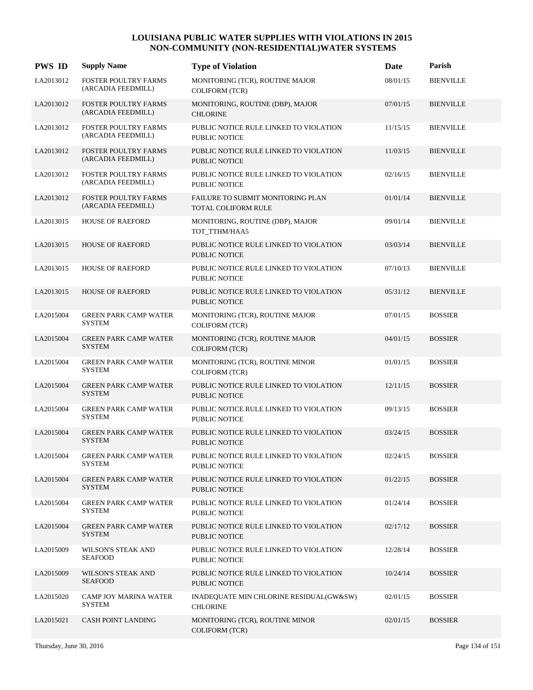| <b>PWS ID</b> | <b>Supply Name</b>                                | <b>Type of Violation</b>                                       | <b>Date</b> | Parish           |
|---------------|---------------------------------------------------|----------------------------------------------------------------|-------------|------------------|
| LA2013012     | FOSTER POULTRY FARMS<br>(ARCADIA FEEDMILL)        | MONITORING (TCR), ROUTINE MAJOR<br><b>COLIFORM (TCR)</b>       | 08/01/15    | <b>BIENVILLE</b> |
| LA2013012     | <b>FOSTER POULTRY FARMS</b><br>(ARCADIA FEEDMILL) | MONITORING, ROUTINE (DBP), MAJOR<br><b>CHLORINE</b>            | 07/01/15    | <b>BIENVILLE</b> |
| LA2013012     | FOSTER POULTRY FARMS<br>(ARCADIA FEEDMILL)        | PUBLIC NOTICE RULE LINKED TO VIOLATION<br><b>PUBLIC NOTICE</b> | 11/15/15    | <b>BIENVILLE</b> |
| LA2013012     | <b>FOSTER POULTRY FARMS</b><br>(ARCADIA FEEDMILL) | PUBLIC NOTICE RULE LINKED TO VIOLATION<br><b>PUBLIC NOTICE</b> | 11/03/15    | <b>BIENVILLE</b> |
| LA2013012     | <b>FOSTER POULTRY FARMS</b><br>(ARCADIA FEEDMILL) | PUBLIC NOTICE RULE LINKED TO VIOLATION<br><b>PUBLIC NOTICE</b> | 02/16/15    | <b>BIENVILLE</b> |
| LA2013012     | <b>FOSTER POULTRY FARMS</b><br>(ARCADIA FEEDMILL) | FAILURE TO SUBMIT MONITORING PLAN<br>TOTAL COLIFORM RULE       | 01/01/14    | <b>BIENVILLE</b> |
| LA2013015     | HOUSE OF RAEFORD                                  | MONITORING, ROUTINE (DBP), MAJOR<br>TOT_TTHM/HAA5              | 09/01/14    | <b>BIENVILLE</b> |
| LA2013015     | <b>HOUSE OF RAEFORD</b>                           | PUBLIC NOTICE RULE LINKED TO VIOLATION<br><b>PUBLIC NOTICE</b> | 03/03/14    | <b>BIENVILLE</b> |
| LA2013015     | <b>HOUSE OF RAEFORD</b>                           | PUBLIC NOTICE RULE LINKED TO VIOLATION<br><b>PUBLIC NOTICE</b> | 07/10/13    | <b>BIENVILLE</b> |
| LA2013015     | <b>HOUSE OF RAEFORD</b>                           | PUBLIC NOTICE RULE LINKED TO VIOLATION<br>PUBLIC NOTICE        | 05/31/12    | <b>BIENVILLE</b> |
| LA2015004     | <b>GREEN PARK CAMP WATER</b><br><b>SYSTEM</b>     | MONITORING (TCR), ROUTINE MAJOR<br><b>COLIFORM (TCR)</b>       | 07/01/15    | <b>BOSSIER</b>   |
| LA2015004     | <b>GREEN PARK CAMP WATER</b><br><b>SYSTEM</b>     | MONITORING (TCR), ROUTINE MAJOR<br><b>COLIFORM (TCR)</b>       | 04/01/15    | <b>BOSSIER</b>   |
| LA2015004     | <b>GREEN PARK CAMP WATER</b><br><b>SYSTEM</b>     | MONITORING (TCR), ROUTINE MINOR<br><b>COLIFORM (TCR)</b>       | 01/01/15    | <b>BOSSIER</b>   |
| LA2015004     | <b>GREEN PARK CAMP WATER</b><br><b>SYSTEM</b>     | PUBLIC NOTICE RULE LINKED TO VIOLATION<br>PUBLIC NOTICE        | 12/11/15    | <b>BOSSIER</b>   |
| LA2015004     | <b>GREEN PARK CAMP WATER</b><br><b>SYSTEM</b>     | PUBLIC NOTICE RULE LINKED TO VIOLATION<br><b>PUBLIC NOTICE</b> | 09/13/15    | <b>BOSSIER</b>   |
| LA2015004     | <b>GREEN PARK CAMP WATER</b><br><b>SYSTEM</b>     | PUBLIC NOTICE RULE LINKED TO VIOLATION<br><b>PUBLIC NOTICE</b> | 03/24/15    | <b>BOSSIER</b>   |
| LA2015004     | <b>GREEN PARK CAMP WATER</b><br><b>SYSTEM</b>     | PUBLIC NOTICE RULE LINKED TO VIOLATION<br>PUBLIC NOTICE        | 02/24/15    | <b>BOSSIER</b>   |
| LA2015004     | <b>GREEN PARK CAMP WATER</b><br><b>SYSTEM</b>     | PUBLIC NOTICE RULE LINKED TO VIOLATION<br><b>PUBLIC NOTICE</b> | 01/22/15    | <b>BOSSIER</b>   |
| LA2015004     | <b>GREEN PARK CAMP WATER</b><br><b>SYSTEM</b>     | PUBLIC NOTICE RULE LINKED TO VIOLATION<br>PUBLIC NOTICE        | 01/24/14    | <b>BOSSIER</b>   |
| LA2015004     | <b>GREEN PARK CAMP WATER</b><br><b>SYSTEM</b>     | PUBLIC NOTICE RULE LINKED TO VIOLATION<br><b>PUBLIC NOTICE</b> | 02/17/12    | <b>BOSSIER</b>   |
| LA2015009     | WILSON'S STEAK AND<br><b>SEAFOOD</b>              | PUBLIC NOTICE RULE LINKED TO VIOLATION<br><b>PUBLIC NOTICE</b> | 12/28/14    | <b>BOSSIER</b>   |
| LA2015009     | WILSON'S STEAK AND<br><b>SEAFOOD</b>              | PUBLIC NOTICE RULE LINKED TO VIOLATION<br>PUBLIC NOTICE        | 10/24/14    | <b>BOSSIER</b>   |
| LA2015020     | CAMP JOY MARINA WATER<br><b>SYSTEM</b>            | INADEQUATE MIN CHLORINE RESIDUAL(GW&SW)<br><b>CHLORINE</b>     | 02/01/15    | <b>BOSSIER</b>   |
| LA2015021     | CASH POINT LANDING                                | MONITORING (TCR), ROUTINE MINOR<br>COLIFORM (TCR)              | 02/01/15    | <b>BOSSIER</b>   |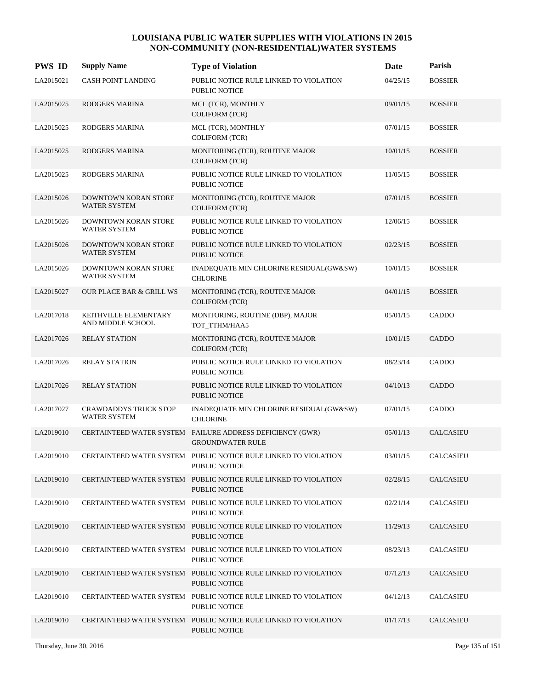| <b>PWS ID</b> | <b>Supply Name</b>                                 | <b>Type of Violation</b>                                                             | Date     | Parish           |
|---------------|----------------------------------------------------|--------------------------------------------------------------------------------------|----------|------------------|
| LA2015021     | <b>CASH POINT LANDING</b>                          | PUBLIC NOTICE RULE LINKED TO VIOLATION<br><b>PUBLIC NOTICE</b>                       | 04/25/15 | <b>BOSSIER</b>   |
| LA2015025     | <b>RODGERS MARINA</b>                              | MCL (TCR), MONTHLY<br><b>COLIFORM (TCR)</b>                                          | 09/01/15 | <b>BOSSIER</b>   |
| LA2015025     | RODGERS MARINA                                     | MCL (TCR), MONTHLY<br><b>COLIFORM (TCR)</b>                                          | 07/01/15 | <b>BOSSIER</b>   |
| LA2015025     | <b>RODGERS MARINA</b>                              | MONITORING (TCR), ROUTINE MAJOR<br><b>COLIFORM (TCR)</b>                             | 10/01/15 | <b>BOSSIER</b>   |
| LA2015025     | RODGERS MARINA                                     | PUBLIC NOTICE RULE LINKED TO VIOLATION<br><b>PUBLIC NOTICE</b>                       | 11/05/15 | <b>BOSSIER</b>   |
| LA2015026     | DOWNTOWN KORAN STORE<br><b>WATER SYSTEM</b>        | MONITORING (TCR), ROUTINE MAJOR<br><b>COLIFORM</b> (TCR)                             | 07/01/15 | <b>BOSSIER</b>   |
| LA2015026     | DOWNTOWN KORAN STORE<br><b>WATER SYSTEM</b>        | PUBLIC NOTICE RULE LINKED TO VIOLATION<br><b>PUBLIC NOTICE</b>                       | 12/06/15 | <b>BOSSIER</b>   |
| LA2015026     | <b>DOWNTOWN KORAN STORE</b><br><b>WATER SYSTEM</b> | PUBLIC NOTICE RULE LINKED TO VIOLATION<br><b>PUBLIC NOTICE</b>                       | 02/23/15 | <b>BOSSIER</b>   |
| LA2015026     | DOWNTOWN KORAN STORE<br>WATER SYSTEM               | INADEQUATE MIN CHLORINE RESIDUAL(GW&SW)<br><b>CHLORINE</b>                           | 10/01/15 | <b>BOSSIER</b>   |
| LA2015027     | <b>OUR PLACE BAR &amp; GRILL WS</b>                | MONITORING (TCR), ROUTINE MAJOR<br><b>COLIFORM (TCR)</b>                             | 04/01/15 | <b>BOSSIER</b>   |
| LA2017018     | KEITHVILLE ELEMENTARY<br>AND MIDDLE SCHOOL         | MONITORING, ROUTINE (DBP), MAJOR<br>TOT_TTHM/HAA5                                    | 05/01/15 | CADDO            |
| LA2017026     | <b>RELAY STATION</b>                               | MONITORING (TCR), ROUTINE MAJOR<br><b>COLIFORM (TCR)</b>                             | 10/01/15 | CADDO            |
| LA2017026     | <b>RELAY STATION</b>                               | PUBLIC NOTICE RULE LINKED TO VIOLATION<br>PUBLIC NOTICE                              | 08/23/14 | CADDO            |
| LA2017026     | <b>RELAY STATION</b>                               | PUBLIC NOTICE RULE LINKED TO VIOLATION<br><b>PUBLIC NOTICE</b>                       | 04/10/13 | CADDO            |
| LA2017027     | CRAWDADDYS TRUCK STOP<br><b>WATER SYSTEM</b>       | INADEQUATE MIN CHLORINE RESIDUAL(GW&SW)<br><b>CHLORINE</b>                           | 07/01/15 | CADDO            |
| LA2019010     |                                                    | CERTAINTEED WATER SYSTEM FAILURE ADDRESS DEFICIENCY (GWR)<br><b>GROUNDWATER RULE</b> | 05/01/13 | <b>CALCASIEU</b> |
| LA2019010     |                                                    | CERTAINTEED WATER SYSTEM PUBLIC NOTICE RULE LINKED TO VIOLATION<br>PUBLIC NOTICE     | 03/01/15 | <b>CALCASIEU</b> |
| LA2019010     |                                                    | CERTAINTEED WATER SYSTEM PUBLIC NOTICE RULE LINKED TO VIOLATION<br>PUBLIC NOTICE     | 02/28/15 | <b>CALCASIEU</b> |
| LA2019010     |                                                    | CERTAINTEED WATER SYSTEM PUBLIC NOTICE RULE LINKED TO VIOLATION<br>PUBLIC NOTICE     | 02/21/14 | CALCASIEU        |
| LA2019010     |                                                    | CERTAINTEED WATER SYSTEM PUBLIC NOTICE RULE LINKED TO VIOLATION<br>PUBLIC NOTICE     | 11/29/13 | <b>CALCASIEU</b> |
| LA2019010     |                                                    | CERTAINTEED WATER SYSTEM PUBLIC NOTICE RULE LINKED TO VIOLATION<br>PUBLIC NOTICE     | 08/23/13 | CALCASIEU        |
| LA2019010     |                                                    | CERTAINTEED WATER SYSTEM PUBLIC NOTICE RULE LINKED TO VIOLATION<br>PUBLIC NOTICE     | 07/12/13 | <b>CALCASIEU</b> |
| LA2019010     |                                                    | CERTAINTEED WATER SYSTEM PUBLIC NOTICE RULE LINKED TO VIOLATION<br>PUBLIC NOTICE     | 04/12/13 | CALCASIEU        |
| LA2019010     |                                                    | CERTAINTEED WATER SYSTEM PUBLIC NOTICE RULE LINKED TO VIOLATION<br>PUBLIC NOTICE     | 01/17/13 | <b>CALCASIEU</b> |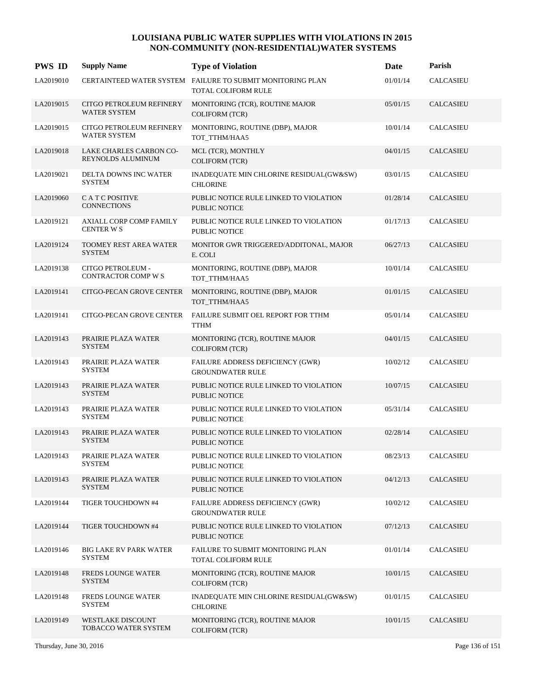| <b>PWS ID</b> | <b>Supply Name</b>                               | <b>Type of Violation</b>                                                          | Date     | Parish           |
|---------------|--------------------------------------------------|-----------------------------------------------------------------------------------|----------|------------------|
| LA2019010     |                                                  | CERTAINTEED WATER SYSTEM FAILURE TO SUBMIT MONITORING PLAN<br>TOTAL COLIFORM RULE | 01/01/14 | <b>CALCASIEU</b> |
| LA2019015     | CITGO PETROLEUM REFINERY<br><b>WATER SYSTEM</b>  | MONITORING (TCR), ROUTINE MAJOR<br><b>COLIFORM (TCR)</b>                          | 05/01/15 | <b>CALCASIEU</b> |
| LA2019015     | CITGO PETROLEUM REFINERY<br><b>WATER SYSTEM</b>  | MONITORING, ROUTINE (DBP), MAJOR<br>TOT_TTHM/HAA5                                 | 10/01/14 | <b>CALCASIEU</b> |
| LA2019018     | LAKE CHARLES CARBON CO-<br>REYNOLDS ALUMINUM     | MCL (TCR), MONTHLY<br><b>COLIFORM</b> (TCR)                                       | 04/01/15 | <b>CALCASIEU</b> |
| LA2019021     | DELTA DOWNS INC WATER<br><b>SYSTEM</b>           | INADEQUATE MIN CHLORINE RESIDUAL(GW&SW)<br><b>CHLORINE</b>                        | 03/01/15 | <b>CALCASIEU</b> |
| LA2019060     | C A T C POSITIVE<br><b>CONNECTIONS</b>           | PUBLIC NOTICE RULE LINKED TO VIOLATION<br><b>PUBLIC NOTICE</b>                    | 01/28/14 | <b>CALCASIEU</b> |
| LA2019121     | AXIALL CORP COMP FAMILY<br><b>CENTER W S</b>     | PUBLIC NOTICE RULE LINKED TO VIOLATION<br><b>PUBLIC NOTICE</b>                    | 01/17/13 | <b>CALCASIEU</b> |
| LA2019124     | TOOMEY REST AREA WATER<br><b>SYSTEM</b>          | MONITOR GWR TRIGGERED/ADDITONAL, MAJOR<br>E. COLI                                 | 06/27/13 | <b>CALCASIEU</b> |
| LA2019138     | CITGO PETROLEUM -<br>CONTRACTOR COMP W S         | MONITORING, ROUTINE (DBP), MAJOR<br>TOT_TTHM/HAA5                                 | 10/01/14 | <b>CALCASIEU</b> |
| LA2019141     | CITGO-PECAN GROVE CENTER                         | MONITORING, ROUTINE (DBP), MAJOR<br>TOT_TTHM/HAA5                                 | 01/01/15 | <b>CALCASIEU</b> |
| LA2019141     | CITGO-PECAN GROVE CENTER                         | FAILURE SUBMIT OEL REPORT FOR TTHM<br><b>TTHM</b>                                 | 05/01/14 | <b>CALCASIEU</b> |
| LA2019143     | PRAIRIE PLAZA WATER<br><b>SYSTEM</b>             | MONITORING (TCR), ROUTINE MAJOR<br><b>COLIFORM (TCR)</b>                          | 04/01/15 | <b>CALCASIEU</b> |
| LA2019143     | PRAIRIE PLAZA WATER<br><b>SYSTEM</b>             | FAILURE ADDRESS DEFICIENCY (GWR)<br><b>GROUNDWATER RULE</b>                       | 10/02/12 | <b>CALCASIEU</b> |
| LA2019143     | PRAIRIE PLAZA WATER<br><b>SYSTEM</b>             | PUBLIC NOTICE RULE LINKED TO VIOLATION<br><b>PUBLIC NOTICE</b>                    | 10/07/15 | <b>CALCASIEU</b> |
| LA2019143     | PRAIRIE PLAZA WATER<br><b>SYSTEM</b>             | PUBLIC NOTICE RULE LINKED TO VIOLATION<br><b>PUBLIC NOTICE</b>                    | 05/31/14 | CALCASIEU        |
| LA2019143     | PRAIRIE PLAZA WATER<br><b>SYSTEM</b>             | PUBLIC NOTICE RULE LINKED TO VIOLATION<br><b>PUBLIC NOTICE</b>                    | 02/28/14 | <b>CALCASIEU</b> |
| LA2019143     | PRAIRIE PLAZA WATER<br><b>SYSTEM</b>             | PUBLIC NOTICE RULE LINKED TO VIOLATION<br>PUBLIC NOTICE                           | 08/23/13 | <b>CALCASIEU</b> |
| LA2019143     | PRAIRIE PLAZA WATER<br><b>SYSTEM</b>             | PUBLIC NOTICE RULE LINKED TO VIOLATION<br>PUBLIC NOTICE                           | 04/12/13 | <b>CALCASIEU</b> |
| LA2019144     | TIGER TOUCHDOWN #4                               | FAILURE ADDRESS DEFICIENCY (GWR)<br><b>GROUNDWATER RULE</b>                       | 10/02/12 | <b>CALCASIEU</b> |
| LA2019144     | TIGER TOUCHDOWN #4                               | PUBLIC NOTICE RULE LINKED TO VIOLATION<br>PUBLIC NOTICE                           | 07/12/13 | <b>CALCASIEU</b> |
| LA2019146     | <b>BIG LAKE RV PARK WATER</b><br><b>SYSTEM</b>   | FAILURE TO SUBMIT MONITORING PLAN<br>TOTAL COLIFORM RULE                          | 01/01/14 | CALCASIEU        |
| LA2019148     | FREDS LOUNGE WATER<br><b>SYSTEM</b>              | MONITORING (TCR), ROUTINE MAJOR<br><b>COLIFORM</b> (TCR)                          | 10/01/15 | <b>CALCASIEU</b> |
| LA2019148     | FREDS LOUNGE WATER<br><b>SYSTEM</b>              | INADEQUATE MIN CHLORINE RESIDUAL(GW&SW)<br><b>CHLORINE</b>                        | 01/01/15 | <b>CALCASIEU</b> |
| LA2019149     | <b>WESTLAKE DISCOUNT</b><br>TOBACCO WATER SYSTEM | MONITORING (TCR), ROUTINE MAJOR<br><b>COLIFORM (TCR)</b>                          | 10/01/15 | <b>CALCASIEU</b> |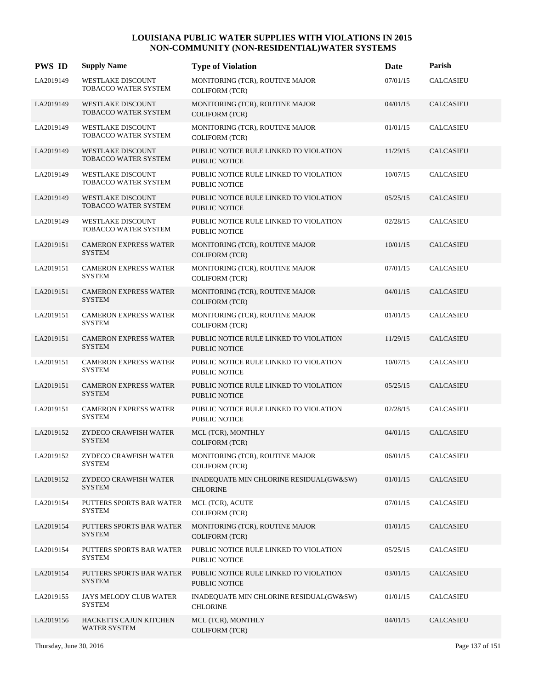| <b>PWS ID</b> | <b>Supply Name</b>                               | <b>Type of Violation</b>                                       | Date     | Parish           |
|---------------|--------------------------------------------------|----------------------------------------------------------------|----------|------------------|
| LA2019149     | <b>WESTLAKE DISCOUNT</b><br>TOBACCO WATER SYSTEM | MONITORING (TCR), ROUTINE MAJOR<br><b>COLIFORM (TCR)</b>       | 07/01/15 | <b>CALCASIEU</b> |
| LA2019149     | <b>WESTLAKE DISCOUNT</b><br>TOBACCO WATER SYSTEM | MONITORING (TCR), ROUTINE MAJOR<br><b>COLIFORM (TCR)</b>       | 04/01/15 | <b>CALCASIEU</b> |
| LA2019149     | <b>WESTLAKE DISCOUNT</b><br>TOBACCO WATER SYSTEM | MONITORING (TCR), ROUTINE MAJOR<br>COLIFORM (TCR)              | 01/01/15 | CALCASIEU        |
| LA2019149     | <b>WESTLAKE DISCOUNT</b><br>TOBACCO WATER SYSTEM | PUBLIC NOTICE RULE LINKED TO VIOLATION<br><b>PUBLIC NOTICE</b> | 11/29/15 | <b>CALCASIEU</b> |
| LA2019149     | <b>WESTLAKE DISCOUNT</b><br>TOBACCO WATER SYSTEM | PUBLIC NOTICE RULE LINKED TO VIOLATION<br><b>PUBLIC NOTICE</b> | 10/07/15 | <b>CALCASIEU</b> |
| LA2019149     | <b>WESTLAKE DISCOUNT</b><br>TOBACCO WATER SYSTEM | PUBLIC NOTICE RULE LINKED TO VIOLATION<br><b>PUBLIC NOTICE</b> | 05/25/15 | <b>CALCASIEU</b> |
| LA2019149     | <b>WESTLAKE DISCOUNT</b><br>TOBACCO WATER SYSTEM | PUBLIC NOTICE RULE LINKED TO VIOLATION<br><b>PUBLIC NOTICE</b> | 02/28/15 | <b>CALCASIEU</b> |
| LA2019151     | CAMERON EXPRESS WATER<br><b>SYSTEM</b>           | MONITORING (TCR), ROUTINE MAJOR<br><b>COLIFORM (TCR)</b>       | 10/01/15 | <b>CALCASIEU</b> |
| LA2019151     | <b>CAMERON EXPRESS WATER</b><br><b>SYSTEM</b>    | MONITORING (TCR), ROUTINE MAJOR<br><b>COLIFORM (TCR)</b>       | 07/01/15 | <b>CALCASIEU</b> |
| LA2019151     | <b>CAMERON EXPRESS WATER</b><br><b>SYSTEM</b>    | MONITORING (TCR), ROUTINE MAJOR<br><b>COLIFORM (TCR)</b>       | 04/01/15 | <b>CALCASIEU</b> |
| LA2019151     | <b>CAMERON EXPRESS WATER</b><br><b>SYSTEM</b>    | MONITORING (TCR), ROUTINE MAJOR<br><b>COLIFORM (TCR)</b>       | 01/01/15 | <b>CALCASIEU</b> |
| LA2019151     | <b>CAMERON EXPRESS WATER</b><br><b>SYSTEM</b>    | PUBLIC NOTICE RULE LINKED TO VIOLATION<br><b>PUBLIC NOTICE</b> | 11/29/15 | <b>CALCASIEU</b> |
| LA2019151     | <b>CAMERON EXPRESS WATER</b><br><b>SYSTEM</b>    | PUBLIC NOTICE RULE LINKED TO VIOLATION<br><b>PUBLIC NOTICE</b> | 10/07/15 | CALCASIEU        |
| LA2019151     | <b>CAMERON EXPRESS WATER</b><br><b>SYSTEM</b>    | PUBLIC NOTICE RULE LINKED TO VIOLATION<br><b>PUBLIC NOTICE</b> | 05/25/15 | <b>CALCASIEU</b> |
| LA2019151     | <b>CAMERON EXPRESS WATER</b><br><b>SYSTEM</b>    | PUBLIC NOTICE RULE LINKED TO VIOLATION<br>PUBLIC NOTICE        | 02/28/15 | CALCASIEU        |
| LA2019152     | ZYDECO CRAWFISH WATER<br><b>SYSTEM</b>           | MCL (TCR), MONTHLY<br><b>COLIFORM (TCR)</b>                    | 04/01/15 | <b>CALCASIEU</b> |
| LA2019152     | ZYDECO CRAWFISH WATER<br><b>SYSTEM</b>           | MONITORING (TCR), ROUTINE MAJOR<br>COLIFORM (TCR)              | 06/01/15 | <b>CALCASIEU</b> |
| LA2019152     | ZYDECO CRAWFISH WATER<br><b>SYSTEM</b>           | INADEQUATE MIN CHLORINE RESIDUAL(GW&SW)<br><b>CHLORINE</b>     | 01/01/15 | <b>CALCASIEU</b> |
| LA2019154     | PUTTERS SPORTS BAR WATER<br><b>SYSTEM</b>        | MCL (TCR), ACUTE<br><b>COLIFORM (TCR)</b>                      | 07/01/15 | CALCASIEU        |
| LA2019154     | PUTTERS SPORTS BAR WATER<br><b>SYSTEM</b>        | MONITORING (TCR), ROUTINE MAJOR<br><b>COLIFORM (TCR)</b>       | 01/01/15 | <b>CALCASIEU</b> |
| LA2019154     | PUTTERS SPORTS BAR WATER<br><b>SYSTEM</b>        | PUBLIC NOTICE RULE LINKED TO VIOLATION<br>PUBLIC NOTICE        | 05/25/15 | CALCASIEU        |
| LA2019154     | PUTTERS SPORTS BAR WATER<br><b>SYSTEM</b>        | PUBLIC NOTICE RULE LINKED TO VIOLATION<br>PUBLIC NOTICE        | 03/01/15 | CALCASIEU        |
| LA2019155     | JAYS MELODY CLUB WATER<br><b>SYSTEM</b>          | INADEQUATE MIN CHLORINE RESIDUAL(GW&SW)<br><b>CHLORINE</b>     | 01/01/15 | CALCASIEU        |
| LA2019156     | HACKETTS CAJUN KITCHEN<br><b>WATER SYSTEM</b>    | MCL (TCR), MONTHLY<br><b>COLIFORM (TCR)</b>                    | 04/01/15 | <b>CALCASIEU</b> |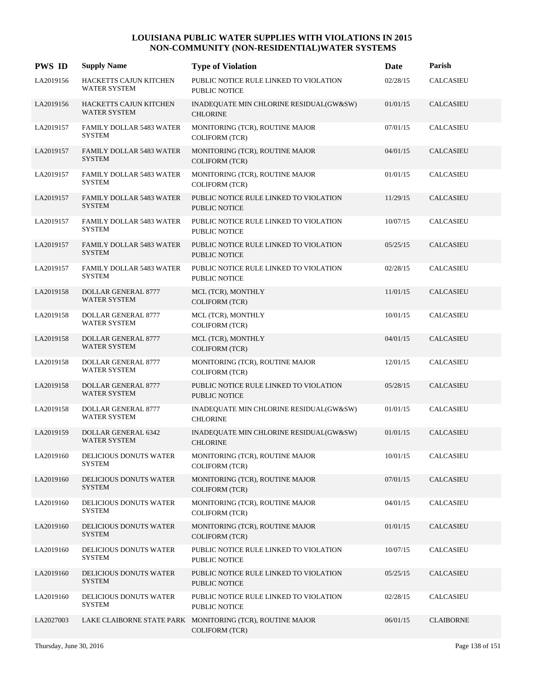| <b>PWS ID</b> | <b>Supply Name</b>                                   | <b>Type of Violation</b>                                                    | Date     | Parish               |
|---------------|------------------------------------------------------|-----------------------------------------------------------------------------|----------|----------------------|
| LA2019156     | HACKETTS CAJUN KITCHEN<br><b>WATER SYSTEM</b>        | PUBLIC NOTICE RULE LINKED TO VIOLATION<br>PUBLIC NOTICE                     | 02/28/15 | <b>CALCASIEU</b>     |
| LA2019156     | <b>HACKETTS CAJUN KITCHEN</b><br><b>WATER SYSTEM</b> | INADEQUATE MIN CHLORINE RESIDUAL(GW&SW)<br><b>CHLORINE</b>                  | 01/01/15 | <b>CALCASIEU</b>     |
| LA2019157     | <b>FAMILY DOLLAR 5483 WATER</b><br><b>SYSTEM</b>     | MONITORING (TCR), ROUTINE MAJOR<br><b>COLIFORM (TCR)</b>                    | 07/01/15 | <b>CALCASIEU</b>     |
| LA2019157     | <b>FAMILY DOLLAR 5483 WATER</b><br><b>SYSTEM</b>     | MONITORING (TCR), ROUTINE MAJOR<br><b>COLIFORM (TCR)</b>                    | 04/01/15 | <b>CALCASIEU</b>     |
| LA2019157     | <b>FAMILY DOLLAR 5483 WATER</b><br><b>SYSTEM</b>     | MONITORING (TCR), ROUTINE MAJOR<br><b>COLIFORM (TCR)</b>                    | 01/01/15 | <b>CALCASIEU</b>     |
| LA2019157     | <b>FAMILY DOLLAR 5483 WATER</b><br><b>SYSTEM</b>     | PUBLIC NOTICE RULE LINKED TO VIOLATION<br><b>PUBLIC NOTICE</b>              | 11/29/15 | <b>CALCASIEU</b>     |
| LA2019157     | <b>FAMILY DOLLAR 5483 WATER</b><br><b>SYSTEM</b>     | PUBLIC NOTICE RULE LINKED TO VIOLATION<br><b>PUBLIC NOTICE</b>              | 10/07/15 | <b>CALCASIEU</b>     |
| LA2019157     | <b>FAMILY DOLLAR 5483 WATER</b><br><b>SYSTEM</b>     | PUBLIC NOTICE RULE LINKED TO VIOLATION<br><b>PUBLIC NOTICE</b>              | 05/25/15 | <b>CALCASIEU</b>     |
| LA2019157     | FAMILY DOLLAR 5483 WATER<br><b>SYSTEM</b>            | PUBLIC NOTICE RULE LINKED TO VIOLATION<br><b>PUBLIC NOTICE</b>              | 02/28/15 | <b>CALCASIEU</b>     |
| LA2019158     | <b>DOLLAR GENERAL 8777</b><br><b>WATER SYSTEM</b>    | MCL (TCR), MONTHLY<br><b>COLIFORM (TCR)</b>                                 | 11/01/15 | <b>CALCASIEU</b>     |
| LA2019158     | DOLLAR GENERAL 8777<br><b>WATER SYSTEM</b>           | MCL (TCR), MONTHLY<br><b>COLIFORM (TCR)</b>                                 | 10/01/15 | <b>CALCASIEU</b>     |
| LA2019158     | <b>DOLLAR GENERAL 8777</b><br><b>WATER SYSTEM</b>    | MCL (TCR), MONTHLY<br><b>COLIFORM (TCR)</b>                                 | 04/01/15 | <b>CALCASIEU</b>     |
| LA2019158     | DOLLAR GENERAL 8777<br>WATER SYSTEM                  | MONITORING (TCR), ROUTINE MAJOR<br><b>COLIFORM (TCR)</b>                    | 12/01/15 | <b>CALCASIEU</b>     |
| LA2019158     | DOLLAR GENERAL 8777<br><b>WATER SYSTEM</b>           | PUBLIC NOTICE RULE LINKED TO VIOLATION<br><b>PUBLIC NOTICE</b>              | 05/28/15 | <b>CALCASIEU</b>     |
| LA2019158     | <b>DOLLAR GENERAL 8777</b><br><b>WATER SYSTEM</b>    | INADEQUATE MIN CHLORINE RESIDUAL(GW&SW)<br><b>CHLORINE</b>                  | 01/01/15 | CALCASIEU            |
| LA2019159     | DOLLAR GENERAL 6342<br><b>WATER SYSTEM</b>           | INADEQUATE MIN CHLORINE RESIDUAL(GW&SW)<br><b>CHLORINE</b>                  | 01/01/15 | <b>CALCASIEU</b>     |
| LA2019160     | DELICIOUS DONUTS WATER<br><b>SYSTEM</b>              | MONITORING (TCR), ROUTINE MAJOR<br><b>COLIFORM (TCR)</b>                    | 10/01/15 | <b>CALCASIEU</b>     |
| LA2019160     | DELICIOUS DONUTS WATER<br><b>SYSTEM</b>              | MONITORING (TCR), ROUTINE MAJOR<br><b>COLIFORM (TCR)</b>                    | 07/01/15 | <b>CALCASIEU</b>     |
| LA2019160     | DELICIOUS DONUTS WATER<br><b>SYSTEM</b>              | MONITORING (TCR), ROUTINE MAJOR<br><b>COLIFORM (TCR)</b>                    | 04/01/15 | <b>CALCASIEU</b>     |
| LA2019160     | DELICIOUS DONUTS WATER<br><b>SYSTEM</b>              | MONITORING (TCR), ROUTINE MAJOR<br><b>COLIFORM (TCR)</b>                    | 01/01/15 | <b>CALCASIEU</b>     |
| LA2019160     | DELICIOUS DONUTS WATER<br><b>SYSTEM</b>              | PUBLIC NOTICE RULE LINKED TO VIOLATION<br>PUBLIC NOTICE                     | 10/07/15 | CALCASIEU            |
| LA2019160     | DELICIOUS DONUTS WATER<br><b>SYSTEM</b>              | PUBLIC NOTICE RULE LINKED TO VIOLATION<br><b>PUBLIC NOTICE</b>              | 05/25/15 | CALCASIEU            |
| LA2019160     | DELICIOUS DONUTS WATER<br><b>SYSTEM</b>              | PUBLIC NOTICE RULE LINKED TO VIOLATION<br>PUBLIC NOTICE                     | 02/28/15 | $\mathsf{CALCASIEU}$ |
| LA2027003     |                                                      | LAKE CLAIBORNE STATE PARK MONITORING (TCR), ROUTINE MAJOR<br>COLIFORM (TCR) | 06/01/15 | <b>CLAIBORNE</b>     |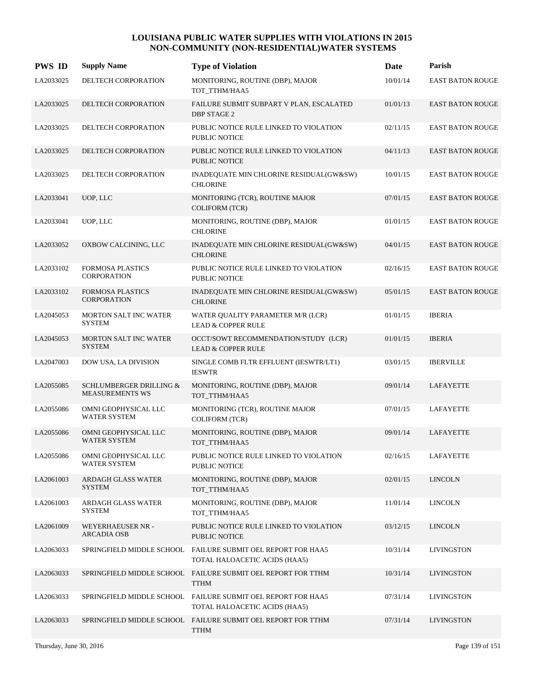| <b>PWS ID</b> | <b>Supply Name</b>                                | <b>Type of Violation</b>                                                    | Date     | Parish                  |
|---------------|---------------------------------------------------|-----------------------------------------------------------------------------|----------|-------------------------|
| LA2033025     | DELTECH CORPORATION                               | MONITORING, ROUTINE (DBP), MAJOR<br>TOT_TTHM/HAA5                           | 10/01/14 | <b>EAST BATON ROUGE</b> |
| LA2033025     | DELTECH CORPORATION                               | FAILURE SUBMIT SUBPART V PLAN, ESCALATED<br><b>DBP STAGE 2</b>              | 01/01/13 | <b>EAST BATON ROUGE</b> |
| LA2033025     | DELTECH CORPORATION                               | PUBLIC NOTICE RULE LINKED TO VIOLATION<br>PUBLIC NOTICE                     | 02/11/15 | EAST BATON ROUGE        |
| LA2033025     | DELTECH CORPORATION                               | PUBLIC NOTICE RULE LINKED TO VIOLATION<br><b>PUBLIC NOTICE</b>              | 04/11/13 | <b>EAST BATON ROUGE</b> |
| LA2033025     | DELTECH CORPORATION                               | INADEQUATE MIN CHLORINE RESIDUAL(GW&SW)<br><b>CHLORINE</b>                  | 10/01/15 | <b>EAST BATON ROUGE</b> |
| LA2033041     | UOP, LLC                                          | MONITORING (TCR), ROUTINE MAJOR<br><b>COLIFORM (TCR)</b>                    | 07/01/15 | <b>EAST BATON ROUGE</b> |
| LA2033041     | UOP, LLC                                          | MONITORING, ROUTINE (DBP), MAJOR<br><b>CHLORINE</b>                         | 01/01/15 | <b>EAST BATON ROUGE</b> |
| LA2033052     | <b>OXBOW CALCINING, LLC</b>                       | INADEQUATE MIN CHLORINE RESIDUAL(GW&SW)<br><b>CHLORINE</b>                  | 04/01/15 | <b>EAST BATON ROUGE</b> |
| LA2033102     | FORMOSA PLASTICS<br>CORPORATION                   | PUBLIC NOTICE RULE LINKED TO VIOLATION<br><b>PUBLIC NOTICE</b>              | 02/16/15 | <b>EAST BATON ROUGE</b> |
| LA2033102     | <b>FORMOSA PLASTICS</b><br><b>CORPORATION</b>     | INADEQUATE MIN CHLORINE RESIDUAL(GW&SW)<br><b>CHLORINE</b>                  | 05/01/15 | <b>EAST BATON ROUGE</b> |
| LA2045053     | <b>MORTON SALT INC WATER</b><br><b>SYSTEM</b>     | WATER QUALITY PARAMETER M/R (LCR)<br><b>LEAD &amp; COPPER RULE</b>          | 01/01/15 | <b>IBERIA</b>           |
| LA2045053     | <b>MORTON SALT INC WATER</b><br><b>SYSTEM</b>     | OCCT/SOWT RECOMMENDATION/STUDY (LCR)<br><b>LEAD &amp; COPPER RULE</b>       | 01/01/15 | <b>IBERIA</b>           |
| LA2047003     | DOW USA, LA DIVISION                              | SINGLE COMB FLTR EFFLUENT (IESWTR/LT1)<br><b>IESWTR</b>                     | 03/01/15 | <b>IBERVILLE</b>        |
| LA2055085     | SCHLUMBERGER DRILLING &<br><b>MEASUREMENTS WS</b> | MONITORING, ROUTINE (DBP), MAJOR<br>TOT TTHM/HAA5                           | 09/01/14 | <b>LAFAYETTE</b>        |
| LA2055086     | OMNI GEOPHYSICAL LLC<br><b>WATER SYSTEM</b>       | MONITORING (TCR), ROUTINE MAJOR<br><b>COLIFORM (TCR)</b>                    | 07/01/15 | <b>LAFAYETTE</b>        |
| LA2055086     | OMNI GEOPHYSICAL LLC<br><b>WATER SYSTEM</b>       | MONITORING, ROUTINE (DBP), MAJOR<br>TOT_TTHM/HAA5                           | 09/01/14 | <b>LAFAYETTE</b>        |
| LA2055086     | OMNI GEOPHYSICAL LLC<br><b>WATER SYSTEM</b>       | PUBLIC NOTICE RULE LINKED TO VIOLATION<br>PUBLIC NOTICE                     | 02/16/15 | <b>LAFAYETTE</b>        |
| LA2061003     | <b>ARDAGH GLASS WATER</b><br><b>SYSTEM</b>        | MONITORING, ROUTINE (DBP), MAJOR<br>TOT_TTHM/HAA5                           | 02/01/15 | <b>LINCOLN</b>          |
| LA2061003     | ARDAGH GLASS WATER<br><b>SYSTEM</b>               | MONITORING, ROUTINE (DBP), MAJOR<br>TOT_TTHM/HAA5                           | 11/01/14 | <b>LINCOLN</b>          |
| LA2061009     | WEYERHAEUSER NR -<br><b>ARCADIA OSB</b>           | PUBLIC NOTICE RULE LINKED TO VIOLATION<br><b>PUBLIC NOTICE</b>              | 03/12/15 | <b>LINCOLN</b>          |
| LA2063033     | SPRINGFIELD MIDDLE SCHOOL                         | FAILURE SUBMIT OEL REPORT FOR HAA5<br>TOTAL HALOACETIC ACIDS (HAA5)         | 10/31/14 | <b>LIVINGSTON</b>       |
| LA2063033     |                                                   | SPRINGFIELD MIDDLE SCHOOL FAILURE SUBMIT OEL REPORT FOR TTHM<br><b>TTHM</b> | 10/31/14 | <b>LIVINGSTON</b>       |
| LA2063033     | SPRINGFIELD MIDDLE SCHOOL                         | FAILURE SUBMIT OEL REPORT FOR HAA5<br>TOTAL HALOACETIC ACIDS (HAA5)         | 07/31/14 | <b>LIVINGSTON</b>       |
| LA2063033     |                                                   | SPRINGFIELD MIDDLE SCHOOL FAILURE SUBMIT OEL REPORT FOR TTHM<br><b>TTHM</b> | 07/31/14 | <b>LIVINGSTON</b>       |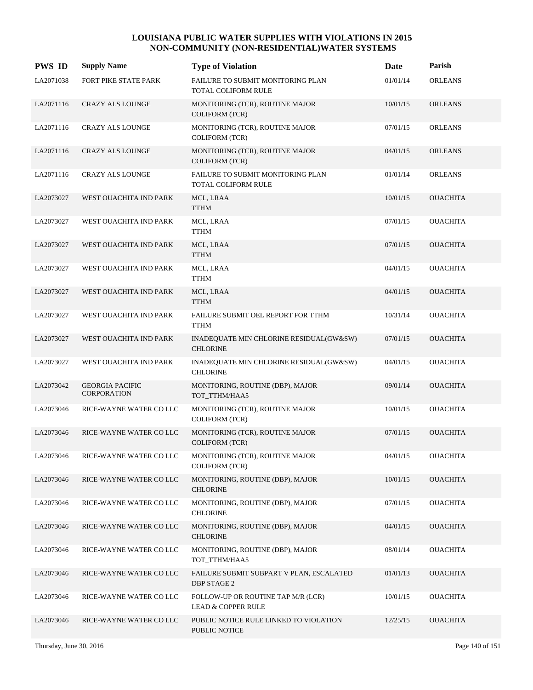| <b>PWS ID</b> | <b>Supply Name</b>                           | <b>Type of Violation</b>                                       | Date     | Parish          |
|---------------|----------------------------------------------|----------------------------------------------------------------|----------|-----------------|
| LA2071038     | FORT PIKE STATE PARK                         | FAILURE TO SUBMIT MONITORING PLAN<br>TOTAL COLIFORM RULE       | 01/01/14 | <b>ORLEANS</b>  |
| LA2071116     | <b>CRAZY ALS LOUNGE</b>                      | MONITORING (TCR), ROUTINE MAJOR<br><b>COLIFORM (TCR)</b>       | 10/01/15 | <b>ORLEANS</b>  |
| LA2071116     | <b>CRAZY ALS LOUNGE</b>                      | MONITORING (TCR), ROUTINE MAJOR<br><b>COLIFORM (TCR)</b>       | 07/01/15 | <b>ORLEANS</b>  |
| LA2071116     | <b>CRAZY ALS LOUNGE</b>                      | MONITORING (TCR), ROUTINE MAJOR<br><b>COLIFORM (TCR)</b>       | 04/01/15 | <b>ORLEANS</b>  |
| LA2071116     | <b>CRAZY ALS LOUNGE</b>                      | FAILURE TO SUBMIT MONITORING PLAN<br>TOTAL COLIFORM RULE       | 01/01/14 | <b>ORLEANS</b>  |
| LA2073027     | WEST OUACHITA IND PARK                       | MCL, LRAA<br><b>TTHM</b>                                       | 10/01/15 | <b>OUACHITA</b> |
| LA2073027     | WEST OUACHITA IND PARK                       | MCL, LRAA<br><b>TTHM</b>                                       | 07/01/15 | <b>OUACHITA</b> |
| LA2073027     | WEST OUACHITA IND PARK                       | MCL, LRAA<br><b>TTHM</b>                                       | 07/01/15 | <b>OUACHITA</b> |
| LA2073027     | WEST OUACHITA IND PARK                       | MCL, LRAA<br><b>TTHM</b>                                       | 04/01/15 | <b>OUACHITA</b> |
| LA2073027     | WEST OUACHITA IND PARK                       | MCL, LRAA<br><b>TTHM</b>                                       | 04/01/15 | <b>OUACHITA</b> |
| LA2073027     | WEST OUACHITA IND PARK                       | FAILURE SUBMIT OEL REPORT FOR TTHM<br><b>TTHM</b>              | 10/31/14 | <b>OUACHITA</b> |
| LA2073027     | WEST OUACHITA IND PARK                       | INADEQUATE MIN CHLORINE RESIDUAL(GW&SW)<br><b>CHLORINE</b>     | 07/01/15 | <b>OUACHITA</b> |
| LA2073027     | WEST OUACHITA IND PARK                       | INADEQUATE MIN CHLORINE RESIDUAL(GW&SW)<br><b>CHLORINE</b>     | 04/01/15 | <b>OUACHITA</b> |
| LA2073042     | <b>GEORGIA PACIFIC</b><br><b>CORPORATION</b> | MONITORING, ROUTINE (DBP), MAJOR<br>TOT_TTHM/HAA5              | 09/01/14 | <b>OUACHITA</b> |
| LA2073046     | RICE-WAYNE WATER CO LLC                      | MONITORING (TCR), ROUTINE MAJOR<br>COLIFORM (TCR)              | 10/01/15 | <b>OUACHITA</b> |
| LA2073046     | RICE-WAYNE WATER CO LLC                      | MONITORING (TCR), ROUTINE MAJOR<br><b>COLIFORM (TCR)</b>       | 07/01/15 | <b>OUACHITA</b> |
| LA2073046     | RICE-WAYNE WATER CO LLC                      | MONITORING (TCR), ROUTINE MAJOR<br><b>COLIFORM (TCR)</b>       | 04/01/15 | <b>OUACHITA</b> |
| LA2073046     | RICE-WAYNE WATER CO LLC                      | MONITORING, ROUTINE (DBP), MAJOR<br><b>CHLORINE</b>            | 10/01/15 | <b>OUACHITA</b> |
| LA2073046     | RICE-WAYNE WATER COLLC                       | MONITORING, ROUTINE (DBP), MAJOR<br><b>CHLORINE</b>            | 07/01/15 | <b>OUACHITA</b> |
| LA2073046     | RICE-WAYNE WATER COLLC                       | MONITORING, ROUTINE (DBP), MAJOR<br><b>CHLORINE</b>            | 04/01/15 | <b>OUACHITA</b> |
| LA2073046     | RICE-WAYNE WATER CO LLC                      | MONITORING, ROUTINE (DBP), MAJOR<br>TOT_TTHM/HAA5              | 08/01/14 | <b>OUACHITA</b> |
| LA2073046     | RICE-WAYNE WATER COLLC                       | FAILURE SUBMIT SUBPART V PLAN, ESCALATED<br><b>DBP STAGE 2</b> | 01/01/13 | <b>OUACHITA</b> |
| LA2073046     | RICE-WAYNE WATER COLLC                       | FOLLOW-UP OR ROUTINE TAP M/R (LCR)<br>LEAD & COPPER RULE       | 10/01/15 | <b>OUACHITA</b> |
| LA2073046     | RICE-WAYNE WATER CO LLC                      | PUBLIC NOTICE RULE LINKED TO VIOLATION<br>PUBLIC NOTICE        | 12/25/15 | <b>OUACHITA</b> |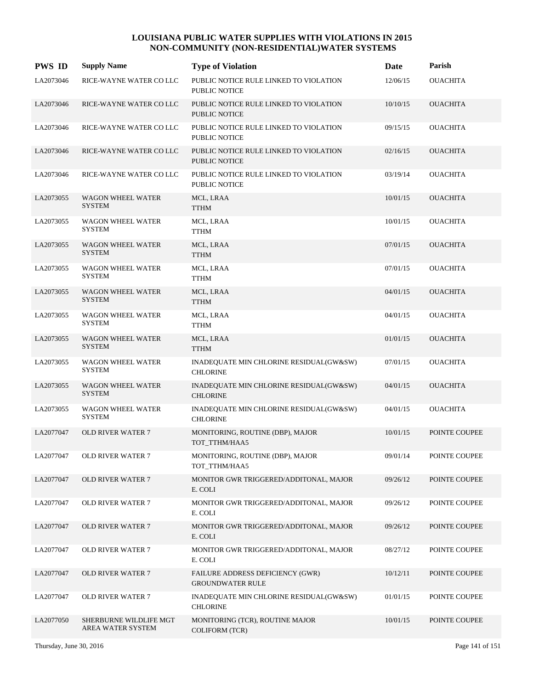| <b>PWS ID</b> | <b>Supply Name</b>                          | <b>Type of Violation</b>                                           | Date     | Parish          |
|---------------|---------------------------------------------|--------------------------------------------------------------------|----------|-----------------|
| LA2073046     | RICE-WAYNE WATER CO LLC                     | PUBLIC NOTICE RULE LINKED TO VIOLATION<br><b>PUBLIC NOTICE</b>     | 12/06/15 | <b>OUACHITA</b> |
| LA2073046     | RICE-WAYNE WATER COLLC                      | PUBLIC NOTICE RULE LINKED TO VIOLATION<br>PUBLIC NOTICE            | 10/10/15 | <b>OUACHITA</b> |
| LA2073046     | RICE-WAYNE WATER COLLC                      | PUBLIC NOTICE RULE LINKED TO VIOLATION<br>PUBLIC NOTICE            | 09/15/15 | <b>OUACHITA</b> |
| LA2073046     | RICE-WAYNE WATER CO LLC                     | PUBLIC NOTICE RULE LINKED TO VIOLATION<br><b>PUBLIC NOTICE</b>     | 02/16/15 | <b>OUACHITA</b> |
| LA2073046     | RICE-WAYNE WATER CO LLC                     | PUBLIC NOTICE RULE LINKED TO VIOLATION<br><b>PUBLIC NOTICE</b>     | 03/19/14 | <b>OUACHITA</b> |
| LA2073055     | WAGON WHEEL WATER<br><b>SYSTEM</b>          | MCL, LRAA<br><b>TTHM</b>                                           | 10/01/15 | <b>OUACHITA</b> |
| LA2073055     | WAGON WHEEL WATER<br><b>SYSTEM</b>          | MCL, LRAA<br><b>TTHM</b>                                           | 10/01/15 | <b>OUACHITA</b> |
| LA2073055     | WAGON WHEEL WATER<br><b>SYSTEM</b>          | MCL, LRAA<br><b>TTHM</b>                                           | 07/01/15 | <b>OUACHITA</b> |
| LA2073055     | <b>WAGON WHEEL WATER</b><br><b>SYSTEM</b>   | MCL, LRAA<br><b>TTHM</b>                                           | 07/01/15 | <b>OUACHITA</b> |
| LA2073055     | WAGON WHEEL WATER<br><b>SYSTEM</b>          | MCL, LRAA<br><b>TTHM</b>                                           | 04/01/15 | <b>OUACHITA</b> |
| LA2073055     | <b>WAGON WHEEL WATER</b><br><b>SYSTEM</b>   | MCL, LRAA<br><b>TTHM</b>                                           | 04/01/15 | <b>OUACHITA</b> |
| LA2073055     | <b>WAGON WHEEL WATER</b><br><b>SYSTEM</b>   | MCL, LRAA<br><b>TTHM</b>                                           | 01/01/15 | <b>OUACHITA</b> |
| LA2073055     | WAGON WHEEL WATER<br><b>SYSTEM</b>          | INADEQUATE MIN CHLORINE RESIDUAL(GW&SW)<br><b>CHLORINE</b>         | 07/01/15 | <b>OUACHITA</b> |
| LA2073055     | WAGON WHEEL WATER<br><b>SYSTEM</b>          | INADEQUATE MIN CHLORINE RESIDUAL(GW&SW)<br><b>CHLORINE</b>         | 04/01/15 | <b>OUACHITA</b> |
| LA2073055     | <b>WAGON WHEEL WATER</b><br><b>SYSTEM</b>   | INADEQUATE MIN CHLORINE RESIDUAL(GW&SW)<br><b>CHLORINE</b>         | 04/01/15 | <b>OUACHITA</b> |
| LA2077047     | <b>OLD RIVER WATER 7</b>                    | MONITORING, ROUTINE (DBP), MAJOR<br>TOT_TTHM/HAA5                  | 10/01/15 | POINTE COUPEE   |
| LA2077047     | OLD RIVER WATER 7                           | MONITORING, ROUTINE (DBP), MAJOR<br>TOT_TTHM/HAA5                  | 09/01/14 | POINTE COUPEE   |
| LA2077047     | <b>OLD RIVER WATER 7</b>                    | MONITOR GWR TRIGGERED/ADDITONAL, MAJOR<br>E. COLI                  | 09/26/12 | POINTE COUPEE   |
| LA2077047     | OLD RIVER WATER 7                           | MONITOR GWR TRIGGERED/ADDITONAL, MAJOR<br>E. COLI                  | 09/26/12 | POINTE COUPEE   |
| LA2077047     | <b>OLD RIVER WATER 7</b>                    | MONITOR GWR TRIGGERED/ADDITONAL, MAJOR<br>E. COLI                  | 09/26/12 | POINTE COUPEE   |
| LA2077047     | OLD RIVER WATER 7                           | MONITOR GWR TRIGGERED/ADDITONAL, MAJOR<br>E. COLI                  | 08/27/12 | POINTE COUPEE   |
| LA2077047     | <b>OLD RIVER WATER 7</b>                    | <b>FAILURE ADDRESS DEFICIENCY (GWR)</b><br><b>GROUNDWATER RULE</b> | 10/12/11 | POINTE COUPEE   |
| LA2077047     | <b>OLD RIVER WATER 7</b>                    | INADEQUATE MIN CHLORINE RESIDUAL(GW&SW)<br><b>CHLORINE</b>         | 01/01/15 | POINTE COUPEE   |
| LA2077050     | SHERBURNE WILDLIFE MGT<br>AREA WATER SYSTEM | MONITORING (TCR), ROUTINE MAJOR<br>COLIFORM (TCR)                  | 10/01/15 | POINTE COUPEE   |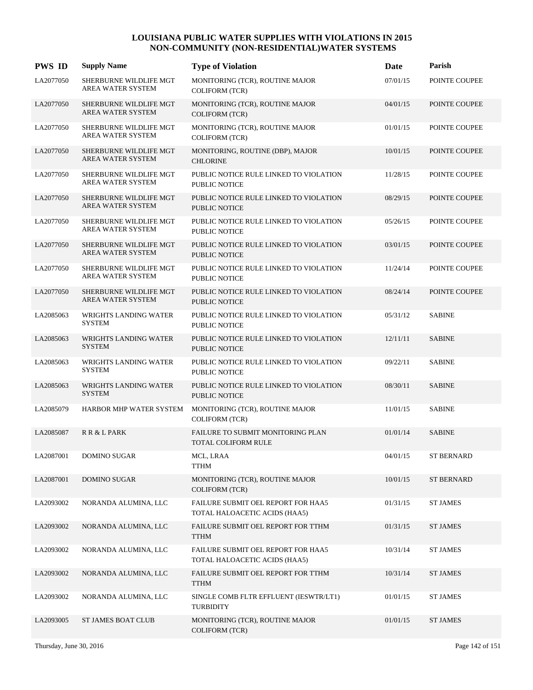| <b>PWS ID</b> | <b>Supply Name</b>                                 | <b>Type of Violation</b>                                            | Date     | Parish            |
|---------------|----------------------------------------------------|---------------------------------------------------------------------|----------|-------------------|
| LA2077050     | SHERBURNE WILDLIFE MGT<br>AREA WATER SYSTEM        | MONITORING (TCR), ROUTINE MAJOR<br><b>COLIFORM (TCR)</b>            | 07/01/15 | POINTE COUPEE     |
| LA2077050     | SHERBURNE WILDLIFE MGT<br><b>AREA WATER SYSTEM</b> | MONITORING (TCR), ROUTINE MAJOR<br><b>COLIFORM (TCR)</b>            | 04/01/15 | POINTE COUPEE     |
| LA2077050     | SHERBURNE WILDLIFE MGT<br><b>AREA WATER SYSTEM</b> | MONITORING (TCR), ROUTINE MAJOR<br><b>COLIFORM (TCR)</b>            | 01/01/15 | POINTE COUPEE     |
| LA2077050     | SHERBURNE WILDLIFE MGT<br>AREA WATER SYSTEM        | MONITORING, ROUTINE (DBP), MAJOR<br><b>CHLORINE</b>                 | 10/01/15 | POINTE COUPEE     |
| LA2077050     | SHERBURNE WILDLIFE MGT<br>AREA WATER SYSTEM        | PUBLIC NOTICE RULE LINKED TO VIOLATION<br><b>PUBLIC NOTICE</b>      | 11/28/15 | POINTE COUPEE     |
| LA2077050     | SHERBURNE WILDLIFE MGT<br>AREA WATER SYSTEM        | PUBLIC NOTICE RULE LINKED TO VIOLATION<br><b>PUBLIC NOTICE</b>      | 08/29/15 | POINTE COUPEE     |
| LA2077050     | SHERBURNE WILDLIFE MGT<br>AREA WATER SYSTEM        | PUBLIC NOTICE RULE LINKED TO VIOLATION<br><b>PUBLIC NOTICE</b>      | 05/26/15 | POINTE COUPEE     |
| LA2077050     | SHERBURNE WILDLIFE MGT<br>AREA WATER SYSTEM        | PUBLIC NOTICE RULE LINKED TO VIOLATION<br><b>PUBLIC NOTICE</b>      | 03/01/15 | POINTE COUPEE     |
| LA2077050     | SHERBURNE WILDLIFE MGT<br>AREA WATER SYSTEM        | PUBLIC NOTICE RULE LINKED TO VIOLATION<br>PUBLIC NOTICE             | 11/24/14 | POINTE COUPEE     |
| LA2077050     | SHERBURNE WILDLIFE MGT<br><b>AREA WATER SYSTEM</b> | PUBLIC NOTICE RULE LINKED TO VIOLATION<br>PUBLIC NOTICE             | 08/24/14 | POINTE COUPEE     |
| LA2085063     | WRIGHTS LANDING WATER<br><b>SYSTEM</b>             | PUBLIC NOTICE RULE LINKED TO VIOLATION<br>PUBLIC NOTICE             | 05/31/12 | <b>SABINE</b>     |
| LA2085063     | WRIGHTS LANDING WATER<br><b>SYSTEM</b>             | PUBLIC NOTICE RULE LINKED TO VIOLATION<br><b>PUBLIC NOTICE</b>      | 12/11/11 | <b>SABINE</b>     |
| LA2085063     | WRIGHTS LANDING WATER<br><b>SYSTEM</b>             | PUBLIC NOTICE RULE LINKED TO VIOLATION<br><b>PUBLIC NOTICE</b>      | 09/22/11 | <b>SABINE</b>     |
| LA2085063     | WRIGHTS LANDING WATER<br><b>SYSTEM</b>             | PUBLIC NOTICE RULE LINKED TO VIOLATION<br><b>PUBLIC NOTICE</b>      | 08/30/11 | <b>SABINE</b>     |
| LA2085079     | HARBOR MHP WATER SYSTEM                            | MONITORING (TCR), ROUTINE MAJOR<br><b>COLIFORM (TCR)</b>            | 11/01/15 | <b>SABINE</b>     |
| LA2085087     | R R & L PARK                                       | FAILURE TO SUBMIT MONITORING PLAN<br><b>TOTAL COLIFORM RULE</b>     | 01/01/14 | <b>SABINE</b>     |
| LA2087001     | DOMINO SUGAR                                       | MCL, LRAA<br><b>TTHM</b>                                            | 04/01/15 | <b>ST BERNARD</b> |
| LA2087001     | <b>DOMINO SUGAR</b>                                | MONITORING (TCR), ROUTINE MAJOR<br><b>COLIFORM (TCR)</b>            | 10/01/15 | <b>ST BERNARD</b> |
| LA2093002     | NORANDA ALUMINA, LLC                               | FAILURE SUBMIT OEL REPORT FOR HAA5<br>TOTAL HALOACETIC ACIDS (HAA5) | 01/31/15 | <b>ST JAMES</b>   |
| LA2093002     | NORANDA ALUMINA, LLC                               | FAILURE SUBMIT OEL REPORT FOR TTHM<br><b>TTHM</b>                   | 01/31/15 | <b>ST JAMES</b>   |
| LA2093002     | NORANDA ALUMINA, LLC                               | FAILURE SUBMIT OEL REPORT FOR HAA5<br>TOTAL HALOACETIC ACIDS (HAA5) | 10/31/14 | <b>ST JAMES</b>   |
| LA2093002     | NORANDA ALUMINA, LLC                               | FAILURE SUBMIT OEL REPORT FOR TTHM<br><b>TTHM</b>                   | 10/31/14 | <b>ST JAMES</b>   |
| LA2093002     | NORANDA ALUMINA, LLC                               | SINGLE COMB FLTR EFFLUENT (IESWTR/LT1)<br>TURBIDITY                 | 01/01/15 | <b>ST JAMES</b>   |
| LA2093005     | ST JAMES BOAT CLUB                                 | MONITORING (TCR), ROUTINE MAJOR<br><b>COLIFORM (TCR)</b>            | 01/01/15 | <b>ST JAMES</b>   |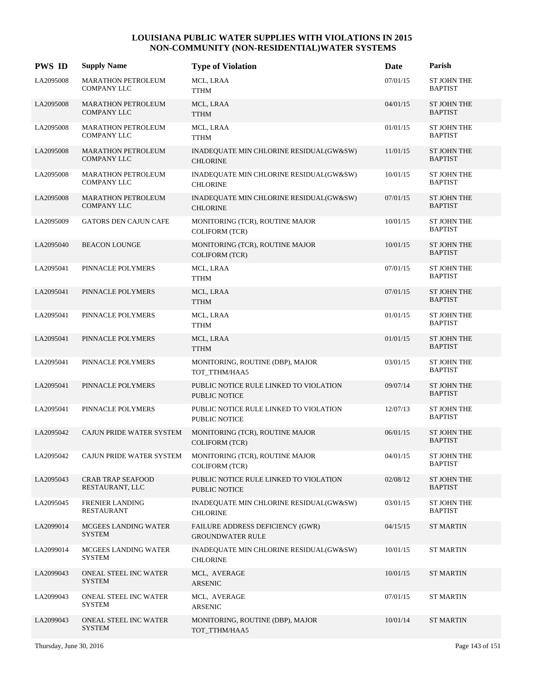| <b>PWS ID</b> | <b>Supply Name</b>                              | <b>Type of Violation</b>                                       | Date     | Parish                               |
|---------------|-------------------------------------------------|----------------------------------------------------------------|----------|--------------------------------------|
| LA2095008     | MARATHON PETROLEUM<br><b>COMPANY LLC</b>        | MCL, LRAA<br><b>TTHM</b>                                       | 07/01/15 | <b>ST JOHN THE</b><br><b>BAPTIST</b> |
| LA2095008     | <b>MARATHON PETROLEUM</b><br><b>COMPANY LLC</b> | MCL, LRAA<br><b>TTHM</b>                                       | 04/01/15 | <b>ST JOHN THE</b><br><b>BAPTIST</b> |
| LA2095008     | MARATHON PETROLEUM<br><b>COMPANY LLC</b>        | MCL, LRAA<br><b>TTHM</b>                                       | 01/01/15 | ST JOHN THE<br><b>BAPTIST</b>        |
| LA2095008     | <b>MARATHON PETROLEUM</b><br><b>COMPANY LLC</b> | INADEQUATE MIN CHLORINE RESIDUAL(GW&SW)<br><b>CHLORINE</b>     | 11/01/15 | ST JOHN THE<br><b>BAPTIST</b>        |
| LA2095008     | <b>MARATHON PETROLEUM</b><br><b>COMPANY LLC</b> | INADEQUATE MIN CHLORINE RESIDUAL(GW&SW)<br><b>CHLORINE</b>     | 10/01/15 | <b>ST JOHN THE</b><br><b>BAPTIST</b> |
| LA2095008     | <b>MARATHON PETROLEUM</b><br><b>COMPANY LLC</b> | INADEQUATE MIN CHLORINE RESIDUAL(GW&SW)<br><b>CHLORINE</b>     | 07/01/15 | ST JOHN THE<br><b>BAPTIST</b>        |
| LA2095009     | <b>GATORS DEN CAJUN CAFE</b>                    | MONITORING (TCR), ROUTINE MAJOR<br><b>COLIFORM (TCR)</b>       | 10/01/15 | ST JOHN THE<br><b>BAPTIST</b>        |
| LA2095040     | <b>BEACON LOUNGE</b>                            | MONITORING (TCR), ROUTINE MAJOR<br><b>COLIFORM (TCR)</b>       | 10/01/15 | <b>ST JOHN THE</b><br><b>BAPTIST</b> |
| LA2095041     | PINNACLE POLYMERS                               | MCL, LRAA<br>TTHM                                              | 07/01/15 | ST JOHN THE<br><b>BAPTIST</b>        |
| LA2095041     | PINNACLE POLYMERS                               | MCL, LRAA<br><b>TTHM</b>                                       | 07/01/15 | ST JOHN THE<br><b>BAPTIST</b>        |
| LA2095041     | PINNACLE POLYMERS                               | MCL, LRAA<br><b>TTHM</b>                                       | 01/01/15 | ST JOHN THE<br><b>BAPTIST</b>        |
| LA2095041     | PINNACLE POLYMERS                               | MCL, LRAA<br><b>TTHM</b>                                       | 01/01/15 | ST JOHN THE<br><b>BAPTIST</b>        |
| LA2095041     | PINNACLE POLYMERS                               | MONITORING, ROUTINE (DBP), MAJOR<br>TOT_TTHM/HAA5              | 03/01/15 | ST JOHN THE<br><b>BAPTIST</b>        |
| LA2095041     | PINNACLE POLYMERS                               | PUBLIC NOTICE RULE LINKED TO VIOLATION<br><b>PUBLIC NOTICE</b> | 09/07/14 | ST JOHN THE<br><b>BAPTIST</b>        |
| LA2095041     | PINNACLE POLYMERS                               | PUBLIC NOTICE RULE LINKED TO VIOLATION<br>PUBLIC NOTICE        | 12/07/13 | ST JOHN THE<br><b>BAPTIST</b>        |
| LA2095042     | CAJUN PRIDE WATER SYSTEM                        | MONITORING (TCR), ROUTINE MAJOR<br><b>COLIFORM (TCR)</b>       | 06/01/15 | <b>ST JOHN THE</b><br><b>BAPTIST</b> |
| LA2095042     | CAJUN PRIDE WATER SYSTEM                        | MONITORING (TCR), ROUTINE MAJOR<br><b>COLIFORM (TCR)</b>       | 04/01/15 | ST JOHN THE<br><b>BAPTIST</b>        |
| LA2095043     | <b>CRAB TRAP SEAFOOD</b><br>RESTAURANT, LLC     | PUBLIC NOTICE RULE LINKED TO VIOLATION<br>PUBLIC NOTICE        | 02/08/12 | <b>ST JOHN THE</b><br><b>BAPTIST</b> |
| LA2095045     | FRENIER LANDING<br><b>RESTAURANT</b>            | INADEQUATE MIN CHLORINE RESIDUAL(GW&SW)<br><b>CHLORINE</b>     | 03/01/15 | <b>ST JOHN THE</b><br><b>BAPTIST</b> |
| LA2099014     | MCGEES LANDING WATER<br><b>SYSTEM</b>           | FAILURE ADDRESS DEFICIENCY (GWR)<br><b>GROUNDWATER RULE</b>    | 04/15/15 | <b>ST MARTIN</b>                     |
| LA2099014     | MCGEES LANDING WATER<br><b>SYSTEM</b>           | INADEQUATE MIN CHLORINE RESIDUAL(GW&SW)<br><b>CHLORINE</b>     | 10/01/15 | <b>ST MARTIN</b>                     |
| LA2099043     | ONEAL STEEL INC WATER<br><b>SYSTEM</b>          | MCL, AVERAGE<br><b>ARSENIC</b>                                 | 10/01/15 | <b>ST MARTIN</b>                     |
| LA2099043     | ONEAL STEEL INC WATER<br><b>SYSTEM</b>          | MCL, AVERAGE<br><b>ARSENIC</b>                                 | 07/01/15 | <b>ST MARTIN</b>                     |
| LA2099043     | ONEAL STEEL INC WATER<br><b>SYSTEM</b>          | MONITORING, ROUTINE (DBP), MAJOR<br>TOT_TTHM/HAA5              | 10/01/14 | <b>ST MARTIN</b>                     |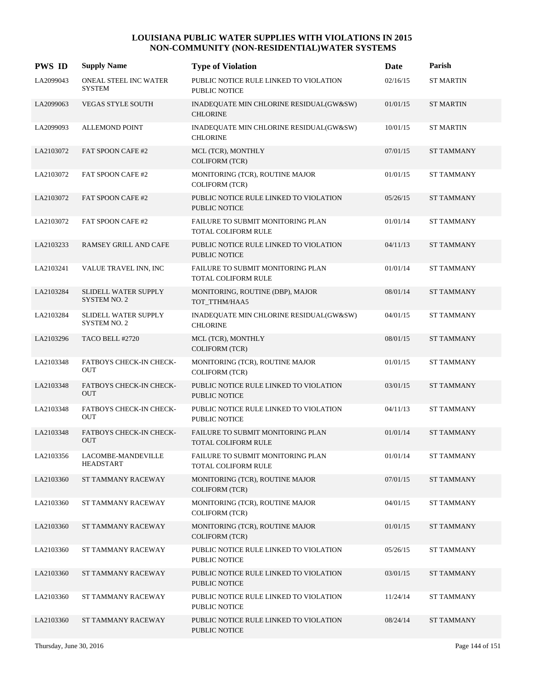| <b>PWS ID</b> | <b>Supply Name</b>                                 | <b>Type of Violation</b>                                        | Date     | Parish            |
|---------------|----------------------------------------------------|-----------------------------------------------------------------|----------|-------------------|
| LA2099043     | ONEAL STEEL INC WATER<br><b>SYSTEM</b>             | PUBLIC NOTICE RULE LINKED TO VIOLATION<br><b>PUBLIC NOTICE</b>  | 02/16/15 | <b>ST MARTIN</b>  |
| LA2099063     | <b>VEGAS STYLE SOUTH</b>                           | INADEQUATE MIN CHLORINE RESIDUAL(GW&SW)<br><b>CHLORINE</b>      | 01/01/15 | <b>ST MARTIN</b>  |
| LA2099093     | ALLEMOND POINT                                     | INADEQUATE MIN CHLORINE RESIDUAL(GW&SW)<br><b>CHLORINE</b>      | 10/01/15 | <b>ST MARTIN</b>  |
| LA2103072     | FAT SPOON CAFE #2                                  | MCL (TCR), MONTHLY<br><b>COLIFORM (TCR)</b>                     | 07/01/15 | <b>ST TAMMANY</b> |
| LA2103072     | FAT SPOON CAFE #2                                  | MONITORING (TCR), ROUTINE MAJOR<br><b>COLIFORM (TCR)</b>        | 01/01/15 | <b>ST TAMMANY</b> |
| LA2103072     | FAT SPOON CAFE #2                                  | PUBLIC NOTICE RULE LINKED TO VIOLATION<br><b>PUBLIC NOTICE</b>  | 05/26/15 | <b>ST TAMMANY</b> |
| LA2103072     | FAT SPOON CAFE #2                                  | FAILURE TO SUBMIT MONITORING PLAN<br>TOTAL COLIFORM RULE        | 01/01/14 | <b>ST TAMMANY</b> |
| LA2103233     | RAMSEY GRILL AND CAFE                              | PUBLIC NOTICE RULE LINKED TO VIOLATION<br><b>PUBLIC NOTICE</b>  | 04/11/13 | <b>ST TAMMANY</b> |
| LA2103241     | VALUE TRAVEL INN, INC                              | FAILURE TO SUBMIT MONITORING PLAN<br>TOTAL COLIFORM RULE        | 01/01/14 | <b>ST TAMMANY</b> |
| LA2103284     | <b>SLIDELL WATER SUPPLY</b><br><b>SYSTEM NO. 2</b> | MONITORING, ROUTINE (DBP), MAJOR<br>TOT_TTHM/HAA5               | 08/01/14 | <b>ST TAMMANY</b> |
| LA2103284     | <b>SLIDELL WATER SUPPLY</b><br><b>SYSTEM NO. 2</b> | INADEQUATE MIN CHLORINE RESIDUAL(GW&SW)<br><b>CHLORINE</b>      | 04/01/15 | <b>ST TAMMANY</b> |
| LA2103296     | TACO BELL #2720                                    | MCL (TCR), MONTHLY<br><b>COLIFORM (TCR)</b>                     | 08/01/15 | <b>ST TAMMANY</b> |
| LA2103348     | FATBOYS CHECK-IN CHECK-<br><b>OUT</b>              | MONITORING (TCR), ROUTINE MAJOR<br><b>COLIFORM (TCR)</b>        | 01/01/15 | <b>ST TAMMANY</b> |
| LA2103348     | FATBOYS CHECK-IN CHECK-<br><b>OUT</b>              | PUBLIC NOTICE RULE LINKED TO VIOLATION<br><b>PUBLIC NOTICE</b>  | 03/01/15 | <b>ST TAMMANY</b> |
| LA2103348     | <b>FATBOYS CHECK-IN CHECK-</b><br><b>OUT</b>       | PUBLIC NOTICE RULE LINKED TO VIOLATION<br>PUBLIC NOTICE         | 04/11/13 | <b>ST TAMMANY</b> |
| LA2103348     | FATBOYS CHECK-IN CHECK-<br><b>OUT</b>              | <b>FAILURE TO SUBMIT MONITORING PLAN</b><br>TOTAL COLIFORM RULE | 01/01/14 | <b>ST TAMMANY</b> |
| LA2103356     | LACOMBE-MANDEVILLE<br><b>HEADSTART</b>             | FAILURE TO SUBMIT MONITORING PLAN<br>TOTAL COLIFORM RULE        | 01/01/14 | <b>ST TAMMANY</b> |
| LA2103360     | ST TAMMANY RACEWAY                                 | MONITORING (TCR), ROUTINE MAJOR<br><b>COLIFORM (TCR)</b>        | 07/01/15 | <b>ST TAMMANY</b> |
| LA2103360     | ST TAMMANY RACEWAY                                 | MONITORING (TCR), ROUTINE MAJOR<br><b>COLIFORM (TCR)</b>        | 04/01/15 | ST TAMMANY        |
| LA2103360     | ST TAMMANY RACEWAY                                 | MONITORING (TCR), ROUTINE MAJOR<br><b>COLIFORM (TCR)</b>        | 01/01/15 | <b>ST TAMMANY</b> |
| LA2103360     | ST TAMMANY RACEWAY                                 | PUBLIC NOTICE RULE LINKED TO VIOLATION<br>PUBLIC NOTICE         | 05/26/15 | <b>ST TAMMANY</b> |
| LA2103360     | ST TAMMANY RACEWAY                                 | PUBLIC NOTICE RULE LINKED TO VIOLATION<br><b>PUBLIC NOTICE</b>  | 03/01/15 | <b>ST TAMMANY</b> |
| LA2103360     | ST TAMMANY RACEWAY                                 | PUBLIC NOTICE RULE LINKED TO VIOLATION<br>PUBLIC NOTICE         | 11/24/14 | ST TAMMANY        |
| LA2103360     | ST TAMMANY RACEWAY                                 | PUBLIC NOTICE RULE LINKED TO VIOLATION<br>PUBLIC NOTICE         | 08/24/14 | <b>ST TAMMANY</b> |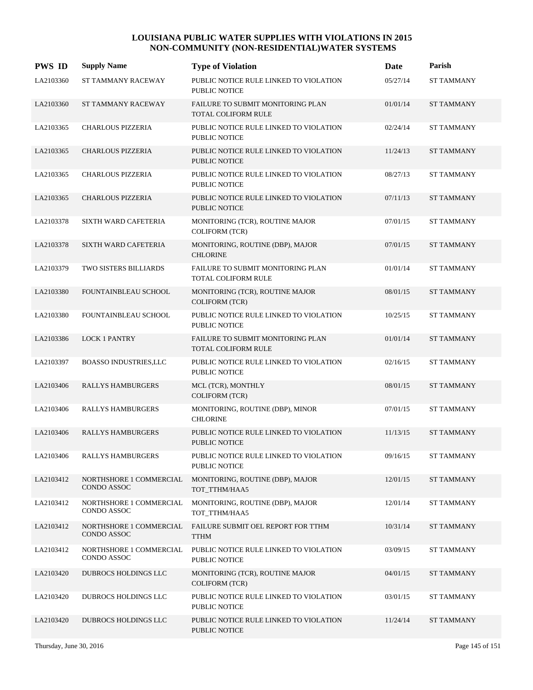| <b>PWS ID</b> | <b>Supply Name</b>                     | <b>Type of Violation</b>                                        | Date     | Parish            |
|---------------|----------------------------------------|-----------------------------------------------------------------|----------|-------------------|
| LA2103360     | ST TAMMANY RACEWAY                     | PUBLIC NOTICE RULE LINKED TO VIOLATION<br><b>PUBLIC NOTICE</b>  | 05/27/14 | <b>ST TAMMANY</b> |
| LA2103360     | ST TAMMANY RACEWAY                     | FAILURE TO SUBMIT MONITORING PLAN<br>TOTAL COLIFORM RULE        | 01/01/14 | <b>ST TAMMANY</b> |
| LA2103365     | CHARLOUS PIZZERIA                      | PUBLIC NOTICE RULE LINKED TO VIOLATION<br>PUBLIC NOTICE         | 02/24/14 | ST TAMMANY        |
| LA2103365     | <b>CHARLOUS PIZZERIA</b>               | PUBLIC NOTICE RULE LINKED TO VIOLATION<br><b>PUBLIC NOTICE</b>  | 11/24/13 | <b>ST TAMMANY</b> |
| LA2103365     | <b>CHARLOUS PIZZERIA</b>               | PUBLIC NOTICE RULE LINKED TO VIOLATION<br><b>PUBLIC NOTICE</b>  | 08/27/13 | <b>ST TAMMANY</b> |
| LA2103365     | <b>CHARLOUS PIZZERIA</b>               | PUBLIC NOTICE RULE LINKED TO VIOLATION<br><b>PUBLIC NOTICE</b>  | 07/11/13 | <b>ST TAMMANY</b> |
| LA2103378     | SIXTH WARD CAFETERIA                   | MONITORING (TCR), ROUTINE MAJOR<br><b>COLIFORM (TCR)</b>        | 07/01/15 | <b>ST TAMMANY</b> |
| LA2103378     | <b>SIXTH WARD CAFETERIA</b>            | MONITORING, ROUTINE (DBP), MAJOR<br><b>CHLORINE</b>             | 07/01/15 | <b>ST TAMMANY</b> |
| LA2103379     | TWO SISTERS BILLIARDS                  | FAILURE TO SUBMIT MONITORING PLAN<br>TOTAL COLIFORM RULE        | 01/01/14 | <b>ST TAMMANY</b> |
| LA2103380     | FOUNTAINBLEAU SCHOOL                   | MONITORING (TCR), ROUTINE MAJOR<br><b>COLIFORM (TCR)</b>        | 08/01/15 | <b>ST TAMMANY</b> |
| LA2103380     | FOUNTAINBLEAU SCHOOL                   | PUBLIC NOTICE RULE LINKED TO VIOLATION<br><b>PUBLIC NOTICE</b>  | 10/25/15 | <b>ST TAMMANY</b> |
| LA2103386     | <b>LOCK 1 PANTRY</b>                   | FAILURE TO SUBMIT MONITORING PLAN<br><b>TOTAL COLIFORM RULE</b> | 01/01/14 | <b>ST TAMMANY</b> |
| LA2103397     | <b>BOASSO INDUSTRIES,LLC</b>           | PUBLIC NOTICE RULE LINKED TO VIOLATION<br><b>PUBLIC NOTICE</b>  | 02/16/15 | <b>ST TAMMANY</b> |
| LA2103406     | <b>RALLYS HAMBURGERS</b>               | MCL (TCR), MONTHLY<br><b>COLIFORM (TCR)</b>                     | 08/01/15 | <b>ST TAMMANY</b> |
| LA2103406     | <b>RALLYS HAMBURGERS</b>               | MONITORING, ROUTINE (DBP), MINOR<br><b>CHLORINE</b>             | 07/01/15 | ST TAMMANY        |
| LA2103406     | <b>RALLYS HAMBURGERS</b>               | PUBLIC NOTICE RULE LINKED TO VIOLATION<br><b>PUBLIC NOTICE</b>  | 11/13/15 | <b>ST TAMMANY</b> |
| LA2103406     | RALLYS HAMBURGERS                      | PUBLIC NOTICE RULE LINKED TO VIOLATION<br>PUBLIC NOTICE         | 09/16/15 | ST TAMMANY        |
| LA2103412     | NORTHSHORE 1 COMMERCIAL<br>CONDO ASSOC | MONITORING, ROUTINE (DBP), MAJOR<br>TOT_TTHM/HAA5               | 12/01/15 | <b>ST TAMMANY</b> |
| LA2103412     | NORTHSHORE 1 COMMERCIAL<br>CONDO ASSOC | MONITORING, ROUTINE (DBP), MAJOR<br>TOT_TTHM/HAA5               | 12/01/14 | <b>ST TAMMANY</b> |
| LA2103412     | NORTHSHORE 1 COMMERCIAL<br>CONDO ASSOC | FAILURE SUBMIT OEL REPORT FOR TTHM<br><b>TTHM</b>               | 10/31/14 | <b>ST TAMMANY</b> |
| LA2103412     | NORTHSHORE 1 COMMERCIAL<br>CONDO ASSOC | PUBLIC NOTICE RULE LINKED TO VIOLATION<br>PUBLIC NOTICE         | 03/09/15 | ST TAMMANY        |
| LA2103420     | DUBROCS HOLDINGS LLC                   | MONITORING (TCR), ROUTINE MAJOR<br>COLIFORM (TCR)               | 04/01/15 | <b>ST TAMMANY</b> |
| LA2103420     | DUBROCS HOLDINGS LLC                   | PUBLIC NOTICE RULE LINKED TO VIOLATION<br>PUBLIC NOTICE         | 03/01/15 | ST TAMMANY        |
| LA2103420     | DUBROCS HOLDINGS LLC                   | PUBLIC NOTICE RULE LINKED TO VIOLATION<br>PUBLIC NOTICE         | 11/24/14 | <b>ST TAMMANY</b> |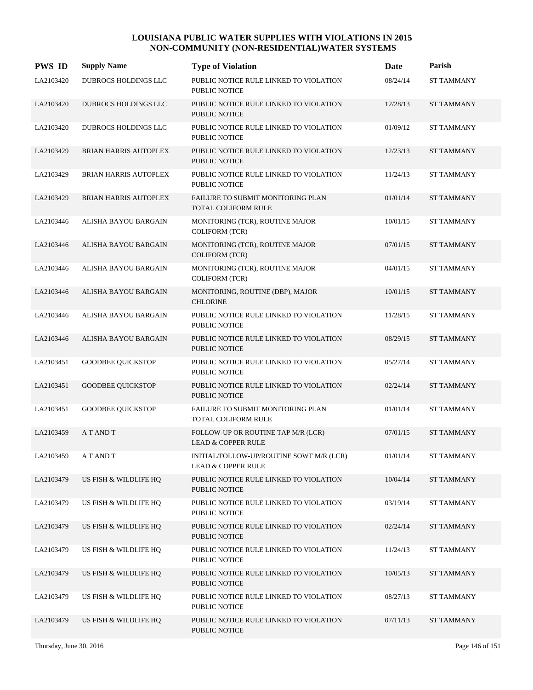| <b>PWS ID</b> | <b>Supply Name</b>           | <b>Type of Violation</b>                                                  | Date     | Parish            |
|---------------|------------------------------|---------------------------------------------------------------------------|----------|-------------------|
| LA2103420     | DUBROCS HOLDINGS LLC         | PUBLIC NOTICE RULE LINKED TO VIOLATION<br><b>PUBLIC NOTICE</b>            | 08/24/14 | <b>ST TAMMANY</b> |
| LA2103420     | <b>DUBROCS HOLDINGS LLC</b>  | PUBLIC NOTICE RULE LINKED TO VIOLATION<br><b>PUBLIC NOTICE</b>            | 12/28/13 | <b>ST TAMMANY</b> |
| LA2103420     | DUBROCS HOLDINGS LLC         | PUBLIC NOTICE RULE LINKED TO VIOLATION<br><b>PUBLIC NOTICE</b>            | 01/09/12 | <b>ST TAMMANY</b> |
| LA2103429     | <b>BRIAN HARRIS AUTOPLEX</b> | PUBLIC NOTICE RULE LINKED TO VIOLATION<br><b>PUBLIC NOTICE</b>            | 12/23/13 | <b>ST TAMMANY</b> |
| LA2103429     | <b>BRIAN HARRIS AUTOPLEX</b> | PUBLIC NOTICE RULE LINKED TO VIOLATION<br><b>PUBLIC NOTICE</b>            | 11/24/13 | <b>ST TAMMANY</b> |
| LA2103429     | <b>BRIAN HARRIS AUTOPLEX</b> | FAILURE TO SUBMIT MONITORING PLAN<br>TOTAL COLIFORM RULE                  | 01/01/14 | <b>ST TAMMANY</b> |
| LA2103446     | ALISHA BAYOU BARGAIN         | MONITORING (TCR), ROUTINE MAJOR<br><b>COLIFORM (TCR)</b>                  | 10/01/15 | <b>ST TAMMANY</b> |
| LA2103446     | ALISHA BAYOU BARGAIN         | MONITORING (TCR), ROUTINE MAJOR<br>COLIFORM (TCR)                         | 07/01/15 | <b>ST TAMMANY</b> |
| LA2103446     | ALISHA BAYOU BARGAIN         | MONITORING (TCR), ROUTINE MAJOR<br><b>COLIFORM (TCR)</b>                  | 04/01/15 | <b>ST TAMMANY</b> |
| LA2103446     | ALISHA BAYOU BARGAIN         | MONITORING, ROUTINE (DBP), MAJOR<br><b>CHLORINE</b>                       | 10/01/15 | <b>ST TAMMANY</b> |
| LA2103446     | ALISHA BAYOU BARGAIN         | PUBLIC NOTICE RULE LINKED TO VIOLATION<br>PUBLIC NOTICE                   | 11/28/15 | <b>ST TAMMANY</b> |
| LA2103446     | ALISHA BAYOU BARGAIN         | PUBLIC NOTICE RULE LINKED TO VIOLATION<br>PUBLIC NOTICE                   | 08/29/15 | <b>ST TAMMANY</b> |
| LA2103451     | <b>GOODBEE QUICKSTOP</b>     | PUBLIC NOTICE RULE LINKED TO VIOLATION<br><b>PUBLIC NOTICE</b>            | 05/27/14 | <b>ST TAMMANY</b> |
| LA2103451     | <b>GOODBEE QUICKSTOP</b>     | PUBLIC NOTICE RULE LINKED TO VIOLATION<br><b>PUBLIC NOTICE</b>            | 02/24/14 | <b>ST TAMMANY</b> |
| LA2103451     | <b>GOODBEE QUICKSTOP</b>     | FAILURE TO SUBMIT MONITORING PLAN<br>TOTAL COLIFORM RULE                  | 01/01/14 | ST TAMMANY        |
| LA2103459     | A T AND T                    | FOLLOW-UP OR ROUTINE TAP M/R (LCR)<br><b>LEAD &amp; COPPER RULE</b>       | 07/01/15 | <b>ST TAMMANY</b> |
| LA2103459     | A T AND T                    | INITIAL/FOLLOW-UP/ROUTINE SOWT M/R (LCR)<br><b>LEAD &amp; COPPER RULE</b> | 01/01/14 | <b>ST TAMMANY</b> |
| LA2103479     | US FISH & WILDLIFE HQ        | PUBLIC NOTICE RULE LINKED TO VIOLATION<br>PUBLIC NOTICE                   | 10/04/14 | <b>ST TAMMANY</b> |
| LA2103479     | US FISH & WILDLIFE HQ        | PUBLIC NOTICE RULE LINKED TO VIOLATION<br>PUBLIC NOTICE                   | 03/19/14 | ST TAMMANY        |
| LA2103479     | US FISH & WILDLIFE HQ        | PUBLIC NOTICE RULE LINKED TO VIOLATION<br>PUBLIC NOTICE                   | 02/24/14 | <b>ST TAMMANY</b> |
| LA2103479     | US FISH & WILDLIFE HQ        | PUBLIC NOTICE RULE LINKED TO VIOLATION<br>PUBLIC NOTICE                   | 11/24/13 | ST TAMMANY        |
| LA2103479     | US FISH & WILDLIFE HQ        | PUBLIC NOTICE RULE LINKED TO VIOLATION<br>PUBLIC NOTICE                   | 10/05/13 | <b>ST TAMMANY</b> |
| LA2103479     | US FISH & WILDLIFE HQ        | PUBLIC NOTICE RULE LINKED TO VIOLATION<br>PUBLIC NOTICE                   | 08/27/13 | <b>ST TAMMANY</b> |
| LA2103479     | US FISH & WILDLIFE HQ        | PUBLIC NOTICE RULE LINKED TO VIOLATION<br>PUBLIC NOTICE                   | 07/11/13 | <b>ST TAMMANY</b> |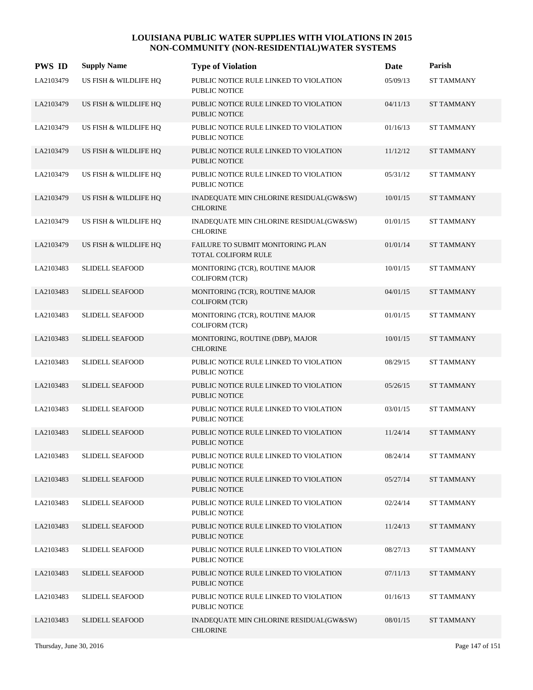| <b>PWS ID</b> | <b>Supply Name</b>     | <b>Type of Violation</b>                                        | Date     | Parish            |
|---------------|------------------------|-----------------------------------------------------------------|----------|-------------------|
| LA2103479     | US FISH & WILDLIFE HQ  | PUBLIC NOTICE RULE LINKED TO VIOLATION<br><b>PUBLIC NOTICE</b>  | 05/09/13 | <b>ST TAMMANY</b> |
| LA2103479     | US FISH & WILDLIFE HQ  | PUBLIC NOTICE RULE LINKED TO VIOLATION<br><b>PUBLIC NOTICE</b>  | 04/11/13 | <b>ST TAMMANY</b> |
| LA2103479     | US FISH & WILDLIFE HQ  | PUBLIC NOTICE RULE LINKED TO VIOLATION<br><b>PUBLIC NOTICE</b>  | 01/16/13 | <b>ST TAMMANY</b> |
| LA2103479     | US FISH & WILDLIFE HQ  | PUBLIC NOTICE RULE LINKED TO VIOLATION<br><b>PUBLIC NOTICE</b>  | 11/12/12 | <b>ST TAMMANY</b> |
| LA2103479     | US FISH & WILDLIFE HQ  | PUBLIC NOTICE RULE LINKED TO VIOLATION<br><b>PUBLIC NOTICE</b>  | 05/31/12 | <b>ST TAMMANY</b> |
| LA2103479     | US FISH & WILDLIFE HQ  | INADEQUATE MIN CHLORINE RESIDUAL(GW&SW)<br><b>CHLORINE</b>      | 10/01/15 | <b>ST TAMMANY</b> |
| LA2103479     | US FISH & WILDLIFE HQ  | INADEQUATE MIN CHLORINE RESIDUAL(GW&SW)<br><b>CHLORINE</b>      | 01/01/15 | <b>ST TAMMANY</b> |
| LA2103479     | US FISH & WILDLIFE HQ  | FAILURE TO SUBMIT MONITORING PLAN<br><b>TOTAL COLIFORM RULE</b> | 01/01/14 | <b>ST TAMMANY</b> |
| LA2103483     | <b>SLIDELL SEAFOOD</b> | MONITORING (TCR), ROUTINE MAJOR<br><b>COLIFORM (TCR)</b>        | 10/01/15 | <b>ST TAMMANY</b> |
| LA2103483     | <b>SLIDELL SEAFOOD</b> | MONITORING (TCR), ROUTINE MAJOR<br>COLIFORM (TCR)               | 04/01/15 | <b>ST TAMMANY</b> |
| LA2103483     | <b>SLIDELL SEAFOOD</b> | MONITORING (TCR), ROUTINE MAJOR<br><b>COLIFORM (TCR)</b>        | 01/01/15 | <b>ST TAMMANY</b> |
| LA2103483     | <b>SLIDELL SEAFOOD</b> | MONITORING, ROUTINE (DBP), MAJOR<br><b>CHLORINE</b>             | 10/01/15 | <b>ST TAMMANY</b> |
| LA2103483     | <b>SLIDELL SEAFOOD</b> | PUBLIC NOTICE RULE LINKED TO VIOLATION<br><b>PUBLIC NOTICE</b>  | 08/29/15 | <b>ST TAMMANY</b> |
| LA2103483     | <b>SLIDELL SEAFOOD</b> | PUBLIC NOTICE RULE LINKED TO VIOLATION<br><b>PUBLIC NOTICE</b>  | 05/26/15 | <b>ST TAMMANY</b> |
| LA2103483     | <b>SLIDELL SEAFOOD</b> | PUBLIC NOTICE RULE LINKED TO VIOLATION<br>PUBLIC NOTICE         | 03/01/15 | <b>ST TAMMANY</b> |
| LA2103483     | <b>SLIDELL SEAFOOD</b> | PUBLIC NOTICE RULE LINKED TO VIOLATION<br>PUBLIC NOTICE         | 11/24/14 | <b>ST TAMMANY</b> |
| LA2103483     | SLIDELL SEAFOOD        | PUBLIC NOTICE RULE LINKED TO VIOLATION<br>PUBLIC NOTICE         | 08/24/14 | <b>ST TAMMANY</b> |
| LA2103483     | <b>SLIDELL SEAFOOD</b> | PUBLIC NOTICE RULE LINKED TO VIOLATION<br>PUBLIC NOTICE         | 05/27/14 | <b>ST TAMMANY</b> |
| LA2103483     | <b>SLIDELL SEAFOOD</b> | PUBLIC NOTICE RULE LINKED TO VIOLATION<br>PUBLIC NOTICE         | 02/24/14 | <b>ST TAMMANY</b> |
| LA2103483     | <b>SLIDELL SEAFOOD</b> | PUBLIC NOTICE RULE LINKED TO VIOLATION<br>PUBLIC NOTICE         | 11/24/13 | <b>ST TAMMANY</b> |
| LA2103483     | SLIDELL SEAFOOD        | PUBLIC NOTICE RULE LINKED TO VIOLATION<br>PUBLIC NOTICE         | 08/27/13 | <b>ST TAMMANY</b> |
| LA2103483     | <b>SLIDELL SEAFOOD</b> | PUBLIC NOTICE RULE LINKED TO VIOLATION<br>PUBLIC NOTICE         | 07/11/13 | <b>ST TAMMANY</b> |
| LA2103483     | SLIDELL SEAFOOD        | PUBLIC NOTICE RULE LINKED TO VIOLATION<br>PUBLIC NOTICE         | 01/16/13 | <b>ST TAMMANY</b> |
| LA2103483     | <b>SLIDELL SEAFOOD</b> | INADEQUATE MIN CHLORINE RESIDUAL(GW&SW)<br><b>CHLORINE</b>      | 08/01/15 | <b>ST TAMMANY</b> |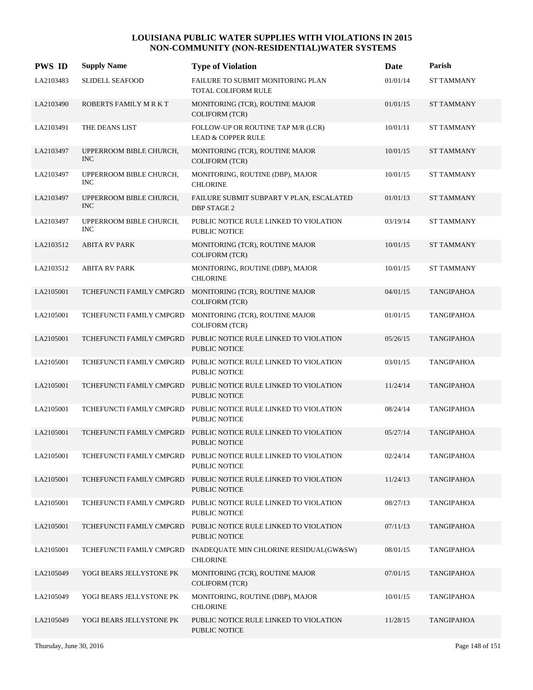| <b>PWS ID</b> | <b>Supply Name</b>                    | <b>Type of Violation</b>                                                                | Date     | Parish            |
|---------------|---------------------------------------|-----------------------------------------------------------------------------------------|----------|-------------------|
| LA2103483     | <b>SLIDELL SEAFOOD</b>                | FAILURE TO SUBMIT MONITORING PLAN<br>TOTAL COLIFORM RULE                                | 01/01/14 | ST TAMMANY        |
| LA2103490     | ROBERTS FAMILY M R K T                | MONITORING (TCR), ROUTINE MAJOR<br><b>COLIFORM (TCR)</b>                                | 01/01/15 | <b>ST TAMMANY</b> |
| LA2103491     | THE DEANS LIST                        | FOLLOW-UP OR ROUTINE TAP M/R (LCR)<br><b>LEAD &amp; COPPER RULE</b>                     | 10/01/11 | <b>ST TAMMANY</b> |
| LA2103497     | UPPERROOM BIBLE CHURCH,<br><b>INC</b> | MONITORING (TCR), ROUTINE MAJOR<br><b>COLIFORM (TCR)</b>                                | 10/01/15 | <b>ST TAMMANY</b> |
| LA2103497     | UPPERROOM BIBLE CHURCH,<br><b>INC</b> | MONITORING, ROUTINE (DBP), MAJOR<br><b>CHLORINE</b>                                     | 10/01/15 | <b>ST TAMMANY</b> |
| LA2103497     | UPPERROOM BIBLE CHURCH,<br><b>INC</b> | FAILURE SUBMIT SUBPART V PLAN, ESCALATED<br><b>DBP STAGE 2</b>                          | 01/01/13 | <b>ST TAMMANY</b> |
| LA2103497     | UPPERROOM BIBLE CHURCH,<br><b>INC</b> | PUBLIC NOTICE RULE LINKED TO VIOLATION<br><b>PUBLIC NOTICE</b>                          | 03/19/14 | <b>ST TAMMANY</b> |
| LA2103512     | <b>ABITA RV PARK</b>                  | MONITORING (TCR), ROUTINE MAJOR<br><b>COLIFORM (TCR)</b>                                | 10/01/15 | <b>ST TAMMANY</b> |
| LA2103512     | <b>ABITA RV PARK</b>                  | MONITORING, ROUTINE (DBP), MAJOR<br><b>CHLORINE</b>                                     | 10/01/15 | <b>ST TAMMANY</b> |
| LA2105001     | TCHEFUNCTI FAMILY CMPGRD              | MONITORING (TCR), ROUTINE MAJOR<br><b>COLIFORM (TCR)</b>                                | 04/01/15 | <b>TANGIPAHOA</b> |
| LA2105001     | TCHEFUNCTI FAMILY CMPGRD              | MONITORING (TCR), ROUTINE MAJOR<br><b>COLIFORM (TCR)</b>                                | 01/01/15 | <b>TANGIPAHOA</b> |
| LA2105001     |                                       | TCHEFUNCTI FAMILY CMPGRD PUBLIC NOTICE RULE LINKED TO VIOLATION<br><b>PUBLIC NOTICE</b> | 05/26/15 | <b>TANGIPAHOA</b> |
| LA2105001     | TCHEFUNCTI FAMILY CMPGRD              | PUBLIC NOTICE RULE LINKED TO VIOLATION<br>PUBLIC NOTICE                                 | 03/01/15 | <b>TANGIPAHOA</b> |
| LA2105001     |                                       | TCHEFUNCTI FAMILY CMPGRD PUBLIC NOTICE RULE LINKED TO VIOLATION<br><b>PUBLIC NOTICE</b> | 11/24/14 | <b>TANGIPAHOA</b> |
| LA2105001     | TCHEFUNCTI FAMILY CMPGRD              | PUBLIC NOTICE RULE LINKED TO VIOLATION<br><b>PUBLIC NOTICE</b>                          | 08/24/14 | <b>TANGIPAHOA</b> |
| LA2105001     | TCHEFUNCTI FAMILY CMPGRD              | PUBLIC NOTICE RULE LINKED TO VIOLATION<br><b>PUBLIC NOTICE</b>                          | 05/27/14 | <b>TANGIPAHOA</b> |
| LA2105001     |                                       | TCHEFUNCTI FAMILY CMPGRD PUBLIC NOTICE RULE LINKED TO VIOLATION<br>PUBLIC NOTICE        | 02/24/14 | <b>TANGIPAHOA</b> |
| LA2105001     | TCHEFUNCTI FAMILY CMPGRD              | PUBLIC NOTICE RULE LINKED TO VIOLATION<br>PUBLIC NOTICE                                 | 11/24/13 | <b>TANGIPAHOA</b> |
| LA2105001     | TCHEFUNCTI FAMILY CMPGRD              | PUBLIC NOTICE RULE LINKED TO VIOLATION<br>PUBLIC NOTICE                                 | 08/27/13 | <b>TANGIPAHOA</b> |
| LA2105001     | TCHEFUNCTI FAMILY CMPGRD              | PUBLIC NOTICE RULE LINKED TO VIOLATION<br>PUBLIC NOTICE                                 | 07/11/13 | <b>TANGIPAHOA</b> |
| LA2105001     | TCHEFUNCTI FAMILY CMPGRD              | INADEQUATE MIN CHLORINE RESIDUAL(GW&SW)<br><b>CHLORINE</b>                              | 08/01/15 | TANGIPAHOA        |
| LA2105049     | YOGI BEARS JELLYSTONE PK              | MONITORING (TCR), ROUTINE MAJOR<br><b>COLIFORM (TCR)</b>                                | 07/01/15 | <b>TANGIPAHOA</b> |
| LA2105049     | YOGI BEARS JELLYSTONE PK              | MONITORING, ROUTINE (DBP), MAJOR<br><b>CHLORINE</b>                                     | 10/01/15 | <b>TANGIPAHOA</b> |
| LA2105049     | YOGI BEARS JELLYSTONE PK              | PUBLIC NOTICE RULE LINKED TO VIOLATION<br>PUBLIC NOTICE                                 | 11/28/15 | <b>TANGIPAHOA</b> |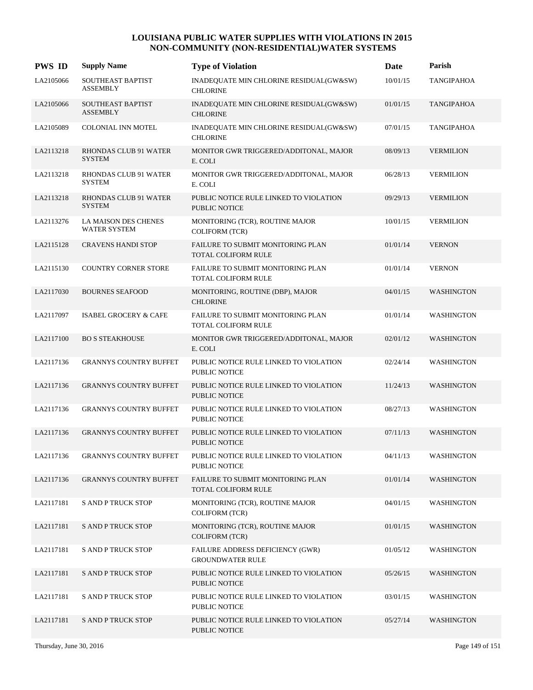| <b>PWS ID</b> | <b>Supply Name</b>                            | <b>Type of Violation</b>                                        | Date     | Parish            |
|---------------|-----------------------------------------------|-----------------------------------------------------------------|----------|-------------------|
| LA2105066     | SOUTHEAST BAPTIST<br><b>ASSEMBLY</b>          | INADEQUATE MIN CHLORINE RESIDUAL(GW&SW)<br><b>CHLORINE</b>      | 10/01/15 | <b>TANGIPAHOA</b> |
| LA2105066     | <b>SOUTHEAST BAPTIST</b><br><b>ASSEMBLY</b>   | INADEQUATE MIN CHLORINE RESIDUAL(GW&SW)<br><b>CHLORINE</b>      | 01/01/15 | <b>TANGIPAHOA</b> |
| LA2105089     | COLONIAL INN MOTEL                            | INADEQUATE MIN CHLORINE RESIDUAL(GW&SW)<br><b>CHLORINE</b>      | 07/01/15 | TANGIPAHOA        |
| LA2113218     | <b>RHONDAS CLUB 91 WATER</b><br><b>SYSTEM</b> | MONITOR GWR TRIGGERED/ADDITONAL, MAJOR<br>E. COLI               | 08/09/13 | <b>VERMILION</b>  |
| LA2113218     | RHONDAS CLUB 91 WATER<br><b>SYSTEM</b>        | MONITOR GWR TRIGGERED/ADDITONAL, MAJOR<br>E. COLI               | 06/28/13 | <b>VERMILION</b>  |
| LA2113218     | RHONDAS CLUB 91 WATER<br><b>SYSTEM</b>        | PUBLIC NOTICE RULE LINKED TO VIOLATION<br><b>PUBLIC NOTICE</b>  | 09/29/13 | <b>VERMILION</b>  |
| LA2113276     | LA MAISON DES CHENES<br><b>WATER SYSTEM</b>   | MONITORING (TCR), ROUTINE MAJOR<br><b>COLIFORM (TCR)</b>        | 10/01/15 | <b>VERMILION</b>  |
| LA2115128     | <b>CRAVENS HANDI STOP</b>                     | FAILURE TO SUBMIT MONITORING PLAN<br><b>TOTAL COLIFORM RULE</b> | 01/01/14 | <b>VERNON</b>     |
| LA2115130     | <b>COUNTRY CORNER STORE</b>                   | <b>FAILURE TO SUBMIT MONITORING PLAN</b><br>TOTAL COLIFORM RULE | 01/01/14 | <b>VERNON</b>     |
| LA2117030     | <b>BOURNES SEAFOOD</b>                        | MONITORING, ROUTINE (DBP), MAJOR<br><b>CHLORINE</b>             | 04/01/15 | <b>WASHINGTON</b> |
| LA2117097     | <b>ISABEL GROCERY &amp; CAFE</b>              | <b>FAILURE TO SUBMIT MONITORING PLAN</b><br>TOTAL COLIFORM RULE | 01/01/14 | WASHINGTON        |
| LA2117100     | <b>BO S STEAKHOUSE</b>                        | MONITOR GWR TRIGGERED/ADDITONAL, MAJOR<br>E. COLI               | 02/01/12 | <b>WASHINGTON</b> |
| LA2117136     | <b>GRANNYS COUNTRY BUFFET</b>                 | PUBLIC NOTICE RULE LINKED TO VIOLATION<br>PUBLIC NOTICE         | 02/24/14 | WASHINGTON        |
| LA2117136     | <b>GRANNYS COUNTRY BUFFET</b>                 | PUBLIC NOTICE RULE LINKED TO VIOLATION<br><b>PUBLIC NOTICE</b>  | 11/24/13 | <b>WASHINGTON</b> |
| LA2117136     | <b>GRANNYS COUNTRY BUFFET</b>                 | PUBLIC NOTICE RULE LINKED TO VIOLATION<br><b>PUBLIC NOTICE</b>  | 08/27/13 | WASHINGTON        |
| LA2117136     | <b>GRANNYS COUNTRY BUFFET</b>                 | PUBLIC NOTICE RULE LINKED TO VIOLATION<br>PUBLIC NOTICE         | 07/11/13 | <b>WASHINGTON</b> |
| LA2117136     | <b>GRANNYS COUNTRY BUFFET</b>                 | PUBLIC NOTICE RULE LINKED TO VIOLATION<br>PUBLIC NOTICE         | 04/11/13 | WASHINGTON        |
| LA2117136     | <b>GRANNYS COUNTRY BUFFET</b>                 | FAILURE TO SUBMIT MONITORING PLAN<br>TOTAL COLIFORM RULE        | 01/01/14 | WASHINGTON        |
| LA2117181     | <b>S AND P TRUCK STOP</b>                     | MONITORING (TCR), ROUTINE MAJOR<br>COLIFORM (TCR)               | 04/01/15 | <b>WASHINGTON</b> |
| LA2117181     | <b>S AND P TRUCK STOP</b>                     | MONITORING (TCR), ROUTINE MAJOR<br>COLIFORM (TCR)               | 01/01/15 | <b>WASHINGTON</b> |
| LA2117181     | <b>S AND P TRUCK STOP</b>                     | FAILURE ADDRESS DEFICIENCY (GWR)<br><b>GROUNDWATER RULE</b>     | 01/05/12 | WASHINGTON        |
| LA2117181     | <b>S AND P TRUCK STOP</b>                     | PUBLIC NOTICE RULE LINKED TO VIOLATION<br>PUBLIC NOTICE         | 05/26/15 | <b>WASHINGTON</b> |
| LA2117181     | <b>S AND P TRUCK STOP</b>                     | PUBLIC NOTICE RULE LINKED TO VIOLATION<br>PUBLIC NOTICE         | 03/01/15 | WASHINGTON        |
| LA2117181     | <b>S AND P TRUCK STOP</b>                     | PUBLIC NOTICE RULE LINKED TO VIOLATION<br>PUBLIC NOTICE         | 05/27/14 | <b>WASHINGTON</b> |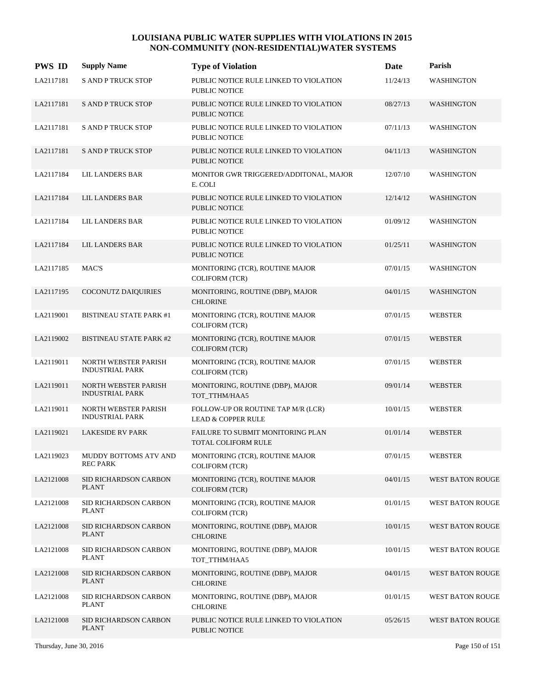| <b>PWS ID</b> | <b>Supply Name</b>                                    | <b>Type of Violation</b>                                            | Date     | Parish                  |
|---------------|-------------------------------------------------------|---------------------------------------------------------------------|----------|-------------------------|
| LA2117181     | <b>S AND P TRUCK STOP</b>                             | PUBLIC NOTICE RULE LINKED TO VIOLATION<br>PUBLIC NOTICE             | 11/24/13 | WASHINGTON              |
| LA2117181     | <b>S AND P TRUCK STOP</b>                             | PUBLIC NOTICE RULE LINKED TO VIOLATION<br><b>PUBLIC NOTICE</b>      | 08/27/13 | WASHINGTON              |
| LA2117181     | <b>S AND P TRUCK STOP</b>                             | PUBLIC NOTICE RULE LINKED TO VIOLATION<br><b>PUBLIC NOTICE</b>      | 07/11/13 | <b>WASHINGTON</b>       |
| LA2117181     | <b>S AND P TRUCK STOP</b>                             | PUBLIC NOTICE RULE LINKED TO VIOLATION<br><b>PUBLIC NOTICE</b>      | 04/11/13 | <b>WASHINGTON</b>       |
| LA2117184     | <b>LIL LANDERS BAR</b>                                | MONITOR GWR TRIGGERED/ADDITONAL, MAJOR<br>E. COLI                   | 12/07/10 | <b>WASHINGTON</b>       |
| LA2117184     | LIL LANDERS BAR                                       | PUBLIC NOTICE RULE LINKED TO VIOLATION<br><b>PUBLIC NOTICE</b>      | 12/14/12 | <b>WASHINGTON</b>       |
| LA2117184     | LIL LANDERS BAR                                       | PUBLIC NOTICE RULE LINKED TO VIOLATION<br>PUBLIC NOTICE             | 01/09/12 | WASHINGTON              |
| LA2117184     | LIL LANDERS BAR                                       | PUBLIC NOTICE RULE LINKED TO VIOLATION<br><b>PUBLIC NOTICE</b>      | 01/25/11 | <b>WASHINGTON</b>       |
| LA2117185     | MAC'S                                                 | MONITORING (TCR), ROUTINE MAJOR<br><b>COLIFORM (TCR)</b>            | 07/01/15 | <b>WASHINGTON</b>       |
| LA2117195     | COCONUTZ DAIQUIRIES                                   | MONITORING, ROUTINE (DBP), MAJOR<br><b>CHLORINE</b>                 | 04/01/15 | WASHINGTON              |
| LA2119001     | <b>BISTINEAU STATE PARK #1</b>                        | MONITORING (TCR), ROUTINE MAJOR<br><b>COLIFORM (TCR)</b>            | 07/01/15 | <b>WEBSTER</b>          |
| LA2119002     | <b>BISTINEAU STATE PARK #2</b>                        | MONITORING (TCR), ROUTINE MAJOR<br><b>COLIFORM (TCR)</b>            | 07/01/15 | <b>WEBSTER</b>          |
| LA2119011     | NORTH WEBSTER PARISH<br><b>INDUSTRIAL PARK</b>        | MONITORING (TCR), ROUTINE MAJOR<br><b>COLIFORM (TCR)</b>            | 07/01/15 | <b>WEBSTER</b>          |
| LA2119011     | <b>NORTH WEBSTER PARISH</b><br><b>INDUSTRIAL PARK</b> | MONITORING, ROUTINE (DBP), MAJOR<br>TOT_TTHM/HAA5                   | 09/01/14 | <b>WEBSTER</b>          |
| LA2119011     | <b>NORTH WEBSTER PARISH</b><br><b>INDUSTRIAL PARK</b> | FOLLOW-UP OR ROUTINE TAP M/R (LCR)<br><b>LEAD &amp; COPPER RULE</b> | 10/01/15 | <b>WEBSTER</b>          |
| LA2119021     | <b>LAKESIDE RV PARK</b>                               | FAILURE TO SUBMIT MONITORING PLAN<br>TOTAL COLIFORM RULE            | 01/01/14 | <b>WEBSTER</b>          |
| LA2119023     | MUDDY BOTTOMS ATV AND<br><b>REC PARK</b>              | MONITORING (TCR), ROUTINE MAJOR<br><b>COLIFORM (TCR)</b>            | 07/01/15 | <b>WEBSTER</b>          |
| LA2121008     | <b>SID RICHARDSON CARBON</b><br><b>PLANT</b>          | MONITORING (TCR), ROUTINE MAJOR<br><b>COLIFORM (TCR)</b>            | 04/01/15 | WEST BATON ROUGE        |
| LA2121008     | SID RICHARDSON CARBON<br><b>PLANT</b>                 | MONITORING (TCR), ROUTINE MAJOR<br><b>COLIFORM (TCR)</b>            | 01/01/15 | <b>WEST BATON ROUGE</b> |
| LA2121008     | SID RICHARDSON CARBON<br><b>PLANT</b>                 | MONITORING, ROUTINE (DBP), MAJOR<br><b>CHLORINE</b>                 | 10/01/15 | <b>WEST BATON ROUGE</b> |
| LA2121008     | SID RICHARDSON CARBON<br>PLANT                        | MONITORING, ROUTINE (DBP), MAJOR<br>TOT_TTHM/HAA5                   | 10/01/15 | WEST BATON ROUGE        |
| LA2121008     | SID RICHARDSON CARBON<br>PLANT                        | MONITORING, ROUTINE (DBP), MAJOR<br><b>CHLORINE</b>                 | 04/01/15 | <b>WEST BATON ROUGE</b> |
| LA2121008     | SID RICHARDSON CARBON<br>PLANT                        | MONITORING, ROUTINE (DBP), MAJOR<br><b>CHLORINE</b>                 | 01/01/15 | <b>WEST BATON ROUGE</b> |
| LA2121008     | <b>SID RICHARDSON CARBON</b><br><b>PLANT</b>          | PUBLIC NOTICE RULE LINKED TO VIOLATION<br>PUBLIC NOTICE             | 05/26/15 | <b>WEST BATON ROUGE</b> |